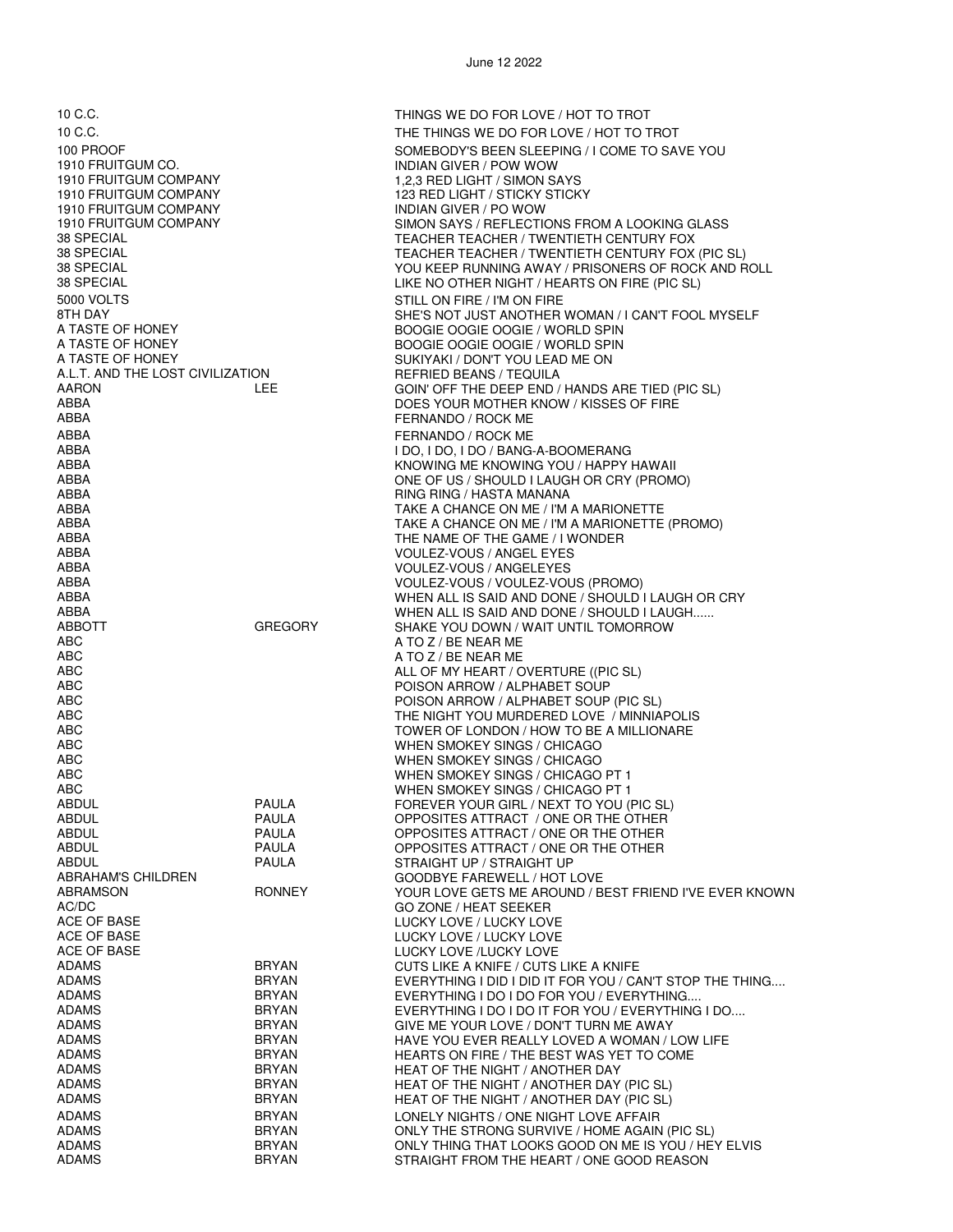1910 FRUITGUM CO. INDIAN GIVER / POW WOW 1910 FRUITGUM COMPANY 1,2,3 RED LIGHT / SIMON SAYS<br>1910 FRUITGUM COMPANY 1,2,3 RED LIGHT / STICKY STICK 1910 FRUITGUM COMPANY 123 RED LIGHT / STICKY STICKY 5000 VOLTS STILL ON FIRE / I'M ON FIRE A TASTE OF HONEY BOOGIE OOGIE OOGIE / WORLD SPIN A TASTE OF HONEY BOOGIE OOGIE OOGIE / WORLD SPIN A.L.T. AND THE LOST CIVILIZATION ABBA FERNANDO / ROCK ME ABBA I DO, I DO, I DO / BANG-A-BOOMERANG ABBA RING RING / HASTA MANANA<br>ABBA RING RING RING A TAKE A CHANCE ON ME / I'M . ABBA THE NAME OF THE GAME / I WONDER ABBA VOULEZ-VOUS / ANGEL EYES ABBA VOULEZ-VOUS / ANGELEYES A TO Z / BE NEAR ME<br>A TO Z / BE NEAR ME<br>A TO Z / BE NEAR ME ABC A TO Z / BE NEAR ME ABC POISON ARROW / ALPHABET SOUP ABC WHEN SMOKEY SINGS / CHICAGO ABC WHEN SMOKEY SINGS / CHICAGO PT 1 ABC WHEN SMOKEY SINGS / CHICAGO PT 1 ABDUL PAULA STRAIGHT UP / STRAIGHT UP ABRAHAM'S CHILDREN GOODBYE FAREWELL / HOT LOVE AC/DC GO ZONE / HEAT SEEKER ACE OF BASE LUCKY LOVE / LUCKY LOVE ACE OF BASE THE SAME RELATION CONTROL AND RELATION AND LUCKY LOVE / LUCKY LOVE<br>ACE OF BASE THE SAME RELATION CONTROL ON THE SAME RELATIONS OF A LICKY LOVE ACE OF BASE LUCKY LOVE /LUCKY LOVE ADAMS BRYAN HEAT OF THE NIGHT / ANOTHER DAY ADAMS BRYAN LONELY NIGHTS / ONE NIGHT LOVE AFFAIR ADAMS BRYAN ONLY THE STRONG SURVIVE / HOME AGAIN (PIC SL)

10 C.C. THINGS WE DO FOR LOVE / HOT TO TROT 10 C.C. THE THINGS WE DO FOR LOVE / HOT TO TROT 100 PROOF SOME BOOK BEEN SULE PING / I COME TO SAVE YOU<br>1910 FRUITGUM CO. THE SOME RESERVED AND SULFUL AND INDIAN GIVER / POW WOW INDIAN GIVER / PO WOW 1910 FRUITGUM COMPANY FROM A LOOKING GLASS SIMON SAYS / REFLECTIONS FROM A LOOKING GLASS<br>TEACHER TEACHER TEACHER TUNNITEITH CENTURY FOX 38 SPECIAL TEACHER TEACHER / TWENTIETH CENTURY FOX 38 SPECIAL TEACHER TEACHER / TWENTIETH CENTURY FOX (PIC SL) 38 SPECIAL YOU KEEP RUNNING AWAY / PRISONERS OF ROCK AND ROLL LIKE NO OTHER NIGHT / HEARTS ON FIRE (PIC SL) 8TH DAY SHE'S NOT JUST ANOTHER WOMAN / I CAN'T FOOL MYSELF<br>A TASTE OF HONEY A SHOOGLE OOGLE OOGLE OOGLE / WORLD SPIN SUKIYAKI / DON'T YOU LEAD ME ON REFRIED BEANS / TEQUILA AARON LEE GOIN' OFF THE DEEP END / HANDS ARE TIED (PIC SL) ABBA DOES YOUR MOTHER KNOW / KISSES OF FIRE FERNANDO / ROCK ME ABBA KNOWING ME KNOWING YOU / HAPPY HAWAII ABBA ONE OF US / SHOULD I LAUGH OR CRY (PROMO) TAKE A CHANCE ON ME / I'M A MARIONETTE ABBA TAKE A CHANCE ON ME / I'M A MARIONETTE (PROMO) ABBA VOULEZ-VOUS / VOULEZ-VOUS (PROMO) ABBA WHEN ALL IS SAID AND DONE / SHOULD I LAUGH OR CRY ABBA WHEN ALL IS SAID AND DONE / SHOULD I LAUGH...... ABBOTT GREGORY SHAKE YOU DOWN / WAIT UNTIL TOMORROW ABC ALL OF MY HEART / OVERTURE ((PIC SL) ABC POISON ARROW / ALPHABET SOUP (PIC SL) THE NIGHT YOU MURDERED LOVE / MINNIAPOLIS ABC TOWER OF LONDON / HOW TO BE A MILLIONARE WHEN SMOKEY SINGS / CHICAGO ABDUL PAULA FOREVER YOUR GIRL / NEXT TO YOU (PIC SL) ABDUL PAULA OPPOSITES ATTRACT / ONE OR THE OTHER ABDUL PAULA OPPOSITES ATTRACT / ONE OR THE OTHER ABDUL PAULA OPPOSITES ATTRACT / ONE OR THE OTHER ABRAMSON RONNEY YOUR LOVE GETS ME AROUND / BEST FRIEND I'VE EVER KNOWN CUTS LIKE A KNIFE / CUTS LIKE A KNIFE ADAMS BRYAN EVERYTHING I DID I DID IT FOR YOU / CAN'T STOP THE THING.... ADAMS BRYAN EVERYTHING I DO I DO FOR YOU / EVERYTHING.... ADAMS BRYAN EVERYTHING I DO I DO IT FOR YOU / EVERYTHING I DO.... ADAMS BRYAN GIVE ME YOUR LOVE / DON'T TURN ME AWAY HAVE YOU EVER REALLY LOVED A WOMAN / LOW LIFE ADAMS BRYAN HEARTS ON FIRE / THE BEST WAS YET TO COME HEAT OF THE NIGHT / ANOTHER DAY (PIC SL) ADAMS BRYAN HEAT OF THE NIGHT / ANOTHER DAY (PIC SL)

STRAIGHT FROM THE HEART / ONE GOOD REASON

ADAMS BRYAN ONLY THING THAT LOOKS GOOD ON ME IS YOU / HEY ELVIS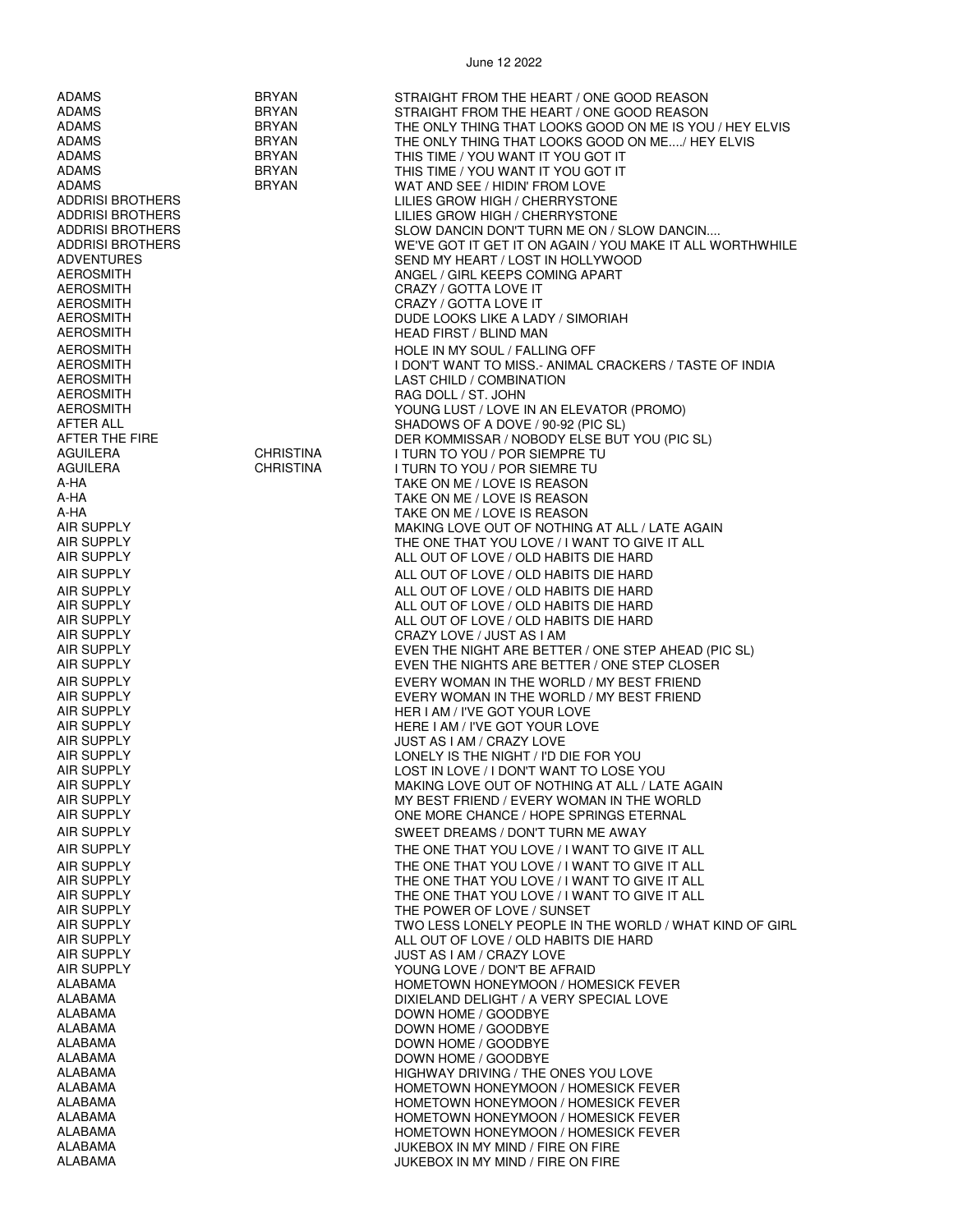| <b>ADAMS</b>            | <b>BRYAN</b>     | STRAIGHT FROM THE HEART / ONE GOOD REASON                                  |
|-------------------------|------------------|----------------------------------------------------------------------------|
| <b>ADAMS</b>            | <b>BRYAN</b>     | STRAIGHT FROM THE HEART / ONE GOOD REASON                                  |
| <b>ADAMS</b>            | <b>BRYAN</b>     | THE ONLY THING THAT LOOKS GOOD ON ME IS YOU / HEY ELVIS                    |
| <b>ADAMS</b>            | <b>BRYAN</b>     | THE ONLY THING THAT LOOKS GOOD ON ME/ HEY ELVIS                            |
|                         |                  |                                                                            |
| ADAMS                   | <b>BRYAN</b>     | THIS TIME / YOU WANT IT YOU GOT IT                                         |
| ADAMS                   | <b>BRYAN</b>     | THIS TIME / YOU WANT IT YOU GOT IT                                         |
| <b>ADAMS</b>            | <b>BRYAN</b>     | WAT AND SEE / HIDIN' FROM LOVE                                             |
| <b>ADDRISI BROTHERS</b> |                  | LILIES GROW HIGH / CHERRYSTONE                                             |
| <b>ADDRISI BROTHERS</b> |                  | LILIES GROW HIGH / CHERRYSTONE                                             |
| <b>ADDRISI BROTHERS</b> |                  | SLOW DANCIN DON'T TURN ME ON / SLOW DANCIN                                 |
| <b>ADDRISI BROTHERS</b> |                  | WE'VE GOT IT GET IT ON AGAIN / YOU MAKE IT ALL WORTHWHILE                  |
| <b>ADVENTURES</b>       |                  | SEND MY HEART / LOST IN HOLLYWOOD                                          |
| <b>AEROSMITH</b>        |                  | ANGEL / GIRL KEEPS COMING APART                                            |
| <b>AEROSMITH</b>        |                  | CRAZY / GOTTA LOVE IT                                                      |
| <b>AEROSMITH</b>        |                  | CRAZY / GOTTA LOVE IT                                                      |
| <b>AEROSMITH</b>        |                  | DUDE LOOKS LIKE A LADY / SIMORIAH                                          |
| AEROSMITH               |                  | <b>HEAD FIRST / BLIND MAN</b>                                              |
| <b>AEROSMITH</b>        |                  | HOLE IN MY SOUL / FALLING OFF                                              |
| <b>AEROSMITH</b>        |                  |                                                                            |
|                         |                  | I DON'T WANT TO MISS.- ANIMAL CRACKERS / TASTE OF INDIA                    |
| AEROSMITH               |                  | LAST CHILD / COMBINATION                                                   |
| <b>AEROSMITH</b>        |                  | RAG DOLL / ST. JOHN                                                        |
| AEROSMITH               |                  | YOUNG LUST / LOVE IN AN ELEVATOR (PROMO)                                   |
| AFTER ALL               |                  | SHADOWS OF A DOVE / 90-92 (PIC SL)                                         |
| AFTER THE FIRE          |                  | DER KOMMISSAR / NOBODY ELSE BUT YOU (PIC SL)                               |
| AGUILERA                | <b>CHRISTINA</b> | I TURN TO YOU / POR SIEMPRE TU                                             |
| AGUILERA                | <b>CHRISTINA</b> | I TURN TO YOU / POR SIEMRE TU                                              |
| A-HA                    |                  | TAKE ON ME / LOVE IS REASON                                                |
| A-HA                    |                  | TAKE ON ME / LOVE IS REASON                                                |
| A-HA                    |                  | TAKE ON ME / LOVE IS REASON                                                |
| AIR SUPPLY              |                  | MAKING LOVE OUT OF NOTHING AT ALL / LATE AGAIN                             |
| AIR SUPPLY              |                  | THE ONE THAT YOU LOVE / I WANT TO GIVE IT ALL                              |
| <b>AIR SUPPLY</b>       |                  | ALL OUT OF LOVE / OLD HABITS DIE HARD                                      |
| <b>AIR SUPPLY</b>       |                  | ALL OUT OF LOVE / OLD HABITS DIE HARD                                      |
| <b>AIR SUPPLY</b>       |                  |                                                                            |
| <b>AIR SUPPLY</b>       |                  | ALL OUT OF LOVE / OLD HABITS DIE HARD                                      |
| <b>AIR SUPPLY</b>       |                  | ALL OUT OF LOVE / OLD HABITS DIE HARD                                      |
|                         |                  | ALL OUT OF LOVE / OLD HABITS DIE HARD                                      |
| <b>AIR SUPPLY</b>       |                  | CRAZY LOVE / JUST AS I AM                                                  |
| <b>AIR SUPPLY</b>       |                  | EVEN THE NIGHT ARE BETTER / ONE STEP AHEAD (PIC SL)                        |
| AIR SUPPLY              |                  | EVEN THE NIGHTS ARE BETTER / ONE STEP CLOSER                               |
| <b>AIR SUPPLY</b>       |                  | EVERY WOMAN IN THE WORLD / MY BEST FRIEND                                  |
| <b>AIR SUPPLY</b>       |                  | EVERY WOMAN IN THE WORLD / MY BEST FRIEND                                  |
| AIR SUPPLY              |                  | HER I AM / I'VE GOT YOUR LOVE                                              |
| <b>AIR SUPPLY</b>       |                  | HERE I AM / I'VE GOT YOUR LOVE                                             |
| <b>AIR SUPPLY</b>       |                  | JUST AS I AM / CRAZY LOVE                                                  |
| <b>AIR SUPPLY</b>       |                  | LONELY IS THE NIGHT / I'D DIE FOR YOU                                      |
| AIR SUPPLY              |                  | LOST IN LOVE / I DON'T WANT TO LOSE YOU                                    |
| <b>AIR SUPPLY</b>       |                  | MAKING LOVE OUT OF NOTHING AT ALL / LATE AGAIN                             |
| AIR SUPPLY              |                  | MY BEST FRIEND / EVERY WOMAN IN THE WORLD                                  |
| <b>AIR SUPPLY</b>       |                  | ONE MORE CHANCE / HOPE SPRINGS ETERNAL                                     |
| <b>AIR SUPPLY</b>       |                  | SWEET DREAMS / DON'T TURN ME AWAY                                          |
| <b>AIR SUPPLY</b>       |                  | THE ONE THAT YOU LOVE / I WANT TO GIVE IT ALL                              |
| <b>AIR SUPPLY</b>       |                  | THE ONE THAT YOU LOVE / I WANT TO GIVE IT ALL                              |
| <b>AIR SUPPLY</b>       |                  | THE ONE THAT YOU LOVE / I WANT TO GIVE IT ALL                              |
| <b>AIR SUPPLY</b>       |                  | THE ONE THAT YOU LOVE / I WANT TO GIVE IT ALL                              |
| <b>AIR SUPPLY</b>       |                  | THE POWER OF LOVE / SUNSET                                                 |
| <b>AIR SUPPLY</b>       |                  | TWO LESS LONELY PEOPLE IN THE WORLD / WHAT KIND OF GIRL                    |
| <b>AIR SUPPLY</b>       |                  | ALL OUT OF LOVE / OLD HABITS DIE HARD                                      |
| <b>AIR SUPPLY</b>       |                  | JUST AS I AM / CRAZY LOVE                                                  |
| <b>AIR SUPPLY</b>       |                  | YOUNG LOVE / DON'T BE AFRAID                                               |
| ALABAMA                 |                  | HOMETOWN HONEYMOON / HOMESICK FEVER                                        |
| ALABAMA                 |                  | DIXIELAND DELIGHT / A VERY SPECIAL LOVE                                    |
| ALABAMA                 |                  | DOWN HOME / GOODBYE                                                        |
| ALABAMA                 |                  | DOWN HOME / GOODBYE                                                        |
| ALABAMA                 |                  |                                                                            |
| ALABAMA                 |                  | DOWN HOME / GOODBYE                                                        |
| ALABAMA                 |                  | DOWN HOME / GOODBYE                                                        |
| <b>ALABAMA</b>          |                  | HIGHWAY DRIVING / THE ONES YOU LOVE                                        |
| ALABAMA                 |                  | HOMETOWN HONEYMOON / HOMESICK FEVER<br>HOMETOWN HONEYMOON / HOMESICK FEVER |
| ALABAMA                 |                  |                                                                            |
| ALABAMA                 |                  | HOMETOWN HONEYMOON / HOMESICK FEVER<br>HOMETOWN HONEYMOON / HOMESICK FEVER |
| ALABAMA                 |                  | JUKEBOX IN MY MIND / FIRE ON FIRE                                          |
| ALABAMA                 |                  | JUKEBOX IN MY MIND / FIRE ON FIRE                                          |
|                         |                  |                                                                            |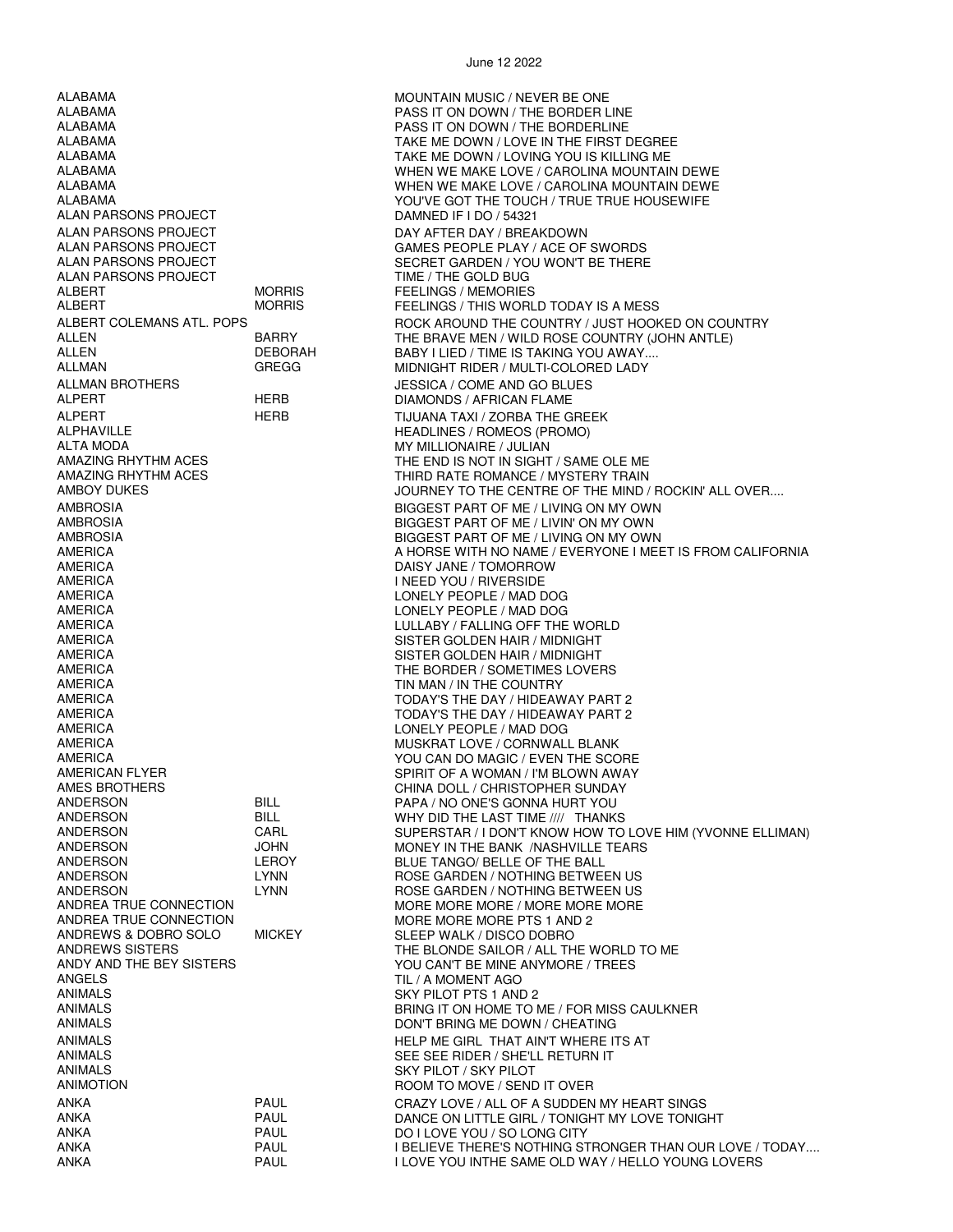ALABAMA MOUNTAIN MUSIC / NEVER BE ONE ALABAMA PASS IT ON DOWN / THE BORDER LINE ALAN PARSONS PROJECT DAMNED IF I DO / 54321 ALAN PARSONS PROJECT DAY AFTER DAY / BREAKDOWN ALAN PARSONS PROJECT TIME / THE GOLD BUG ALBERT MORRIS FEELINGS / MEMORIES ALLMAN BROTHERS JESSICA / COME AND GO BLUES ALPERT HERB TIJUANA TAXI / ZORBA THE GREEK ALPHAVILLE HEADLINES / ROMEOS (PROMO) ALTA MODA MY MILLIONAIRE / JULIAN AMERICA DAISY JANE / TOMORROW AMERICA LONELY PEOPLE / MAD DOG AMERICA LONELY PEOPLE / MAD DOG AMERICA LULLABY / FALLING OFF THE WORLD AMERICA SISTER GOLDEN HAIR / MIDNIGHT AMERICA SISTER GOLDEN HAIR / MIDNIGHT AMERICA TIN MAN / IN THE COUNTRY AMERICA TODAY'S THE DAY / HIDEAWAY PART 2 AMERICA LONELY PEOPLE / MAD DOG ANDERSON BILL PAPA / NO ONE'S GONNA HURT YOU ANDERSON LEROY BLUE TANGO/ BELLE OF THE BALL<br>ANDERSON LYNN LYNN ROSE GARDEN / NOTHING BETWE ANDREA TRUE CONNECTION MORE MORE MORE PTS 1 AND 2<br>ANDREWS & DOBRO SOLO MICKEY SLEEP WALK / DISCO DOBRO ANDREWS & DOBRO SOLO MICKEY SLEEP WALK / DISCO DOBRO ANDREWS SISTERS<br>ANDREWS SISTERS ANGELS TIL / A MOMENT AGO ANIMALS<br>
ANIMALS<br>
ANIMALS ANIMALS SEE SEE RIDER / SHE'LL RETURN IT ANIMALS SKY PILOT / SKY PILOT ANKA PAUL DO I LOVE YOU / SO LONG CITY

PASS IT ON DOWN / THE BORDERLINE ALABAMA TAKE ME DOWN / LOVE IN THE FIRST DEGREE ALABAMA TAKE ME DOWN / LOVING YOU IS KILLING ME ALABAMA WHEN WE MAKE LOVE / CAROLINA MOUNTAIN DEWE WHEN WE MAKE LOVE / CAROLINA MOUNTAIN DEWE ALABAMA YOU'VE GOT THE TOUCH / TRUE TRUE HOUSEWIFE GAMES PEOPLE PLAY / ACE OF SWORDS ALAN PARSONS PROJECT SECRET GARDEN / YOU WON'T BE THERE FEELINGS / THIS WORLD TODAY IS A MESS ALBERT COLEMANS ATL. POPS FOR A ROCK AROUND THE COUNTRY / JUST HOOKED ON COUNTRY /<br>ALLEN BARRY FULL BARRY THE BRAVE MEN / WII D ROSE COUNTRY (JOHN ANTI F) ALLEN BARRY THE BRAVE MEN / WILD ROSE COUNTRY (JOHN ANTLE) ALLEN DEBORAH BABY I LIED / TIME IS TAKING YOU AWAY.... MIDNIGHT RIDER / MULTI-COLORED LADY DIAMONDS / AFRICAN FLAME THE END IS NOT IN SIGHT / SAME OLE ME AMAZING RHYTHM ACES THIRD RATE ROMANCE / MYSTERY TRAIN<br>AMBOY DUKES THE MIND AND ROUGHER TO THE CENTRE OF THE MIND A JOURNEY TO THE CENTRE OF THE MIND / ROCKIN' ALL OVER.... AMBROSIA BIGGEST PART OF ME / LIVING ON MY OWN AMBROSIA BIGGEST PART OF ME / LIVIN' ON MY OWN AMBROSIA BIGGEST PART OF ME / LIVING ON MY OWN AMERICA A HORSE WITH NO NAME / EVERYONE I MEET IS FROM CALIFORNIA **I NEED YOU / RIVERSIDE** THE BORDER / SOMETIMES LOVERS TODAY'S THE DAY / HIDEAWAY PART 2 MUSKRAT LOVE / CORNWALL BLANK AMERICA YOU CAN DO MAGIC / EVEN THE SCORE AMERICAN FLYER SPIRIT OF A WOMAN / I'M BLOWN AWAY CHINA DOLL / CHRISTOPHER SUNDAY<br>PAPA / NO ONE'S GONNA HURT YOU BILL WHY DID THE LAST TIME //// THANKS<br>CARL SUPERSTAR / I DON'T KNOW HOW TO ANDERSON CARL SUPERSTAR / I DON'T KNOW HOW TO LOVE HIM (YVONNE ELLIMAN) ANDERSON JOHN MONEY IN THE BANK /NASHVILLE TEARS ANDERSON LYNN ROSE GARDEN / NOTHING BETWEEN US ANDERSON LYNN ROSE GARDEN / NOTHING BETWEEN US MORE MORE MORE / MORE MORE MORE ANDREWS SISTERS THE BLONDE SAILOR / ALL THE WORLD TO ME<br>ANDY AND THE BEY SISTERS THE THE THE YOU CAN'T BE MINE ANYMORE / TREES ANDY AND THE BEY SISTERS YOU CAN'T BE MINE ANYMORE / TREES<br>ANGELS ANIMALS<br>ANIMALS ANIMALS BRING IT ON HOME TO ME / FOR MISS CAULKNER<br>DON'T BRING ME DOWN / CHEATING DON'T BRING ME DOWN / CHEATING ANIMALS HELP ME GIRL THAT AIN'T WHERE ITS AT ROOM TO MOVE / SEND IT OVER ANKA PAUL CRAZY LOVE / ALL OF A SUDDEN MY HEART SINGS DANCE ON LITTLE GIRL / TONIGHT MY LOVE TONIGHT PAUL I BELIEVE THERE'S NOTHING STRONGER THAN OUR LOVE / TODAY....<br>PAUL I LOVE YOU INTHE SAME OLD WAY / HELLO YOUNG LOVERS ANKA **EXAMPLE I LOVE YOU INTHE SAME OLD WAY / HELLO YOUNG LOVERS**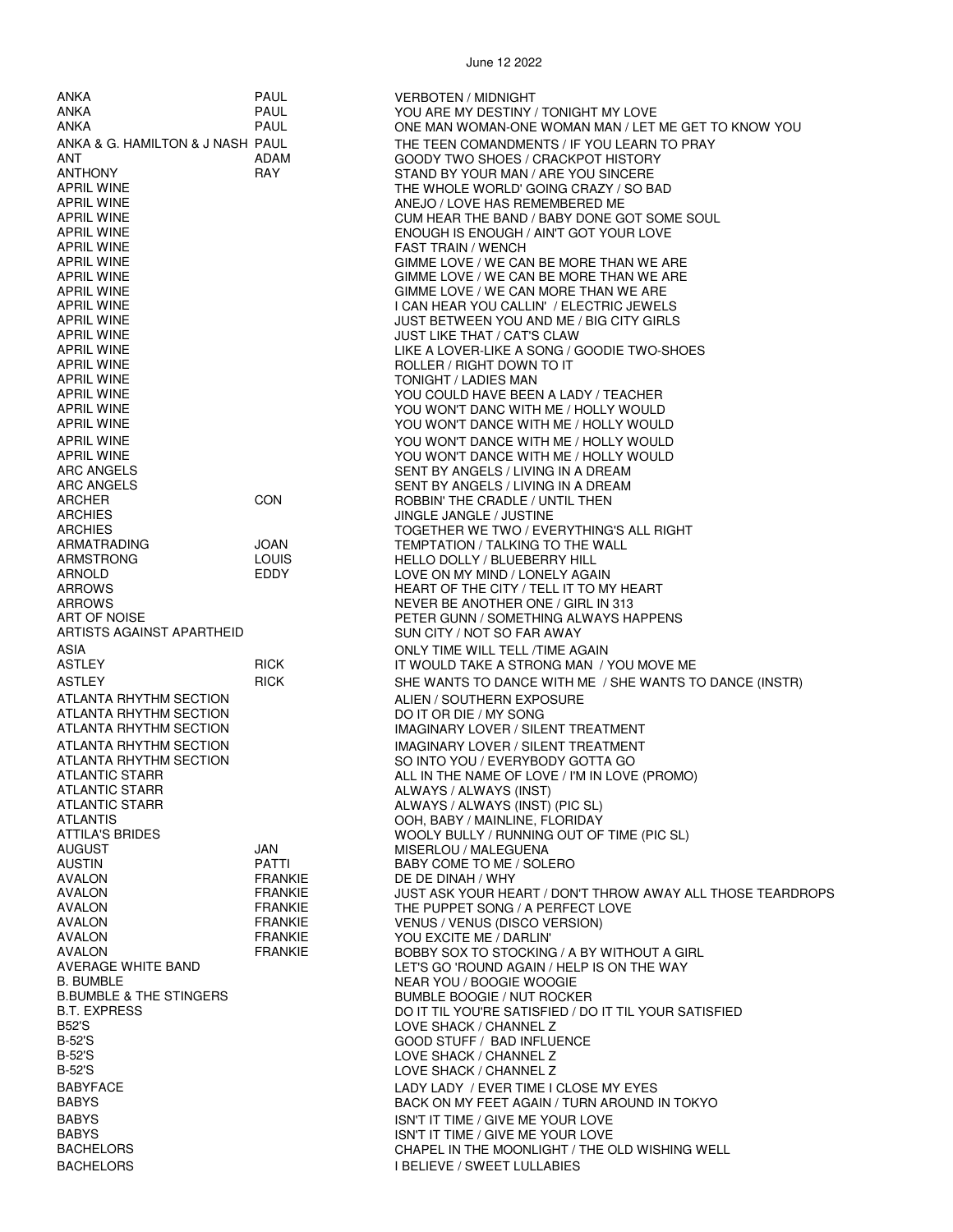| ANKA                             | PAUL                             | <b>VERBOTEN / MIDNIGHT</b>                                                            |
|----------------------------------|----------------------------------|---------------------------------------------------------------------------------------|
| ANKA                             | PAUL                             | YOU ARE MY DESTINY / TONIGHT MY LOVE                                                  |
| ANKA                             | PAUL                             | ONE MAN WOMAN-ONE WOMAN MAN / LET ME GET TO KNOW YOU                                  |
| ANKA & G. HAMILTON & J NASH PAUL |                                  | THE TEEN COMANDMENTS / IF YOU LEARN TO PRAY                                           |
| ANT                              | ADAM                             | GOODY TWO SHOES / CRACKPOT HISTORY                                                    |
| ANTHONY                          | RAY                              | STAND BY YOUR MAN / ARE YOU SINCERE                                                   |
| APRIL WINE                       |                                  | THE WHOLE WORLD' GOING CRAZY / SO BAD                                                 |
| APRIL WINE<br>APRIL WINE         |                                  | ANEJO / LOVE HAS REMEMBERED ME                                                        |
| APRIL WINE                       |                                  | CUM HEAR THE BAND / BABY DONE GOT SOME SOUL<br>ENOUGH IS ENOUGH / AIN'T GOT YOUR LOVE |
| APRIL WINE                       |                                  | FAST TRAIN / WENCH                                                                    |
| APRIL WINE                       |                                  | GIMME LOVE / WE CAN BE MORE THAN WE ARE                                               |
| APRIL WINE                       |                                  | GIMME LOVE / WE CAN BE MORE THAN WE ARE                                               |
| APRIL WINE                       |                                  | GIMME LOVE / WE CAN MORE THAN WE ARE                                                  |
| APRIL WINE                       |                                  | I CAN HEAR YOU CALLIN' / ELECTRIC JEWELS                                              |
| APRIL WINE                       |                                  | JUST BETWEEN YOU AND ME / BIG CITY GIRLS                                              |
| APRIL WINE                       |                                  | <b>JUST LIKE THAT / CAT'S CLAW</b>                                                    |
| APRIL WINE                       |                                  | LIKE A LOVER-LIKE A SONG / GOODIE TWO-SHOES                                           |
| APRIL WINE                       |                                  | ROLLER / RIGHT DOWN TO IT                                                             |
| APRIL WINE<br>APRIL WINE         |                                  | TONIGHT / LADIES MAN<br>YOU COULD HAVE BEEN A LADY / TEACHER                          |
| APRIL WINE                       |                                  | YOU WON'T DANC WITH ME / HOLLY WOULD                                                  |
| APRIL WINE                       |                                  | YOU WON'T DANCE WITH ME / HOLLY WOULD                                                 |
| APRIL WINE                       |                                  | YOU WON'T DANCE WITH ME / HOLLY WOULD                                                 |
| APRIL WINE                       |                                  | YOU WON'T DANCE WITH ME / HOLLY WOULD                                                 |
| ARC ANGELS                       |                                  | SENT BY ANGELS / LIVING IN A DREAM                                                    |
| ARC ANGELS                       |                                  | SENT BY ANGELS / LIVING IN A DREAM                                                    |
| ARCHER                           | CON                              | ROBBIN' THE CRADLE / UNTIL THEN                                                       |
| ARCHIES                          |                                  | JINGLE JANGLE / JUSTINE                                                               |
| ARCHIES                          |                                  | TOGETHER WE TWO / EVERYTHING'S ALL RIGHT                                              |
| ARMATRADING                      | JOAN                             | TEMPTATION / TALKING TO THE WALL                                                      |
| ARMSTRONG                        | <b>LOUIS</b>                     | HELLO DOLLY / BLUEBERRY HILL                                                          |
| ARNOLD                           | EDDY                             | LOVE ON MY MIND / LONELY AGAIN                                                        |
| ARROWS                           |                                  | HEART OF THE CITY / TELL IT TO MY HEART                                               |
| ARROWS<br>ART OF NOISE           |                                  | NEVER BE ANOTHER ONE / GIRL IN 313<br>PETER GUNN / SOMETHING ALWAYS HAPPENS           |
| ARTISTS AGAINST APARTHEID        |                                  | SUN CITY / NOT SO FAR AWAY                                                            |
| ASIA                             |                                  | ONLY TIME WILL TELL /TIME AGAIN                                                       |
| ASTLEY                           | RICK                             | IT WOULD TAKE A STRONG MAN / YOU MOVE ME                                              |
| ASTLEY                           | <b>RICK</b>                      | SHE WANTS TO DANCE WITH ME / SHE WANTS TO DANCE (INSTR)                               |
| ATLANTA RHYTHM SECTION           |                                  | ALIEN / SOUTHERN EXPOSURE                                                             |
| ATLANTA RHYTHM SECTION           |                                  | DO IT OR DIE / MY SONG                                                                |
| ATLANTA RHYTHM SECTION           |                                  | IMAGINARY LOVER / SILENT TREATMENT                                                    |
| ATLANTA RHYTHM SECTION           |                                  | <b>IMAGINARY LOVER / SILENT TREATMENT</b>                                             |
| ATLANTA RHYTHM SECTION           |                                  | SO INTO YOU / EVERYBODY GOTTA GO                                                      |
| ATLANTIC STARR                   |                                  | ALL IN THE NAME OF LOVE / I'M IN LOVE (PROMO)                                         |
| ATLANTIC STARR                   |                                  | ALWAYS / ALWAYS (INST)                                                                |
| ATLANTIC STARR                   |                                  | ALWAYS / ALWAYS (INST) (PIC SL)                                                       |
| ATLANTIS                         |                                  | OOH, BABY / MAINLINE, FLORIDAY                                                        |
| ATTILA'S BRIDES                  |                                  | WOOLY BULLY / RUNNING OUT OF TIME (PIC SL)                                            |
| AUGUST                           | JAN                              | MISERLOU / MALEGUENA                                                                  |
| AUSTIN<br>AVALON                 | PATTI                            | BABY COME TO ME / SOLERO                                                              |
| AVALON                           | <b>FRANKIE</b><br><b>FRANKIE</b> | DE DE DINAH / WHY<br>JUST ASK YOUR HEART / DON'T THROW AWAY ALL THOSE TEARDROPS       |
| AVALON                           | <b>FRANKIE</b>                   | THE PUPPET SONG / A PERFECT LOVE                                                      |
| AVALON                           | <b>FRANKIE</b>                   | VENUS / VENUS (DISCO VERSION)                                                         |
| AVALON                           | <b>FRANKIE</b>                   | YOU EXCITE ME / DARLIN'                                                               |
| AVALON                           | <b>FRANKIE</b>                   | BOBBY SOX TO STOCKING / A BY WITHOUT A GIRL                                           |
| AVERAGE WHITE BAND               |                                  | LET'S GO 'ROUND AGAIN / HELP IS ON THE WAY                                            |
| B. BUMBLE                        |                                  | NEAR YOU / BOOGIE WOOGIE                                                              |
| B.BUMBLE & THE STINGERS          |                                  | <b>BUMBLE BOOGIE / NUT ROCKER</b>                                                     |
| B.T. EXPRESS                     |                                  | DO IT TIL YOU'RE SATISFIED / DO IT TIL YOUR SATISFIED                                 |
| B52'S                            |                                  | LOVE SHACK / CHANNEL Z                                                                |
| B-52'S                           |                                  | GOOD STUFF / BAD INFLUENCE                                                            |
| B-52'S<br>B-52'S                 |                                  | LOVE SHACK / CHANNEL Z                                                                |
|                                  |                                  | LOVE SHACK / CHANNEL Z                                                                |
| BABYFACE<br>BABYS                |                                  | LADY LADY / EVER TIME I CLOSE MY EYES<br>BACK ON MY FEET AGAIN / TURN AROUND IN TOKYO |
| <b>BABYS</b>                     |                                  |                                                                                       |
| BABYS                            |                                  | ISN'T IT TIME / GIVE ME YOUR LOVE<br>ISN'T IT TIME / GIVE ME YOUR LOVE                |
| BACHELORS                        |                                  | CHAPEL IN THE MOONLIGHT / THE OLD WISHING WELL                                        |
| <b>BACHELORS</b>                 |                                  | <b>I BELIEVE / SWEET LULLABIES</b>                                                    |
|                                  |                                  |                                                                                       |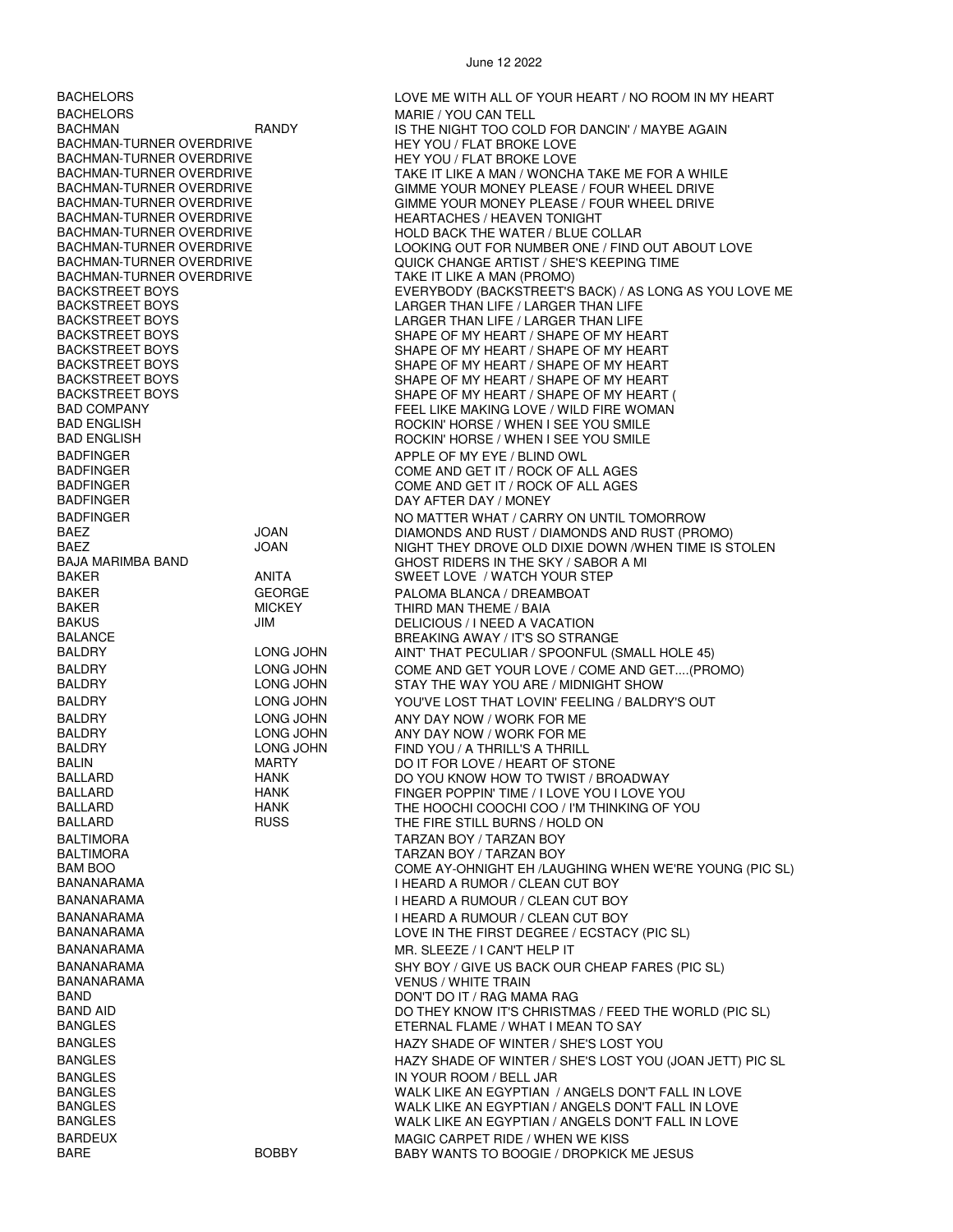BACHELORS LOVE ME WITH ALL OF YOUR HEART / NO ROOM IN MY HEART BACHELORS MARIE / YOU CAN TELL BACHMAN **IS THE NIGHT TOO COLD FOR DANCIN'** / MAYBE AGAIN BACHMAN-TURNER OVERDRIVE **INCLUS** HEY YOU / FLAT BROKE LOVE BACHMAN-TURNER OVERDRIVE<br>BACHMAN-TURNER OVERDRIVE HEY YOU / FLAT BROKE LOVE BACHMAN-TURNER OVERDRIVE TAKE IT LIKE A MAN / WONCHA TAKE ME FOR A WHILE<br>BACHMAN-TURNER OVERDRIVE TAKE THE GIMME YOUR MONEY PLEASE / FOUR WHEEL DRIVE BACHMAN-TURNER OVERDRIVE GIMME YOUR MONEY PLEASE / FOUR WHEEL DRIVE<br>BACHMAN-TURNER OVERDRIVE GIMME YOUR MONEY PLEASE / FOUR WHEEL DRIVE BACHMAN-TURNER OVERDRIVE GIMME YOUR MONEY PLEASE / FOUR WHEEL DRIVE BACHMAN-TURNER OVERDRIVE HEARTACHES / HEAVEN TONIGHT BACHMAN-TURNER OVERDRIVE HOLD BACK THE WATER / BLUE COLLAR BACHMAN-TURNER OVERDRIVE<br>BACHMAN-TURNER OVERDRIVE LOOK LOOKING OUT FOR NUMBER ONE / FIND OUT ABOUT LOVE BACHMAN-TURNER OVERDRIVE QUICK CHANGE ARTIST / SHE'S KEEPING TIME BACHMAN-TURNER OVERDRIVE TAN TAKE IT LIKE A MAN (PROMO)<br>BACKSTREET BOYS TAND TO THE EVERYBODY (BACKSTREET'S BACKSTREET BOYS EVERYBODY (BACKSTREET'S BACK) / AS LONG AS YOU LOVE ME BACKSTREET BOYS LARGER THAN LIFE / LARGER THAN LIFE BACKSTREET BOYS FRAMING THAN LIFE AND LARGER THAN LIFE / LARGER THAN LIFE IN LIFE AND LIFE AND LIFE BACKSTREET BOYS BACKSTREET BOYS SHAPE OF MY HEART / SHAPE OF MY HEART SHAPE OF MY HEART / SHAPE OF MY HEART BACKSTREET BOYS SHAPE OF MY HEART / SHAPE OF MY HEART BACKSTREET BOYS SHAPE OF MY HEART / SHAPE OF MY HEART SHAPE OF MY HEART / SHAPE OF MY HEART ( BAD COMPANY FEEL LIKE MAKING LOVE / WILD FIRE WOMAN<br>BAD ENGLISH FIRE WARD FOR THE ROCKIN' HORSE / WHEN I SEE YOU SMILE BAD ENGLISH GORIN' HORSE / WHEN I SEE YOU SMILE<br>BAD ENGLISH GORIN' HORSE / WHEN I SEE YOU SMILE ROCKIN' HORSE / WHEN I SEE YOU SMILE BADFINGER APPLE OF MY EYE / BLIND OWL BADFINGER COME AND GET IT / ROCK OF ALL AGES BADFINGER<br>BADFINGER COME AND GET IT / ROCK OF ALL AGES<br>DAY AFTER DAY / MONFY DAY AFTER DAY / MONEY BADFINGER NO MATTER WHAT / CARRY ON UNTIL TOMORROW BAEZ JOAN DIAMONDS AND RUST / DIAMONDS AND RUST (PROMO) BAEZ JOAN NIGHT THEY DROVE OLD DIXIE DOWN /WHEN TIME IS STOLEN BAJA MARIMBA BAND GHOST RIDERS IN THE SKY / SABOR A MI SWEET LOVE / WATCH YOUR STEP BAKER GEORGE PALOMA BLANCA / DREAMBOAT BAKER MICKEY THIRD MAN THEME / BAIA BAKUS JIM DELICIOUS / I NEED A VACATION BALANCE BREAKING AWAY / IT'S SO STRANGE AINT' THAT PECULIAR / SPOONFUL (SMALL HOLE 45) BALDRY LONG JOHN COME AND GET YOUR LOVE / COME AND GET....(PROMO)<br>BALDRY LONG JOHN STAY THE WAY YOU ARE / MIDNIGHT SHOW STAY THE WAY YOU ARE / MIDNIGHT SHOW BALDRY LONG JOHN YOU'VE LOST THAT LOVIN' FEELING / BALDRY'S OUT BALDRY LONG JOHN ANY DAY NOW / WORK FOR ME BALDRY LONG JOHN ANY DAY NOW / WORK FOR ME BALDRY LONG JOHN FIND YOU / A THRILL'S A THRILL BALIN MARTY DO IT FOR LOVE / HEART OF STONE<br>BALLARD HANK DO YOU KNOW HOW TO TWIST / BR BALLARD HANK DO YOU KNOW HOW TO TWIST / BROADWAY BALLARD HANK FINGER POPPIN' TIME / I LOVE YOU I LOVE YOU BALLARD HANK THE HOOCHI COOCHI COO / I'M THINKING OF YOU THE FIRE STILL BURNS / HOLD ON BALTIMORA TARZAN BOY / TARZAN BOY BALTIMORA TARZAN BOY / TARZAN BOY BAM BOO COME AY-OHNIGHT EH /LAUGHING WHEN WE'RE YOUNG (PIC SL)<br>BANANARAMA I HEARD A RUMOR / CLEAN CUT BOY BANANARAMA **I HEARD A RUMOUR / CLEAN CUT BOY** BANANARAMA I HEARD A RUMOUR / CLEAN CUT BOY LOVE IN THE FIRST DEGREE / ECSTACY (PIC SL) BANANARAMA MR. SLEEZE / I CAN'T HELP IT BANANARAMA<br>BANANARAMA SHARAMA SHARAMA SHARAMA SHARAMA SHARAMA SHARAMA SHARAMA SHARAMA SHARAMA SHARAMA SHARAMA SHARAMA SHA BANANARAMA VENUS / WHITE TRAIN BAND DON'T DO IT / RAG MAMA RAG BAND AID DO THEY KNOW IT'S CHRISTMAS / FEED THE WORLD (PIC SL) ETERNAL FLAME / WHAT I MEAN TO SAY BANGLES **EXAMPLES** HAZY SHADE OF WINTER / SHE'S LOST YOU BANGLES **EXAMPLE OF WINTER / SHADE OF WINTER / SHE'S LOST YOU (JOAN JETT) PIC SL** BANGLES IN YOUR ROOM / BELL JAR BANGLES<br>BANGLES BANGLES WALK LIKE AN EGYPTIAN / ANGELS DON'T FALL IN LOVE BANGLES<br>BANGLES BANGLES DON'T FALL IN LOVE AND MALK LIKE AN EGYPTIAN / ANGELS DON'T FALL IN LOVE WALK LIKE AN EGYPTIAN / ANGELS DON'T FALL IN LOVE BARDEUX MAGIC CARPET RIDE / WHEN WE KISS BABY WANTS TO BOOGIE / DROPKICK ME JESUS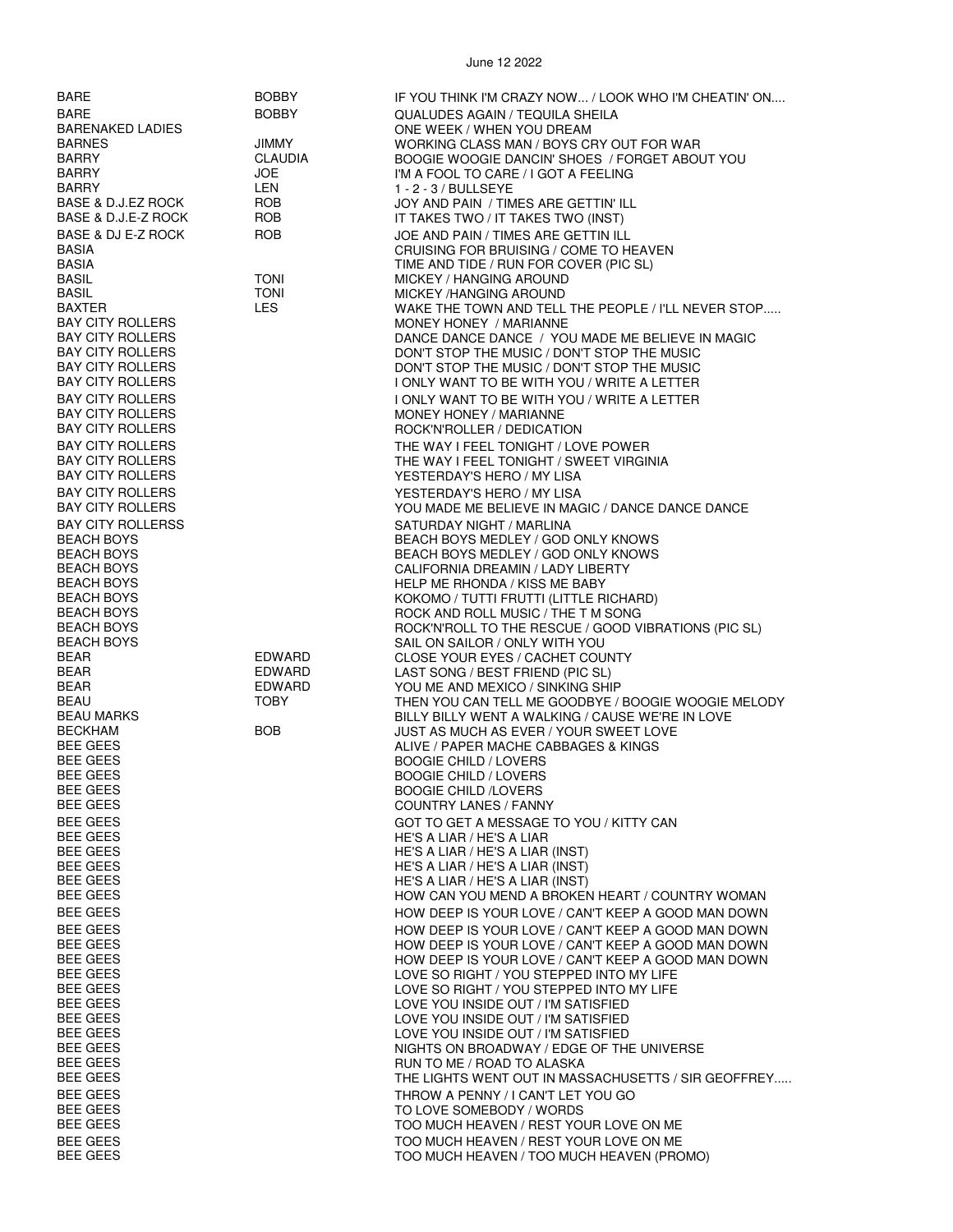| BARE                     | <b>BOBBY</b> | IF YOU THINK I'M CRAZY NOW / LOOK WHO I'M CHEATIN' ON |
|--------------------------|--------------|-------------------------------------------------------|
| <b>BARE</b>              | <b>BOBBY</b> | <b>QUALUDES AGAIN / TEQUILA SHEILA</b>                |
| <b>BARENAKED LADIES</b>  |              | ONE WEEK / WHEN YOU DREAM                             |
| <b>BARNES</b>            | JIMMY        | WORKING CLASS MAN / BOYS CRY OUT FOR WAR              |
| <b>BARRY</b>             | CLAUDIA      | BOOGIE WOOGIE DANCIN' SHOES / FORGET ABOUT YOU        |
| <b>BARRY</b>             | JOE          | I'M A FOOL TO CARE / I GOT A FEELING                  |
| <b>BARRY</b>             | LEN          | $1 - 2 - 3$ / BULLSEYE                                |
| BASE & D.J.EZ ROCK       | ROB          | JOY AND PAIN / TIMES ARE GETTIN' ILL                  |
| BASE & D.J.E-Z ROCK      | ROB          |                                                       |
|                          |              | IT TAKES TWO / IT TAKES TWO (INST)                    |
| BASE & DJ E-Z ROCK       | <b>ROB</b>   | JOE AND PAIN / TIMES ARE GETTIN ILL                   |
| <b>BASIA</b>             |              | CRUISING FOR BRUISING / COME TO HEAVEN                |
| <b>BASIA</b>             |              | TIME AND TIDE / RUN FOR COVER (PIC SL)                |
| <b>BASIL</b>             | <b>TONI</b>  | MICKEY / HANGING AROUND                               |
| <b>BASIL</b>             | <b>TONI</b>  | <b>MICKEY /HANGING AROUND</b>                         |
| <b>BAXTER</b>            | <b>LES</b>   | WAKE THE TOWN AND TELL THE PEOPLE / I'LL NEVER STOP   |
| <b>BAY CITY ROLLERS</b>  |              | MONEY HONEY / MARIANNE                                |
| <b>BAY CITY ROLLERS</b>  |              | DANCE DANCE DANCE / YOU MADE ME BELIEVE IN MAGIC      |
| <b>BAY CITY ROLLERS</b>  |              | DON'T STOP THE MUSIC / DON'T STOP THE MUSIC           |
| <b>BAY CITY ROLLERS</b>  |              | DON'T STOP THE MUSIC / DON'T STOP THE MUSIC           |
|                          |              |                                                       |
| <b>BAY CITY ROLLERS</b>  |              | I ONLY WANT TO BE WITH YOU / WRITE A LETTER           |
| <b>BAY CITY ROLLERS</b>  |              | I ONLY WANT TO BE WITH YOU / WRITE A LETTER           |
| <b>BAY CITY ROLLERS</b>  |              | MONEY HONEY / MARIANNE                                |
| <b>BAY CITY ROLLERS</b>  |              | ROCK'N'ROLLER / DEDICATION                            |
| <b>BAY CITY ROLLERS</b>  |              | THE WAY I FEEL TONIGHT / LOVE POWER                   |
| <b>BAY CITY ROLLERS</b>  |              | THE WAY I FEEL TONIGHT / SWEET VIRGINIA               |
| <b>BAY CITY ROLLERS</b>  |              | YESTERDAY'S HERO / MY LISA                            |
| <b>BAY CITY ROLLERS</b>  |              | YESTERDAY'S HERO / MY LISA                            |
| <b>BAY CITY ROLLERS</b>  |              | YOU MADE ME BELIEVE IN MAGIC / DANCE DANCE DANCE      |
|                          |              |                                                       |
| <b>BAY CITY ROLLERSS</b> |              | SATURDAY NIGHT / MARLINA                              |
| <b>BEACH BOYS</b>        |              | BEACH BOYS MEDLEY / GOD ONLY KNOWS                    |
| <b>BEACH BOYS</b>        |              | BEACH BOYS MEDLEY / GOD ONLY KNOWS                    |
| <b>BEACH BOYS</b>        |              | CALIFORNIA DREAMIN / LADY LIBERTY                     |
| <b>BEACH BOYS</b>        |              | HELP ME RHONDA / KISS ME BABY                         |
| <b>BEACH BOYS</b>        |              | KOKOMO / TUTTI FRUTTI (LITTLE RICHARD)                |
| <b>BEACH BOYS</b>        |              | ROCK AND ROLL MUSIC / THE T M SONG                    |
| <b>BEACH BOYS</b>        |              | ROCK'N'ROLL TO THE RESCUE / GOOD VIBRATIONS (PIC SL)  |
| <b>BEACH BOYS</b>        |              | SAIL ON SAILOR / ONLY WITH YOU                        |
| BEAR                     | EDWARD       | CLOSE YOUR EYES / CACHET COUNTY                       |
| BEAR                     | EDWARD       | LAST SONG / BEST FRIEND (PIC SL)                      |
| BEAR                     | EDWARD       | YOU ME AND MEXICO / SINKING SHIP                      |
| BEAU                     | <b>TOBY</b>  | THEN YOU CAN TELL ME GOODBYE / BOOGIE WOOGIE MELODY   |
| BEAU MARKS               |              | BILLY BILLY WENT A WALKING / CAUSE WE'RE IN LOVE      |
| <b>BECKHAM</b>           | <b>BOB</b>   | JUST AS MUCH AS EVER / YOUR SWEET LOVE                |
| <b>BEE GEES</b>          |              | ALIVE / PAPER MACHE CABBAGES & KINGS                  |
| <b>BEE GEES</b>          |              | <b>BOOGIE CHILD / LOVERS</b>                          |
| <b>BEE GEES</b>          |              | <b>BOOGIE CHILD / LOVERS</b>                          |
| <b>BEE GEES</b>          |              | <b>BOOGIE CHILD /LOVERS</b>                           |
| <b>BEE GEES</b>          |              | <b>COUNTRY LANES / FANNY</b>                          |
| <b>BEE GEES</b>          |              | GOT TO GET A MESSAGE TO YOU / KITTY CAN               |
| <b>BEE GEES</b>          |              | HE'S A LIAR / HE'S A LIAR                             |
| <b>BEE GEES</b>          |              | HE'S A LIAR / HE'S A LIAR (INST)                      |
| <b>BEE GEES</b>          |              | HE'S A LIAR / HE'S A LIAR (INST)                      |
| <b>BEE GEES</b>          |              | HE'S A LIAR / HE'S A LIAR (INST)                      |
| <b>BEE GEES</b>          |              | HOW CAN YOU MEND A BROKEN HEART / COUNTRY WOMAN       |
|                          |              |                                                       |
| <b>BEE GEES</b>          |              | HOW DEEP IS YOUR LOVE / CAN'T KEEP A GOOD MAN DOWN    |
| <b>BEE GEES</b>          |              | HOW DEEP IS YOUR LOVE / CAN'T KEEP A GOOD MAN DOWN    |
| <b>BEE GEES</b>          |              | HOW DEEP IS YOUR LOVE / CAN'T KEEP A GOOD MAN DOWN    |
| <b>BEE GEES</b>          |              | HOW DEEP IS YOUR LOVE / CAN'T KEEP A GOOD MAN DOWN    |
| <b>BEE GEES</b>          |              | LOVE SO RIGHT / YOU STEPPED INTO MY LIFE              |
| <b>BEE GEES</b>          |              | LOVE SO RIGHT / YOU STEPPED INTO MY LIFE              |
| <b>BEE GEES</b>          |              | LOVE YOU INSIDE OUT / I'M SATISFIED                   |
| <b>BEE GEES</b>          |              | LOVE YOU INSIDE OUT / I'M SATISFIED                   |
| <b>BEE GEES</b>          |              | LOVE YOU INSIDE OUT / I'M SATISFIED                   |
| <b>BEE GEES</b>          |              | NIGHTS ON BROADWAY / EDGE OF THE UNIVERSE             |
| <b>BEE GEES</b>          |              | RUN TO ME / ROAD TO ALASKA                            |
| <b>BEE GEES</b>          |              | THE LIGHTS WENT OUT IN MASSACHUSETTS / SIR GEOFFREY   |
| <b>BEE GEES</b>          |              | THROW A PENNY / I CAN'T LET YOU GO                    |
| <b>BEE GEES</b>          |              | TO LOVE SOMEBODY / WORDS                              |
| <b>BEE GEES</b>          |              | TOO MUCH HEAVEN / REST YOUR LOVE ON ME                |
| <b>BEE GEES</b>          |              | TOO MUCH HEAVEN / REST YOUR LOVE ON ME                |
| <b>BEE GEES</b>          |              | TOO MUCH HEAVEN / TOO MUCH HEAVEN (PROMO)             |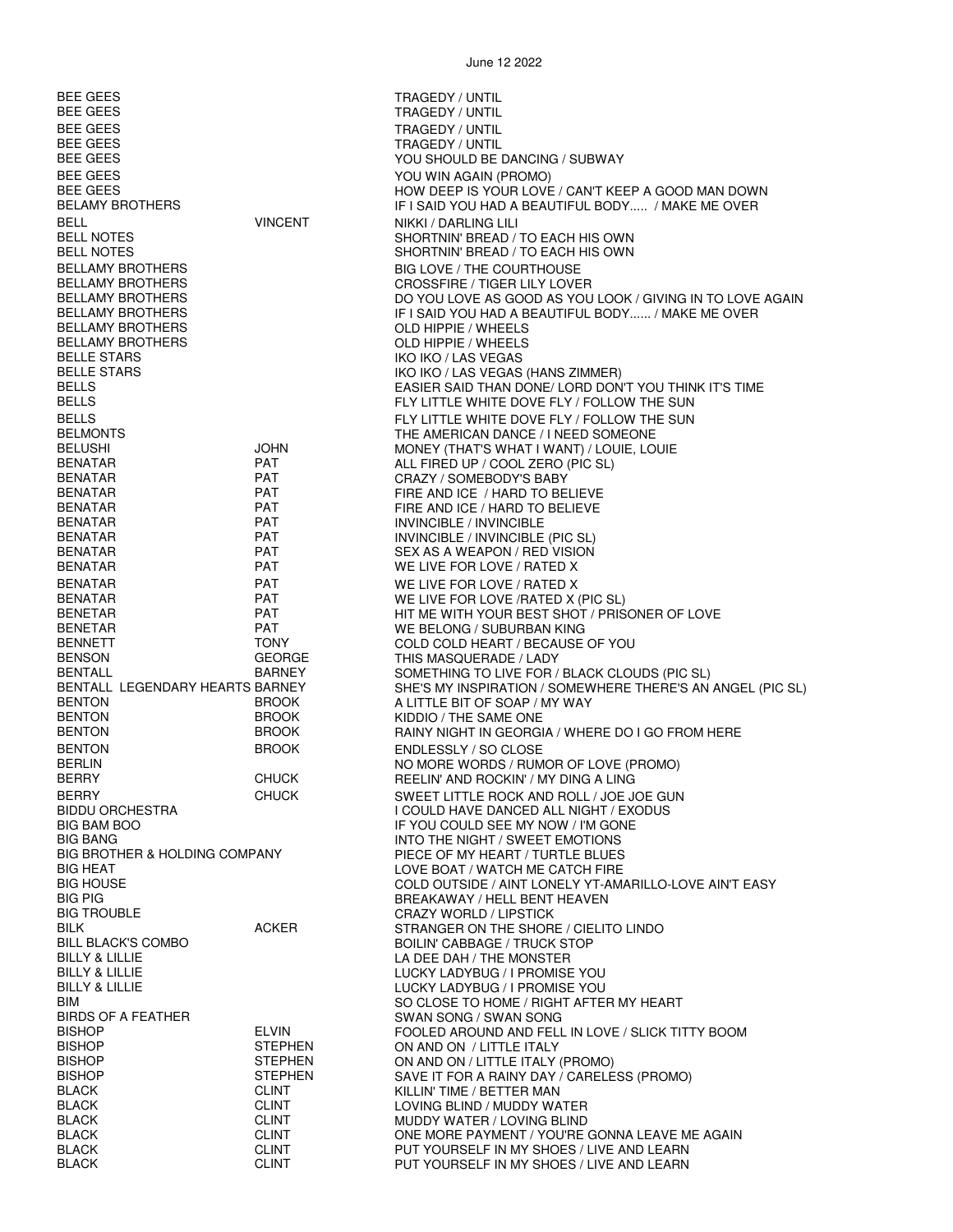| BEE GEES                                               |                                  | TRAGEDY / UNTIL                                                                                         |
|--------------------------------------------------------|----------------------------------|---------------------------------------------------------------------------------------------------------|
| BEE GEES                                               |                                  | <b>TRAGEDY / UNTIL</b>                                                                                  |
| <b>BEE GEES</b><br><b>BEE GEES</b>                     |                                  | <b>TRAGEDY / UNTIL</b><br>TRAGEDY / UNTIL                                                               |
| <b>BEE GEES</b>                                        |                                  | YOU SHOULD BE DANCING / SUBWAY                                                                          |
| <b>BEE GEES</b>                                        |                                  | YOU WIN AGAIN (PROMO)                                                                                   |
| <b>BEE GEES</b><br>BELAMY BROTHERS                     |                                  | HOW DEEP IS YOUR LOVE / CAN'T KEEP A GOOD MAN DOWN<br>IF I SAID YOU HAD A BEAUTIFUL BODY / MAKE ME OVER |
| <b>BELL</b>                                            | <b>VINCENT</b>                   | NIKKI / DARLING LILI                                                                                    |
| <b>BELL NOTES</b>                                      |                                  | SHORTNIN' BREAD / TO EACH HIS OWN                                                                       |
| <b>BELL NOTES</b>                                      |                                  | SHORTNIN' BREAD / TO EACH HIS OWN                                                                       |
| <b>BELLAMY BROTHERS</b><br><b>BELLAMY BROTHERS</b>     |                                  | BIG LOVE / THE COURTHOUSE<br><b>CROSSFIRE / TIGER LILY LOVER</b>                                        |
| BELLAMY BROTHERS                                       |                                  | DO YOU LOVE AS GOOD AS YOU LOOK / GIVING IN TO LOVE AGAIN                                               |
| <b>BELLAMY BROTHERS</b>                                |                                  | IF I SAID YOU HAD A BEAUTIFUL BODY / MAKE ME OVER                                                       |
| BELLAMY BROTHERS<br><b>BELLAMY BROTHERS</b>            |                                  | OLD HIPPIE / WHEELS<br>OLD HIPPIE / WHEELS                                                              |
| <b>BELLE STARS</b>                                     |                                  | IKO IKO / LAS VEGAS                                                                                     |
| <b>BELLE STARS</b>                                     |                                  | IKO IKO / LAS VEGAS (HANS ZIMMER)                                                                       |
| <b>BELLS</b><br><b>BELLS</b>                           |                                  | EASIER SAID THAN DONE/ LORD DON'T YOU THINK IT'S TIME<br>FLY LITTLE WHITE DOVE FLY / FOLLOW THE SUN     |
| <b>BELLS</b>                                           |                                  | FLY LITTLE WHITE DOVE FLY / FOLLOW THE SUN                                                              |
| <b>BELMONTS</b>                                        |                                  | THE AMERICAN DANCE / I NEED SOMEONE                                                                     |
| BELUSHI<br><b>BENATAR</b>                              | <b>JOHN</b><br><b>PAT</b>        | MONEY (THAT'S WHAT I WANT) / LOUIE, LOUIE                                                               |
| BENATAR                                                | <b>PAT</b>                       | ALL FIRED UP / COOL ZERO (PIC SL)<br>CRAZY / SOMEBODY'S BABY                                            |
| <b>BENATAR</b>                                         | <b>PAT</b>                       | FIRE AND ICE / HARD TO BELIEVE                                                                          |
| BENATAR                                                | <b>PAT</b>                       | FIRE AND ICE / HARD TO BELIEVE                                                                          |
| BENATAR<br>BENATAR                                     | PAT<br><b>PAT</b>                | INVINCIBLE / INVINCIBLE<br>INVINCIBLE / INVINCIBLE (PIC SL)                                             |
| BENATAR                                                | <b>PAT</b>                       | SEX AS A WEAPON / RED VISION                                                                            |
| <b>BENATAR</b>                                         | <b>PAT</b>                       | WE LIVE FOR LOVE / RATED X                                                                              |
| <b>BENATAR</b><br><b>BENATAR</b>                       | <b>PAT</b><br><b>PAT</b>         | WE LIVE FOR LOVE / RATED X<br>WE LIVE FOR LOVE / RATED X (PIC SL)                                       |
| <b>BENETAR</b>                                         | <b>PAT</b>                       | HIT ME WITH YOUR BEST SHOT / PRISONER OF LOVE                                                           |
| <b>BENETAR</b>                                         | <b>PAT</b>                       | WE BELONG / SUBURBAN KING                                                                               |
| BENNETT<br><b>BENSON</b>                               | <b>TONY</b><br><b>GEORGE</b>     | COLD COLD HEART / BECAUSE OF YOU<br>THIS MASQUERADE / LADY                                              |
| BENTALL                                                | <b>BARNEY</b>                    | SOMETHING TO LIVE FOR / BLACK CLOUDS (PIC SL)                                                           |
| BENTALL LEGENDARY HEARTS BARNEY                        |                                  | SHE'S MY INSPIRATION / SOMEWHERE THERE'S AN ANGEL (PIC SL)                                              |
| <b>BENTON</b><br><b>BENTON</b>                         | <b>BROOK</b><br><b>BROOK</b>     | A LITTLE BIT OF SOAP / MY WAY<br>KIDDIO / THE SAME ONE                                                  |
| <b>BENTON</b>                                          | <b>BROOK</b>                     | RAINY NIGHT IN GEORGIA / WHERE DO I GO FROM HERE                                                        |
| <b>BENTON</b>                                          | <b>BROOK</b>                     | ENDLESSLY / SO CLOSE                                                                                    |
| <b>BERLIN</b>                                          | <b>CHUCK</b>                     | NO MORE WORDS / RUMOR OF LOVE (PROMO)                                                                   |
| BERRY<br>BERRY                                         | <b>CHUCK</b>                     | REELIN' AND ROCKIN' / MY DING A LING<br>SWEET LITTLE ROCK AND ROLL / JOE JOE GUN                        |
| <b>BIDDU ORCHESTRA</b>                                 |                                  | I COULD HAVE DANCED ALL NIGHT / EXODUS                                                                  |
| <b>BIG BAM BOO</b><br><b>BIG BANG</b>                  |                                  | IF YOU COULD SEE MY NOW / I'M GONE                                                                      |
| <b>BIG BROTHER &amp; HOLDING COMPANY</b>               |                                  | INTO THE NIGHT / SWEET EMOTIONS<br>PIECE OF MY HEART / TURTLE BLUES                                     |
| <b>BIG HEAT</b>                                        |                                  | LOVE BOAT / WATCH ME CATCH FIRE                                                                         |
| <b>BIG HOUSE</b><br><b>BIG PIG</b>                     |                                  | COLD OUTSIDE / AINT LONELY YT-AMARILLO-LOVE AIN'T EASY<br>BREAKAWAY / HELL BENT HEAVEN                  |
| BIG TROUBLE                                            |                                  | <b>CRAZY WORLD / LIPSTICK</b>                                                                           |
| BILK                                                   | <b>ACKER</b>                     | STRANGER ON THE SHORE / CIELITO LINDO                                                                   |
| <b>BILL BLACK'S COMBO</b><br><b>BILLY &amp; LILLIE</b> |                                  | <b>BOILIN' CABBAGE / TRUCK STOP</b><br>LA DEE DAH / THE MONSTER                                         |
| BILLY & LILLIE                                         |                                  | LUCKY LADYBUG / I PROMISE YOU                                                                           |
| BILLY & LILLIE                                         |                                  | LUCKY LADYBUG / I PROMISE YOU                                                                           |
| BIM<br>BIRDS OF A FEATHER                              |                                  | SO CLOSE TO HOME / RIGHT AFTER MY HEART<br>SWAN SONG / SWAN SONG                                        |
| <b>BISHOP</b>                                          | <b>ELVIN</b>                     | FOOLED AROUND AND FELL IN LOVE / SLICK TITTY BOOM                                                       |
| <b>BISHOP</b>                                          | <b>STEPHEN</b>                   | ON AND ON / LITTLE ITALY                                                                                |
| <b>BISHOP</b><br><b>BISHOP</b>                         | <b>STEPHEN</b><br><b>STEPHEN</b> | ON AND ON / LITTLE ITALY (PROMO)<br>SAVE IT FOR A RAINY DAY / CARELESS (PROMO)                          |
| <b>BLACK</b>                                           | <b>CLINT</b>                     | KILLIN' TIME / BETTER MAN                                                                               |
| BLACK                                                  | <b>CLINT</b>                     | LOVING BLIND / MUDDY WATER                                                                              |
| BLACK<br><b>BLACK</b>                                  | <b>CLINT</b><br><b>CLINT</b>     | MUDDY WATER / LOVING BLIND<br>ONE MORE PAYMENT / YOU'RE GONNA LEAVE ME AGAIN                            |
| <b>BLACK</b>                                           | <b>CLINT</b>                     | PUT YOURSELF IN MY SHOES / LIVE AND LEARN                                                               |
| <b>BLACK</b>                                           | <b>CLINT</b>                     | PUT YOURSELF IN MY SHOES / LIVE AND LEARN                                                               |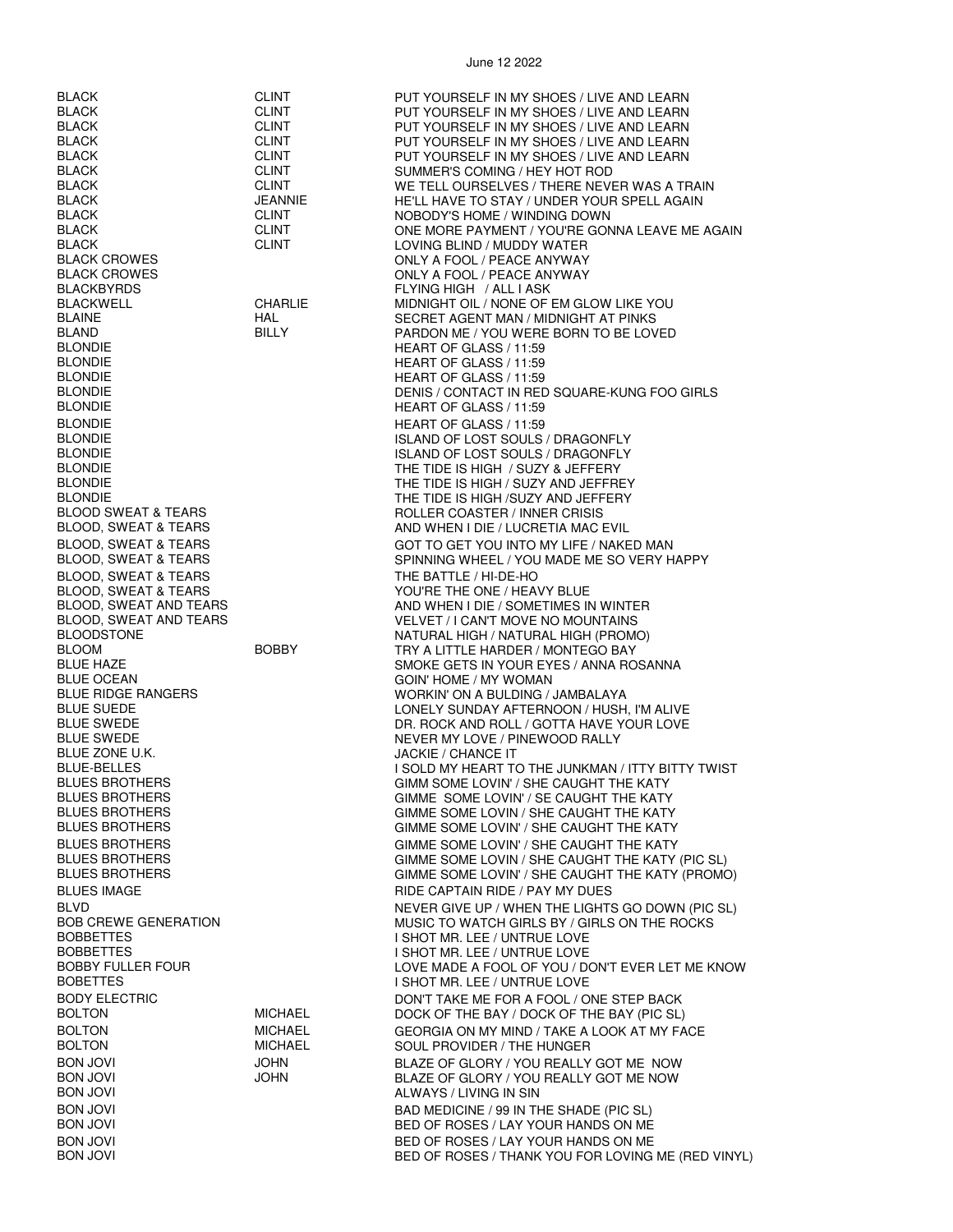BLACKBYRDS FLYING HIGH / ALL I ASK BLONDIE HEART OF GLASS / 11:59 BLONDIE HEART OF GLASS / 11:59 BLONDIE HEART OF GLASS / 11:59<br>BLONDIE REART OF GLASS / 11:59 BLONDIE HEART OF GLASS / 11:59 BLOOD, SWEAT & TEARS THE BATTLE / HI-DE-HO<br>BLOOD, SWEAT & TEARS THE STATE THE ONE / HEA BLUE OCEAN GOIN' HOME / MY WOMAN<br>BLUE RIDGE RANGERS FOR THE SERVICE OF THE WORKIN' ON A BULDING / BLUE ZONE U.K. JACKIE / CHANCE IT

BLACK CLINT PUT YOURSELF IN MY SHOES / LIVE AND LEARN BLACK CLINT PUT YOURSELF IN MY SHOES / LIVE AND LEARN SUNT PUT YOURSELF IN MY SHOES / LIVE AND LEARN<br>CLINT PUT YOURSELF IN MY SHOES / LIVE AND LEARN BLACK CLINT CUNT PUT YOURSELF IN MY SHOES / LIVE AND LEARN BLACK CLINT PUT YOURSELF IN MY SHOES / LIVE AND LEARN BLACK CLINT SUMMER'S COMING / HEY HOT ROD WE TELL OURSELVES / THERE NEVER WAS A TRAIN BLACK JEANNIE HE'LL HAVE TO STAY / UNDER YOUR SPELL AGAIN BLACK CLINT NOBODY'S HOME / WINDING DOWN CLINT CONE MORE PAYMENT / YOU'RE GONNA LEAVE ME AGAIN<br>CLINT CLINT BLACK CLINT LOVING BLIND / MUDDY WATER BLACK CROWES ONLY A FOOL / PEACE ANYWAY BLACK CROWES ONLY A FOOL / PEACE ANYWAY MIDNIGHT OIL / NONE OF EM GLOW LIKE YOU BLAINE HAL SECRET AGENT MAN / MIDNIGHT AT PINKS BLAND BILLY BILLY PARDON ME / YOU WERE BORN TO BE LOVED<br>BLONDIE HEART OF GLASS / 11:59 BLONDIE DENIS / CONTACT IN RED SQUARE-KUNG FOO GIRLS HEART OF GLASS / 11:59 BLONDIE ISLAND OF LOST SOULS / DRAGONFLY BLONDIE ISLAND OF LOST SOULS / DRAGONFLY THE TIDE IS HIGH / SUZY & JEFFERY BLONDIE THE TIDE IS HIGH / SUZY AND JEFFREY BLONDIE<br>BLOOD SWEAT & TEARS TEARS THE TIDE IS HIGH /SUZY AND JEFFERY<br>ROLLER COASTER / INNER CRISIS ROLLER COASTER / INNER CRISIS BLOOD, SWEAT & TEARS AND WHEN I DIE / LUCRETIA MAC EVIL BLOOD, SWEAT & TEARS GOT TO GET YOU INTO MY LIFE / NAKED MAN<br>BLOOD, SWEAT & TEARS GOT GOT TO GET YOU MADE ME SO VERY H SPINNING WHEEL / YOU MADE ME SO VERY HAPPY BLOOD, SWEAT & TEARS YOU'RE THE ONE / HEAVY BLUE<br>BLOOD, SWEAT AND TEARS YOU'RE THE ONE / SOMETIMES II AND WHEN I DIE / SOMETIMES IN WINTER BLOOD, SWEAT AND TEARS VELOUIT AND TEARS VELVET / I CAN'T MOVE NO MOUNTAINS BLOODSTONE NATURAL HIGH / NATURAL HIGH (PROMO) BLOOM BOBBY TRY A LITTLE HARDER / MONTEGO BAY BLUE HAZE SMOKE GETS IN YOUR EYES / ANNA ROSANNA<br>BLUE OCEAN SALLER SON THOME / MY WOMAN WORKIN' ON A BULDING / JAMBALAYA BLUE SUEDE LONELY SUNDAY AFTERNOON / HUSH, I'M ALIVE<br>BLUE SWEDE LONE LONELY SUNDAY AND ROI LONE HAVE YOUR LOVE BLUE SWEDE DR. ROCK AND ROLL / GOTTA HAVE YOUR LOVE BLUE SWEDE NEWSLEET STATE SWEDE NEWSLEET A SAN ALL ALL AND MEVER MY LOVE / PINEWOOD RALLY I SOLD MY HEART TO THE JUNKMAN / ITTY BITTY TWIST BLUES BROTHERS GIMM SOME LOVIN' / SHE CAUGHT THE KATY BLUES BROTHERS GIMME SOME LOVIN' / SE CAUGHT THE KATY<br>BLUES BROTHERS GIMME SOME LOVIN / SHE CAUGHT THE KATY GIMME SOME LOVIN / SHE CAUGHT THE KATY BLUES BROTHERS GIMME SOME LOVIN' / SHE CAUGHT THE KATY BLUES BROTHERS GIMME SOME LOVIN' / SHE CAUGHT THE KATY<br>BLUES BROTHERS GIMME SOME LOVIN / SHE CAUGHT THE KATY GIMME SOME LOVIN / SHE CAUGHT THE KATY (PIC SL) BLUES BROTHERS GIMME SOME LOVIN' / SHE CAUGHT THE KATY (PROMO) BLUES IMAGE **RIDE CAPTAIN RIDE / PAY MY DUES** BLVD NEVER GIVE UP / WHEN THE LIGHTS GO DOWN (PIC SL) BOB CREWE GENERATION FOR THE ROOM MUSIC TO WATCH GIRLS BY / GIRLS ON THE ROCKS<br>BOBBETTES BOBBETTES I SHOT MR. LEE / UNTRUE LOVE BOBBETTES I SHOT MR. LEE / UNTRUE LOVE BOBBY FULLER FOUR<br>BOBETTES LOVE MADE A FOOL OF YOU / DON'T EVER LET ME KNOW<br>I SHOT MR. LEE / UNTRUE LOVE I SHOT MR. LEE / UNTRUE LOVE BODY ELECTRIC **ELECTRIC CONTING A BOOT A** FOOL / ONE STEP BACK BOLTON MICHAEL DOCK OF THE BAY / DOCK OF THE BAY (PIC SL) BOLTON MICHAEL GEORGIA ON MY MIND / TAKE A LOOK AT MY FACE BOLTON MICHAEL SOUL PROVIDER / THE HUNGER BON JOVI JOHN BLAZE OF GLORY / YOU REALLY GOT ME NOW BON JOVI JOHN BLAZE OF GLORY / YOU REALLY GOT ME NOW ALWAYS / LIVING IN SIN BON JOVI BAD MEDICINE / 99 IN THE SHADE (PIC SL) BON JOVI BED OF ROSES / LAY YOUR HANDS ON ME BON JOVI BED OF ROSES / LAY YOUR HANDS ON ME BON JOVI BON JOVI BED OF ROSES / THANK YOU FOR LOVING ME (RED VINYL)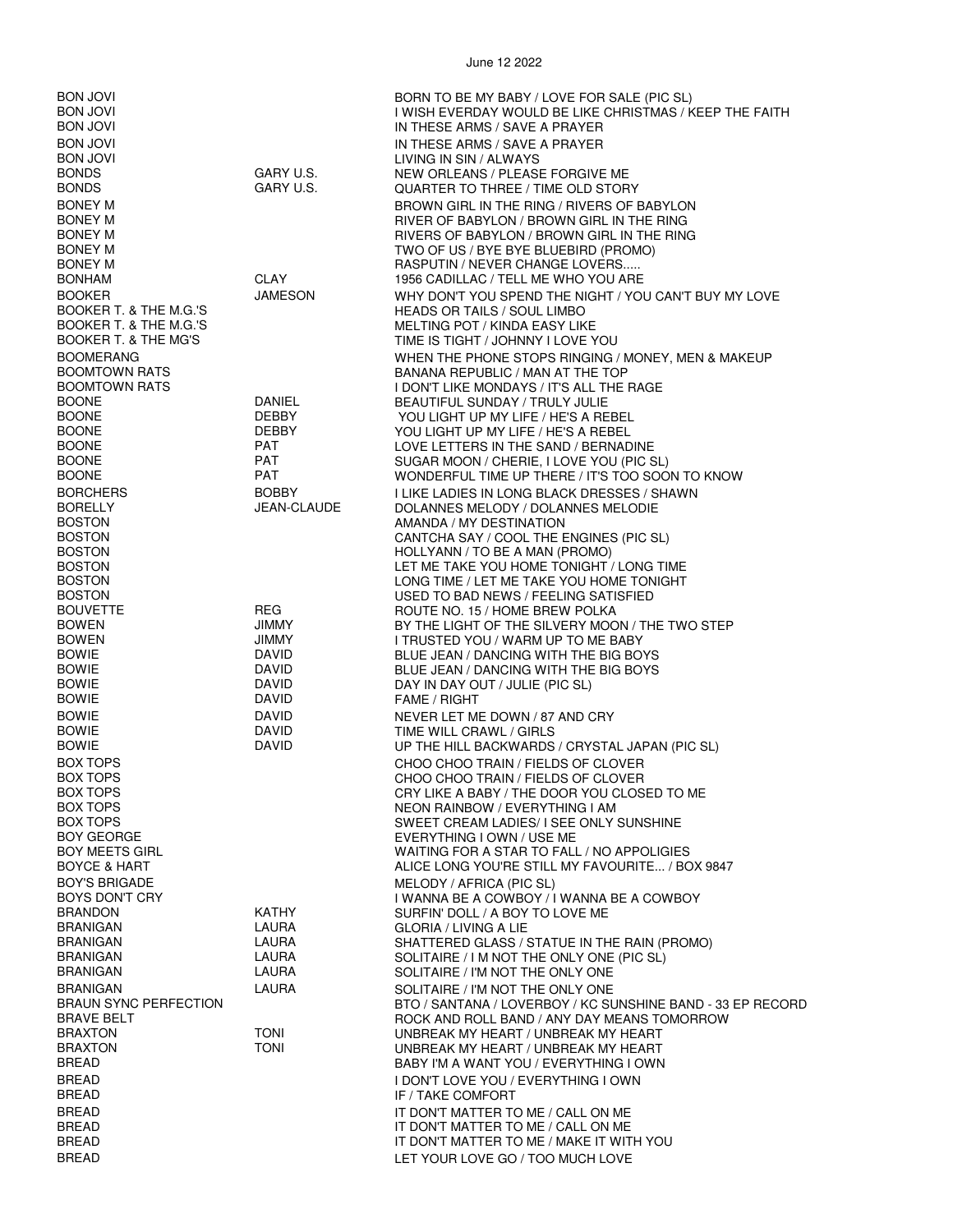BON JOVI BORN TO BE MY BABY / LOVE FOR SALE (PIC SL) BON JOVI I WISH EVERDAY WOULD BE LIKE CHRISTMAS / KEEP THE FAITH BON JOVI **IN THESE ARMS / SAVE A PRAYER** BON JOVI LIVING IN SIN / ALWAYS BONDS GARY U.S. NEW ORLEANS / PLEASE FORGIVE ME BONEY M TWO OF US / BYE BYE BLUEBIRD (PROMO) BONEY M RASPUTIN / NEVER CHANGE LOVERS..... BOOKER T. & THE M.G.'S HEADS OR TAILS / SOUL LIMBO BOOKER T. & THE MG'S TIME IS TIGHT / JOHNNY I LOVE YOU BOOMTOWN RATS BANANA REPUBLIC / MAN AT THE TOP BOONE DANIEL BEAUTIFUL SUNDAY / TRULY JULIE<br>BOONE DEBBY YOU LIGHT UP MY LIFE / HE'S A RE BOONE DEBBY YOU LIGHT UP MY LIFE / HE'S A REBEL BOONE DEBBY YOU LIGHT UP MY LIFE / HE'S A REBEL BOONE PAT LOVE LETTERS IN THE SAND / BERNADINE BORELLY JEAN-CLAUDE DOLANNES MELODY / DOLANNES MELODIE BOSTON AMANDA / MY DESTINATION BOSTON HOLLYANN / TO BE A MAN (PROMO) BOSTON USED TO BAD NEWS / FEELING SATISFIED BOUVETTE REG ROUTE NO. 15 / HOME BREW POLKA BOWEN JIMMY I TRUSTED YOU / WARM UP TO ME BABY BOWIE DAVID BLUE JEAN / DANCING WITH THE BIG BOYS BOWIE DAVID BLUE JEAN / DANCING WITH THE BIG BOYS BOWIE DAVID DAY IN DAY OUT / JULIE (PIC SL) BOWIE DAVID NEVER LET ME DOWN / 87 AND CRY BOX TOPS CHOO CHOO CHOO TRAIN / FIELDS OF CLOVER<br>BOX TOPS CHOO CHOO CHOO TRAIN / FIFI DS OF CLOVER BOX TOPS CHOO CHOO TRAIN / FIELDS OF CLOVER BOX TOPS NEON RAINBOW / EVERYTHING I AM BOY'S BRIGADE **MELODY / AFRICA (PIC SL)** BRANDON KATHY SURFIN' DOLL / A BOY TO LOVE ME BRANIGAN LAURA LAURA SOLITAIRE / I'M NOT THE ONLY ONE<br>BRAUN SYNC PERFECTION BTO / SANTANA / LOVERBOY / KC SU BREAD **I DON'T LOVE YOU / EVERYTHING I OWN** BREAD IF / TAKE COMFORT BREAD IT DON'T MATTER TO ME / CALL ON ME

BREAD BREAD **BREAD LET YOUR LOVE GO** / TOO MUCH LOVE

IN THESE ARMS / SAVE A PRAYER QUARTER TO THREE / TIME OLD STORY BONEY M BROWN GIRL IN THE RING / RIVERS OF BABYLON<br>BONEY M BONEY M BONEY M BONEY M BONEY M RIVER OF BABYLON / BROWN GIRL IN THE RING RIVERS OF BABYLON / BROWN GIRL IN THE RING 1956 CADILLAC / TELL ME WHO YOU ARE BOOKER JAMESON WHY DON'T YOU SPEND THE NIGHT / YOU CAN'T BUY MY LOVE MELTING POT / KINDA EASY LIKE BOOMERANG WHEN THE PHONE STOPS RINGING / MONEY, MEN & MAKEUP BOOMTOWN RATS I DON'T LIKE MONDAYS / IT'S ALL THE RAGE SUGAR MOON / CHERIE, I LOVE YOU (PIC SL) BOONE **EXAMPLE PAT RAT READ PAT ASSESS** WONDERFUL TIME UP THERE / IT'S TOO SOON TO KNOW BORCHERS BOBBY I LIKE LADIES IN LONG BLACK DRESSES / SHAWN CANTCHA SAY / COOL THE ENGINES (PIC SL) BOSTON LET ME TAKE YOU HOME TONIGHT / LONG TIME ROSTON LONG TO LATER TAKE YOU HOME TO LATER TO LATER TO LATER TO LATER TO LATER TO LATER TO LATER TO LATER TO LATER TO LATER TO LATER TO LATER TO LATER TO LATER TO LATER TO L LONG TIME / LET ME TAKE YOU HOME TONIGHT BOWEN JIMMY BY THE LIGHT OF THE SILVERY MOON / THE TWO STEP FAME / RIGHT DAVID TIME WILL CRAWL / GIRLS<br>DAVID UP THE HILL BACKWARDS BOWIE DAVID UP THE HILL BACKWARDS / CRYSTAL JAPAN (PIC SL) CRY LIKE A BABY / THE DOOR YOU CLOSED TO ME BOX TOPS SWEET CREAM LADIES/ I SEE ONLY SUNSHINE EVERYTHING I OWN / USE ME BOY MEETS GIRL GIRE THE SALL OF STAR TO FALL / NO APPOLIGIES<br>BOYCE & HART GIRL WARD THE STILL MY FAVOURITE... / BO ALICE LONG YOU'RE STILL MY FAVOURITE... / BOX 9847 BOYS DON'T CRY I WANNA BE A COWBOY / I WANNA BE A COWBOY **GLORIA / LIVING A LIE** BRANIGAN LAURA LAURA SHATTERED GLASS / STATUE IN THE RAIN (PROMO)<br>BRANIGAN LAURA SOLITAIRE / I M NOT THE ONLY ONE (PIC SL) BRANIGAN LAURA LAURA SOLITAIRE / I M NOT THE ONLY ONE (PIC SL)<br>BRANIGAN LAURA SOLITAIRE / I'M NOT THE ONLY ONE SOLITAIRE / I'M NOT THE ONLY ONE BRAUN SYNC PERFECTION BTO / SANTANA / LOVERBOY / KC SUNSHINE BAND - 33 EP RECORD BRAVE BELT ROCK AND ROLL BAND / ANY DAY MEANS TOMORROW BRAXTON TONI UNBREAK MY HEART / UNBREAK MY HEART BRAXTON TONI TONI UNBREAK MY HEART / UNBREAK MY HEART<br>BAEAD BREAD BABY I'M A WANT YOU / EVERYTHING I OWN BABY I'M A WANT YOU / EVERYTHING I OWN BREAD IT DON'T MATTER TO ME / CALL ON ME IT DON'T MATTER TO ME / MAKE IT WITH YOU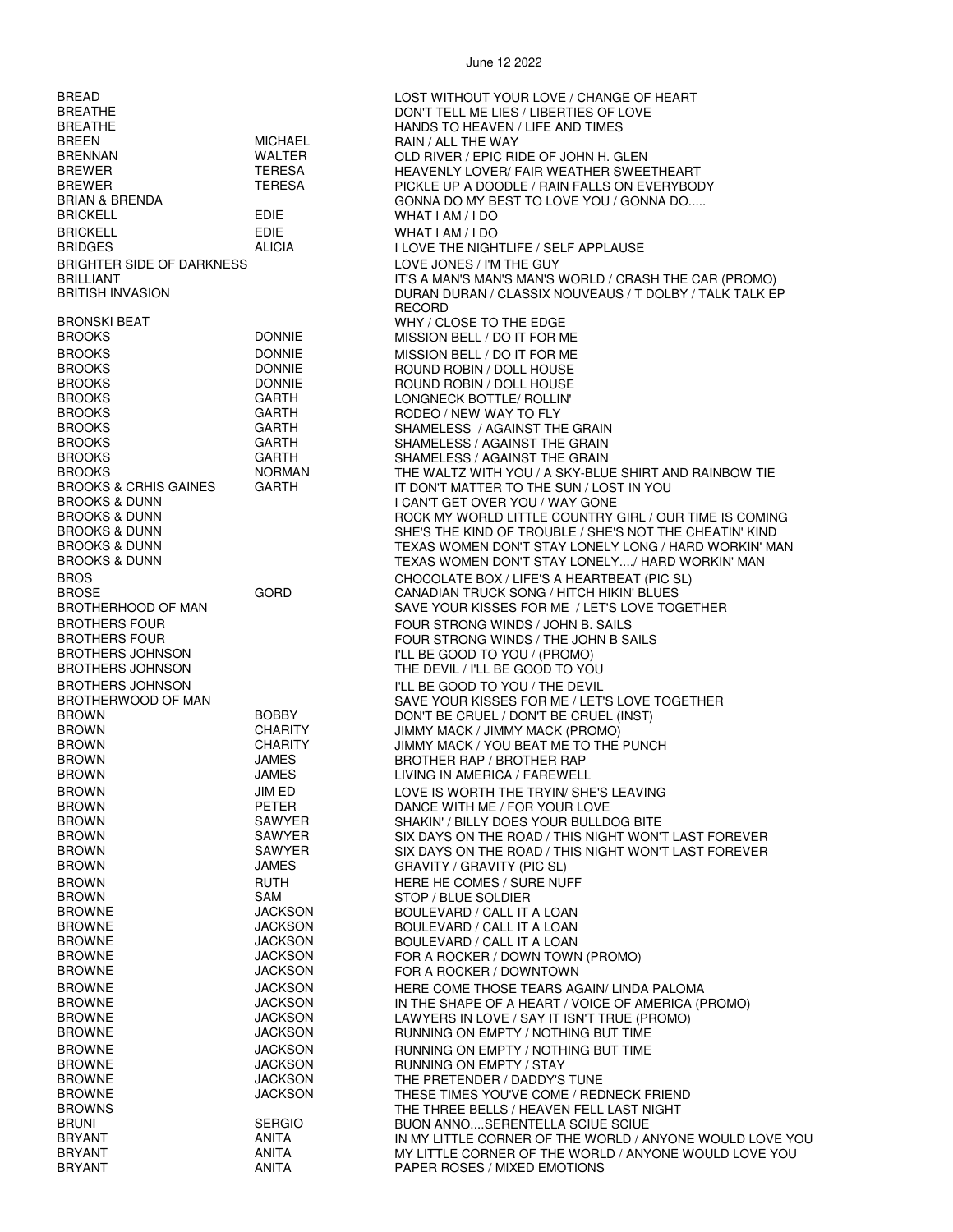BREATHE DON'T TELL ME LIES / LIBERTIES OF LOVE BREEN MICHAEL RAIN / ALL THE WAY BRENNAN WALTER OLD RIVER / EPIC RIDE OF JOHN H. GLEN BRICKELL EDIE WHAT I AM / I DO BRIGHTER SIDE OF DARKNESS<br>BRILLIANT BRITINGS AND THE GUY BRONSKI BEAT WHY / CLOSE TO THE EDGE BROOKS DONNIE MISSION BELL / DO IT FOR ME BROOKS DONNIE ROUND ROBIN / DOLL HOUSE BROOKS DONNIE ROUND ROBIN / DOLL HOUSE BROOKS GARTH RODEO / NEW WAY TO FLY BROOKS GARTH SHAMELESS / AGAINST THE GRAIN BROOKS GARTH SHAMELESS / AGAINST THE GRAIN BROTHERS FOUR<br>BROTHERS FOUR FOUR STRONG WINDS / THE JOHN B S. BROTHERS FOUR<br>BROTHERS JOHNSON FOUR STRONG WINDS / THE JOHN B SAILS<br>FILL BE GOOD TO YOU / (PROMO) BROTHERS JOHNSON TO A SAND THE BE GOOD TO YOU / (PROMO)<br>BROTHERS JOHNSON THE DEVIL / I'LL BE GOOD TO YO BROTHERS JOHNSON I'LL BE GOOD TO YOU / THE DEVIL BROWN BOBBY BOBBY DON'T BE CRUEL / DON'T BE CRUEL (INST)<br>BROWN CHARITY JIMMY MACK / JIMMY MACK (PROMO) BROWN CHARITY JIMMY MACK / JIMMY MACK (PROMO)<br>BROWN CHARITY JIMMY MACK / YOU BFAT MF TO THE BROWN JAMES LIVING IN AMERICA / FAREWELL BROWN PETER DANCE WITH ME / FOR YOUR LOVE BROWN SAWYER SAWYER SHAKIN' / BILLY DOES YOUR BULLDOG BITE<br>SAWYER SIX DAYS ON THE ROAD / THIS NIGHT WON' BROWN JAMES GRAVITY / GRAVITY (PIC SL) BROWN RUTH HERE HE COMES / SURE NUFF (SAM ) REALLY REACTED AS A STOP / BLIFE SOLDIER BROWNE JACKSON BOULEVARD / CALL IT A LOAN BROWNE JACKSON BOULEVARD / CALL IT A LOAN BROWNE JACKSON BOULEVARD / CALL IT A LOAN BROWNE JACKSON FOR A ROCKER / DOWNTOWN BROWNE JACKSON RUNNING ON EMPTY / NOTHING BUT TIME BROWNE JACKSON RUNNING ON EMPTY / STAY BROWNE JACKSON THE PRETENDER / DADDY'S TUNE BRUNI SERGIO BUON ANNO....SERENTELLA SCIUE SCIUE BRYANT **ANITA** PAPER ROSES / MIXED EMOTIONS

BREAD LOST WITHOUT YOUR LOVE / CHANGE OF HEART BRANDS TO HEAVEN / LIFE AND TIMES<br>BRAIN / ALL THE WAY BREWER TERESA HEAVENLY LOVER/ FAIR WEATHER SWEETHEART PICKLE UP A DOODLE / RAIN FALLS ON EVERYBODY BRIAN & BRENDA GONNA DO MY BEST TO LOVE YOU / GONNA DO..... WHAT I AM / I DO I LOVE THE NIGHTLIFE / SELF APPLAUSE IT'S A MAN'S MAN'S MAN'S WORLD / CRASH THE CAR (PROMO) BRITISH INVASION **EXECUTE IN A BUSIC CONTRANT DURAN A** CLASSIX NOUVEAUS / T DOLBY / TALK TALK EP **RECORD MISSION BELL / DO IT FOR ME** LONGNECK BOTTLE/ ROLLIN' SHAMELESS / AGAINST THE GRAIN BROOKS NORMAN THE WALTZ WITH YOU / A SKY-BLUE SHIRT AND RAINBOW TIE BROOKS & CRHIS GAINES GARTH TO THE SUN / LOST IN YOU BROOKS & DUNN<br>BROOKS & DUNN I CAN'T GET OVER YOU / WAY GONE BROOKS & DUNN GOOD BOOK AND ROCK MY WORLD LITTLE COUNTRY GIRL / OUR TIME IS COMING<br>BROOKS & DUNN GENERAL BROOKS AND SHE'S THE KIND OF TROUBLE / SHE'S NOT THE CHEATIN' KIND BROOKS & DUNN SHE'S THE KIND OF TROUBLE / SHE'S NOT THE CHEATIN' KIND TEXAS WOMEN DON'T STAY LONELY LONG / HARD WORKIN' MAN BROOKS & DUNN TEXAS WOMEN DON'T STAY LONELY..../ HARD WORKIN' MAN BROS CHOCOLATE BOX / LIFE'S A HEARTBEAT (PIC SL) BROSE GORD GORD CANADIAN TRUCK SONG / HITCH HIKIN' BLUES<br>BROTHERHOOD OF MAN GORD SAVE YOUR KISSES FOR ME / LET'S LOVE TOO SAVE YOUR KISSES FOR ME / LET'S LOVE TOGETHER THE DEVIL / I'LL BE GOOD TO YOU BROTHERWOOD OF MAN SOBBY SAVE YOUR KISSES FOR ME / LET'S LOVE TOGETHER<br>BROWN BOBBY DON'T BE CRUEL / DON'T BE CRUEL (INST) BROWN CHARITY JIMMY MACK / YOU BEAT ME TO THE PUNCH BROTHER RAP / BROTHER RAP BROWN JIM ED LOVE IS WORTH THE TRYIN/ SHE'S LEAVING BROWN SAWYER SIX DAYS ON THE ROAD / THIS NIGHT WON'T LAST FOREVER SIX DAYS ON THE ROAD / THIS NIGHT WON'T LAST FOREVER STOP / BLUE SOLDIER FOR A ROCKER / DOWN TOWN (PROMO) BROWNE JACKSON HERE COME THOSE TEARS AGAIN/ LINDA PALOMA BROWNE JACKSON IN THE SHAPE OF A HEART / VOICE OF AMERICA (PROMO)<br>BROWNE JACKSON LAWYERS IN LOVE / SAY IT ISN'T TRUE (PROMO) BROWNE JACKSON LAWYERS IN LOVE / SAY IT ISN'T TRUE (PROMO) RUNNING ON EMPTY / NOTHING BUT TIME BROWNE JACKSON THESE TIMES YOU'VE COME / REDNECK FRIEND THE THREE BELLS / HEAVEN FELL LAST NIGHT<br>BUON ANNO....SERENTELLA SCIUE SCIUE BRYANT ANITA IN MY LITTLE CORNER OF THE WORLD / ANYONE WOULD LOVE YOU MY LITTLE CORNER OF THE WORLD / ANYONE WOULD LOVE YOU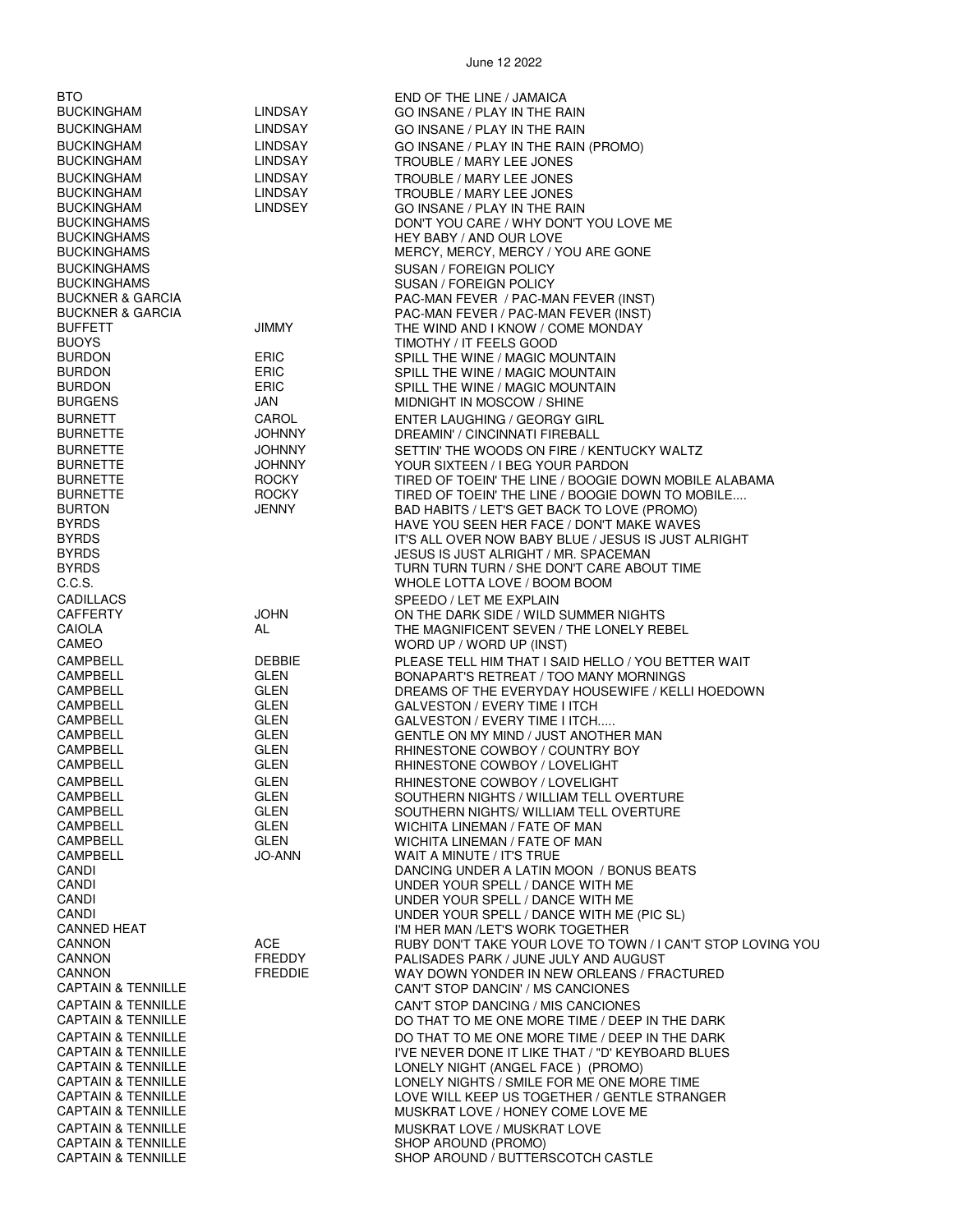| BTO                                                            |                              | END OF THE LINE / JAMAICA                                                                            |
|----------------------------------------------------------------|------------------------------|------------------------------------------------------------------------------------------------------|
| <b>BUCKINGHAM</b>                                              | LINDSAY                      | GO INSANE / PLAY IN THE RAIN                                                                         |
| <b>BUCKINGHAM</b>                                              | LINDSAY                      | GO INSANE / PLAY IN THE RAIN                                                                         |
| <b>BUCKINGHAM</b><br><b>BUCKINGHAM</b>                         | <b>LINDSAY</b><br>LINDSAY    | GO INSANE / PLAY IN THE RAIN (PROMO)<br>TROUBLE / MARY LEE JONES                                     |
| <b>BUCKINGHAM</b>                                              | <b>LINDSAY</b>               | TROUBLE / MARY LEE JONES                                                                             |
| <b>BUCKINGHAM</b>                                              | LINDSAY                      | TROUBLE / MARY LEE JONES                                                                             |
| <b>BUCKINGHAM</b>                                              | <b>LINDSEY</b>               | GO INSANE / PLAY IN THE RAIN                                                                         |
| <b>BUCKINGHAMS</b>                                             |                              | DON'T YOU CARE / WHY DON'T YOU LOVE ME                                                               |
| <b>BUCKINGHAMS</b><br><b>BUCKINGHAMS</b>                       |                              | HEY BABY / AND OUR LOVE<br>MERCY, MERCY, MERCY / YOU ARE GONE                                        |
| <b>BUCKINGHAMS</b>                                             |                              | <b>SUSAN / FOREIGN POLICY</b>                                                                        |
| <b>BUCKINGHAMS</b>                                             |                              | SUSAN / FOREIGN POLICY                                                                               |
| <b>BUCKNER &amp; GARCIA</b>                                    |                              | PAC-MAN FEVER / PAC-MAN FEVER (INST)                                                                 |
| <b>BUCKNER &amp; GARCIA</b>                                    |                              | PAC-MAN FEVER / PAC-MAN FEVER (INST)                                                                 |
| <b>BUFFETT</b><br><b>BUOYS</b>                                 | <b>JIMMY</b>                 | THE WIND AND I KNOW / COME MONDAY<br>TIMOTHY / IT FEELS GOOD                                         |
| <b>BURDON</b>                                                  | ERIC                         | SPILL THE WINE / MAGIC MOUNTAIN                                                                      |
| <b>BURDON</b>                                                  | <b>ERIC</b>                  | SPILL THE WINE / MAGIC MOUNTAIN                                                                      |
| <b>BURDON</b>                                                  | <b>ERIC</b>                  | SPILL THE WINE / MAGIC MOUNTAIN                                                                      |
| <b>BURGENS</b><br><b>BURNETT</b>                               | JAN<br>CAROL                 | MIDNIGHT IN MOSCOW / SHINE<br>ENTER LAUGHING / GEORGY GIRL                                           |
| <b>BURNETTE</b>                                                | <b>JOHNNY</b>                | DREAMIN' / CINCINNATI FIREBALL                                                                       |
| <b>BURNETTE</b>                                                | <b>JOHNNY</b>                | SETTIN' THE WOODS ON FIRE / KENTUCKY WALTZ                                                           |
| <b>BURNETTE</b>                                                | <b>JOHNNY</b>                | YOUR SIXTEEN / I BEG YOUR PARDON                                                                     |
| <b>BURNETTE</b>                                                | <b>ROCKY</b>                 | TIRED OF TOEIN' THE LINE / BOOGIE DOWN MOBILE ALABAMA                                                |
| <b>BURNETTE</b><br><b>BURTON</b>                               | <b>ROCKY</b><br><b>JENNY</b> | TIRED OF TOEIN' THE LINE / BOOGIE DOWN TO MOBILE<br>BAD HABITS / LET'S GET BACK TO LOVE (PROMO)      |
| <b>BYRDS</b>                                                   |                              | HAVE YOU SEEN HER FACE / DON'T MAKE WAVES                                                            |
| <b>BYRDS</b>                                                   |                              | IT'S ALL OVER NOW BABY BLUE / JESUS IS JUST ALRIGHT                                                  |
| <b>BYRDS</b>                                                   |                              | JESUS IS JUST ALRIGHT / MR. SPACEMAN                                                                 |
| <b>BYRDS</b><br>C.C.S.                                         |                              | TURN TURN TURN / SHE DON'T CARE ABOUT TIME<br>WHOLE LOTTA LOVE / BOOM BOOM                           |
| CADILLACS                                                      |                              | SPEEDO / LET ME EXPLAIN                                                                              |
| CAFFERTY                                                       | <b>JOHN</b>                  | ON THE DARK SIDE / WILD SUMMER NIGHTS                                                                |
| CAIOLA                                                         | AL                           | THE MAGNIFICENT SEVEN / THE LONELY REBEL                                                             |
| CAMEO<br>CAMPBELL                                              | <b>DEBBIE</b>                | WORD UP / WORD UP (INST)                                                                             |
| CAMPBELL                                                       | GLEN                         | PLEASE TELL HIM THAT I SAID HELLO / YOU BETTER WAIT<br>BONAPART'S RETREAT / TOO MANY MORNINGS        |
| CAMPBELL                                                       | GLEN                         | DREAMS OF THE EVERYDAY HOUSEWIFE / KELLI HOEDOWN                                                     |
| CAMPBELL                                                       | GLEN                         | GALVESTON / EVERY TIME I ITCH                                                                        |
| CAMPBELL<br><b>CAMPBELL</b>                                    | <b>GLEN</b><br>GLEN          | GALVESTON / EVERY TIME I ITCH                                                                        |
| CAMPBELL                                                       | GLEN                         | GENTLE ON MY MIND / JUST ANOTHER MAN<br>RHINESTONE COWBOY / COUNTRY BOY                              |
| CAMPBELL                                                       | GLEN                         | RHINESTONE COWBOY / LOVELIGHT                                                                        |
| CAMPBELL                                                       | <b>GLEN</b>                  | RHINESTONE COWBOY / LOVELIGHT                                                                        |
| CAMPBELL                                                       | GLEN                         | SOUTHERN NIGHTS / WILLIAM TELL OVERTURE                                                              |
| CAMPBELL<br>CAMPBELL                                           | <b>GLEN</b><br><b>GLEN</b>   | SOUTHERN NIGHTS/ WILLIAM TELL OVERTURE<br>WICHITA LINEMAN / FATE OF MAN                              |
| CAMPBELL                                                       | GLEN                         | WICHITA LINEMAN / FATE OF MAN                                                                        |
| CAMPBELL                                                       | <b>JO-ANN</b>                | WAIT A MINUTE / IT'S TRUE                                                                            |
| CANDI<br>CANDI                                                 |                              | DANCING UNDER A LATIN MOON / BONUS BEATS<br>UNDER YOUR SPELL / DANCE WITH ME                         |
| CANDI                                                          |                              | UNDER YOUR SPELL / DANCE WITH ME                                                                     |
| CANDI                                                          |                              | UNDER YOUR SPELL / DANCE WITH ME (PIC SL)                                                            |
| <b>CANNED HEAT</b>                                             |                              | I'M HER MAN /LET'S WORK TOGETHER                                                                     |
| <b>CANNON</b><br>CANNON                                        | ACE<br>FREDDY                | RUBY DON'T TAKE YOUR LOVE TO TOWN / I CAN'T STOP LOVING YOU<br>PALISADES PARK / JUNE JULY AND AUGUST |
| CANNON                                                         | <b>FREDDIE</b>               | WAY DOWN YONDER IN NEW ORLEANS / FRACTURED                                                           |
| <b>CAPTAIN &amp; TENNILLE</b>                                  |                              | CAN'T STOP DANCIN' / MS CANCIONES                                                                    |
| <b>CAPTAIN &amp; TENNILLE</b>                                  |                              | CAN'T STOP DANCING / MIS CANCIONES                                                                   |
| <b>CAPTAIN &amp; TENNILLE</b>                                  |                              | DO THAT TO ME ONE MORE TIME / DEEP IN THE DARK                                                       |
| <b>CAPTAIN &amp; TENNILLE</b><br><b>CAPTAIN &amp; TENNILLE</b> |                              | DO THAT TO ME ONE MORE TIME / DEEP IN THE DARK<br>I'VE NEVER DONE IT LIKE THAT / "D' KEYBOARD BLUES  |
| <b>CAPTAIN &amp; TENNILLE</b>                                  |                              | LONELY NIGHT (ANGEL FACE) (PROMO)                                                                    |
| <b>CAPTAIN &amp; TENNILLE</b>                                  |                              | LONELY NIGHTS / SMILE FOR ME ONE MORE TIME                                                           |
| <b>CAPTAIN &amp; TENNILLE</b>                                  |                              | LOVE WILL KEEP US TOGETHER / GENTLE STRANGER                                                         |
| <b>CAPTAIN &amp; TENNILLE</b><br><b>CAPTAIN &amp; TENNILLE</b> |                              | MUSKRAT LOVE / HONEY COME LOVE ME<br>MUSKRAT LOVE / MUSKRAT LOVE                                     |
| <b>CAPTAIN &amp; TENNILLE</b>                                  |                              | SHOP AROUND (PROMO)                                                                                  |
| <b>CAPTAIN &amp; TENNILLE</b>                                  |                              | SHOP AROUND / BUTTERSCOTCH CASTLE                                                                    |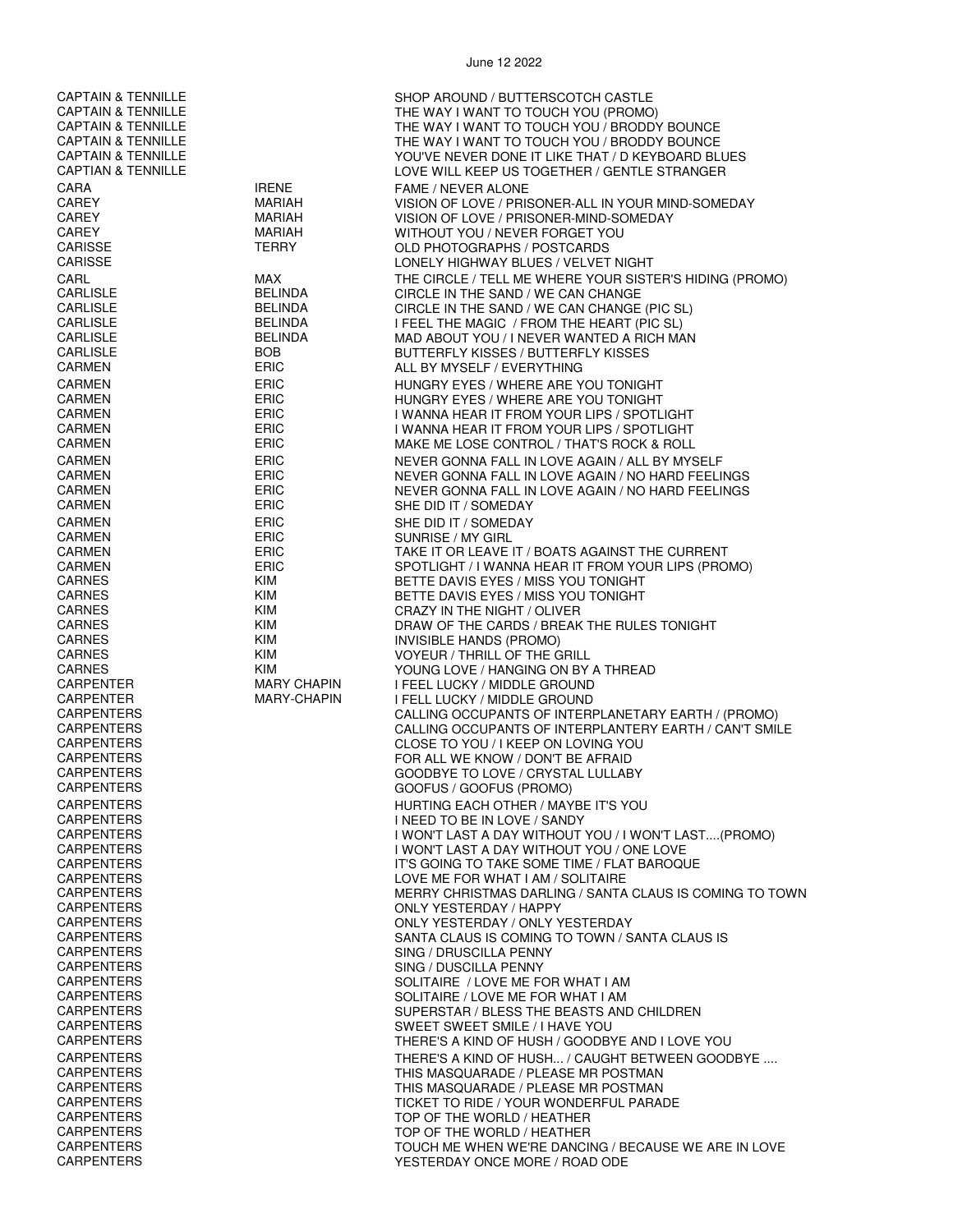CAPTAIN & TENNILLE<br>CAPTAIN & TENNILLE CAPTAIN & TENNILLE CAPTAIN & TENNILLE CAPTAIN & TENNILLE THE WAY I WANT TO TOUCH YOU (PROMO)<br>CAPTAIN & TENNILLE THE WAY I WANT TO TOUCH YOU / BRODD CAPTAIN & TENNILLE THE WAY I WANT TO TOUCH YOU / BRODDY BOUNCE<br>CAPTAIN & TENNILLE THE WAY I WANT TO TOUCH YOU / BRODDY BOUNCE THE WAY I WANT TO TOUCH YOU / BRODDY BOUNCE CAPTAIN & TENNILLE<br>CAPTIAN & TENNILLE CAPTIAN & TENNILLE CAPTIAN & TENNILLE LOVE WILL KEEP US TOGETHER / GENTLE STRANGER CARA IRENE FAME / NEVER ALONE CAREY MARIAH VISION OF LOVE / PRISONER-ALL IN YOUR MIND-SOMEDAY VISION OF LOVE / PRISONER-MIND-SOMEDAY CAREY MARIAH WITHOUT YOU / NEVER FORGET YOU OLD PHOTOGRAPHS / POSTCARDS CARISSE LONELY HIGHWAY BLUES / VELVET NIGHT CARL GARE MAX MAX THE CIRCLE / TELL ME WHERE YOUR SISTER'S HIDING (PROMO) CARLISLE BELINDA CIRCLE IN THE SAND / WE CAN CHANGE CARLISLE BELINDA CIRCLE IN THE SAND / WE CAN CHANGE (PIC SL) CARLISLE BELINDA I FEEL THE MAGIC / FROM THE HEART (PIC SL) CARLISLE BELINDA MAD ABOUT YOU / I NEVER WANTED A RICH MAN CARLISLE BOB BUTTERFLY KISSES / BUTTERFLY KISSES CARMEN ERIC ALL BY MYSELF / EVERYTHING CARMEN ERIC ERIC HUNGRY EYES / WHERE ARE YOU TONIGHT<br>CARMEN ERIC ERIC HUNGRY EYES / WHERE ARE YOU TONIGHT CARMEN ERIC HUNGRY EYES / WHERE ARE YOU TONIGHT CARMEN ERIC I WANNA HEAR IT FROM YOUR LIPS / SPOTLIGHT CARMEN ERIC I WANNA HEAR IT FROM YOUR LIPS / SPOTLIGHT MAKE ME LOSE CONTROL / THAT'S ROCK & ROLL CARMEN **ERIC ERIC ERIC NEVER GONNA FALL IN LOVE AGAIN** / ALL BY MYSELF CARMEN ERIC ERIC NEVER GONNA FALL IN LOVE AGAIN / NO HARD FEELINGS<br>CARMEN FRIC FRIC NEVER GONNA FALL IN LOVE AGAIN / NO HARD FEELINGS NEVER GONNA FALL IN LOVE AGAIN / NO HARD FEELINGS CARMEN ERIC SHE DID IT / SOMEDAY CARMEN ERIC SHE DID IT / SOMEDAY SUNRISE / MY GIRL CARMEN ERIC ERIC TAKE IT OR LEAVE IT / BOATS AGAINST THE CURRENT<br>CARMEN ERIC ERIC SPOTLIGHT / I WANNA HEAR IT FROM YOUR LIPS (PRO CARMEN ERIC ERIC SPOTLIGHT / I WANNA HEAR IT FROM YOUR LIPS (PROMO)<br>CARNES CARNES BETTE DAVIS EYES / MISS YOU TONIGHT CARNES KIM KIM BETTE DAVIS EYES / MISS YOU TONIGHT CARNES KIM CRAZY IN THE NIGHT / OLIVER CARNES KIM DRAW OF THE CARDS / BREAK THE RULES TONIGHT CARNES KIM INVISIBLE HANDS (PROMO) CARNES KIM KIM VOYEUR / THRILL OF THE GRILL<br>CARNES KIM YOUNG LOVE / HANGING ON BY CARNES KIM YOUNG LOVE / HANGING ON BY A THREAD CARPENTER MARY CHAPIN I FEEL LUCKY / MIDDLE GROUND I FELL LUCKY / MIDDLE GROUND CARPENTERS CARPENTERS CONSIDER CALLING OCCUPANTS OF INTERPLANETARY EARTH / (PROMO)<br>CARPENTERS CALLING OCCUPANTS OF INTERPLANTERY EARTH / CAN'T SMII CARPENTERS CALLING OCCUPANTS OF INTERPLANTERY EARTH / CAN'T SMILE CLOSE TO YOU / I KEEP ON LOVING YOU CARPENTERS FOR ALL WE KNOW / DON'T BE AFRAID<br>CARPENTERS FOR ALL WE GOODBYE TO LOVE / CRYSTAL LULLAB CARPENTERS GOODBYE TO LOVE / CRYSTAL LULLABY GOOFUS / GOOFUS (PROMO) CARPENTERS HURTING EACH OTHER / MAYBE IT'S YOU CARPENTERS I NEED TO BE IN LOVE / SANDY I WON'T LAST A DAY WITHOUT YOU / I WON'T LAST....(PROMO) CARPENTERS I WON'T LAST A DAY WITHOUT YOU / ONE LOVE CARPENTERS IT'S GOING TO TAKE SOME TIME / FLAT BAROQUE LOVE ME FOR WHAT I AM / SOLITAIRE CARPENTERS MERRY CHRISTMAS DARLING / SANTA CLAUS IS COMING TO TOWN CARPENTERS ONLY YESTERDAY / HAPPY CARPENTERS ONLY YESTERDAY / ONLY YESTERDAY CARPENTERS SANTA CLAUS IS COMING TO TOWN / SANTA CLAUS IS CARPENTERS SING / DRUSCILLA PENNY CARPENTERS SING / DUSCILLA PENNY SOLITAIRE / LOVE ME FOR WHAT I AM CARPENTERS SOLITAIRE / LOVE ME FOR WHAT I AM CARPENTERS SUPERSTAR / BLESS THE BEASTS AND CHILDREN CARPENTERS SWEET SWEET SMILE / I HAVE YOU THERE'S A KIND OF HUSH / GOODBYE AND I LOVE YOU CARPENTERS THERE'S A KIND OF HUSH... / CAUGHT BETWEEN GOODBYE ....<br>CARPENTERS CARPENTERS THIS MASQUARADE / PLEASE MR POSTMAN CARPENTERS THIS MASQUARADE / PLEASE MR POSTMAN CARPENTERS THIS MASQUARADE / PLEASE MR POSTMAN<br>CARPENTERS THIS MASS THE TO RIDE / YOUR WONDERFUL PARAL CARPENTERS TO RIDE / YOUR WONDERFUL PARADE<br>CARPENTERS TO RESERVE TO A TOP OF THE WORLD / HEATHER TOP OF THE WORLD / HEATHER CARPENTERS TOP OF THE WORLD / HEATHER CARPENTERS TOUCH ME WHEN WE'RE DANCING / BECAUSE WE ARE IN LOVE<br>CARPENTERS TO A CARPENTER ON THE YESTERDAY ONCE MORE / ROAD ODE YESTERDAY ONCE MORE / ROAD ODE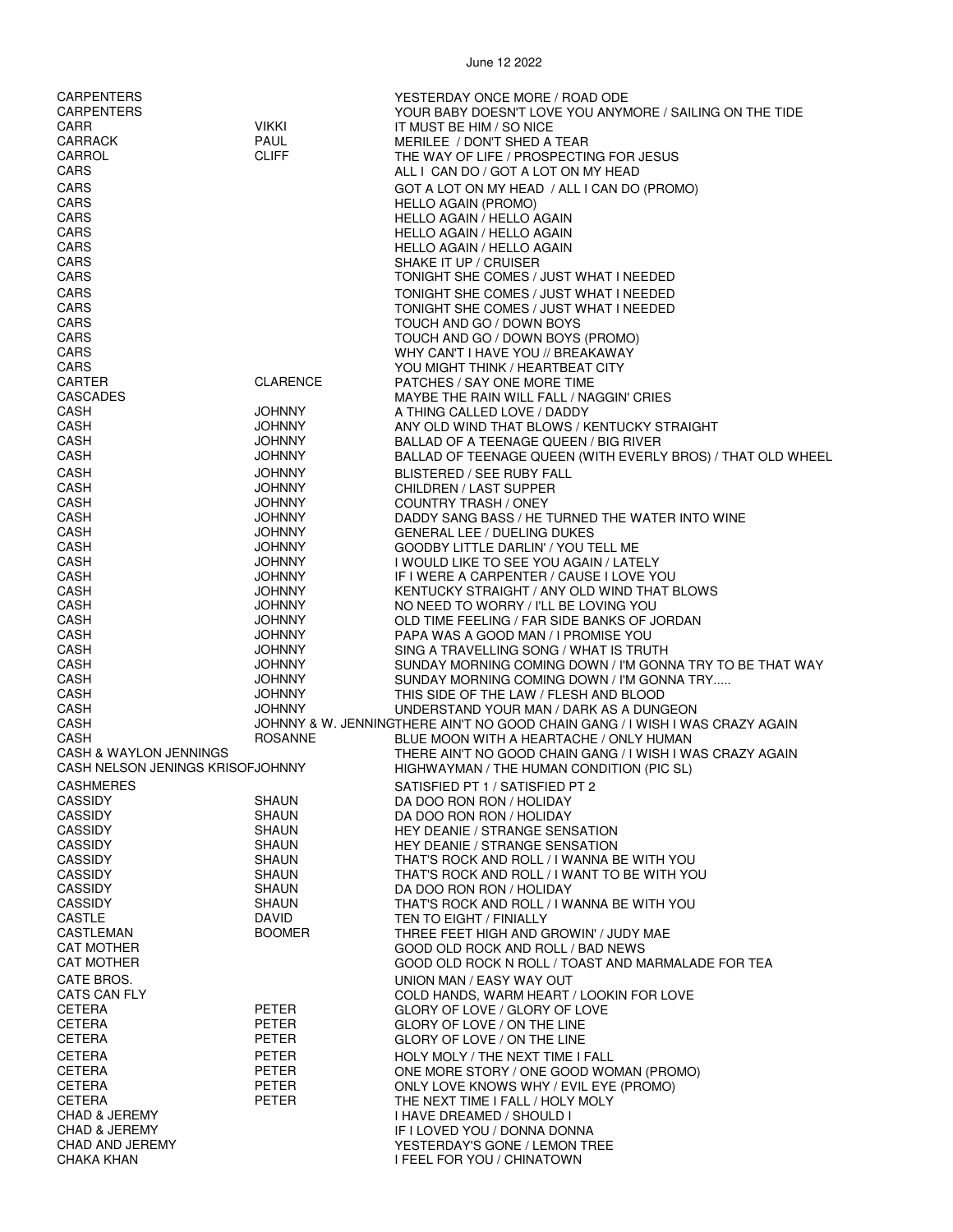| <b>CARPENTERS</b>                 |                              | YESTERDAY ONCE MORE / ROAD ODE                                               |
|-----------------------------------|------------------------------|------------------------------------------------------------------------------|
| <b>CARPENTERS</b>                 |                              | YOUR BABY DOESN'T LOVE YOU ANYMORE / SAILING ON THE TIDE                     |
| CARR                              | <b>VIKKI</b>                 | IT MUST BE HIM / SO NICE                                                     |
| <b>CARRACK</b>                    | <b>PAUL</b>                  | MERILEE / DON'T SHED A TEAR                                                  |
| CARROL                            | <b>CLIFF</b>                 | THE WAY OF LIFE / PROSPECTING FOR JESUS                                      |
| CARS                              |                              | ALL I CAN DO / GOT A LOT ON MY HEAD                                          |
| CARS                              |                              | GOT A LOT ON MY HEAD / ALL I CAN DO (PROMO)                                  |
| CARS                              |                              | HELLO AGAIN (PROMO)                                                          |
| CARS                              |                              | <b>HELLO AGAIN / HELLO AGAIN</b>                                             |
| CARS                              |                              | <b>HELLO AGAIN / HELLO AGAIN</b>                                             |
| CARS                              |                              | HELLO AGAIN / HELLO AGAIN                                                    |
| CARS                              |                              | SHAKE IT UP / CRUISER                                                        |
| CARS                              |                              | TONIGHT SHE COMES / JUST WHAT I NEEDED                                       |
| CARS                              |                              | TONIGHT SHE COMES / JUST WHAT I NEEDED                                       |
| CARS                              |                              | TONIGHT SHE COMES / JUST WHAT I NEEDED                                       |
| CARS                              |                              | TOUCH AND GO / DOWN BOYS                                                     |
| CARS                              |                              | TOUCH AND GO / DOWN BOYS (PROMO)                                             |
| CARS                              |                              | WHY CAN'T I HAVE YOU // BREAKAWAY                                            |
| CARS                              |                              | YOU MIGHT THINK / HEARTBEAT CITY                                             |
| <b>CARTER</b>                     | CLARENCE                     | PATCHES / SAY ONE MORE TIME                                                  |
| CASCADES                          |                              | MAYBE THE RAIN WILL FALL / NAGGIN' CRIES                                     |
| CASH                              | <b>JOHNNY</b>                | A THING CALLED LOVE / DADDY                                                  |
| CASH                              | <b>JOHNNY</b>                | ANY OLD WIND THAT BLOWS / KENTUCKY STRAIGHT                                  |
| CASH                              | <b>JOHNNY</b>                | BALLAD OF A TEENAGE QUEEN / BIG RIVER                                        |
| CASH                              | <b>JOHNNY</b>                | BALLAD OF TEENAGE QUEEN (WITH EVERLY BROS) / THAT OLD WHEEL                  |
| CASH                              | <b>JOHNNY</b>                | BLISTERED / SEE RUBY FALL                                                    |
| CASH                              | <b>JOHNNY</b>                | <b>CHILDREN / LAST SUPPER</b>                                                |
| CASH                              | <b>JOHNNY</b>                | <b>COUNTRY TRASH / ONEY</b>                                                  |
| CASH                              | <b>JOHNNY</b>                | DADDY SANG BASS / HE TURNED THE WATER INTO WINE                              |
| CASH                              | <b>JOHNNY</b>                | GENERAL LEE / DUELING DUKES                                                  |
| CASH                              | <b>JOHNNY</b>                | GOODBY LITTLE DARLIN' / YOU TELL ME                                          |
| CASH                              | <b>JOHNNY</b>                | I WOULD LIKE TO SEE YOU AGAIN / LATELY                                       |
| CASH                              | <b>JOHNNY</b>                | IF I WERE A CARPENTER / CAUSE I LOVE YOU                                     |
| CASH                              | <b>JOHNNY</b>                | KENTUCKY STRAIGHT / ANY OLD WIND THAT BLOWS                                  |
| CASH                              | <b>JOHNNY</b>                | NO NEED TO WORRY / I'LL BE LOVING YOU                                        |
| CASH                              | <b>JOHNNY</b>                | OLD TIME FEELING / FAR SIDE BANKS OF JORDAN                                  |
| CASH                              | <b>JOHNNY</b>                | PAPA WAS A GOOD MAN / I PROMISE YOU                                          |
| CASH                              | <b>JOHNNY</b>                | SING A TRAVELLING SONG / WHAT IS TRUTH                                       |
| CASH                              | <b>JOHNNY</b>                | SUNDAY MORNING COMING DOWN / I'M GONNA TRY TO BE THAT WAY                    |
| CASH                              | <b>JOHNNY</b>                | SUNDAY MORNING COMING DOWN / I'M GONNA TRY                                   |
| CASH                              | <b>JOHNNY</b>                | THIS SIDE OF THE LAW / FLESH AND BLOOD                                       |
| CASH                              | <b>JOHNNY</b>                | UNDERSTAND YOUR MAN / DARK AS A DUNGEON                                      |
| CASH                              |                              | JOHNNY & W. JENNINGTHERE AIN'T NO GOOD CHAIN GANG / I WISH I WAS CRAZY AGAIN |
| CASH                              | <b>ROSANNE</b>               | BLUE MOON WITH A HEARTACHE / ONLY HUMAN                                      |
| <b>CASH &amp; WAYLON JENNINGS</b> |                              | THERE AIN'T NO GOOD CHAIN GANG / I WISH I WAS CRAZY AGAIN                    |
| CASH NELSON JENINGS KRISOFJOHNNY  |                              | HIGHWAYMAN / THE HUMAN CONDITION (PIC SL)                                    |
| <b>CASHMERES</b>                  |                              | SATISFIED PT 1 / SATISFIED PT 2                                              |
| <b>CASSIDY</b>                    | SHAUN                        | DA DOO RON RON / HOLIDAY                                                     |
| <b>CASSIDY</b>                    | <b>SHAUN</b>                 | DA DOO RON RON / HOLIDAY                                                     |
| <b>CASSIDY</b>                    | <b>SHAUN</b>                 | <b>HEY DEANIE / STRANGE SENSATION</b>                                        |
| <b>CASSIDY</b>                    | SHAUN                        | <b>HEY DEANIE / STRANGE SENSATION</b>                                        |
| <b>CASSIDY</b>                    | SHAUN                        | THAT'S ROCK AND ROLL / I WANNA BE WITH YOU                                   |
| <b>CASSIDY</b>                    | <b>SHAUN</b>                 | THAT'S ROCK AND ROLL / I WANT TO BE WITH YOU                                 |
| <b>CASSIDY</b>                    | <b>SHAUN</b>                 | DA DOO RON RON / HOLIDAY                                                     |
| <b>CASSIDY</b><br>CASTLE          | <b>SHAUN</b><br><b>DAVID</b> | THAT'S ROCK AND ROLL / I WANNA BE WITH YOU                                   |
| CASTLEMAN                         | <b>BOOMER</b>                | TEN TO EIGHT / FINIALLY                                                      |
| <b>CAT MOTHER</b>                 |                              | THREE FEET HIGH AND GROWIN' / JUDY MAE<br>GOOD OLD ROCK AND ROLL / BAD NEWS  |
| <b>CAT MOTHER</b>                 |                              | GOOD OLD ROCK N ROLL / TOAST AND MARMALADE FOR TEA                           |
|                                   |                              |                                                                              |
| CATE BROS.                        |                              | UNION MAN / EASY WAY OUT                                                     |
| CATS CAN FLY                      |                              | COLD HANDS, WARM HEART / LOOKIN FOR LOVE                                     |
| <b>CETERA</b>                     | PETER                        | GLORY OF LOVE / GLORY OF LOVE                                                |
| <b>CETERA</b>                     | PETER                        | GLORY OF LOVE / ON THE LINE                                                  |
| CETERA                            | PETER                        | GLORY OF LOVE / ON THE LINE                                                  |
| <b>CETERA</b>                     | PETER                        | HOLY MOLY / THE NEXT TIME I FALL                                             |
| <b>CETERA</b>                     | <b>PETER</b>                 | ONE MORE STORY / ONE GOOD WOMAN (PROMO)                                      |
| CETERA<br><b>CETERA</b>           | PETER<br><b>PETER</b>        | ONLY LOVE KNOWS WHY / EVIL EYE (PROMO)                                       |
| <b>CHAD &amp; JEREMY</b>          |                              | THE NEXT TIME I FALL / HOLY MOLY                                             |
| <b>CHAD &amp; JEREMY</b>          |                              | I HAVE DREAMED / SHOULD I<br>IF I LOVED YOU / DONNA DONNA                    |
| CHAD AND JEREMY                   |                              | YESTERDAY'S GONE / LEMON TREE                                                |
| <b>CHAKA KHAN</b>                 |                              | I FEEL FOR YOU / CHINATOWN                                                   |
|                                   |                              |                                                                              |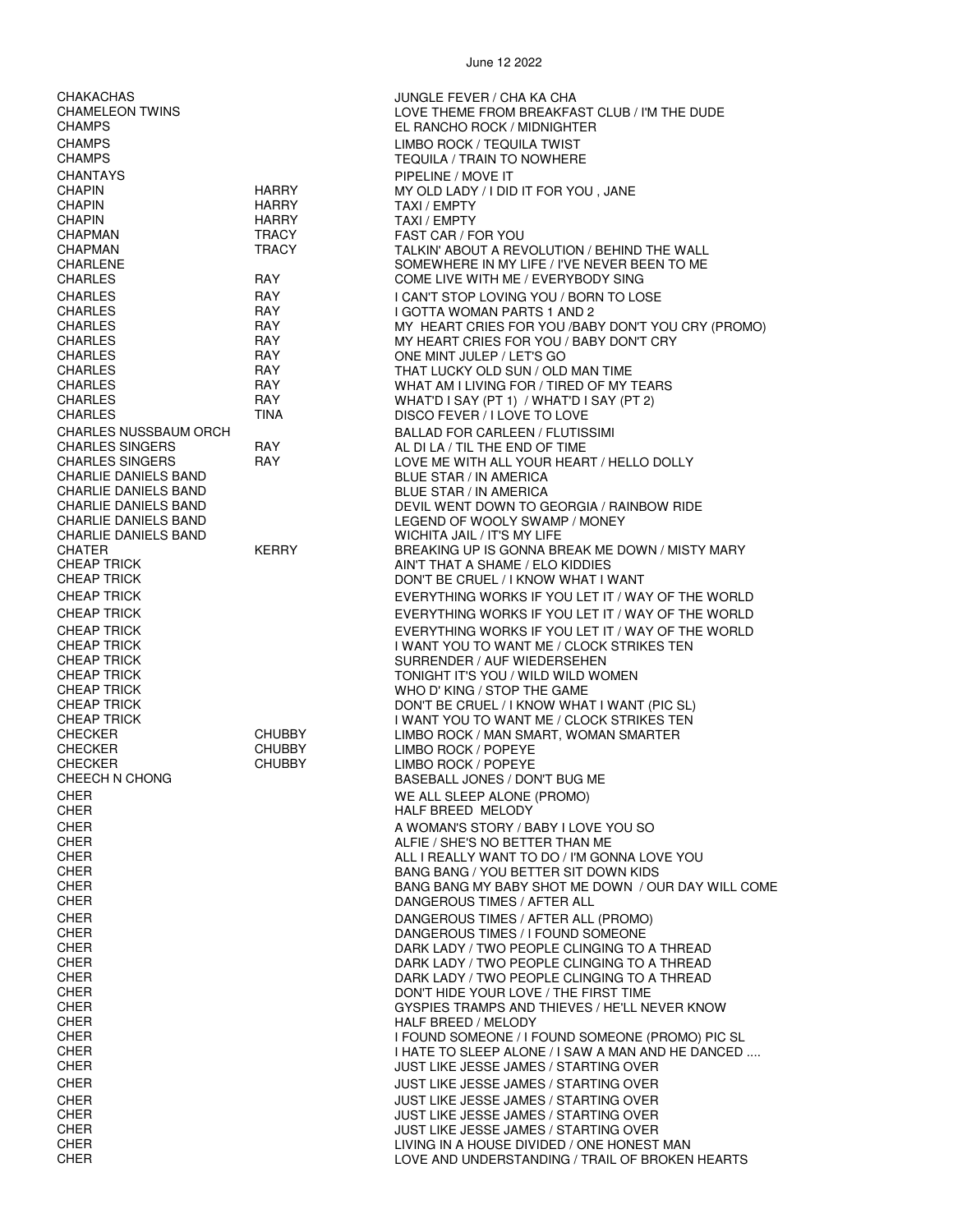| CHAKACHAS                                    |                   | JUNGLE FEVER / CHA KA CHA                                                                  |
|----------------------------------------------|-------------------|--------------------------------------------------------------------------------------------|
| <b>CHAMELEON TWINS</b>                       |                   | LOVE THEME FROM BREAKFAST CLUB / I'M THE DUDE                                              |
| <b>CHAMPS</b>                                |                   | EL RANCHO ROCK / MIDNIGHTER                                                                |
| <b>CHAMPS</b>                                |                   | LIMBO ROCK / TEQUILA TWIST                                                                 |
| <b>CHAMPS</b>                                |                   | <b>TEQUILA / TRAIN TO NOWHERE</b>                                                          |
| <b>CHANTAYS</b>                              |                   | PIPELINE / MOVE IT                                                                         |
| <b>CHAPIN</b>                                | <b>HARRY</b>      | MY OLD LADY / I DID IT FOR YOU, JANE                                                       |
| <b>CHAPIN</b>                                | HARRY             | TAXI / EMPTY                                                                               |
| <b>CHAPIN</b>                                | <b>HARRY</b>      | TAXI / EMPTY                                                                               |
| <b>CHAPMAN</b>                               | <b>TRACY</b>      | FAST CAR / FOR YOU                                                                         |
| <b>CHAPMAN</b>                               | <b>TRACY</b>      | TALKIN' ABOUT A REVOLUTION / BEHIND THE WALL                                               |
| <b>CHARLENE</b>                              |                   | SOMEWHERE IN MY LIFE / I'VE NEVER BEEN TO ME                                               |
| <b>CHARLES</b>                               | RAY               | COME LIVE WITH ME / EVERYBODY SING                                                         |
| <b>CHARLES</b>                               | <b>RAY</b><br>RAY | I CAN'T STOP LOVING YOU / BORN TO LOSE                                                     |
| <b>CHARLES</b><br><b>CHARLES</b>             | <b>RAY</b>        | I GOTTA WOMAN PARTS 1 AND 2<br>MY HEART CRIES FOR YOU /BABY DON'T YOU CRY (PROMO)          |
| <b>CHARLES</b>                               | RAY               | MY HEART CRIES FOR YOU / BABY DON'T CRY                                                    |
| <b>CHARLES</b>                               | <b>RAY</b>        | ONE MINT JULEP / LET'S GO                                                                  |
| <b>CHARLES</b>                               | RAY               | THAT LUCKY OLD SUN / OLD MAN TIME                                                          |
| <b>CHARLES</b>                               | RAY               | WHAT AM I LIVING FOR / TIRED OF MY TEARS                                                   |
| <b>CHARLES</b>                               | <b>RAY</b>        | WHAT'D I SAY (PT 1) / WHAT'D I SAY (PT 2)                                                  |
| <b>CHARLES</b>                               | <b>TINA</b>       | DISCO FEVER / I LOVE TO LOVE                                                               |
| <b>CHARLES NUSSBAUM ORCH</b>                 |                   | <b>BALLAD FOR CARLEEN / FLUTISSIMI</b>                                                     |
| <b>CHARLES SINGERS</b>                       | <b>RAY</b>        | AL DI LA / TIL THE END OF TIME                                                             |
| <b>CHARLES SINGERS</b>                       | <b>RAY</b>        | LOVE ME WITH ALL YOUR HEART / HELLO DOLLY                                                  |
| CHARLIE DANIELS BAND                         |                   | <b>BLUE STAR / IN AMERICA</b>                                                              |
| CHARLIE DANIELS BAND<br>CHARLIE DANIELS BAND |                   | <b>BLUE STAR / IN AMERICA</b><br>DEVIL WENT DOWN TO GEORGIA / RAINBOW RIDE                 |
| <b>CHARLIE DANIELS BAND</b>                  |                   | LEGEND OF WOOLY SWAMP / MONEY                                                              |
| CHARLIE DANIELS BAND                         |                   | WICHITA JAIL / IT'S MY LIFE                                                                |
| <b>CHATER</b>                                | <b>KERRY</b>      | BREAKING UP IS GONNA BREAK ME DOWN / MISTY MARY                                            |
| <b>CHEAP TRICK</b>                           |                   | AIN'T THAT A SHAME / ELO KIDDIES                                                           |
| <b>CHEAP TRICK</b>                           |                   | DON'T BE CRUEL / I KNOW WHAT I WANT                                                        |
| <b>CHEAP TRICK</b>                           |                   | EVERYTHING WORKS IF YOU LET IT / WAY OF THE WORLD                                          |
| <b>CHEAP TRICK</b>                           |                   | EVERYTHING WORKS IF YOU LET IT / WAY OF THE WORLD                                          |
| <b>CHEAP TRICK</b>                           |                   | EVERYTHING WORKS IF YOU LET IT / WAY OF THE WORLD                                          |
| <b>CHEAP TRICK</b>                           |                   | I WANT YOU TO WANT ME / CLOCK STRIKES TEN                                                  |
| <b>CHEAP TRICK</b>                           |                   | SURRENDER / AUF WIEDERSEHEN                                                                |
| <b>CHEAP TRICK</b>                           |                   | TONIGHT IT'S YOU / WILD WILD WOMEN                                                         |
| <b>CHEAP TRICK</b>                           |                   | WHO D' KING / STOP THE GAME                                                                |
| <b>CHEAP TRICK</b><br><b>CHEAP TRICK</b>     |                   | DON'T BE CRUEL / I KNOW WHAT I WANT (PIC SL)<br>I WANT YOU TO WANT ME / CLOCK STRIKES TEN  |
| <b>CHECKER</b>                               | CHUBBY            | LIMBO ROCK / MAN SMART, WOMAN SMARTER                                                      |
| <b>CHECKER</b>                               | <b>CHUBBY</b>     | LIMBO ROCK / POPEYE                                                                        |
| <b>CHECKER</b>                               | <b>CHUBBY</b>     | LIMBO ROCK / POPEYE                                                                        |
| CHEECH N CHONG                               |                   | BASEBALL JONES / DON'T BUG ME                                                              |
| <b>CHER</b>                                  |                   | WE ALL SLEEP ALONE (PROMO)                                                                 |
| <b>CHER</b>                                  |                   | HALF BREED MELODY                                                                          |
| <b>CHER</b>                                  |                   | A WOMAN'S STORY / BABY I LOVE YOU SO                                                       |
| <b>CHER</b>                                  |                   | ALFIE / SHE'S NO BETTER THAN ME                                                            |
| <b>CHER</b>                                  |                   | ALL I REALLY WANT TO DO / I'M GONNA LOVE YOU                                               |
| <b>CHER</b>                                  |                   | BANG BANG / YOU BETTER SIT DOWN KIDS                                                       |
| <b>CHER</b>                                  |                   | BANG BANG MY BABY SHOT ME DOWN / OUR DAY WILL COME                                         |
| <b>CHER</b>                                  |                   | DANGEROUS TIMES / AFTER ALL                                                                |
| <b>CHER</b><br><b>CHER</b>                   |                   | DANGEROUS TIMES / AFTER ALL (PROMO)                                                        |
| <b>CHER</b>                                  |                   | DANGEROUS TIMES / I FOUND SOMEONE<br>DARK LADY / TWO PEOPLE CLINGING TO A THREAD           |
| <b>CHER</b>                                  |                   | DARK LADY / TWO PEOPLE CLINGING TO A THREAD                                                |
| <b>CHER</b>                                  |                   | DARK LADY / TWO PEOPLE CLINGING TO A THREAD                                                |
| <b>CHER</b>                                  |                   | DON'T HIDE YOUR LOVE / THE FIRST TIME                                                      |
| <b>CHER</b>                                  |                   | GYSPIES TRAMPS AND THIEVES / HE'LL NEVER KNOW                                              |
| <b>CHER</b>                                  |                   | HALF BREED / MELODY                                                                        |
| <b>CHER</b>                                  |                   | I FOUND SOMEONE / I FOUND SOMEONE (PROMO) PIC SL                                           |
| <b>CHER</b>                                  |                   | I HATE TO SLEEP ALONE / I SAW A MAN AND HE DANCED                                          |
| <b>CHER</b>                                  |                   | <b>JUST LIKE JESSE JAMES / STARTING OVER</b>                                               |
| <b>CHER</b>                                  |                   | JUST LIKE JESSE JAMES / STARTING OVER                                                      |
| <b>CHER</b>                                  |                   | JUST LIKE JESSE JAMES / STARTING OVER                                                      |
| <b>CHER</b>                                  |                   | <b>JUST LIKE JESSE JAMES / STARTING OVER</b>                                               |
| <b>CHER</b><br><b>CHER</b>                   |                   | <b>JUST LIKE JESSE JAMES / STARTING OVER</b><br>LIVING IN A HOUSE DIVIDED / ONE HONEST MAN |
| <b>CHER</b>                                  |                   | LOVE AND UNDERSTANDING / TRAIL OF BROKEN HEARTS                                            |
|                                              |                   |                                                                                            |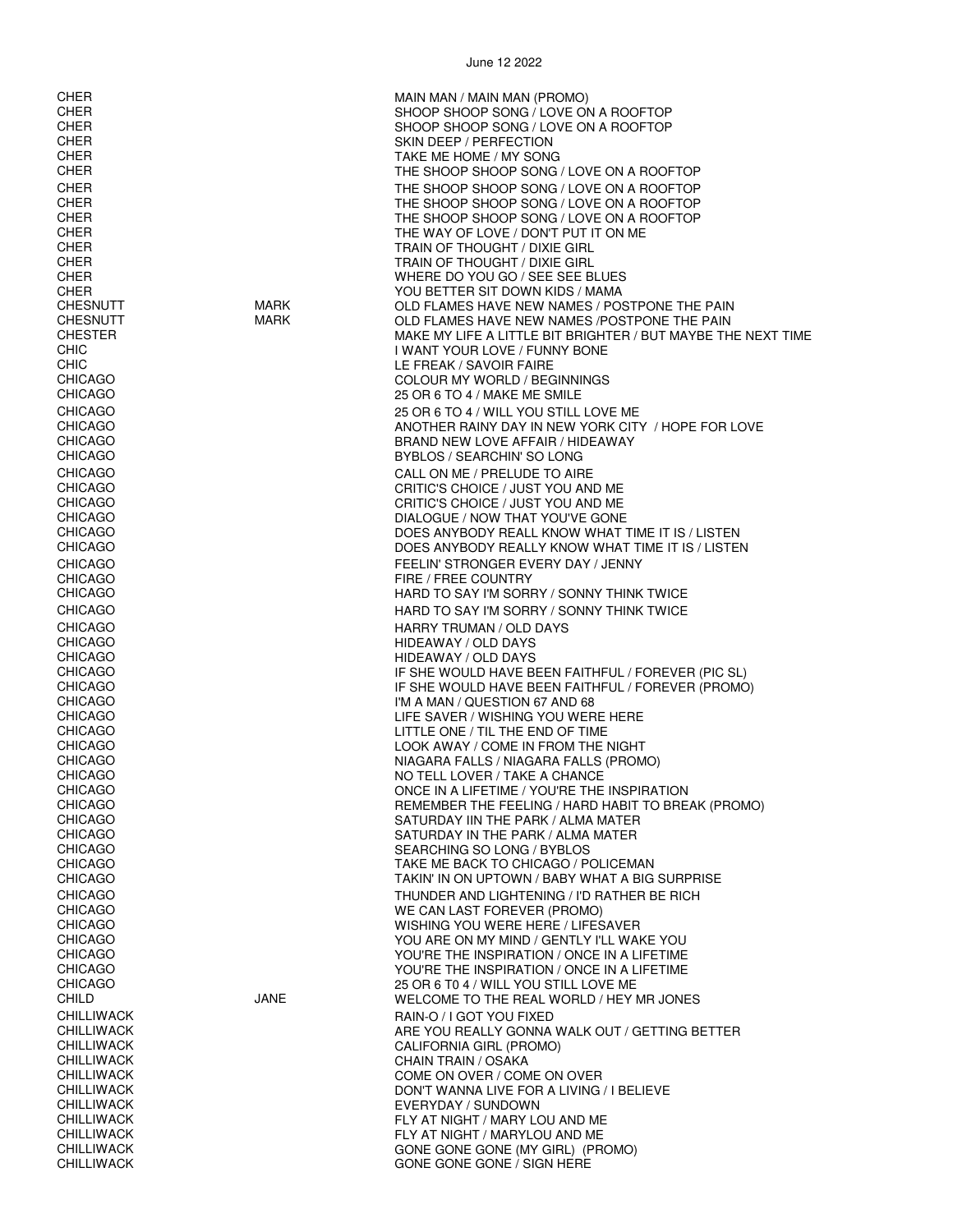CHER MAIN MAN / MAIN MAN (PROMO) CHER SHOOP SHOOP SONG / LOVE ON A ROOFTOP SHOOP SHOOP SONG / LOVE ON A ROOFTOP CHER SKIN DEEP / PERFECTION CHER TAKE ME HOME / MY SONG CHER THE SHOOP SHOOP SONG / LOVE ON A ROOFTOP CHER THE SHOOP SHOOP SONG / LOVE ON A ROOFTOP CHER THE SHOOP SHOOP SONG / LOVE ON A ROOFTOP CHER THE SHOOP SHOOP SONG / LOVE ON A ROOFTOP CHER THE WAY OF LOVE / DON'T PUT IT ON ME TRAIN OF THOUGHT / DIXIE GIRL CHER TRAIN OF THOUGHT / DIXIE GIRL CHER WHERE DO YOU GO / SEE SEE BLUES CHER YOU BETTER SIT DOWN KIDS / MAMA CHESNUTT MARK OLD FLAMES HAVE NEW NAMES / POSTPONE THE PAIN OLD FLAMES HAVE NEW NAMES /POSTPONE THE PAIN CHESTER MAKE MY LIFE A LITTLE BIT BRIGHTER / BUT MAYBE THE NEXT TIME I WANT YOUR LOVE / FUNNY BONE CHIC LE FREAK / SAVOIR FAIRE CHICAGO COLOUR MY WORLD / BEGINNINGS 25 OR 6 TO 4 / MAKE ME SMILE CHICAGO 25 OR 6 TO 4 / WILL YOU STILL LOVE ME CHICAGO ANOTHER RAINY DAY IN NEW YORK CITY / HOPE FOR LOVE BRAND NEW LOVE AFFAIR / HIDEAWAY CHICAGO BYBLOS / SEARCHIN' SO LONG CHICAGO CALL ON ME / PRELUDE TO AIRE CRITIC'S CHOICE / JUST YOU AND ME CHICAGO CRITIC'S CHOICE / JUST YOU AND ME CHICAGO DIALOGUE / NOW THAT YOU'VE GONE CHICAGO DOES ANYBODY REALL KNOW WHAT TIME IT IS / LISTEN DOES ANYBODY REALLY KNOW WHAT TIME IT IS / LISTEN CHICAGO FEELIN' STRONGER EVERY DAY / JENNY FIRE / FREE COUNTRY CHICAGO **EXECUTE TO SAY I'M SORRY / SONNY THINK TWICE** CHICAGO **EXECUTE TO SAY I'M SORRY / SONNY THINK TWICE** CHICAGO **Example 20 The CHICAGO CHICAGO** HARRY TRUMAN / OLD DAYS CHICAGO HIDEAWAY / OLD DAYS HIDEAWAY / OLD DAYS CHICAGO IF SHE WOULD HAVE BEEN FAITHFUL / FOREVER (PIC SL) CHICAGO IF SHE WOULD HAVE BEEN FAITHFUL / FOREVER (PROMO) CHICAGO I'M A MAN / QUESTION 67 AND 68 LIFE SAVER / WISHING YOU WERE HERE CHICAGO LITTLE ONE / TIL THE END OF TIME CHICAGO LOOK AWAY / COME IN FROM THE NIGHT CHICAGO NIAGARA FALLS / NIAGARA FALLS (PROMO) CHICAGO NO TELL LOVER / TAKE A CHANCE ONCE IN A LIFETIME / YOU'RE THE INSPIRATION CHICAGO REMEMBER THE FEELING / HARD HABIT TO BREAK (PROMO) CHICAGO SATURDAY IIN THE PARK / ALMA MATER SATURDAY IN THE PARK / ALMA MATER CHICAGO SEARCHING SO LONG / BYBLOS CHICAGO TAKE ME BACK TO CHICAGO / POLICEMAN TAKIN' IN ON UPTOWN / BABY WHAT A BIG SURPRISE CHICAGO THUNDER AND LIGHTENING / I'D RATHER BE RICH CHICAGO WE CAN LAST FOREVER (PROMO) CHICAGO WISHING YOU WERE HERE / LIFESAVER YOU ARE ON MY MIND / GENTLY I'LL WAKE YOU CHICAGO YOU'RE THE INSPIRATION / ONCE IN A LIFETIME YOU'RE THE INSPIRATION / ONCE IN A LIFETIME CHICAGO 25 OR 6 T0 4 / WILL YOU STILL LOVE ME<br>CHILD 25 OR 6 T0 4 / WILL YOU STILL LOVE ME WELCOME TO THE REAL WORLD / HEY MR JONES CHILLIWACK RAIN-O / I GOT YOU FIXED CHILLIWACK ARE YOU REALLY GONNA WALK OUT / GETTING BETTER CHILLIWACK CALIFORNIA GIRL (PROMO) CHILLIWACK CHILLIWACK CHILLIWACK CHILLIWACK CHILLIWACK CHILLIWACK CHILLIWACK COME ON OVER / COME ON OVER<br>CHILLIWACK CHILLIWACK CHILLIWACK DON'T WANNA LIVE FOR A LIVING / I BELIEVE CHILLIWACK EVERYDAY / SUNDOWN CHILLIWACK FLY AT NIGHT / MARY LOU AND ME FLY AT NIGHT / MARYLOU AND ME CHILLIWACK GONE GONE GONE GONE (MY GIRL) (PROMO)<br>CHILLIWACK GONE GONE GONE GONE GONE CONFINERE GONE GONE GONE / SIGN HERE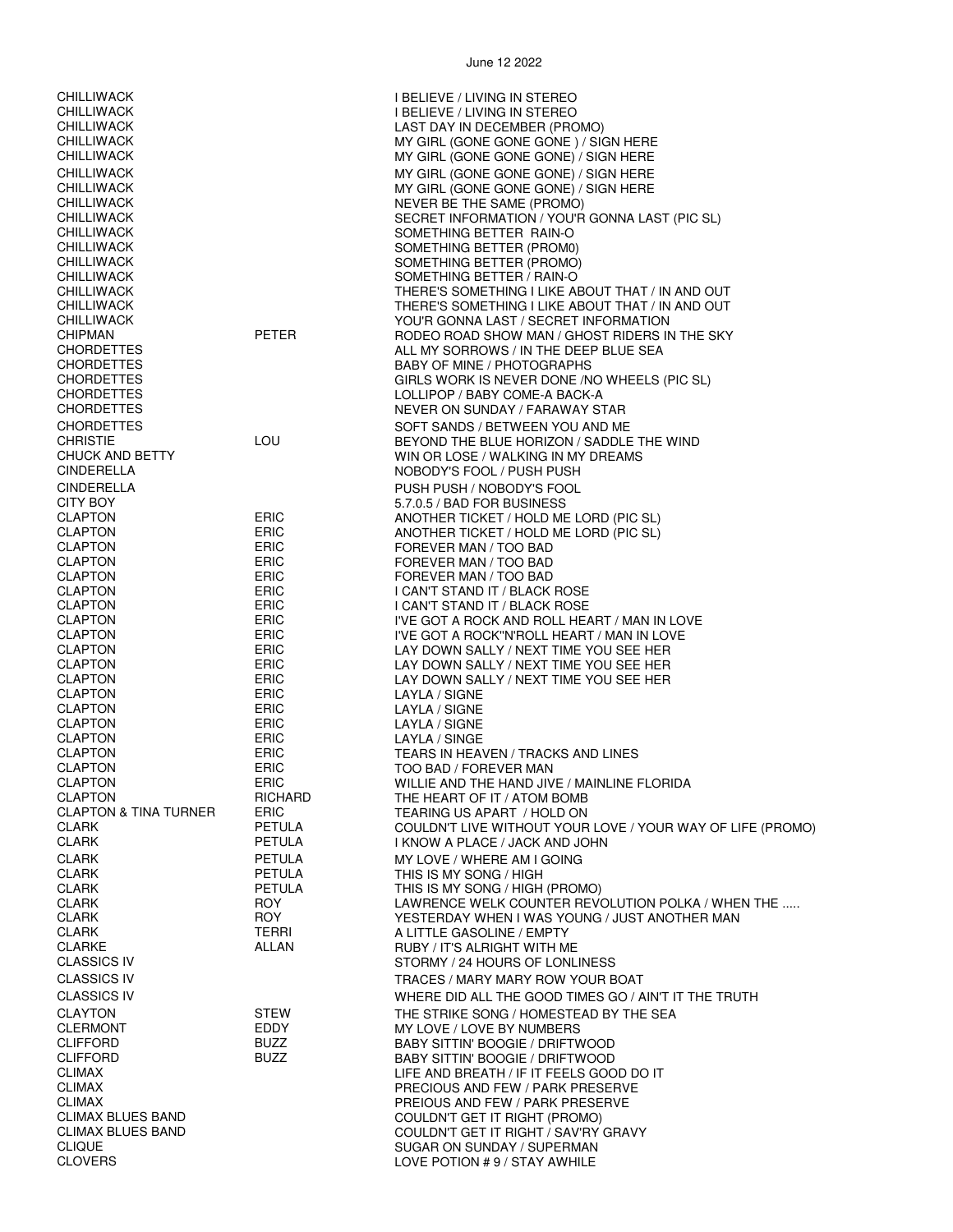| CHILLIWACK | I BELIEVE / LIVING IN STEREO        |
|------------|-------------------------------------|
| CHILLIWACK | I BELIEVE / LIVING IN STEREO        |
| CHILLIWACK | LAST DAY IN DECEMBER (PROMO)        |
| CHILLIWACK | MY GIRL (GONE GONE GONE) / SIGN HER |
| CHILLIWACK | MY GIRL (GONE GONE GONE) / SIGN HEF |
|            |                                     |

| <b>CHILLIWACK</b>                      |                            | MY GIRL (GONE GONE GONE) / SIGN HERE                                                               |
|----------------------------------------|----------------------------|----------------------------------------------------------------------------------------------------|
| <b>CHILLIWACK</b>                      |                            | MY GIRL (GONE GONE GONE) / SIGN HERE                                                               |
| <b>CHILLIWACK</b>                      |                            | MY GIRL (GONE GONE GONE) / SIGN HERE                                                               |
| <b>CHILLIWACK</b><br><b>CHILLIWACK</b> |                            | MY GIRL (GONE GONE GONE) / SIGN HERE<br>NEVER BE THE SAME (PROMO)                                  |
| <b>CHILLIWACK</b>                      |                            | SECRET INFORMATION / YOU'R GONNA LAST (PIC SL)                                                     |
| <b>CHILLIWACK</b>                      |                            | SOMETHING BETTER RAIN-O                                                                            |
| <b>CHILLIWACK</b>                      |                            | SOMETHING BETTER (PROMO)                                                                           |
| <b>CHILLIWACK</b>                      |                            | SOMETHING BETTER (PROMO)                                                                           |
| <b>CHILLIWACK</b>                      |                            | SOMETHING BETTER / RAIN-O                                                                          |
| <b>CHILLIWACK</b>                      |                            | THERE'S SOMETHING I LIKE ABOUT THAT / IN AND OUT                                                   |
| <b>CHILLIWACK</b>                      |                            | THERE'S SOMETHING I LIKE ABOUT THAT / IN AND OUT                                                   |
| <b>CHILLIWACK</b><br>CHIPMAN           | <b>PETER</b>               | YOU'R GONNA LAST / SECRET INFORMATION                                                              |
| <b>CHORDETTES</b>                      |                            | RODEO ROAD SHOW MAN / GHOST RIDERS IN THE SKY<br>ALL MY SORROWS / IN THE DEEP BLUE SEA             |
| <b>CHORDETTES</b>                      |                            | BABY OF MINE / PHOTOGRAPHS                                                                         |
| <b>CHORDETTES</b>                      |                            | GIRLS WORK IS NEVER DONE /NO WHEELS (PIC SL)                                                       |
| <b>CHORDETTES</b>                      |                            | LOLLIPOP / BABY COME-A BACK-A                                                                      |
| <b>CHORDETTES</b>                      |                            | NEVER ON SUNDAY / FARAWAY STAR                                                                     |
| <b>CHORDETTES</b>                      |                            | SOFT SANDS / BETWEEN YOU AND ME                                                                    |
| <b>CHRISTIE</b>                        | LOU                        | BEYOND THE BLUE HORIZON / SADDLE THE WIND                                                          |
| CHUCK AND BETTY                        |                            | WIN OR LOSE / WALKING IN MY DREAMS                                                                 |
| <b>CINDERELLA</b>                      |                            | NOBODY'S FOOL / PUSH PUSH                                                                          |
| <b>CINDERELLA</b>                      |                            | PUSH PUSH / NOBODY'S FOOL                                                                          |
| CITY BOY<br><b>CLAPTON</b>             | <b>ERIC</b>                | 5.7.0.5 / BAD FOR BUSINESS                                                                         |
| <b>CLAPTON</b>                         | <b>ERIC</b>                | ANOTHER TICKET / HOLD ME LORD (PIC SL)<br>ANOTHER TICKET / HOLD ME LORD (PIC SL)                   |
| <b>CLAPTON</b>                         | <b>ERIC</b>                | FOREVER MAN / TOO BAD                                                                              |
| <b>CLAPTON</b>                         | <b>ERIC</b>                | FOREVER MAN / TOO BAD                                                                              |
| <b>CLAPTON</b>                         | <b>ERIC</b>                | FOREVER MAN / TOO BAD                                                                              |
| <b>CLAPTON</b>                         | <b>ERIC</b>                | I CAN'T STAND IT / BLACK ROSE                                                                      |
| <b>CLAPTON</b>                         | ERIC                       | I CAN'T STAND IT / BLACK ROSE                                                                      |
| <b>CLAPTON</b>                         | <b>ERIC</b>                | I'VE GOT A ROCK AND ROLL HEART / MAN IN LOVE                                                       |
| <b>CLAPTON</b><br><b>CLAPTON</b>       | <b>ERIC</b><br>ERIC        | I'VE GOT A ROCK"N'ROLL HEART / MAN IN LOVE<br>LAY DOWN SALLY / NEXT TIME YOU SEE HER               |
| <b>CLAPTON</b>                         | <b>ERIC</b>                | LAY DOWN SALLY / NEXT TIME YOU SEE HER                                                             |
| <b>CLAPTON</b>                         | ERIC                       | LAY DOWN SALLY / NEXT TIME YOU SEE HER                                                             |
| <b>CLAPTON</b>                         | <b>ERIC</b>                | LAYLA / SIGNE                                                                                      |
| <b>CLAPTON</b>                         | <b>ERIC</b>                | LAYLA / SIGNE                                                                                      |
| <b>CLAPTON</b>                         | <b>ERIC</b>                | LAYLA / SIGNE                                                                                      |
| <b>CLAPTON</b>                         | ERIC                       | LAYLA / SINGE                                                                                      |
| <b>CLAPTON</b>                         | <b>ERIC</b>                | TEARS IN HEAVEN / TRACKS AND LINES                                                                 |
| <b>CLAPTON</b><br><b>CLAPTON</b>       | <b>ERIC</b><br><b>ERIC</b> | TOO BAD / FOREVER MAN<br>WILLIE AND THE HAND JIVE / MAINLINE FLORIDA                               |
| <b>CLAPTON</b>                         | RICHARD                    | THE HEART OF IT / ATOM BOMB                                                                        |
| <b>CLAPTON &amp; TINA TURNER</b>       | <b>ERIC</b>                | TEARING US APART / HOLD ON                                                                         |
| <b>CLARK</b>                           | PETULA                     | COULDN'T LIVE WITHOUT YOUR LOVE / YOUR WAY OF LIFE (PROMO)                                         |
| <b>CLARK</b>                           | <b>PETULA</b>              | I KNOW A PLACE / JACK AND JOHN                                                                     |
| <b>CLARK</b>                           | <b>PETULA</b>              | MY LOVE / WHERE AM I GOING                                                                         |
| <b>CLARK</b>                           | <b>PETULA</b>              | THIS IS MY SONG / HIGH                                                                             |
| <b>CLARK</b>                           | PETULA                     | THIS IS MY SONG / HIGH (PROMO)                                                                     |
| <b>CLARK</b><br><b>CLARK</b>           | <b>ROY</b><br><b>ROY</b>   | LAWRENCE WELK COUNTER REVOLUTION POLKA / WHEN THE<br>YESTERDAY WHEN I WAS YOUNG / JUST ANOTHER MAN |
| <b>CLARK</b>                           | TERRI                      | A LITTLE GASOLINE / EMPTY                                                                          |
| <b>CLARKE</b>                          | ALLAN                      | RUBY / IT'S ALRIGHT WITH ME                                                                        |
| <b>CLASSICS IV</b>                     |                            | STORMY / 24 HOURS OF LONLINESS                                                                     |
| <b>CLASSICS IV</b>                     |                            | TRACES / MARY MARY ROW YOUR BOAT                                                                   |
| <b>CLASSICS IV</b>                     |                            | WHERE DID ALL THE GOOD TIMES GO / AIN'T IT THE TRUTH                                               |
| <b>CLAYTON</b>                         | <b>STEW</b>                | THE STRIKE SONG / HOMESTEAD BY THE SEA                                                             |
| <b>CLERMONT</b>                        | EDDY                       | MY LOVE / LOVE BY NUMBERS                                                                          |
| <b>CLIFFORD</b>                        | <b>BUZZ</b>                | BABY SITTIN' BOOGIE / DRIFTWOOD                                                                    |
| <b>CLIFFORD</b>                        | <b>BUZZ</b>                | BABY SITTIN' BOOGIE / DRIFTWOOD                                                                    |
| <b>CLIMAX</b>                          |                            | LIFE AND BREATH / IF IT FEELS GOOD DO IT                                                           |
| <b>CLIMAX</b><br><b>CLIMAX</b>         |                            | PRECIOUS AND FEW / PARK PRESERVE                                                                   |
| <b>CLIMAX BLUES BAND</b>               |                            | PREIOUS AND FEW / PARK PRESERVE<br>COULDN'T GET IT RIGHT (PROMO)                                   |
| <b>CLIMAX BLUES BAND</b>               |                            | COULDN'T GET IT RIGHT / SAV'RY GRAVY                                                               |
| <b>CLIQUE</b>                          |                            | SUGAR ON SUNDAY / SUPERMAN                                                                         |
| <b>CLOVERS</b>                         |                            | LOVE POTION #9/STAY AWHILE                                                                         |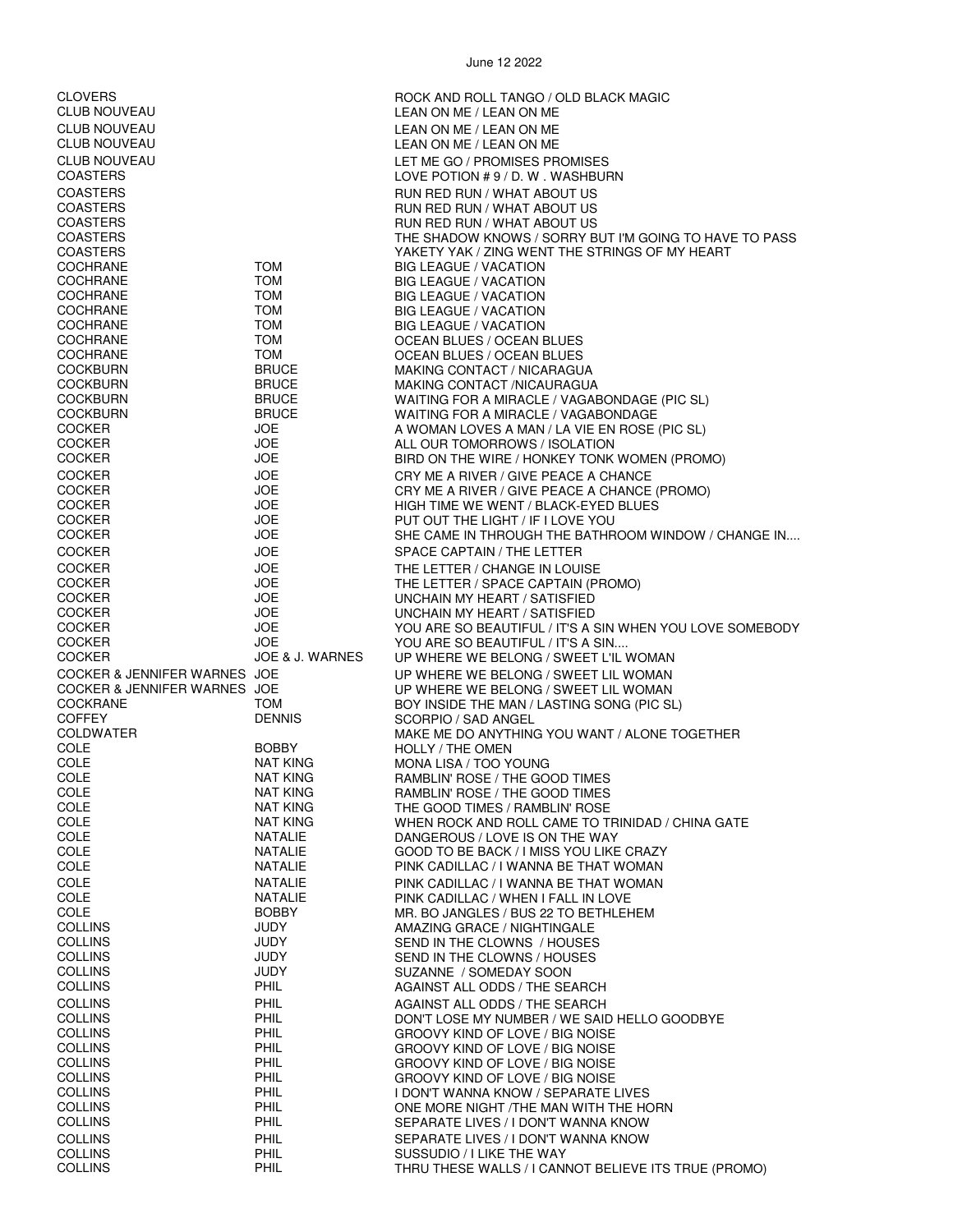| <b>CLOVERS</b>                     |                                    | ROCK AND ROLL TANGO / OLD BLACK MAGIC                                                 |
|------------------------------------|------------------------------------|---------------------------------------------------------------------------------------|
| <b>CLUB NOUVEAU</b>                |                                    | LEAN ON ME / LEAN ON ME                                                               |
| <b>CLUB NOUVEAU</b>                |                                    | LEAN ON ME / LEAN ON ME                                                               |
| <b>CLUB NOUVEAU</b>                |                                    | LEAN ON ME / LEAN ON ME                                                               |
| <b>CLUB NOUVEAU</b>                |                                    | LET ME GO / PROMISES PROMISES                                                         |
| <b>COASTERS</b>                    |                                    | LOVE POTION #9/D.W. WASHBURN                                                          |
| <b>COASTERS</b>                    |                                    | RUN RED RUN / WHAT ABOUT US                                                           |
| <b>COASTERS</b>                    |                                    | RUN RED RUN / WHAT ABOUT US                                                           |
| <b>COASTERS</b><br><b>COASTERS</b> |                                    | RUN RED RUN / WHAT ABOUT US<br>THE SHADOW KNOWS / SORRY BUT I'M GOING TO HAVE TO PASS |
| <b>COASTERS</b>                    |                                    | YAKETY YAK / ZING WENT THE STRINGS OF MY HEART                                        |
| COCHRANE                           | <b>TOM</b>                         | <b>BIG LEAGUE / VACATION</b>                                                          |
| <b>COCHRANE</b>                    | <b>TOM</b>                         | <b>BIG LEAGUE / VACATION</b>                                                          |
| <b>COCHRANE</b>                    | <b>TOM</b>                         | <b>BIG LEAGUE / VACATION</b>                                                          |
| COCHRANE                           | <b>TOM</b>                         | <b>BIG LEAGUE / VACATION</b>                                                          |
| <b>COCHRANE</b>                    | <b>TOM</b>                         | <b>BIG LEAGUE / VACATION</b>                                                          |
| <b>COCHRANE</b>                    | <b>TOM</b>                         | OCEAN BLUES / OCEAN BLUES                                                             |
| <b>COCHRANE</b><br><b>COCKBURN</b> | <b>TOM</b><br><b>BRUCE</b>         | OCEAN BLUES / OCEAN BLUES                                                             |
| <b>COCKBURN</b>                    | <b>BRUCE</b>                       | MAKING CONTACT / NICARAGUA<br>MAKING CONTACT /NICAURAGUA                              |
| COCKBURN                           | <b>BRUCE</b>                       | WAITING FOR A MIRACLE / VAGABONDAGE (PIC SL)                                          |
| <b>COCKBURN</b>                    | <b>BRUCE</b>                       | WAITING FOR A MIRACLE / VAGABONDAGE                                                   |
| <b>COCKER</b>                      | JOE                                | A WOMAN LOVES A MAN / LA VIE EN ROSE (PIC SL)                                         |
| <b>COCKER</b>                      | <b>JOE</b>                         | ALL OUR TOMORROWS / ISOLATION                                                         |
| <b>COCKER</b>                      | <b>JOE</b>                         | BIRD ON THE WIRE / HONKEY TONK WOMEN (PROMO)                                          |
| <b>COCKER</b>                      | <b>JOE</b>                         | CRY ME A RIVER / GIVE PEACE A CHANCE                                                  |
| <b>COCKER</b>                      | <b>JOE</b>                         | CRY ME A RIVER / GIVE PEACE A CHANCE (PROMO)                                          |
| <b>COCKER</b>                      | <b>JOE</b>                         | HIGH TIME WE WENT / BLACK-EYED BLUES                                                  |
| <b>COCKER</b>                      | <b>JOE</b>                         | PUT OUT THE LIGHT / IF I LOVE YOU                                                     |
| <b>COCKER</b>                      | <b>JOE</b>                         | SHE CAME IN THROUGH THE BATHROOM WINDOW / CHANGE IN                                   |
| <b>COCKER</b>                      | <b>JOE</b>                         | SPACE CAPTAIN / THE LETTER                                                            |
| <b>COCKER</b>                      | <b>JOE</b>                         | THE LETTER / CHANGE IN LOUISE                                                         |
| <b>COCKER</b><br><b>COCKER</b>     | <b>JOE</b><br><b>JOE</b>           | THE LETTER / SPACE CAPTAIN (PROMO)                                                    |
| <b>COCKER</b>                      | <b>JOE</b>                         | UNCHAIN MY HEART / SATISFIED<br>UNCHAIN MY HEART / SATISFIED                          |
| <b>COCKER</b>                      | JOE                                | YOU ARE SO BEAUTIFUL / IT'S A SIN WHEN YOU LOVE SOMEBODY                              |
| <b>COCKER</b>                      | <b>JOE</b>                         | YOU ARE SO BEAUTIFUL / IT'S A SIN                                                     |
| <b>COCKER</b>                      | <b>JOE &amp; J. WARNES</b>         | UP WHERE WE BELONG / SWEET L'IL WOMAN                                                 |
| COCKER & JENNIFER WARNES JOE       |                                    | UP WHERE WE BELONG / SWEET LIL WOMAN                                                  |
| COCKER & JENNIFER WARNES JOE       |                                    | UP WHERE WE BELONG / SWEET LIL WOMAN                                                  |
|                                    |                                    |                                                                                       |
| <b>COCKRANE</b>                    | <b>TOM</b>                         | BOY INSIDE THE MAN / LASTING SONG (PIC SL)                                            |
| <b>COFFEY</b>                      | <b>DENNIS</b>                      | SCORPIO / SAD ANGEL                                                                   |
| <b>COLDWATER</b>                   |                                    | MAKE ME DO ANYTHING YOU WANT / ALONE TOGETHER                                         |
| COLE                               | <b>BOBBY</b>                       | HOLLY / THE OMEN                                                                      |
| COLE                               | NAT KING                           | MONA LISA / TOO YOUNG                                                                 |
| COLE                               | <b>NAT KING</b>                    | RAMBLIN' ROSE / THE GOOD TIMES                                                        |
| COLE<br><b>COLE</b>                | <b>NAT KING</b><br><b>NAT KING</b> | RAMBLIN' ROSE / THE GOOD TIMES                                                        |
| COLE                               | <b>NAT KING</b>                    | THE GOOD TIMES / RAMBLIN' ROSE<br>WHEN ROCK AND ROLL CAME TO TRINIDAD / CHINA GATE    |
| COLE                               | NATALIE                            | DANGEROUS / LOVE IS ON THE WAY                                                        |
| COLE                               | <b>NATALIE</b>                     | GOOD TO BE BACK / I MISS YOU LIKE CRAZY                                               |
| COLE                               | <b>NATALIE</b>                     | PINK CADILLAC / I WANNA BE THAT WOMAN                                                 |
| COLE                               | NATALIE                            | PINK CADILLAC / I WANNA BE THAT WOMAN                                                 |
| COLE                               | NATALIE                            | PINK CADILLAC / WHEN I FALL IN LOVE                                                   |
| COLE                               | <b>BOBBY</b>                       | MR. BO JANGLES / BUS 22 TO BETHLEHEM                                                  |
| <b>COLLINS</b>                     | <b>JUDY</b>                        | AMAZING GRACE / NIGHTINGALE                                                           |
| <b>COLLINS</b>                     | JUDY                               | SEND IN THE CLOWNS / HOUSES                                                           |
| <b>COLLINS</b>                     | <b>JUDY</b>                        | SEND IN THE CLOWNS / HOUSES                                                           |
| <b>COLLINS</b><br><b>COLLINS</b>   | <b>JUDY</b><br>PHIL                | SUZANNE / SOMEDAY SOON<br>AGAINST ALL ODDS / THE SEARCH                               |
| <b>COLLINS</b>                     |                                    |                                                                                       |
| <b>COLLINS</b>                     | PHIL<br>PHIL                       | AGAINST ALL ODDS / THE SEARCH<br>DON'T LOSE MY NUMBER / WE SAID HELLO GOODBYE         |
| <b>COLLINS</b>                     | PHIL                               | GROOVY KIND OF LOVE / BIG NOISE                                                       |
| <b>COLLINS</b>                     | PHIL                               | <b>GROOVY KIND OF LOVE / BIG NOISE</b>                                                |
| <b>COLLINS</b>                     | PHIL                               | GROOVY KIND OF LOVE / BIG NOISE                                                       |
| <b>COLLINS</b>                     | PHIL                               | GROOVY KIND OF LOVE / BIG NOISE                                                       |
| <b>COLLINS</b>                     | PHIL                               | I DON'T WANNA KNOW / SEPARATE LIVES                                                   |
| <b>COLLINS</b>                     | PHIL                               | ONE MORE NIGHT /THE MAN WITH THE HORN                                                 |
| <b>COLLINS</b>                     | PHIL                               | SEPARATE LIVES / I DON'T WANNA KNOW                                                   |
| <b>COLLINS</b>                     | PHIL                               | SEPARATE LIVES / I DON'T WANNA KNOW                                                   |
| <b>COLLINS</b><br><b>COLLINS</b>   | PHIL<br>PHIL                       | SUSSUDIO / I LIKE THE WAY<br>THRU THESE WALLS / I CANNOT BELIEVE ITS TRUE (PROMO)     |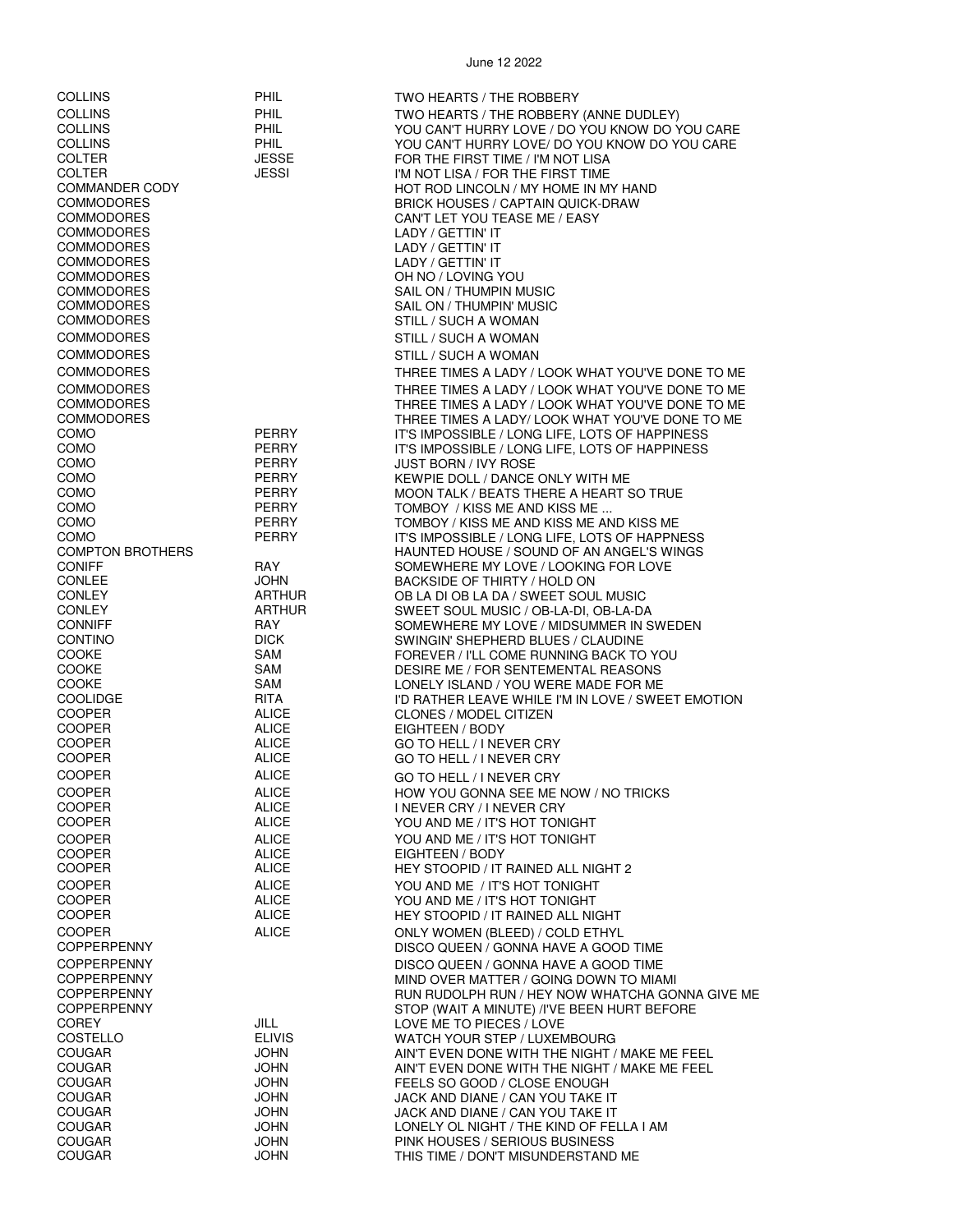| <b>PHIL</b><br><b>COLLINS</b><br>TWO HEARTS / THE ROBBERY (ANNE DUDLEY)<br>PHIL<br><b>COLLINS</b><br>YOU CAN'T HURRY LOVE / DO YOU KNOW DO YOU CARE<br><b>COLLINS</b><br><b>PHIL</b><br>YOU CAN'T HURRY LOVE/ DO YOU KNOW DO YOU CARE<br><b>COLTER</b><br><b>JESSE</b><br>FOR THE FIRST TIME / I'M NOT LISA<br><b>COLTER</b><br>JESSI<br>I'M NOT LISA / FOR THE FIRST TIME<br><b>COMMANDER CODY</b><br>HOT ROD LINCOLN / MY HOME IN MY HAND<br><b>COMMODORES</b><br><b>BRICK HOUSES / CAPTAIN QUICK-DRAW</b><br><b>COMMODORES</b><br>CAN'T LET YOU TEASE ME / EASY<br><b>COMMODORES</b><br>LADY / GETTIN' IT<br><b>COMMODORES</b><br>LADY / GETTIN' IT<br><b>COMMODORES</b><br>LADY / GETTIN' IT<br><b>COMMODORES</b><br>OH NO / LOVING YOU<br><b>COMMODORES</b><br>SAIL ON / THUMPIN MUSIC<br><b>COMMODORES</b><br>SAIL ON / THUMPIN' MUSIC<br><b>COMMODORES</b><br>STILL / SUCH A WOMAN<br><b>COMMODORES</b><br>STILL / SUCH A WOMAN<br><b>COMMODORES</b><br>STILL / SUCH A WOMAN<br><b>COMMODORES</b><br>THREE TIMES A LADY / LOOK WHAT YOU'VE DONE TO ME<br><b>COMMODORES</b><br>THREE TIMES A LADY / LOOK WHAT YOU'VE DONE TO ME<br><b>COMMODORES</b><br>THREE TIMES A LADY / LOOK WHAT YOU'VE DONE TO ME<br><b>COMMODORES</b><br>THREE TIMES A LADY/ LOOK WHAT YOU'VE DONE TO ME<br><b>COMO</b><br><b>PERRY</b><br>IT'S IMPOSSIBLE / LONG LIFE, LOTS OF HAPPINESS<br>PERRY<br>COMO<br>IT'S IMPOSSIBLE / LONG LIFE, LOTS OF HAPPINESS<br>COMO<br><b>PERRY</b><br><b>JUST BORN / IVY ROSE</b><br>COMO<br><b>PERRY</b><br>KEWPIE DOLL / DANCE ONLY WITH ME<br><b>PERRY</b><br>COMO<br>MOON TALK / BEATS THERE A HEART SO TRUE<br>COMO<br><b>PERRY</b><br>TOMBOY / KISS ME AND KISS ME<br>COMO<br><b>PERRY</b><br>TOMBOY / KISS ME AND KISS ME AND KISS ME<br>COMO<br>PERRY<br>IT'S IMPOSSIBLE / LONG LIFE, LOTS OF HAPPNESS<br><b>COMPTON BROTHERS</b><br>HAUNTED HOUSE / SOUND OF AN ANGEL'S WINGS<br><b>CONIFF</b><br>RAY<br>SOMEWHERE MY LOVE / LOOKING FOR LOVE<br><b>CONLEE</b><br>JOHN<br>BACKSIDE OF THIRTY / HOLD ON<br><b>CONLEY</b><br><b>ARTHUR</b><br>OB LA DI OB LA DA / SWEET SOUL MUSIC<br><b>CONLEY</b><br><b>ARTHUR</b><br>SWEET SOUL MUSIC / OB-LA-DI, OB-LA-DA<br><b>CONNIFF</b><br><b>RAY</b><br>SOMEWHERE MY LOVE / MIDSUMMER IN SWEDEN<br><b>DICK</b><br><b>CONTINO</b><br>SWINGIN' SHEPHERD BLUES / CLAUDINE<br><b>COOKE</b><br>SAM<br>FOREVER / I'LL COME RUNNING BACK TO YOU<br><b>COOKE</b><br>SAM<br>DESIRE ME / FOR SENTEMENTAL REASONS<br>SAM<br>COOKE<br>LONELY ISLAND / YOU WERE MADE FOR ME<br><b>COOLIDGE</b><br><b>RITA</b><br>I'D RATHER LEAVE WHILE I'M IN LOVE / SWEET EMOTION<br><b>COOPER</b><br><b>ALICE</b><br><b>CLONES / MODEL CITIZEN</b><br><b>COOPER</b><br><b>ALICE</b><br>EIGHTEEN / BODY<br><b>COOPER</b><br><b>ALICE</b><br>GO TO HELL / I NEVER CRY<br><b>COOPER</b><br><b>ALICE</b><br>GO TO HELL / I NEVER CRY<br><b>COOPER</b><br><b>ALICE</b><br>GO TO HELL / I NEVER CRY<br><b>COOPER</b><br><b>ALICE</b><br>HOW YOU GONNA SEE ME NOW / NO TRICKS<br><b>COOPER</b><br><b>ALICE</b><br><b>INEVER CRY / INEVER CRY</b><br><b>COOPER</b><br><b>ALICE</b><br>YOU AND ME / IT'S HOT TONIGHT<br><b>COOPER</b><br><b>ALICE</b><br>YOU AND ME / IT'S HOT TONIGHT<br>ALICE<br>EIGHTEEN / BODY<br><b>ALICE</b><br>HEY STOOPID / IT RAINED ALL NIGHT 2<br><b>COOPER</b><br><b>ALICE</b><br>YOU AND ME / IT'S HOT TONIGHT<br><b>COOPER</b><br><b>ALICE</b><br>YOU AND ME / IT'S HOT TONIGHT<br><b>COOPER</b><br><b>ALICE</b><br>HEY STOOPID / IT RAINED ALL NIGHT<br><b>COOPER</b><br><b>ALICE</b><br>ONLY WOMEN (BLEED) / COLD ETHYL<br><b>COPPERPENNY</b><br>DISCO QUEEN / GONNA HAVE A GOOD TIME<br><b>COPPERPENNY</b><br>DISCO QUEEN / GONNA HAVE A GOOD TIME<br><b>COPPERPENNY</b><br>MIND OVER MATTER / GOING DOWN TO MIAMI<br><b>COPPERPENNY</b><br>RUN RUDOLPH RUN / HEY NOW WHATCHA GONNA GIVE ME<br><b>COPPERPENNY</b><br>STOP (WAIT A MINUTE) /I'VE BEEN HURT BEFORE<br><b>COREY</b><br>JILL<br>LOVE ME TO PIECES / LOVE<br><b>ELIVIS</b><br>COSTELLO<br>WATCH YOUR STEP / LUXEMBOURG<br>JOHN<br><b>COUGAR</b><br>AIN'T EVEN DONE WITH THE NIGHT / MAKE ME FEEL<br><b>COUGAR</b><br>JOHN<br>AIN'T EVEN DONE WITH THE NIGHT / MAKE ME FEEL<br><b>COUGAR</b><br>JOHN<br>FEELS SO GOOD / CLOSE ENOUGH<br><b>JOHN</b><br>JACK AND DIANE / CAN YOU TAKE IT<br><b>COUGAR</b><br>JOHN<br>JACK AND DIANE / CAN YOU TAKE IT<br><b>COUGAR</b><br><b>JOHN</b><br>LONELY OL NIGHT / THE KIND OF FELLA I AM<br><b>COUGAR</b><br>JOHN<br>PINK HOUSES / SERIOUS BUSINESS | <b>COLLINS</b> | PHIL | TWO HEARTS / THE ROBBERY           |
|---------------------------------------------------------------------------------------------------------------------------------------------------------------------------------------------------------------------------------------------------------------------------------------------------------------------------------------------------------------------------------------------------------------------------------------------------------------------------------------------------------------------------------------------------------------------------------------------------------------------------------------------------------------------------------------------------------------------------------------------------------------------------------------------------------------------------------------------------------------------------------------------------------------------------------------------------------------------------------------------------------------------------------------------------------------------------------------------------------------------------------------------------------------------------------------------------------------------------------------------------------------------------------------------------------------------------------------------------------------------------------------------------------------------------------------------------------------------------------------------------------------------------------------------------------------------------------------------------------------------------------------------------------------------------------------------------------------------------------------------------------------------------------------------------------------------------------------------------------------------------------------------------------------------------------------------------------------------------------------------------------------------------------------------------------------------------------------------------------------------------------------------------------------------------------------------------------------------------------------------------------------------------------------------------------------------------------------------------------------------------------------------------------------------------------------------------------------------------------------------------------------------------------------------------------------------------------------------------------------------------------------------------------------------------------------------------------------------------------------------------------------------------------------------------------------------------------------------------------------------------------------------------------------------------------------------------------------------------------------------------------------------------------------------------------------------------------------------------------------------------------------------------------------------------------------------------------------------------------------------------------------------------------------------------------------------------------------------------------------------------------------------------------------------------------------------------------------------------------------------------------------------------------------------------------------------------------------------------------------------------------------------------------------------------------------------------------------------------------------------------------------------------------------------------------------------------------------------------------------------------------------------------------------------------------------------------------------------------------------------------------------------------------------------------------------------------------------------------------------------------------------------------------------------------------------------------------------------------------------------------------------------------------------------------------------------------------------------------------------------------------------------------------------------------------------------------------------------------------------------------------------------|----------------|------|------------------------------------|
|                                                                                                                                                                                                                                                                                                                                                                                                                                                                                                                                                                                                                                                                                                                                                                                                                                                                                                                                                                                                                                                                                                                                                                                                                                                                                                                                                                                                                                                                                                                                                                                                                                                                                                                                                                                                                                                                                                                                                                                                                                                                                                                                                                                                                                                                                                                                                                                                                                                                                                                                                                                                                                                                                                                                                                                                                                                                                                                                                                                                                                                                                                                                                                                                                                                                                                                                                                                                                                                                                                                                                                                                                                                                                                                                                                                                                                                                                                                                                                                                                                                                                                                                                                                                                                                                                                                                                                                                                                                                                                                     |                |      |                                    |
|                                                                                                                                                                                                                                                                                                                                                                                                                                                                                                                                                                                                                                                                                                                                                                                                                                                                                                                                                                                                                                                                                                                                                                                                                                                                                                                                                                                                                                                                                                                                                                                                                                                                                                                                                                                                                                                                                                                                                                                                                                                                                                                                                                                                                                                                                                                                                                                                                                                                                                                                                                                                                                                                                                                                                                                                                                                                                                                                                                                                                                                                                                                                                                                                                                                                                                                                                                                                                                                                                                                                                                                                                                                                                                                                                                                                                                                                                                                                                                                                                                                                                                                                                                                                                                                                                                                                                                                                                                                                                                                     |                |      |                                    |
|                                                                                                                                                                                                                                                                                                                                                                                                                                                                                                                                                                                                                                                                                                                                                                                                                                                                                                                                                                                                                                                                                                                                                                                                                                                                                                                                                                                                                                                                                                                                                                                                                                                                                                                                                                                                                                                                                                                                                                                                                                                                                                                                                                                                                                                                                                                                                                                                                                                                                                                                                                                                                                                                                                                                                                                                                                                                                                                                                                                                                                                                                                                                                                                                                                                                                                                                                                                                                                                                                                                                                                                                                                                                                                                                                                                                                                                                                                                                                                                                                                                                                                                                                                                                                                                                                                                                                                                                                                                                                                                     |                |      |                                    |
|                                                                                                                                                                                                                                                                                                                                                                                                                                                                                                                                                                                                                                                                                                                                                                                                                                                                                                                                                                                                                                                                                                                                                                                                                                                                                                                                                                                                                                                                                                                                                                                                                                                                                                                                                                                                                                                                                                                                                                                                                                                                                                                                                                                                                                                                                                                                                                                                                                                                                                                                                                                                                                                                                                                                                                                                                                                                                                                                                                                                                                                                                                                                                                                                                                                                                                                                                                                                                                                                                                                                                                                                                                                                                                                                                                                                                                                                                                                                                                                                                                                                                                                                                                                                                                                                                                                                                                                                                                                                                                                     |                |      |                                    |
|                                                                                                                                                                                                                                                                                                                                                                                                                                                                                                                                                                                                                                                                                                                                                                                                                                                                                                                                                                                                                                                                                                                                                                                                                                                                                                                                                                                                                                                                                                                                                                                                                                                                                                                                                                                                                                                                                                                                                                                                                                                                                                                                                                                                                                                                                                                                                                                                                                                                                                                                                                                                                                                                                                                                                                                                                                                                                                                                                                                                                                                                                                                                                                                                                                                                                                                                                                                                                                                                                                                                                                                                                                                                                                                                                                                                                                                                                                                                                                                                                                                                                                                                                                                                                                                                                                                                                                                                                                                                                                                     |                |      |                                    |
|                                                                                                                                                                                                                                                                                                                                                                                                                                                                                                                                                                                                                                                                                                                                                                                                                                                                                                                                                                                                                                                                                                                                                                                                                                                                                                                                                                                                                                                                                                                                                                                                                                                                                                                                                                                                                                                                                                                                                                                                                                                                                                                                                                                                                                                                                                                                                                                                                                                                                                                                                                                                                                                                                                                                                                                                                                                                                                                                                                                                                                                                                                                                                                                                                                                                                                                                                                                                                                                                                                                                                                                                                                                                                                                                                                                                                                                                                                                                                                                                                                                                                                                                                                                                                                                                                                                                                                                                                                                                                                                     |                |      |                                    |
|                                                                                                                                                                                                                                                                                                                                                                                                                                                                                                                                                                                                                                                                                                                                                                                                                                                                                                                                                                                                                                                                                                                                                                                                                                                                                                                                                                                                                                                                                                                                                                                                                                                                                                                                                                                                                                                                                                                                                                                                                                                                                                                                                                                                                                                                                                                                                                                                                                                                                                                                                                                                                                                                                                                                                                                                                                                                                                                                                                                                                                                                                                                                                                                                                                                                                                                                                                                                                                                                                                                                                                                                                                                                                                                                                                                                                                                                                                                                                                                                                                                                                                                                                                                                                                                                                                                                                                                                                                                                                                                     |                |      |                                    |
|                                                                                                                                                                                                                                                                                                                                                                                                                                                                                                                                                                                                                                                                                                                                                                                                                                                                                                                                                                                                                                                                                                                                                                                                                                                                                                                                                                                                                                                                                                                                                                                                                                                                                                                                                                                                                                                                                                                                                                                                                                                                                                                                                                                                                                                                                                                                                                                                                                                                                                                                                                                                                                                                                                                                                                                                                                                                                                                                                                                                                                                                                                                                                                                                                                                                                                                                                                                                                                                                                                                                                                                                                                                                                                                                                                                                                                                                                                                                                                                                                                                                                                                                                                                                                                                                                                                                                                                                                                                                                                                     |                |      |                                    |
|                                                                                                                                                                                                                                                                                                                                                                                                                                                                                                                                                                                                                                                                                                                                                                                                                                                                                                                                                                                                                                                                                                                                                                                                                                                                                                                                                                                                                                                                                                                                                                                                                                                                                                                                                                                                                                                                                                                                                                                                                                                                                                                                                                                                                                                                                                                                                                                                                                                                                                                                                                                                                                                                                                                                                                                                                                                                                                                                                                                                                                                                                                                                                                                                                                                                                                                                                                                                                                                                                                                                                                                                                                                                                                                                                                                                                                                                                                                                                                                                                                                                                                                                                                                                                                                                                                                                                                                                                                                                                                                     |                |      |                                    |
|                                                                                                                                                                                                                                                                                                                                                                                                                                                                                                                                                                                                                                                                                                                                                                                                                                                                                                                                                                                                                                                                                                                                                                                                                                                                                                                                                                                                                                                                                                                                                                                                                                                                                                                                                                                                                                                                                                                                                                                                                                                                                                                                                                                                                                                                                                                                                                                                                                                                                                                                                                                                                                                                                                                                                                                                                                                                                                                                                                                                                                                                                                                                                                                                                                                                                                                                                                                                                                                                                                                                                                                                                                                                                                                                                                                                                                                                                                                                                                                                                                                                                                                                                                                                                                                                                                                                                                                                                                                                                                                     |                |      |                                    |
|                                                                                                                                                                                                                                                                                                                                                                                                                                                                                                                                                                                                                                                                                                                                                                                                                                                                                                                                                                                                                                                                                                                                                                                                                                                                                                                                                                                                                                                                                                                                                                                                                                                                                                                                                                                                                                                                                                                                                                                                                                                                                                                                                                                                                                                                                                                                                                                                                                                                                                                                                                                                                                                                                                                                                                                                                                                                                                                                                                                                                                                                                                                                                                                                                                                                                                                                                                                                                                                                                                                                                                                                                                                                                                                                                                                                                                                                                                                                                                                                                                                                                                                                                                                                                                                                                                                                                                                                                                                                                                                     |                |      |                                    |
|                                                                                                                                                                                                                                                                                                                                                                                                                                                                                                                                                                                                                                                                                                                                                                                                                                                                                                                                                                                                                                                                                                                                                                                                                                                                                                                                                                                                                                                                                                                                                                                                                                                                                                                                                                                                                                                                                                                                                                                                                                                                                                                                                                                                                                                                                                                                                                                                                                                                                                                                                                                                                                                                                                                                                                                                                                                                                                                                                                                                                                                                                                                                                                                                                                                                                                                                                                                                                                                                                                                                                                                                                                                                                                                                                                                                                                                                                                                                                                                                                                                                                                                                                                                                                                                                                                                                                                                                                                                                                                                     |                |      |                                    |
|                                                                                                                                                                                                                                                                                                                                                                                                                                                                                                                                                                                                                                                                                                                                                                                                                                                                                                                                                                                                                                                                                                                                                                                                                                                                                                                                                                                                                                                                                                                                                                                                                                                                                                                                                                                                                                                                                                                                                                                                                                                                                                                                                                                                                                                                                                                                                                                                                                                                                                                                                                                                                                                                                                                                                                                                                                                                                                                                                                                                                                                                                                                                                                                                                                                                                                                                                                                                                                                                                                                                                                                                                                                                                                                                                                                                                                                                                                                                                                                                                                                                                                                                                                                                                                                                                                                                                                                                                                                                                                                     |                |      |                                    |
|                                                                                                                                                                                                                                                                                                                                                                                                                                                                                                                                                                                                                                                                                                                                                                                                                                                                                                                                                                                                                                                                                                                                                                                                                                                                                                                                                                                                                                                                                                                                                                                                                                                                                                                                                                                                                                                                                                                                                                                                                                                                                                                                                                                                                                                                                                                                                                                                                                                                                                                                                                                                                                                                                                                                                                                                                                                                                                                                                                                                                                                                                                                                                                                                                                                                                                                                                                                                                                                                                                                                                                                                                                                                                                                                                                                                                                                                                                                                                                                                                                                                                                                                                                                                                                                                                                                                                                                                                                                                                                                     |                |      |                                    |
|                                                                                                                                                                                                                                                                                                                                                                                                                                                                                                                                                                                                                                                                                                                                                                                                                                                                                                                                                                                                                                                                                                                                                                                                                                                                                                                                                                                                                                                                                                                                                                                                                                                                                                                                                                                                                                                                                                                                                                                                                                                                                                                                                                                                                                                                                                                                                                                                                                                                                                                                                                                                                                                                                                                                                                                                                                                                                                                                                                                                                                                                                                                                                                                                                                                                                                                                                                                                                                                                                                                                                                                                                                                                                                                                                                                                                                                                                                                                                                                                                                                                                                                                                                                                                                                                                                                                                                                                                                                                                                                     |                |      |                                    |
|                                                                                                                                                                                                                                                                                                                                                                                                                                                                                                                                                                                                                                                                                                                                                                                                                                                                                                                                                                                                                                                                                                                                                                                                                                                                                                                                                                                                                                                                                                                                                                                                                                                                                                                                                                                                                                                                                                                                                                                                                                                                                                                                                                                                                                                                                                                                                                                                                                                                                                                                                                                                                                                                                                                                                                                                                                                                                                                                                                                                                                                                                                                                                                                                                                                                                                                                                                                                                                                                                                                                                                                                                                                                                                                                                                                                                                                                                                                                                                                                                                                                                                                                                                                                                                                                                                                                                                                                                                                                                                                     |                |      |                                    |
|                                                                                                                                                                                                                                                                                                                                                                                                                                                                                                                                                                                                                                                                                                                                                                                                                                                                                                                                                                                                                                                                                                                                                                                                                                                                                                                                                                                                                                                                                                                                                                                                                                                                                                                                                                                                                                                                                                                                                                                                                                                                                                                                                                                                                                                                                                                                                                                                                                                                                                                                                                                                                                                                                                                                                                                                                                                                                                                                                                                                                                                                                                                                                                                                                                                                                                                                                                                                                                                                                                                                                                                                                                                                                                                                                                                                                                                                                                                                                                                                                                                                                                                                                                                                                                                                                                                                                                                                                                                                                                                     |                |      |                                    |
|                                                                                                                                                                                                                                                                                                                                                                                                                                                                                                                                                                                                                                                                                                                                                                                                                                                                                                                                                                                                                                                                                                                                                                                                                                                                                                                                                                                                                                                                                                                                                                                                                                                                                                                                                                                                                                                                                                                                                                                                                                                                                                                                                                                                                                                                                                                                                                                                                                                                                                                                                                                                                                                                                                                                                                                                                                                                                                                                                                                                                                                                                                                                                                                                                                                                                                                                                                                                                                                                                                                                                                                                                                                                                                                                                                                                                                                                                                                                                                                                                                                                                                                                                                                                                                                                                                                                                                                                                                                                                                                     |                |      |                                    |
|                                                                                                                                                                                                                                                                                                                                                                                                                                                                                                                                                                                                                                                                                                                                                                                                                                                                                                                                                                                                                                                                                                                                                                                                                                                                                                                                                                                                                                                                                                                                                                                                                                                                                                                                                                                                                                                                                                                                                                                                                                                                                                                                                                                                                                                                                                                                                                                                                                                                                                                                                                                                                                                                                                                                                                                                                                                                                                                                                                                                                                                                                                                                                                                                                                                                                                                                                                                                                                                                                                                                                                                                                                                                                                                                                                                                                                                                                                                                                                                                                                                                                                                                                                                                                                                                                                                                                                                                                                                                                                                     |                |      |                                    |
|                                                                                                                                                                                                                                                                                                                                                                                                                                                                                                                                                                                                                                                                                                                                                                                                                                                                                                                                                                                                                                                                                                                                                                                                                                                                                                                                                                                                                                                                                                                                                                                                                                                                                                                                                                                                                                                                                                                                                                                                                                                                                                                                                                                                                                                                                                                                                                                                                                                                                                                                                                                                                                                                                                                                                                                                                                                                                                                                                                                                                                                                                                                                                                                                                                                                                                                                                                                                                                                                                                                                                                                                                                                                                                                                                                                                                                                                                                                                                                                                                                                                                                                                                                                                                                                                                                                                                                                                                                                                                                                     |                |      |                                    |
|                                                                                                                                                                                                                                                                                                                                                                                                                                                                                                                                                                                                                                                                                                                                                                                                                                                                                                                                                                                                                                                                                                                                                                                                                                                                                                                                                                                                                                                                                                                                                                                                                                                                                                                                                                                                                                                                                                                                                                                                                                                                                                                                                                                                                                                                                                                                                                                                                                                                                                                                                                                                                                                                                                                                                                                                                                                                                                                                                                                                                                                                                                                                                                                                                                                                                                                                                                                                                                                                                                                                                                                                                                                                                                                                                                                                                                                                                                                                                                                                                                                                                                                                                                                                                                                                                                                                                                                                                                                                                                                     |                |      |                                    |
|                                                                                                                                                                                                                                                                                                                                                                                                                                                                                                                                                                                                                                                                                                                                                                                                                                                                                                                                                                                                                                                                                                                                                                                                                                                                                                                                                                                                                                                                                                                                                                                                                                                                                                                                                                                                                                                                                                                                                                                                                                                                                                                                                                                                                                                                                                                                                                                                                                                                                                                                                                                                                                                                                                                                                                                                                                                                                                                                                                                                                                                                                                                                                                                                                                                                                                                                                                                                                                                                                                                                                                                                                                                                                                                                                                                                                                                                                                                                                                                                                                                                                                                                                                                                                                                                                                                                                                                                                                                                                                                     |                |      |                                    |
|                                                                                                                                                                                                                                                                                                                                                                                                                                                                                                                                                                                                                                                                                                                                                                                                                                                                                                                                                                                                                                                                                                                                                                                                                                                                                                                                                                                                                                                                                                                                                                                                                                                                                                                                                                                                                                                                                                                                                                                                                                                                                                                                                                                                                                                                                                                                                                                                                                                                                                                                                                                                                                                                                                                                                                                                                                                                                                                                                                                                                                                                                                                                                                                                                                                                                                                                                                                                                                                                                                                                                                                                                                                                                                                                                                                                                                                                                                                                                                                                                                                                                                                                                                                                                                                                                                                                                                                                                                                                                                                     |                |      |                                    |
|                                                                                                                                                                                                                                                                                                                                                                                                                                                                                                                                                                                                                                                                                                                                                                                                                                                                                                                                                                                                                                                                                                                                                                                                                                                                                                                                                                                                                                                                                                                                                                                                                                                                                                                                                                                                                                                                                                                                                                                                                                                                                                                                                                                                                                                                                                                                                                                                                                                                                                                                                                                                                                                                                                                                                                                                                                                                                                                                                                                                                                                                                                                                                                                                                                                                                                                                                                                                                                                                                                                                                                                                                                                                                                                                                                                                                                                                                                                                                                                                                                                                                                                                                                                                                                                                                                                                                                                                                                                                                                                     |                |      |                                    |
|                                                                                                                                                                                                                                                                                                                                                                                                                                                                                                                                                                                                                                                                                                                                                                                                                                                                                                                                                                                                                                                                                                                                                                                                                                                                                                                                                                                                                                                                                                                                                                                                                                                                                                                                                                                                                                                                                                                                                                                                                                                                                                                                                                                                                                                                                                                                                                                                                                                                                                                                                                                                                                                                                                                                                                                                                                                                                                                                                                                                                                                                                                                                                                                                                                                                                                                                                                                                                                                                                                                                                                                                                                                                                                                                                                                                                                                                                                                                                                                                                                                                                                                                                                                                                                                                                                                                                                                                                                                                                                                     |                |      |                                    |
|                                                                                                                                                                                                                                                                                                                                                                                                                                                                                                                                                                                                                                                                                                                                                                                                                                                                                                                                                                                                                                                                                                                                                                                                                                                                                                                                                                                                                                                                                                                                                                                                                                                                                                                                                                                                                                                                                                                                                                                                                                                                                                                                                                                                                                                                                                                                                                                                                                                                                                                                                                                                                                                                                                                                                                                                                                                                                                                                                                                                                                                                                                                                                                                                                                                                                                                                                                                                                                                                                                                                                                                                                                                                                                                                                                                                                                                                                                                                                                                                                                                                                                                                                                                                                                                                                                                                                                                                                                                                                                                     |                |      |                                    |
|                                                                                                                                                                                                                                                                                                                                                                                                                                                                                                                                                                                                                                                                                                                                                                                                                                                                                                                                                                                                                                                                                                                                                                                                                                                                                                                                                                                                                                                                                                                                                                                                                                                                                                                                                                                                                                                                                                                                                                                                                                                                                                                                                                                                                                                                                                                                                                                                                                                                                                                                                                                                                                                                                                                                                                                                                                                                                                                                                                                                                                                                                                                                                                                                                                                                                                                                                                                                                                                                                                                                                                                                                                                                                                                                                                                                                                                                                                                                                                                                                                                                                                                                                                                                                                                                                                                                                                                                                                                                                                                     |                |      |                                    |
|                                                                                                                                                                                                                                                                                                                                                                                                                                                                                                                                                                                                                                                                                                                                                                                                                                                                                                                                                                                                                                                                                                                                                                                                                                                                                                                                                                                                                                                                                                                                                                                                                                                                                                                                                                                                                                                                                                                                                                                                                                                                                                                                                                                                                                                                                                                                                                                                                                                                                                                                                                                                                                                                                                                                                                                                                                                                                                                                                                                                                                                                                                                                                                                                                                                                                                                                                                                                                                                                                                                                                                                                                                                                                                                                                                                                                                                                                                                                                                                                                                                                                                                                                                                                                                                                                                                                                                                                                                                                                                                     |                |      |                                    |
|                                                                                                                                                                                                                                                                                                                                                                                                                                                                                                                                                                                                                                                                                                                                                                                                                                                                                                                                                                                                                                                                                                                                                                                                                                                                                                                                                                                                                                                                                                                                                                                                                                                                                                                                                                                                                                                                                                                                                                                                                                                                                                                                                                                                                                                                                                                                                                                                                                                                                                                                                                                                                                                                                                                                                                                                                                                                                                                                                                                                                                                                                                                                                                                                                                                                                                                                                                                                                                                                                                                                                                                                                                                                                                                                                                                                                                                                                                                                                                                                                                                                                                                                                                                                                                                                                                                                                                                                                                                                                                                     |                |      |                                    |
|                                                                                                                                                                                                                                                                                                                                                                                                                                                                                                                                                                                                                                                                                                                                                                                                                                                                                                                                                                                                                                                                                                                                                                                                                                                                                                                                                                                                                                                                                                                                                                                                                                                                                                                                                                                                                                                                                                                                                                                                                                                                                                                                                                                                                                                                                                                                                                                                                                                                                                                                                                                                                                                                                                                                                                                                                                                                                                                                                                                                                                                                                                                                                                                                                                                                                                                                                                                                                                                                                                                                                                                                                                                                                                                                                                                                                                                                                                                                                                                                                                                                                                                                                                                                                                                                                                                                                                                                                                                                                                                     |                |      |                                    |
|                                                                                                                                                                                                                                                                                                                                                                                                                                                                                                                                                                                                                                                                                                                                                                                                                                                                                                                                                                                                                                                                                                                                                                                                                                                                                                                                                                                                                                                                                                                                                                                                                                                                                                                                                                                                                                                                                                                                                                                                                                                                                                                                                                                                                                                                                                                                                                                                                                                                                                                                                                                                                                                                                                                                                                                                                                                                                                                                                                                                                                                                                                                                                                                                                                                                                                                                                                                                                                                                                                                                                                                                                                                                                                                                                                                                                                                                                                                                                                                                                                                                                                                                                                                                                                                                                                                                                                                                                                                                                                                     |                |      |                                    |
|                                                                                                                                                                                                                                                                                                                                                                                                                                                                                                                                                                                                                                                                                                                                                                                                                                                                                                                                                                                                                                                                                                                                                                                                                                                                                                                                                                                                                                                                                                                                                                                                                                                                                                                                                                                                                                                                                                                                                                                                                                                                                                                                                                                                                                                                                                                                                                                                                                                                                                                                                                                                                                                                                                                                                                                                                                                                                                                                                                                                                                                                                                                                                                                                                                                                                                                                                                                                                                                                                                                                                                                                                                                                                                                                                                                                                                                                                                                                                                                                                                                                                                                                                                                                                                                                                                                                                                                                                                                                                                                     |                |      |                                    |
|                                                                                                                                                                                                                                                                                                                                                                                                                                                                                                                                                                                                                                                                                                                                                                                                                                                                                                                                                                                                                                                                                                                                                                                                                                                                                                                                                                                                                                                                                                                                                                                                                                                                                                                                                                                                                                                                                                                                                                                                                                                                                                                                                                                                                                                                                                                                                                                                                                                                                                                                                                                                                                                                                                                                                                                                                                                                                                                                                                                                                                                                                                                                                                                                                                                                                                                                                                                                                                                                                                                                                                                                                                                                                                                                                                                                                                                                                                                                                                                                                                                                                                                                                                                                                                                                                                                                                                                                                                                                                                                     |                |      |                                    |
|                                                                                                                                                                                                                                                                                                                                                                                                                                                                                                                                                                                                                                                                                                                                                                                                                                                                                                                                                                                                                                                                                                                                                                                                                                                                                                                                                                                                                                                                                                                                                                                                                                                                                                                                                                                                                                                                                                                                                                                                                                                                                                                                                                                                                                                                                                                                                                                                                                                                                                                                                                                                                                                                                                                                                                                                                                                                                                                                                                                                                                                                                                                                                                                                                                                                                                                                                                                                                                                                                                                                                                                                                                                                                                                                                                                                                                                                                                                                                                                                                                                                                                                                                                                                                                                                                                                                                                                                                                                                                                                     |                |      |                                    |
|                                                                                                                                                                                                                                                                                                                                                                                                                                                                                                                                                                                                                                                                                                                                                                                                                                                                                                                                                                                                                                                                                                                                                                                                                                                                                                                                                                                                                                                                                                                                                                                                                                                                                                                                                                                                                                                                                                                                                                                                                                                                                                                                                                                                                                                                                                                                                                                                                                                                                                                                                                                                                                                                                                                                                                                                                                                                                                                                                                                                                                                                                                                                                                                                                                                                                                                                                                                                                                                                                                                                                                                                                                                                                                                                                                                                                                                                                                                                                                                                                                                                                                                                                                                                                                                                                                                                                                                                                                                                                                                     |                |      |                                    |
|                                                                                                                                                                                                                                                                                                                                                                                                                                                                                                                                                                                                                                                                                                                                                                                                                                                                                                                                                                                                                                                                                                                                                                                                                                                                                                                                                                                                                                                                                                                                                                                                                                                                                                                                                                                                                                                                                                                                                                                                                                                                                                                                                                                                                                                                                                                                                                                                                                                                                                                                                                                                                                                                                                                                                                                                                                                                                                                                                                                                                                                                                                                                                                                                                                                                                                                                                                                                                                                                                                                                                                                                                                                                                                                                                                                                                                                                                                                                                                                                                                                                                                                                                                                                                                                                                                                                                                                                                                                                                                                     |                |      |                                    |
|                                                                                                                                                                                                                                                                                                                                                                                                                                                                                                                                                                                                                                                                                                                                                                                                                                                                                                                                                                                                                                                                                                                                                                                                                                                                                                                                                                                                                                                                                                                                                                                                                                                                                                                                                                                                                                                                                                                                                                                                                                                                                                                                                                                                                                                                                                                                                                                                                                                                                                                                                                                                                                                                                                                                                                                                                                                                                                                                                                                                                                                                                                                                                                                                                                                                                                                                                                                                                                                                                                                                                                                                                                                                                                                                                                                                                                                                                                                                                                                                                                                                                                                                                                                                                                                                                                                                                                                                                                                                                                                     |                |      |                                    |
|                                                                                                                                                                                                                                                                                                                                                                                                                                                                                                                                                                                                                                                                                                                                                                                                                                                                                                                                                                                                                                                                                                                                                                                                                                                                                                                                                                                                                                                                                                                                                                                                                                                                                                                                                                                                                                                                                                                                                                                                                                                                                                                                                                                                                                                                                                                                                                                                                                                                                                                                                                                                                                                                                                                                                                                                                                                                                                                                                                                                                                                                                                                                                                                                                                                                                                                                                                                                                                                                                                                                                                                                                                                                                                                                                                                                                                                                                                                                                                                                                                                                                                                                                                                                                                                                                                                                                                                                                                                                                                                     |                |      |                                    |
|                                                                                                                                                                                                                                                                                                                                                                                                                                                                                                                                                                                                                                                                                                                                                                                                                                                                                                                                                                                                                                                                                                                                                                                                                                                                                                                                                                                                                                                                                                                                                                                                                                                                                                                                                                                                                                                                                                                                                                                                                                                                                                                                                                                                                                                                                                                                                                                                                                                                                                                                                                                                                                                                                                                                                                                                                                                                                                                                                                                                                                                                                                                                                                                                                                                                                                                                                                                                                                                                                                                                                                                                                                                                                                                                                                                                                                                                                                                                                                                                                                                                                                                                                                                                                                                                                                                                                                                                                                                                                                                     |                |      |                                    |
|                                                                                                                                                                                                                                                                                                                                                                                                                                                                                                                                                                                                                                                                                                                                                                                                                                                                                                                                                                                                                                                                                                                                                                                                                                                                                                                                                                                                                                                                                                                                                                                                                                                                                                                                                                                                                                                                                                                                                                                                                                                                                                                                                                                                                                                                                                                                                                                                                                                                                                                                                                                                                                                                                                                                                                                                                                                                                                                                                                                                                                                                                                                                                                                                                                                                                                                                                                                                                                                                                                                                                                                                                                                                                                                                                                                                                                                                                                                                                                                                                                                                                                                                                                                                                                                                                                                                                                                                                                                                                                                     |                |      |                                    |
|                                                                                                                                                                                                                                                                                                                                                                                                                                                                                                                                                                                                                                                                                                                                                                                                                                                                                                                                                                                                                                                                                                                                                                                                                                                                                                                                                                                                                                                                                                                                                                                                                                                                                                                                                                                                                                                                                                                                                                                                                                                                                                                                                                                                                                                                                                                                                                                                                                                                                                                                                                                                                                                                                                                                                                                                                                                                                                                                                                                                                                                                                                                                                                                                                                                                                                                                                                                                                                                                                                                                                                                                                                                                                                                                                                                                                                                                                                                                                                                                                                                                                                                                                                                                                                                                                                                                                                                                                                                                                                                     |                |      |                                    |
|                                                                                                                                                                                                                                                                                                                                                                                                                                                                                                                                                                                                                                                                                                                                                                                                                                                                                                                                                                                                                                                                                                                                                                                                                                                                                                                                                                                                                                                                                                                                                                                                                                                                                                                                                                                                                                                                                                                                                                                                                                                                                                                                                                                                                                                                                                                                                                                                                                                                                                                                                                                                                                                                                                                                                                                                                                                                                                                                                                                                                                                                                                                                                                                                                                                                                                                                                                                                                                                                                                                                                                                                                                                                                                                                                                                                                                                                                                                                                                                                                                                                                                                                                                                                                                                                                                                                                                                                                                                                                                                     |                |      |                                    |
|                                                                                                                                                                                                                                                                                                                                                                                                                                                                                                                                                                                                                                                                                                                                                                                                                                                                                                                                                                                                                                                                                                                                                                                                                                                                                                                                                                                                                                                                                                                                                                                                                                                                                                                                                                                                                                                                                                                                                                                                                                                                                                                                                                                                                                                                                                                                                                                                                                                                                                                                                                                                                                                                                                                                                                                                                                                                                                                                                                                                                                                                                                                                                                                                                                                                                                                                                                                                                                                                                                                                                                                                                                                                                                                                                                                                                                                                                                                                                                                                                                                                                                                                                                                                                                                                                                                                                                                                                                                                                                                     |                |      |                                    |
|                                                                                                                                                                                                                                                                                                                                                                                                                                                                                                                                                                                                                                                                                                                                                                                                                                                                                                                                                                                                                                                                                                                                                                                                                                                                                                                                                                                                                                                                                                                                                                                                                                                                                                                                                                                                                                                                                                                                                                                                                                                                                                                                                                                                                                                                                                                                                                                                                                                                                                                                                                                                                                                                                                                                                                                                                                                                                                                                                                                                                                                                                                                                                                                                                                                                                                                                                                                                                                                                                                                                                                                                                                                                                                                                                                                                                                                                                                                                                                                                                                                                                                                                                                                                                                                                                                                                                                                                                                                                                                                     |                |      |                                    |
|                                                                                                                                                                                                                                                                                                                                                                                                                                                                                                                                                                                                                                                                                                                                                                                                                                                                                                                                                                                                                                                                                                                                                                                                                                                                                                                                                                                                                                                                                                                                                                                                                                                                                                                                                                                                                                                                                                                                                                                                                                                                                                                                                                                                                                                                                                                                                                                                                                                                                                                                                                                                                                                                                                                                                                                                                                                                                                                                                                                                                                                                                                                                                                                                                                                                                                                                                                                                                                                                                                                                                                                                                                                                                                                                                                                                                                                                                                                                                                                                                                                                                                                                                                                                                                                                                                                                                                                                                                                                                                                     |                |      |                                    |
|                                                                                                                                                                                                                                                                                                                                                                                                                                                                                                                                                                                                                                                                                                                                                                                                                                                                                                                                                                                                                                                                                                                                                                                                                                                                                                                                                                                                                                                                                                                                                                                                                                                                                                                                                                                                                                                                                                                                                                                                                                                                                                                                                                                                                                                                                                                                                                                                                                                                                                                                                                                                                                                                                                                                                                                                                                                                                                                                                                                                                                                                                                                                                                                                                                                                                                                                                                                                                                                                                                                                                                                                                                                                                                                                                                                                                                                                                                                                                                                                                                                                                                                                                                                                                                                                                                                                                                                                                                                                                                                     |                |      |                                    |
|                                                                                                                                                                                                                                                                                                                                                                                                                                                                                                                                                                                                                                                                                                                                                                                                                                                                                                                                                                                                                                                                                                                                                                                                                                                                                                                                                                                                                                                                                                                                                                                                                                                                                                                                                                                                                                                                                                                                                                                                                                                                                                                                                                                                                                                                                                                                                                                                                                                                                                                                                                                                                                                                                                                                                                                                                                                                                                                                                                                                                                                                                                                                                                                                                                                                                                                                                                                                                                                                                                                                                                                                                                                                                                                                                                                                                                                                                                                                                                                                                                                                                                                                                                                                                                                                                                                                                                                                                                                                                                                     | <b>COOPER</b>  |      |                                    |
|                                                                                                                                                                                                                                                                                                                                                                                                                                                                                                                                                                                                                                                                                                                                                                                                                                                                                                                                                                                                                                                                                                                                                                                                                                                                                                                                                                                                                                                                                                                                                                                                                                                                                                                                                                                                                                                                                                                                                                                                                                                                                                                                                                                                                                                                                                                                                                                                                                                                                                                                                                                                                                                                                                                                                                                                                                                                                                                                                                                                                                                                                                                                                                                                                                                                                                                                                                                                                                                                                                                                                                                                                                                                                                                                                                                                                                                                                                                                                                                                                                                                                                                                                                                                                                                                                                                                                                                                                                                                                                                     | <b>COOPER</b>  |      |                                    |
|                                                                                                                                                                                                                                                                                                                                                                                                                                                                                                                                                                                                                                                                                                                                                                                                                                                                                                                                                                                                                                                                                                                                                                                                                                                                                                                                                                                                                                                                                                                                                                                                                                                                                                                                                                                                                                                                                                                                                                                                                                                                                                                                                                                                                                                                                                                                                                                                                                                                                                                                                                                                                                                                                                                                                                                                                                                                                                                                                                                                                                                                                                                                                                                                                                                                                                                                                                                                                                                                                                                                                                                                                                                                                                                                                                                                                                                                                                                                                                                                                                                                                                                                                                                                                                                                                                                                                                                                                                                                                                                     |                |      |                                    |
|                                                                                                                                                                                                                                                                                                                                                                                                                                                                                                                                                                                                                                                                                                                                                                                                                                                                                                                                                                                                                                                                                                                                                                                                                                                                                                                                                                                                                                                                                                                                                                                                                                                                                                                                                                                                                                                                                                                                                                                                                                                                                                                                                                                                                                                                                                                                                                                                                                                                                                                                                                                                                                                                                                                                                                                                                                                                                                                                                                                                                                                                                                                                                                                                                                                                                                                                                                                                                                                                                                                                                                                                                                                                                                                                                                                                                                                                                                                                                                                                                                                                                                                                                                                                                                                                                                                                                                                                                                                                                                                     |                |      |                                    |
|                                                                                                                                                                                                                                                                                                                                                                                                                                                                                                                                                                                                                                                                                                                                                                                                                                                                                                                                                                                                                                                                                                                                                                                                                                                                                                                                                                                                                                                                                                                                                                                                                                                                                                                                                                                                                                                                                                                                                                                                                                                                                                                                                                                                                                                                                                                                                                                                                                                                                                                                                                                                                                                                                                                                                                                                                                                                                                                                                                                                                                                                                                                                                                                                                                                                                                                                                                                                                                                                                                                                                                                                                                                                                                                                                                                                                                                                                                                                                                                                                                                                                                                                                                                                                                                                                                                                                                                                                                                                                                                     |                |      |                                    |
|                                                                                                                                                                                                                                                                                                                                                                                                                                                                                                                                                                                                                                                                                                                                                                                                                                                                                                                                                                                                                                                                                                                                                                                                                                                                                                                                                                                                                                                                                                                                                                                                                                                                                                                                                                                                                                                                                                                                                                                                                                                                                                                                                                                                                                                                                                                                                                                                                                                                                                                                                                                                                                                                                                                                                                                                                                                                                                                                                                                                                                                                                                                                                                                                                                                                                                                                                                                                                                                                                                                                                                                                                                                                                                                                                                                                                                                                                                                                                                                                                                                                                                                                                                                                                                                                                                                                                                                                                                                                                                                     |                |      |                                    |
|                                                                                                                                                                                                                                                                                                                                                                                                                                                                                                                                                                                                                                                                                                                                                                                                                                                                                                                                                                                                                                                                                                                                                                                                                                                                                                                                                                                                                                                                                                                                                                                                                                                                                                                                                                                                                                                                                                                                                                                                                                                                                                                                                                                                                                                                                                                                                                                                                                                                                                                                                                                                                                                                                                                                                                                                                                                                                                                                                                                                                                                                                                                                                                                                                                                                                                                                                                                                                                                                                                                                                                                                                                                                                                                                                                                                                                                                                                                                                                                                                                                                                                                                                                                                                                                                                                                                                                                                                                                                                                                     |                |      |                                    |
|                                                                                                                                                                                                                                                                                                                                                                                                                                                                                                                                                                                                                                                                                                                                                                                                                                                                                                                                                                                                                                                                                                                                                                                                                                                                                                                                                                                                                                                                                                                                                                                                                                                                                                                                                                                                                                                                                                                                                                                                                                                                                                                                                                                                                                                                                                                                                                                                                                                                                                                                                                                                                                                                                                                                                                                                                                                                                                                                                                                                                                                                                                                                                                                                                                                                                                                                                                                                                                                                                                                                                                                                                                                                                                                                                                                                                                                                                                                                                                                                                                                                                                                                                                                                                                                                                                                                                                                                                                                                                                                     |                |      |                                    |
|                                                                                                                                                                                                                                                                                                                                                                                                                                                                                                                                                                                                                                                                                                                                                                                                                                                                                                                                                                                                                                                                                                                                                                                                                                                                                                                                                                                                                                                                                                                                                                                                                                                                                                                                                                                                                                                                                                                                                                                                                                                                                                                                                                                                                                                                                                                                                                                                                                                                                                                                                                                                                                                                                                                                                                                                                                                                                                                                                                                                                                                                                                                                                                                                                                                                                                                                                                                                                                                                                                                                                                                                                                                                                                                                                                                                                                                                                                                                                                                                                                                                                                                                                                                                                                                                                                                                                                                                                                                                                                                     |                |      |                                    |
|                                                                                                                                                                                                                                                                                                                                                                                                                                                                                                                                                                                                                                                                                                                                                                                                                                                                                                                                                                                                                                                                                                                                                                                                                                                                                                                                                                                                                                                                                                                                                                                                                                                                                                                                                                                                                                                                                                                                                                                                                                                                                                                                                                                                                                                                                                                                                                                                                                                                                                                                                                                                                                                                                                                                                                                                                                                                                                                                                                                                                                                                                                                                                                                                                                                                                                                                                                                                                                                                                                                                                                                                                                                                                                                                                                                                                                                                                                                                                                                                                                                                                                                                                                                                                                                                                                                                                                                                                                                                                                                     |                |      |                                    |
|                                                                                                                                                                                                                                                                                                                                                                                                                                                                                                                                                                                                                                                                                                                                                                                                                                                                                                                                                                                                                                                                                                                                                                                                                                                                                                                                                                                                                                                                                                                                                                                                                                                                                                                                                                                                                                                                                                                                                                                                                                                                                                                                                                                                                                                                                                                                                                                                                                                                                                                                                                                                                                                                                                                                                                                                                                                                                                                                                                                                                                                                                                                                                                                                                                                                                                                                                                                                                                                                                                                                                                                                                                                                                                                                                                                                                                                                                                                                                                                                                                                                                                                                                                                                                                                                                                                                                                                                                                                                                                                     |                |      |                                    |
|                                                                                                                                                                                                                                                                                                                                                                                                                                                                                                                                                                                                                                                                                                                                                                                                                                                                                                                                                                                                                                                                                                                                                                                                                                                                                                                                                                                                                                                                                                                                                                                                                                                                                                                                                                                                                                                                                                                                                                                                                                                                                                                                                                                                                                                                                                                                                                                                                                                                                                                                                                                                                                                                                                                                                                                                                                                                                                                                                                                                                                                                                                                                                                                                                                                                                                                                                                                                                                                                                                                                                                                                                                                                                                                                                                                                                                                                                                                                                                                                                                                                                                                                                                                                                                                                                                                                                                                                                                                                                                                     |                |      |                                    |
|                                                                                                                                                                                                                                                                                                                                                                                                                                                                                                                                                                                                                                                                                                                                                                                                                                                                                                                                                                                                                                                                                                                                                                                                                                                                                                                                                                                                                                                                                                                                                                                                                                                                                                                                                                                                                                                                                                                                                                                                                                                                                                                                                                                                                                                                                                                                                                                                                                                                                                                                                                                                                                                                                                                                                                                                                                                                                                                                                                                                                                                                                                                                                                                                                                                                                                                                                                                                                                                                                                                                                                                                                                                                                                                                                                                                                                                                                                                                                                                                                                                                                                                                                                                                                                                                                                                                                                                                                                                                                                                     |                |      |                                    |
|                                                                                                                                                                                                                                                                                                                                                                                                                                                                                                                                                                                                                                                                                                                                                                                                                                                                                                                                                                                                                                                                                                                                                                                                                                                                                                                                                                                                                                                                                                                                                                                                                                                                                                                                                                                                                                                                                                                                                                                                                                                                                                                                                                                                                                                                                                                                                                                                                                                                                                                                                                                                                                                                                                                                                                                                                                                                                                                                                                                                                                                                                                                                                                                                                                                                                                                                                                                                                                                                                                                                                                                                                                                                                                                                                                                                                                                                                                                                                                                                                                                                                                                                                                                                                                                                                                                                                                                                                                                                                                                     |                |      |                                    |
|                                                                                                                                                                                                                                                                                                                                                                                                                                                                                                                                                                                                                                                                                                                                                                                                                                                                                                                                                                                                                                                                                                                                                                                                                                                                                                                                                                                                                                                                                                                                                                                                                                                                                                                                                                                                                                                                                                                                                                                                                                                                                                                                                                                                                                                                                                                                                                                                                                                                                                                                                                                                                                                                                                                                                                                                                                                                                                                                                                                                                                                                                                                                                                                                                                                                                                                                                                                                                                                                                                                                                                                                                                                                                                                                                                                                                                                                                                                                                                                                                                                                                                                                                                                                                                                                                                                                                                                                                                                                                                                     |                |      |                                    |
|                                                                                                                                                                                                                                                                                                                                                                                                                                                                                                                                                                                                                                                                                                                                                                                                                                                                                                                                                                                                                                                                                                                                                                                                                                                                                                                                                                                                                                                                                                                                                                                                                                                                                                                                                                                                                                                                                                                                                                                                                                                                                                                                                                                                                                                                                                                                                                                                                                                                                                                                                                                                                                                                                                                                                                                                                                                                                                                                                                                                                                                                                                                                                                                                                                                                                                                                                                                                                                                                                                                                                                                                                                                                                                                                                                                                                                                                                                                                                                                                                                                                                                                                                                                                                                                                                                                                                                                                                                                                                                                     | <b>COUGAR</b>  |      |                                    |
|                                                                                                                                                                                                                                                                                                                                                                                                                                                                                                                                                                                                                                                                                                                                                                                                                                                                                                                                                                                                                                                                                                                                                                                                                                                                                                                                                                                                                                                                                                                                                                                                                                                                                                                                                                                                                                                                                                                                                                                                                                                                                                                                                                                                                                                                                                                                                                                                                                                                                                                                                                                                                                                                                                                                                                                                                                                                                                                                                                                                                                                                                                                                                                                                                                                                                                                                                                                                                                                                                                                                                                                                                                                                                                                                                                                                                                                                                                                                                                                                                                                                                                                                                                                                                                                                                                                                                                                                                                                                                                                     |                |      |                                    |
|                                                                                                                                                                                                                                                                                                                                                                                                                                                                                                                                                                                                                                                                                                                                                                                                                                                                                                                                                                                                                                                                                                                                                                                                                                                                                                                                                                                                                                                                                                                                                                                                                                                                                                                                                                                                                                                                                                                                                                                                                                                                                                                                                                                                                                                                                                                                                                                                                                                                                                                                                                                                                                                                                                                                                                                                                                                                                                                                                                                                                                                                                                                                                                                                                                                                                                                                                                                                                                                                                                                                                                                                                                                                                                                                                                                                                                                                                                                                                                                                                                                                                                                                                                                                                                                                                                                                                                                                                                                                                                                     |                |      |                                    |
|                                                                                                                                                                                                                                                                                                                                                                                                                                                                                                                                                                                                                                                                                                                                                                                                                                                                                                                                                                                                                                                                                                                                                                                                                                                                                                                                                                                                                                                                                                                                                                                                                                                                                                                                                                                                                                                                                                                                                                                                                                                                                                                                                                                                                                                                                                                                                                                                                                                                                                                                                                                                                                                                                                                                                                                                                                                                                                                                                                                                                                                                                                                                                                                                                                                                                                                                                                                                                                                                                                                                                                                                                                                                                                                                                                                                                                                                                                                                                                                                                                                                                                                                                                                                                                                                                                                                                                                                                                                                                                                     | <b>COUGAR</b>  | JOHN | THIS TIME / DON'T MISUNDERSTAND ME |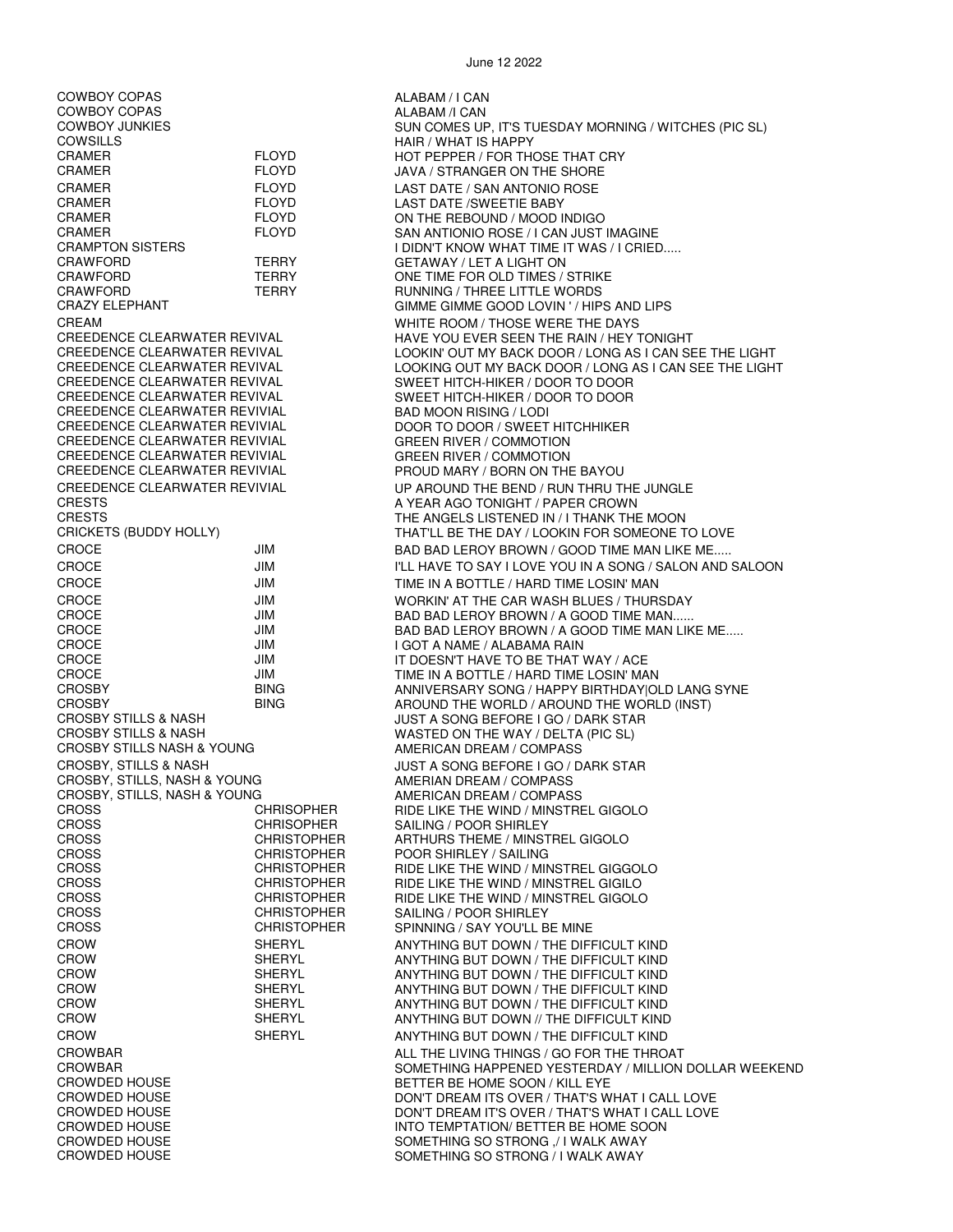COWBOY COPAS ALABAM / I CAN COWBOY COPAS ALABAM /I CAN CRAMER FLOYD FLOYD HOT PEPPER / FOR THOSE THAT CRY CRAMER FLOYD JAVA / STRANGER ON THE SHORE CRAMER FLOYD LAST DATE / SAN ANTONIO ROSE CRAMER FLOYD LAST DATE /SWEETIE BABY CRAWFORD TERRY GETAWAY / LET A LIGHT ON CRAWFORD TERRY CRAWFORD CRAWFORD TERRY ONE TIME FOR OLD TIMES / STRIKE CRAWFORD TERRY RUNNING / THREE LITTLE WORDS<br>CRAZY ELEPHANT CRAZY CIMME GIMME GOOD LOVIN ' / HIP CREEDENCE CLEARWATER REVIVAL SWEET HITCH-HIKER / DOOR TO DOOR CREEDENCE CLEARWATER REVIVIAL<br>CREEDENCE CLEARWATER REVIVIAL CREEDENCE CLEARWATER REVIVIAL GREEN RIVER / COMMOTION CREEDENCE CLEARWATER REVIVIAL GREEN RIVER / COMMOTION CREEDENCE CLEARWATER REVIVIAL PROUD MARY / BORN ON THE BAYOU CRESTS **A YEAR AGO TONIGHT / PAPER CROWN** CROCE JIM JIM I GOT A NAME / ALABAMA RAIN CROSBY STILLS & NASH WASTED ON THE WAY / DELTA (PIC SL) CROSBY STILLS NASH & YOUNG AMERICAN DREAM / COMPASS CROSBY, STILLS, NASH & YOUNG AMERIAN DREAM / COMPASS CROSBY, STILLS, NASH & YOUNG AMERICAN DREAM / COMPASS<br>CROSS CROSS CROSS CROSS CHRISOPHER RIDE LIKE THE WIND / MINSTRI CROSS CHRISOPHER SAILING / POOR SHIRLEY<br>CROSS CHRISTOPHER ARTHURS THEME / MINST CROSS CHRISTOPHER ARTHURS THEME / MINSTREL GIGOLO CROSS CHRISTOPHER SPINNING / SAY YOU'LL BE MINE CROWDED HOUSE THE SAME SOON OF THE BETTER BE HOME SOON / KILL EYE<br>CROWDED HOUSE THAT'S WELL EXPLOSIVE THAT'S WELL ASSESS TO A READ TO DON'T DREAM ITS OVER / THAT'S W

CROWDED HOUSE **SOMETHING SO STRONG / I WALK AWAY** 

COWBOY JUNKIES GOW SUN COMES UP, IT'S TUESDAY MORNING / WITCHES (PIC SL)<br>COWSILLS HAIR / WHAT IS HAPPY FLOYD ON THE REBOUND / MOOD INDIGO CRAMER FLOYD SAN ANTIONIO ROSE / I CAN JUST IMAGINE I DIDN'T KNOW WHAT TIME IT WAS / I CRIED..... GIMME GIMME GOOD LOVIN ' / HIPS AND LIPS CREAM CREAM CREAM WHITE ROOM / THOSE WERE THE DAYS<br>CREEDENCE CLEARWATER REVIVAL CREED HAVE YOU FVER SEEN THE RAIN / HEY CREEDENCE CLEARWATER REVIVAL HAVE YOU EVER SEEN THE RAIN / HEY TONIGHT CREEDENCE CLEARWATER REVIVAL LOOKIN' OUT MY BACK DOOR / LONG AS I CAN SEE THE LIGHT<br>CREEDENCE CLEARWATER REVIVAL LOOKING OUT MY BACK DOOR / LONG AS I CAN SEE THE LIGHT CREEDENCE CLEARWATER REVIVAL LOOKING OUT MY BACK DOOR / LONG AS I CAN SEE THE LIGHT SWEET HITCH-HIKER / DOOR TO DOOR DOOR TO DOOR / SWEET HITCHHIKER CREEDENCE CLEARWATER REVIVIAL UP AROUND THE BEND / RUN THRU THE JUNGLE CRESTS THE ANGELS LISTENED IN / I THANK THE MOON CRICKETS (BUDDY HOLLY) THAT'LL BE THE DAY / LOOKIN FOR SOMEONE TO LOVE CROCE **The STATE STATE OF STATE AND STATE ASSESS** BROWN IS GOOD TIME MAN LIKE ME..... CROCE JIM JIM I'LL HAVE TO SAY I LOVE YOU IN A SONG / SALON AND SALOON CROCE **TIME IN A BOTTLE / HARD TIME LOSIN' MAN** CROCE THE CAR WASH BLUES / THURSDAY<br>CROCE THE CAR WASH BLUES / THURSDAY<br>JIM BAD BAD LEROY BROWN / A GOOD TIME MAN...... CROCE JIM BAD BAD LEROY BROWN / A GOOD TIME MAN...... BAD BAD LEROY BROWN / A GOOD TIME MAN LIKE ME..... CROCE JIM IT DOESN'T HAVE TO BE THAT WAY / ACE TIME IN A BOTTLE / HARD TIME LOSIN' MAN CROSBY BING ANNIVERSARY SONG / HAPPY BIRTHDAY|OLD LANG SYNE CROSBY BING AROUND THE WORLD / AROUND THE WORLD (INST) JUST A SONG BEFORE I GO / DARK STAR CROSBY, STILLS & NASH  $JUST A$  SONG BEFORE I GO / DARK STAR RIDE LIKE THE WIND / MINSTREL GIGOLO POOR SHIRLEY / SAILING CROSS CHRISTOPHER RIDE LIKE THE WIND / MINSTREL GIGGOLO<br>CROSS CHRISTOPHER RIDE LIKE THE WIND / MINSTREL GIGILO RIDE LIKE THE WIND / MINSTREL GIGILO CROSS CHRISTOPHER RIDE LIKE THE WIND / MINSTREL GIGOLO<br>CROSS CHRISTOPHER SAILING / POOR SHIRI FY CHRISTOPHER SAILING / POOR SHIRLEY<br>CHRISTOPHER SPINNING / SAY YOU'LL E CROW SHERYL ANYTHING BUT DOWN / THE DIFFICULT KIND CROW SHERYL ANYTHING BUT DOWN / THE DIFFICULT KIND ANYTHING BUT DOWN / THE DIFFICULT KIND CROW SHERYL ANYTHING BUT DOWN / THE DIFFICULT KIND CROW SHERYL ANYTHING BUT DOWN / THE DIFFICULT KIND ANYTHING BUT DOWN // THE DIFFICULT KIND CROW SHERYL ANYTHING BUT DOWN / THE DIFFICULT KIND CROWBAR ALL THE LIVING THINGS / GO FOR THE THROAT SOMETHING HAPPENED YESTERDAY / MILLION DOLLAR WEEKEND CROWDED HOUSE DON'T DREAM ITS OVER / THAT'S WHAT I CALL LOVE CROWDED HOUSE DON'T DREAM IT'S OVER / THAT'S WHAT I CALL LOVE CROWDED HOUSE INTO TEMPTATION/ BETTER BE HOME SOON SOMETHING SO STRONG ,/ I WALK AWAY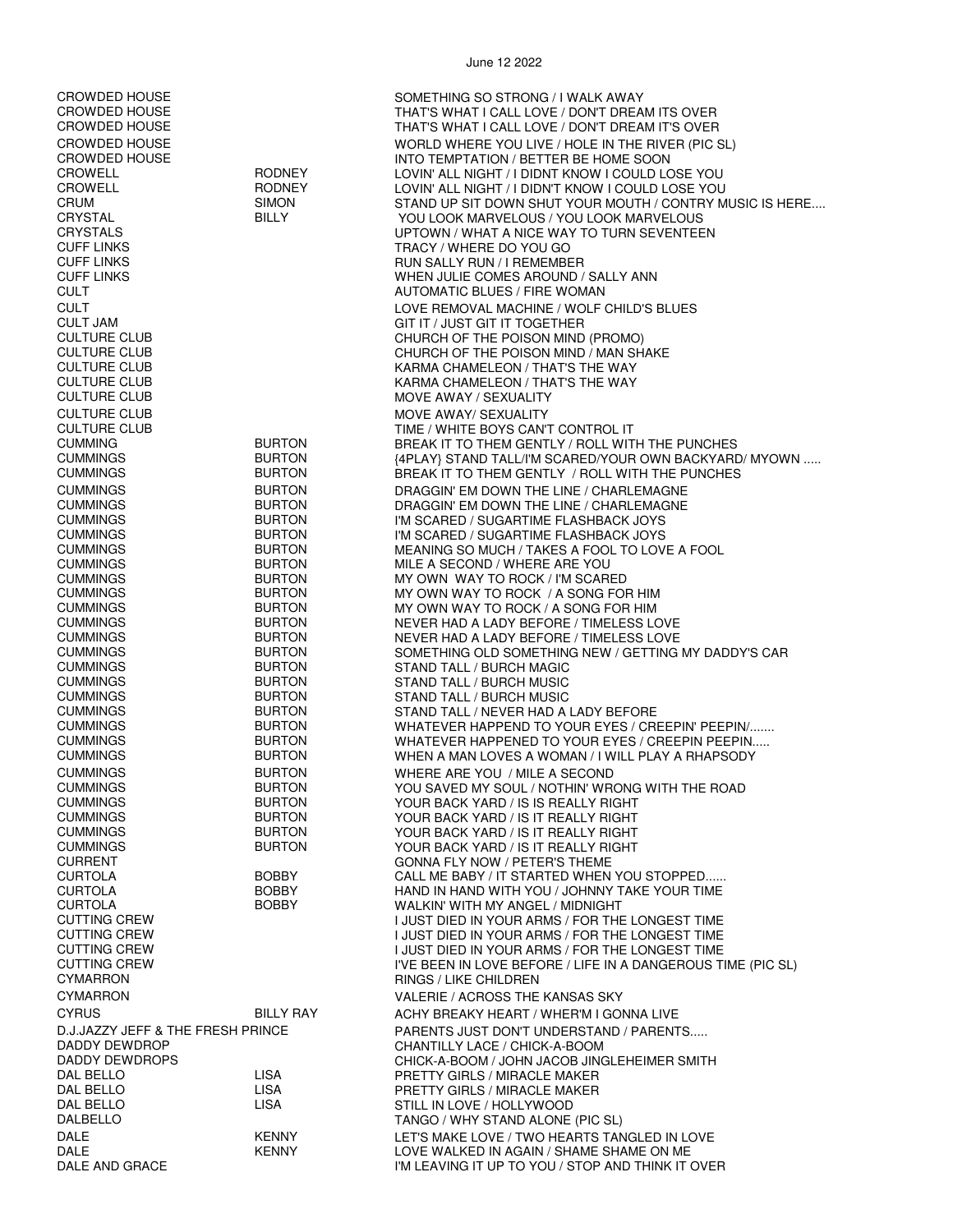CROWDED HOUSE CONSERVER'S SOMETHING SO STRONG / I WALK AWAY<br>CROWDED HOUSE CROWDED FINAT'S WHAT I CALL LOVE / DON'T DREA CROWDED HOUSE THAT'S WHAT I CALL LOVE / DON'T DREAM ITS OVER THAT'S WHAT I CALL LOVE / DON'T DREAM IT'S OVER CROWDED HOUSE WORLD WHERE YOU LIVE / HOLE IN THE RIVER (PIC SL) CROWDED HOUSE INTO TEMPTATION / BETTER BE HOME SOON CROWELL RODNEY LOVIN' ALL NIGHT / I DIDNT KNOW I COULD LOSE YOU RODNEY LOVIN' ALL NIGHT / I DIDN'T KNOW I COULD LOSE YOU<br>SIMON STAND UP SIT DOWN SHUT YOUR MOUTH / CONTRY M CRUM SIMON STAND UP SIT DOWN SHUT YOUR MOUTH / CONTRY MUSIC IS HERE.... YOU LOOK MARVELOUS / YOU LOOK MARVELOUS CRYSTALS UPTOWN / WHAT A NICE WAY TO TURN SEVENTEEN TRACY / WHERE DO YOU GO CUFF LINKS RUN SALLY RUN / I REMEMBER CUFF LINKS WHEN JULIE COMES AROUND / SALLY ANN AUTOMATIC BLUES / FIRE WOMAN CULT LOVE REMOVAL MACHINE / WOLF CHILD'S BLUES CULT JAM GIT IT / JUST GIT IT TOGETHER CULTURE CLUB CHURCH OF THE POISON MIND (PROMO) CULTURE CLUB CULTURE CULTURE CLUB<br>CULTURE CLUB CULTURE CULTURE CULTURE CULTURE CULTURE CULTURE CLUB CULTURE CLUB KARMA CHAMELEON / THAT'S THE WAY KARMA CHAMELEON / THAT'S THE WAY CULTURE CLUB **MOVE AWAY / SEXUALITY** CULTURE CLUB MOVE AWAY/ SEXUALITY CULTURE CLUB TIME / WHITE BOYS CAN'T CONTROL IT BREAK IT TO THEM GENTLY / ROLL WITH THE PUNCHES CUMMINGS BURTON {4PLAY} STAND TALL/I'M SCARED/YOUR OWN BACKYARD/ MYOWN ..... BREAK IT TO THEM GENTLY / ROLL WITH THE PUNCHES CUMMINGS BURTON DRAGGIN' EM DOWN THE LINE / CHARLEMAGNE CUMMINGS BURTON DRAGGIN' EM DOWN THE LINE / CHARLEMAGNE CUMMINGS BURTON I'M SCARED / SUGARTIME FLASHBACK JOYS I'M SCARED / SUGARTIME FLASHBACK JOYS CUMMINGS BURTON MEANING SO MUCH / TAKES A FOOL TO LOVE A FOOL CUMMINGS BURTON MILE A SECOND / WHERE ARE YOU CUMMINGS BURTON MY OWN WAY TO ROCK / I'M SCARED CUMMINGS BURTON MY OWN WAY TO ROCK / A SONG FOR HIM CUMMINGS BURTON MY OWN WAY TO ROCK / A SONG FOR HIM CUMMINGS BURTON NEVER HAD A LADY BEFORE / TIMELESS LOVE CUMMINGS BURTON NEVER HAD A LADY BEFORE / TIMELESS LOVE BURTON SOMETHING OLD SOMETHING NEW / GETTING MY DADDY'S CAR CUMMINGS BURTON STAND TALL / BURCH MAGIC STAND TALL / BURCH MUSIC CUMMINGS BURTON STAND TALL / BURCH MUSIC CUMMINGS BURTON STAND TALL / NEVER HAD A LADY BEFORE CUMMINGS BURTON WHATEVER HAPPEND TO YOUR EYES / CREEPIN' PEEPIN/....... WHATEVER HAPPENED TO YOUR EYES / CREEPIN PEEPIN..... CUMMINGS BURTON WHEN A MAN LOVES A WOMAN / I WILL PLAY A RHAPSODY CUMMINGS BURTON WHERE ARE YOU / MILE A SECOND YOU SAVED MY SOUL / NOTHIN' WRONG WITH THE ROAD CUMMINGS BURTON YOUR BACK YARD / IS IS REALLY RIGHT BURTON YOUR BACK YARD / IS IT REALLY RIGHT CUMMINGS BURTON YOUR BACK YARD / IS IT REALLY RIGHT CUMMINGS BURTON YOUR BACK YARD / IS IT REALLY RIGHT CURRENT CURRENT GONNA FLY NOW / PETER'S THEME<br>CURTOLA GURTOLA BOBBY CALL ME RARY / IT STARTED WHEN CURTOLA BOBBY CALL ME BABY / IT STARTED WHEN YOU STOPPED...... CURTOLA BOBBY HAND IN HAND WITH YOU / JOHNNY TAKE YOUR TIME WALKIN' WITH MY ANGEL / MIDNIGHT CUTTING CREW I JUST DIED IN YOUR ARMS / FOR THE LONGEST TIME CUTTING CREW **I JUST DIED IN YOUR ARMS / FOR THE LONGEST TIME**<br>CUTTING CREW **I JUST DIED IN YOUR ARMS / FOR THE LONGEST** TIME CUTTING CREW I JUST DIED IN YOUR ARMS / FOR THE LONGEST TIME I'VE BEEN IN LOVE BEFORE / LIFE IN A DANGEROUS TIME (PIC SL) CYMARRON RINGS / LIKE CHILDREN CYMARRON VALERIE / ACROSS THE KANSAS SKY CYRUS BILLY RAY ACHY BREAKY HEART / WHER'M I GONNA LIVE D.J.JAZZY JEFF & THE FRESH PRINCE PARENTS JUST DON'T UNDERSTAND / PARENTS..... DADDY DEWDROP CHANTILLY LACE / CHICK-A-BOOM DADDY DEWDROPS CHICK-A-BOOM / JOHN JACOB JINGLEHEIMER SMITH DAL BELLO LISA PRETTY GIRLS / MIRACLE MAKER PRETTY GIRLS / MIRACLE MAKER DAL BELLO LISA STILL IN LOVE / HOLLYWOOD DALBELLO TANGO / WHY STAND ALONE (PIC SL) DALE KENNY KENNY LET'S MAKE LOVE / TWO HEARTS TANGLED IN LOVE DALE KENNY LOVE WALKED IN AGAIN / SHAME SHAME ON ME I'M LEAVING IT UP TO YOU / STOP AND THINK IT OVER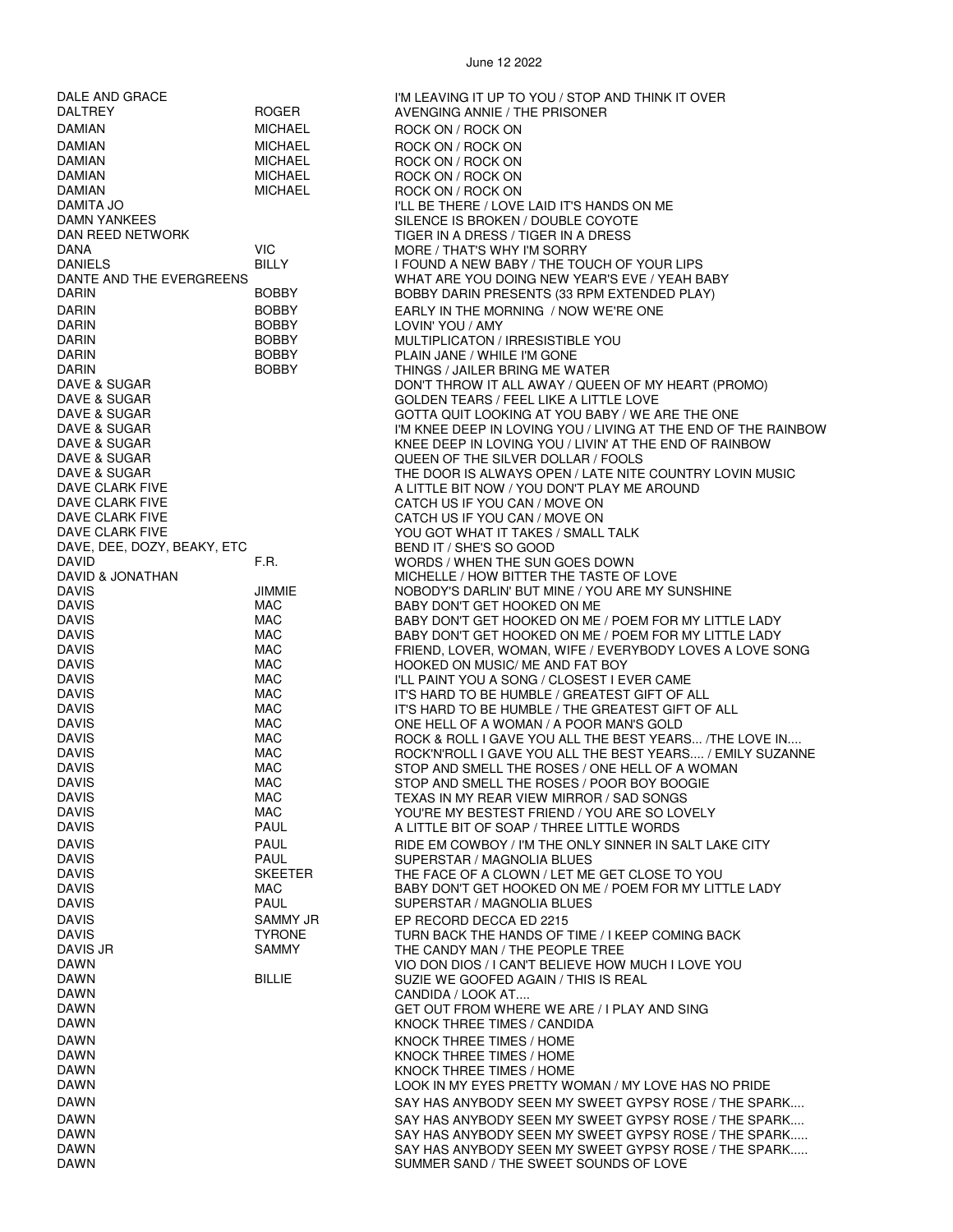| DALE AND GRACE               |                              | I'M LEAVING IT UP TO YOU / STOP AND THINK IT OVER                                                                  |
|------------------------------|------------------------------|--------------------------------------------------------------------------------------------------------------------|
| <b>DALTREY</b>               | <b>ROGER</b>                 | AVENGING ANNIE / THE PRISONER                                                                                      |
| <b>DAMIAN</b>                | <b>MICHAEL</b>               | ROCK ON / ROCK ON                                                                                                  |
| <b>DAMIAN</b>                | <b>MICHAEL</b>               | ROCK ON / ROCK ON                                                                                                  |
| DAMIAN                       | <b>MICHAEL</b>               | ROCK ON / ROCK ON                                                                                                  |
| <b>DAMIAN</b>                | <b>MICHAEL</b>               | ROCK ON / ROCK ON                                                                                                  |
| DAMIAN<br>DAMITA JO          | <b>MICHAEL</b>               | ROCK ON / ROCK ON                                                                                                  |
| DAMN YANKEES                 |                              | I'LL BE THERE / LOVE LAID IT'S HANDS ON ME<br>SILENCE IS BROKEN / DOUBLE COYOTE                                    |
| DAN REED NETWORK             |                              | TIGER IN A DRESS / TIGER IN A DRESS                                                                                |
| DANA                         | <b>VIC</b>                   | MORE / THAT'S WHY I'M SORRY                                                                                        |
| <b>DANIELS</b>               | BILLY                        | I FOUND A NEW BABY / THE TOUCH OF YOUR LIPS                                                                        |
| DANTE AND THE EVERGREENS     |                              | WHAT ARE YOU DOING NEW YEAR'S EVE / YEAH BABY                                                                      |
| DARIN                        | <b>BOBBY</b>                 | BOBBY DARIN PRESENTS (33 RPM EXTENDED PLAY)                                                                        |
| <b>DARIN</b>                 | <b>BOBBY</b>                 | EARLY IN THE MORNING / NOW WE'RE ONE                                                                               |
| <b>DARIN</b>                 | <b>BOBBY</b>                 | LOVIN' YOU / AMY                                                                                                   |
| <b>DARIN</b>                 | <b>BOBBY</b>                 | MULTIPLICATON / IRRESISTIBLE YOU                                                                                   |
| <b>DARIN</b>                 | <b>BOBBY</b>                 | PLAIN JANE / WHILE I'M GONE                                                                                        |
| <b>DARIN</b>                 | <b>BOBBY</b>                 | THINGS / JAILER BRING ME WATER                                                                                     |
| DAVE & SUGAR                 |                              | DON'T THROW IT ALL AWAY / QUEEN OF MY HEART (PROMO)                                                                |
| DAVE & SUGAR<br>DAVE & SUGAR |                              | GOLDEN TEARS / FEEL LIKE A LITTLE LOVE                                                                             |
| DAVE & SUGAR                 |                              | GOTTA QUIT LOOKING AT YOU BABY / WE ARE THE ONE<br>I'M KNEE DEEP IN LOVING YOU / LIVING AT THE END OF THE RAINBOW  |
| DAVE & SUGAR                 |                              | KNEE DEEP IN LOVING YOU / LIVIN' AT THE END OF RAINBOW                                                             |
| DAVE & SUGAR                 |                              | QUEEN OF THE SILVER DOLLAR / FOOLS                                                                                 |
| DAVE & SUGAR                 |                              | THE DOOR IS ALWAYS OPEN / LATE NITE COUNTRY LOVIN MUSIC                                                            |
| DAVE CLARK FIVE              |                              | A LITTLE BIT NOW / YOU DON'T PLAY ME AROUND                                                                        |
| DAVE CLARK FIVE              |                              | CATCH US IF YOU CAN / MOVE ON                                                                                      |
| DAVE CLARK FIVE              |                              | CATCH US IF YOU CAN / MOVE ON                                                                                      |
| DAVE CLARK FIVE              |                              | YOU GOT WHAT IT TAKES / SMALL TALK                                                                                 |
| DAVE, DEE, DOZY, BEAKY, ETC  |                              | BEND IT / SHE'S SO GOOD                                                                                            |
| DAVID                        | F.R.                         | WORDS / WHEN THE SUN GOES DOWN                                                                                     |
| DAVID & JONATHAN             |                              | MICHELLE / HOW BITTER THE TASTE OF LOVE                                                                            |
| <b>DAVIS</b><br><b>DAVIS</b> | JIMMIE<br>MAC                | NOBODY'S DARLIN' BUT MINE / YOU ARE MY SUNSHINE                                                                    |
| <b>DAVIS</b>                 | MAC                          | BABY DON'T GET HOOKED ON ME<br>BABY DON'T GET HOOKED ON ME / POEM FOR MY LITTLE LADY                               |
| <b>DAVIS</b>                 | MAC                          | BABY DON'T GET HOOKED ON ME / POEM FOR MY LITTLE LADY                                                              |
| <b>DAVIS</b>                 | MAC                          | FRIEND, LOVER, WOMAN, WIFE / EVERYBODY LOVES A LOVE SONG                                                           |
| <b>DAVIS</b>                 | <b>MAC</b>                   | HOOKED ON MUSIC/ ME AND FAT BOY                                                                                    |
| <b>DAVIS</b>                 | MAC                          | I'LL PAINT YOU A SONG / CLOSEST I EVER CAME                                                                        |
| <b>DAVIS</b>                 | MAC                          | IT'S HARD TO BE HUMBLE / GREATEST GIFT OF ALL                                                                      |
| <b>DAVIS</b>                 | MAC                          | IT'S HARD TO BE HUMBLE / THE GREATEST GIFT OF ALL                                                                  |
| <b>DAVIS</b>                 | MAC                          | ONE HELL OF A WOMAN / A POOR MAN'S GOLD                                                                            |
| DAVIS<br><b>DAVIS</b>        | MAC<br>MAC                   | ROCK & ROLL I GAVE YOU ALL THE BEST YEARS THE LOVE IN<br>ROCK'N'ROLL I GAVE YOU ALL THE BEST YEARS / EMILY SUZANNE |
| <b>DAVIS</b>                 | MAC                          | STOP AND SMELL THE ROSES / ONE HELL OF A WOMAN                                                                     |
| <b>DAVIS</b>                 | MAC                          | STOP AND SMELL THE ROSES / POOR BOY BOOGIE                                                                         |
| <b>DAVIS</b>                 | MAC                          | TEXAS IN MY REAR VIEW MIRROR / SAD SONGS                                                                           |
| <b>DAVIS</b>                 | MAC                          | YOU'RE MY BESTEST FRIEND / YOU ARE SO LOVELY                                                                       |
| <b>DAVIS</b>                 | PAUL                         | A LITTLE BIT OF SOAP / THREE LITTLE WORDS                                                                          |
| <b>DAVIS</b>                 | <b>PAUL</b>                  | RIDE EM COWBOY / I'M THE ONLY SINNER IN SALT LAKE CITY                                                             |
| <b>DAVIS</b>                 | <b>PAUL</b>                  | SUPERSTAR / MAGNOLIA BLUES                                                                                         |
| <b>DAVIS</b><br><b>DAVIS</b> | <b>SKEETER</b><br><b>MAC</b> | THE FACE OF A CLOWN / LET ME GET CLOSE TO YOU                                                                      |
| <b>DAVIS</b>                 | <b>PAUL</b>                  | BABY DON'T GET HOOKED ON ME / POEM FOR MY LITTLE LADY<br>SUPERSTAR / MAGNOLIA BLUES                                |
| <b>DAVIS</b>                 | SAMMY JR                     | EP RECORD DECCA ED 2215                                                                                            |
| <b>DAVIS</b>                 | <b>TYRONE</b>                | TURN BACK THE HANDS OF TIME / I KEEP COMING BACK                                                                   |
| DAVIS JR                     | SAMMY                        | THE CANDY MAN / THE PEOPLE TREE                                                                                    |
| <b>DAWN</b>                  |                              | VIO DON DIOS / I CAN'T BELIEVE HOW MUCH I LOVE YOU                                                                 |
| DAWN                         | <b>BILLIE</b>                | SUZIE WE GOOFED AGAIN / THIS IS REAL                                                                               |
| <b>DAWN</b>                  |                              | CANDIDA / LOOK AT                                                                                                  |
| DAWN                         |                              | GET OUT FROM WHERE WE ARE / I PLAY AND SING                                                                        |
| <b>DAWN</b>                  |                              | KNOCK THREE TIMES / CANDIDA                                                                                        |
| <b>DAWN</b>                  |                              | KNOCK THREE TIMES / HOME                                                                                           |
| DAWN                         |                              | KNOCK THREE TIMES / HOME                                                                                           |
| DAWN<br><b>DAWN</b>          |                              | KNOCK THREE TIMES / HOME<br>LOOK IN MY EYES PRETTY WOMAN / MY LOVE HAS NO PRIDE                                    |
| <b>DAWN</b>                  |                              | SAY HAS ANYBODY SEEN MY SWEET GYPSY ROSE / THE SPARK                                                               |
| <b>DAWN</b>                  |                              |                                                                                                                    |
| <b>DAWN</b>                  |                              | SAY HAS ANYBODY SEEN MY SWEET GYPSY ROSE / THE SPARK<br>SAY HAS ANYBODY SEEN MY SWEET GYPSY ROSE / THE SPARK       |
| DAWN                         |                              | SAY HAS ANYBODY SEEN MY SWEET GYPSY ROSE / THE SPARK                                                               |
| DAWN                         |                              | SUMMER SAND / THE SWEET SOUNDS OF LOVE                                                                             |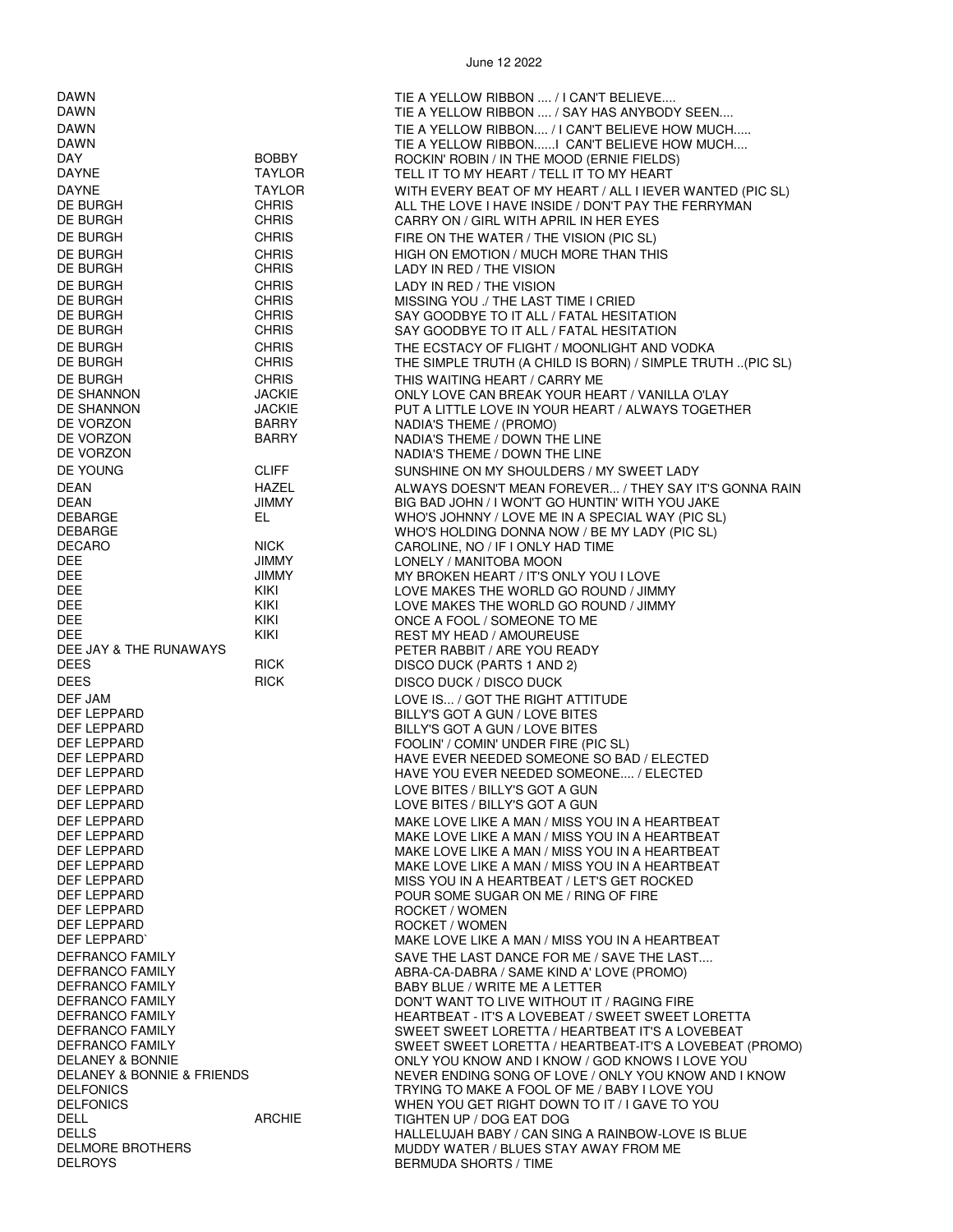DAWN TIE A YELLOW RIBBON .... / I CAN'T BELIEVE.... TIE A YELLOW RIBBON .... / SAY HAS ANYBODY SEEN.... DAWN TIE A YELLOW RIBBON.... / I CAN'T BELIEVE HOW MUCH..... TIE A YELLOW RIBBON......I CAN'T BELIEVE HOW MUCH.... DAY BOBBY ROCKIN' ROBIN / IN THE MOOD (ERNIE FIELDS) TELL IT TO MY HEART / TELL IT TO MY HEART DAYNE TAYLOR WITH EVERY BEAT OF MY HEART / ALL I IEVER WANTED (PIC SL) DE BURGH CHRIS CHRIS ALL THE LOVE I HAVE INSIDE / DON'T PAY THE FERRYMAN DE BURGH CHRIS CHRIS CARRY ON / GIRL WITH APRIL IN HER EYES DE BURGH CHRIS CHRIS FIRE ON THE WATER / THE VISION (PIC SL) DE BURGH CHRIS CHRIS HIGH ON EMOTION / MUCH MORE THAN THIS DE BURGH CHRIS CHRIS LADY IN RED / THE VISION DE BURGH CHRIS LADY IN RED / THE VISION DE BURGH CHRIS MISSING YOU ./ THE LAST TIME I CRIED DE BURGH CHRIS SAY GOODBYE TO IT ALL / FATAL HESITATION SAY GOODBYE TO IT ALL / FATAL HESITATION DE BURGH CHRIS THE ECSTACY OF FLIGHT / MOONLIGHT AND VODKA THE SIMPLE TRUTH (A CHILD IS BORN) / SIMPLE TRUTH ..(PIC SL) DE BURGH CHRIS CHRIS THIS WAITING HEART / CARRY ME<br>DE SHANNON DE SHANNON JACKIE ONLY LOVE CAN BREAK YOUR HE ONLY LOVE CAN BREAK YOUR HEART / VANILLA O'LAY DE SHANNON JACKIE PUT A LITTLE LOVE IN YOUR HEART / ALWAYS TOGETHER NADIA'S THEME / (PROMO) DE VORZON BARRY NADIA'S THEME / DOWN THE LINE NADIA'S THEME / DOWN THE LINE DE YOUNG CLIFF SUNSHINE ON MY SHOULDERS / MY SWEET LADY DEAN FRAMEL HAZEL ALWAYS DOESN'T MEAN FOREVER... / THEY SAY IT'S GONNA RAIN<br>DEAN FRAMELY DEAN HANY BIG BAD JOHN / I WON'T GO HUNTIN' WITH YOU JAKE DEAN JIMMY BIG BAD JOHN / I WON'T GO HUNTIN' WITH YOU JAKE EL **EL WHO'S JOHNNY / LOVE ME IN A SPECIAL WAY (PIC SL)** DEBARGE WHO'S HOLDING DONNA NOW / BE MY LADY (PIC SL) DECARO NICK CAROLINE, NO / IF I ONLY HAD TIME LONELY / MANITOBA MOON DEE JIMMY MY BROKEN HEART / IT'S ONLY YOU I LOVE DEE KIKI LOVE MAKES THE WORLD GO ROUND / JIMMY LOVE MAKES THE WORLD GO ROUND / JIMMY DEE KIKI **KIKI ONCE A FOOL / SOMEONE TO ME** DEE KIKI REST MY HEAD / AMOUREUSE DEE JAY & THE RUNAWAYS<br>DEES PETER RABBIT / ARE YOU READY<br>DISCO DUCK (PARTS 1 AND 2) DISCO DUCK (PARTS 1 AND 2) DEES RICK DISCO DUCK / DISCO DUCK ON DISCO DUCK DEF JAM **DEF JAM** LOVE IS... / GOT THE RIGHT ATTITUDE DEF LEPPARD BILLY'S GOT A GUN / LOVE BITES DEF LEPPARD BILLY'S GOT A GUN / LOVE BITES FOOLIN' / COMIN' UNDER FIRE (PIC SL) DEF LEPPARD HAVE EVER NEEDED SOMEONE SO BAD / ELECTED HAVE YOU EVER NEEDED SOMEONE.... / ELECTED DEF LEPPARD LOVE BITES / BILLY'S GOT A GUN LOVE BITES / BILLY'S GOT A GUN DEF LEPPARD MAKE LOVE LIKE A MAN / MISS YOU IN A HEARTBEAT DEF LEPPARD MAKE LOVE LIKE A MAN / MISS YOU IN A HEARTBEAT MAKE LOVE LIKE A MAN / MISS YOU IN A HEARTBEAT DEF LEPPARD MAKE LOVE LIKE A MAN / MISS YOU IN A HEARTBEAT DEF LEPPARD MISS YOU IN A HEARTBEAT / LET'S GET ROCKED POUR SOME SUGAR ON ME / RING OF FIRE DEF LEPPARD ROCKET / WOMEN DEF LEPPARD ROCKET / WOMEN MAKE LOVE LIKE A MAN / MISS YOU IN A HEARTBEAT DEFRANCO FAMILY SAVE THE LAST DANCE FOR ME / SAVE THE LAST.... DEFRANCO FAMILY ABRA-CA-DABRA / SAME KIND A' LOVE (PROMO) DEFRANCO FAMILY DESCRIPTION OF BABY BLUE / WRITE ME A LETTER DEFRANCO FAMILY DESCRIPTION ON THE BABY BLUE / WANT TO LIVE WITHOUT IT DON'T WANT TO LIVE WITHOUT IT / RAGING FIRE DEFRANCO FAMILY HEARTBEAT - IT'S A LOVEBEAT / SWEET SWEET LORETTA

DEFRANCO FAMILY SWEET SWEET LORETTA / HEARTBEAT-IT'S A LOVEBEAT (PROMO) DELANEY & BONNIE<br>DELANEY & BONNIE & FRIENDS DELANEY OU KNOW AND I KNOW / GOD KNOWS I LOVE YOU<br>DELANEY & BONNIE & FRIENDS DELANEY ON LOVE RENDING SONG OF LOVE / ONLY YOU KNOW AND I DELANEY & BONNIE & FRIENDS<br>DELFONICS NEWSLAPH TRYING TO MAKE A FOOL OF ME / BABY I LOVE YOU

TIGHTEN UP / DOG EAT DOG

BERMUDA SHORTS / TIME

DELFONICS TRYING TO MAKE A FOOL OF ME / BABY I LOVE YOU DELFONICS WHEN YOU GET RIGHT DOWN TO IT / I GAVE TO YOU

DELMORE BROTHERS MUDDY WATER / BLUES STAY AWAY FROM ME

DELLS HALLELUJAH BABY / CAN SING A RAINBOW-LOVE IS BLUE

SWEET SWEET LORETTA / HEARTBEAT IT'S A LOVEBEAT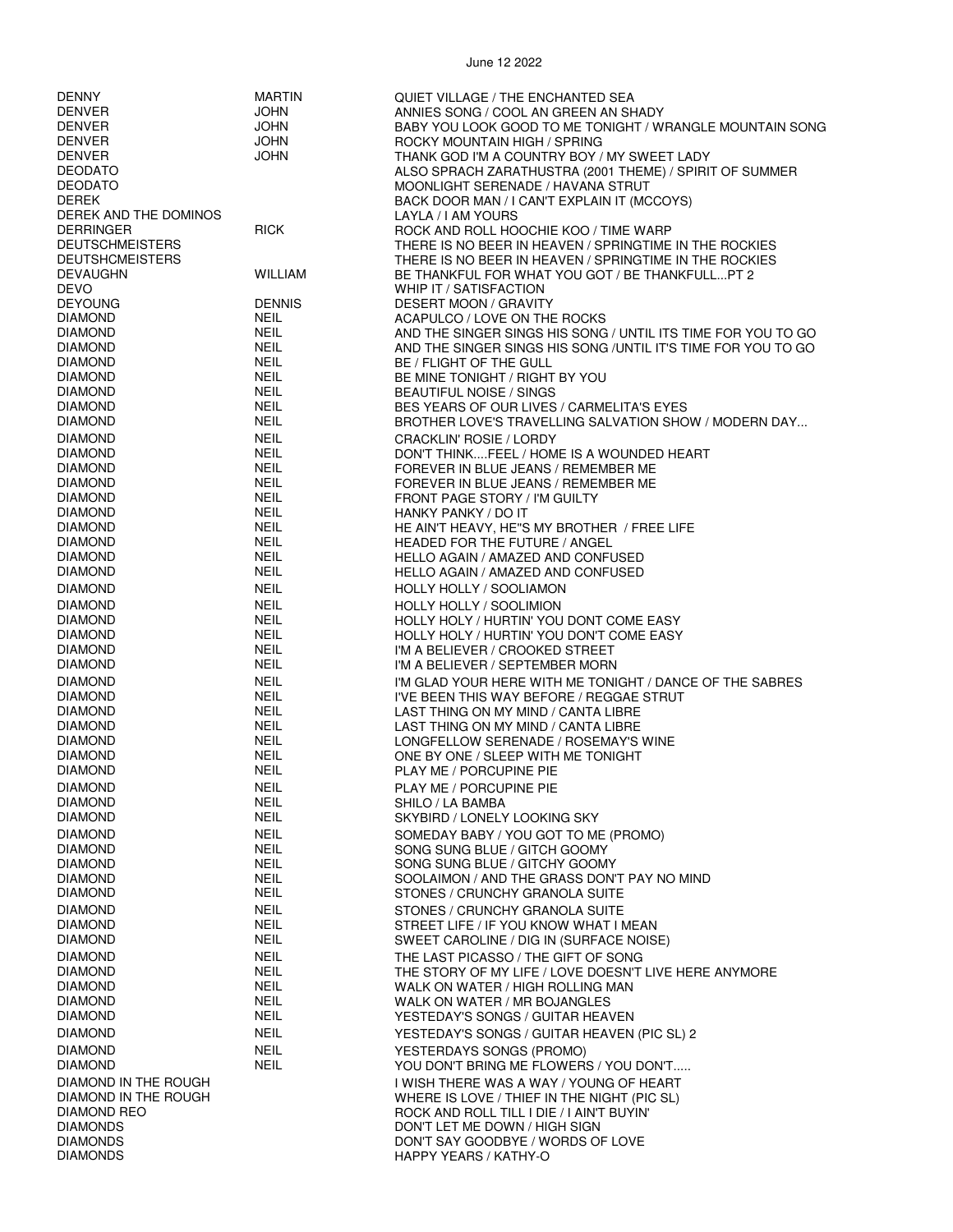| <b>DENNY</b>           | <b>MARTIN</b>  | QUIET VILLAGE / THE ENCHANTED SEA                             |
|------------------------|----------------|---------------------------------------------------------------|
| <b>DENVER</b>          | <b>JOHN</b>    | ANNIES SONG / COOL AN GREEN AN SHADY                          |
| <b>DENVER</b>          | <b>JOHN</b>    | BABY YOU LOOK GOOD TO ME TONIGHT / WRANGLE MOUNTAIN SONG      |
|                        |                |                                                               |
| <b>DENVER</b>          | <b>JOHN</b>    | ROCKY MOUNTAIN HIGH / SPRING                                  |
| <b>DENVER</b>          | <b>JOHN</b>    | THANK GOD I'M A COUNTRY BOY / MY SWEET LADY                   |
| <b>DEODATO</b>         |                | ALSO SPRACH ZARATHUSTRA (2001 THEME) / SPIRIT OF SUMMER       |
| <b>DEODATO</b>         |                | MOONLIGHT SERENADE / HAVANA STRUT                             |
| <b>DEREK</b>           |                | BACK DOOR MAN / I CAN'T EXPLAIN IT (MCCOYS)                   |
| DEREK AND THE DOMINOS  |                | LAYLA / I AM YOURS                                            |
| <b>DERRINGER</b>       | <b>RICK</b>    | ROCK AND ROLL HOOCHIE KOO / TIME WARP                         |
|                        |                |                                                               |
| <b>DEUTSCHMEISTERS</b> |                | THERE IS NO BEER IN HEAVEN / SPRINGTIME IN THE ROCKIES        |
| <b>DEUTSHCMEISTERS</b> |                | THERE IS NO BEER IN HEAVEN / SPRINGTIME IN THE ROCKIES        |
| <b>DEVAUGHN</b>        | <b>WILLIAM</b> | BE THANKFUL FOR WHAT YOU GOT / BE THANKFULLPT 2               |
| <b>DEVO</b>            |                | WHIP IT / SATISFACTION                                        |
| <b>DEYOUNG</b>         | <b>DENNIS</b>  | <b>DESERT MOON / GRAVITY</b>                                  |
| <b>DIAMOND</b>         | <b>NEIL</b>    | ACAPULCO / LOVE ON THE ROCKS                                  |
| <b>DIAMOND</b>         | <b>NEIL</b>    | AND THE SINGER SINGS HIS SONG / UNTIL ITS TIME FOR YOU TO GO  |
| <b>DIAMOND</b>         | <b>NEIL</b>    | AND THE SINGER SINGS HIS SONG / UNTIL IT'S TIME FOR YOU TO GO |
| <b>DIAMOND</b>         | <b>NEIL</b>    | BE / FLIGHT OF THE GULL                                       |
| <b>DIAMOND</b>         | <b>NEIL</b>    |                                                               |
|                        |                | BE MINE TONIGHT / RIGHT BY YOU                                |
| <b>DIAMOND</b>         | <b>NEIL</b>    | <b>BEAUTIFUL NOISE / SINGS</b>                                |
| <b>DIAMOND</b>         | <b>NEIL</b>    | BES YEARS OF OUR LIVES / CARMELITA'S EYES                     |
| <b>DIAMOND</b>         | <b>NEIL</b>    | BROTHER LOVE'S TRAVELLING SALVATION SHOW / MODERN DAY         |
| <b>DIAMOND</b>         | <b>NEIL</b>    | <b>CRACKLIN' ROSIE / LORDY</b>                                |
| <b>DIAMOND</b>         | <b>NEIL</b>    | DON'T THINKFEEL / HOME IS A WOUNDED HEART                     |
| <b>DIAMOND</b>         | <b>NEIL</b>    | FOREVER IN BLUE JEANS / REMEMBER ME                           |
| <b>DIAMOND</b>         | <b>NEIL</b>    | FOREVER IN BLUE JEANS / REMEMBER ME                           |
|                        |                |                                                               |
| <b>DIAMOND</b>         | <b>NEIL</b>    | <b>FRONT PAGE STORY / I'M GUILTY</b>                          |
| <b>DIAMOND</b>         | <b>NEIL</b>    | HANKY PANKY / DO IT                                           |
| <b>DIAMOND</b>         | <b>NEIL</b>    | HE AIN'T HEAVY, HE"S MY BROTHER / FREE LIFE                   |
| <b>DIAMOND</b>         | <b>NEIL</b>    | <b>HEADED FOR THE FUTURE / ANGEL</b>                          |
| <b>DIAMOND</b>         | <b>NEIL</b>    | HELLO AGAIN / AMAZED AND CONFUSED                             |
| <b>DIAMOND</b>         | NEIL           | HELLO AGAIN / AMAZED AND CONFUSED                             |
| <b>DIAMOND</b>         | <b>NEIL</b>    | <b>HOLLY HOLLY / SOOLIAMON</b>                                |
|                        |                |                                                               |
| <b>DIAMOND</b>         | <b>NEIL</b>    | <b>HOLLY HOLLY / SOOLIMION</b>                                |
| <b>DIAMOND</b>         | <b>NEIL</b>    | HOLLY HOLY / HURTIN' YOU DONT COME EASY                       |
| <b>DIAMOND</b>         | <b>NEIL</b>    | HOLLY HOLY / HURTIN' YOU DON'T COME EASY                      |
| <b>DIAMOND</b>         | <b>NEIL</b>    | I'M A BELIEVER / CROOKED STREET                               |
| <b>DIAMOND</b>         | NEIL           | I'M A BELIEVER / SEPTEMBER MORN                               |
| <b>DIAMOND</b>         | <b>NEIL</b>    | I'M GLAD YOUR HERE WITH ME TONIGHT / DANCE OF THE SABRES      |
| <b>DIAMOND</b>         | <b>NEIL</b>    | I'VE BEEN THIS WAY BEFORE / REGGAE STRUT                      |
|                        |                | LAST THING ON MY MIND / CANTA LIBRE                           |
| <b>DIAMOND</b>         | NEIL           |                                                               |
| <b>DIAMOND</b>         | <b>NEIL</b>    | LAST THING ON MY MIND / CANTA LIBRE                           |
| <b>DIAMOND</b>         | <b>NEIL</b>    | LONGFELLOW SERENADE / ROSEMAY'S WINE                          |
| <b>DIAMOND</b>         | <b>NEIL</b>    | ONE BY ONE / SLEEP WITH ME TONIGHT                            |
| <b>DIAMOND</b>         | <b>NEIL</b>    | PLAY ME / PORCUPINE PIE                                       |
| <b>DIAMOND</b>         | <b>NEIL</b>    | PLAY ME / PORCUPINE PIE                                       |
| <b>DIAMOND</b>         | <b>NEIL</b>    | SHILO / LA BAMBA                                              |
| <b>DIAMOND</b>         | <b>NEIL</b>    | SKYBIRD / LONELY LOOKING SKY                                  |
|                        |                |                                                               |
| <b>DIAMOND</b>         | <b>NEIL</b>    | SOMEDAY BABY / YOU GOT TO ME (PROMO)                          |
| <b>DIAMOND</b>         | <b>NEIL</b>    | SONG SUNG BLUE / GITCH GOOMY                                  |
| <b>DIAMOND</b>         | <b>NEIL</b>    | SONG SUNG BLUE / GITCHY GOOMY                                 |
| <b>DIAMOND</b>         | <b>NEIL</b>    | SOOLAIMON / AND THE GRASS DON'T PAY NO MIND                   |
| <b>DIAMOND</b>         | NEIL           | STONES / CRUNCHY GRANOLA SUITE                                |
| <b>DIAMOND</b>         | <b>NEIL</b>    | STONES / CRUNCHY GRANOLA SUITE                                |
| <b>DIAMOND</b>         | <b>NEIL</b>    |                                                               |
|                        |                | STREET LIFE / IF YOU KNOW WHAT I MEAN                         |
| <b>DIAMOND</b>         | <b>NEIL</b>    | SWEET CAROLINE / DIG IN (SURFACE NOISE)                       |
| <b>DIAMOND</b>         | <b>NEIL</b>    | THE LAST PICASSO / THE GIFT OF SONG                           |
| <b>DIAMOND</b>         | <b>NEIL</b>    | THE STORY OF MY LIFE / LOVE DOESN'T LIVE HERE ANYMORE         |
| <b>DIAMOND</b>         | NEIL           | WALK ON WATER / HIGH ROLLING MAN                              |
| <b>DIAMOND</b>         | <b>NEIL</b>    | WALK ON WATER / MR BOJANGLES                                  |
| <b>DIAMOND</b>         | <b>NEIL</b>    | YESTEDAY'S SONGS / GUITAR HEAVEN                              |
|                        |                |                                                               |
| <b>DIAMOND</b>         | <b>NEIL</b>    | YESTEDAY'S SONGS / GUITAR HEAVEN (PIC SL) 2                   |
| <b>DIAMOND</b>         | <b>NEIL</b>    | YESTERDAYS SONGS (PROMO)                                      |
| <b>DIAMOND</b>         | <b>NEIL</b>    | YOU DON'T BRING ME FLOWERS / YOU DON'T                        |
| DIAMOND IN THE ROUGH   |                | I WISH THERE WAS A WAY / YOUNG OF HEART                       |
| DIAMOND IN THE ROUGH   |                | WHERE IS LOVE / THIEF IN THE NIGHT (PIC SL)                   |
| DIAMOND REO            |                | ROCK AND ROLL TILL I DIE / I AIN'T BUYIN'                     |
| <b>DIAMONDS</b>        |                | DON'T LET ME DOWN / HIGH SIGN                                 |
|                        |                |                                                               |
| <b>DIAMONDS</b>        |                | DON'T SAY GOODBYE / WORDS OF LOVE                             |
| <b>DIAMONDS</b>        |                | HAPPY YEARS / KATHY-O                                         |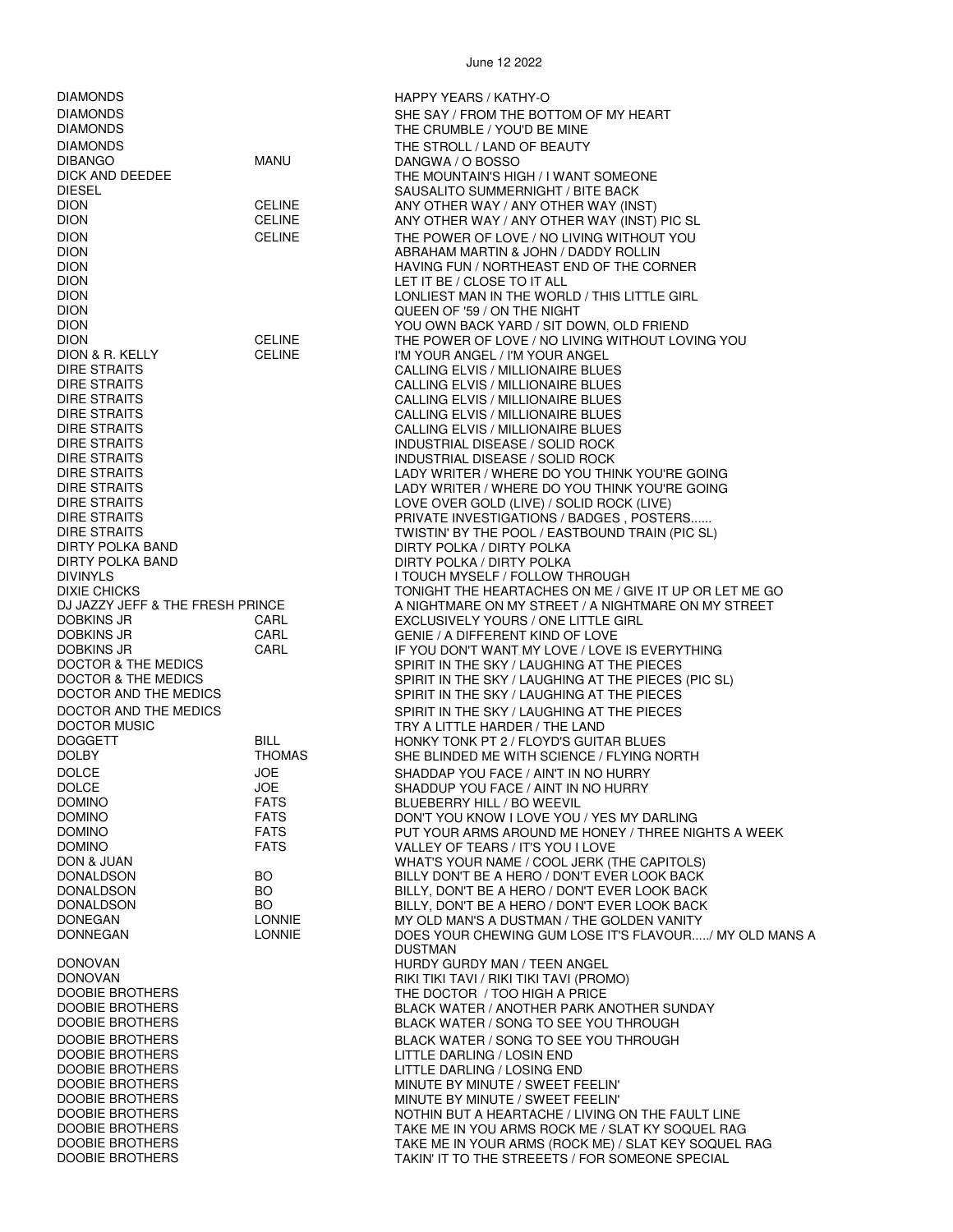DIAMONDS HAPPY YEARS / KATHY-O DIAMONDS THE STROLL / LAND OF BEAUTY DION QUEEN OF '59 / ON THE NIGHT DION & R. KELLY CELINE I'M YOUR ANGEL / I'M YOUR ANGEL DIRE STRAITS INDUSTRIAL DISEASE / SOLID ROCK DIRTY POLKA BAND DIRTY POLKA / DIRTY POLKA / DIRTY POLKA<br>DIRTY POLKA BAND DIRTY POLKA / DIRTY POLKA DOCTOR MUSIC<br>DOGGETT TRY A LITTLE HARDER / THE LAND<br>BILL TRY A LITTLE HARDER / THE LAND DOMINO FATS BLUEBERRY HILL / BO WEEVIL<br>DOMINO FATS DON'T YOU KNOW I LOVE YOU DOMINO FATS FATS VALLEY OF TEARS / IT'S YOU I LOVE<br>DON & JUAN DON & JUAN DONOVAN HURDY GURDY MAN / TEEN ANGEL DOOBIE BROTHERS THE DOCTOR / TOO HIGH A PRICE<br>THE DOOBIE BROTHERS THE REACK WATER / ANOTHER PARK A DOOBIE BROTHERS LITTLE DARLING / LOSIN END<br>DOOBIE BROTHERS LITTLE DARLING / LOSING EN DOOBIE BROTHERS LITTLE DARLING / LOSING END

DIAMONDS DESCRIPTION OF MY HEART SHE SAY / FROM THE BOTTOM OF MY HEART DIAMONDS THE CRUMBLE / YOU'D BE MINE DANGWA / O BOSSO DICK AND DEEDEE THE MOUNTAIN'S HIGH / I WANT SOMEONE<br>DIFSEL DIESE SALISALITO SUMMERNIGHT / BITE BACK SAUSALITO SUMMERNIGHT / BITE BACK DION CELINE ANY OTHER WAY / ANY OTHER WAY (INST)<br>DION CELINE ANY OTHER WAY / ANY OTHER WAY (INST) ANY OTHER WAY / ANY OTHER WAY (INST) PIC SL DION CELINE THE POWER OF LOVE / NO LIVING WITHOUT YOU<br>DION DION BEER ABRAHAM MARTIN & JOHN / DADDY ROLLIN DION ABRAHAM MARTIN & JOHN / DADDY ROLLIN DION FUNCTURE HAVING FUN / NORTHEAST END OF THE CORNER IN THE USE OF THE CORNER IN THE LOCAL SET OF THE SOURCE IN THE LOCAL SET OF THE SOURCE IN THE SOURCE IN THE SOURCE IN THE SOURCE IN THE SOURCE IN THE SOURCE IN THE SOU LET IT BE / CLOSE TO IT ALL DION LONLIEST MAN IN THE WORLD / THIS LITTLE GIRL DION YOU OWN BACK YARD / SIT DOWN, OLD FRIEND DION<br>DION & R. KELLY CELINE THE POWER OF LOVE / NO LIVING WITHOUT LOVING YOU<br>DION & R. KELLY CELINE THE YOUR ANGEL / I'M YOUR ANGEL CALLING ELVIS / MILLIONAIRE BLUES DIRE STRAITS CALLING ELVIS / MILLIONAIRE BLUES DIRE STRAITS CALLING ELVIS / MILLIONAIRE BLUES DIRE STRAITS CALLING ELVIS / MILLIONAIRE BLUES DIRE STRAITS CALLING ELVIS / MILLIONAIRE BLUES INDUSTRIAL DISEASE / SOLID ROCK DIRE STRAITS LADY WRITER / WHERE DO YOU THINK YOU'RE GOING<br>DIRE STRAITS LADY WRITER / WHERE DO YOU THINK YOU'RE GOING LADY WRITER / WHERE DO YOU THINK YOU'RE GOING DIRE STRAITS LOVE OVER GOLD (LIVE) / SOLID ROCK (LIVE) PRIVATE INVESTIGATIONS / BADGES, POSTERS. DIRE STRAITS THE POOL / EASTBOUND TRAIN (PIC SL)<br>DIRTY POLKA BAND TRAIN THE POOL OF THE POOL OF DIRTY POLKA DIRTY POLKA / DIRTY POLKA DIVINYLS I TOUCH MYSELF / FOLLOW THROUGH DIXIE CHICKS THE FRESH PRINCE TO ME TONIGHT THE HEARTACHES ON ME / GIVE IT UP OR LET ME GO<br>DJ JAZZY JEFF & THE FRESH PRINCE TO MERICLE A NIGHTMARE ON MY STREET / A NIGHTMARE ON MY STREET A NIGHTMARE ON MY STREET / A NIGHTMARE ON MY STREET DOBKINS JR CARL EXCLUSIVELY YOURS / ONE LITTLE GIRL DOBKINS JR CARL GENIE / A DIFFERENT KIND OF LOVE DOBKINS JR CARL IF YOU DON'T WANT MY LOVE / LOVE IS EVERYTHING SPIRIT IN THE SKY / LAUGHING AT THE PIECES DOCTOR & THE MEDICS GOD BE SPIRIT IN THE SKY / LAUGHING AT THE PIECES (PIC SL)<br>DOCTOR AND THE MEDICS GOD BE SPIRIT IN THE SKY / LAUGHING AT THE PIECES SPIRIT IN THE SKY / LAUGHING AT THE PIECES DOCTOR AND THE MEDICS SPIRIT IN THE SKY / LAUGHING AT THE PIECES<br>DOCTOR MUSIC SPIRIT IN THE ANDER / THE LAND HONKY TONK PT 2 / FLOYD'S GUITAR BLUES DOLBY THOMAS SHE BLINDED ME WITH SCIENCE / FLYING NORTH DOLCE JOE SHADDAP YOU FACE / AIN'T IN NO HURRY DOLCE JOE SHADDUP YOU FACE / AINT IN NO HURRY FATS DON'T YOU KNOW I LOVE YOU / YES MY DARLING DOMINO FATS FATS PUT YOUR ARMS AROUND ME HONEY / THREE NIGHTS A WEEK<br>FATS FATS VALLEY OF TEARS / IT'S YOU I LOVE DON & JUAN WHAT'S YOUR NAME / COOL JERK (THE CAPITOLS) DONALDSON BO BILLY DON'T BE A HERO / DON'T EVER LOOK BACK DONALDSON BO BILLY, DON'T BE A HERO / DON'T EVER LOOK BACK BILLY, DON'T BE A HERO / DON'T EVER LOOK BACK DONEGAN LONNIE MY OLD MAN'S A DUSTMAN / THE GOLDEN VANITY DONNEGAN LONNIE LONNIE DOES YOUR CHEWING GUM LOSE IT'S FLAVOUR...../ MY OLD MANS A DUSTMAN DONOVAN DONOVAN RIKI TIKI TAVI / RIKI TIKI TAVI / RIKI TIKI TAVI (PROMO)<br>DOOBIE BROTHERS THE DOCTOR / TOO HIGH A PRICE DOOBIE BROTHERS BLACK WATER / ANOTHER PARK ANOTHER SUNDAY BLACK WATER / SONG TO SEE YOU THROUGH DOOBIE BROTHERS BLACK WATER / SONG TO SEE YOU THROUGH MINUTE BY MINUTE / SWEET FEELIN' DOOBIE BROTHERS MINUTE BY MINUTE / SWEET FEELIN' DOOBIE BROTHERS NOTHIN BUT A HEARTACHE / LIVING ON THE FAULT LINE<br>DOOBIE BROTHERS NOTHERS TAKE ME IN YOU ARMS ROCK ME / SLAT KY SOQUEL RAG DOOBIE BROTHERS TAKE ME IN YOU ARMS ROCK ME / SLAT KY SOQUEL RAG<br>TAKE ME IN YOUR ARMS (ROCK ME) / SLAT KFY SOOLIFI DOOBIE BROTHERS TAKE ME IN YOUR ARMS (ROCK ME) / SLAT KEY SOQUEL RAG TAKIN' IT TO THE STREEETS / FOR SOMEONE SPECIAL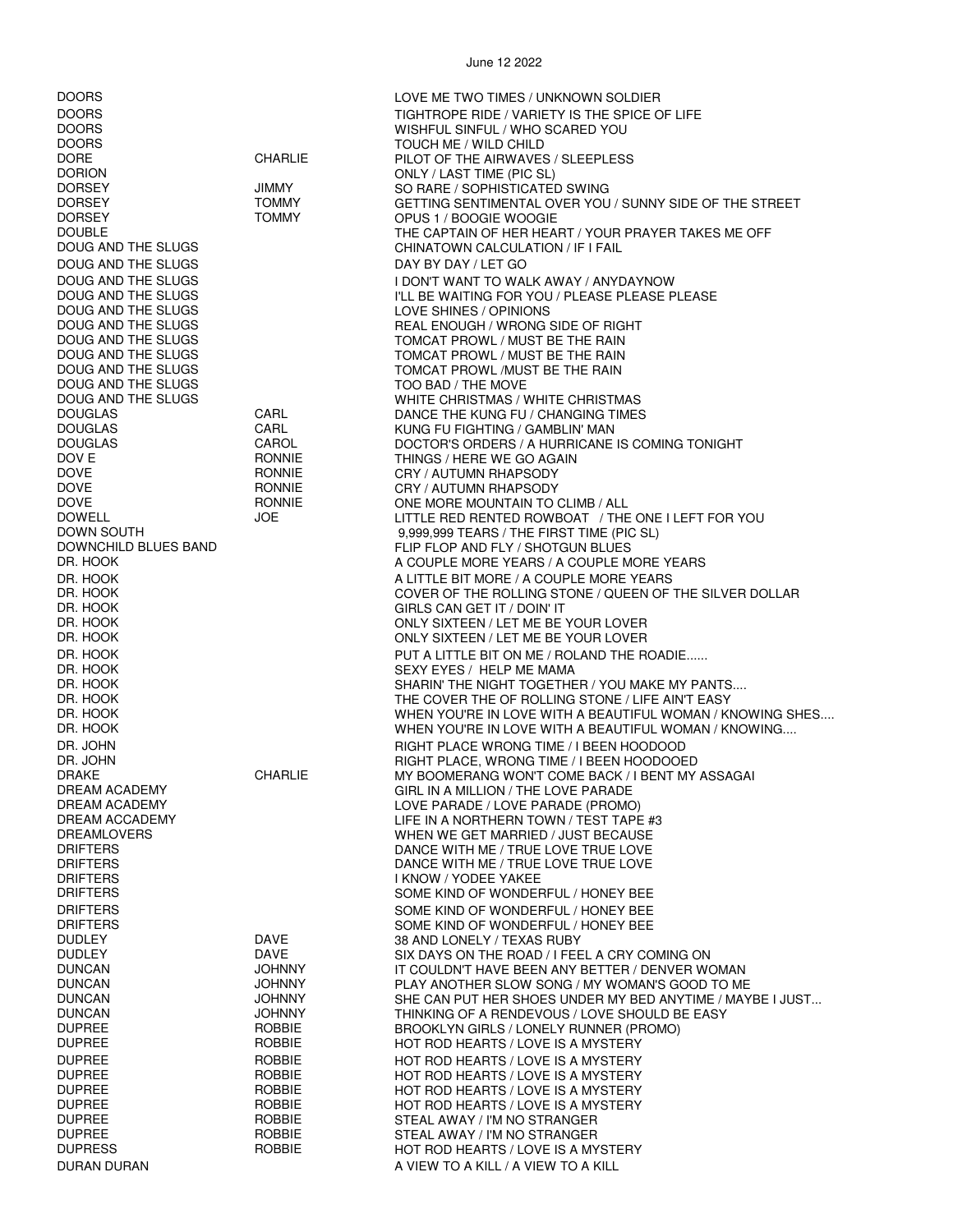$\lim_{2} 12.2022$ 

|                                                                                                                                                                                                                                                                                                                                                                                                                  |                                                                                                                                                                                   | June 12 2022                                                                                                                                                                                                                                                                                                                                                                                                                                                                                                                                                                                                                                                                                                                                                                                                                                                                                                                            |
|------------------------------------------------------------------------------------------------------------------------------------------------------------------------------------------------------------------------------------------------------------------------------------------------------------------------------------------------------------------------------------------------------------------|-----------------------------------------------------------------------------------------------------------------------------------------------------------------------------------|-----------------------------------------------------------------------------------------------------------------------------------------------------------------------------------------------------------------------------------------------------------------------------------------------------------------------------------------------------------------------------------------------------------------------------------------------------------------------------------------------------------------------------------------------------------------------------------------------------------------------------------------------------------------------------------------------------------------------------------------------------------------------------------------------------------------------------------------------------------------------------------------------------------------------------------------|
| <b>DOORS</b><br><b>DOORS</b><br><b>DOORS</b><br><b>DOORS</b><br><b>DORE</b><br><b>DORION</b><br><b>DORSEY</b><br><b>DORSEY</b><br><b>DORSEY</b><br><b>DOUBLE</b><br>DOUG AND THE SLUGS<br>DOUG AND THE SLUGS<br>DOUG AND THE SLUGS                                                                                                                                                                               | <b>CHARLIE</b><br>JIMMY<br><b>TOMMY</b><br><b>TOMMY</b>                                                                                                                           | LOVE ME TWO TIMES / UNKNOWN SOLDIER<br>TIGHTROPE RIDE / VARIETY IS THE SPICE OF LIFE<br>WISHFUL SINFUL / WHO SCARED YOU<br>TOUCH ME / WILD CHILD<br>PILOT OF THE AIRWAVES / SLEEPLESS<br>ONLY / LAST TIME (PIC SL)<br>SO RARE / SOPHISTICATED SWING<br>GETTING SENTIMENTAL OVER YOU / SUNNY SIDE OF THE STREET<br>OPUS 1 / BOOGIE WOOGIE<br>THE CAPTAIN OF HER HEART / YOUR PRAYER TAKES ME OFF<br>CHINATOWN CALCULATION / IF I FAIL<br>DAY BY DAY / LET GO<br>I DON'T WANT TO WALK AWAY / ANYDAYNOW                                                                                                                                                                                                                                                                                                                                                                                                                                    |
| DOUG AND THE SLUGS<br>DOUG AND THE SLUGS<br>DOUG AND THE SLUGS<br>DOUG AND THE SLUGS<br>DOUG AND THE SLUGS<br>DOUG AND THE SLUGS<br>DOUG AND THE SLUGS<br>DOUG AND THE SLUGS<br><b>DOUGLAS</b><br><b>DOUGLAS</b><br><b>DOUGLAS</b><br>DOV E<br><b>DOVE</b><br>DOVE<br><b>DOVE</b><br><b>DOWELL</b><br>DOWN SOUTH<br>DOWNCHILD BLUES BAND<br>DR. HOOK<br>DR. HOOK<br>DR. HOOK<br>DR. HOOK<br>DR. HOOK<br>DR. HOOK | CARL<br>CARL<br>CAROL<br><b>RONNIE</b><br>RONNIE<br><b>RONNIE</b><br><b>RONNIE</b><br>JOE                                                                                         | I'LL BE WAITING FOR YOU / PLEASE PLEASE PLEASE<br>LOVE SHINES / OPINIONS<br>REAL ENOUGH / WRONG SIDE OF RIGHT<br>TOMCAT PROWL / MUST BE THE RAIN<br>TOMCAT PROWL / MUST BE THE RAIN<br>TOMCAT PROWL /MUST BE THE RAIN<br>TOO BAD / THE MOVE<br>WHITE CHRISTMAS / WHITE CHRISTMAS<br>DANCE THE KUNG FU / CHANGING TIMES<br>KUNG FU FIGHTING / GAMBLIN' MAN<br>DOCTOR'S ORDERS / A HURRICANE IS COMING TONIGHT<br>THINGS / HERE WE GO AGAIN<br>CRY / AUTUMN RHAPSODY<br>CRY / AUTUMN RHAPSODY<br>ONE MORE MOUNTAIN TO CLIMB / ALL<br>LITTLE RED RENTED ROWBOAT / THE ONE I LEFT FOR YOU<br>9,999,999 TEARS / THE FIRST TIME (PIC SL)<br>FLIP FLOP AND FLY / SHOTGUN BLUES<br>A COUPLE MORE YEARS / A COUPLE MORE YEARS<br>A LITTLE BIT MORE / A COUPLE MORE YEARS<br>COVER OF THE ROLLING STONE / QUEEN OF THE SILVER DOLLAR<br>GIRLS CAN GET IT / DOIN' IT<br>ONLY SIXTEEN / LET ME BE YOUR LOVER<br>ONLY SIXTEEN / LET ME BE YOUR LOVER |
| DR. HOOK<br>DR. HOOK<br>DR. HOOK<br>DR. HOOK<br>DR. HOOK<br>DR. HOOK<br>DR. JOHN<br>DR. JOHN<br><b>DRAKE</b><br><b>DREAM ACADEMY</b><br>DREAM ACADEMY<br>DREAM ACCADEMY<br><b>DREAMLOVERS</b><br><b>DRIFTERS</b><br><b>DRIFTERS</b><br><b>DRIFTERS</b><br><b>DRIFTERS</b>                                                                                                                                        | <b>CHARLIE</b>                                                                                                                                                                    | PUT A LITTLE BIT ON ME / ROLAND THE ROADIE<br>SEXY EYES / HELP ME MAMA<br>SHARIN' THE NIGHT TOGETHER / YOU MAKE MY PANTS<br>THE COVER THE OF ROLLING STONE / LIFE AIN'T EASY<br>WHEN YOU'RE IN LOVE WITH A BEAUTIFUL WOMAN / KNOWING SHES<br>WHEN YOU'RE IN LOVE WITH A BEAUTIFUL WOMAN / KNOWING<br>RIGHT PLACE WRONG TIME / I BEEN HOODOOD<br>RIGHT PLACE, WRONG TIME / I BEEN HOODOOED<br>MY BOOMERANG WON'T COME BACK / I BENT MY ASSAGAI<br>GIRL IN A MILLION / THE LOVE PARADE<br>LOVE PARADE / LOVE PARADE (PROMO)<br>LIFE IN A NORTHERN TOWN / TEST TAPE #3<br>WHEN WE GET MARRIED / JUST BECAUSE<br>DANCE WITH ME / TRUE LOVE TRUE LOVE<br>DANCE WITH ME / TRUE LOVE TRUE LOVE<br>I KNOW / YODEE YAKEE<br>SOME KIND OF WONDERFUL / HONEY BEE                                                                                                                                                                                   |
| <b>DRIFTERS</b><br><b>DRIFTERS</b><br><b>DUDLEY</b><br><b>DUDLEY</b><br><b>DUNCAN</b><br><b>DUNCAN</b><br><b>DUNCAN</b><br><b>DUNCAN</b><br><b>DUPREE</b><br><b>DUPREE</b><br><b>DUPREE</b><br><b>DUPREE</b><br><b>DUPREE</b><br><b>DUPREE</b><br><b>DUPREE</b><br><b>DUPREE</b><br><b>DUPRESS</b><br>DURAN DURAN                                                                                                | DAVE<br>DAVE<br><b>JOHNNY</b><br><b>JOHNNY</b><br><b>JOHNNY</b><br><b>JOHNNY</b><br>ROBBIE<br>ROBBIE<br>ROBBIE<br><b>ROBBIE</b><br>ROBBIE<br>ROBBIE<br>ROBBIE<br>ROBBIE<br>ROBBIE | SOME KIND OF WONDERFUL / HONEY BEE<br>SOME KIND OF WONDERFUL / HONEY BEE<br>38 AND LONELY / TEXAS RUBY<br>SIX DAYS ON THE ROAD / I FEEL A CRY COMING ON<br>IT COULDN'T HAVE BEEN ANY BETTER / DENVER WOMAN<br>PLAY ANOTHER SLOW SONG / MY WOMAN'S GOOD TO ME<br>SHE CAN PUT HER SHOES UNDER MY BED ANYTIME / MAYBE I JUST<br>THINKING OF A RENDEVOUS / LOVE SHOULD BE EASY<br>BROOKLYN GIRLS / LONELY RUNNER (PROMO)<br>HOT ROD HEARTS / LOVE IS A MYSTERY<br>HOT ROD HEARTS / LOVE IS A MYSTERY<br>HOT ROD HEARTS / LOVE IS A MYSTERY<br>HOT ROD HEARTS / LOVE IS A MYSTERY<br>HOT ROD HEARTS / LOVE IS A MYSTERY<br>STEAL AWAY / I'M NO STRANGER<br>STEAL AWAY / I'M NO STRANGER<br>HOT ROD HEARTS / LOVE IS A MYSTERY<br>A VIEW TO A KILL / A VIEW TO A KILL                                                                                                                                                                         |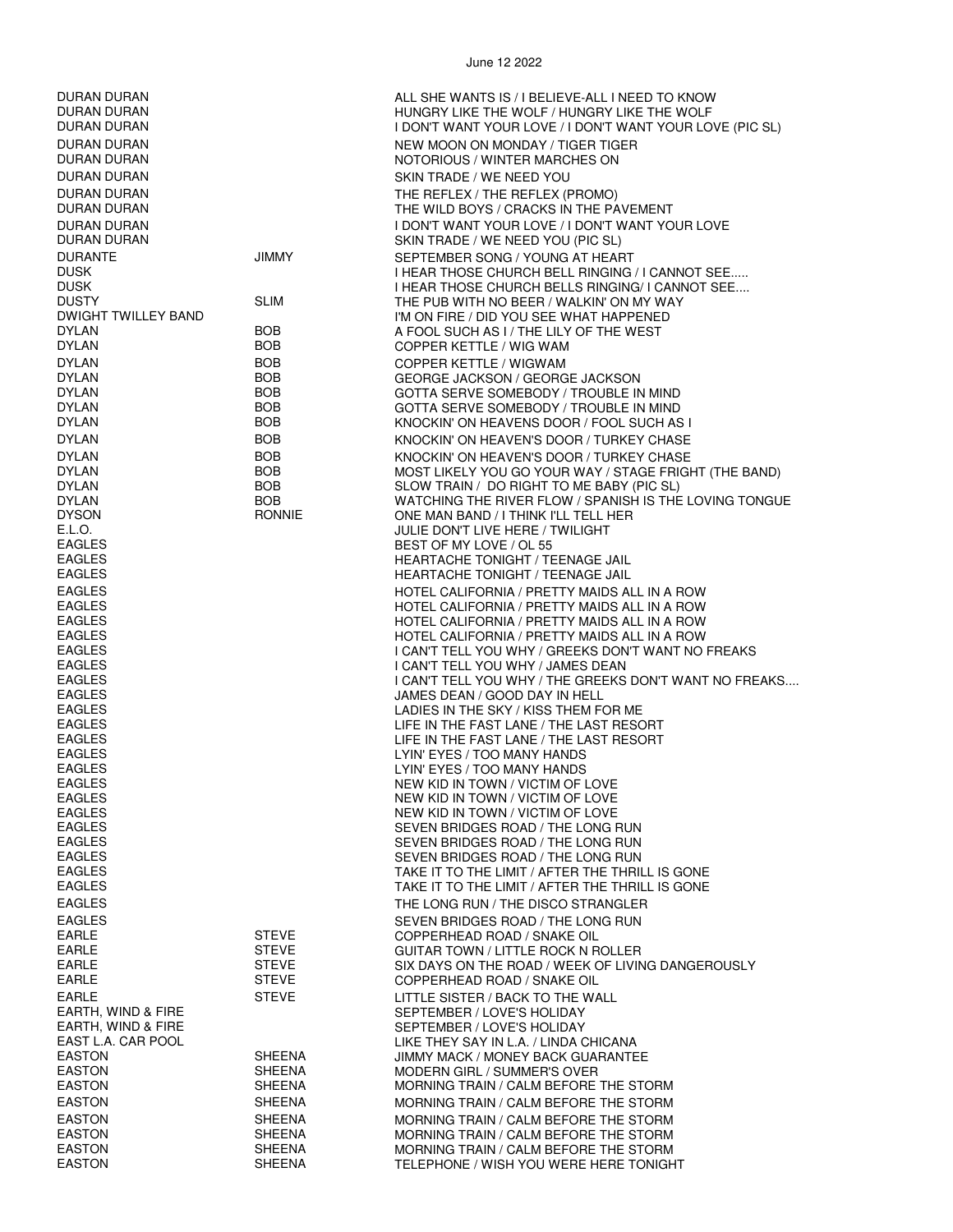DURAN DURAN DURAN ALL SHE WANTS IS / I BELIEVE-ALL I NEED TO KNOW<br>DURAN DURAN DURAN ALL SHE WOLF I HE WOLF I HE WOLF / HUNGRY LIKE THE WOLF DURAN DURAN DURAN HUNGRY LIKE THE WOLF / HUNGRY LIKE THE WOLF / HUNGRY LIKE THE WOLF / HUNGRY LIKE THE WOLF LO<br>I DON'T WANT YOUR LOVE / I DON'T WANT YOUR LOVE / I DON'T WANT YOUR LO I DON'T WANT YOUR LOVE / I DON'T WANT YOUR LOVE (PIC SL) DURAN DURAN NEW MOON ON MONDAY / TIGER TIGER DURAN DURAN NOTORIOUS / WINTER MARCHES ON DURAN DURAN SKIN TRADE / WE NEED YOU DURAN DURAN THE REFLEX / THE REFLEX (PROMO) DURAN DURAN THE WILD BOYS / CRACKS IN THE PAVEMENT DURAN DURAN I DON'T WANT YOUR LOVE / I DON'T WANT YOUR LOVE DURAN DURAN SKIN TRADE / WE NEED YOU (PIC SL) DURANTE JIMMY SEPTEMBER SONG / YOUNG AT HEART DUSK I HEAR THOSE CHURCH BELL RINGING / I CANNOT SEE..... I HEAR THOSE CHURCH BELLS RINGING/ I CANNOT SEE.... DUSTY SLIM THE PUB WITH NO BEER / WALKIN' ON MY WAY I'M ON FIRE / DID YOU SEE WHAT HAPPENED DYLAN BOB BOB A FOOL SUCH AS I / THE LILY OF THE WEST<br>DYLAN BOB BOB COPPER KETTI F / WIG WAM COPPER KETTLE / WIG WAM DYLAN BOB BOB COPPER KETTLE / WIGWAM DYLAN BOB BOB GEORGE JACKSON / GEORGE JACKSON<br>DYLAN BOB GOTTA SERVE SOMERODY / TROUBLE IN DYLAN BOB GOTTA SERVE SOMEBODY / TROUBLE IN MIND GOTTA SERVE SOMEBODY / TROUBLE IN MIND DYLAN BOB BOB KNOCKIN' ON HEAVENS DOOR / FOOL SUCH AS I DYLAN BOB BOB KNOCKIN' ON HEAVEN'S DOOR / TURKEY CHASE DYLAN BOB BOB KNOCKIN' ON HEAVEN'S DOOR / TURKEY CHASE DYLAN BOB BOB MOST LIKELY YOU GO YOUR WAY / STAGE FRIGHT (THE BAND)<br>DYLAN BOB BOB SLOW TRAIN / DO RIGHT TO ME BARY (PIC SL) DYLAN BOB SLOW TRAIN / DO RIGHT TO ME BABY (PIC SL) WATCHING THE RIVER FLOW / SPANISH IS THE LOVING TONGUE DYSON RONNIE ONE MAN BAND / I THINK I'LL TELL HER E.L.O. JULIE DON'T LIVE HERE / TWILIGHT EAGLES<br>EAGLES BEST OF MY LOVE / OL 55 EAGLES HEARTACHE TONIGHT / TEENAGE JAIL HEARTACHE TONIGHT / TEENAGE JAIL EAGLES HOTEL CALIFORNIA / PRETTY MAIDS ALL IN A ROW EAGLES HOTEL CALIFORNIA / PRETTY MAIDS ALL IN A ROW HOTEL CALIFORNIA / PRETTY MAIDS ALL IN A ROW EAGLES HOTEL CALIFORNIA / PRETTY MAIDS ALL IN A ROW EAGLES I CAN'T TELL YOU WHY / GREEKS DON'T WANT NO FREAKS I CAN'T TELL YOU WHY / JAMES DEAN EAGLES I CAN'T TELL YOU WHY / THE GREEKS DON'T WANT NO FREAKS.... EAGLES JAMES DEAN / GOOD DAY IN HELL EAGLES<br>
EAGLES<br>
LIFE IN THE EAST LANE / THE LAST RESO EAGLES<br>EAGLES EAGLES LIFE IN THE FAST LANE / THE LAST RESORT<br>LIFE IN THE FAST LANE / THE LAST RESORT LIFE IN THE FAST LANE / THE LAST RESORT EAGLES LYIN' EYES / TOO MANY HANDS LYIN' EYES / TOO MANY HANDS EAGLES NEW KID IN TOWN / VICTIM OF LOVE EAGLES NEW KID IN TOWN / VICTIM OF LOVE EAGLES NEW KID IN TOWN / VICTIM OF LOVE EAGLES SEVEN BRIDGES ROAD / THE LONG RUN SEVEN BRIDGES ROAD / THE LONG RUN EAGLES SEVEN BRIDGES ROAD / THE LONG RUN TAKE IT TO THE LIMIT / AFTER THE THRILL IS GONE EAGLES TAKE IT TO THE LIMIT / AFTER THE THRILL IS GONE EAGLES THE LONG RUN / THE DISCO STRANGLER EAGLES<br>EARLE EARLE STEVE SAND COPPERHEAD ROAD / SNAKE OIL EARLE STEVE STEVE COPPERHEAD ROAD / SNAKE OIL<br>FARLE STEVE STEVE GUITAR TOWN / LITTLE ROCK N R EARLE STEVE GUITAR TOWN / LITTLE ROCK N ROLLER SIX DAYS ON THE ROAD / WEEK OF LIVING DANGEROUSLY EARLE STEVE COPPERHEAD ROAD / SNAKE OIL EARLE STEVE EARLE STEVE LITTLE SISTER / BACK TO THE WALL<br>EARTH, WIND & FIRE SEPTEMBER / LOVE'S HOLIDAY SEPTEMBER / LOVE'S HOLIDAY EARTH, WIND & FIRE SEPTEMBER / LOVE'S HOLIDAY EAST L.A. CAR POOL LIKE THEY SAY IN L.A. / LINDA CHICANA<br>EASTON LIMMY MACK / MONEY BACK GUARANTE JIMMY MACK / MONEY BACK GUARANTEE EASTON SHEENA MODERN GIRL / SUMMER'S OVER

MORNING TRAIN / CALM BEFORE THE STORM

SHEENA **MORNING TRAIN / CALM BEFORE THE STORM** 

EASTON SHEENA MORNING TRAIN / CALM BEFORE THE STORM EASTON SHEENA MORNING TRAIN / CALM BEFORE THE STORM<br>EASTON SHEENA MORNING TRAIN / CALM BEFORE THE STORM EASTON SHEENA MORNING TRAIN / CALM BEFORE THE STORM

EASTON SHEENA TELEPHONE / WISH YOU WERE HERE TONIGHT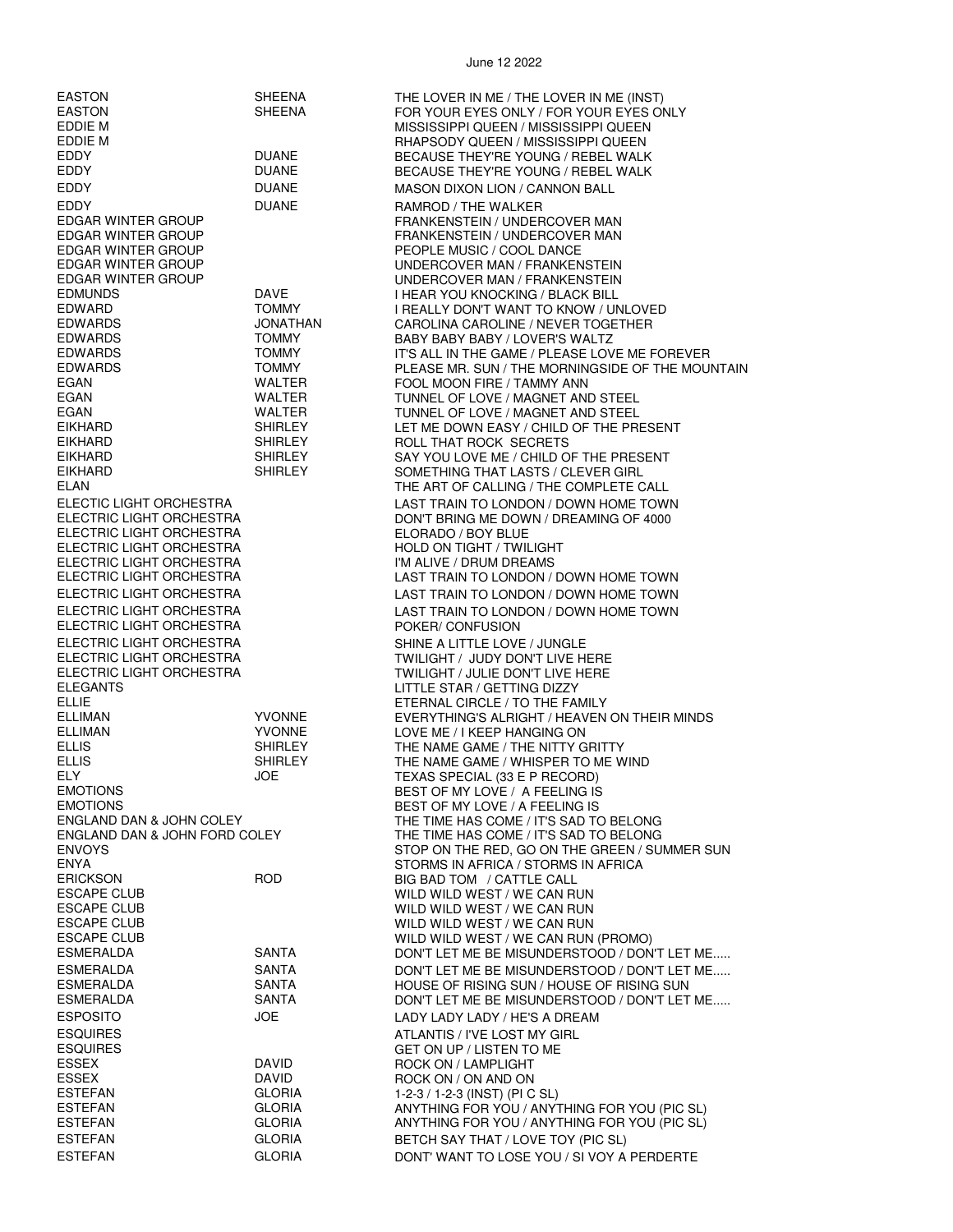EDDY DUANE RAMROD / THE WALKER EIKHARD SHIRLEY ROLL THAT ROCK SECRETS ELECTRIC LIGHT ORCHESTRA<br>ELECTRIC LIGHT ORCHESTRA ELORADO / BOY BLUE<br>HOI D ON TIGHT / TWII ELECTRIC LIGHT ORCHESTRA ELECTRIC LIGHT ORCHESTRA POKER/ CONFUSION ELECTRIC LIGHT ORCHESTRA SHINE A LITTLE LOVE / JUNGLE<br>SHECTRIC LIGHT ORCHESTRA SHOW STANDIGHT / JUDY DON'T LIVE H ELEGANTS LITTLE STAR / GETTING DIZZY ELLIE ETERNAL CIRCLE / TO THE FAMILY EMOTIONS BEST OF MY LOVE / A FEELING IS EMOTIONS BEST OF MY LOVE / A FEELING IS ESCAPE CLUB WILD WILD WEST / WE CAN RUN ESCAPE CLUB WILD WILD WEST / WE CAN RUN ESCAPE CLUB WILD WILD WEST / WE CAN RUN ESPOSITO JOE LADY LADY LADY / HE'S A DREAM ESQUIRES ATLANTIS / I'VE LOST MY GIRL ESQUIRES GET ON UP / LISTEN TO ME ESSEX DAVID ROCK ON / ON AND ON

EASTON SHEENA THE LOVER IN ME / THE LOVER IN ME (INST)<br>EASTON SHEENA FOR YOUR EYES ONLY / FOR YOUR EYES O EASTON SHEENA FOR YOUR EYES ONLY / FOR YOUR EYES ONLY<br>EDDIE MNSSISSIPPI QUEEN / MISSISSIPPI QUEEN / MISSISSIPPI QUEEN MISSISSIPPI QUEEN / MISSISSIPPI QUEEN EDDIE M RHAPSODY QUEEN / MISSISSIPPI QUEEN EDDY DUANE BECAUSE THEY'RE YOUNG / REBEL WALK EDDY DUANE BECAUSE THEY'RE YOUNG / REBEL WALK EDDY DUANE MASON DIXON LION / CANNON BALL FRANKENSTEIN / UNDERCOVER MAN EDGAR WINTER GROUP FRANKENSTEIN / UNDERCOVER MAN<br>EDGAR WINTER GROUP FOPLE MUSIC / COOL DANCE PEOPLE MUSIC / COOL DANCE EDGAR WINTER GROUP UNDERCOVER MAN / FRANKENSTEIN UNDERCOVER MAN / FRANKENSTEIN EDMUNDS DAVE I HEAR YOU KNOCKING / BLACK BILL EDWARD TOMMY I REALLY DON'T WANT TO KNOW / UNLOVED JONATHAN CAROLINA CAROLINE / NEVER TOGETHER<br>TOMMY BARY BARY BARY / LOVER'S WALTZ EDWARDS TOMMY BABY BABY BABY / LOVER'S WALTZ EDWARDS TOMMY TOMMY IT'S ALL IN THE GAME / PLEASE LOVE ME FOREVER<br>EDWARDS TOMMY PLEASE MR. SUN / THE MORNINGSIDE OF THE MOU EDWARDS TOMMY PLEASE MR. SUN / THE MORNINGSIDE OF THE MOUNTAIN FOOL MOON FIRE / TAMMY ANN EGAN WALTER TUNNEL OF LOVE / MAGNET AND STEEL<br>FGAN WALTER TIINNEL OF LOVE / MAGNET AND STEEL EGAN WALTER TUNNEL OF LOVE / MAGNET AND STEEL LET ME DOWN EASY / CHILD OF THE PRESENT EIKHARD SHIRLEY SAY YOU LOVE ME / CHILD OF THE PRESENT EIKHARD SHIRLEY SOMETHING THAT LASTS / CLEVER GIRL THE ART OF CALLING / THE COMPLETE CALL ELECTIC LIGHT ORCHESTRA<br>ELECTRIC LIGHT ORCHESTRA LAST TRAIN TO LONDON / DOWN HOME TOWN<br>DON'T BRING ME DOWN / DREAMING OF 4000 DON'T BRING ME DOWN / DREAMING OF 4000 HOLD ON TIGHT / TWILIGHT<br>I'M ALIVE / DRUM DREAMS ELECTRIC LIGHT ORCHESTRA LAST TRAIN TO LONDON / DOWN HOME TOWN ELECTRIC LIGHT ORCHESTRA LAST TRAIN TO LONDON / DOWN HOME TOWN ELECTRIC LIGHT ORCHESTRA LAST TRAIN TO LONDON / DOWN HOME TOWN ELECTRIC LIGHT ORCHESTRA TWILIGHT / JUDY DON'T LIVE HERE<br>ELECTRIC LIGHT ORCHESTRA TWILIGHT / JULIE DON'T LIVE HERE ELECTRIC LIGHT ORCHESTRA TWILIGHT / JULIE DON'T LIVE HERE<br>FLEGANTS ELLIMAN YVONNE EVERYTHING'S ALRIGHT / HEAVEN ON THEIR MINDS LOVE ME / I KEEP HANGING ON ELLIS SHIRLEY THE NAME GAME / THE NITTY GRITTY ELLIS SHIRLEY THE NAME GAME / WHISPER TO ME WIND TEXAS SPECIAL (33 E P RECORD) ENGLAND DAN & JOHN COLEY THE TIME HAS COME / IT'S SAD TO BELONG<br>ENGLAND DAN & JOHN FORD COLEY THE TIME HAS COME / IT'S SAD TO BELONG ENGLAND DAN & JOHN FORD COLEY THE TIME HAS COME / IT'S SAD TO BELONG<br>ENVOYS THE RED. GO ON THE GREEN / SUI STOP ON THE RED, GO ON THE GREEN / SUMMER SUN ENYA STORMS IN AFRICA / STORMS IN AFRICA BIG BAD TOM / CATTLE CALL WILD WILD WEST / WE CAN RUN (PROMO) ESMERALDA SANTA DON'T LET ME BE MISUNDERSTOOD / DON'T LET ME..... ESMERALDA SANTA SANTA DON'T LET ME BE MISUNDERSTOOD / DON'T LET ME.....<br>ESMERALDA SANTA HOUSE OF RISING SUN / HOUSE OF RISING SUN HOUSE OF RISING SUN / HOUSE OF RISING SUN ESMERALDA SANTA SANTA DON'T LET ME BE MISUNDERSTOOD / DON'T LET ME..... **ROCK ON / LAMPLIGHT** 1-2-3 / 1-2-3 (INST) (PI C SL) ESTEFAN GLORIA ANYTHING FOR YOU / ANYTHING FOR YOU (PIC SL)<br>ESTEFAN GLORIA ANYTHING FOR YOU / ANYTHING FOR YOU (PIC SL) ESTEFAN GLORIA ANYTHING FOR YOU / ANYTHING FOR YOU (PIC SL) ESTEFAN GLORIA BETCH SAY THAT / LOVE TOY (PIC SL) ESTEFAN GLORIA DONT' WANT TO LOSE YOU / SI VOY A PERDERTE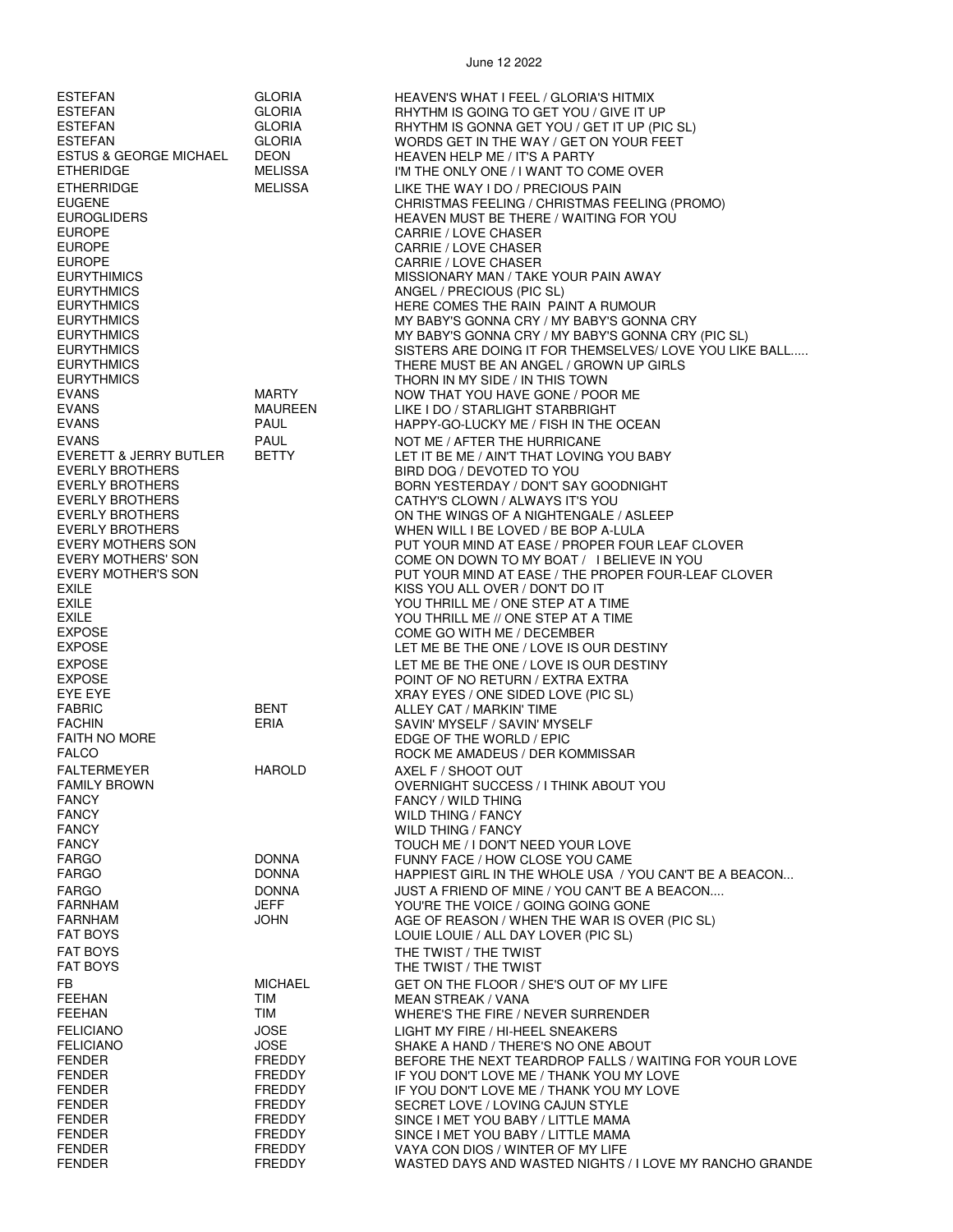| <b>ESTEFAN</b>                         | <b>GLORIA</b>               | <b>HEAVEN'S WHAT I FEEL / GLORIA'S HITMIX</b>                                                |
|----------------------------------------|-----------------------------|----------------------------------------------------------------------------------------------|
| <b>ESTEFAN</b>                         | <b>GLORIA</b>               | RHYTHM IS GOING TO GET YOU / GIVE IT UP                                                      |
| <b>ESTEFAN</b>                         | <b>GLORIA</b>               | RHYTHM IS GONNA GET YOU / GET IT UP (PIC SL)                                                 |
| <b>ESTEFAN</b>                         | <b>GLORIA</b>               | WORDS GET IN THE WAY / GET ON YOUR FEET                                                      |
| <b>ESTUS &amp; GEORGE MICHAEL</b>      | <b>DEON</b>                 | <b>HEAVEN HELP ME / IT'S A PARTY</b>                                                         |
| <b>ETHERIDGE</b>                       | <b>MELISSA</b>              | I'M THE ONLY ONE / I WANT TO COME OVER                                                       |
| <b>ETHERRIDGE</b>                      | <b>MELISSA</b>              | LIKE THE WAY I DO / PRECIOUS PAIN                                                            |
| <b>EUGENE</b>                          |                             | CHRISTMAS FEELING / CHRISTMAS FEELING (PROMO)                                                |
| <b>EUROGLIDERS</b>                     |                             | HEAVEN MUST BE THERE / WAITING FOR YOU                                                       |
| <b>EUROPE</b>                          |                             | CARRIE / LOVE CHASER                                                                         |
| <b>EUROPE</b>                          |                             | CARRIE / LOVE CHASER                                                                         |
| <b>EUROPE</b>                          |                             | CARRIE / LOVE CHASER                                                                         |
| <b>EURYTHIMICS</b>                     |                             | MISSIONARY MAN / TAKE YOUR PAIN AWAY                                                         |
| <b>EURYTHMICS</b>                      |                             | ANGEL / PRECIOUS (PIC SL)                                                                    |
| <b>EURYTHMICS</b>                      |                             | HERE COMES THE RAIN PAINT A RUMOUR                                                           |
| <b>EURYTHMICS</b>                      |                             | MY BABY'S GONNA CRY / MY BABY'S GONNA CRY                                                    |
| <b>EURYTHMICS</b>                      |                             | MY BABY'S GONNA CRY / MY BABY'S GONNA CRY (PIC SL)                                           |
| <b>EURYTHMICS</b>                      |                             | SISTERS ARE DOING IT FOR THEMSELVES/ LOVE YOU LIKE BALL                                      |
| <b>EURYTHMICS</b>                      |                             | THERE MUST BE AN ANGEL / GROWN UP GIRLS                                                      |
| <b>EURYTHMICS</b>                      |                             | THORN IN MY SIDE / IN THIS TOWN                                                              |
| <b>EVANS</b>                           | <b>MARTY</b>                | NOW THAT YOU HAVE GONE / POOR ME                                                             |
| <b>EVANS</b><br><b>EVANS</b>           | MAUREEN<br>PAUL             | LIKE I DO / STARLIGHT STARBRIGHT                                                             |
|                                        |                             | HAPPY-GO-LUCKY ME / FISH IN THE OCEAN                                                        |
| <b>EVANS</b><br>EVERETT & JERRY BUTLER | <b>PAUL</b><br><b>BETTY</b> | NOT ME / AFTER THE HURRICANE                                                                 |
| <b>EVERLY BROTHERS</b>                 |                             | LET IT BE ME / AIN'T THAT LOVING YOU BABY<br>BIRD DOG / DEVOTED TO YOU                       |
| <b>EVERLY BROTHERS</b>                 |                             | BORN YESTERDAY / DON'T SAY GOODNIGHT                                                         |
| <b>EVERLY BROTHERS</b>                 |                             | CATHY'S CLOWN / ALWAYS IT'S YOU                                                              |
| <b>EVERLY BROTHERS</b>                 |                             | ON THE WINGS OF A NIGHTENGALE / ASLEEP                                                       |
| <b>EVERLY BROTHERS</b>                 |                             | WHEN WILL I BE LOVED / BE BOP A-LULA                                                         |
| EVERY MOTHERS SON                      |                             | PUT YOUR MIND AT EASE / PROPER FOUR LEAF CLOVER                                              |
| EVERY MOTHERS' SON                     |                             | COME ON DOWN TO MY BOAT / I BELIEVE IN YOU                                                   |
| EVERY MOTHER'S SON                     |                             | PUT YOUR MIND AT EASE / THE PROPER FOUR-LEAF CLOVER                                          |
| <b>EXILE</b>                           |                             | KISS YOU ALL OVER / DON'T DO IT                                                              |
| <b>EXILE</b>                           |                             | YOU THRILL ME / ONE STEP AT A TIME                                                           |
| <b>EXILE</b>                           |                             | YOU THRILL ME // ONE STEP AT A TIME                                                          |
| <b>EXPOSE</b>                          |                             | COME GO WITH ME / DECEMBER                                                                   |
| <b>EXPOSE</b>                          |                             | LET ME BE THE ONE / LOVE IS OUR DESTINY                                                      |
| <b>EXPOSE</b>                          |                             | LET ME BE THE ONE / LOVE IS OUR DESTINY                                                      |
| <b>EXPOSE</b>                          |                             | POINT OF NO RETURN / EXTRA EXTRA                                                             |
| EYE EYE                                |                             | XRAY EYES / ONE SIDED LOVE (PIC SL)                                                          |
| <b>FABRIC</b>                          | <b>BENT</b>                 | ALLEY CAT / MARKIN' TIME                                                                     |
| <b>FACHIN</b>                          | ERIA                        | SAVIN' MYSELF / SAVIN' MYSELF                                                                |
| <b>FAITH NO MORE</b><br><b>FALCO</b>   |                             | EDGE OF THE WORLD / EPIC<br>ROCK ME AMADEUS / DER KOMMISSAR                                  |
|                                        |                             |                                                                                              |
| <b>FALTERMEYER</b>                     | <b>HAROLD</b>               | AXEL F / SHOOT OUT                                                                           |
| <b>FAMILY BROWN</b><br><b>FANCY</b>    |                             | OVERNIGHT SUCCESS / I THINK ABOUT YOU<br><b>FANCY / WILD THING</b>                           |
| <b>FANCY</b>                           |                             | WILD THING / FANCY                                                                           |
| <b>FANCY</b>                           |                             | <b>WILD THING / FANCY</b>                                                                    |
| <b>FANCY</b>                           |                             | TOUCH ME / I DON'T NEED YOUR LOVE                                                            |
| <b>FARGO</b>                           | <b>DONNA</b>                | FUNNY FACE / HOW CLOSE YOU CAME                                                              |
| <b>FARGO</b>                           | <b>DONNA</b>                | HAPPIEST GIRL IN THE WHOLE USA / YOU CAN'T BE A BEACON                                       |
| <b>FARGO</b>                           | <b>DONNA</b>                | JUST A FRIEND OF MINE / YOU CAN'T BE A BEACON                                                |
| <b>FARNHAM</b>                         | JEFF                        | YOU'RE THE VOICE / GOING GOING GONE                                                          |
| <b>FARNHAM</b>                         | <b>JOHN</b>                 | AGE OF REASON / WHEN THE WAR IS OVER (PIC SL)                                                |
| <b>FAT BOYS</b>                        |                             | LOUIE LOUIE / ALL DAY LOVER (PIC SL)                                                         |
| <b>FAT BOYS</b>                        |                             | THE TWIST / THE TWIST                                                                        |
| <b>FAT BOYS</b>                        |                             | THE TWIST / THE TWIST                                                                        |
| FB.                                    | <b>MICHAEL</b>              | GET ON THE FLOOR / SHE'S OUT OF MY LIFE                                                      |
| <b>FEEHAN</b>                          | TIM                         | <b>MEAN STREAK / VANA</b>                                                                    |
| <b>FEEHAN</b>                          | TIM                         | WHERE'S THE FIRE / NEVER SURRENDER                                                           |
| <b>FELICIANO</b>                       | <b>JOSE</b>                 | LIGHT MY FIRE / HI-HEEL SNEAKERS                                                             |
| <b>FELICIANO</b>                       | JOSE                        | SHAKE A HAND / THERE'S NO ONE ABOUT                                                          |
| <b>FENDER</b>                          | FREDDY                      | BEFORE THE NEXT TEARDROP FALLS / WAITING FOR YOUR LOVE                                       |
| <b>FENDER</b>                          | FREDDY                      | IF YOU DON'T LOVE ME / THANK YOU MY LOVE                                                     |
| <b>FENDER</b>                          | FREDDY                      | IF YOU DON'T LOVE ME / THANK YOU MY LOVE                                                     |
| <b>FENDER</b>                          | FREDDY                      | SECRET LOVE / LOVING CAJUN STYLE                                                             |
| FENDER                                 | FREDDY                      | SINCE I MET YOU BABY / LITTLE MAMA                                                           |
| <b>FENDER</b><br><b>FENDER</b>         | FREDDY<br>FREDDY            | SINCE I MET YOU BABY / LITTLE MAMA                                                           |
| <b>FENDER</b>                          | <b>FREDDY</b>               | VAYA CON DIOS / WINTER OF MY LIFE<br>WASTED DAYS AND WASTED NIGHTS / I LOVE MY RANCHO GRANDE |
|                                        |                             |                                                                                              |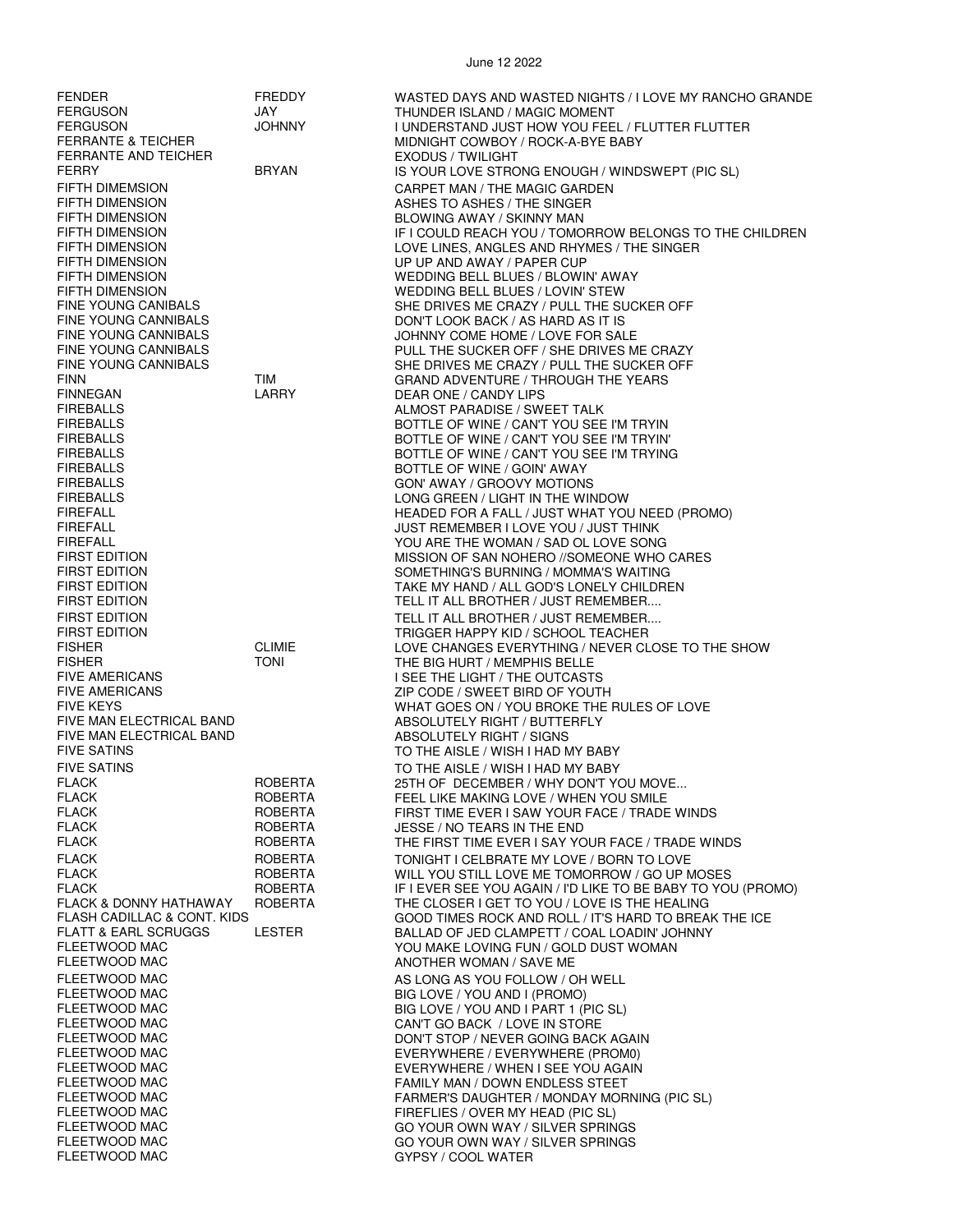| <b>FENDER</b><br><b>FERGUSON</b>                                                          | FREDDY<br>JAY                | WASTED DAYS AND WASTED NIGHTS / I LOVE MY RANCHO GRANDE<br>THUNDER ISLAND / MAGIC MOMENT                                           |
|-------------------------------------------------------------------------------------------|------------------------------|------------------------------------------------------------------------------------------------------------------------------------|
| <b>FERGUSON</b><br><b>FERRANTE &amp; TEICHER</b><br>FERRANTE AND TEICHER                  | <b>JOHNNY</b>                | I UNDERSTAND JUST HOW YOU FEEL / FLUTTER FLUTTER<br>MIDNIGHT COWBOY / ROCK-A-BYE BABY<br><b>EXODUS / TWILIGHT</b>                  |
| <b>FERRY</b>                                                                              | <b>BRYAN</b>                 | IS YOUR LOVE STRONG ENOUGH / WINDSWEPT (PIC SL)                                                                                    |
| <b>FIFTH DIMEMSION</b><br><b>FIFTH DIMENSION</b>                                          |                              | CARPET MAN / THE MAGIC GARDEN<br>ASHES TO ASHES / THE SINGER                                                                       |
| <b>FIFTH DIMENSION</b><br><b>FIFTH DIMENSION</b>                                          |                              | BLOWING AWAY / SKINNY MAN<br>IF I COULD REACH YOU / TOMORROW BELONGS TO THE CHILDREN                                               |
| <b>FIFTH DIMENSION</b><br><b>FIFTH DIMENSION</b>                                          |                              | LOVE LINES, ANGLES AND RHYMES / THE SINGER<br>UP UP AND AWAY / PAPER CUP                                                           |
| <b>FIFTH DIMENSION</b><br><b>FIFTH DIMENSION</b>                                          |                              | WEDDING BELL BLUES / BLOWIN' AWAY<br>WEDDING BELL BLUES / LOVIN' STEW                                                              |
| <b>FINE YOUNG CANIBALS</b><br>FINE YOUNG CANNIBALS                                        |                              | SHE DRIVES ME CRAZY / PULL THE SUCKER OFF<br>DON'T LOOK BACK / AS HARD AS IT IS                                                    |
| <b>FINE YOUNG CANNIBALS</b><br><b>FINE YOUNG CANNIBALS</b><br><b>FINE YOUNG CANNIBALS</b> |                              | JOHNNY COME HOME / LOVE FOR SALE<br>PULL THE SUCKER OFF / SHE DRIVES ME CRAZY                                                      |
| <b>FINN</b><br><b>FINNEGAN</b>                                                            | <b>TIM</b><br>LARRY          | SHE DRIVES ME CRAZY / PULL THE SUCKER OFF<br><b>GRAND ADVENTURE / THROUGH THE YEARS</b>                                            |
| <b>FIREBALLS</b><br><b>FIREBALLS</b>                                                      |                              | DEAR ONE / CANDY LIPS<br>ALMOST PARADISE / SWEET TALK                                                                              |
| <b>FIREBALLS</b><br><b>FIREBALLS</b>                                                      |                              | BOTTLE OF WINE / CAN'T YOU SEE I'M TRYIN<br>BOTTLE OF WINE / CAN'T YOU SEE I'M TRYIN'<br>BOTTLE OF WINE / CAN'T YOU SEE I'M TRYING |
| <b>FIREBALLS</b><br><b>FIREBALLS</b>                                                      |                              | BOTTLE OF WINE / GOIN' AWAY<br>GON' AWAY / GROOVY MOTIONS                                                                          |
| <b>FIREBALLS</b><br><b>FIREFALL</b>                                                       |                              | LONG GREEN / LIGHT IN THE WINDOW<br>HEADED FOR A FALL / JUST WHAT YOU NEED (PROMO)                                                 |
| <b>FIREFALL</b><br><b>FIREFALL</b>                                                        |                              | JUST REMEMBER I LOVE YOU / JUST THINK<br>YOU ARE THE WOMAN / SAD OL LOVE SONG                                                      |
| <b>FIRST EDITION</b><br><b>FIRST EDITION</b>                                              |                              | MISSION OF SAN NOHERO //SOMEONE WHO CARES<br>SOMETHING'S BURNING / MOMMA'S WAITING                                                 |
| <b>FIRST EDITION</b><br><b>FIRST EDITION</b>                                              |                              | TAKE MY HAND / ALL GOD'S LONELY CHILDREN<br>TELL IT ALL BROTHER / JUST REMEMBER                                                    |
| <b>FIRST EDITION</b>                                                                      |                              | TELL IT ALL BROTHER / JUST REMEMBER                                                                                                |
| <b>FIRST EDITION</b>                                                                      |                              | TRIGGER HAPPY KID / SCHOOL TEACHER                                                                                                 |
| <b>FISHER</b><br><b>FISHER</b>                                                            | <b>CLIMIE</b><br><b>TONI</b> | LOVE CHANGES EVERYTHING / NEVER CLOSE TO THE SHOW<br>THE BIG HURT / MEMPHIS BELLE                                                  |
| <b>FIVE AMERICANS</b><br><b>FIVE AMERICANS</b>                                            |                              | I SEE THE LIGHT / THE OUTCASTS<br>ZIP CODE / SWEET BIRD OF YOUTH                                                                   |
| <b>FIVE KEYS</b>                                                                          |                              | WHAT GOES ON / YOU BROKE THE RULES OF LOVE                                                                                         |
| FIVE MAN ELECTRICAL BAND<br>FIVE MAN ELECTRICAL BAND<br><b>FIVE SATINS</b>                |                              | ABSOLUTELY RIGHT / BUTTERFLY<br>ABSOLUTELY RIGHT / SIGNS                                                                           |
| <b>FIVE SATINS</b>                                                                        |                              | TO THE AISLE / WISH I HAD MY BABY<br>TO THE AISLE / WISH I HAD MY BABY                                                             |
| FLACK                                                                                     | <b>ROBERTA</b>               | 25TH OF DECEMBER / WHY DON'T YOU MOVE                                                                                              |
| <b>FLACK</b><br><b>FLACK</b>                                                              | <b>ROBERTA</b><br>ROBERTA    | FEEL LIKE MAKING LOVE / WHEN YOU SMILE<br>FIRST TIME EVER I SAW YOUR FACE / TRADE WINDS                                            |
| <b>FLACK</b>                                                                              | ROBERTA                      | JESSE / NO TEARS IN THE END                                                                                                        |
| <b>FLACK</b><br><b>FLACK</b>                                                              | ROBERTA<br>ROBERTA           | THE FIRST TIME EVER I SAY YOUR FACE / TRADE WINDS<br>TONIGHT I CELBRATE MY LOVE / BORN TO LOVE                                     |
| <b>FLACK</b>                                                                              | <b>ROBERTA</b>               | WILL YOU STILL LOVE ME TOMORROW / GO UP MOSES                                                                                      |
| <b>FLACK</b>                                                                              | ROBERTA                      | IF I EVER SEE YOU AGAIN / I'D LIKE TO BE BABY TO YOU (PROMO)                                                                       |
| <b>FLACK &amp; DONNY HATHAWAY</b><br>FLASH CADILLAC & CONT. KIDS                          | ROBERTA                      | THE CLOSER I GET TO YOU / LOVE IS THE HEALING<br>GOOD TIMES ROCK AND ROLL / IT'S HARD TO BREAK THE ICE                             |
| <b>FLATT &amp; EARL SCRUGGS</b><br><b>FLEETWOOD MAC</b>                                   | LESTER                       | BALLAD OF JED CLAMPETT / COAL LOADIN' JOHNNY<br>YOU MAKE LOVING FUN / GOLD DUST WOMAN                                              |
| FLEETWOOD MAC<br>FLEETWOOD MAC                                                            |                              | ANOTHER WOMAN / SAVE ME<br>AS LONG AS YOU FOLLOW / OH WELL                                                                         |
| FLEETWOOD MAC                                                                             |                              | BIG LOVE / YOU AND I (PROMO)                                                                                                       |
| FLEETWOOD MAC<br>FLEETWOOD MAC                                                            |                              | BIG LOVE / YOU AND I PART 1 (PIC SL)<br>CAN'T GO BACK / LOVE IN STORE                                                              |
| FLEETWOOD MAC                                                                             |                              | DON'T STOP / NEVER GOING BACK AGAIN                                                                                                |
| FLEETWOOD MAC                                                                             |                              | EVERYWHERE / EVERYWHERE (PROM0)                                                                                                    |
| FLEETWOOD MAC<br>FLEETWOOD MAC                                                            |                              | EVERYWHERE / WHEN I SEE YOU AGAIN<br>FAMILY MAN / DOWN ENDLESS STEET                                                               |
| FLEETWOOD MAC                                                                             |                              | FARMER'S DAUGHTER / MONDAY MORNING (PIC SL)                                                                                        |
| FLEETWOOD MAC<br>FLEETWOOD MAC                                                            |                              | FIREFLIES / OVER MY HEAD (PIC SL)<br>GO YOUR OWN WAY / SILVER SPRINGS                                                              |
| FLEETWOOD MAC                                                                             |                              | GO YOUR OWN WAY / SILVER SPRINGS                                                                                                   |
| FLEETWOOD MAC                                                                             |                              | GYPSY / COOL WATER                                                                                                                 |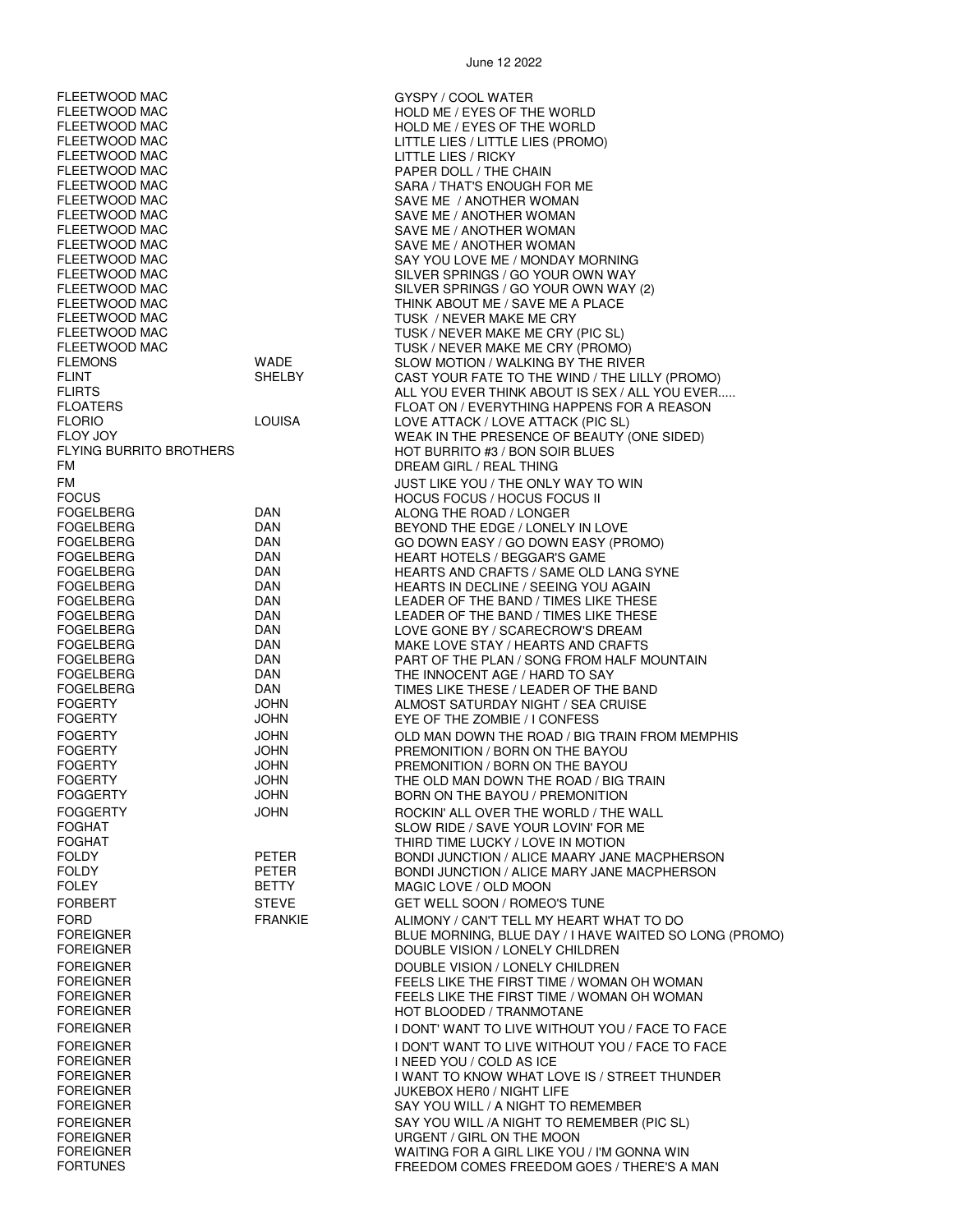FLEETWOOD MAC GYSPY / COOL WATER FLEETWOOD MAC HOLD ME / EYES OF THE WORLD HOLD ME / EYES OF THE WORLD FLEETWOOD MAC LITTLE LIES / LITTLE LIES (PROMO) FLEETWOOD MAC LITTLE LIES / RICKY FLEETWOOD MAC PAPER DOLL / THE CHAIN SARA / THAT'S ENOUGH FOR ME FLEETWOOD MAC SAVE ME / ANOTHER WOMAN FLEETWOOD MAC SAVE ME / ANOTHER WOMAN SAVE ME / ANOTHER WOMAN FLEETWOOD MAC SAVE ME / ANOTHER WOMAN FLEETWOOD MAC SAY YOU LOVE ME / MONDAY MORNING FLEETWOOD MAC SILVER SPRINGS / GO YOUR OWN WAY FLEETWOOD MAC SILVER SPRINGS / GO YOUR OWN WAY (2) THINK ABOUT ME / SAVE ME A PLACE FLEETWOOD MAC TUSK / NEVER MAKE ME CRY FLEETWOOD MAC TUSK / NEVER MAKE ME CRY (PIC SL) TUSK / NEVER MAKE ME CRY (PROMO) FLEMONS WADE WADE SLOW MOTION / WALKING BY THE RIVER<br>FLINT SHELBY CAST YOUR FATE TO THE WIND / THE LIL FLINT SHELBY CAST YOUR FATE TO THE WIND / THE LILLY (PROMO)<br>FLIRTS FOR THINK AROLIT IS SEX / ALL YOU FVER ALL YOU EVER THINK ABOUT IS SEX / ALL YOU EVER. FLOATERS FOR A REASON FLOAT ON / EVERYTHING HAPPENS FOR A REASON<br>FLORIO FLOW FOR A LOUISA FLOVE ATTACK / LOVE ATTACK (PIC SL) FLORIO LOUISA LOVE ATTACK / LOVE ATTACK (PIC SL) FLOY JOY<br>FLYING BURRITO BROTHERS FLYING BURRITO #3 / BON SOIR BLUES FLYING BURRITO BROTHERS HOT BURRITO #3 / BON SOIR BLUES DREAM GIRL / REAL THING FM JUST LIKE YOU / THE ONLY WAY TO WIN FOCUS HOCUS FOCUS / HOCUS FOCUS II ALONG THE ROAD / LONGER FOGELBERG DAN BEYOND THE EDGE / LONELY IN LOVE FOR THE GO DOWN EASY / GO DOWN EASY (PROMO)<br>FOR THE HEART HOTELS / REGGAR'S GAME FOGELBERG DAN HEART HOTELS / BEGGAR'S GAME HEARTS AND CRAFTS / SAME OLD LANG SYNE FOGELBERG DAN HEARTS IN DECLINE / SEEING YOU AGAIN FOGELBERG DAN LEADER OF THE BAND / TIMES LIKE THESE FOGELBERG DAN LEADER OF THE BAND / TIMES LIKE THESE FOGELBERG DAN LOVE GONE BY / SCARECROW'S DREAM MAKE LOVE STAY / HEARTS AND CRAFTS FOGELBERG DAN PART OF THE PLAN / SONG FROM HALF MOUNTAIN FOGELBERG DAN THE INNOCENT AGE / HARD TO SAY FOR THE SAME TIMES LIKE THESE / LEADER OF THE BAND<br>JOHN TIMES ALMOST SATURDAY NIGHT / SEA CRUISE FOGERTY JOHN ALMOST SATURDAY NIGHT / SEA CRUISE EYE OF THE ZOMBIE / I CONFESS FOGERTY JOHN OLD MAN DOWN THE ROAD / BIG TRAIN FROM MEMPHIS PREMONITION / BORN ON THE BAYOU FOGERTY JOHN PREMONITION / BORN ON THE BAYOU FOGERTY JOHN THE OLD MAN DOWN THE ROAD / BIG TRAIN JOHN BORN ON THE BAYOU / PREMONITION FOGGERTY **STATE SUBSET ASSESSED A SUBSET OF A SUBSET ASSESSED FOGGERTY STATE WALL** FOGHAT FOGHAT SLOW RIDE / SAVE YOUR LOVIN' FOR ME<br>FOGHAT FOGHAT STORE THIRD TIME LUCKY / LOVE IN MOTION FOGHAT THIRD TIME LUCKY / LOVE IN MOTION FOLDY PETER BONDI JUNCTION / ALICE MAARY JANE MACPHERSON BONDI JUNCTION / ALICE MARY JANE MACPHERSON FOLEY BETTY MAGIC LOVE / OLD MOON FORBERT STEVE GET WELL SOON / ROMEO'S TUNE FORD FRANKIE ALIMONY / CAN'T TELL MY HEART WHAT TO DO FOREIGNER BLUE MORNING, BLUE DAY / I HAVE WAITED SO LONG (PROMO) DOUBLE VISION / LONELY CHILDREN FOREIGNER<br>FORFIGNER DOUBLE VISION / LONELY CHILDREN<br>FEELS LIKE THE FIRST TIME / WOMA FEELS LIKE THE FIRST TIME / WOMAN OH WOMAN FOREIGNER FEELS LIKE THE FIRST TIME / WOMAN OH WOMAN FOREIGNER HOT BLOODED / TRANMOTANE FOREIGNER I DONT' WANT TO LIVE WITHOUT YOU / FACE TO FACE FOREIGNER I DON'T WANT TO LIVE WITHOUT YOU / FACE TO FACE FOREIGNER I NEED YOU / COLD AS ICE I WANT TO KNOW WHAT LOVE IS / STREET THUNDER FOREIGNER JUKEBOX HER0 / NIGHT LIFE SAY YOU WILL / A NIGHT TO REMEMBER FOREIGNER SAY YOU WILL /A NIGHT TO REMEMBER (PIC SL) FOREIGNER URGENT / GIRL ON THE MOON FOREIGNER WAITING FOR A GIRL LIKE YOU / I'M GONNA WIN

FREEDOM COMES FREEDOM GOES / THERE'S A MAN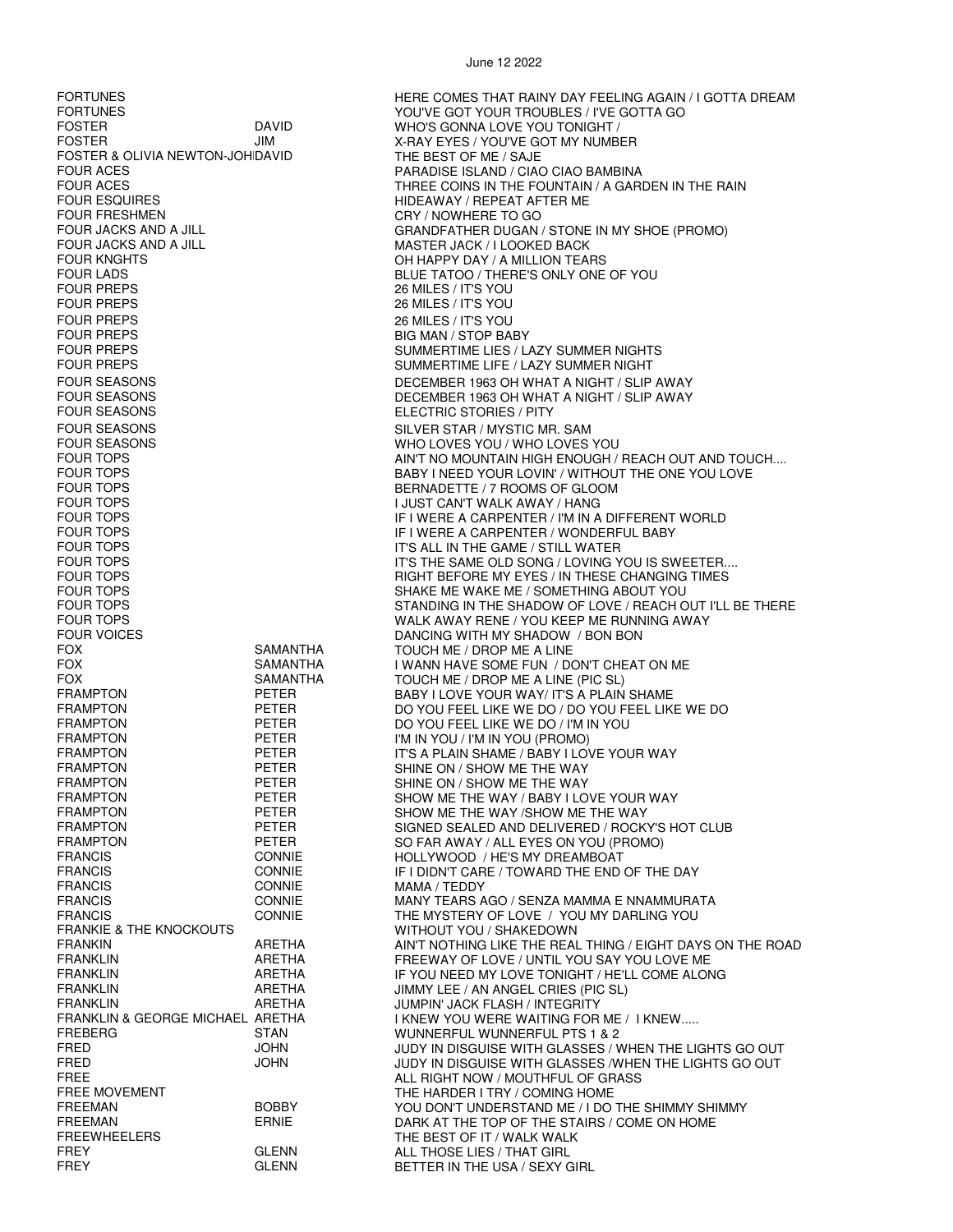FOSTER JIM JIM X-RAY EYES / YOU'VE GOT MY NUMBER FOSTER & OLIVIA NEWTON-JOHIDAVID THE BEST OF ME / SAJE FOUR ACES PARADISE ISLAND / CIAO CIAO BAMBINA FOUR ESQUIRES<br>FOUR FRESHMEN FOUR FRESHMEN HIDEAWAY / REPEAT AFTER ME<br>CRY / NOWHERE TO GO FOUR FRESHMEN<br>FOUR JACKS AND A JILL CONTROL TO GO GO GO GO GO GO GO GO GO GO GO GO GRANDFATHER DUGAN FOUR JACKS AND A JILL THE MASTER JACK / I LOOKED BACK<br>FOUR KNGHTS TEAN MASTER JOHN APPY DAY / A MILLION TEAN FOUR KNGHTS OH HAPPY DAY / A MILLION TEARS FOUR LADS<br>FOUR PREPS FOUR PREPS FOUR PREPS AND FOUR PREPS AND FOUR PREPS FOUR PREPS 26 MILES / IT'S YOU FOUR PREPS 26 MILES / IT'S YOU FOUR PREPS FOUR PREPS FOUR PREPS FOUR PREPS FOUR PREPS FOUR PREPS SUMMERTIME LIFE / LAZY SUMMER NIGHT FOUR SEASONS ELECTRIC STORIES / PITY FOUR SEASONS FOUR SEASONS FOUR SEASONS FOUR SEASONS FOUR SEASONS FOUR TOPS BERNADETTE / 7 ROOMS OF GLOOM FOUR TOPS I JUST CAN'T WALK AWAY / HANG FOUR TOPS TO THE GAME IN THE GAME IS THE GAME IN THE GAME IN THE GAME IN THE GAME IN THE SAME OLD SONG IN LOVING Y FOUR VOICES DANCING WITH MY SHADOW / BON BON FOX SAMANTHA TOUCH ME / DROP ME A LINE FOX SAMANTHA TOUCH ME / DROP ME A LINE (PIC SL) FRAMPTON PETER DO YOU FEEL LIKE WE DO / I'M IN YOU FRAMPTON PETER FRAMPTON FRAMPTON PETER I'M IN YOU / I'M IN YOU (PROMO)<br>FRAMPTON PETER IT'S A PLAIN SHAME / BABY I LO FRAMPTON PETER SHINE ON / SHOW ME THE WAY FRAMPTON PETER SO FAR AWAY / ALL EYES ON YOU (PROMO)<br>FRANCIS CONNIE HOLLYWOOD / HE'S MY DREAMBOAT FRANCIS CONNIE HOLLYWOOD / HE'S MY DREAMBOAT FRANCIS CONNIE MAMA / TEDDY FRANKIE & THE KNOCKOUTS FRANKIE & THE KNOCKOUTS<br>FRANKIN FRANKIN METHA ARETHA AIN'T NOTHING LIKE THE REAL FRANKLIN ARETHA JIMMY LEE / AN ANGEL CRIES (PIC SL) FRANKLIN ARETHA JUMPIN' JACK FLASH / INTEGRITY FREBERG STAN WUNNERFUL WUNNERFUL PTS 1 & 2 FREE ALL RIGHT NOW / MOUTHFUL OF GRASS<br>FREE MOVEMENT FREE ALL RIGHT NOW / MOUTHFUL OF GRASS FREEWHEELERS THE BEST OF IT / WALK WALK FREY GLENN GLENN ALL THOSE LIES / THAT GIRL<br>FREY GLENN BETTER IN THE USA / SEXY (

FORTUNES<br>FORTUNES FORTUNES HERE COMES THAT RAINY DAY FEELING AGAIN / I GOTTA DREAM<br>YOU'VE GOT YOUR TROUBLES / I'VE GOTTA GO FORTUNES YOU'VE GOT YOUR TROUBLES / I'VE GOTTA GO FOR DAVID<br>FOR THE WHO'S GONNA LOVE YOU TONIGHT /<br>EX-RAY EYES / YOU'VE GOT MY NUMB THREE COINS IN THE FOUNTAIN / A GARDEN IN THE RAIN FOUR JACKS AND A JILL CHARAL GRANDFATHER DUGAN / STONE IN MY SHOE (PROMO)<br>FOUR JACKS AND A JILL CHARACTER JACK / I LOOKED BACK 26 MILES / IT'S YOU SUMMERTIME LIES / LAZY SUMMER NIGHTS FOUR SEASONS **EXECUTE A SEASURE A SEASON SECEMBER 1963 OH WHAT A NIGHT / SLIP AWAY** FOUR SEASONS **EXECUTE:** THE DECEMBER 1963 OH WHAT A NIGHT / SLIP AWAY WHO LOVES YOU / WHO LOVES YOU FOUR TOPS FOUR TOPS AIN'T NO MOUNTAIN HIGH ENOUGH / REACH OUT AND TOUCH....<br>FOUR TOPS FOUR LOVIN' / WITHOUT THE ONE YOU LOVE FOUR TOPS FOUR TOPS BABY I NEED YOUR LOVIN' / WITHOUT THE ONE YOU LOVE FOUR TOPS FOUR TOPS IF I WERE A CARPENTER / I'M IN A DIFFERENT WORLD FOUR TOPS IF I WERE A CARPENTER / WONDERFUL BABY FOUR TOPS TO THE SAME OLD SONG / LOVING YOU IS SWEETER....<br>FOUR TOPS TO THE SAME OLD SONG YOU IS SWEETER.... FOUR TOPS FOUR TOPS FOUR TOPS FOUR TOPS AND THESE CHANGING TIMES FOUR TOPS FOUR TOPS FOUR TOPS SHAKE ME WAKE ME / SOMETHING ABOUT YOU STANDING IN THE SHADOW OF LOVE / REACH OUT I'LL BE THERE FOUR TOPS WALK AWAY RENE / YOU KEEP ME RUNNING AWAY FOX SAMANTHA I WANN HAVE SOME FUN / DON'T CHEAT ON ME<br>FOX SAMANTHA TOUCH ME / DROP ME A LINE (PIC SI ) BABY I LOVE YOUR WAY/ IT'S A PLAIN SHAME FRAMPTON PETER DO YOU FEEL LIKE WE DO / DO YOU FEEL LIKE WE DO FRAMPTON PETER PETER DO YOU FEFILLIKE WE DO / I'M IN YOU FRAMPTON PETER IT'S A PLAIN SHAME / BABY I LOVE YOUR WAY<br>FRAMPTON PETER SHINE ON / SHOW ME THE WAY SHINE ON / SHOW ME THE WAY FRAMPTON FRAMPTON PETER SHOW ME THE WAY / BABY I LOVE YOUR WAY<br>FRAMPTON PETER SHOW ME THE WAY /SHOW ME THE WAY SHOW ME THE WAY /SHOW ME THE WAY FRAMPTON PETER SIGNED SEALED AND DELIVERED / ROCKY'S HOT CLUB<br>FRAMPTON PETER SO FAR AWAY / ALL EYES ON YOU (PROMO) IF I DIDN'T CARE / TOWARD THE END OF THE DAY FRANCIS CONNIE MANY TEARS AGO / SENZA MAMMA E NNAMMURATA FRANCIS CONNIE CONNIE THE MYSTERY OF LOVE / YOU MY DARLING YOU<br>FRANKIE & THE KNOCKOUTS WITHOUT YOU / SHAKEDOWN FRANKIN ARETHA AIN'T NOTHING LIKE THE REAL THING / EIGHT DAYS ON THE ROAD FRANKLIN ARETHA FREEWAY OF LOVE / UNTIL YOU SAY YOU LOVE ME IF YOU NEED MY LOVE TONIGHT / HE'LL COME ALONG I KNEW YOU WERE WAITING FOR ME / I KNEW ..... FRED JOHN JUDY IN DISGUISE WITH GLASSES / WHEN THE LIGHTS GO OUT JUDY IN DISGUISE WITH GLASSES /WHEN THE LIGHTS GO OUT FRE HARDER I TRY / COMING HOME<br>FREE MOVEMENT UNDERSTAND ME FREEMAN BOBBY BOBBY YOU DON'T UNDERSTAND ME / I DO THE SHIMMY SHIMMY<br>FREEMAN FREEMAN ERNIE DARK AT THE TOP OF THE STAIRS / COME ON HOME FREEMAN ERNIE ERNIE DARK AT THE TOP OF THE STAIRS / COME ON HOME CREEWHEELERS FREEWHEELERS BETTER IN THE USA / SEXY GIRL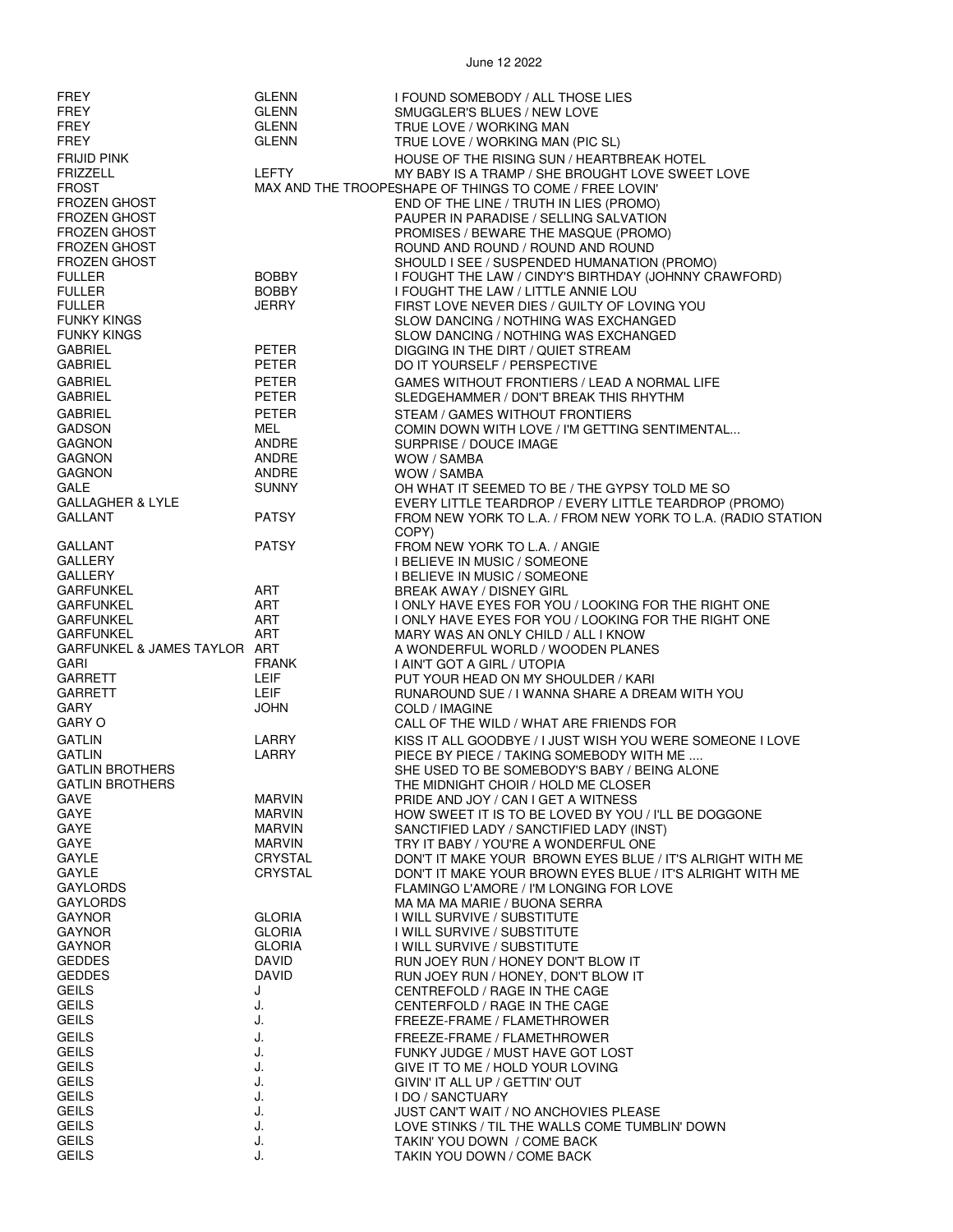| <b>FREY</b>                             | GLENN                          | I FOUND SOMEBODY / ALL THOSE LIES                                                                           |
|-----------------------------------------|--------------------------------|-------------------------------------------------------------------------------------------------------------|
| FREY                                    | <b>GLENN</b>                   | SMUGGLER'S BLUES / NEW LOVE                                                                                 |
| FREY                                    | <b>GLENN</b>                   | TRUE LOVE / WORKING MAN                                                                                     |
| FREY                                    | <b>GLENN</b>                   | TRUE LOVE / WORKING MAN (PIC SL)                                                                            |
| <b>FRIJID PINK</b>                      |                                | HOUSE OF THE RISING SUN / HEARTBREAK HOTEL                                                                  |
| <b>FRIZZELL</b><br><b>FROST</b>         | <b>LEFTY</b>                   | MY BABY IS A TRAMP / SHE BROUGHT LOVE SWEET LOVE<br>MAX AND THE TROOPESHAPE OF THINGS TO COME / FREE LOVIN' |
| <b>FROZEN GHOST</b>                     |                                | END OF THE LINE / TRUTH IN LIES (PROMO)                                                                     |
| <b>FROZEN GHOST</b>                     |                                | PAUPER IN PARADISE / SELLING SALVATION                                                                      |
| <b>FROZEN GHOST</b>                     |                                | PROMISES / BEWARE THE MASQUE (PROMO)                                                                        |
| <b>FROZEN GHOST</b>                     |                                | ROUND AND ROUND / ROUND AND ROUND                                                                           |
| FROZEN GHOST                            | <b>BOBBY</b>                   | SHOULD I SEE / SUSPENDED HUMANATION (PROMO)                                                                 |
| <b>FULLER</b><br><b>FULLER</b>          | <b>BOBBY</b>                   | I FOUGHT THE LAW / CINDY'S BIRTHDAY (JOHNNY CRAWFORD)<br>I FOUGHT THE LAW / LITTLE ANNIE LOU                |
| <b>FULLER</b>                           | <b>JERRY</b>                   | FIRST LOVE NEVER DIES / GUILTY OF LOVING YOU                                                                |
| <b>FUNKY KINGS</b>                      |                                | SLOW DANCING / NOTHING WAS EXCHANGED                                                                        |
| <b>FUNKY KINGS</b>                      |                                | SLOW DANCING / NOTHING WAS EXCHANGED                                                                        |
| <b>GABRIEL</b>                          | PETER                          | DIGGING IN THE DIRT / QUIET STREAM                                                                          |
| <b>GABRIEL</b>                          | <b>PETER</b>                   | DO IT YOURSELF / PERSPECTIVE                                                                                |
| <b>GABRIEL</b><br><b>GABRIEL</b>        | <b>PETER</b><br>PETER          | GAMES WITHOUT FRONTIERS / LEAD A NORMAL LIFE<br>SLEDGEHAMMER / DON'T BREAK THIS RHYTHM                      |
| <b>GABRIEL</b>                          | <b>PETER</b>                   | STEAM / GAMES WITHOUT FRONTIERS                                                                             |
| <b>GADSON</b>                           | MEL                            | COMIN DOWN WITH LOVE / I'M GETTING SENTIMENTAL                                                              |
| <b>GAGNON</b>                           | ANDRE                          | SURPRISE / DOUCE IMAGE                                                                                      |
| <b>GAGNON</b>                           | ANDRE                          | WOW / SAMBA                                                                                                 |
| <b>GAGNON</b><br><b>GALE</b>            | ANDRE                          | WOW / SAMBA                                                                                                 |
| <b>GALLAGHER &amp; LYLE</b>             | <b>SUNNY</b>                   | OH WHAT IT SEEMED TO BE / THE GYPSY TOLD ME SO<br>EVERY LITTLE TEARDROP / EVERY LITTLE TEARDROP (PROMO)     |
| <b>GALLANT</b>                          | <b>PATSY</b>                   | FROM NEW YORK TO L.A. / FROM NEW YORK TO L.A. (RADIO STATION                                                |
|                                         |                                | COPY)                                                                                                       |
| GALLANT                                 | <b>PATSY</b>                   | FROM NEW YORK TO L.A. / ANGIE                                                                               |
| GALLERY<br>GALLERY                      |                                | I BELIEVE IN MUSIC / SOMEONE                                                                                |
| <b>GARFUNKEL</b>                        | ART                            | <b>I BELIEVE IN MUSIC / SOMEONE</b><br>BREAK AWAY / DISNEY GIRL                                             |
| <b>GARFUNKEL</b>                        | ART                            | I ONLY HAVE EYES FOR YOU / LOOKING FOR THE RIGHT ONE                                                        |
| <b>GARFUNKEL</b>                        | ART                            | I ONLY HAVE EYES FOR YOU / LOOKING FOR THE RIGHT ONE                                                        |
| <b>GARFUNKEL</b>                        | ART                            | MARY WAS AN ONLY CHILD / ALL I KNOW                                                                         |
| GARFUNKEL & JAMES TAYLOR ART<br>GARI    | <b>FRANK</b>                   | A WONDERFUL WORLD / WOODEN PLANES                                                                           |
| <b>GARRETT</b>                          | LEIF                           | I AIN'T GOT A GIRL / UTOPIA<br>PUT YOUR HEAD ON MY SHOULDER / KARI                                          |
| <b>GARRETT</b>                          | LEIF                           | RUNAROUND SUE / I WANNA SHARE A DREAM WITH YOU                                                              |
| GARY                                    | <b>JOHN</b>                    | COLD / IMAGINE                                                                                              |
| <b>GARY O</b>                           |                                | CALL OF THE WILD / WHAT ARE FRIENDS FOR                                                                     |
| <b>GATLIN</b>                           | LARRY                          | KISS IT ALL GOODBYE / I JUST WISH YOU WERE SOMEONE I LOVE                                                   |
| <b>GATLIN</b><br><b>GATLIN BROTHERS</b> | LARRY                          | PIECE BY PIECE / TAKING SOMEBODY WITH ME<br>SHE USED TO BE SOMEBODY'S BABY / BEING ALONE                    |
| <b>GATLIN BROTHERS</b>                  |                                | THE MIDNIGHT CHOIR / HOLD ME CLOSER                                                                         |
| GAVE                                    | <b>MARVIN</b>                  | PRIDE AND JOY / CAN I GET A WITNESS                                                                         |
| GAYE                                    | <b>MARVIN</b>                  | HOW SWEET IT IS TO BE LOVED BY YOU / I'LL BE DOGGONE                                                        |
| GAYE                                    | <b>MARVIN</b>                  | SANCTIFIED LADY / SANCTIFIED LADY (INST)                                                                    |
| GAYE<br><b>GAYLE</b>                    | <b>MARVIN</b><br>CRYSTAL       | TRY IT BABY / YOU'RE A WONDERFUL ONE<br>DON'T IT MAKE YOUR BROWN EYES BLUE / IT'S ALRIGHT WITH ME           |
| GAYLE                                   | CRYSTAL                        | DON'T IT MAKE YOUR BROWN EYES BLUE / IT'S ALRIGHT WITH ME                                                   |
| <b>GAYLORDS</b>                         |                                | FLAMINGO L'AMORE / I'M LONGING FOR LOVE                                                                     |
| <b>GAYLORDS</b>                         |                                | MA MA MA MARIE / BUONA SERRA                                                                                |
| <b>GAYNOR</b><br><b>GAYNOR</b>          | <b>GLORIA</b><br><b>GLORIA</b> | I WILL SURVIVE / SUBSTITUTE<br>I WILL SURVIVE / SUBSTITUTE                                                  |
| <b>GAYNOR</b>                           | <b>GLORIA</b>                  | I WILL SURVIVE / SUBSTITUTE                                                                                 |
| <b>GEDDES</b>                           | <b>DAVID</b>                   | RUN JOEY RUN / HONEY DON'T BLOW IT                                                                          |
| <b>GEDDES</b>                           | <b>DAVID</b>                   | RUN JOEY RUN / HONEY, DON'T BLOW IT                                                                         |
| <b>GEILS</b>                            | J                              | CENTREFOLD / RAGE IN THE CAGE                                                                               |
| <b>GEILS</b><br><b>GEILS</b>            | J.                             | CENTERFOLD / RAGE IN THE CAGE                                                                               |
| <b>GEILS</b>                            | J.<br>J.                       | FREEZE-FRAME / FLAMETHROWER                                                                                 |
| <b>GEILS</b>                            | J.                             | FREEZE-FRAME / FLAMETHROWER<br>FUNKY JUDGE / MUST HAVE GOT LOST                                             |
| <b>GEILS</b>                            | J.                             | GIVE IT TO ME / HOLD YOUR LOVING                                                                            |
| <b>GEILS</b>                            | J.                             | GIVIN' IT ALL UP / GETTIN' OUT                                                                              |
| <b>GEILS</b>                            | J.                             | I DO / SANCTUARY                                                                                            |
| <b>GEILS</b><br><b>GEILS</b>            | J.<br>J.                       | JUST CAN'T WAIT / NO ANCHOVIES PLEASE<br>LOVE STINKS / TIL THE WALLS COME TUMBLIN' DOWN                     |
| <b>GEILS</b>                            | J.                             | TAKIN' YOU DOWN / COME BACK                                                                                 |
| <b>GEILS</b>                            | J.                             | TAKIN YOU DOWN / COME BACK                                                                                  |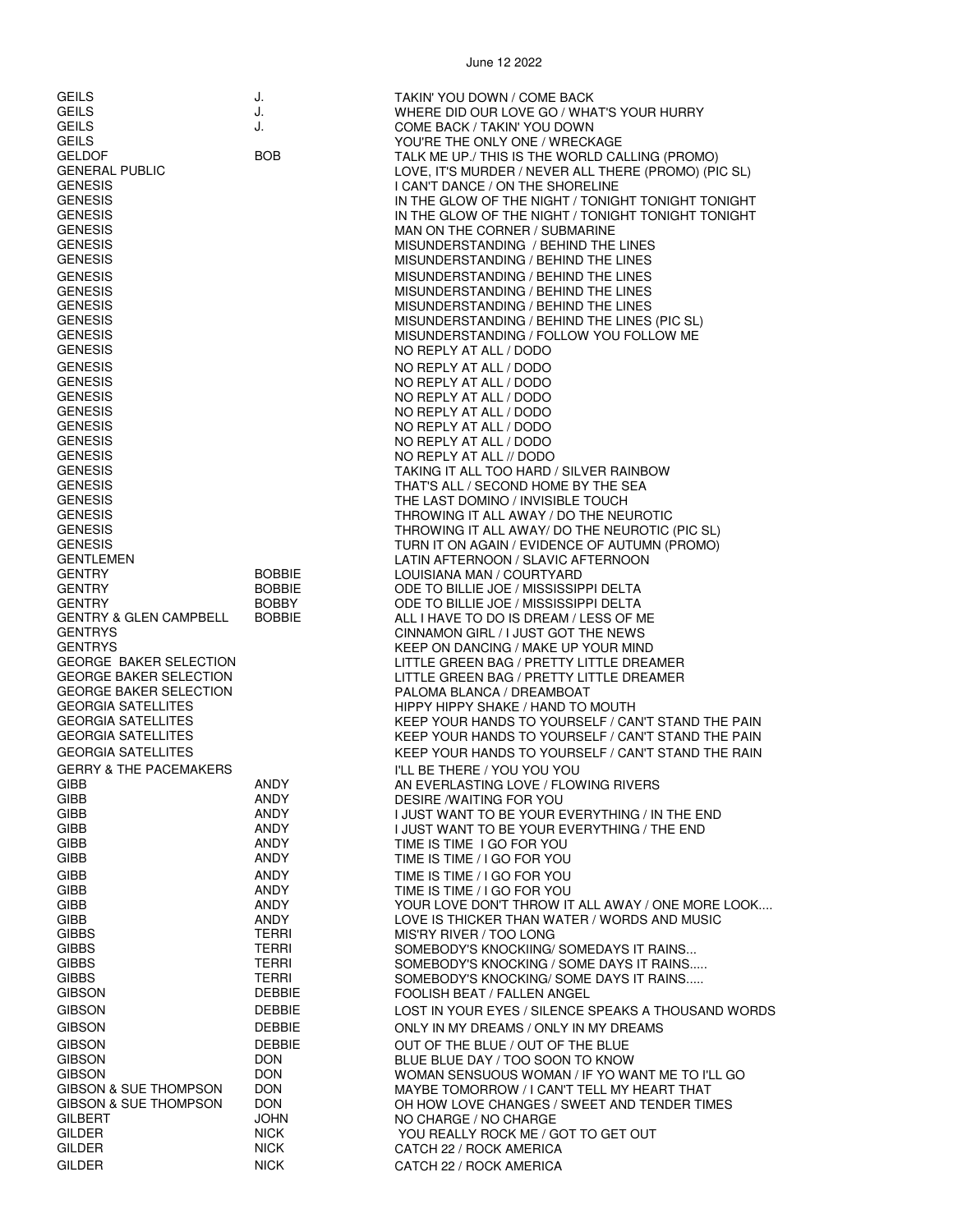| <b>GEILS</b><br><b>GEILS</b><br><b>GEILS</b><br><b>GEILS</b><br><b>GELDOF</b><br><b>GENERAL PUBLIC</b><br><b>GENESIS</b><br><b>GENESIS</b><br><b>GENESIS</b><br><b>GENESIS</b><br><b>GENESIS</b><br><b>GENESIS</b>                     | J.<br>J.<br>J.<br><b>BOB</b>                             | TAKIN' YOU DOWN / COME BACK<br>WHERE DID OUR LOVE GO / WHAT'S YOUR HURRY<br>COME BACK / TAKIN' YOU DOWN<br>YOU'RE THE ONLY ONE / WRECKAGE<br>TALK ME UP./ THIS IS THE WORLD CALLING (PROMO)<br>LOVE, IT'S MURDER / NEVER ALL THERE (PROMO) (PIC SL)<br>I CAN'T DANCE / ON THE SHORELINE<br>IN THE GLOW OF THE NIGHT / TONIGHT TONIGHT TONIGHT<br>IN THE GLOW OF THE NIGHT / TONIGHT TONIGHT TONIGHT<br>MAN ON THE CORNER / SUBMARINE<br>MISUNDERSTANDING / BEHIND THE LINES<br>MISUNDERSTANDING / BEHIND THE LINES |
|----------------------------------------------------------------------------------------------------------------------------------------------------------------------------------------------------------------------------------------|----------------------------------------------------------|--------------------------------------------------------------------------------------------------------------------------------------------------------------------------------------------------------------------------------------------------------------------------------------------------------------------------------------------------------------------------------------------------------------------------------------------------------------------------------------------------------------------|
| <b>GENESIS</b><br><b>GENESIS</b><br><b>GENESIS</b><br><b>GENESIS</b><br><b>GENESIS</b><br><b>GENESIS</b>                                                                                                                               |                                                          | MISUNDERSTANDING / BEHIND THE LINES<br>MISUNDERSTANDING / BEHIND THE LINES<br>MISUNDERSTANDING / BEHIND THE LINES<br>MISUNDERSTANDING / BEHIND THE LINES (PIC SL)<br>MISUNDERSTANDING / FOLLOW YOU FOLLOW ME<br>NO REPLY AT ALL / DODO                                                                                                                                                                                                                                                                             |
| <b>GENESIS</b><br><b>GENESIS</b><br><b>GENESIS</b><br><b>GENESIS</b><br><b>GENESIS</b><br><b>GENESIS</b><br><b>GENESIS</b><br><b>GENESIS</b><br><b>GENESIS</b><br><b>GENESIS</b><br><b>GENESIS</b><br><b>GENESIS</b><br><b>GENESIS</b> |                                                          | NO REPLY AT ALL / DODO<br>NO REPLY AT ALL / DODO<br>NO REPLY AT ALL / DODO<br>NO REPLY AT ALL / DODO<br>NO REPLY AT ALL / DODO<br>NO REPLY AT ALL / DODO<br>NO REPLY AT ALL // DODO<br>TAKING IT ALL TOO HARD / SILVER RAINBOW<br>THAT'S ALL / SECOND HOME BY THE SEA<br>THE LAST DOMINO / INVISIBLE TOUCH<br>THROWING IT ALL AWAY / DO THE NEUROTIC<br>THROWING IT ALL AWAY/ DO THE NEUROTIC (PIC SL)<br>TURN IT ON AGAIN / EVIDENCE OF AUTUMN (PROMO)                                                            |
| <b>GENTLEMEN</b><br><b>GENTRY</b><br><b>GENTRY</b><br><b>GENTRY</b><br>GENTRY & GLEN CAMPBELL<br><b>GENTRYS</b>                                                                                                                        | <b>BOBBIE</b><br><b>BOBBIE</b><br>BOBBY<br><b>BOBBIE</b> | LATIN AFTERNOON / SLAVIC AFTERNOON<br>LOUISIANA MAN / COURTYARD<br>ODE TO BILLIE JOE / MISSISSIPPI DELTA<br>ODE TO BILLIE JOE / MISSISSIPPI DELTA<br>ALL I HAVE TO DO IS DREAM / LESS OF ME<br>CINNAMON GIRL / I JUST GOT THE NEWS                                                                                                                                                                                                                                                                                 |
| <b>GENTRYS</b><br><b>GEORGE BAKER SELECTION</b><br><b>GEORGE BAKER SELECTION</b><br><b>GEORGE BAKER SELECTION</b><br><b>GEORGIA SATELLITES</b><br><b>GEORGIA SATELLITES</b><br><b>GEORGIA SATELLITES</b><br><b>GEORGIA SATELLITES</b>  |                                                          | KEEP ON DANCING / MAKE UP YOUR MIND<br>LITTLE GREEN BAG / PRETTY LITTLE DREAMER<br>LITTLE GREEN BAG / PRETTY LITTLE DREAMER<br>PALOMA BLANCA / DREAMBOAT<br>HIPPY HIPPY SHAKE / HAND TO MOUTH<br>KEEP YOUR HANDS TO YOURSELF / CAN'T STAND THE PAIN<br>KEEP YOUR HANDS TO YOURSELF / CAN'T STAND THE PAIN<br>KEEP YOUR HANDS TO YOURSELF / CAN'T STAND THE RAIN                                                                                                                                                    |
| <b>GERRY &amp; THE PACEMAKERS</b><br>GIBB<br>GIBB<br>GIBB                                                                                                                                                                              | ANDY<br><b>ANDY</b><br>ANDY                              | I'LL BE THERE / YOU YOU YOU<br>AN EVERLASTING LOVE / FLOWING RIVERS<br>DESIRE /WAITING FOR YOU<br>I JUST WANT TO BE YOUR EVERYTHING / IN THE END                                                                                                                                                                                                                                                                                                                                                                   |
| GIBB                                                                                                                                                                                                                                   | ANDY                                                     | I JUST WANT TO BE YOUR EVERYTHING / THE END                                                                                                                                                                                                                                                                                                                                                                                                                                                                        |
| GIBB                                                                                                                                                                                                                                   | ANDY                                                     | TIME IS TIME I GO FOR YOU                                                                                                                                                                                                                                                                                                                                                                                                                                                                                          |
| GIBB                                                                                                                                                                                                                                   | ANDY                                                     | TIME IS TIME / I GO FOR YOU                                                                                                                                                                                                                                                                                                                                                                                                                                                                                        |
| <b>GIBB</b>                                                                                                                                                                                                                            | ANDY                                                     | TIME IS TIME / I GO FOR YOU                                                                                                                                                                                                                                                                                                                                                                                                                                                                                        |
| GIBB                                                                                                                                                                                                                                   | ANDY                                                     | TIME IS TIME / I GO FOR YOU                                                                                                                                                                                                                                                                                                                                                                                                                                                                                        |
| <b>GIBB</b>                                                                                                                                                                                                                            | ANDY                                                     | YOUR LOVE DON'T THROW IT ALL AWAY / ONE MORE LOOK                                                                                                                                                                                                                                                                                                                                                                                                                                                                  |
| <b>GIBB</b>                                                                                                                                                                                                                            | ANDY                                                     | LOVE IS THICKER THAN WATER / WORDS AND MUSIC                                                                                                                                                                                                                                                                                                                                                                                                                                                                       |
| <b>GIBBS</b>                                                                                                                                                                                                                           | <b>TERRI</b>                                             | MIS'RY RIVER / TOO LONG                                                                                                                                                                                                                                                                                                                                                                                                                                                                                            |
| <b>GIBBS</b>                                                                                                                                                                                                                           | <b>TERRI</b>                                             | SOMEBODY'S KNOCKIING/ SOMEDAYS IT RAINS                                                                                                                                                                                                                                                                                                                                                                                                                                                                            |
| <b>GIBBS</b>                                                                                                                                                                                                                           | <b>TERRI</b>                                             | SOMEBODY'S KNOCKING / SOME DAYS IT RAINS                                                                                                                                                                                                                                                                                                                                                                                                                                                                           |
| <b>GIBBS</b>                                                                                                                                                                                                                           | <b>TERRI</b>                                             | SOMEBODY'S KNOCKING/ SOME DAYS IT RAINS                                                                                                                                                                                                                                                                                                                                                                                                                                                                            |
| <b>GIBSON</b>                                                                                                                                                                                                                          | <b>DEBBIE</b>                                            | FOOLISH BEAT / FALLEN ANGEL                                                                                                                                                                                                                                                                                                                                                                                                                                                                                        |
| <b>GIBSON</b>                                                                                                                                                                                                                          | <b>DEBBIE</b>                                            | LOST IN YOUR EYES / SILENCE SPEAKS A THOUSAND WORDS                                                                                                                                                                                                                                                                                                                                                                                                                                                                |
| <b>GIBSON</b>                                                                                                                                                                                                                          | <b>DEBBIE</b>                                            | ONLY IN MY DREAMS / ONLY IN MY DREAMS                                                                                                                                                                                                                                                                                                                                                                                                                                                                              |
| <b>GIBSON</b>                                                                                                                                                                                                                          | <b>DEBBIE</b>                                            | OUT OF THE BLUE / OUT OF THE BLUE                                                                                                                                                                                                                                                                                                                                                                                                                                                                                  |
| <b>GIBSON</b>                                                                                                                                                                                                                          | <b>DON</b>                                               | BLUE BLUE DAY / TOO SOON TO KNOW                                                                                                                                                                                                                                                                                                                                                                                                                                                                                   |
| <b>GIBSON</b>                                                                                                                                                                                                                          | <b>DON</b>                                               | WOMAN SENSUOUS WOMAN / IF YO WANT ME TO I'LL GO                                                                                                                                                                                                                                                                                                                                                                                                                                                                    |
| <b>GIBSON &amp; SUE THOMPSON</b>                                                                                                                                                                                                       | <b>DON</b>                                               | MAYBE TOMORROW / I CAN'T TELL MY HEART THAT                                                                                                                                                                                                                                                                                                                                                                                                                                                                        |
| <b>GIBSON &amp; SUE THOMPSON</b>                                                                                                                                                                                                       | <b>DON</b>                                               | OH HOW LOVE CHANGES / SWEET AND TENDER TIMES                                                                                                                                                                                                                                                                                                                                                                                                                                                                       |
| <b>GILBERT</b>                                                                                                                                                                                                                         | <b>JOHN</b>                                              | NO CHARGE / NO CHARGE                                                                                                                                                                                                                                                                                                                                                                                                                                                                                              |
| <b>GILDER</b>                                                                                                                                                                                                                          | <b>NICK</b>                                              | YOU REALLY ROCK ME / GOT TO GET OUT                                                                                                                                                                                                                                                                                                                                                                                                                                                                                |
| <b>GILDER</b>                                                                                                                                                                                                                          | <b>NICK</b>                                              | CATCH 22 / ROCK AMERICA                                                                                                                                                                                                                                                                                                                                                                                                                                                                                            |
| <b>GILDER</b>                                                                                                                                                                                                                          | <b>NICK</b>                                              | CATCH 22 / ROCK AMERICA                                                                                                                                                                                                                                                                                                                                                                                                                                                                                            |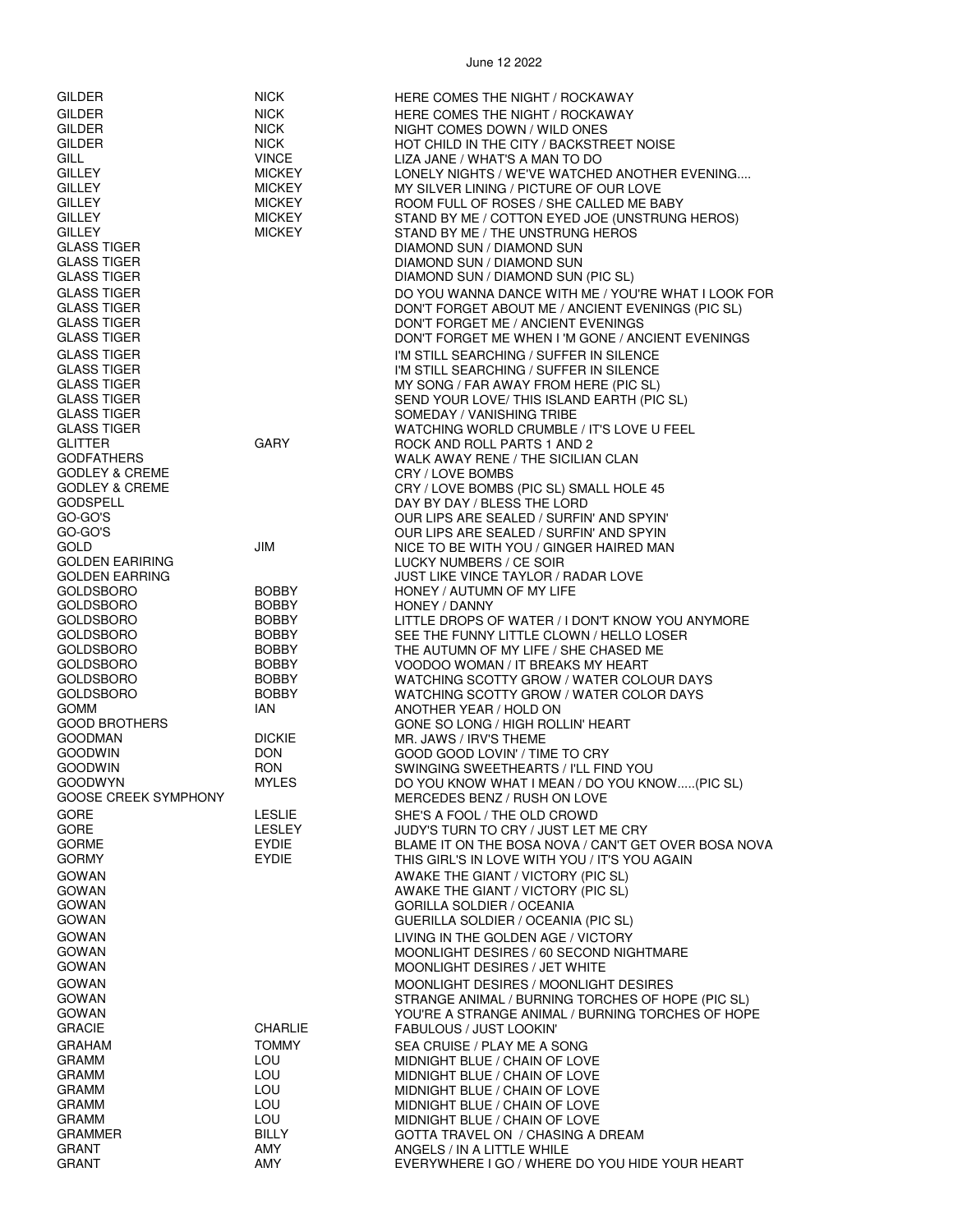| GILDER                                   | <b>NICK</b>                  | HERE COMES THE NIGHT / ROCKAWAY                                               |
|------------------------------------------|------------------------------|-------------------------------------------------------------------------------|
| <b>GILDER</b>                            | <b>NICK</b>                  | HERE COMES THE NIGHT / ROCKAWAY                                               |
| <b>GILDER</b>                            | <b>NICK</b>                  | NIGHT COMES DOWN / WILD ONES                                                  |
| <b>GILDER</b>                            | <b>NICK</b>                  | HOT CHILD IN THE CITY / BACKSTREET NOISE                                      |
| <b>GILL</b>                              | <b>VINCE</b>                 | LIZA JANE / WHAT'S A MAN TO DO                                                |
| <b>GILLEY</b>                            | <b>MICKEY</b>                | LONELY NIGHTS / WE'VE WATCHED ANOTHER EVENING                                 |
| <b>GILLEY</b>                            | <b>MICKEY</b>                | MY SILVER LINING / PICTURE OF OUR LOVE                                        |
| <b>GILLEY</b>                            | <b>MICKEY</b>                | ROOM FULL OF ROSES / SHE CALLED ME BABY                                       |
| <b>GILLEY</b>                            | <b>MICKEY</b>                | STAND BY ME / COTTON EYED JOE (UNSTRUNG HEROS)                                |
| <b>GILLEY</b><br><b>GLASS TIGER</b>      | <b>MICKEY</b>                | STAND BY ME / THE UNSTRUNG HEROS<br>DIAMOND SUN / DIAMOND SUN                 |
| <b>GLASS TIGER</b>                       |                              | DIAMOND SUN / DIAMOND SUN                                                     |
| <b>GLASS TIGER</b>                       |                              | DIAMOND SUN / DIAMOND SUN (PIC SL)                                            |
| <b>GLASS TIGER</b>                       |                              | DO YOU WANNA DANCE WITH ME / YOU'RE WHAT I LOOK FOR                           |
| <b>GLASS TIGER</b>                       |                              | DON'T FORGET ABOUT ME / ANCIENT EVENINGS (PIC SL)                             |
| <b>GLASS TIGER</b>                       |                              | DON'T FORGET ME / ANCIENT EVENINGS                                            |
| <b>GLASS TIGER</b>                       |                              | DON'T FORGET ME WHEN I 'M GONE / ANCIENT EVENINGS                             |
| <b>GLASS TIGER</b>                       |                              | I'M STILL SEARCHING / SUFFER IN SILENCE                                       |
| <b>GLASS TIGER</b>                       |                              | I'M STILL SEARCHING / SUFFER IN SILENCE                                       |
| <b>GLASS TIGER</b>                       |                              | MY SONG / FAR AWAY FROM HERE (PIC SL)                                         |
| <b>GLASS TIGER</b><br><b>GLASS TIGER</b> |                              | SEND YOUR LOVE/ THIS ISLAND EARTH (PIC SL)                                    |
| <b>GLASS TIGER</b>                       |                              | SOMEDAY / VANISHING TRIBE<br>WATCHING WORLD CRUMBLE / IT'S LOVE U FEEL        |
| <b>GLITTER</b>                           | <b>GARY</b>                  | ROCK AND ROLL PARTS 1 AND 2                                                   |
| <b>GODFATHERS</b>                        |                              | WALK AWAY RENE / THE SICILIAN CLAN                                            |
| <b>GODLEY &amp; CREME</b>                |                              | CRY / LOVE BOMBS                                                              |
| <b>GODLEY &amp; CREME</b>                |                              | CRY / LOVE BOMBS (PIC SL) SMALL HOLE 45                                       |
| <b>GODSPELL</b>                          |                              | DAY BY DAY / BLESS THE LORD                                                   |
| GO-GO'S                                  |                              | OUR LIPS ARE SEALED / SURFIN' AND SPYIN'                                      |
| GO-GO'S<br>GOLD                          | JIM                          | OUR LIPS ARE SEALED / SURFIN' AND SPYIN                                       |
| <b>GOLDEN EARIRING</b>                   |                              | NICE TO BE WITH YOU / GINGER HAIRED MAN<br>LUCKY NUMBERS / CE SOIR            |
| <b>GOLDEN EARRING</b>                    |                              | JUST LIKE VINCE TAYLOR / RADAR LOVE                                           |
| <b>GOLDSBORO</b>                         | <b>BOBBY</b>                 | HONEY / AUTUMN OF MY LIFE                                                     |
| <b>GOLDSBORO</b>                         | <b>BOBBY</b>                 | HONEY / DANNY                                                                 |
| <b>GOLDSBORO</b>                         | BOBBY                        | LITTLE DROPS OF WATER / I DON'T KNOW YOU ANYMORE                              |
| <b>GOLDSBORO</b>                         | <b>BOBBY</b>                 | SEE THE FUNNY LITTLE CLOWN / HELLO LOSER                                      |
| <b>GOLDSBORO</b>                         | <b>BOBBY</b>                 | THE AUTUMN OF MY LIFE / SHE CHASED ME                                         |
| <b>GOLDSBORO</b><br>GOLDSBORO            | <b>BOBBY</b><br><b>BOBBY</b> | VOODOO WOMAN / IT BREAKS MY HEART<br>WATCHING SCOTTY GROW / WATER COLOUR DAYS |
| <b>GOLDSBORO</b>                         | <b>BOBBY</b>                 | WATCHING SCOTTY GROW / WATER COLOR DAYS                                       |
| <b>GOMM</b>                              | IAN                          | ANOTHER YEAR / HOLD ON                                                        |
| <b>GOOD BROTHERS</b>                     |                              | GONE SO LONG / HIGH ROLLIN' HEART                                             |
| <b>GOODMAN</b>                           | <b>DICKIE</b>                | MR. JAWS / IRV'S THEME                                                        |
| <b>GOODWIN</b>                           | <b>DON</b>                   | GOOD GOOD LOVIN' / TIME TO CRY                                                |
| <b>GOODWIN</b><br><b>GOODWYN</b>         | <b>RON</b><br><b>MYLES</b>   | SWINGING SWEETHEARTS / I'LL FIND YOU                                          |
| <b>GOOSE CREEK SYMPHONY</b>              |                              | DO YOU KNOW WHAT I MEAN / DO YOU KNOW(PIC SL)<br>MERCEDES BENZ / RUSH ON LOVE |
| <b>GORE</b>                              | <b>LESLIE</b>                | SHE'S A FOOL / THE OLD CROWD                                                  |
| <b>GORE</b>                              | <b>LESLEY</b>                | JUDY'S TURN TO CRY / JUST LET ME CRY                                          |
| <b>GORME</b>                             | EYDIE                        | BLAME IT ON THE BOSA NOVA / CAN'T GET OVER BOSA NOVA                          |
| <b>GORMY</b>                             | EYDIE                        | THIS GIRL'S IN LOVE WITH YOU / IT'S YOU AGAIN                                 |
| <b>GOWAN</b>                             |                              | AWAKE THE GIANT / VICTORY (PIC SL)                                            |
| <b>GOWAN</b>                             |                              | AWAKE THE GIANT / VICTORY (PIC SL)                                            |
| <b>GOWAN</b>                             |                              | <b>GORILLA SOLDIER / OCEANIA</b>                                              |
| <b>GOWAN</b>                             |                              | GUERILLA SOLDIER / OCEANIA (PIC SL)                                           |
| <b>GOWAN</b><br><b>GOWAN</b>             |                              | LIVING IN THE GOLDEN AGE / VICTORY<br>MOONLIGHT DESIRES / 60 SECOND NIGHTMARE |
| GOWAN                                    |                              | MOONLIGHT DESIRES / JET WHITE                                                 |
| <b>GOWAN</b>                             |                              | MOONLIGHT DESIRES / MOONLIGHT DESIRES                                         |
| <b>GOWAN</b>                             |                              | STRANGE ANIMAL / BURNING TORCHES OF HOPE (PIC SL)                             |
| GOWAN                                    |                              | YOU'RE A STRANGE ANIMAL / BURNING TORCHES OF HOPE                             |
| <b>GRACIE</b>                            | <b>CHARLIE</b>               | FABULOUS / JUST LOOKIN'                                                       |
| <b>GRAHAM</b>                            | <b>TOMMY</b>                 | SEA CRUISE / PLAY ME A SONG                                                   |
| <b>GRAMM</b>                             | LOU                          | MIDNIGHT BLUE / CHAIN OF LOVE                                                 |
| <b>GRAMM</b>                             | LOU                          | MIDNIGHT BLUE / CHAIN OF LOVE                                                 |
| <b>GRAMM</b><br><b>GRAMM</b>             | LOU<br>LOU                   | MIDNIGHT BLUE / CHAIN OF LOVE<br>MIDNIGHT BLUE / CHAIN OF LOVE                |
| <b>GRAMM</b>                             | LOU                          | MIDNIGHT BLUE / CHAIN OF LOVE                                                 |
| <b>GRAMMER</b>                           | BILLY                        | GOTTA TRAVEL ON / CHASING A DREAM                                             |
| <b>GRANT</b>                             | AMY                          | ANGELS / IN A LITTLE WHILE                                                    |
| GRANT                                    | AMY                          | EVERYWHERE I GO / WHERE DO YOU HIDE YOUR HEART                                |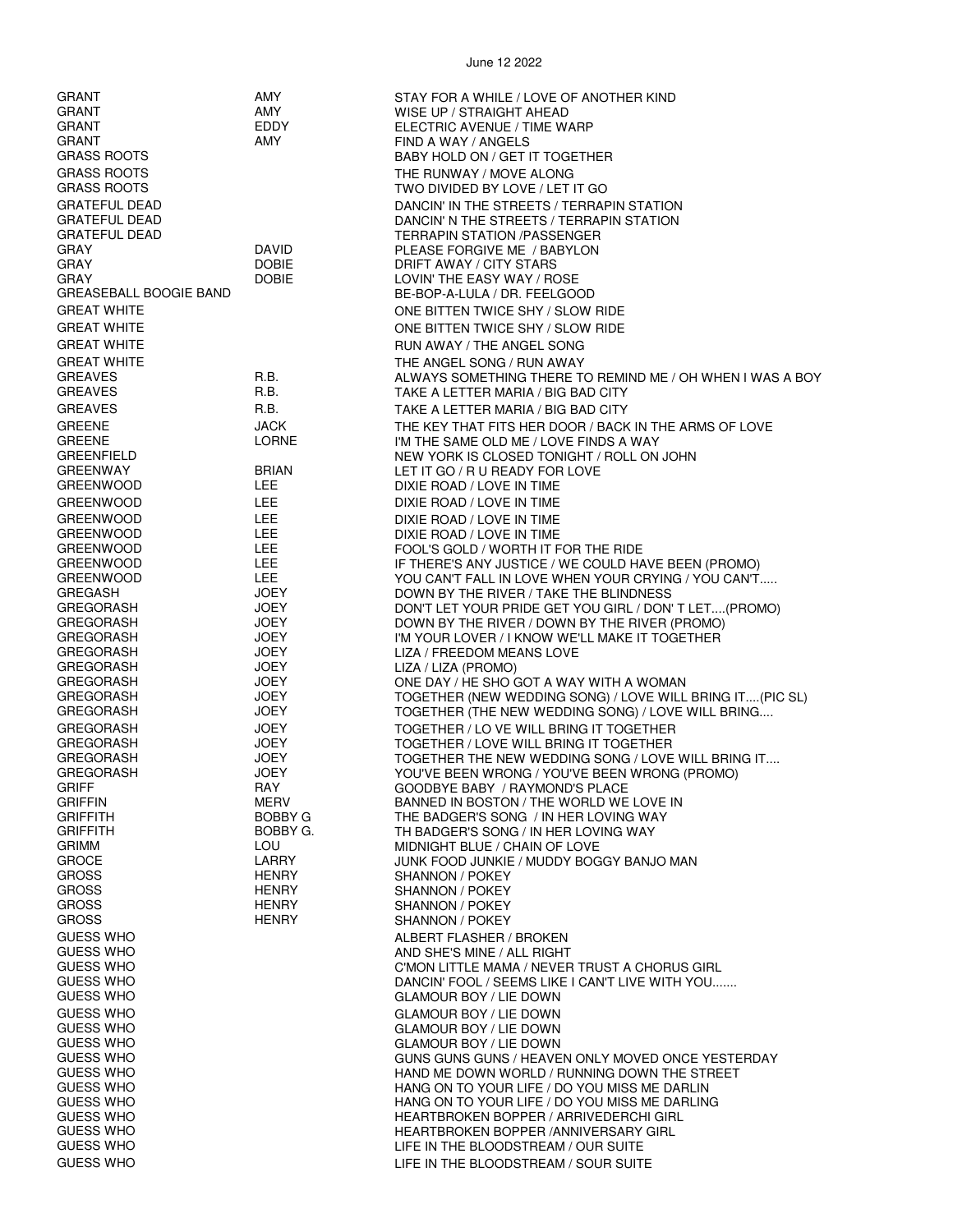| <b>GRANT</b>                         | AMY                          | STAY FOR A WHILE / LOVE OF ANOTHER KIND                                                           |
|--------------------------------------|------------------------------|---------------------------------------------------------------------------------------------------|
| <b>GRANT</b>                         | AMY                          | WISE UP / STRAIGHT AHEAD                                                                          |
| <b>GRANT</b>                         | EDDY                         | ELECTRIC AVENUE / TIME WARP                                                                       |
| GRANT<br><b>GRASS ROOTS</b>          | AMY                          | FIND A WAY / ANGELS                                                                               |
| <b>GRASS ROOTS</b>                   |                              | BABY HOLD ON / GET IT TOGETHER<br>THE RUNWAY / MOVE ALONG                                         |
| <b>GRASS ROOTS</b>                   |                              | TWO DIVIDED BY LOVE / LET IT GO                                                                   |
| <b>GRATEFUL DEAD</b>                 |                              | DANCIN' IN THE STREETS / TERRAPIN STATION                                                         |
| <b>GRATEFUL DEAD</b>                 |                              | DANCIN' N THE STREETS / TERRAPIN STATION                                                          |
| <b>GRATEFUL DEAD</b>                 |                              | <b>TERRAPIN STATION /PASSENGER</b>                                                                |
| <b>GRAY</b><br>GRAY                  | DAVID<br><b>DOBIE</b>        | PLEASE FORGIVE ME / BABYLON<br>DRIFT AWAY / CITY STARS                                            |
| GRAY                                 | DOBIE                        | LOVIN' THE EASY WAY / ROSE                                                                        |
| <b>GREASEBALL BOOGIE BAND</b>        |                              | BE-BOP-A-LULA / DR. FEELGOOD                                                                      |
| <b>GREAT WHITE</b>                   |                              | ONE BITTEN TWICE SHY / SLOW RIDE                                                                  |
| <b>GREAT WHITE</b>                   |                              | ONE BITTEN TWICE SHY / SLOW RIDE                                                                  |
| <b>GREAT WHITE</b>                   |                              | RUN AWAY / THE ANGEL SONG                                                                         |
| <b>GREAT WHITE</b><br><b>GREAVES</b> | R.B.                         | THE ANGEL SONG / RUN AWAY                                                                         |
| <b>GREAVES</b>                       | R.B.                         | ALWAYS SOMETHING THERE TO REMIND ME / OH WHEN I WAS A BOY<br>TAKE A LETTER MARIA / BIG BAD CITY   |
| <b>GREAVES</b>                       | R.B.                         | TAKE A LETTER MARIA / BIG BAD CITY                                                                |
| <b>GREENE</b>                        | <b>JACK</b>                  | THE KEY THAT FITS HER DOOR / BACK IN THE ARMS OF LOVE                                             |
| <b>GREENE</b>                        | <b>LORNE</b>                 | I'M THE SAME OLD ME / LOVE FINDS A WAY                                                            |
| <b>GREENFIELD</b>                    |                              | NEW YORK IS CLOSED TONIGHT / ROLL ON JOHN                                                         |
| <b>GREENWAY</b><br><b>GREENWOOD</b>  | <b>BRIAN</b><br>LEE.         | LET IT GO / R U READY FOR LOVE<br>DIXIE ROAD / LOVE IN TIME                                       |
| <b>GREENWOOD</b>                     | LEE.                         | DIXIE ROAD / LOVE IN TIME                                                                         |
| <b>GREENWOOD</b>                     | LEE.                         | DIXIE ROAD / LOVE IN TIME                                                                         |
| <b>GREENWOOD</b>                     | LEE.                         | DIXIE ROAD / LOVE IN TIME                                                                         |
| <b>GREENWOOD</b>                     | <b>LEE</b>                   | FOOL'S GOLD / WORTH IT FOR THE RIDE                                                               |
| <b>GREENWOOD</b>                     | <b>LEE</b><br>LEE.           | IF THERE'S ANY JUSTICE / WE COULD HAVE BEEN (PROMO)                                               |
| <b>GREENWOOD</b><br><b>GREGASH</b>   | JOEY                         | YOU CAN'T FALL IN LOVE WHEN YOUR CRYING / YOU CAN'T<br>DOWN BY THE RIVER / TAKE THE BLINDNESS     |
| GREGORASH                            | <b>JOEY</b>                  | DON'T LET YOUR PRIDE GET YOU GIRL / DON'T LET(PROMO)                                              |
| GREGORASH                            | JOEY                         | DOWN BY THE RIVER / DOWN BY THE RIVER (PROMO)                                                     |
| GREGORASH                            | JOEY                         | I'M YOUR LOVER / I KNOW WE'LL MAKE IT TOGETHER                                                    |
| GREGORASH<br><b>GREGORASH</b>        | <b>JOEY</b><br>JOEY          | LIZA / FREEDOM MEANS LOVE<br>LIZA / LIZA (PROMO)                                                  |
| <b>GREGORASH</b>                     | JOEY                         | ONE DAY / HE SHO GOT A WAY WITH A WOMAN                                                           |
| GREGORASH                            | JOEY                         | TOGETHER (NEW WEDDING SONG) / LOVE WILL BRING IT(PIC SL)                                          |
| GREGORASH                            | JOEY                         | TOGETHER (THE NEW WEDDING SONG) / LOVE WILL BRING                                                 |
| <b>GREGORASH</b>                     | <b>JOEY</b>                  | TOGETHER / LO VE WILL BRING IT TOGETHER                                                           |
| <b>GREGORASH</b><br><b>GREGORASH</b> | JOEY<br>JOEY                 | TOGETHER / LOVE WILL BRING IT TOGETHER<br>TOGETHER THE NEW WEDDING SONG / LOVE WILL BRING IT      |
| <b>GREGORASH</b>                     | JOEY                         | YOU'VE BEEN WRONG / YOU'VE BEEN WRONG (PROMO)                                                     |
| <b>GRIFF</b>                         | RAY                          | GOODBYE BABY / RAYMOND'S PLACE                                                                    |
| <b>GRIFFIN</b><br><b>GRIFFITH</b>    | MERV<br>BOBBY G              | BANNED IN BOSTON / THE WORLD WE LOVE IN                                                           |
| <b>GRIFFITH</b>                      | BOBBY G.                     | THE BADGER'S SONG / IN HER LOVING WAY<br>TH BADGER'S SONG / IN HER LOVING WAY                     |
| <b>GRIMM</b>                         | LOU                          | MIDNIGHT BLUE / CHAIN OF LOVE                                                                     |
| <b>GROCE</b>                         | <b>LARRY</b>                 | JUNK FOOD JUNKIE / MUDDY BOGGY BANJO MAN                                                          |
| <b>GROSS</b><br><b>GROSS</b>         | <b>HENRY</b><br><b>HENRY</b> | SHANNON / POKEY<br>SHANNON / POKEY                                                                |
| <b>GROSS</b>                         | <b>HENRY</b>                 | SHANNON / POKEY                                                                                   |
| <b>GROSS</b>                         | <b>HENRY</b>                 | SHANNON / POKEY                                                                                   |
| <b>GUESS WHO</b>                     |                              | ALBERT FLASHER / BROKEN                                                                           |
| <b>GUESS WHO</b>                     |                              | AND SHE'S MINE / ALL RIGHT                                                                        |
| <b>GUESS WHO</b><br><b>GUESS WHO</b> |                              | C'MON LITTLE MAMA / NEVER TRUST A CHORUS GIRL<br>DANCIN' FOOL / SEEMS LIKE I CAN'T LIVE WITH YOU  |
| <b>GUESS WHO</b>                     |                              | <b>GLAMOUR BOY / LIE DOWN</b>                                                                     |
| <b>GUESS WHO</b>                     |                              | <b>GLAMOUR BOY / LIE DOWN</b>                                                                     |
| <b>GUESS WHO</b>                     |                              | <b>GLAMOUR BOY / LIE DOWN</b>                                                                     |
| <b>GUESS WHO</b>                     |                              | <b>GLAMOUR BOY / LIE DOWN</b>                                                                     |
| <b>GUESS WHO</b><br><b>GUESS WHO</b> |                              | GUNS GUNS GUNS / HEAVEN ONLY MOVED ONCE YESTERDAY<br>HAND ME DOWN WORLD / RUNNING DOWN THE STREET |
| <b>GUESS WHO</b>                     |                              | HANG ON TO YOUR LIFE / DO YOU MISS ME DARLIN                                                      |
| <b>GUESS WHO</b>                     |                              | HANG ON TO YOUR LIFE / DO YOU MISS ME DARLING                                                     |
| <b>GUESS WHO</b>                     |                              | HEARTBROKEN BOPPER / ARRIVEDERCHI GIRL                                                            |
| <b>GUESS WHO</b><br><b>GUESS WHO</b> |                              | HEARTBROKEN BOPPER / ANNIVERSARY GIRL                                                             |
| <b>GUESS WHO</b>                     |                              | LIFE IN THE BLOODSTREAM / OUR SUITE<br>LIFE IN THE BLOODSTREAM / SOUR SUITE                       |
|                                      |                              |                                                                                                   |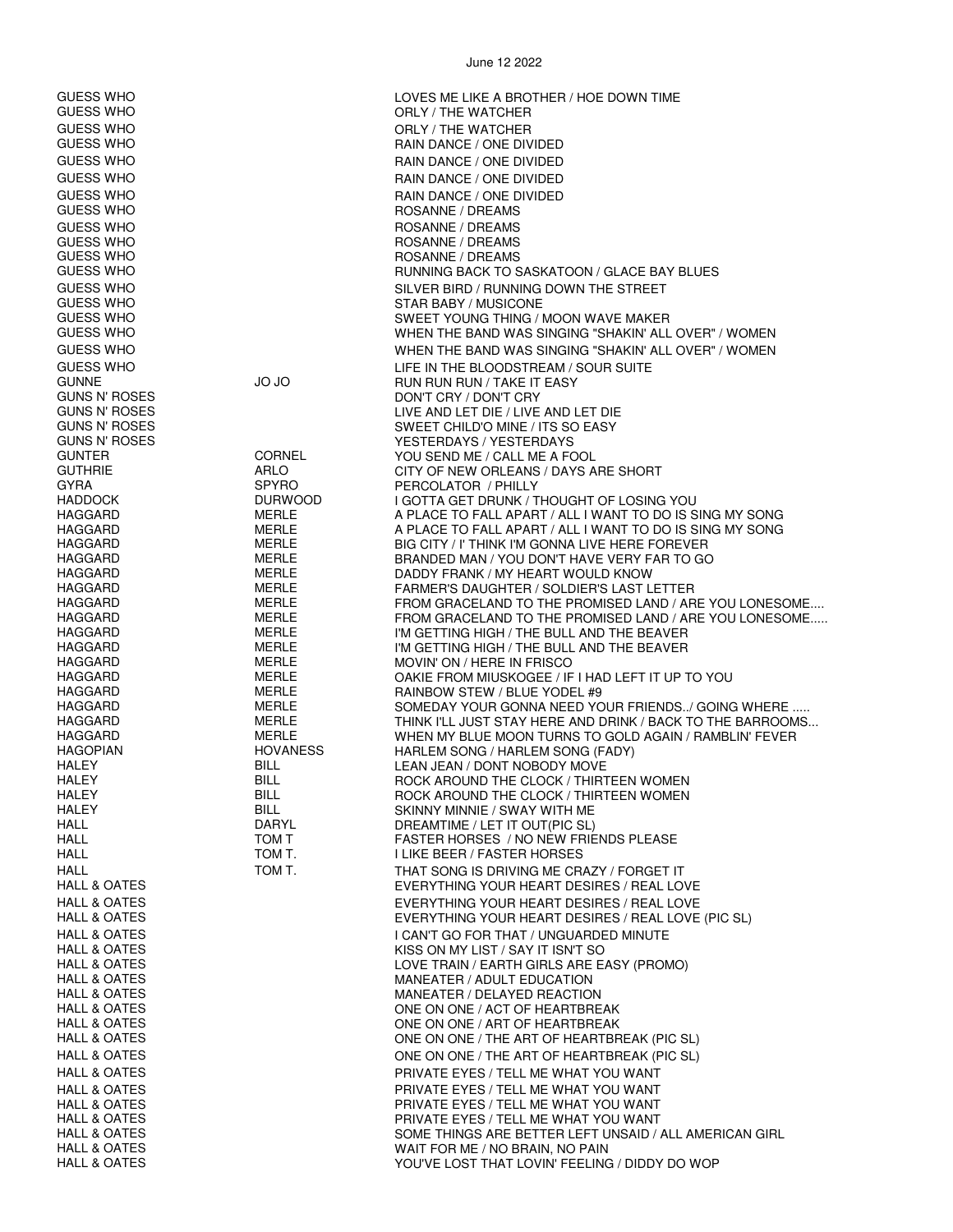| GUESS WHO                    |                      | LOVES ME LIKE A BROTHER / HOE DOWN TIME                                                                         |
|------------------------------|----------------------|-----------------------------------------------------------------------------------------------------------------|
| GUESS WHO                    |                      | ORLY / THE WATCHER                                                                                              |
| GUESS WHO                    |                      | ORLY / THE WATCHER                                                                                              |
| GUESS WHO                    |                      | RAIN DANCE / ONE DIVIDED                                                                                        |
| GUESS WHO                    |                      | RAIN DANCE / ONE DIVIDED                                                                                        |
| GUESS WHO                    |                      | RAIN DANCE / ONE DIVIDED                                                                                        |
| GUESS WHO                    |                      | RAIN DANCE / ONE DIVIDED                                                                                        |
| GUESS WHO                    |                      | ROSANNE / DREAMS                                                                                                |
| GUESS WHO                    |                      | ROSANNE / DREAMS                                                                                                |
| GUESS WHO                    |                      | ROSANNE / DREAMS                                                                                                |
| GUESS WHO                    |                      | ROSANNE / DREAMS                                                                                                |
| GUESS WHO                    |                      | RUNNING BACK TO SASKATOON / GLACE BAY BLUES                                                                     |
| GUESS WHO                    |                      | SILVER BIRD / RUNNING DOWN THE STREET                                                                           |
| GUESS WHO<br>GUESS WHO       |                      | STAR BABY / MUSICONE<br>SWEET YOUNG THING / MOON WAVE MAKER                                                     |
| GUESS WHO                    |                      | WHEN THE BAND WAS SINGING "SHAKIN' ALL OVER" / WOMEN                                                            |
| GUESS WHO                    |                      | WHEN THE BAND WAS SINGING "SHAKIN' ALL OVER" / WOMEN                                                            |
| <b>GUESS WHO</b>             |                      | LIFE IN THE BLOODSTREAM / SOUR SUITE                                                                            |
| GUNNE                        | <b>JO JO</b>         | RUN RUN RUN / TAKE IT EASY                                                                                      |
| GUNS N' ROSES                |                      | DON'T CRY / DON'T CRY                                                                                           |
| GUNS N' ROSES                |                      | LIVE AND LET DIE / LIVE AND LET DIE                                                                             |
| GUNS N' ROSES                |                      | SWEET CHILD'O MINE / ITS SO EASY                                                                                |
| GUNS N' ROSES                |                      | YESTERDAYS / YESTERDAYS                                                                                         |
| GUNTER                       | <b>CORNEL</b>        | YOU SEND ME / CALL ME A FOOL                                                                                    |
| GUTHRIE<br>GYRA              | ARLO<br><b>SPYRO</b> | CITY OF NEW ORLEANS / DAYS ARE SHORT<br>PERCOLATOR / PHILLY                                                     |
| HADDOCK                      | <b>DURWOOD</b>       | I GOTTA GET DRUNK / THOUGHT OF LOSING YOU                                                                       |
| HAGGARD                      | MERLE                | A PLACE TO FALL APART / ALL I WANT TO DO IS SING MY SONG                                                        |
| HAGGARD                      | MERLE                | A PLACE TO FALL APART / ALL I WANT TO DO IS SING MY SONG                                                        |
| HAGGARD                      | MERLE                | BIG CITY / I' THINK I'M GONNA LIVE HERE FOREVER                                                                 |
| HAGGARD                      | MERLE                | BRANDED MAN / YOU DON'T HAVE VERY FAR TO GO                                                                     |
| HAGGARD                      | MERLE                | DADDY FRANK / MY HEART WOULD KNOW                                                                               |
| HAGGARD<br>HAGGARD           | MERLE<br>MERLE       | <b>FARMER'S DAUGHTER / SOLDIER'S LAST LETTER</b><br>FROM GRACELAND TO THE PROMISED LAND / ARE YOU LONESOME      |
| HAGGARD                      | MERLE                | FROM GRACELAND TO THE PROMISED LAND / ARE YOU LONESOME                                                          |
| HAGGARD                      | <b>MERLE</b>         | I'M GETTING HIGH / THE BULL AND THE BEAVER                                                                      |
| HAGGARD                      | MERLE                | I'M GETTING HIGH / THE BULL AND THE BEAVER                                                                      |
| HAGGARD                      | MERLE                | MOVIN' ON / HERE IN FRISCO                                                                                      |
| HAGGARD                      | MERLE                | OAKIE FROM MIUSKOGEE / IF I HAD LEFT IT UP TO YOU                                                               |
| HAGGARD                      | MERLE                | RAINBOW STEW / BLUE YODEL #9                                                                                    |
| HAGGARD<br>HAGGARD           | MERLE<br>MERLE       | SOMEDAY YOUR GONNA NEED YOUR FRIENDS/ GOING WHERE<br>THINK I'LL JUST STAY HERE AND DRINK / BACK TO THE BARROOMS |
| HAGGARD                      | <b>MERLE</b>         | WHEN MY BLUE MOON TURNS TO GOLD AGAIN / RAMBLIN' FEVER                                                          |
| HAGOPIAN                     | <b>HOVANESS</b>      | HARLEM SONG / HARLEM SONG (FADY)                                                                                |
| HALEY                        | BILL                 | LEAN JEAN / DONT NOBODY MOVE                                                                                    |
| HALEY                        | <b>BILL</b>          | ROCK AROUND THE CLOCK / THIRTEEN WOMEN                                                                          |
| HALEY                        | <b>BILL</b>          | ROCK AROUND THE CLOCK / THIRTEEN WOMEN                                                                          |
| HALEY                        | <b>BILL</b>          | SKINNY MINNIE / SWAY WITH ME                                                                                    |
| HALL<br>HALL                 | DARYL<br>TOM T       | DREAMTIME / LET IT OUT(PIC SL)<br>FASTER HORSES / NO NEW FRIENDS PLEASE                                         |
| HALL                         | TOM T.               | I LIKE BEER / FASTER HORSES                                                                                     |
| HALL                         | TOM T.               | THAT SONG IS DRIVING ME CRAZY / FORGET IT                                                                       |
| HALL & OATES                 |                      | EVERYTHING YOUR HEART DESIRES / REAL LOVE                                                                       |
| <b>HALL &amp; OATES</b>      |                      | EVERYTHING YOUR HEART DESIRES / REAL LOVE                                                                       |
| HALL & OATES                 |                      | EVERYTHING YOUR HEART DESIRES / REAL LOVE (PIC SL)                                                              |
| <b>HALL &amp; OATES</b>      |                      | I CAN'T GO FOR THAT / UNGUARDED MINUTE                                                                          |
| <b>HALL &amp; OATES</b>      |                      | KISS ON MY LIST / SAY IT ISN'T SO                                                                               |
| HALL & OATES                 |                      | LOVE TRAIN / EARTH GIRLS ARE EASY (PROMO)                                                                       |
| HALL & OATES                 |                      | MANEATER / ADULT EDUCATION                                                                                      |
| HALL & OATES<br>HALL & OATES |                      | MANEATER / DELAYED REACTION                                                                                     |
| HALL & OATES                 |                      | ONE ON ONE / ACT OF HEARTBREAK<br>ONE ON ONE / ART OF HEARTBREAK                                                |
| HALL & OATES                 |                      | ONE ON ONE / THE ART OF HEARTBREAK (PIC SL)                                                                     |
| HALL & OATES                 |                      | ONE ON ONE / THE ART OF HEARTBREAK (PIC SL)                                                                     |
| HALL & OATES                 |                      | PRIVATE EYES / TELL ME WHAT YOU WANT                                                                            |
| HALL & OATES                 |                      | PRIVATE EYES / TELL ME WHAT YOU WANT                                                                            |
| HALL & OATES                 |                      | PRIVATE EYES / TELL ME WHAT YOU WANT                                                                            |
| HALL & OATES                 |                      | PRIVATE EYES / TELL ME WHAT YOU WANT                                                                            |
| HALL & OATES                 |                      | SOME THINGS ARE BETTER LEFT UNSAID / ALL AMERICAN GIRL                                                          |
| <b>HALL &amp; OATES</b>      |                      | WAIT FOR ME / NO BRAIN, NO PAIN                                                                                 |
| HALL & OATES                 |                      | YOU'VE LOST THAT LOVIN' FEELING / DIDDY DO WOP                                                                  |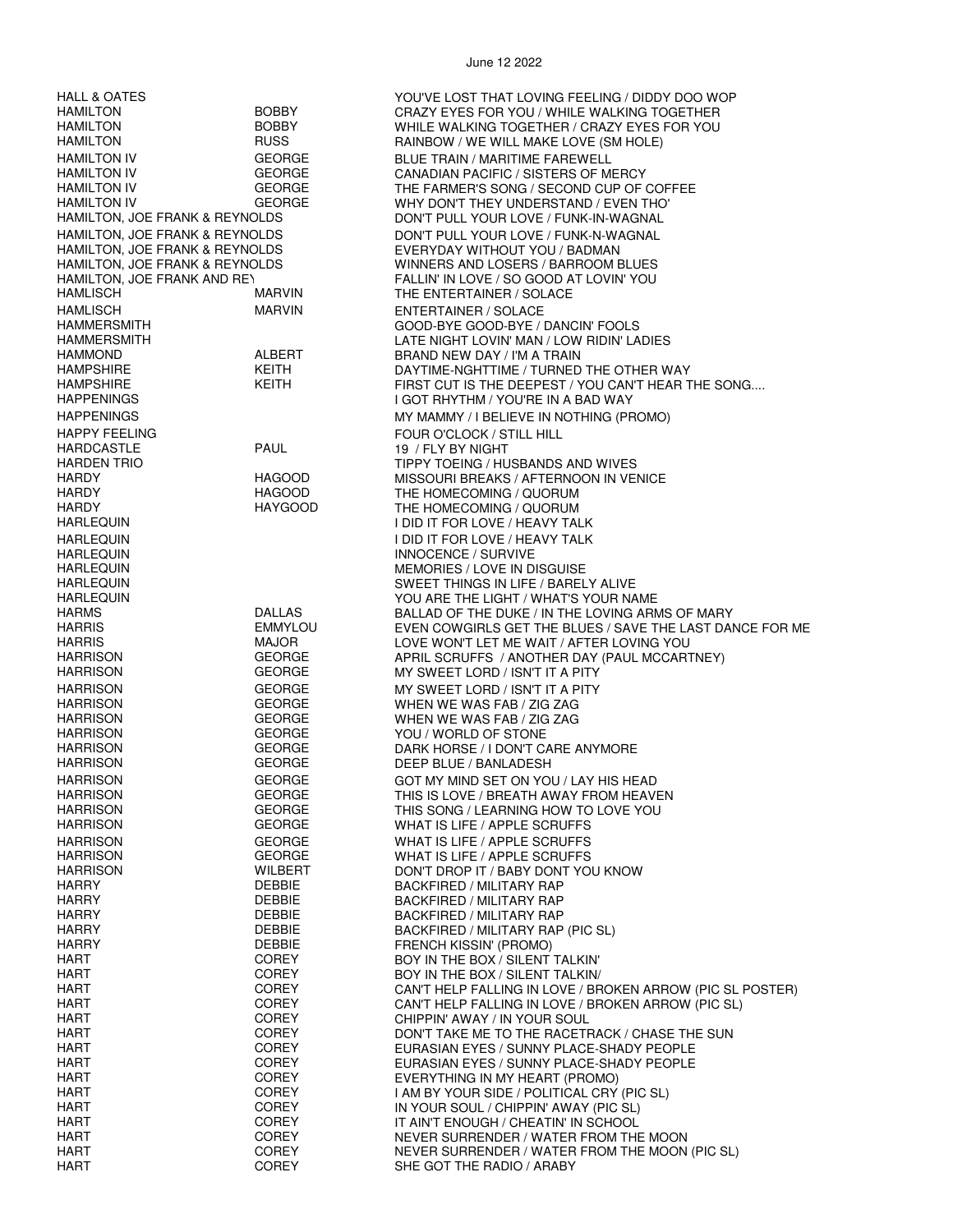| HALL & OATES                   |                | YOU'VE LOST THAT LOVING FEELING / DIDDY DOO WOP           |
|--------------------------------|----------------|-----------------------------------------------------------|
| <b>HAMILTON</b>                | <b>BOBBY</b>   | CRAZY EYES FOR YOU / WHILE WALKING TOGETHER               |
| HAMILTON                       | <b>BOBBY</b>   | WHILE WALKING TOGETHER / CRAZY EYES FOR YOU               |
| HAMILTON                       | <b>RUSS</b>    | RAINBOW / WE WILL MAKE LOVE (SM HOLE)                     |
| <b>HAMILTON IV</b>             | <b>GEORGE</b>  | <b>BLUE TRAIN / MARITIME FAREWELL</b>                     |
| <b>HAMILTON IV</b>             | <b>GEORGE</b>  | CANADIAN PACIFIC / SISTERS OF MERCY                       |
|                                |                |                                                           |
| HAMILTON IV                    | <b>GEORGE</b>  | THE FARMER'S SONG / SECOND CUP OF COFFEE                  |
| HAMILTON IV                    | GEORGE         | WHY DON'T THEY UNDERSTAND / EVEN THO'                     |
| HAMILTON, JOE FRANK & REYNOLDS |                | DON'T PULL YOUR LOVE / FUNK-IN-WAGNAL                     |
| HAMILTON, JOE FRANK & REYNOLDS |                | DON'T PULL YOUR LOVE / FUNK-N-WAGNAL                      |
| HAMILTON, JOE FRANK & REYNOLDS |                | EVERYDAY WITHOUT YOU / BADMAN                             |
| HAMILTON, JOE FRANK & REYNOLDS |                | WINNERS AND LOSERS / BARROOM BLUES                        |
| HAMILTON, JOE FRANK AND REY    |                | FALLIN' IN LOVE / SO GOOD AT LOVIN' YOU                   |
| <b>HAMLISCH</b>                | MARVIN         |                                                           |
|                                |                | THE ENTERTAINER / SOLACE                                  |
| HAMLISCH                       | MARVIN         | ENTERTAINER / SOLACE                                      |
| <b>HAMMERSMITH</b>             |                | GOOD-BYE GOOD-BYE / DANCIN' FOOLS                         |
| <b>HAMMERSMITH</b>             |                | LATE NIGHT LOVIN' MAN / LOW RIDIN' LADIES                 |
| <b>HAMMOND</b>                 | ALBERT         | BRAND NEW DAY / I'M A TRAIN                               |
| HAMPSHIRE                      | KEITH          | DAYTIME-NGHTTIME / TURNED THE OTHER WAY                   |
| HAMPSHIRE                      | KEITH          | FIRST CUT IS THE DEEPEST / YOU CAN'T HEAR THE SONG        |
| <b>HAPPENINGS</b>              |                | I GOT RHYTHM / YOU'RE IN A BAD WAY                        |
|                                |                |                                                           |
| <b>HAPPENINGS</b>              |                | MY MAMMY / I BELIEVE IN NOTHING (PROMO)                   |
| <b>HAPPY FEELING</b>           |                | FOUR O'CLOCK / STILL HILL                                 |
| HARDCASTLE                     | <b>PAUL</b>    | 19 / FLY BY NIGHT                                         |
| <b>HARDEN TRIO</b>             |                | TIPPY TOEING / HUSBANDS AND WIVES                         |
| HARDY                          | <b>HAGOOD</b>  | MISSOURI BREAKS / AFTERNOON IN VENICE                     |
| <b>HARDY</b>                   | <b>HAGOOD</b>  | THE HOMECOMING / QUORUM                                   |
| <b>HARDY</b>                   | HAYGOOD        | THE HOMECOMING / QUORUM                                   |
| HARLEQUIN                      |                | I DID IT FOR LOVE / HEAVY TALK                            |
|                                |                |                                                           |
| <b>HARLEQUIN</b>               |                | I DID IT FOR LOVE / HEAVY TALK                            |
| <b>HARLEQUIN</b>               |                | INNOCENCE / SURVIVE                                       |
| <b>HARLEQUIN</b>               |                | <b>MEMORIES / LOVE IN DISGUISE</b>                        |
| <b>HARLEQUIN</b>               |                | SWEET THINGS IN LIFE / BARELY ALIVE                       |
| <b>HARLEQUIN</b>               |                | YOU ARE THE LIGHT / WHAT'S YOUR NAME                      |
| <b>HARMS</b>                   | DALLAS         | BALLAD OF THE DUKE / IN THE LOVING ARMS OF MARY           |
| <b>HARRIS</b>                  | <b>EMMYLOU</b> | EVEN COWGIRLS GET THE BLUES / SAVE THE LAST DANCE FOR ME  |
| <b>HARRIS</b>                  | <b>MAJOR</b>   | LOVE WON'T LET ME WAIT / AFTER LOVING YOU                 |
| <b>HARRISON</b>                | <b>GEORGE</b>  | APRIL SCRUFFS / ANOTHER DAY (PAUL MCCARTNEY)              |
|                                | <b>GEORGE</b>  | MY SWEET LORD / ISN'T IT A PITY                           |
| <b>HARRISON</b>                |                |                                                           |
| <b>HARRISON</b>                | <b>GEORGE</b>  | MY SWEET LORD / ISN'T IT A PITY                           |
| <b>HARRISON</b>                | <b>GEORGE</b>  | WHEN WE WAS FAB / ZIG ZAG                                 |
| <b>HARRISON</b>                | <b>GEORGE</b>  | WHEN WE WAS FAB / ZIG ZAG                                 |
| <b>HARRISON</b>                | <b>GEORGE</b>  | YOU / WORLD OF STONE                                      |
| <b>HARRISON</b>                | <b>GEORGE</b>  | DARK HORSE / I DON'T CARE ANYMORE                         |
| <b>HARRISON</b>                | <b>GEORGE</b>  | DEEP BLUE / BANLADESH                                     |
| <b>HARRISON</b>                | <b>GEORGE</b>  | GOT MY MIND SET ON YOU / LAY HIS HEAD                     |
|                                |                |                                                           |
| <b>HARRISON</b>                | GEORGE         | THIS IS LOVE / BREATH AWAY FROM HEAVEN                    |
| <b>HARRISON</b>                | <b>GEORGE</b>  | THIS SONG / LEARNING HOW TO LOVE YOU                      |
| <b>HARRISON</b>                | GEORGE         | WHAT IS LIFE / APPLE SCRUFFS                              |
| <b>HARRISON</b>                | <b>GEORGE</b>  | WHAT IS LIFE / APPLE SCRUFFS                              |
| <b>HARRISON</b>                | <b>GEORGE</b>  | WHAT IS LIFE / APPLE SCRUFFS                              |
| <b>HARRISON</b>                | WILBERT        | DON'T DROP IT / BABY DONT YOU KNOW                        |
| HARRY                          | DEBBIE         | BACKFIRED / MILITARY RAP                                  |
| <b>HARRY</b>                   | DEBBIE         | <b>BACKFIRED / MILITARY RAP</b>                           |
| <b>HARRY</b>                   | <b>DEBBIE</b>  | BACKFIRED / MILITARY RAP                                  |
| <b>HARRY</b>                   | <b>DEBBIE</b>  | BACKFIRED / MILITARY RAP (PIC SL)                         |
| <b>HARRY</b>                   | DEBBIE         |                                                           |
|                                |                | FRENCH KISSIN' (PROMO)                                    |
| HART                           | COREY          | BOY IN THE BOX / SILENT TALKIN'                           |
| <b>HART</b>                    | COREY          | BOY IN THE BOX / SILENT TALKIN/                           |
| <b>HART</b>                    | COREY          | CAN'T HELP FALLING IN LOVE / BROKEN ARROW (PIC SL POSTER) |
| <b>HART</b>                    | <b>COREY</b>   | CAN'T HELP FALLING IN LOVE / BROKEN ARROW (PIC SL)        |
| <b>HART</b>                    | <b>COREY</b>   | CHIPPIN' AWAY / IN YOUR SOUL                              |
| HART                           | COREY          | DON'T TAKE ME TO THE RACETRACK / CHASE THE SUN            |
| <b>HART</b>                    | COREY          | EURASIAN EYES / SUNNY PLACE-SHADY PEOPLE                  |
| <b>HART</b>                    | COREY          | EURASIAN EYES / SUNNY PLACE-SHADY PEOPLE                  |
| <b>HART</b>                    | COREY          | EVERYTHING IN MY HEART (PROMO)                            |
| <b>HART</b>                    | <b>COREY</b>   | I AM BY YOUR SIDE / POLITICAL CRY (PIC SL)                |
| <b>HART</b>                    | <b>COREY</b>   | IN YOUR SOUL / CHIPPIN' AWAY (PIC SL)                     |
| <b>HART</b>                    | COREY          | IT AIN'T ENOUGH / CHEATIN' IN SCHOOL                      |
| <b>HART</b>                    | COREY          |                                                           |
| <b>HART</b>                    | <b>COREY</b>   | NEVER SURRENDER / WATER FROM THE MOON                     |
|                                |                | NEVER SURRENDER / WATER FROM THE MOON (PIC SL)            |
| <b>HART</b>                    | <b>COREY</b>   | SHE GOT THE RADIO / ARABY                                 |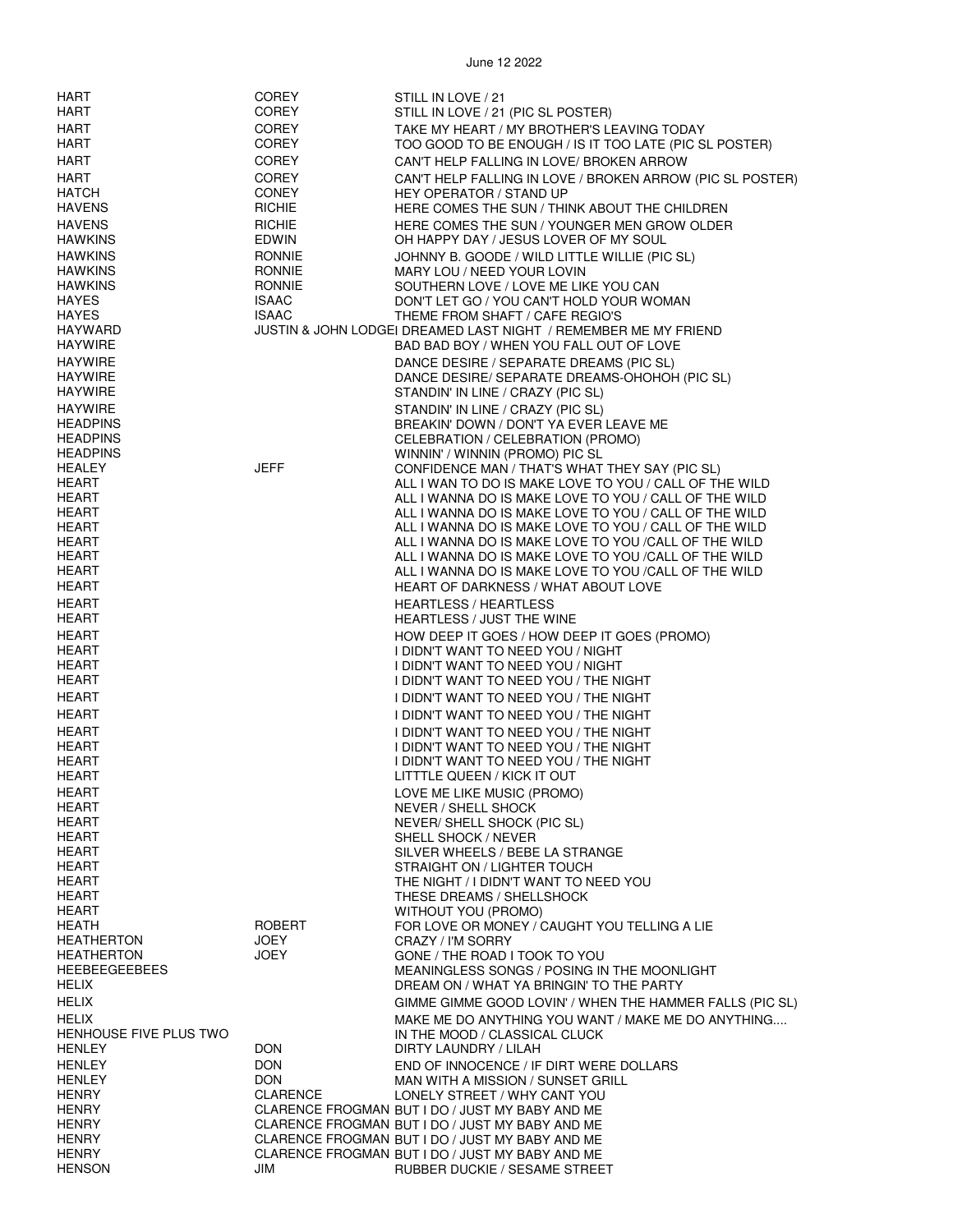| HART                   | <b>COREY</b>  | STILL IN LOVE / 21                                              |
|------------------------|---------------|-----------------------------------------------------------------|
| HART                   | <b>COREY</b>  | STILL IN LOVE / 21 (PIC SL POSTER)                              |
| <b>HART</b>            | <b>COREY</b>  | TAKE MY HEART / MY BROTHER'S LEAVING TODAY                      |
| <b>HART</b>            | COREY         | TOO GOOD TO BE ENOUGH / IS IT TOO LATE (PIC SL POSTER)          |
| <b>HART</b>            | <b>COREY</b>  | CAN'T HELP FALLING IN LOVE/ BROKEN ARROW                        |
|                        |               |                                                                 |
| <b>HART</b>            | <b>COREY</b>  | CAN'T HELP FALLING IN LOVE / BROKEN ARROW (PIC SL POSTER)       |
| <b>HATCH</b>           | <b>CONEY</b>  | HEY OPERATOR / STAND UP                                         |
| <b>HAVENS</b>          | <b>RICHIE</b> | HERE COMES THE SUN / THINK ABOUT THE CHILDREN                   |
| <b>HAVENS</b>          | <b>RICHIE</b> | HERE COMES THE SUN / YOUNGER MEN GROW OLDER                     |
| <b>HAWKINS</b>         | EDWIN         | OH HAPPY DAY / JESUS LOVER OF MY SOUL                           |
| <b>HAWKINS</b>         | <b>RONNIE</b> |                                                                 |
|                        |               | JOHNNY B. GOODE / WILD LITTLE WILLIE (PIC SL)                   |
| <b>HAWKINS</b>         | <b>RONNIE</b> | MARY LOU / NEED YOUR LOVIN                                      |
| <b>HAWKINS</b>         | <b>RONNIE</b> | SOUTHERN LOVE / LOVE ME LIKE YOU CAN                            |
| <b>HAYES</b>           | <b>ISAAC</b>  | DON'T LET GO / YOU CAN'T HOLD YOUR WOMAN                        |
| <b>HAYES</b>           | <b>ISAAC</b>  | THEME FROM SHAFT / CAFE REGIO'S                                 |
| <b>HAYWARD</b>         |               | JUSTIN & JOHN LODGEI DREAMED LAST NIGHT / REMEMBER ME MY FRIEND |
| <b>HAYWIRE</b>         |               | BAD BAD BOY / WHEN YOU FALL OUT OF LOVE                         |
| <b>HAYWIRE</b>         |               | DANCE DESIRE / SEPARATE DREAMS (PIC SL)                         |
| <b>HAYWIRE</b>         |               | DANCE DESIRE/ SEPARATE DREAMS-OHOHOH (PIC SL)                   |
| <b>HAYWIRE</b>         |               | STANDIN' IN LINE / CRAZY (PIC SL)                               |
|                        |               |                                                                 |
| <b>HAYWIRE</b>         |               | STANDIN' IN LINE / CRAZY (PIC SL)                               |
| <b>HEADPINS</b>        |               | BREAKIN' DOWN / DON'T YA EVER LEAVE ME                          |
| <b>HEADPINS</b>        |               | CELEBRATION / CELEBRATION (PROMO)                               |
| <b>HEADPINS</b>        |               | WINNIN' / WINNIN (PROMO) PIC SL                                 |
| HEALEY                 | <b>JEFF</b>   | CONFIDENCE MAN / THAT'S WHAT THEY SAY (PIC SL)                  |
| HEART                  |               | ALL I WAN TO DO IS MAKE LOVE TO YOU / CALL OF THE WILD          |
| HEART                  |               | ALL I WANNA DO IS MAKE LOVE TO YOU / CALL OF THE WILD           |
| HEART                  |               | ALL I WANNA DO IS MAKE LOVE TO YOU / CALL OF THE WILD           |
| HEART                  |               | ALL I WANNA DO IS MAKE LOVE TO YOU / CALL OF THE WILD           |
| HEART                  |               | ALL I WANNA DO IS MAKE LOVE TO YOU / CALL OF THE WILD           |
| HEART                  |               | ALL I WANNA DO IS MAKE LOVE TO YOU / CALL OF THE WILD           |
| HEART                  |               |                                                                 |
|                        |               | ALL I WANNA DO IS MAKE LOVE TO YOU /CALL OF THE WILD            |
| HEART                  |               | <b>HEART OF DARKNESS / WHAT ABOUT LOVE</b>                      |
| HEART                  |               | <b>HEARTLESS / HEARTLESS</b>                                    |
| HEART                  |               | HEARTLESS / JUST THE WINE                                       |
| HEART                  |               | HOW DEEP IT GOES / HOW DEEP IT GOES (PROMO)                     |
| HEART                  |               | I DIDN'T WANT TO NEED YOU / NIGHT                               |
| HEART                  |               | I DIDN'T WANT TO NEED YOU / NIGHT                               |
| <b>HEART</b>           |               |                                                                 |
|                        |               | I DIDN'T WANT TO NEED YOU / THE NIGHT                           |
| HEART                  |               | I DIDN'T WANT TO NEED YOU / THE NIGHT                           |
| HEART                  |               | I DIDN'T WANT TO NEED YOU / THE NIGHT                           |
| HEART                  |               | I DIDN'T WANT TO NEED YOU / THE NIGHT                           |
| HEART                  |               | I DIDN'T WANT TO NEED YOU / THE NIGHT                           |
| HEART                  |               | I DIDN'T WANT TO NEED YOU / THE NIGHT                           |
| HEART                  |               |                                                                 |
|                        |               | LITTTLE QUEEN / KICK IT OUT                                     |
| HEART                  |               | LOVE ME LIKE MUSIC (PROMO)                                      |
| HEART                  |               | NEVER / SHELL SHOCK                                             |
| <b>HEART</b>           |               | NEVER/ SHELL SHOCK (PIC SL)                                     |
| HEART                  |               | SHELL SHOCK / NEVER                                             |
| HEART                  |               | SILVER WHEELS / BEBE LA STRANGE                                 |
| <b>HEART</b>           |               | STRAIGHT ON / LIGHTER TOUCH                                     |
| HEART                  |               | THE NIGHT / I DIDN'T WANT TO NEED YOU                           |
| <b>HEART</b>           |               | THESE DREAMS / SHELLSHOCK                                       |
| HEART                  |               | WITHOUT YOU (PROMO)                                             |
| HEATH                  | ROBERT        | FOR LOVE OR MONEY / CAUGHT YOU TELLING A LIE                    |
| <b>HEATHERTON</b>      | JOEY          | CRAZY / I'M SORRY                                               |
| <b>HEATHERTON</b>      | JOEY          | GONE / THE ROAD I TOOK TO YOU                                   |
| <b>HEEBEEGEEBEES</b>   |               |                                                                 |
|                        |               | MEANINGLESS SONGS / POSING IN THE MOONLIGHT                     |
| <b>HELIX</b>           |               | DREAM ON / WHAT YA BRINGIN' TO THE PARTY                        |
| <b>HELIX</b>           |               | GIMME GIMME GOOD LOVIN' / WHEN THE HAMMER FALLS (PIC SL)        |
| HELIX                  |               | MAKE ME DO ANYTHING YOU WANT / MAKE ME DO ANYTHING              |
| HENHOUSE FIVE PLUS TWO |               | IN THE MOOD / CLASSICAL CLUCK                                   |
| <b>HENLEY</b>          | <b>DON</b>    | DIRTY LAUNDRY / LILAH                                           |
| <b>HENLEY</b>          | <b>DON</b>    |                                                                 |
|                        |               | END OF INNOCENCE / IF DIRT WERE DOLLARS                         |
| <b>HENLEY</b>          | <b>DON</b>    | MAN WITH A MISSION / SUNSET GRILL                               |
| <b>HENRY</b>           | CLARENCE      | LONELY STREET / WHY CANT YOU                                    |
| <b>HENRY</b>           |               | CLARENCE FROGMAN BUT I DO / JUST MY BABY AND ME                 |
| <b>HENRY</b>           |               | CLARENCE FROGMAN BUT I DO / JUST MY BABY AND ME                 |
| <b>HENRY</b>           |               | CLARENCE FROGMAN BUT I DO / JUST MY BABY AND ME                 |
| <b>HENRY</b>           |               | CLARENCE FROGMAN BUT I DO / JUST MY BABY AND ME                 |
| <b>HENSON</b>          | JIM           | RUBBER DUCKIE / SESAME STREET                                   |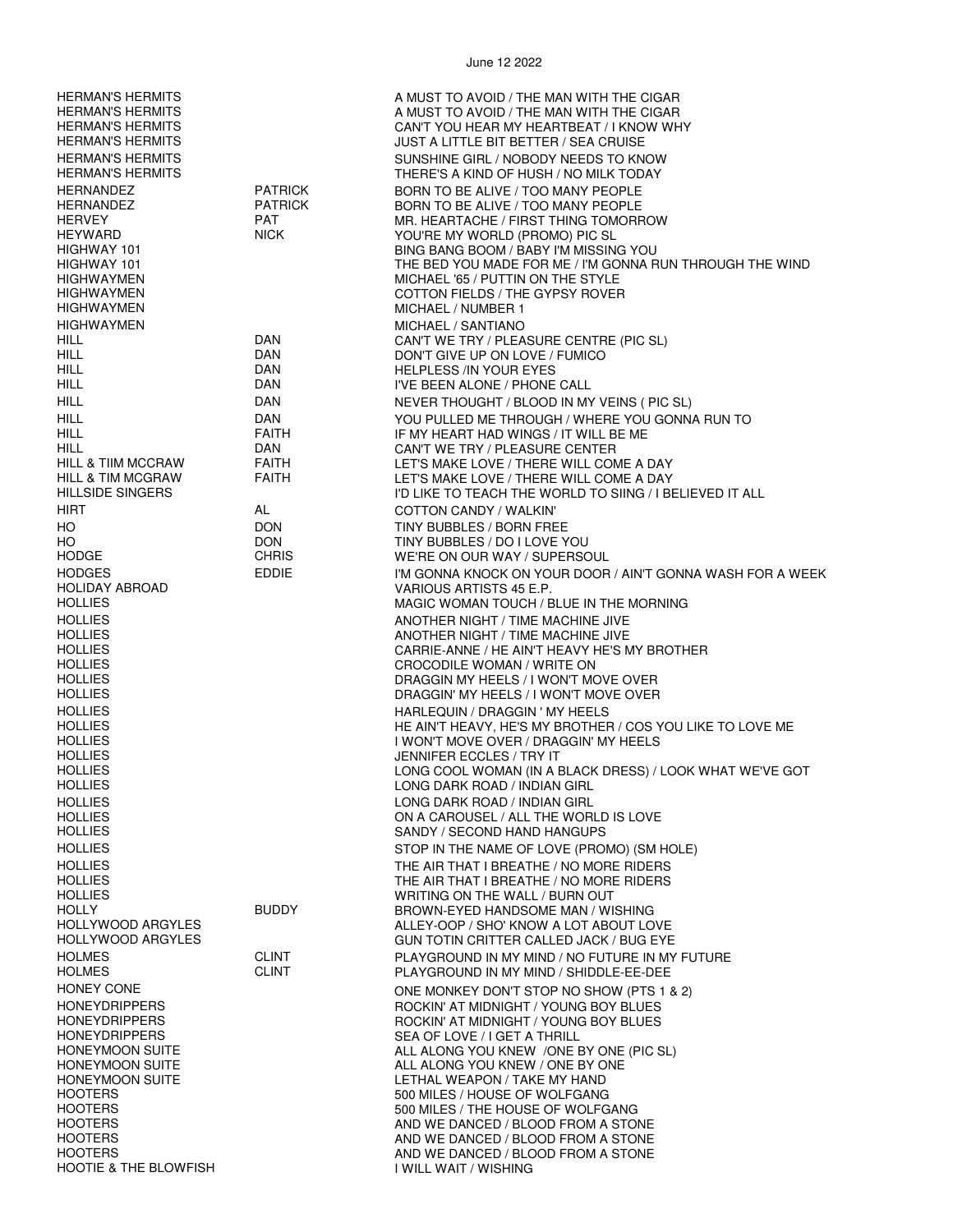| <b>HERMAN'S HERMITS</b><br><b>HERMAN'S HERMITS</b><br><b>HERMAN'S HERMITS</b><br><b>HERMAN'S HERMITS</b><br><b>HERMAN'S HERMITS</b><br><b>HERMAN'S HERMITS</b> |                                                               | A MUST TO AVOID / THE MAN WITH THE CIGAR<br>A MUST TO AVOID / THE MAN WITH THE CIGAR<br>CAN'T YOU HEAR MY HEARTBEAT / I KNOW WHY<br><b>JUST A LITTLE BIT BETTER / SEA CRUISE</b><br>SUNSHINE GIRL / NOBODY NEEDS TO KNOW<br>THERE'S A KIND OF HUSH / NO MILK TODAY                                                                                    |
|----------------------------------------------------------------------------------------------------------------------------------------------------------------|---------------------------------------------------------------|-------------------------------------------------------------------------------------------------------------------------------------------------------------------------------------------------------------------------------------------------------------------------------------------------------------------------------------------------------|
| <b>HERNANDEZ</b><br>HERNANDEZ<br><b>HERVEY</b><br><b>HEYWARD</b><br>HIGHWAY 101<br>HIGHWAY 101<br>HIGHWAYMEN<br><b>HIGHWAYMEN</b><br><b>HIGHWAYMEN</b>         | <b>PATRICK</b><br><b>PATRICK</b><br><b>PAT</b><br><b>NICK</b> | BORN TO BE ALIVE / TOO MANY PEOPLE<br>BORN TO BE ALIVE / TOO MANY PEOPLE<br>MR. HEARTACHE / FIRST THING TOMORROW<br>YOU'RE MY WORLD (PROMO) PIC SL<br>BING BANG BOOM / BABY I'M MISSING YOU<br>THE BED YOU MADE FOR ME / I'M GONNA RUN THROUGH THE WIND<br>MICHAEL '65 / PUTTIN ON THE STYLE<br>COTTON FIELDS / THE GYPSY ROVER<br>MICHAEL / NUMBER 1 |
| <b>HIGHWAYMEN</b><br>HILL                                                                                                                                      | <b>DAN</b>                                                    | MICHAEL / SANTIANO<br>CAN'T WE TRY / PLEASURE CENTRE (PIC SL)                                                                                                                                                                                                                                                                                         |
| HILL.                                                                                                                                                          | <b>DAN</b>                                                    | DON'T GIVE UP ON LOVE / FUMICO                                                                                                                                                                                                                                                                                                                        |
| HILL.                                                                                                                                                          | DAN                                                           | <b>HELPLESS /IN YOUR EYES</b>                                                                                                                                                                                                                                                                                                                         |
| <b>HILL</b><br><b>HILL</b>                                                                                                                                     | DAN<br>DAN                                                    | I'VE BEEN ALONE / PHONE CALL<br>NEVER THOUGHT / BLOOD IN MY VEINS ( PIC SL)                                                                                                                                                                                                                                                                           |
| <b>HILL</b>                                                                                                                                                    | <b>DAN</b>                                                    | YOU PULLED ME THROUGH / WHERE YOU GONNA RUN TO                                                                                                                                                                                                                                                                                                        |
| HILL                                                                                                                                                           | <b>FAITH</b>                                                  | IF MY HEART HAD WINGS / IT WILL BE ME                                                                                                                                                                                                                                                                                                                 |
| HILL                                                                                                                                                           | DAN                                                           | CAN'T WE TRY / PLEASURE CENTER                                                                                                                                                                                                                                                                                                                        |
| <b>HILL &amp; TIIM MCCRAW</b><br><b>HILL &amp; TIM MCGRAW</b>                                                                                                  | <b>FAITH</b><br><b>FAITH</b>                                  | LET'S MAKE LOVE / THERE WILL COME A DAY<br>LET'S MAKE LOVE / THERE WILL COME A DAY                                                                                                                                                                                                                                                                    |
| <b>HILLSIDE SINGERS</b>                                                                                                                                        |                                                               | I'D LIKE TO TEACH THE WORLD TO SIING / I BELIEVED IT ALL                                                                                                                                                                                                                                                                                              |
| HIRT                                                                                                                                                           | AL                                                            | COTTON CANDY / WALKIN'                                                                                                                                                                                                                                                                                                                                |
| HO                                                                                                                                                             | <b>DON</b>                                                    | TINY BUBBLES / BORN FREE                                                                                                                                                                                                                                                                                                                              |
| HO<br><b>HODGE</b>                                                                                                                                             | <b>DON</b><br><b>CHRIS</b>                                    | TINY BUBBLES / DO I LOVE YOU<br>WE'RE ON OUR WAY / SUPERSOUL                                                                                                                                                                                                                                                                                          |
| <b>HODGES</b>                                                                                                                                                  | EDDIE                                                         | I'M GONNA KNOCK ON YOUR DOOR / AIN'T GONNA WASH FOR A WEEK                                                                                                                                                                                                                                                                                            |
| <b>HOLIDAY ABROAD</b>                                                                                                                                          |                                                               | VARIOUS ARTISTS 45 E.P.                                                                                                                                                                                                                                                                                                                               |
| <b>HOLLIES</b><br><b>HOLLIES</b>                                                                                                                               |                                                               | MAGIC WOMAN TOUCH / BLUE IN THE MORNING<br>ANOTHER NIGHT / TIME MACHINE JIVE                                                                                                                                                                                                                                                                          |
| <b>HOLLIES</b>                                                                                                                                                 |                                                               | ANOTHER NIGHT / TIME MACHINE JIVE                                                                                                                                                                                                                                                                                                                     |
| <b>HOLLIES</b>                                                                                                                                                 |                                                               | CARRIE-ANNE / HE AIN'T HEAVY HE'S MY BROTHER                                                                                                                                                                                                                                                                                                          |
| <b>HOLLIES</b><br><b>HOLLIES</b>                                                                                                                               |                                                               | CROCODILE WOMAN / WRITE ON<br>DRAGGIN MY HEELS / I WON'T MOVE OVER                                                                                                                                                                                                                                                                                    |
| HOLLIES                                                                                                                                                        |                                                               | DRAGGIN' MY HEELS / I WON'T MOVE OVER                                                                                                                                                                                                                                                                                                                 |
| <b>HOLLIES</b>                                                                                                                                                 |                                                               | HARLEQUIN / DRAGGIN ' MY HEELS                                                                                                                                                                                                                                                                                                                        |
| <b>HOLLIES</b><br><b>HOLLIES</b>                                                                                                                               |                                                               | HE AIN'T HEAVY, HE'S MY BROTHER / COS YOU LIKE TO LOVE ME<br>I WON'T MOVE OVER / DRAGGIN' MY HEELS                                                                                                                                                                                                                                                    |
| <b>HOLLIES</b>                                                                                                                                                 |                                                               | <b>JENNIFER ECCLES / TRY IT</b>                                                                                                                                                                                                                                                                                                                       |
| <b>HOLLIES</b>                                                                                                                                                 |                                                               | LONG COOL WOMAN (IN A BLACK DRESS) / LOOK WHAT WE'VE GOT                                                                                                                                                                                                                                                                                              |
| <b>HOLLIES</b><br><b>HOLLIES</b>                                                                                                                               |                                                               | LONG DARK ROAD / INDIAN GIRL                                                                                                                                                                                                                                                                                                                          |
| <b>HOLLIES</b>                                                                                                                                                 |                                                               | LONG DARK ROAD / INDIAN GIRL<br>ON A CAROUSEL / ALL THE WORLD IS LOVE                                                                                                                                                                                                                                                                                 |
| <b>HOLLIES</b>                                                                                                                                                 |                                                               | SANDY / SECOND HAND HANGUPS                                                                                                                                                                                                                                                                                                                           |
| <b>HOLLIES</b>                                                                                                                                                 |                                                               | STOP IN THE NAME OF LOVE (PROMO) (SM HOLE)                                                                                                                                                                                                                                                                                                            |
| <b>HOLLIES</b><br><b>HOLLIES</b>                                                                                                                               |                                                               | THE AIR THAT I BREATHE / NO MORE RIDERS<br>THE AIR THAT I BREATHE / NO MORE RIDERS                                                                                                                                                                                                                                                                    |
| <b>HOLLIES</b>                                                                                                                                                 |                                                               | WRITING ON THE WALL / BURN OUT                                                                                                                                                                                                                                                                                                                        |
| <b>HOLLY</b>                                                                                                                                                   | <b>BUDDY</b>                                                  | BROWN-EYED HANDSOME MAN / WISHING                                                                                                                                                                                                                                                                                                                     |
| HOLLYWOOD ARGYLES<br><b>HOLLYWOOD ARGYLES</b>                                                                                                                  |                                                               | ALLEY-OOP / SHO' KNOW A LOT ABOUT LOVE<br>GUN TOTIN CRITTER CALLED JACK / BUG EYE                                                                                                                                                                                                                                                                     |
| <b>HOLMES</b>                                                                                                                                                  | <b>CLINT</b>                                                  | PLAYGROUND IN MY MIND / NO FUTURE IN MY FUTURE                                                                                                                                                                                                                                                                                                        |
| <b>HOLMES</b>                                                                                                                                                  | <b>CLINT</b>                                                  | PLAYGROUND IN MY MIND / SHIDDLE-EE-DEE                                                                                                                                                                                                                                                                                                                |
| HONEY CONE<br><b>HONEYDRIPPERS</b>                                                                                                                             |                                                               | ONE MONKEY DON'T STOP NO SHOW (PTS 1 & 2)<br>ROCKIN' AT MIDNIGHT / YOUNG BOY BLUES                                                                                                                                                                                                                                                                    |
| <b>HONEYDRIPPERS</b>                                                                                                                                           |                                                               | ROCKIN' AT MIDNIGHT / YOUNG BOY BLUES                                                                                                                                                                                                                                                                                                                 |
| <b>HONEYDRIPPERS</b>                                                                                                                                           |                                                               | SEA OF LOVE / I GET A THRILL                                                                                                                                                                                                                                                                                                                          |
| <b>HONEYMOON SUITE</b><br><b>HONEYMOON SUITE</b>                                                                                                               |                                                               | ALL ALONG YOU KNEW /ONE BY ONE (PIC SL)<br>ALL ALONG YOU KNEW / ONE BY ONE                                                                                                                                                                                                                                                                            |
| <b>HONEYMOON SUITE</b>                                                                                                                                         |                                                               | LETHAL WEAPON / TAKE MY HAND                                                                                                                                                                                                                                                                                                                          |
| <b>HOOTERS</b>                                                                                                                                                 |                                                               | 500 MILES / HOUSE OF WOLFGANG                                                                                                                                                                                                                                                                                                                         |
| <b>HOOTERS</b><br><b>HOOTERS</b>                                                                                                                               |                                                               | 500 MILES / THE HOUSE OF WOLFGANG<br>AND WE DANCED / BLOOD FROM A STONE                                                                                                                                                                                                                                                                               |
| <b>HOOTERS</b>                                                                                                                                                 |                                                               | AND WE DANCED / BLOOD FROM A STONE                                                                                                                                                                                                                                                                                                                    |
| <b>HOOTERS</b><br><b>HOOTIE &amp; THE BLOWFISH</b>                                                                                                             |                                                               | AND WE DANCED / BLOOD FROM A STONE                                                                                                                                                                                                                                                                                                                    |
|                                                                                                                                                                |                                                               | I WILL WAIT / WISHING                                                                                                                                                                                                                                                                                                                                 |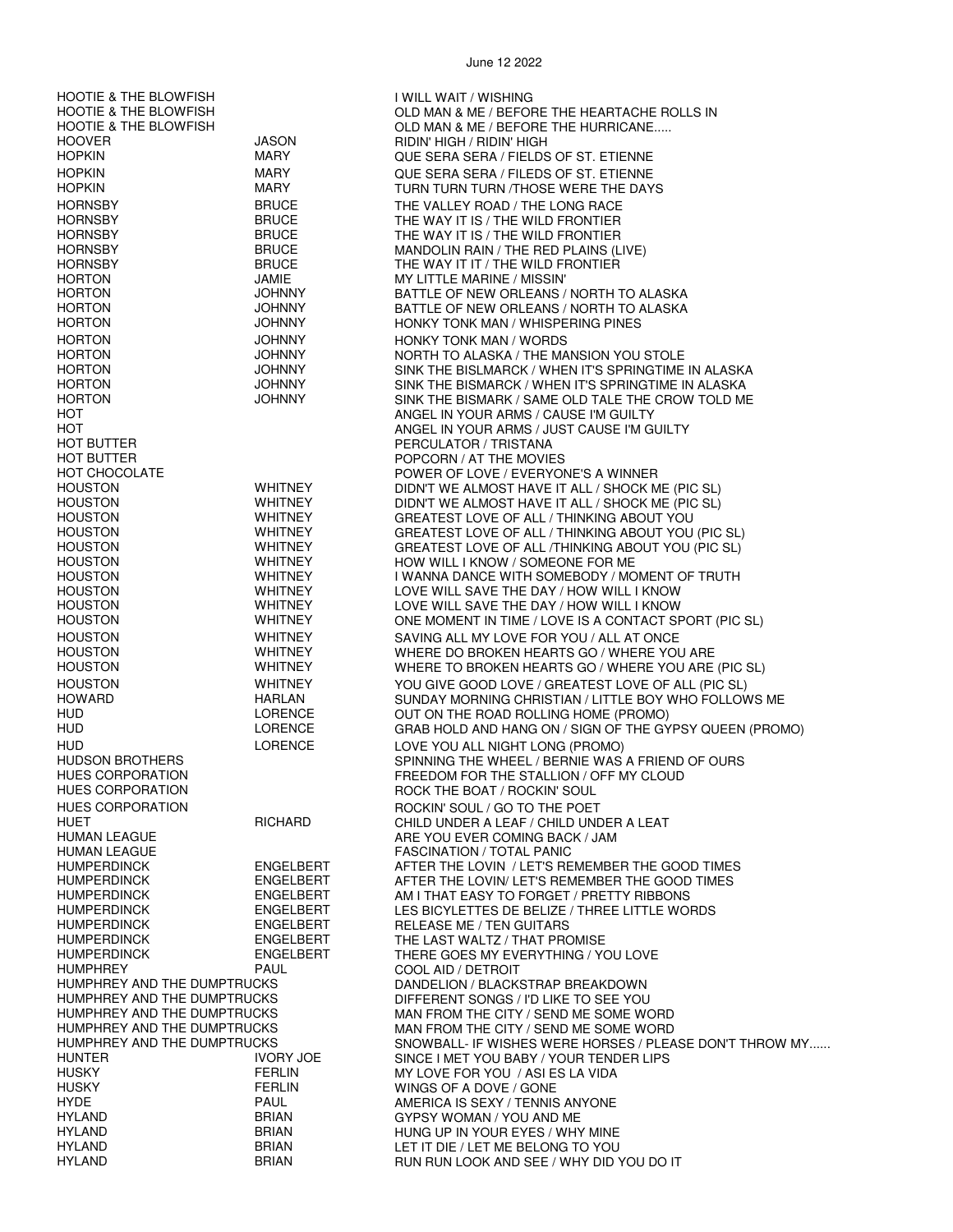HOOTIE & THE BLOWFISH I WILL WAIT / WISHING<br>HOOTIE & THE BLOWFISH I WILL OLD MAN & ME / BEFOI HOOTIE & THE BLOWFISH<br>HOOTIE & THE BLOWFISH THE ROLLS IN THE ROLLS IN SOLD MAN & ME / BEFORE THE HURRICANE..... HOOTIE & THE BLOWFISH **OLD MAN & ME / BEFORE THE HURRICANE.....**<br>HOOVER **OLD MAN & ME / BIDIN' HIGH / BIDIN' HIGH** RIDIN' HIGH / RIDIN' HIGH HOPKIN MARY QUE SERA SERA / FIELDS OF ST. ETIENNE HOPKIN MARY QUE SERA SERA / FILEDS OF ST. ETIENNE TURN TURN TURN /THOSE WERE THE DAYS HORNSBY BRUCE THE VALLEY ROAD / THE LONG RACE HORNSBY BRUCE THE WAY IT IS / THE WILD FRONTIER THE WAY IT IS / THE WILD FRONTIER HORNSBY BRUCE MANDOLIN RAIN / THE RED PLAINS (LIVE) HORNSBY BRUCE THE WAY IT IT / THE WILD FRONTIER **MY LITTLE MARINE / MISSIN'** HORTON JOHNNY BATTLE OF NEW ORLEANS / NORTH TO ALASKA HORTON JOHNNY BATTLE OF NEW ORLEANS / NORTH TO ALASKA HONKY TONK MAN / WHISPERING PINES HORTON JOHNNY HONKY TONK MAN / WORDS<br>HORTON HORTON JOHNNY NORTH TO ALASKA / THE MA HORTON JOHNNY NORTH TO ALASKA / THE MANSION YOU STOLE HORTON JOHNNY SINK THE BISLMARCK / WHEN IT'S SPRINGTIME IN ALASKA HORTON JOHNNY SINK THE BISMARCK / WHEN IT'S SPRINGTIME IN ALASKA SINK THE BISMARK / SAME OLD TALE THE CROW TOLD ME HOT ANGEL IN YOUR ARMS / CAUSE I'M GUILTY HOT ANGEL IN YOUR ARMS / JUST CAUSE I'M GUILTY PERCULATOR / TRISTANA HOT BUTTER<br>HOT CHOCOLATE THE MOVIES HOT CHOCOLATE THAT A POWER OF LOVE / EVERYOR<br>POWER OF LOVE / EVERYOR HOT CHOCOLATE POWER OF LOVE / EVERYONE'S A WINNER HOUSTON WHITNEY DIDN'T WE ALMOST HAVE IT ALL / SHOCK ME (PIC SL) HOUSTON WHITNEY DIDN'T WE ALMOST HAVE IT ALL / SHOCK ME (PIC SL) HOUSTON WHITNEY GREATEST LOVE OF ALL / THINKING ABOUT YOU HOUSTON WHITNEY GREATEST LOVE OF ALL / THINKING ABOUT YOU (PIC SL) HOUSTON WHITNEY GREATEST LOVE OF ALL /THINKING ABOUT YOU (PIC SL) HOUSTON THOUSTON WHITNEY HOW WILL I KNOW / SOMEONE FOR ME<br>HOUSTON WHITNEY I WANNA DANCE WITH SOMEBODY / MC HOUSTON WHITNEY I WANNA DANCE WITH SOMEBODY / MOMENT OF TRUTH HOUSTON THE DAY / HOW WILL I KNOW WHITNEY THE DAY / HOW WILL I KNOW HOUSTON THE DAY / HOW WILL I KNOW LOVE WILL SAVE THE DAY / HOW WILL I KNOW HOUSTON WHITNEY ONE MOMENT IN TIME / LOVE IS A CONTACT SPORT (PIC SL) HOUSTON WHITNEY SAVING ALL MY LOVE FOR YOU / ALL AT ONCE<br>HOUSTON WHITNEY WHITNEY WHERE DO BROKEN HEARTS GO / WHERE YOU WHERE DO BROKEN HEARTS GO / WHERE YOU ARE HOUSTON WHITNEY WHERE TO BROKEN HEARTS GO / WHERE YOU ARE (PIC SL) HOUSTON WHITNEY YOU GIVE GOOD LOVE / GREATEST LOVE OF ALL (PIC SL)<br>HOWARD HARLAN SUNDAY MORNING CHRISTIAN / LITTLE BOY WHO FOLLOW SUNDAY MORNING CHRISTIAN / LITTLE BOY WHO FOLLOWS ME HUD LORENCE OUT ON THE ROAD ROLLING HOME (PROMO)<br>HUD LORENCE GRAB HOLD AND HANG ON / SIGN OF THE GY GRAB HOLD AND HANG ON / SIGN OF THE GYPSY QUEEN (PROMO) HUD LORENCE LORENCE LOVE YOU ALL NIGHT LONG (PROMO)<br>HUDSON BROTHERS SPINNING THE WHEEL / BERNIE WAS SPINNING THE WHEEL / BERNIE WAS A FRIEND OF OURS HUES CORPORATION FREEDOM FOR THE STALLION / OFF MY CLOUD<br>HUES CORPORATION ROCK THE BOAT / ROCKIN' SOUL HUES CORPORATION FIGHARD FOOKIN' SOUL / GO TO THE POET<br>HUET FIGHARD CHILD UNDER A LEAF / CHILD UND HUET RICHARD CHILD UNDER A LEAF / CHILD UNDER A LEAT HUMAN LEAGUE<br>HUMAN LEAGUE AND THE YOU EVER COMING BACK / JAM ARE YOU EVER COMING BACK / JAM HUMAN LEAGUE FASCINATION / TOTAL PANIC<br>HUMPERDINCK FINGELBERT FIFE AFTER THE LOVIN / LET'S RE HUMPERDINCK ENGELBERT AFTER THE LOVIN / LET'S REMEMBER THE GOOD TIMES HUMPERDINCK ENGELBERT AFTER THE LOVIN/ LET'S REMEMBER THE GOOD TIMES AM I THAT EASY TO FORGET / PRETTY RIBBONS HUMPERDINCK ENGELBERT LES BICYLETTES DE BELIZE / THREE LITTLE WORDS HUMPERDINCK ENGELBERT RELEASE ME / TEN GUITARS ENGELBERT THE LAST WALTZ / THAT PROMISE<br>ENGELBERT THERE GOES MY EVERYTHING / YO HUMPERDINCK ENGELBERT THERE GOES MY EVERYTHING / YOU LOVE HUMPHREY PAUL COOL AID / DETROIT HUMPHREY AND THE DUMPTRUCKS DANDELION / BLACKSTRAP BREAKDOWN<br>HUMPHREY AND THE DUMPTRUCKS DIFFERENT SONGS / I'D LIKE TO SEE YOU DIFFERENT SONGS / I'D LIKE TO SEE YOU HUMPHREY AND THE DUMPTRUCKS MAN FROM THE CITY / SEND ME SOME WORD<br>HUMPHREY AND THE DUMPTRUCKS MAN FROM THE CITY / SEND ME SOME WORD HUMPHREY AND THE DUMPTRUCKS MAN FROM THE CITY / SEND ME SOME WORD<br>HUMPHREY AND THE DUMPTRUCKS SAND SNOWBALL- IF WISHES WERE HORSES / PLEA SNOWBALL- IF WISHES WERE HORSES / PLEASE DON'T THROW MY...... HUNTER IVORY JOE SINCE I MET YOU BABY / YOUR TENDER LIPS HUSKY FERLIN MY LOVE FOR YOU / ASI ES LA VIDA HUSKY FERLIN WINGS OF A DOVE / GONE HYDE PAUL AMERICA IS SEXY / TENNIS ANYONE HYLAND BRIAN GYPSY WOMAN / YOU AND ME<br>HYLAND BRIAN HUNG UP IN YOUR EYES / WHY HYLAND BRIAN BRIAN HUNG UP IN YOUR EYES / WHY MINE<br>HYLAND BRIAN BELONG TO YOU HYLAND BRIAN BRIAN LET IT DIE / LET ME BELONG TO YOU<br>HYLAND BRIAN BRIAN RUN RUN LOOK AND SEE / WHY DID \ RUN RUN LOOK AND SEE / WHY DID YOU DO IT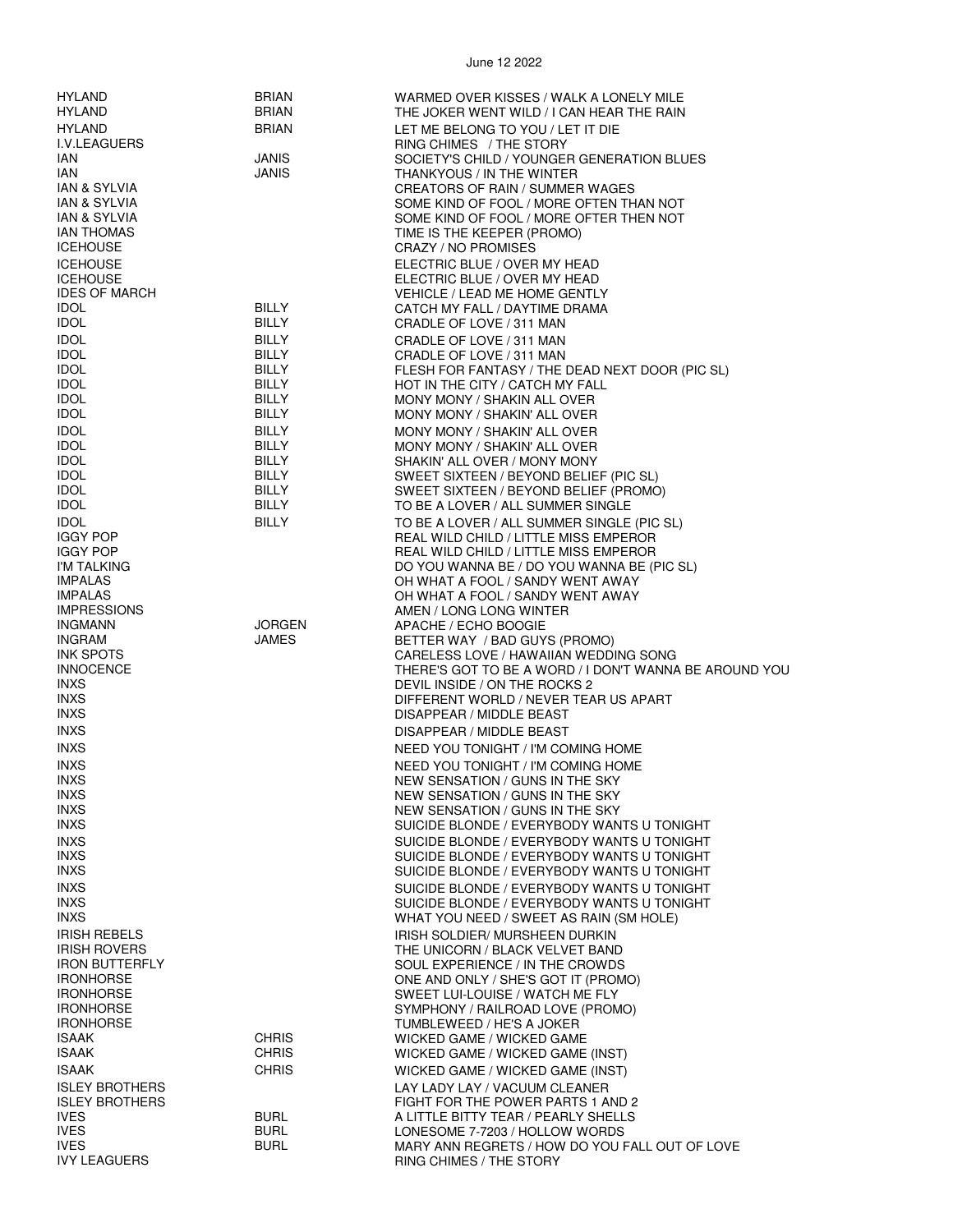| <b>HYLAND</b>              | <b>BRIAN</b>  | WARMED OVER KISSES / WALK A LONELY MILE                |
|----------------------------|---------------|--------------------------------------------------------|
| HYLAND                     | <b>BRIAN</b>  | THE JOKER WENT WILD / I CAN HEAR THE RAIN              |
| HYLAND                     | <b>BRIAN</b>  | LET ME BELONG TO YOU / LET IT DIE                      |
| I.V.LEAGUERS               |               | RING CHIMES / THE STORY                                |
| IAN                        | <b>JANIS</b>  | SOCIETY'S CHILD / YOUNGER GENERATION BLUES             |
| IAN                        | <b>JANIS</b>  | THANKYOUS / IN THE WINTER                              |
| <b>IAN &amp; SYLVIA</b>    |               | <b>CREATORS OF RAIN / SUMMER WAGES</b>                 |
| IAN & SYLVIA               |               | SOME KIND OF FOOL / MORE OFTEN THAN NOT                |
| <b>IAN &amp; SYLVIA</b>    |               | SOME KIND OF FOOL / MORE OFTER THEN NOT                |
| <b>IAN THOMAS</b>          |               | TIME IS THE KEEPER (PROMO)                             |
| <b>ICEHOUSE</b>            |               | CRAZY / NO PROMISES                                    |
| <b>ICEHOUSE</b>            |               | ELECTRIC BLUE / OVER MY HEAD                           |
| <b>ICEHOUSE</b>            |               | ELECTRIC BLUE / OVER MY HEAD                           |
| <b>IDES OF MARCH</b>       |               | <b>VEHICLE / LEAD ME HOME GENTLY</b>                   |
| <b>IDOL</b>                | <b>BILLY</b>  | CATCH MY FALL / DAYTIME DRAMA                          |
| <b>IDOL</b>                | <b>BILLY</b>  | CRADLE OF LOVE / 311 MAN                               |
|                            |               |                                                        |
| <b>IDOL</b>                | BILLY         | CRADLE OF LOVE / 311 MAN                               |
| <b>IDOL</b>                | <b>BILLY</b>  | CRADLE OF LOVE / 311 MAN                               |
| <b>IDOL</b>                | <b>BILLY</b>  | FLESH FOR FANTASY / THE DEAD NEXT DOOR (PIC SL)        |
| <b>IDOL</b>                | <b>BILLY</b>  | HOT IN THE CITY / CATCH MY FALL                        |
| <b>IDOL</b>                | <b>BILLY</b>  | MONY MONY / SHAKIN ALL OVER                            |
| <b>IDOL</b>                | BILLY         | MONY MONY / SHAKIN' ALL OVER                           |
| <b>IDOL</b>                | <b>BILLY</b>  | MONY MONY / SHAKIN' ALL OVER                           |
| <b>IDOL</b>                | <b>BILLY</b>  | MONY MONY / SHAKIN' ALL OVER                           |
| <b>IDOL</b>                | <b>BILLY</b>  | SHAKIN' ALL OVER / MONY MONY                           |
| <b>IDOL</b>                | BILLY         | SWEET SIXTEEN / BEYOND BELIEF (PIC SL)                 |
| <b>IDOL</b>                | <b>BILLY</b>  | SWEET SIXTEEN / BEYOND BELIEF (PROMO)                  |
| <b>IDOL</b>                | <b>BILLY</b>  | TO BE A LOVER / ALL SUMMER SINGLE                      |
| <b>IDOL</b>                | <b>BILLY</b>  | TO BE A LOVER / ALL SUMMER SINGLE (PIC SL)             |
| <b>IGGY POP</b>            |               | REAL WILD CHILD / LITTLE MISS EMPEROR                  |
| <b>IGGY POP</b>            |               | REAL WILD CHILD / LITTLE MISS EMPEROR                  |
| I'M TALKING                |               | DO YOU WANNA BE / DO YOU WANNA BE (PIC SL)             |
| <b>IMPALAS</b>             |               | OH WHAT A FOOL / SANDY WENT AWAY                       |
| <b>IMPALAS</b>             |               | OH WHAT A FOOL / SANDY WENT AWAY                       |
| <b>IMPRESSIONS</b>         |               | AMEN / LONG LONG WINTER                                |
| <b>INGMANN</b>             | <b>JORGEN</b> | APACHE / ECHO BOOGIE                                   |
| <b>INGRAM</b>              | JAMES         | BETTER WAY / BAD GUYS (PROMO)                          |
| <b>INK SPOTS</b>           |               | CARELESS LOVE / HAWAIIAN WEDDING SONG                  |
| <b>INNOCENCE</b>           |               | THERE'S GOT TO BE A WORD / I DON'T WANNA BE AROUND YOU |
| <b>INXS</b>                |               | DEVIL INSIDE / ON THE ROCKS 2                          |
| <b>INXS</b>                |               | DIFFERENT WORLD / NEVER TEAR US APART                  |
| <b>INXS</b>                |               | DISAPPEAR / MIDDLE BEAST                               |
| <b>INXS</b>                |               | DISAPPEAR / MIDDLE BEAST                               |
| <b>INXS</b>                |               | NEED YOU TONIGHT / I'M COMING HOME                     |
| <b>INXS</b>                |               | NEED YOU TONIGHT / I'M COMING HOME                     |
| <b>INXS</b>                |               | NEW SENSATION / GUNS IN THE SKY                        |
| <b>INXS</b>                |               | NEW SENSATION / GUNS IN THE SKY                        |
| <b>INXS</b>                |               | NEW SENSATION / GUNS IN THE SKY                        |
| <b>INXS</b>                |               | SUICIDE BLONDE / EVERYBODY WANTS U TONIGHT             |
| <b>INXS</b>                |               |                                                        |
|                            |               | SUICIDE BLONDE / EVERYBODY WANTS U TONIGHT             |
| <b>INXS</b><br><b>INXS</b> |               | SUICIDE BLONDE / EVERYBODY WANTS U TONIGHT             |
|                            |               | SUICIDE BLONDE / EVERYBODY WANTS U TONIGHT             |
| <b>INXS</b>                |               | SUICIDE BLONDE / EVERYBODY WANTS U TONIGHT             |
| <b>INXS</b>                |               | SUICIDE BLONDE / EVERYBODY WANTS U TONIGHT             |
| <b>INXS</b>                |               | WHAT YOU NEED / SWEET AS RAIN (SM HOLE)                |
| <b>IRISH REBELS</b>        |               | IRISH SOLDIER/ MURSHEEN DURKIN                         |
| <b>IRISH ROVERS</b>        |               | THE UNICORN / BLACK VELVET BAND                        |
| <b>IRON BUTTERFLY</b>      |               | SOUL EXPERIENCE / IN THE CROWDS                        |
| <b>IRONHORSE</b>           |               | ONE AND ONLY / SHE'S GOT IT (PROMO)                    |
| <b>IRONHORSE</b>           |               | SWEET LUI-LOUISE / WATCH ME FLY                        |
| <b>IRONHORSE</b>           |               | SYMPHONY / RAILROAD LOVE (PROMO)                       |
| <b>IRONHORSE</b>           |               | TUMBLEWEED / HE'S A JOKER                              |
| <b>ISAAK</b>               | <b>CHRIS</b>  | WICKED GAME / WICKED GAME                              |
| ISAAK                      | <b>CHRIS</b>  | WICKED GAME / WICKED GAME (INST)                       |
| <b>ISAAK</b>               | <b>CHRIS</b>  | WICKED GAME / WICKED GAME (INST)                       |
| <b>ISLEY BROTHERS</b>      |               | LAY LADY LAY / VACUUM CLEANER                          |
| <b>ISLEY BROTHERS</b>      |               | FIGHT FOR THE POWER PARTS 1 AND 2                      |
| <b>IVES</b>                | <b>BURL</b>   | A LITTLE BITTY TEAR / PEARLY SHELLS                    |
| <b>IVES</b>                | <b>BURL</b>   | LONESOME 7-7203 / HOLLOW WORDS                         |
| <b>IVES</b>                | <b>BURL</b>   | MARY ANN REGRETS / HOW DO YOU FALL OUT OF LOVE         |
| <b>IVY LEAGUERS</b>        |               | RING CHIMES / THE STORY                                |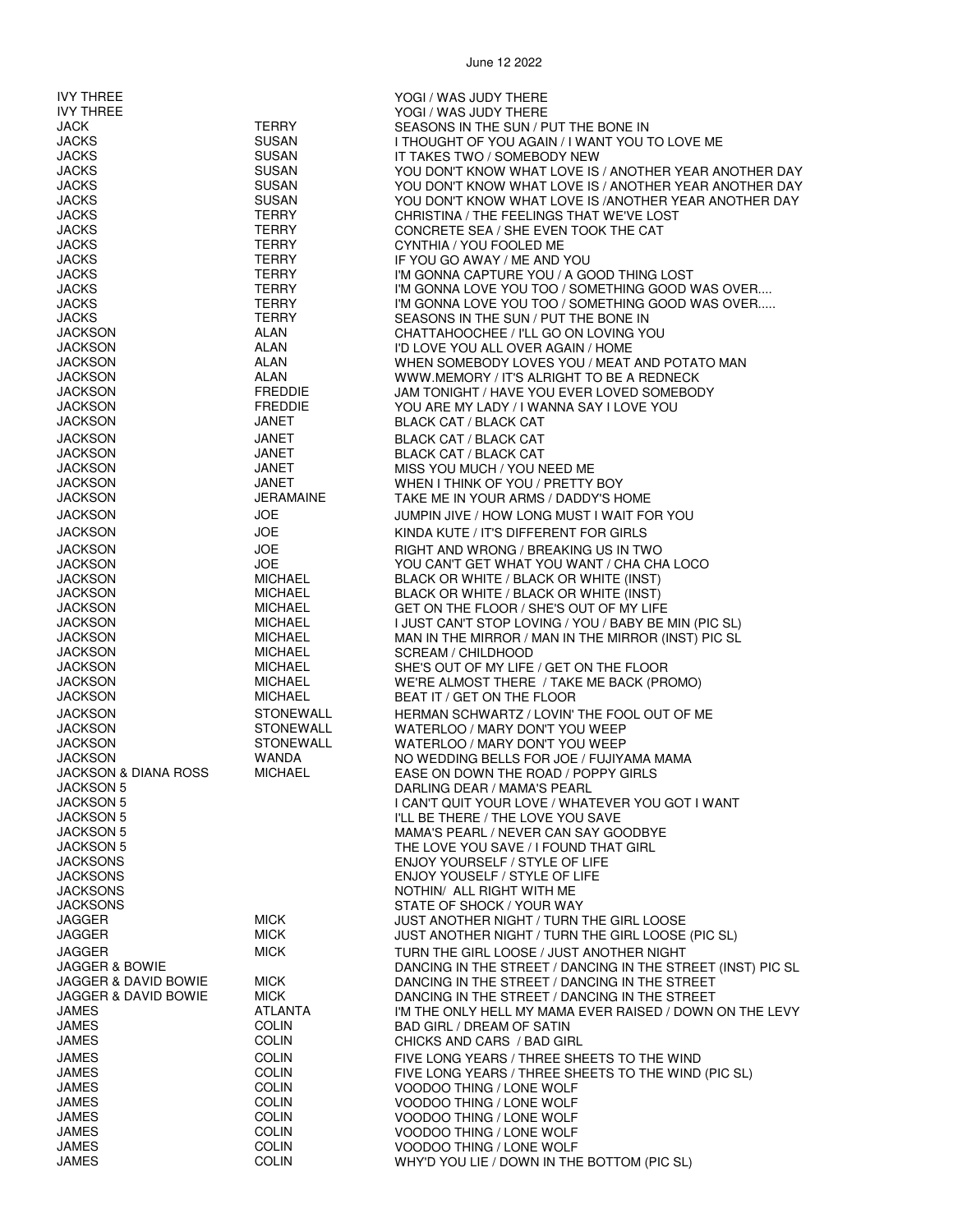June 12 2022 IVY THREE<br>IVY THREE THE YOGI / WAS JUDY THERE<br>YOGI / WAS JUDY THERE IVY THREE THE REAL THANGE THE MANUSIC WAS JUDY THERE IN A THE SUN / P<br>JACK TERRY TERRY SEASONS IN THE SUN / P JACK TERRY SEASONS IN THE SUN / PUT THE BONE IN SUSAN I THOUGHT OF YOU AGAIN / I WANT YOU TO LOVE ME<br>IT TAKES TWO / SOMEBODY NEW JACKS SUSAN IT TAKES TWO / SOMEBODY NEW JACKS SUSAN YOU DON'T KNOW WHAT LOVE IS / ANOTHER YEAR ANOTHER DAY YOU DON'T KNOW WHAT LOVE IS / ANOTHER YEAR ANOTHER DAY JACKS SUSAN YOU DON'T KNOW WHAT LOVE IS /ANOTHER YEAR ANOTHER DAY JACKS TERRY CHRISTINA / THE FEELINGS THAT WE'VE LOST JACKS TERRY CONCRETE SEA / SHE EVEN TOOK THE CAT JACKS TERRY CYNTHIA / YOU FOOLED ME JACKS TERRY IF YOU GO AWAY / ME AND YOU JACKS TERRY I'M GONNA CAPTURE YOU / A GOOD THING LOST JACKS TERRY SEASONS IN THE SUN / PUT THE BONE IN JACKSON ALAN CHATTAHOOCHEE / I'LL GO ON LOVING YOU ALAN I'D LOVE YOU ALL OVER AGAIN / HOME<br>ALAN WHEN SOMEBODY LOVES YOU / MEAT JACKSON ALAN WHEN SOMEBODY LOVES YOU / MEAT AND POTATO MAN JACKSON ALAN WWW.MEMORY / IT'S ALRIGHT TO BE A REDNECK JACKSON FREDDIE JAM TONIGHT / HAVE YOU EVER LOVED SOMEBODY<br>JACKSON FREDDIE YOU ARE MY LADY / LWANNA SAY LLOVE YOU YOU ARE MY LADY / I WANNA SAY I LOVE YOU JACKSON JANET BLACK CAT / BLACK CAT JACKSON JANET BLACK CAT / BLACK CAT

JACKS TERRY I'M GONNA LOVE YOU TOO / SOMETHING GOOD WAS OVER.... I'M GONNA LOVE YOU TOO / SOMETHING GOOD WAS OVER..... JACKSON JANET BLACK CAT / BLACK CAT MISS YOU MUCH / YOU NEED ME JACKSON JANET WHEN I THINK OF YOU / PRETTY BOY TAKE ME IN YOUR ARMS / DADDY'S HOME JACKSON JOE JUMPIN JIVE / HOW LONG MUST I WAIT FOR YOU JACKSON JOE KINDA KUTE / IT'S DIFFERENT FOR GIRLS JACKSON JOE RIGHT AND WRONG / BREAKING US IN TWO JACKSON JOE YOU CAN'T GET WHAT YOU WANT / CHA CHA LOCO JACKSON MICHAEL BLACK OR WHITE / BLACK OR WHITE (INST) JACKSON MICHAEL BLACK OR WHITE / BLACK OR WHITE (INST) JACKSON MICHAEL GET ON THE FLOOR / SHE'S OUT OF MY LIFE JACKSON MICHAEL I JUST CAN'T STOP LOVING / YOU / BABY BE MIN (PIC SL) JACKSON MICHAEL MAN IN THE MIRROR / MAN IN THE MIRROR (INST) PIC SL SCREAM / CHILDHOOD JACKSON MICHAEL SHE'S OUT OF MY LIFE / GET ON THE FLOOR WE'RE ALMOST THERE / TAKE ME BACK (PROMO) JACKSON MICHAEL BEAT IT / GET ON THE FLOOR JACKSON STONEWALL HERMAN SCHWARTZ / LOVIN' THE FOOL OUT OF ME JACKSON STONEWALL WATERLOO / MARY DON'T YOU WEEP WATERLOO / MARY DON'T YOU WEEP JACKSON WANDA NO WEDDING BELLS FOR JOE / FUJIYAMA MAMA JACKSON & DIANA ROSS MICHAEL EASE ON DOWN THE ROAD / POPPY GIRLS JACKSON 5 DARLING DEAR / MAMA'S PEARL JACKSON 5 I CAN'T QUIT YOUR LOVE / WHATEVER YOU GOT I WANT I'LL BE THERE / THE LOVE YOU SAVE JACKSON 5 MAMA'S PEARL / NEVER CAN SAY GOODBYE JACKSON 5 THE LOVE YOU SAVE / I FOUND THAT GIRL JACKSONS ENJOY YOURSELF / STYLE OF LIFE JACKSONS ENJOY YOUSELF / STYLE OF LIFE JACKSONS NOTHIN/ ALL RIGHT WITH ME STATE OF SHOCK / YOUR WAY JAGGER MICK JUST ANOTHER NIGHT / TURN THE GIRL LOOSE JAGGER MICK MICK JUST ANOTHER NIGHT / TURN THE GIRL LOOSE (PIC SL) JAGGER MICK TURN THE GIRL LOOSE / JUST ANOTHER NIGHT JAGGER & BOWIE DANCING IN THE STREET / DANCING IN THE STREET (INST) PIC SL DANCING IN THE STREET / DANCING IN THE STREET JAGGER & DAVID BOWIE MICK DANCING IN THE STREET / DANCING IN THE STREET JAMES ATLANTA I'M THE ONLY HELL MY MAMA EVER RAISED / DOWN ON THE LEVY JAMES COLIN BAD GIRL / DREAM OF SATIN CHICKS AND CARS / BAD GIRL JAMES COLIN FIVE LONG YEARS / THREE SHEETS TO THE WIND JAMES COLIN FIVE LONG YEARS / THREE SHEETS TO THE WIND (PIC SL) JAMES COLIN VOODOO THING / LONE WOLF JAMES COLIN VOODOO THING / LONE WOLF COLIN VOODOO THING / LONE WOLF<br>COLIN VOODOO THING / LONE WOLF JAMES COLIN VOODOO THING / LONE WOLF JAMES COLIN VOODOO THING / LONE WOLF

WHY'D YOU LIE / DOWN IN THE BOTTOM (PIC SL)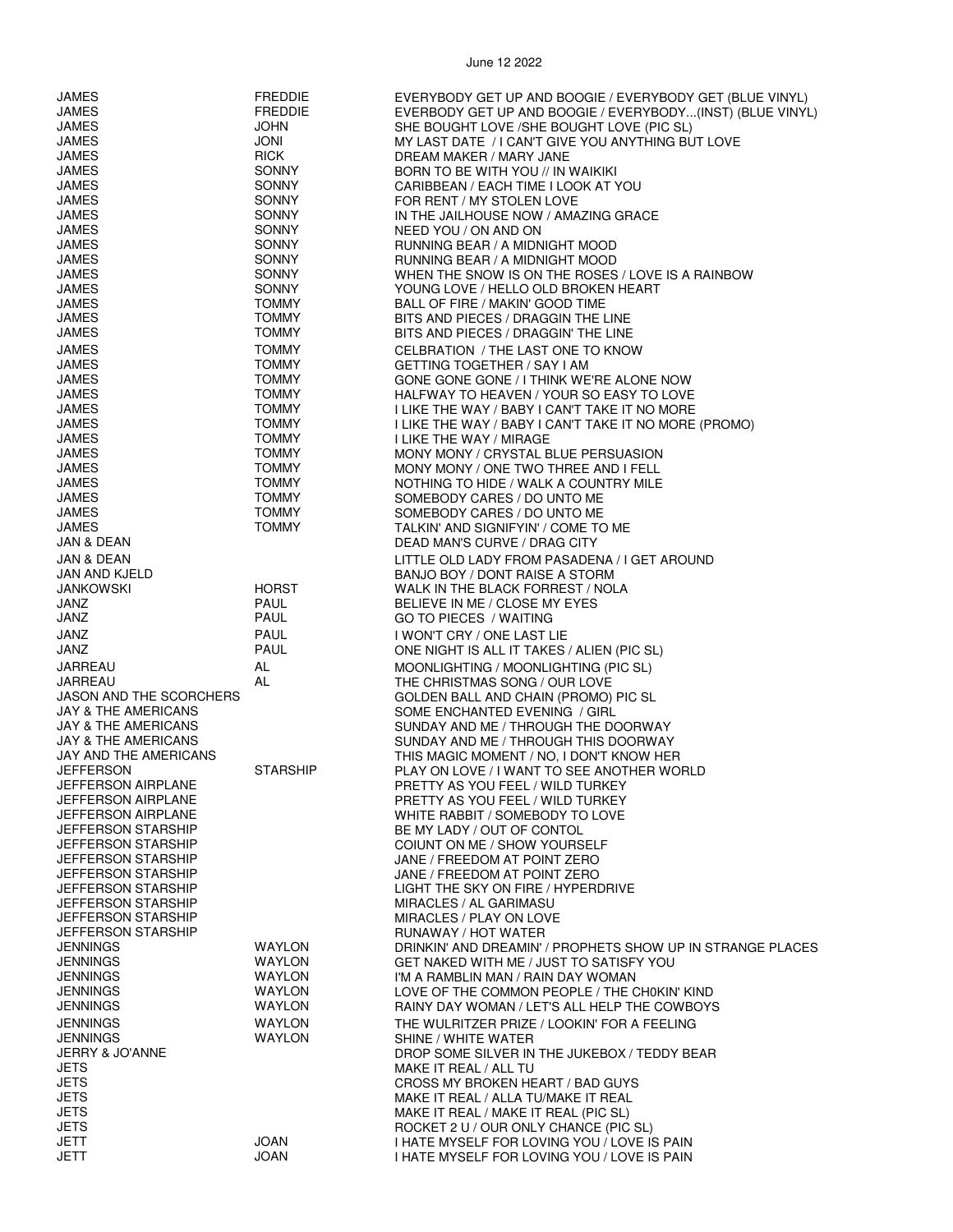| JAMES                                                  | <b>FREDDIE</b>               | EVERYBODY GET UP AND BOOGIE / EVERYBODY GET (BLUE VINYL)                          |
|--------------------------------------------------------|------------------------------|-----------------------------------------------------------------------------------|
| <b>JAMES</b>                                           | <b>FREDDIE</b>               | EVERBODY GET UP AND BOOGIE / EVERYBODY(INST) (BLUE VINYL)                         |
| JAMES                                                  | <b>JOHN</b>                  | SHE BOUGHT LOVE / SHE BOUGHT LOVE (PIC SL)                                        |
| JAMES                                                  | JONI                         | MY LAST DATE / I CAN'T GIVE YOU ANYTHING BUT LOVE                                 |
| <b>JAMES</b>                                           | <b>RICK</b>                  | DREAM MAKER / MARY JANE                                                           |
| <b>JAMES</b>                                           | <b>SONNY</b>                 | BORN TO BE WITH YOU // IN WAIKIKI                                                 |
| <b>JAMES</b><br><b>JAMES</b>                           | <b>SONNY</b><br><b>SONNY</b> | CARIBBEAN / EACH TIME I LOOK AT YOU                                               |
| <b>JAMES</b>                                           | <b>SONNY</b>                 | FOR RENT / MY STOLEN LOVE<br>IN THE JAILHOUSE NOW / AMAZING GRACE                 |
| JAMES                                                  | <b>SONNY</b>                 | NEED YOU / ON AND ON                                                              |
| <b>JAMES</b>                                           | <b>SONNY</b>                 | RUNNING BEAR / A MIDNIGHT MOOD                                                    |
| <b>JAMES</b>                                           | <b>SONNY</b>                 | RUNNING BEAR / A MIDNIGHT MOOD                                                    |
| <b>JAMES</b>                                           | <b>SONNY</b>                 | WHEN THE SNOW IS ON THE ROSES / LOVE IS A RAINBOW                                 |
| <b>JAMES</b>                                           | <b>SONNY</b>                 | YOUNG LOVE / HELLO OLD BROKEN HEART                                               |
| JAMES                                                  | <b>TOMMY</b>                 | BALL OF FIRE / MAKIN' GOOD TIME                                                   |
| JAMES                                                  | <b>TOMMY</b>                 | BITS AND PIECES / DRAGGIN THE LINE                                                |
| <b>JAMES</b>                                           | <b>TOMMY</b>                 | BITS AND PIECES / DRAGGIN' THE LINE                                               |
| JAMES                                                  | <b>TOMMY</b>                 | CELBRATION / THE LAST ONE TO KNOW                                                 |
| JAMES                                                  | <b>TOMMY</b>                 | GETTING TOGETHER / SAY I AM                                                       |
| <b>JAMES</b>                                           | <b>TOMMY</b>                 | GONE GONE GONE / I THINK WE'RE ALONE NOW                                          |
| <b>JAMES</b>                                           | <b>TOMMY</b><br><b>TOMMY</b> | HALFWAY TO HEAVEN / YOUR SO EASY TO LOVE                                          |
| <b>JAMES</b><br><b>JAMES</b>                           | <b>TOMMY</b>                 | I LIKE THE WAY / BABY I CAN'T TAKE IT NO MORE                                     |
| <b>JAMES</b>                                           | <b>TOMMY</b>                 | I LIKE THE WAY / BABY I CAN'T TAKE IT NO MORE (PROMO)<br>I LIKE THE WAY / MIRAGE  |
| JAMES                                                  | <b>TOMMY</b>                 | MONY MONY / CRYSTAL BLUE PERSUASION                                               |
| <b>JAMES</b>                                           | <b>TOMMY</b>                 | MONY MONY / ONE TWO THREE AND I FELL                                              |
| <b>JAMES</b>                                           | <b>TOMMY</b>                 | NOTHING TO HIDE / WALK A COUNTRY MILE                                             |
| JAMES                                                  | <b>TOMMY</b>                 | SOMEBODY CARES / DO UNTO ME                                                       |
| JAMES                                                  | <b>TOMMY</b>                 | SOMEBODY CARES / DO UNTO ME                                                       |
| JAMES                                                  | <b>TOMMY</b>                 | TALKIN' AND SIGNIFYIN' / COME TO ME                                               |
| JAN & DEAN                                             |                              | DEAD MAN'S CURVE / DRAG CITY                                                      |
| JAN & DEAN                                             |                              | LITTLE OLD LADY FROM PASADENA / I GET AROUND                                      |
| JAN AND KJELD                                          |                              | BANJO BOY / DONT RAISE A STORM                                                    |
| <b>JANKOWSKI</b>                                       | <b>HORST</b>                 | WALK IN THE BLACK FORREST / NOLA                                                  |
| JANZ                                                   | PAUL                         | BELIEVE IN ME / CLOSE MY EYES                                                     |
| JANZ                                                   | PAUL                         | GO TO PIECES / WAITING                                                            |
| <b>JANZ</b>                                            | PAUL                         | I WON'T CRY / ONE LAST LIE                                                        |
| JANZ                                                   | <b>PAUL</b>                  | ONE NIGHT IS ALL IT TAKES / ALIEN (PIC SL)                                        |
| JARREAU                                                | AL                           | MOONLIGHTING / MOONLIGHTING (PIC SL)                                              |
| JARREAU                                                | AL                           | THE CHRISTMAS SONG / OUR LOVE                                                     |
| <b>JASON AND THE SCORCHERS</b>                         |                              | GOLDEN BALL AND CHAIN (PROMO) PIC SL                                              |
| <b>JAY &amp; THE AMERICANS</b>                         |                              | SOME ENCHANTED EVENING / GIRL                                                     |
| JAY & THE AMERICANS<br><b>JAY &amp; THE AMERICANS</b>  |                              | SUNDAY AND ME / THROUGH THE DOORWAY<br>SUNDAY AND ME / THROUGH THIS DOORWAY       |
| JAY AND THE AMERICANS                                  |                              | THIS MAGIC MOMENT / NO, I DON'T KNOW HER                                          |
| <b>JEFFERSON</b>                                       | STARSHIP                     | PLAY ON LOVE / I WANT TO SEE ANOTHER WORLD                                        |
| JEFFERSON AIRPLANE                                     |                              | PRETTY AS YOU FEEL / WILD TURKEY                                                  |
| <b>JEFFERSON AIRPLANE</b>                              |                              | PRETTY AS YOU FEEL / WILD TURKEY                                                  |
| <b>JEFFERSON AIRPLANE</b>                              |                              | WHITE RABBIT / SOMEBODY TO LOVE                                                   |
| <b>JEFFERSON STARSHIP</b>                              |                              | BE MY LADY / OUT OF CONTOL                                                        |
| <b>JEFFERSON STARSHIP</b>                              |                              | COIUNT ON ME / SHOW YOURSELF                                                      |
| <b>JEFFERSON STARSHIP</b>                              |                              | JANE / FREEDOM AT POINT ZERO                                                      |
| <b>JEFFERSON STARSHIP</b>                              |                              | JANE / FREEDOM AT POINT ZERO                                                      |
| <b>JEFFERSON STARSHIP</b>                              |                              | LIGHT THE SKY ON FIRE / HYPERDRIVE                                                |
| <b>JEFFERSON STARSHIP</b>                              |                              | MIRACLES / AL GARIMASU                                                            |
| <b>JEFFERSON STARSHIP</b><br><b>JEFFERSON STARSHIP</b> |                              | MIRACLES / PLAY ON LOVE                                                           |
| <b>JENNINGS</b>                                        | <b>WAYLON</b>                | RUNAWAY / HOT WATER<br>DRINKIN' AND DREAMIN' / PROPHETS SHOW UP IN STRANGE PLACES |
| <b>JENNINGS</b>                                        | <b>WAYLON</b>                | GET NAKED WITH ME / JUST TO SATISFY YOU                                           |
| <b>JENNINGS</b>                                        | <b>WAYLON</b>                | I'M A RAMBLIN MAN / RAIN DAY WOMAN                                                |
| <b>JENNINGS</b>                                        | <b>WAYLON</b>                | LOVE OF THE COMMON PEOPLE / THE CH0KIN' KIND                                      |
| <b>JENNINGS</b>                                        | <b>WAYLON</b>                | RAINY DAY WOMAN / LET'S ALL HELP THE COWBOYS                                      |
| <b>JENNINGS</b>                                        | <b>WAYLON</b>                | THE WULRITZER PRIZE / LOOKIN' FOR A FEELING                                       |
| <b>JENNINGS</b>                                        | <b>WAYLON</b>                | SHINE / WHITE WATER                                                               |
| <b>JERRY &amp; JO'ANNE</b>                             |                              | DROP SOME SILVER IN THE JUKEBOX / TEDDY BEAR                                      |
| <b>JETS</b>                                            |                              | MAKE IT REAL / ALL TU                                                             |
| <b>JETS</b>                                            |                              | CROSS MY BROKEN HEART / BAD GUYS                                                  |
| <b>JETS</b>                                            |                              | MAKE IT REAL / ALLA TU/MAKE IT REAL                                               |
| <b>JETS</b>                                            |                              | MAKE IT REAL / MAKE IT REAL (PIC SL)                                              |
| <b>JETS</b>                                            |                              | ROCKET 2 U / OUR ONLY CHANCE (PIC SL)                                             |
| <b>JETT</b><br>JETT                                    | JOAN                         | I HATE MYSELF FOR LOVING YOU / LOVE IS PAIN                                       |
|                                                        | JOAN                         | I HATE MYSELF FOR LOVING YOU / LOVE IS PAIN                                       |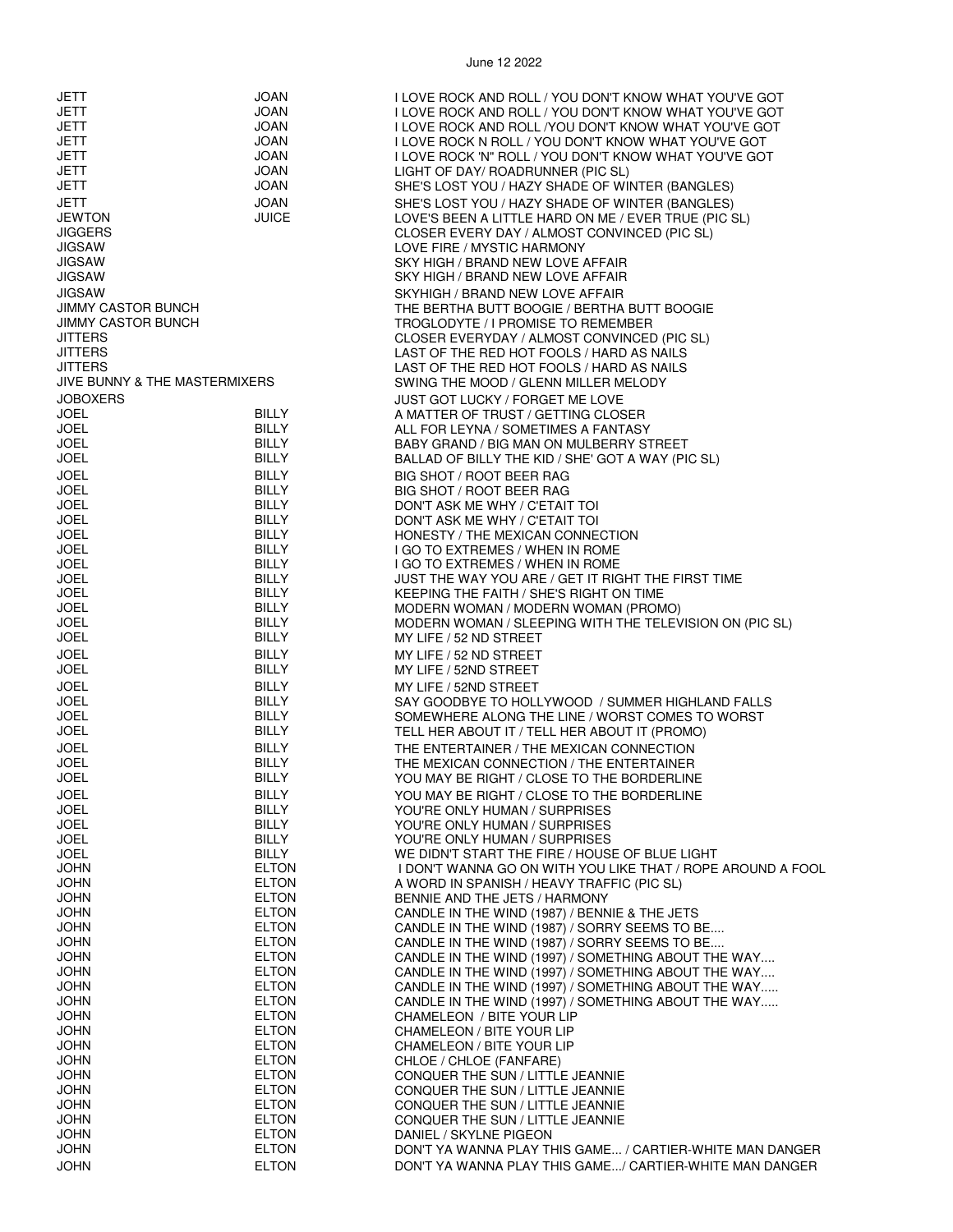| JETT                            | JOAN                         | I LOVE ROCK AND ROLL / YOU DON'T KNOW WHAT YOU'VE GOT                                                      |
|---------------------------------|------------------------------|------------------------------------------------------------------------------------------------------------|
| <b>JETT</b>                     | JOAN                         | I LOVE ROCK AND ROLL / YOU DON'T KNOW WHAT YOU'VE GOT                                                      |
| <b>JETT</b>                     | <b>JOAN</b>                  | I LOVE ROCK AND ROLL / YOU DON'T KNOW WHAT YOU'VE GOT                                                      |
| <b>JETT</b>                     | JOAN                         | I LOVE ROCK N ROLL / YOU DON'T KNOW WHAT YOU'VE GOT                                                        |
| JETT                            | <b>JOAN</b>                  | I LOVE ROCK 'N" ROLL / YOU DON'T KNOW WHAT YOU'VE GOT                                                      |
| <b>JETT</b>                     | JOAN                         | LIGHT OF DAY/ ROADRUNNER (PIC SL)                                                                          |
| JETT                            | <b>JOAN</b>                  | SHE'S LOST YOU / HAZY SHADE OF WINTER (BANGLES)                                                            |
| JETT                            | <b>JOAN</b>                  | SHE'S LOST YOU / HAZY SHADE OF WINTER (BANGLES)                                                            |
| <b>JEWTON</b><br><b>JIGGERS</b> | <b>JUICE</b>                 | LOVE'S BEEN A LITTLE HARD ON ME / EVER TRUE (PIC SL)                                                       |
| <b>JIGSAW</b>                   |                              | CLOSER EVERY DAY / ALMOST CONVINCED (PIC SL)<br>LOVE FIRE / MYSTIC HARMONY                                 |
| <b>JIGSAW</b>                   |                              | SKY HIGH / BRAND NEW LOVE AFFAIR                                                                           |
| <b>JIGSAW</b>                   |                              | SKY HIGH / BRAND NEW LOVE AFFAIR                                                                           |
| <b>JIGSAW</b>                   |                              | SKYHIGH / BRAND NEW LOVE AFFAIR                                                                            |
| <b>JIMMY CASTOR BUNCH</b>       |                              | THE BERTHA BUTT BOOGIE / BERTHA BUTT BOOGIE                                                                |
| <b>JIMMY CASTOR BUNCH</b>       |                              | TROGLODYTE / I PROMISE TO REMEMBER                                                                         |
| <b>JITTERS</b>                  |                              | CLOSER EVERYDAY / ALMOST CONVINCED (PIC SL)                                                                |
| <b>JITTERS</b>                  |                              | LAST OF THE RED HOT FOOLS / HARD AS NAILS                                                                  |
| <b>JITTERS</b>                  |                              | LAST OF THE RED HOT FOOLS / HARD AS NAILS                                                                  |
| JIVE BUNNY & THE MASTERMIXERS   |                              | SWING THE MOOD / GLENN MILLER MELODY                                                                       |
| <b>JOBOXERS</b>                 |                              | JUST GOT LUCKY / FORGET ME LOVE                                                                            |
| JOEL                            | <b>BILLY</b>                 | A MATTER OF TRUST / GETTING CLOSER                                                                         |
| <b>JOEL</b><br><b>JOEL</b>      | BILLY<br><b>BILLY</b>        | ALL FOR LEYNA / SOMETIMES A FANTASY<br>BABY GRAND / BIG MAN ON MULBERRY STREET                             |
| <b>JOEL</b>                     | <b>BILLY</b>                 | BALLAD OF BILLY THE KID / SHE' GOT A WAY (PIC SL)                                                          |
| <b>JOEL</b>                     | BILLY                        | BIG SHOT / ROOT BEER RAG                                                                                   |
| <b>JOEL</b>                     | BILLY                        | BIG SHOT / ROOT BEER RAG                                                                                   |
| <b>JOEL</b>                     | BILLY                        | DON'T ASK ME WHY / C'ETAIT TOI                                                                             |
| <b>JOEL</b>                     | <b>BILLY</b>                 | DON'T ASK ME WHY / C'ETAIT TOI                                                                             |
| JOEL                            | <b>BILLY</b>                 | HONESTY / THE MEXICAN CONNECTION                                                                           |
| <b>JOEL</b>                     | <b>BILLY</b>                 | I GO TO EXTREMES / WHEN IN ROME                                                                            |
| <b>JOEL</b>                     | BILLY                        | I GO TO EXTREMES / WHEN IN ROME                                                                            |
| JOEL                            | BILLY                        | JUST THE WAY YOU ARE / GET IT RIGHT THE FIRST TIME                                                         |
| <b>JOEL</b><br><b>JOEL</b>      | BILLY<br><b>BILLY</b>        | KEEPING THE FAITH / SHE'S RIGHT ON TIME                                                                    |
| <b>JOEL</b>                     | BILLY                        | MODERN WOMAN / MODERN WOMAN (PROMO)<br>MODERN WOMAN / SLEEPING WITH THE TELEVISION ON (PIC SL)             |
| <b>JOEL</b>                     | <b>BILLY</b>                 | MY LIFE / 52 ND STREET                                                                                     |
| <b>JOEL</b>                     | <b>BILLY</b>                 | MY LIFE / 52 ND STREET                                                                                     |
| <b>JOEL</b>                     | <b>BILLY</b>                 | MY LIFE / 52ND STREET                                                                                      |
| <b>JOEL</b>                     | <b>BILLY</b>                 | MY LIFE / 52ND STREET                                                                                      |
| <b>JOEL</b>                     | <b>BILLY</b>                 | SAY GOODBYE TO HOLLYWOOD / SUMMER HIGHLAND FALLS                                                           |
| <b>JOEL</b>                     | <b>BILLY</b>                 | SOMEWHERE ALONG THE LINE / WORST COMES TO WORST                                                            |
| <b>JOEL</b>                     | <b>BILLY</b>                 | TELL HER ABOUT IT / TELL HER ABOUT IT (PROMO)                                                              |
| <b>JOEL</b>                     | <b>BILLY</b>                 | THE ENTERTAINER / THE MEXICAN CONNECTION                                                                   |
| JOEL                            | <b>BILLY</b>                 | THE MEXICAN CONNECTION / THE ENTERTAINER                                                                   |
| <b>JOEL</b>                     | <b>BILLY</b>                 | YOU MAY BE RIGHT / CLOSE TO THE BORDERLINE                                                                 |
| <b>JOEL</b>                     | <b>BILLY</b>                 | YOU MAY BE RIGHT / CLOSE TO THE BORDERLINE                                                                 |
| <b>JOEL</b>                     | <b>BILLY</b>                 | YOU'RE ONLY HUMAN / SURPRISES                                                                              |
| <b>JOEL</b>                     | <b>BILLY</b>                 | YOU'RE ONLY HUMAN / SURPRISES                                                                              |
| <b>JOEL</b><br><b>JOEL</b>      | <b>BILLY</b><br><b>BILLY</b> | YOU'RE ONLY HUMAN / SURPRISES<br>WE DIDN'T START THE FIRE / HOUSE OF BLUE LIGHT                            |
| <b>JOHN</b>                     | <b>ELTON</b>                 | I DON'T WANNA GO ON WITH YOU LIKE THAT / ROPE AROUND A FOOL                                                |
| <b>JOHN</b>                     | <b>ELTON</b>                 | A WORD IN SPANISH / HEAVY TRAFFIC (PIC SL)                                                                 |
| <b>JOHN</b>                     | <b>ELTON</b>                 | BENNIE AND THE JETS / HARMONY                                                                              |
| <b>JOHN</b>                     | <b>ELTON</b>                 | CANDLE IN THE WIND (1987) / BENNIE & THE JETS                                                              |
| <b>JOHN</b>                     | <b>ELTON</b>                 | CANDLE IN THE WIND (1987) / SORRY SEEMS TO BE                                                              |
| <b>JOHN</b>                     | <b>ELTON</b>                 | CANDLE IN THE WIND (1987) / SORRY SEEMS TO BE                                                              |
| <b>JOHN</b>                     | <b>ELTON</b>                 | CANDLE IN THE WIND (1997) / SOMETHING ABOUT THE WAY                                                        |
| <b>JOHN</b>                     | <b>ELTON</b>                 | CANDLE IN THE WIND (1997) / SOMETHING ABOUT THE WAY                                                        |
| <b>JOHN</b><br><b>JOHN</b>      | <b>ELTON</b><br><b>ELTON</b> | CANDLE IN THE WIND (1997) / SOMETHING ABOUT THE WAY<br>CANDLE IN THE WIND (1997) / SOMETHING ABOUT THE WAY |
| <b>JOHN</b>                     | <b>ELTON</b>                 | CHAMELEON / BITE YOUR LIP                                                                                  |
| <b>JOHN</b>                     | <b>ELTON</b>                 | CHAMELEON / BITE YOUR LIP                                                                                  |
| <b>JOHN</b>                     | <b>ELTON</b>                 | CHAMELEON / BITE YOUR LIP                                                                                  |
| <b>JOHN</b>                     | <b>ELTON</b>                 | CHLOE / CHLOE (FANFARE)                                                                                    |
| <b>JOHN</b>                     | <b>ELTON</b>                 | CONQUER THE SUN / LITTLE JEANNIE                                                                           |
| <b>JOHN</b>                     | <b>ELTON</b>                 | CONQUER THE SUN / LITTLE JEANNIE                                                                           |
| <b>JOHN</b>                     | <b>ELTON</b>                 | CONQUER THE SUN / LITTLE JEANNIE                                                                           |
| <b>JOHN</b>                     | <b>ELTON</b>                 | CONQUER THE SUN / LITTLE JEANNIE                                                                           |
| <b>JOHN</b><br><b>JOHN</b>      | <b>ELTON</b><br><b>ELTON</b> | DANIEL / SKYLNE PIGEON<br>DON'T YA WANNA PLAY THIS GAME / CARTIER-WHITE MAN DANGER                         |
| <b>JOHN</b>                     | <b>ELTON</b>                 | DON'T YA WANNA PLAY THIS GAME/ CARTIER-WHITE MAN DANGER                                                    |
|                                 |                              |                                                                                                            |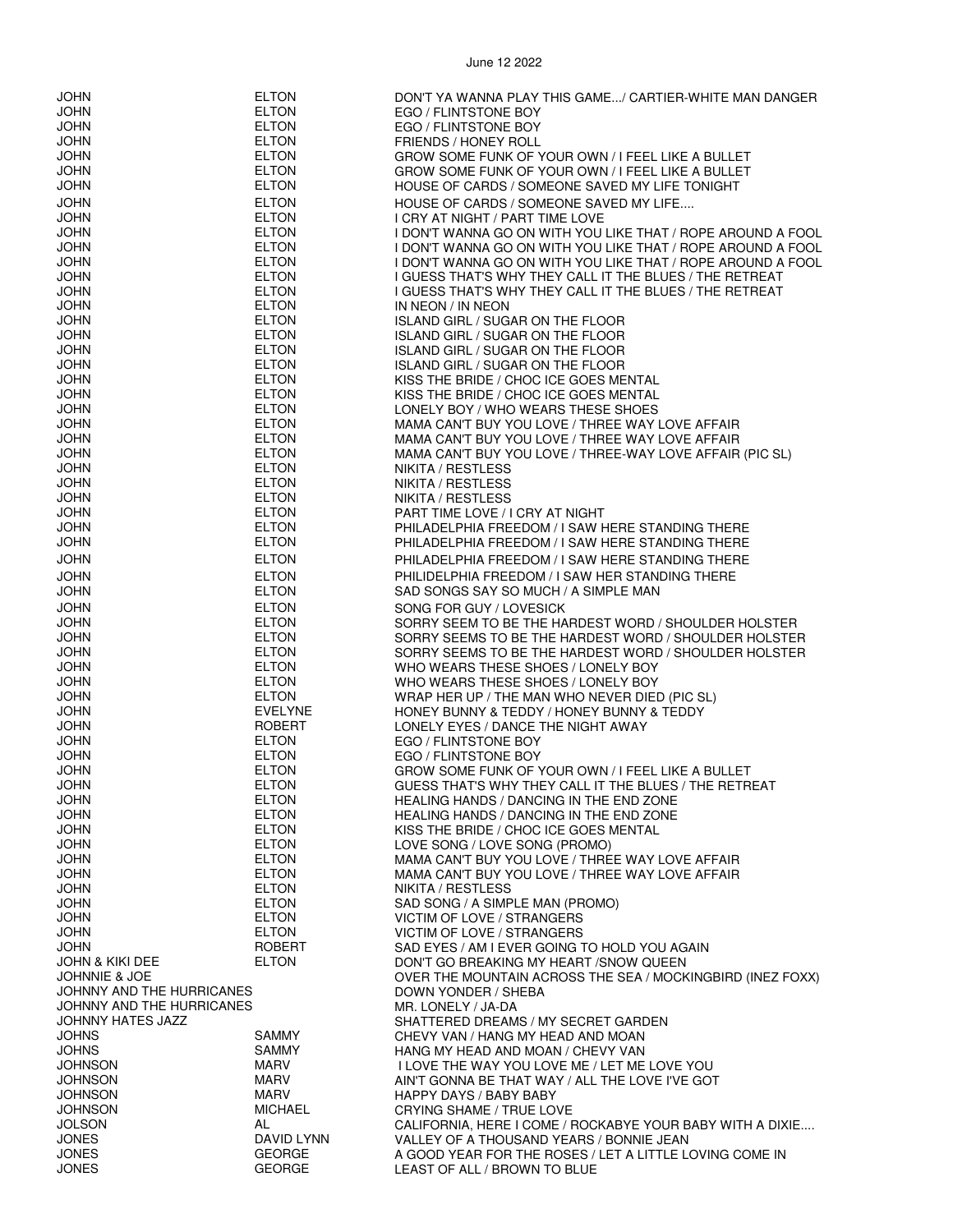JOHN ELTON DON'T YA WANNA PLAY THIS GAME.../ CARTIER-WHITE MAN DANGER JOHN ELTON EGO / FLINTSTONE BOY JOHN ELTON EGO / FLINTSTONE BOY FRIENDS / HONEY ROLL JOHN ELTON GROW SOME FUNK OF YOUR OWN / I FEEL LIKE A BULLET JOHN ELTON GROW SOME FUNK OF YOUR OWN / I FEEL LIKE A BULLET HOUSE OF CARDS / SOMEONE SAVED MY LIFE TONIGHT JOHN ELTON HOUSE OF CARDS / SOMEONE SAVED MY LIFE.... JOHN ELTON I CRY AT NIGHT / PART TIME LOVE JOHN ELTON I DON'T WANNA GO ON WITH YOU LIKE THAT / ROPE AROUND A FOOL I DON'T WANNA GO ON WITH YOU LIKE THAT / ROPE AROUND A FOOL JOHN ELTON I DON'T WANNA GO ON WITH YOU LIKE THAT / ROPE AROUND A FOOL JOHN ELTON I GUESS THAT'S WHY THEY CALL IT THE BLUES / THE RETREAT JOHN ELTON I GUESS THAT'S WHY THEY CALL IT THE BLUES / THE RETREAT JOHN ELTON IN NEON / IN NEON **ISLAND GIRL / SUGAR ON THE FLOOR** JOHN ELTON ISLAND GIRL / SUGAR ON THE FLOOR ISLAND GIRL / SUGAR ON THE FLOOR JOHN ELTON ISLAND GIRL / SUGAR ON THE FLOOR JOHN ELTON KISS THE BRIDE / CHOC ICE GOES MENTAL KISS THE BRIDE / CHOC ICE GOES MENTAL JOHN ELTON LONELY BOY / WHO WEARS THESE SHOES JOHN ELTON MAMA CAN'T BUY YOU LOVE / THREE WAY LOVE AFFAIR JOHN ELTON MAMA CAN'T BUY YOU LOVE / THREE WAY LOVE AFFAIR JOHN ELTON MAMA CAN'T BUY YOU LOVE / THREE-WAY LOVE AFFAIR (PIC SL) JOHN ELTON NIKITA / RESTLESS JOHN ELTON NIKITA / RESTLESS JOHN ELTON NIKITA / RESTLESS PART TIME LOVE / I CRY AT NIGHT JOHN ELTON PHILADELPHIA FREEDOM / I SAW HERE STANDING THERE PHILADELPHIA FREEDOM / I SAW HERE STANDING THERE JOHN ELTON PHILADELPHIA FREEDOM / I SAW HERE STANDING THERE JOHN ELTON PHILIDELPHIA FREEDOM / I SAW HER STANDING THERE SAD SONGS SAY SO MUCH / A SIMPLE MAN JOHN ELTON SONG FOR GUY / LOVESICK JOHN ELTON SORRY SEEM TO BE THE HARDEST WORD / SHOULDER HOLSTER JOHN ELTON SORRY SEEMS TO BE THE HARDEST WORD / SHOULDER HOLSTER JOHN ELTON SORRY SEEMS TO BE THE HARDEST WORD / SHOULDER HOLSTER JOHN ELTON WHO WEARS THESE SHOES / LONELY BOY JOHN ELTON WHO WEARS THESE SHOES / LONELY BOY JOHN ELTON WRAP HER UP / THE MAN WHO NEVER DIED (PIC SL) JOHN EVELYNE HONEY BUNNY & TEDDY / HONEY BUNNY & TEDDY JOHN ROBERT LONELY EYES / DANCE THE NIGHT AWAY EGO / FLINTSTONE BOY JOHN ELTON EGO / FLINTSTONE BOY JOHN ELTON GROW SOME FUNK OF YOUR OWN / I FEEL LIKE A BULLET GUESS THAT'S WHY THEY CALL IT THE BLUES / THE RETREAT JOHN ELTON HEALING HANDS / DANCING IN THE END ZONE JOHN ELTON HEALING HANDS / DANCING IN THE END ZONE JOHN ELTON KISS THE BRIDE / CHOC ICE GOES MENTAL JOHN ELTON LOVE SONG / LOVE SONG (PROMO) MAMA CAN'T BUY YOU LOVE / THREE WAY LOVE AFFAIR JOHN ELTON MAMA CAN'T BUY YOU LOVE / THREE WAY LOVE AFFAIR JOHN ELTON NIKITA / RESTLESS SAD SONG / A SIMPLE MAN (PROMO) JOHN ELTON VICTIM OF LOVE / STRANGERS JOHN ELTON VICTIM OF LOVE / STRANGERS JOHN ROBERT SAD EYES / AM I EVER GOING TO HOLD YOU AGAIN SAD EYES / AM I EVER GOING TO HOLD YOU AGAIN<br>JOHN & KIKI DEE TON FLITON DON'T GO BREAKING MY HEART /SNOW OUFFN JOHN & KIKI DEE ELTON DON'T GO BREAKING MY HEART /SNOW QUEEN OVER THE MOUNTAIN ACROSS THE SEA / MOCKINGBIRD (INEZ FOXX)<br>DOWN YONDER / SHEBA JOHNNY AND THE HURRICANES JOHNNY AND THE HURRICANES MR. LONELY / JA-DA JOHNNY HATES JAZZ SHATTERED DREAMS / MY SECRET GARDEN JOHNS SAMMY CHEVY VAN / HANG MY HEAD AND MOAN JOHNS SAMMY HANG MY HEAD AND MOAN / CHEVY VAN I LOVE THE WAY YOU LOVE ME / LET ME LOVE YOU JOHNSON MARV MARV AIN'T GONNA BE THAT WAY / ALL THE LOVE I'VE GOT<br>JOHNSON MARV MARV HAPPY DAYS / BABY BABY JOHNSON MARV HAPPY DAYS / BABY BABY **CRYING SHAME / TRUE LOVE** JOLSON AL CALIFORNIA, HERE I COME / ROCKABYE YOUR BABY WITH A DIXIE.... JONES DAVID LYNN VALLEY OF A THOUSAND YEARS / BONNIE JEAN GEORGE A GOOD YEAR FOR THE ROSES / LET A LITTLE LOVING COME IN GEORGE IT A LITTLE AND THE ROSES OF ALL (RECONNECTED BY LIF

JONES GEORGE LEAST OF ALL / BROWN TO BLUE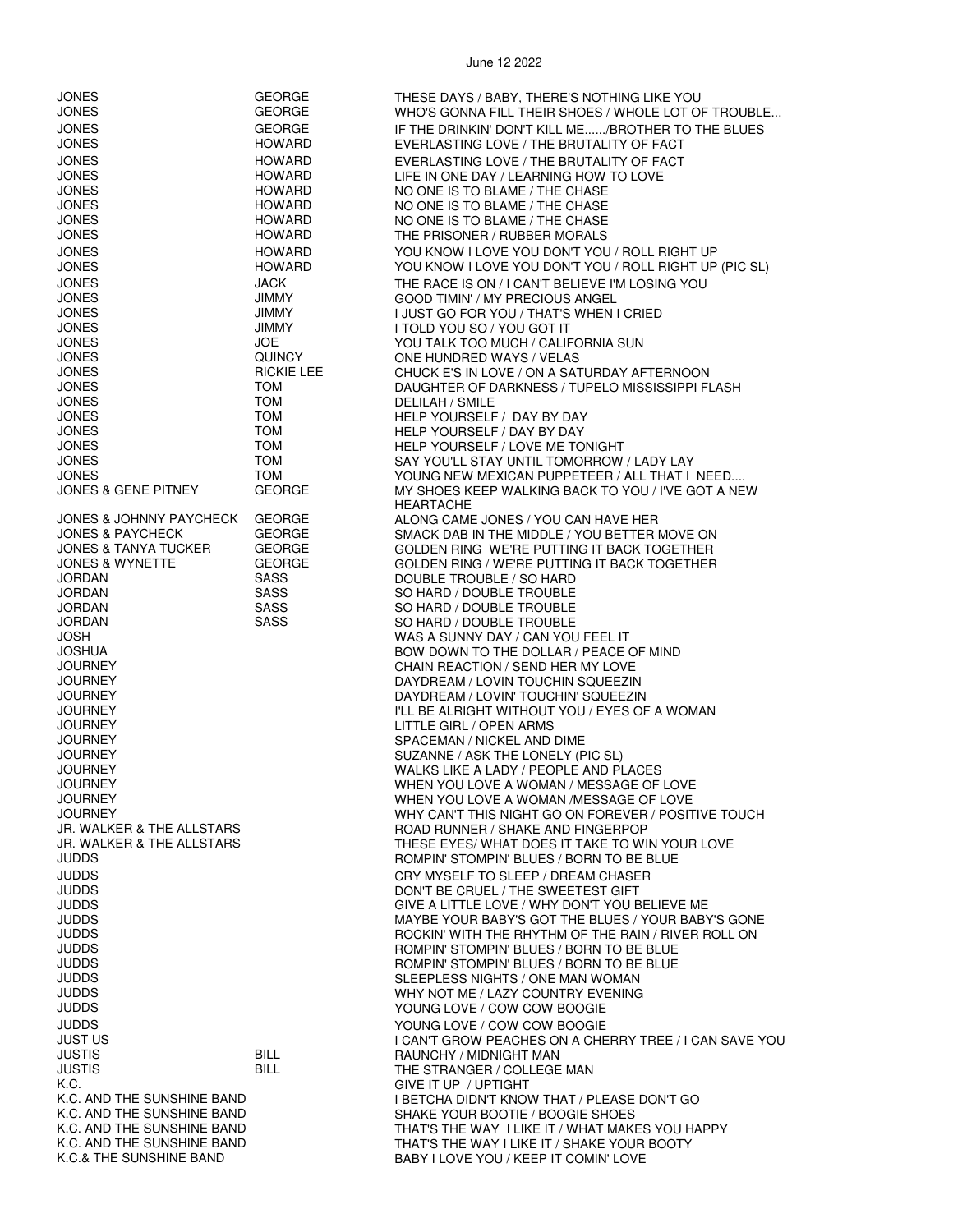| JONES<br><b>JONES</b>                                          | <b>GEORGE</b><br><b>GEORGE</b> | THESE DAYS / BABY, THERE'S NOTHING LIKE YOU<br>WHO'S GONNA FILL THEIR SHOES / WHOLE LOT OF TROUBLE |
|----------------------------------------------------------------|--------------------------------|----------------------------------------------------------------------------------------------------|
| <b>JONES</b>                                                   | <b>GEORGE</b>                  | IF THE DRINKIN' DON'T KILL ME/BROTHER TO THE BLUES                                                 |
| <b>JONES</b>                                                   | <b>HOWARD</b>                  | EVERLASTING LOVE / THE BRUTALITY OF FACT                                                           |
| <b>JONES</b>                                                   | <b>HOWARD</b>                  | EVERLASTING LOVE / THE BRUTALITY OF FACT                                                           |
| JONES                                                          | <b>HOWARD</b>                  | LIFE IN ONE DAY / LEARNING HOW TO LOVE                                                             |
| <b>JONES</b>                                                   | HOWARD                         | NO ONE IS TO BLAME / THE CHASE                                                                     |
| <b>JONES</b><br><b>JONES</b>                                   | <b>HOWARD</b><br>HOWARD        | NO ONE IS TO BLAME / THE CHASE<br>NO ONE IS TO BLAME / THE CHASE                                   |
| JONES                                                          | HOWARD                         | THE PRISONER / RUBBER MORALS                                                                       |
| JONES                                                          | <b>HOWARD</b>                  | YOU KNOW I LOVE YOU DON'T YOU / ROLL RIGHT UP                                                      |
| <b>JONES</b>                                                   | <b>HOWARD</b>                  | YOU KNOW I LOVE YOU DON'T YOU / ROLL RIGHT UP (PIC SL)                                             |
| <b>JONES</b>                                                   | JACK                           | THE RACE IS ON / I CAN'T BELIEVE I'M LOSING YOU                                                    |
| <b>JONES</b><br><b>JONES</b>                                   | <b>JIMMY</b>                   | <b>GOOD TIMIN' / MY PRECIOUS ANGEL</b>                                                             |
| <b>JONES</b>                                                   | <b>JIMMY</b><br><b>JIMMY</b>   | I JUST GO FOR YOU / THAT'S WHEN I CRIED<br>I TOLD YOU SO / YOU GOT IT                              |
| <b>JONES</b>                                                   | <b>JOE</b>                     | YOU TALK TOO MUCH / CALIFORNIA SUN                                                                 |
| <b>JONES</b>                                                   | <b>QUINCY</b>                  | ONE HUNDRED WAYS / VELAS                                                                           |
| JONES                                                          | <b>RICKIE LEE</b>              | CHUCK E'S IN LOVE / ON A SATURDAY AFTERNOON                                                        |
| <b>JONES</b><br><b>JONES</b>                                   | <b>TOM</b><br><b>TOM</b>       | DAUGHTER OF DARKNESS / TUPELO MISSISSIPPI FLASH<br>DELILAH / SMILE                                 |
| JONES                                                          | <b>TOM</b>                     | HELP YOURSELF / DAY BY DAY                                                                         |
| <b>JONES</b>                                                   | <b>TOM</b>                     | HELP YOURSELF / DAY BY DAY                                                                         |
| <b>JONES</b>                                                   | <b>TOM</b>                     | HELP YOURSELF / LOVE ME TONIGHT                                                                    |
| <b>JONES</b><br>JONES                                          | <b>TOM</b><br><b>TOM</b>       | SAY YOU'LL STAY UNTIL TOMORROW / LADY LAY<br>YOUNG NEW MEXICAN PUPPETEER / ALL THAT I NEED         |
| JONES & GENE PITNEY                                            | <b>GEORGE</b>                  | MY SHOES KEEP WALKING BACK TO YOU / I'VE GOT A NEW                                                 |
|                                                                |                                | <b>HEARTACHE</b>                                                                                   |
| <b>JONES &amp; JOHNNY PAYCHECK</b>                             | <b>GEORGE</b>                  | ALONG CAME JONES / YOU CAN HAVE HER                                                                |
| <b>JONES &amp; PAYCHECK</b><br><b>JONES &amp; TANYA TUCKER</b> | <b>GEORGE</b><br><b>GEORGE</b> | SMACK DAB IN THE MIDDLE / YOU BETTER MOVE ON                                                       |
| <b>JONES &amp; WYNETTE</b>                                     | <b>GEORGE</b>                  | GOLDEN RING WE'RE PUTTING IT BACK TOGETHER<br>GOLDEN RING / WE'RE PUTTING IT BACK TOGETHER         |
| JORDAN                                                         | SASS                           | DOUBLE TROUBLE / SO HARD                                                                           |
| JORDAN                                                         | <b>SASS</b>                    | SO HARD / DOUBLE TROUBLE                                                                           |
| <b>JORDAN</b>                                                  | <b>SASS</b>                    | SO HARD / DOUBLE TROUBLE                                                                           |
| <b>JORDAN</b><br>JOSH                                          | SASS                           | SO HARD / DOUBLE TROUBLE<br>WAS A SUNNY DAY / CAN YOU FEEL IT                                      |
| JOSHUA                                                         |                                | BOW DOWN TO THE DOLLAR / PEACE OF MIND                                                             |
| JOURNEY                                                        |                                | CHAIN REACTION / SEND HER MY LOVE                                                                  |
| JOURNEY                                                        |                                | DAYDREAM / LOVIN TOUCHIN SQUEEZIN                                                                  |
| JOURNEY                                                        |                                | DAYDREAM / LOVIN' TOUCHIN' SQUEEZIN                                                                |
| <b>JOURNEY</b><br>JOURNEY                                      |                                | I'LL BE ALRIGHT WITHOUT YOU / EYES OF A WOMAN<br>LITTLE GIRL / OPEN ARMS                           |
| JOURNEY                                                        |                                | SPACEMAN / NICKEL AND DIME                                                                         |
| JOURNEY                                                        |                                | SUZANNE / ASK THE LONELY (PIC SL)                                                                  |
| JOURNEY                                                        |                                | WALKS LIKE A LADY / PEOPLE AND PLACES                                                              |
| JOURNEY<br><b>JOURNEY</b>                                      |                                | WHEN YOU LOVE A WOMAN / MESSAGE OF LOVE<br>WHEN YOU LOVE A WOMAN /MESSAGE OF LOVE                  |
| <b>JOURNEY</b>                                                 |                                | WHY CAN'T THIS NIGHT GO ON FOREVER / POSITIVE TOUCH                                                |
| JR. WALKER & THE ALLSTARS                                      |                                | ROAD RUNNER / SHAKE AND FINGERPOP                                                                  |
| JR. WALKER & THE ALLSTARS                                      |                                | THESE EYES/ WHAT DOES IT TAKE TO WIN YOUR LOVE                                                     |
| <b>JUDDS</b>                                                   |                                | ROMPIN' STOMPIN' BLUES / BORN TO BE BLUE                                                           |
| <b>JUDDS</b><br><b>JUDDS</b>                                   |                                | CRY MYSELF TO SLEEP / DREAM CHASER<br>DON'T BE CRUEL / THE SWEETEST GIFT                           |
| <b>JUDDS</b>                                                   |                                | GIVE A LITTLE LOVE / WHY DON'T YOU BELIEVE ME                                                      |
| JUDDS                                                          |                                | MAYBE YOUR BABY'S GOT THE BLUES / YOUR BABY'S GONE                                                 |
| <b>JUDDS</b>                                                   |                                | ROCKIN' WITH THE RHYTHM OF THE RAIN / RIVER ROLL ON                                                |
| JUDDS                                                          |                                | ROMPIN' STOMPIN' BLUES / BORN TO BE BLUE                                                           |
| JUDDS<br>JUDDS                                                 |                                | ROMPIN' STOMPIN' BLUES / BORN TO BE BLUE<br>SLEEPLESS NIGHTS / ONE MAN WOMAN                       |
| JUDDS                                                          |                                | WHY NOT ME / LAZY COUNTRY EVENING                                                                  |
| <b>JUDDS</b>                                                   |                                | YOUNG LOVE / COW COW BOOGIE                                                                        |
| <b>JUDDS</b>                                                   |                                | YOUNG LOVE / COW COW BOOGIE                                                                        |
| <b>JUST US</b>                                                 |                                | <b>I CAN'T GROW PEACHES ON A CHERRY TREE / I CAN SAVE YOU</b>                                      |
| JUSTIS<br><b>JUSTIS</b>                                        | <b>BILL</b><br><b>BILL</b>     | RAUNCHY / MIDNIGHT MAN<br>THE STRANGER / COLLEGE MAN                                               |
| K.C.                                                           |                                | GIVE IT UP / UPTIGHT                                                                               |
| K.C. AND THE SUNSHINE BAND                                     |                                | I BETCHA DIDN'T KNOW THAT / PLEASE DON'T GO                                                        |
| K.C. AND THE SUNSHINE BAND                                     |                                | SHAKE YOUR BOOTIE / BOOGIE SHOES                                                                   |
| K.C. AND THE SUNSHINE BAND<br>K.C. AND THE SUNSHINE BAND       |                                | THAT'S THE WAY I LIKE IT / WHAT MAKES YOU HAPPY<br>THAT'S THE WAY I LIKE IT / SHAKE YOUR BOOTY     |
| K.C.& THE SUNSHINE BAND                                        |                                | BABY I LOVE YOU / KEEP IT COMIN' LOVE                                                              |
|                                                                |                                |                                                                                                    |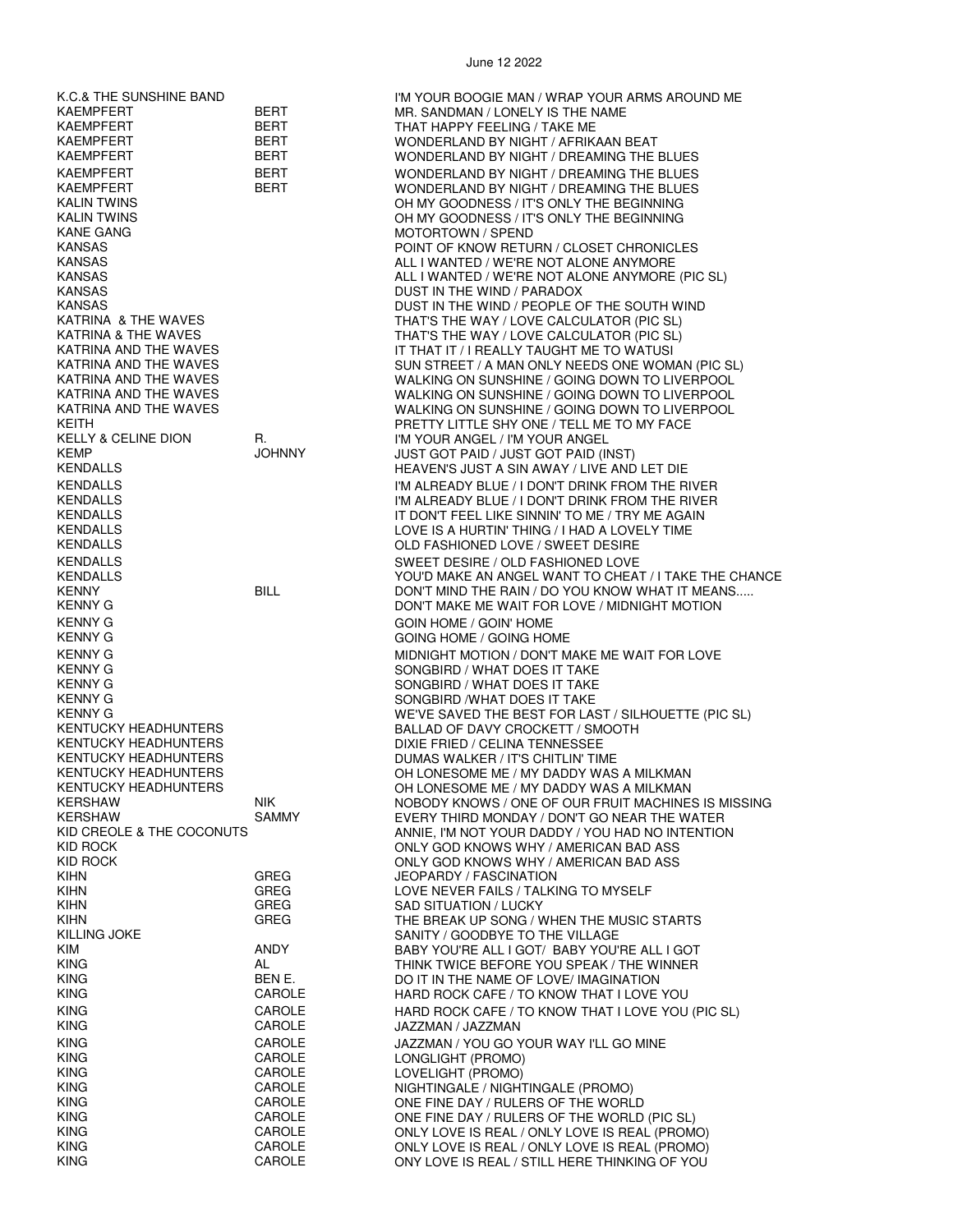KAEMPFERT BERT MR. SANDMAN / LONELY IS THE NAME KAEMPFERT BERT THAT HAPPY FEELING / TAKE ME KANE GANG MOTORTOWN / SPEND KANSAS DUST IN THE WIND / PARADOX KELLY & CELINE DION R. A CHANGEL I'M YOUR ANGEL / I'M YOUR ANGEL<br>II ST GOT PAID / IIIST GOT PAID / IIIST GOT PAID / IIIST GOT PAID / III KENNY G GOIN HOME / GOIN' HOME KENNY G SONGBIRD / WHAT DOES IT TAKE KENTUCKY HEADHUNTERS DUMAS WALKER / IT'S CHITLIN' TIME KIHN GREG JEOPARDY / FASCINATION KILLING JOKE SANITY / GOODBYE TO THE VILLAGE KING CAROLE LONGLIGHT (PROMO) KING CAROLE LOVELIGHT (PROMO)

K.C.& THE SUNSHINE BAND I'M YOUR BOOGIE MAN / WRAP YOUR ARMS AROUND ME WONDERLAND BY NIGHT / AFRIKAAN BEAT KAEMPFERT BERT BERT WONDERLAND BY NIGHT / DREAMING THE BLUES KAEMPFERT BERT WONDERLAND BY NIGHT / DREAMING THE BLUES KAEMPFERT BERT WONDERLAND BY NIGHT / DREAMING THE BLUES KALIN TWINS<br>KALIN TWINS CONNECT FOR THE REGINNING<br>CHEMY GOODNESS / IT'S ONLY THE BEGINNING OH MY GOODNESS / IT'S ONLY THE BEGINNING POINT OF KNOW RETURN / CLOSET CHRONICLES KANSAS ALL I WANTED / WE'RE NOT ALONE ANYMORE KANSAS ALL I WANTED / WE'RE NOT ALONE ANYMORE (PIC SL) KANSAS DUST IN THE WIND / PEOPLE OF THE SOUTH WIND THAT'S THE WAY / LOVE CALCULATOR (PIC SL) KATRINA & THE WAVES THAT'S THE WAY / LOVE CALCULATOR (PIC SL) IT THAT IT / I REALLY TAUGHT ME TO WATUSI KATRINA AND THE WAVES SUN SUN STREET / A MAN ONLY NEEDS ONE WOMAN (PIC SL) KATRINA AND THE WAVES WALKING ON SUNSHINE / GOING DOWN TO LIVERPOOL WALKING ON SUNSHINE / GOING DOWN TO LIVERPOOL KATRINA AND THE WAVES WALKING ON SUNSHINE / GOING DOWN TO LIVERPOOL KEITH<br>KELLY & CELINE DION R. THE RETTY LITTLE SHY ONE / TELL ME TO MY FACE<br>I'M YOUR ANGEL / I'M YOUR ANGEL / I'M YOUR ANGEL KEMP JOHNNY JUST GOT PAID / JUST GOT PAID (INST) HEAVEN'S JUST A SIN AWAY / LIVE AND LET DIE KENDALLS I'M ALREADY BLUE / I DON'T DRINK FROM THE RIVER KENDALLS I'M ALREADY BLUE / I DON'T DRINK FROM THE RIVER KENDALLS IT DON'T FEEL LIKE SINNIN' TO ME / TRY ME AGAIN LOVE IS A HURTIN' THING / I HAD A LOVELY TIME KENDALLS OLD FASHIONED LOVE / SWEET DESIRE KENDALLS SWEET DESIRE / OLD FASHIONED LOVE KENDALLS<br>KENNY KENNY BILL BILL DON'T MIND THE RAIN / DO YOU KNOW WHAT IT MEANS..... KENNY GEODY THE RAIN / DON'T MIND THE RAIN / DO YOU KNOW WHAT IT MEANS.....<br>RENNY GEORGE AND THE RAIN TO DON'T MAKE ME WAIT FOR LOVE / MIDNIGHT MOTION DON'T MAKE ME WAIT FOR LOVE / MIDNIGHT MOTION GOING HOME / GOING HOME KENNY G MIDNIGHT MOTION / DON'T MAKE ME WAIT FOR LOVE SONGBIRD / WHAT DOES IT TAKE SONGBIRD / WHAT DOES IT TAKE KENNY G<br>KENTUCKY HEADHUNTERS FOR LAST / SILLAD OF DAVY CROCKETT / SMOOTH<br>BALLAD OF DAVY CROCKETT / SMOOTH KENTUCKY HEADHUNTERS BALLAD OF DAVY CROCKETT / SMOOTH DIXIE FRIED / CELINA TENNESSEE KENTUCKY HEADHUNTERS OH LONESOME ME / MY DADDY WAS A MILKMAN KENTUCKY HEADHUNTERS OH LONESOME ME / MY DADDY WAS A MILKMAN KERSHAW NIK NOBODY KNOWS / ONE OF OUR FRUIT MACHINES IS MISSING KERSHAW SAMMY SAMMY EVERY THIRD MONDAY / DON'T GO NEAR THE WATER<br>KID CREOLE & THE COCONUTS ANNIE, I'M NOT YOUR DADDY / YOU HAD NO INTENTIO KID CREOLE & THE COCONUTS ANNIE, I'M NOT YOUR DADDY / YOU HAD NO INTENTION<br>CONLY GOD KNOWS WHY / AMERICAN BAD ASS KID ROCK ONLY GOD KNOWS WHY / AMERICAN BAD ASS KID ROCK ONLY GOD KNOWS WHY / AMERICAN BAD ASS KIHN GREG LOVE NEVER FAILS / TALKING TO MYSELF SAD SITUATION / LUCKY KIHN GREG GREG THE BREAK UP SONG / WHEN THE MUSIC STARTS BABY YOU'RE ALL I GOT/ BABY YOU'RE ALL I GOT KING AL THINK TWICE BEFORE YOU SPEAK / THE WINNER KING BEN E. DO IT IN THE NAME OF LOVE/ IMAGINATION HARD ROCK CAFE / TO KNOW THAT I LOVE YOU KING CAROLE HARD ROCK CAFE / TO KNOW THAT I LOVE YOU (PIC SL) JAZZMAN / JAZZMAN KING **CAROLE GAROLE SEEMS AND SEEM AT A CAROLE** A SALARY AND GO YOUR WAY I'LL GO MINE KING CAROLE NIGHTINGALE / NIGHTINGALE (PROMO) KING CAROLE ONE FINE DAY / RULERS OF THE WORLD KING CAROLE ONE FINE DAY / RULERS OF THE WORLD (PIC SL) KING CAROLE ONLY LOVE IS REAL / ONLY LOVE IS REAL (PROMO) KING CAROLE ONLY LOVE IS REAL / ONLY LOVE IS REAL (PROMO) ONY LOVE IS REAL / STILL HERE THINKING OF YOU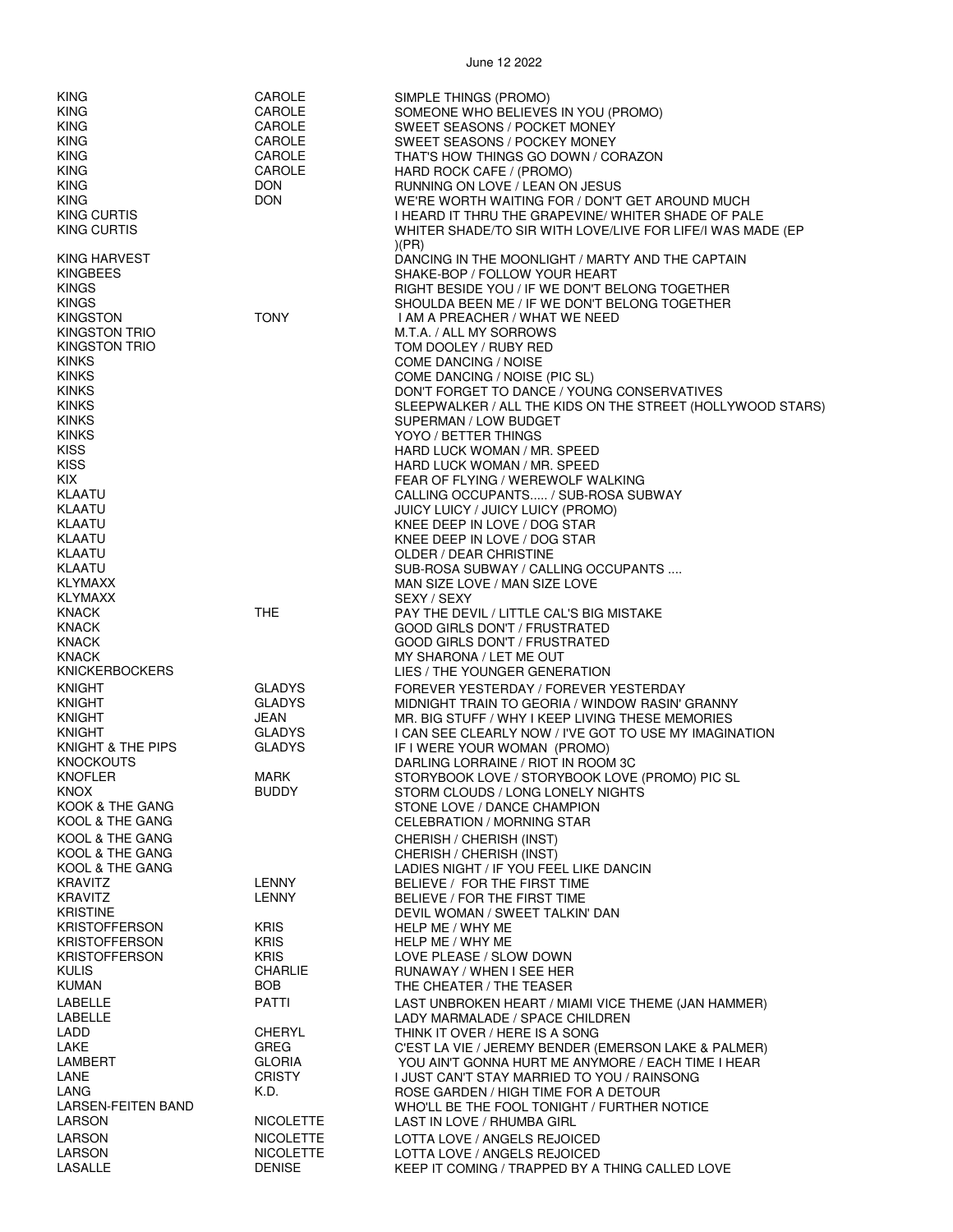| <b>KING</b>               | CAROLE           | SIMPLE THINGS (PROMO)                                      |
|---------------------------|------------------|------------------------------------------------------------|
| <b>KING</b>               | CAROLE           |                                                            |
|                           |                  | SOMEONE WHO BELIEVES IN YOU (PROMO)                        |
| <b>KING</b>               | CAROLE           | SWEET SEASONS / POCKET MONEY                               |
| <b>KING</b>               | <b>CAROLE</b>    | SWEET SEASONS / POCKEY MONEY                               |
| <b>KING</b>               | CAROLE           | THAT'S HOW THINGS GO DOWN / CORAZON                        |
| <b>KING</b>               | CAROLE           | HARD ROCK CAFE / (PROMO)                                   |
| <b>KING</b>               | <b>DON</b>       | RUNNING ON LOVE / LEAN ON JESUS                            |
| <b>KING</b>               | <b>DON</b>       | WE'RE WORTH WAITING FOR / DON'T GET AROUND MUCH            |
| KING CURTIS               |                  | I HEARD IT THRU THE GRAPEVINE/ WHITER SHADE OF PALE        |
| KING CURTIS               |                  | WHITER SHADE/TO SIR WITH LOVE/LIVE FOR LIFE/I WAS MADE (EP |
|                           |                  | (PR)                                                       |
| KING HARVEST              |                  | DANCING IN THE MOONLIGHT / MARTY AND THE CAPTAIN           |
| <b>KINGBEES</b>           |                  | SHAKE-BOP / FOLLOW YOUR HEART                              |
| <b>KINGS</b>              |                  | RIGHT BESIDE YOU / IF WE DON'T BELONG TOGETHER             |
|                           |                  |                                                            |
| <b>KINGS</b>              |                  | SHOULDA BEEN ME / IF WE DON'T BELONG TOGETHER              |
| <b>KINGSTON</b>           | <b>TONY</b>      | I AM A PREACHER / WHAT WE NEED                             |
| <b>KINGSTON TRIO</b>      |                  | M.T.A. / ALL MY SORROWS                                    |
| <b>KINGSTON TRIO</b>      |                  | TOM DOOLEY / RUBY RED                                      |
| <b>KINKS</b>              |                  | COME DANCING / NOISE                                       |
| <b>KINKS</b>              |                  | COME DANCING / NOISE (PIC SL)                              |
| <b>KINKS</b>              |                  | DON'T FORGET TO DANCE / YOUNG CONSERVATIVES                |
| <b>KINKS</b>              |                  | SLEEPWALKER / ALL THE KIDS ON THE STREET (HOLLYWOOD STARS) |
| <b>KINKS</b>              |                  | SUPERMAN / LOW BUDGET                                      |
| <b>KINKS</b>              |                  | YOYO / BETTER THINGS                                       |
| <b>KISS</b>               |                  | HARD LUCK WOMAN / MR. SPEED                                |
| <b>KISS</b>               |                  | HARD LUCK WOMAN / MR. SPEED                                |
| KIX.                      |                  | FEAR OF FLYING / WEREWOLF WALKING                          |
| <b>KLAATU</b>             |                  | CALLING OCCUPANTS / SUB-ROSA SUBWAY                        |
| <b>KLAATU</b>             |                  | JUICY LUICY / JUICY LUICY (PROMO)                          |
| KLAATU                    |                  | KNEE DEEP IN LOVE / DOG STAR                               |
| KLAATU                    |                  | KNEE DEEP IN LOVE / DOG STAR                               |
| KLAATU                    |                  | OLDER / DEAR CHRISTINE                                     |
| <b>KLAATU</b>             |                  | SUB-ROSA SUBWAY / CALLING OCCUPANTS                        |
| <b>KLYMAXX</b>            |                  | MAN SIZE LOVE / MAN SIZE LOVE                              |
| <b>KLYMAXX</b>            |                  |                                                            |
| <b>KNACK</b>              | <b>THE</b>       | SEXY / SEXY                                                |
| <b>KNACK</b>              |                  | PAY THE DEVIL / LITTLE CAL'S BIG MISTAKE                   |
|                           |                  | GOOD GIRLS DON'T / FRUSTRATED                              |
| <b>KNACK</b>              |                  | GOOD GIRLS DON'T / FRUSTRATED                              |
| <b>KNACK</b>              |                  | MY SHARONA / LET ME OUT                                    |
| <b>KNICKERBOCKERS</b>     |                  | LIES / THE YOUNGER GENERATION                              |
| <b>KNIGHT</b>             | <b>GLADYS</b>    | FOREVER YESTERDAY / FOREVER YESTERDAY                      |
| <b>KNIGHT</b>             | <b>GLADYS</b>    | MIDNIGHT TRAIN TO GEORIA / WINDOW RASIN' GRANNY            |
| <b>KNIGHT</b>             | JEAN             | MR. BIG STUFF / WHY I KEEP LIVING THESE MEMORIES           |
| <b>KNIGHT</b>             | <b>GLADYS</b>    | I CAN SEE CLEARLY NOW / I'VE GOT TO USE MY IMAGINATION     |
| KNIGHT & THE PIPS         | <b>GLADYS</b>    | IF I WERE YOUR WOMAN (PROMO)                               |
| <b>KNOCKOUTS</b>          |                  | DARLING LORRAINE / RIOT IN ROOM 3C                         |
| <b>KNOFLER</b>            | MARK             | STORYBOOK LOVE / STORYBOOK LOVE (PROMO) PIC SL             |
| KNOX                      | <b>BUDDY</b>     | STORM CLOUDS / LONG LONELY NIGHTS                          |
| KOOK & THE GANG           |                  | STONE LOVE / DANCE CHAMPION                                |
| KOOL & THE GANG           |                  | CELEBRATION / MORNING STAR                                 |
| KOOL & THE GANG           |                  | CHERISH / CHERISH (INST)                                   |
| KOOL & THE GANG           |                  | CHERISH / CHERISH (INST)                                   |
| KOOL & THE GANG           |                  | LADIES NIGHT / IF YOU FEEL LIKE DANCIN                     |
| <b>KRAVITZ</b>            | <b>LENNY</b>     | BELIEVE / FOR THE FIRST TIME                               |
| <b>KRAVITZ</b>            | <b>LENNY</b>     | BELIEVE / FOR THE FIRST TIME                               |
| <b>KRISTINE</b>           |                  | DEVIL WOMAN / SWEET TALKIN' DAN                            |
| <b>KRISTOFFERSON</b>      | <b>KRIS</b>      | HELP ME / WHY ME                                           |
| <b>KRISTOFFERSON</b>      | <b>KRIS</b>      | HELP ME / WHY ME                                           |
| KRISTOFFERSON             | <b>KRIS</b>      | LOVE PLEASE / SLOW DOWN                                    |
| <b>KULIS</b>              | <b>CHARLIE</b>   | RUNAWAY / WHEN I SEE HER                                   |
| <b>KUMAN</b>              | BOB.             | THE CHEATER / THE TEASER                                   |
|                           |                  |                                                            |
| LABELLE                   | PATTI            | LAST UNBROKEN HEART / MIAMI VICE THEME (JAN HAMMER)        |
| LABELLE                   |                  | LADY MARMALADE / SPACE CHILDREN                            |
| LADD                      | CHERYL           | THINK IT OVER / HERE IS A SONG                             |
| LAKE                      | GREG             | C'EST LA VIE / JEREMY BENDER (EMERSON LAKE & PALMER)       |
| <b>LAMBERT</b>            | <b>GLORIA</b>    | YOU AIN'T GONNA HURT ME ANYMORE / EACH TIME I HEAR         |
| LANE                      | <b>CRISTY</b>    | I JUST CAN'T STAY MARRIED TO YOU / RAINSONG                |
| LANG                      | K.D.             | ROSE GARDEN / HIGH TIME FOR A DETOUR                       |
| <b>LARSEN-FEITEN BAND</b> |                  | WHO'LL BE THE FOOL TONIGHT / FURTHER NOTICE                |
| <b>LARSON</b>             | <b>NICOLETTE</b> | LAST IN LOVE / RHUMBA GIRL                                 |
| LARSON                    | <b>NICOLETTE</b> | LOTTA LOVE / ANGELS REJOICED                               |
| <b>LARSON</b>             | <b>NICOLETTE</b> | LOTTA LOVE / ANGELS REJOICED                               |
| LASALLE                   | <b>DENISE</b>    | KEEP IT COMING / TRAPPED BY A THING CALLED LOVE            |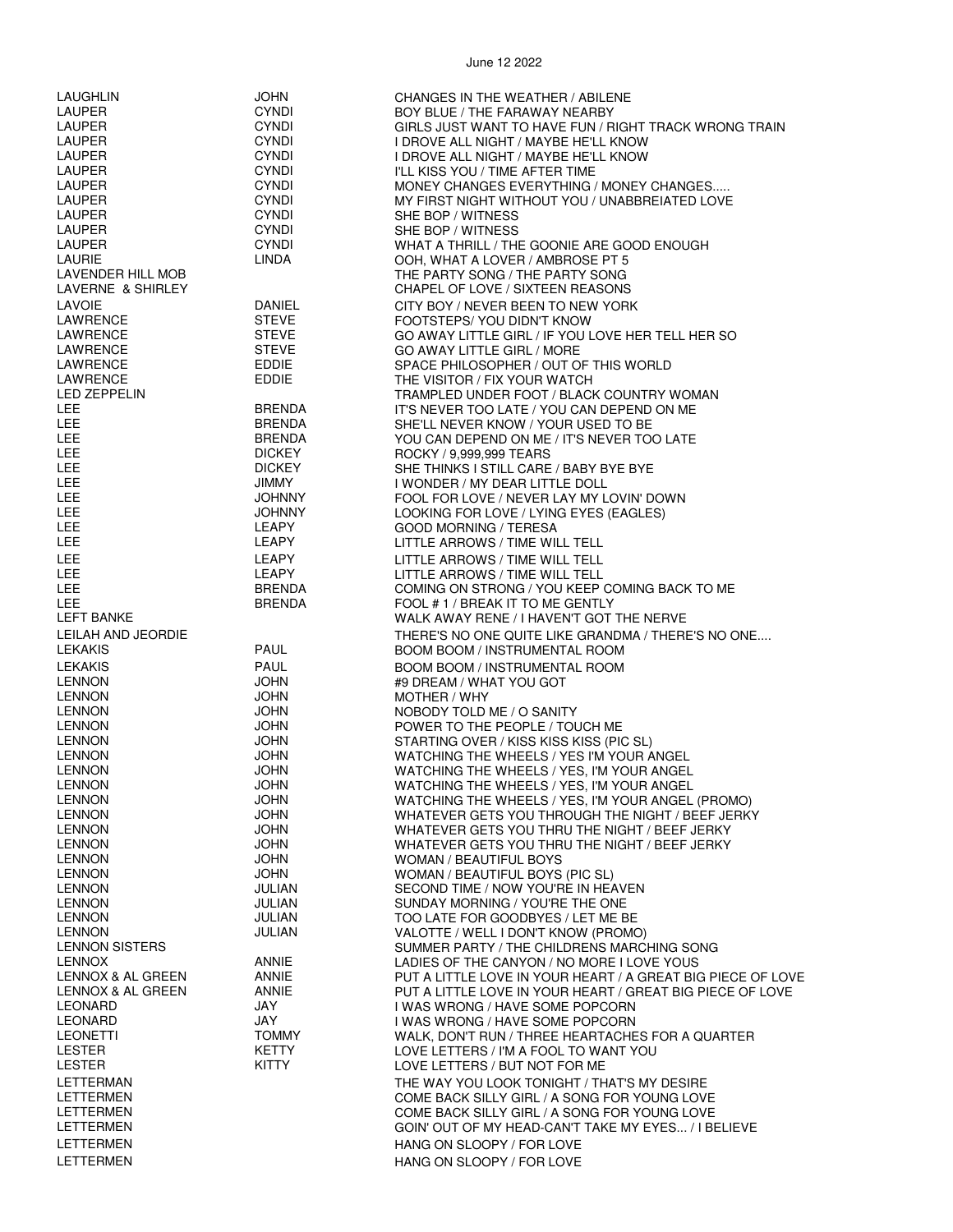| LAUGHLIN              | JOHN          | CHANGES IN THE WEATHER / ABILENE                                          |
|-----------------------|---------------|---------------------------------------------------------------------------|
| LAUPER                | <b>CYNDI</b>  | BOY BLUE / THE FARAWAY NEARBY                                             |
| LAUPER                | <b>CYNDI</b>  | GIRLS JUST WANT TO HAVE FUN / RIGHT TRACK WRONG TRAIN                     |
| LAUPER                | <b>CYNDI</b>  | I DROVE ALL NIGHT / MAYBE HE'LL KNOW                                      |
| LAUPER                | <b>CYNDI</b>  | I DROVE ALL NIGHT / MAYBE HE'LL KNOW                                      |
| LAUPER                | <b>CYNDI</b>  | I'LL KISS YOU / TIME AFTER TIME                                           |
| <b>LAUPER</b>         | <b>CYNDI</b>  | MONEY CHANGES EVERYTHING / MONEY CHANGES                                  |
| LAUPER                | <b>CYNDI</b>  | MY FIRST NIGHT WITHOUT YOU / UNABBREIATED LOVE                            |
| LAUPER                | <b>CYNDI</b>  | SHE BOP / WITNESS                                                         |
| LAUPER                | <b>CYNDI</b>  | SHE BOP / WITNESS                                                         |
| LAUPER                | <b>CYNDI</b>  | WHAT A THRILL / THE GOONIE ARE GOOD ENOUGH                                |
| <b>LAURIE</b>         | <b>LINDA</b>  | OOH, WHAT A LOVER / AMBROSE PT 5                                          |
| LAVENDER HILL MOB     |               | THE PARTY SONG / THE PARTY SONG                                           |
| LAVERNE & SHIRLEY     |               | CHAPEL OF LOVE / SIXTEEN REASONS                                          |
| <b>LAVOIE</b>         | DANIEL        | CITY BOY / NEVER BEEN TO NEW YORK                                         |
| LAWRENCE              | <b>STEVE</b>  | FOOTSTEPS/ YOU DIDN'T KNOW                                                |
| LAWRENCE              | <b>STEVE</b>  | GO AWAY LITTLE GIRL / IF YOU LOVE HER TELL HER SO                         |
| LAWRENCE              | <b>STEVE</b>  | GO AWAY LITTLE GIRL / MORE                                                |
| LAWRENCE              | EDDIE         | SPACE PHILOSOPHER / OUT OF THIS WORLD                                     |
| LAWRENCE              | EDDIE         | THE VISITOR / FIX YOUR WATCH                                              |
| <b>LED ZEPPELIN</b>   |               | TRAMPLED UNDER FOOT / BLACK COUNTRY WOMAN                                 |
| LEE                   | <b>BRENDA</b> | IT'S NEVER TOO LATE / YOU CAN DEPEND ON ME                                |
| LEE                   | <b>BRENDA</b> | SHE'LL NEVER KNOW / YOUR USED TO BE                                       |
| LEE                   | <b>BRENDA</b> | YOU CAN DEPEND ON ME / IT'S NEVER TOO LATE                                |
| LEE                   | <b>DICKEY</b> | ROCKY / 9,999,999 TEARS                                                   |
| LEE                   | <b>DICKEY</b> | SHE THINKS I STILL CARE / BABY BYE BYE                                    |
| <b>LEE</b>            | <b>JIMMY</b>  | I WONDER / MY DEAR LITTLE DOLL                                            |
| LEE                   | <b>JOHNNY</b> | FOOL FOR LOVE / NEVER LAY MY LOVIN' DOWN                                  |
| LEE                   | <b>JOHNNY</b> | LOOKING FOR LOVE / LYING EYES (EAGLES)                                    |
| LEE                   | LEAPY         | <b>GOOD MORNING / TERESA</b>                                              |
| LEE                   | LEAPY         | LITTLE ARROWS / TIME WILL TELL                                            |
| LEE                   | LEAPY         |                                                                           |
| LEE                   | LEAPY         | LITTLE ARROWS / TIME WILL TELL                                            |
| <b>LEE</b>            | <b>BRENDA</b> | LITTLE ARROWS / TIME WILL TELL                                            |
| LEE                   | <b>BRENDA</b> | COMING ON STRONG / YOU KEEP COMING BACK TO ME                             |
| LEFT BANKE            |               | FOOL #1/BREAK IT TO ME GENTLY<br>WALK AWAY RENE / I HAVEN'T GOT THE NERVE |
|                       |               |                                                                           |
| LEILAH AND JEORDIE    |               | THERE'S NO ONE QUITE LIKE GRANDMA / THERE'S NO ONE                        |
| <b>LEKAKIS</b>        | <b>PAUL</b>   | <b>BOOM BOOM / INSTRUMENTAL ROOM</b>                                      |
| <b>LEKAKIS</b>        | <b>PAUL</b>   | <b>BOOM BOOM / INSTRUMENTAL ROOM</b>                                      |
| <b>LENNON</b>         | <b>JOHN</b>   | #9 DREAM / WHAT YOU GOT                                                   |
| <b>LENNON</b>         | <b>JOHN</b>   | MOTHER / WHY                                                              |
| <b>LENNON</b>         | <b>JOHN</b>   | NOBODY TOLD ME / O SANITY                                                 |
| <b>LENNON</b>         | <b>JOHN</b>   | POWER TO THE PEOPLE / TOUCH ME                                            |
| <b>LENNON</b>         | <b>JOHN</b>   | STARTING OVER / KISS KISS KISS (PIC SL)                                   |
| <b>LENNON</b>         | <b>JOHN</b>   | WATCHING THE WHEELS / YES I'M YOUR ANGEL                                  |
| <b>LENNON</b>         | <b>JOHN</b>   | WATCHING THE WHEELS / YES, I'M YOUR ANGEL                                 |
| <b>LENNON</b>         | <b>JOHN</b>   | WATCHING THE WHEELS / YES, I'M YOUR ANGEL                                 |
| <b>LENNON</b>         | <b>JOHN</b>   | WATCHING THE WHEELS / YES, I'M YOUR ANGEL (PROMO)                         |
| <b>LENNON</b>         | <b>JOHN</b>   | WHATEVER GETS YOU THROUGH THE NIGHT / BEEF JERKY                          |
| <b>LENNON</b>         | <b>JOHN</b>   | WHATEVER GETS YOU THRU THE NIGHT / BEEF JERKY                             |
| <b>LENNON</b>         | <b>JOHN</b>   | WHATEVER GETS YOU THRU THE NIGHT / BEEF JERKY                             |
| <b>LENNON</b>         | <b>JOHN</b>   | WOMAN / BEAUTIFUL BOYS                                                    |
| <b>LENNON</b>         | <b>JOHN</b>   | WOMAN / BEAUTIFUL BOYS (PIC SL)                                           |
| <b>LENNON</b>         | JULIAN        | SECOND TIME / NOW YOU'RE IN HEAVEN                                        |
| <b>LENNON</b>         | JULIAN        | SUNDAY MORNING / YOU'RE THE ONE                                           |
| <b>LENNON</b>         | JULIAN        | TOO LATE FOR GOODBYES / LET ME BE                                         |
| <b>LENNON</b>         | JULIAN        | VALOTTE / WELL I DON'T KNOW (PROMO)                                       |
| <b>LENNON SISTERS</b> |               | SUMMER PARTY / THE CHILDRENS MARCHING SONG                                |
| <b>LENNOX</b>         | <b>ANNIE</b>  | LADIES OF THE CANYON / NO MORE I LOVE YOUS                                |
| LENNOX & AL GREEN     | ANNIE         | PUT A LITTLE LOVE IN YOUR HEART / A GREAT BIG PIECE OF LOVE               |
| LENNOX & AL GREEN     | ANNIE         | PUT A LITTLE LOVE IN YOUR HEART / GREAT BIG PIECE OF LOVE                 |
| <b>LEONARD</b>        | JAY           | I WAS WRONG / HAVE SOME POPCORN                                           |
| <b>LEONARD</b>        | JAY           | I WAS WRONG / HAVE SOME POPCORN                                           |
| <b>LEONETTI</b>       | TOMMY         | WALK, DON'T RUN / THREE HEARTACHES FOR A QUARTER                          |
| <b>LESTER</b>         | KETTY         | LOVE LETTERS / I'M A FOOL TO WANT YOU                                     |
| <b>LESTER</b>         | KITTY         | LOVE LETTERS / BUT NOT FOR ME                                             |
| LETTERMAN             |               | THE WAY YOU LOOK TONIGHT / THAT'S MY DESIRE                               |
| LETTERMEN             |               | COME BACK SILLY GIRL / A SONG FOR YOUNG LOVE                              |
| LETTERMEN             |               | COME BACK SILLY GIRL / A SONG FOR YOUNG LOVE                              |
| LETTERMEN             |               | GOIN' OUT OF MY HEAD-CAN'T TAKE MY EYES / I BELIEVE                       |
| LETTERMEN             |               | HANG ON SLOOPY / FOR LOVE                                                 |
| <b>LETTERMEN</b>      |               | HANG ON SLOOPY / FOR LOVE                                                 |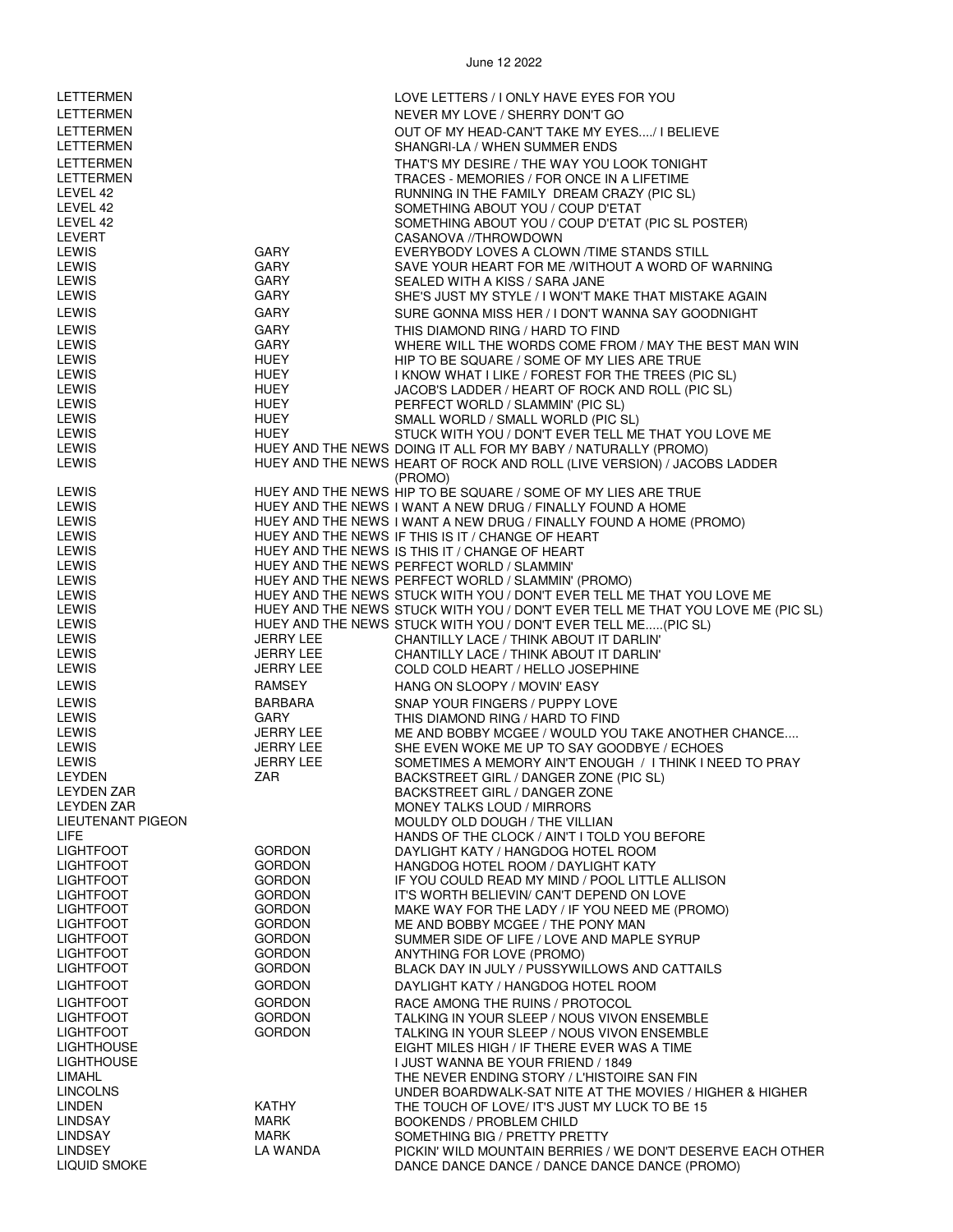| LETTERMEN                            |                                | LOVE LETTERS / I ONLY HAVE EYES FOR YOU                                                                      |
|--------------------------------------|--------------------------------|--------------------------------------------------------------------------------------------------------------|
| LETTERMEN                            |                                | NEVER MY LOVE / SHERRY DON'T GO                                                                              |
| LETTERMEN                            |                                | OUT OF MY HEAD-CAN'T TAKE MY EYES/ I BELIEVE                                                                 |
| <b>LETTERMEN</b>                     |                                | SHANGRI-LA / WHEN SUMMER ENDS                                                                                |
| LETTERMEN                            |                                | THAT'S MY DESIRE / THE WAY YOU LOOK TONIGHT                                                                  |
| LETTERMEN                            |                                | TRACES - MEMORIES / FOR ONCE IN A LIFETIME                                                                   |
| LEVEL 42                             |                                | RUNNING IN THE FAMILY DREAM CRAZY (PIC SL)                                                                   |
| LEVEL 42                             |                                | SOMETHING ABOUT YOU / COUP D'ETAT                                                                            |
| LEVEL 42                             |                                | SOMETHING ABOUT YOU / COUP D'ETAT (PIC SL POSTER)                                                            |
| LEVERT                               |                                | CASANOVA //THROWDOWN                                                                                         |
| LEWIS                                | GARY                           | EVERYBODY LOVES A CLOWN / TIME STANDS STILL                                                                  |
| <b>LEWIS</b>                         | GARY                           | SAVE YOUR HEART FOR ME /WITHOUT A WORD OF WARNING                                                            |
| LEWIS<br>LEWIS                       | GARY<br>GARY                   | SEALED WITH A KISS / SARA JANE                                                                               |
|                                      |                                | SHE'S JUST MY STYLE / I WON'T MAKE THAT MISTAKE AGAIN                                                        |
| LEWIS                                | GARY                           | SURE GONNA MISS HER / I DON'T WANNA SAY GOODNIGHT                                                            |
| <b>LEWIS</b>                         | <b>GARY</b><br>GARY            | THIS DIAMOND RING / HARD TO FIND                                                                             |
| LEWIS<br><b>LEWIS</b>                | HUEY                           | WHERE WILL THE WORDS COME FROM / MAY THE BEST MAN WIN                                                        |
| LEWIS                                | HUEY                           | HIP TO BE SQUARE / SOME OF MY LIES ARE TRUE<br>I KNOW WHAT I LIKE / FOREST FOR THE TREES (PIC SL)            |
| <b>LEWIS</b>                         | HUEY                           | JACOB'S LADDER / HEART OF ROCK AND ROLL (PIC SL)                                                             |
| LEWIS                                | <b>HUEY</b>                    | PERFECT WORLD / SLAMMIN' (PIC SL)                                                                            |
| <b>LEWIS</b>                         | HUEY                           | SMALL WORLD / SMALL WORLD (PIC SL)                                                                           |
| <b>LEWIS</b>                         | HUEY                           | STUCK WITH YOU / DON'T EVER TELL ME THAT YOU LOVE ME                                                         |
| LEWIS                                |                                | HUEY AND THE NEWS DOING IT ALL FOR MY BABY / NATURALLY (PROMO)                                               |
| <b>LEWIS</b>                         |                                | HUEY AND THE NEWS HEART OF ROCK AND ROLL (LIVE VERSION) / JACOBS LADDER                                      |
|                                      |                                | (PROMO)                                                                                                      |
| <b>LEWIS</b>                         |                                | HUEY AND THE NEWS HIP TO BE SQUARE / SOME OF MY LIES ARE TRUE                                                |
| <b>LEWIS</b>                         |                                | HUEY AND THE NEWS I WANT A NEW DRUG / FINALLY FOUND A HOME                                                   |
| <b>LEWIS</b>                         |                                | HUEY AND THE NEWS I WANT A NEW DRUG / FINALLY FOUND A HOME (PROMO)                                           |
| <b>LEWIS</b>                         |                                | HUEY AND THE NEWS IF THIS IS IT / CHANGE OF HEART                                                            |
| LEWIS<br>LEWIS                       |                                | HUEY AND THE NEWS IS THIS IT / CHANGE OF HEART<br>HUEY AND THE NEWS PERFECT WORLD / SLAMMIN'                 |
| <b>LEWIS</b>                         |                                | HUEY AND THE NEWS PERFECT WORLD / SLAMMIN' (PROMO)                                                           |
| <b>LEWIS</b>                         |                                | HUEY AND THE NEWS STUCK WITH YOU / DON'T EVER TELL ME THAT YOU LOVE ME                                       |
| <b>LEWIS</b>                         |                                | HUEY AND THE NEWS STUCK WITH YOU / DON'T EVER TELL ME THAT YOU LOVE ME (PIC SL)                              |
| <b>LEWIS</b>                         |                                | HUEY AND THE NEWS STUCK WITH YOU / DON'T EVER TELL ME(PIC SL)                                                |
| <b>LEWIS</b>                         | JERRY LEE                      | CHANTILLY LACE / THINK ABOUT IT DARLIN'                                                                      |
| LEWIS                                | JERRY LEE                      | CHANTILLY LACE / THINK ABOUT IT DARLIN'                                                                      |
| LEWIS                                | JERRY LEE                      | COLD COLD HEART / HELLO JOSEPHINE                                                                            |
| <b>LEWIS</b>                         | RAMSEY                         | HANG ON SLOOPY / MOVIN' EASY                                                                                 |
| <b>LEWIS</b>                         | BARBARA                        | SNAP YOUR FINGERS / PUPPY LOVE                                                                               |
| <b>LEWIS</b>                         | GARY                           | THIS DIAMOND RING / HARD TO FIND                                                                             |
| <b>LEWIS</b><br><b>LEWIS</b>         | JERRY LEE<br><b>JERRY LEE</b>  | ME AND BOBBY MCGEE / WOULD YOU TAKE ANOTHER CHANCE                                                           |
| <b>LEWIS</b>                         | JERRY LEE                      | SHE EVEN WOKE ME UP TO SAY GOODBYE / ECHOES<br>SOMETIMES A MEMORY AIN'T ENOUGH / I THINK I NEED TO PRAY      |
| LEYDEN                               | ZAR                            | BACKSTREET GIRL / DANGER ZONE (PIC SL)                                                                       |
| <b>LEYDEN ZAR</b>                    |                                | BACKSTREET GIRL / DANGER ZONE                                                                                |
| <b>LEYDEN ZAR</b>                    |                                | MONEY TALKS LOUD / MIRRORS                                                                                   |
| <b>LIEUTENANT PIGEON</b>             |                                | MOULDY OLD DOUGH / THE VILLIAN                                                                               |
| LIFE.                                |                                | HANDS OF THE CLOCK / AIN'T I TOLD YOU BEFORE                                                                 |
| <b>LIGHTFOOT</b>                     | <b>GORDON</b>                  | DAYLIGHT KATY / HANGDOG HOTEL ROOM                                                                           |
| <b>LIGHTFOOT</b>                     | <b>GORDON</b><br><b>GORDON</b> | HANGDOG HOTEL ROOM / DAYLIGHT KATY                                                                           |
| <b>LIGHTFOOT</b><br><b>LIGHTFOOT</b> | <b>GORDON</b>                  | IF YOU COULD READ MY MIND / POOL LITTLE ALLISON<br>IT'S WORTH BELIEVIN/ CAN'T DEPEND ON LOVE                 |
| <b>LIGHTFOOT</b>                     | <b>GORDON</b>                  | MAKE WAY FOR THE LADY / IF YOU NEED ME (PROMO)                                                               |
| <b>LIGHTFOOT</b>                     | <b>GORDON</b>                  | ME AND BOBBY MCGEE / THE PONY MAN                                                                            |
| <b>LIGHTFOOT</b>                     | <b>GORDON</b>                  | SUMMER SIDE OF LIFE / LOVE AND MAPLE SYRUP                                                                   |
| <b>LIGHTFOOT</b>                     | <b>GORDON</b>                  | ANYTHING FOR LOVE (PROMO)                                                                                    |
| <b>LIGHTFOOT</b>                     | <b>GORDON</b>                  | BLACK DAY IN JULY / PUSSYWILLOWS AND CATTAILS                                                                |
| <b>LIGHTFOOT</b>                     | <b>GORDON</b>                  | DAYLIGHT KATY / HANGDOG HOTEL ROOM                                                                           |
| <b>LIGHTFOOT</b>                     | <b>GORDON</b>                  | RACE AMONG THE RUINS / PROTOCOL                                                                              |
| <b>LIGHTFOOT</b>                     | <b>GORDON</b>                  | TALKING IN YOUR SLEEP / NOUS VIVON ENSEMBLE                                                                  |
| <b>LIGHTFOOT</b>                     | <b>GORDON</b>                  | TALKING IN YOUR SLEEP / NOUS VIVON ENSEMBLE                                                                  |
| <b>LIGHTHOUSE</b>                    |                                | EIGHT MILES HIGH / IF THERE EVER WAS A TIME                                                                  |
| <b>LIGHTHOUSE</b>                    |                                | I JUST WANNA BE YOUR FRIEND / 1849                                                                           |
| LIMAHL                               |                                | THE NEVER ENDING STORY / L'HISTOIRE SAN FIN                                                                  |
| <b>LINCOLNS</b><br><b>LINDEN</b>     |                                | UNDER BOARDWALK-SAT NITE AT THE MOVIES / HIGHER & HIGHER                                                     |
|                                      |                                |                                                                                                              |
|                                      | <b>KATHY</b>                   | THE TOUCH OF LOVE/IT'S JUST MY LUCK TO BE 15                                                                 |
| LINDSAY<br><b>LINDSAY</b>            | MARK<br>MARK                   | <b>BOOKENDS / PROBLEM CHILD</b><br>SOMETHING BIG / PRETTY PRETTY                                             |
| <b>LINDSEY</b><br>LIQUID SMOKE       | LA WANDA                       | PICKIN' WILD MOUNTAIN BERRIES / WE DON'T DESERVE EACH OTHER<br>DANCE DANCE DANCE / DANCE DANCE DANCE (PROMO) |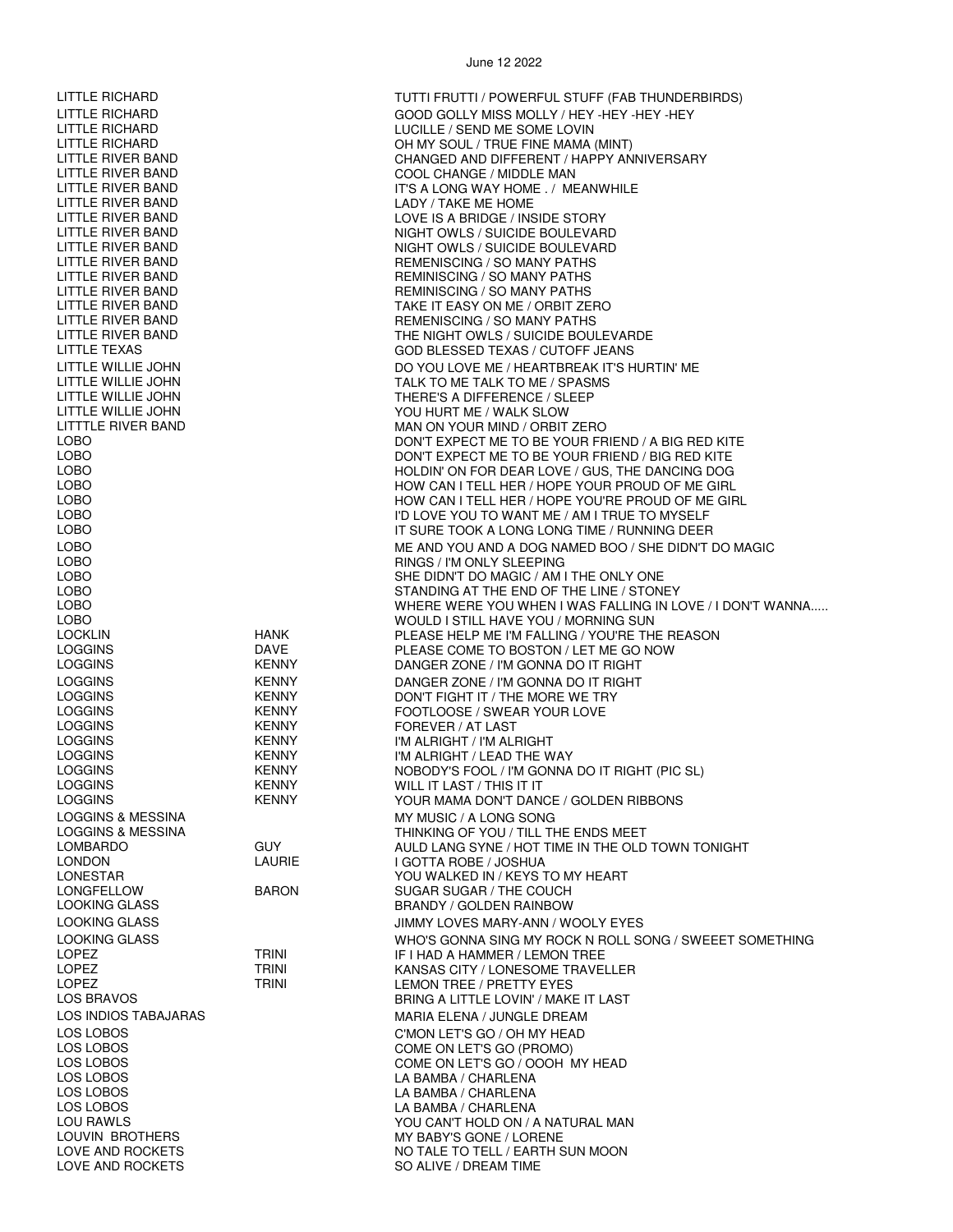LOVE AND ROCKETS<br>LOVE AND ROCKETS NO TO THE SO ALIVE / DREAM TIME<br>SO ALIVE / DREAM TIME

LITTLE RICHARD TUTTI FRUTTI / POWERFUL STUFF (FAB THUNDERBIRDS) LITTLE RICHARD GOOD GOLLY MISS MOLLY / HEY -HEY -HEY -HEY LITTLE RICHARD LUCILLE / SEND ME SOME LOVIN OH MY SOUL / TRUE FINE MAMA (MINT) LITTLE RIVER BAND CHANGED AND DIFFERENT / HAPPY ANNIVERSARY LITTLE RIVER BAND COOL CHANGE / MIDDLE MAN IT'S A LONG WAY HOME . / MEANWHILE LITTLE RIVER BAND LADY / TAKE ME HOME LITTLE RIVER BAND LOVE IS A BRIDGE / INSIDE STORY LITTLE RIVER BAND NIGHT OWLS / SUICIDE BOULEVARD NIGHT OWLS / SUICIDE BOULEVARD LITTLE RIVER BAND REMENISCING / SO MANY PATHS LITTLE RIVER BAND<br>LITTLE RIVER BAND LITTLE REMINISCING / SO MANY PATHS REMINISCING / SO MANY PATHS LITTLE RIVER BAND TAKE IT EASY ON ME / ORBIT ZERO REMENISCING / SO MANY PATHS LITTLE RIVER BAND THE NIGHT OWLS / SUICIDE BOULEVARDE GOD BLESSED TEXAS / CUTOFF JEANS LITTLE WILLIE JOHN UNIVERSITY OF A LOO YOU LOVE ME / HEARTBREAK IT'S HURTIN' ME<br>DO YOU LOVE ME / HEARTBREAK IT'S HURTIN' ME LITTLE WILLIE JOHN TALK TO ME TALK TO ME / SPASMS LITTLE WILLIE JOHN THERE'S A DIFFERENCE / SLEEP LITTLE WILLIE JOHN YOU HURT ME / WALK SLOW<br>LITTTLE RIVER BAND YOU AN ON YOUR MIND / ORBIT LITTTLE RIVER BAND<br>LOBO MAN ON YOUR MIND / ORBIT ZERO DON'T EXPECT ME TO BE YOUR FRIEND / A BIG RED KITE LOBO **DON'T EXPECT ME TO BE YOUR FRIEND** / BIG RED KITE LOBO HOLDIN' ON FOR DEAR LOVE / GUS, THE DANCING DOG HOW CAN I TELL HER / HOPE YOUR PROUD OF ME GIRL LOBO HOW CAN I TELL HER / HOPE YOU'RE PROUD OF ME GIRL LOBO I'D LOVE YOU TO WANT ME / AM I TRUE TO MYSELF IT SURE TOOK A LONG LONG TIME / RUNNING DEER LOBO ME AND YOU AND A DOG NAMED BOO / SHE DIDN'T DO MAGIC LOBO RINGS / I'M ONLY SLEEPING LOBO SHE DIDN'T DO MAGIC / AM I THE ONLY ONE LOBO STANDING AT THE END OF THE LINE / STONEY WHERE WERE YOU WHEN I WAS FALLING IN LOVE / I DON'T WANNA..... LOBO WOULD I STILL HAVE YOU / MORNING SUN LOCKLIN HANK PLEASE HELP ME I'M FALLING / YOU'RE THE REASON PLEASE COME TO BOSTON / LET ME GO NOW LOGGINS KENNY DANGER ZONE / I'M GONNA DO IT RIGHT LOGGINS KENNY DANGER ZONE / I'M GONNA DO IT RIGHT LOGGINS KENNY DON'T FIGHT IT / THE MORE WE TRY LOGGINS KENNY FOOTLOOSE / SWEAR YOUR LOVE LOGGINS KENNY FOREVER / AT LAST I'M ALRIGHT / I'M ALRIGHT LOGGINS **KENNY** I'M ALRIGHT / LEAD THE WAY LOGGINS KENNY NOBODY'S FOOL / I'M GONNA DO IT RIGHT (PIC SL) WILL IT LAST / THIS IT IT LOGGINS KENNY KENNY YOUR MAMA DON'T DANCE / GOLDEN RIBBONS LOGGINS & MESSINA MY MUSIC / A LONG SONG LOGGINS & MESSINA GUY TILL THE ENDS MEET<br>LOMBARDO GUY TILL THE OLD LANG SYNE / HOT TIME IN THE OLD LOMBARDO GUY AULD LANG SYNE / HOT TIME IN THE OLD TOWN TONIGHT LONDON LAURIE I GOTTA ROBE / JOSHUA LONESTAR YOU WALKED IN / KEYS TO MY HEART SUGAR SUGAR / THE COUCH LOOKING GLASS BRANDY / GOLDEN RAINBOW LOOKING GLASS JIMMY LOVES MARY-ANN / WOOLY EYES LOOKING GLASS WHO'S GONNA SING MY ROCK N ROLL SONG / SWEEET SOMETHING LOPEZ TRINI IF I HAD A HAMMER / LEMON TREE KANSAS CITY / LONESOME TRAVELLER LOPEZ TRINI LEMON TREE / PRETTY EYES BRING A LITTLE LOVIN' / MAKE IT LAST LOS INDIOS TABAJARAS MARIA ELENA / JUNGLE DREAM LOS LOBOS C'MON LET'S GO / OH MY HEAD LOS LOBOS COME ON LET'S GO (PROMO) LOS LOBOS COME ON LET'S GO / OOOH MY HEAD LOS LOBOS LA BAMBA / CHARLENA LA BAMBA / CHARLENA LOS LOBOS LA BAMBA / CHARLENA<br>LOU RAWLS LOU RAWLS LOU RAWLS LOU RAWLS LOU RAWLS<br>
LOUVIN BROTHERS<br>
LOUVIN BROTHERS

UNY BABY'S GONE / LORENE LOUVIN BROTHERS MY BABY'S GONE / LORENE<br>LOVE AND ROCKETS LOVE AND TALE TO TELL / EARTH S

SO ALIVE / DREAM TIME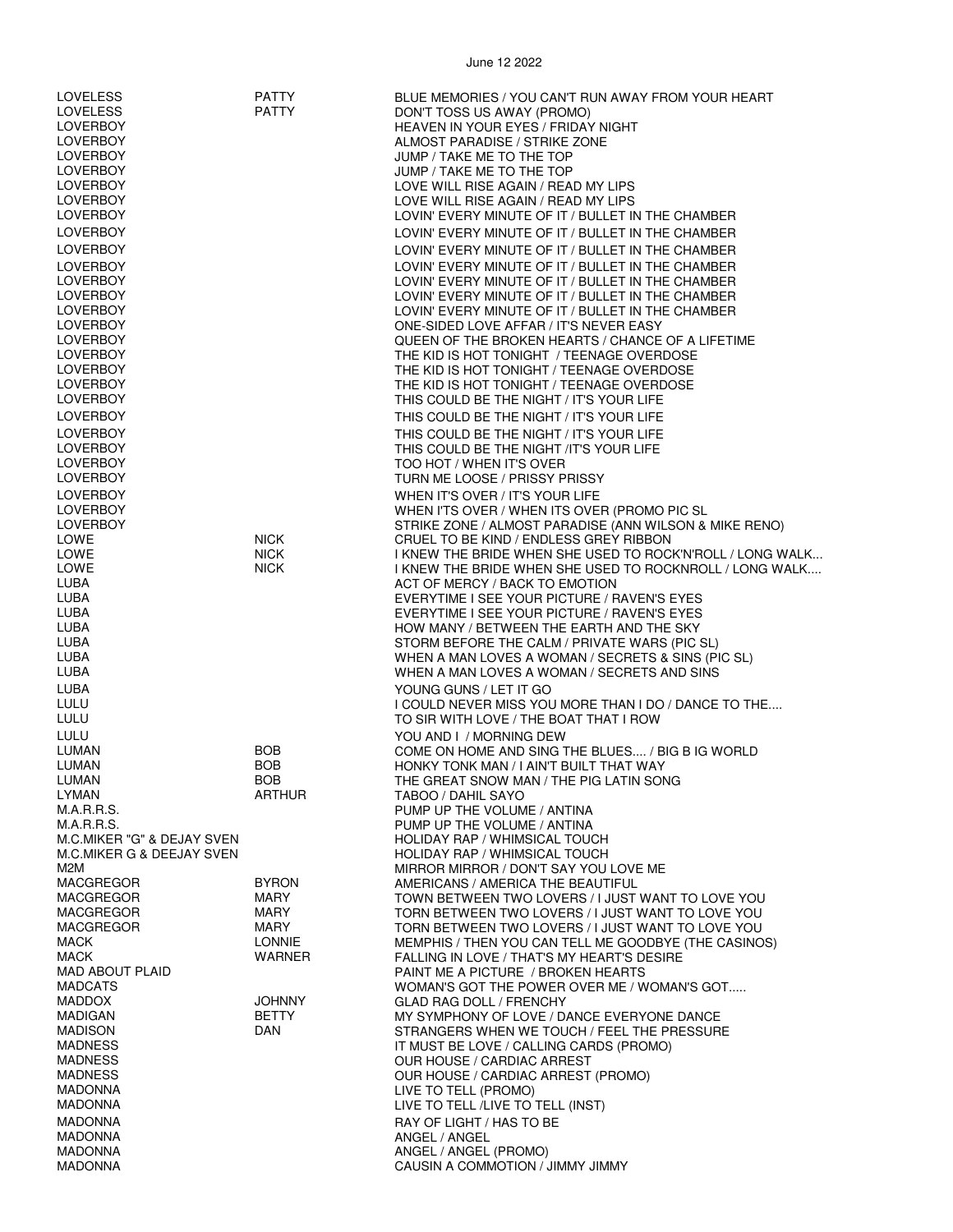| <b>LOVELESS</b>            | <b>PATTY</b>  | BLUE MEMORIES / YOU CAN'T RUN AWAY FROM YOUR HEART        |
|----------------------------|---------------|-----------------------------------------------------------|
| <b>LOVELESS</b>            | <b>PATTY</b>  | DON'T TOSS US AWAY (PROMO)                                |
| <b>LOVERBOY</b>            |               | HEAVEN IN YOUR EYES / FRIDAY NIGHT                        |
|                            |               |                                                           |
| <b>LOVERBOY</b>            |               | ALMOST PARADISE / STRIKE ZONE                             |
| <b>LOVERBOY</b>            |               | JUMP / TAKE ME TO THE TOP                                 |
| <b>LOVERBOY</b>            |               | JUMP / TAKE ME TO THE TOP                                 |
| <b>LOVERBOY</b>            |               | LOVE WILL RISE AGAIN / READ MY LIPS                       |
| <b>LOVERBOY</b>            |               | LOVE WILL RISE AGAIN / READ MY LIPS                       |
| <b>LOVERBOY</b>            |               | LOVIN' EVERY MINUTE OF IT / BULLET IN THE CHAMBER         |
|                            |               |                                                           |
| <b>LOVERBOY</b>            |               | LOVIN' EVERY MINUTE OF IT / BULLET IN THE CHAMBER         |
| <b>LOVERBOY</b>            |               | LOVIN' EVERY MINUTE OF IT / BULLET IN THE CHAMBER         |
| <b>LOVERBOY</b>            |               | LOVIN' EVERY MINUTE OF IT / BULLET IN THE CHAMBER         |
| <b>LOVERBOY</b>            |               | LOVIN' EVERY MINUTE OF IT / BULLET IN THE CHAMBER         |
| <b>LOVERBOY</b>            |               | LOVIN' EVERY MINUTE OF IT / BULLET IN THE CHAMBER         |
| <b>LOVERBOY</b>            |               | LOVIN' EVERY MINUTE OF IT / BULLET IN THE CHAMBER         |
| <b>LOVERBOY</b>            |               | ONE-SIDED LOVE AFFAR / IT'S NEVER EASY                    |
|                            |               |                                                           |
| <b>LOVERBOY</b>            |               | QUEEN OF THE BROKEN HEARTS / CHANCE OF A LIFETIME         |
| <b>LOVERBOY</b>            |               | THE KID IS HOT TONIGHT / TEENAGE OVERDOSE                 |
| <b>LOVERBOY</b>            |               | THE KID IS HOT TONIGHT / TEENAGE OVERDOSE                 |
| <b>LOVERBOY</b>            |               | THE KID IS HOT TONIGHT / TEENAGE OVERDOSE                 |
| <b>LOVERBOY</b>            |               | THIS COULD BE THE NIGHT / IT'S YOUR LIFE                  |
| <b>LOVERBOY</b>            |               | THIS COULD BE THE NIGHT / IT'S YOUR LIFE                  |
| <b>LOVERBOY</b>            |               | THIS COULD BE THE NIGHT / IT'S YOUR LIFE                  |
|                            |               |                                                           |
| <b>LOVERBOY</b>            |               | THIS COULD BE THE NIGHT /IT'S YOUR LIFE                   |
| <b>LOVERBOY</b>            |               | TOO HOT / WHEN IT'S OVER                                  |
| <b>LOVERBOY</b>            |               | TURN ME LOOSE / PRISSY PRISSY                             |
| <b>LOVERBOY</b>            |               | WHEN IT'S OVER / IT'S YOUR LIFE                           |
| <b>LOVERBOY</b>            |               | WHEN I'TS OVER / WHEN ITS OVER (PROMO PIC SL              |
| <b>LOVERBOY</b>            |               | STRIKE ZONE / ALMOST PARADISE (ANN WILSON & MIKE RENO)    |
| LOWE                       | <b>NICK</b>   | CRUEL TO BE KIND / ENDLESS GREY RIBBON                    |
| LOWE                       | <b>NICK</b>   | I KNEW THE BRIDE WHEN SHE USED TO ROCK'N'ROLL / LONG WALK |
| LOWE                       | <b>NICK</b>   | I KNEW THE BRIDE WHEN SHE USED TO ROCKNROLL / LONG WALK   |
| LUBA                       |               | ACT OF MERCY / BACK TO EMOTION                            |
|                            |               |                                                           |
| LUBA                       |               | EVERYTIME I SEE YOUR PICTURE / RAVEN'S EYES               |
| LUBA                       |               | EVERYTIME I SEE YOUR PICTURE / RAVEN'S EYES               |
| LUBA                       |               | HOW MANY / BETWEEN THE EARTH AND THE SKY                  |
| LUBA                       |               | STORM BEFORE THE CALM / PRIVATE WARS (PIC SL)             |
| LUBA                       |               | WHEN A MAN LOVES A WOMAN / SECRETS & SINS (PIC SL)        |
| LUBA                       |               | WHEN A MAN LOVES A WOMAN / SECRETS AND SINS               |
| LUBA                       |               | YOUNG GUNS / LET IT GO                                    |
| LULU                       |               | I COULD NEVER MISS YOU MORE THAN I DO / DANCE TO THE      |
| LULU                       |               | TO SIR WITH LOVE / THE BOAT THAT I ROW                    |
|                            |               |                                                           |
| LULU                       |               | YOU AND I / MORNING DEW                                   |
| LUMAN                      | <b>BOB</b>    | COME ON HOME AND SING THE BLUES / BIG B IG WORLD          |
| LUMAN                      | <b>BOB</b>    | HONKY TONK MAN / I AIN'T BUILT THAT WAY                   |
| LUMAN                      | <b>BOB</b>    | THE GREAT SNOW MAN / THE PIG LATIN SONG                   |
| LYMAN                      | ARTHUR        | TABOO / DAHIL SAYO                                        |
| M.A.R.R.S.                 |               | PUMP UP THE VOLUME / ANTINA                               |
| M.A.R.R.S.                 |               | PUMP UP THE VOLUME / ANTINA                               |
| M.C.MIKER "G" & DEJAY SVEN |               | HOLIDAY RAP / WHIMSICAL TOUCH                             |
| M.C.MIKER G & DEEJAY SVEN  |               | <b>HOLIDAY RAP / WHIMSICAL TOUCH</b>                      |
| M2M                        |               | MIRROR MIRROR / DON'T SAY YOU LOVE ME                     |
| <b>MACGREGOR</b>           | <b>BYRON</b>  | AMERICANS / AMERICA THE BEAUTIFUL                         |
| MACGREGOR                  | MARY          |                                                           |
|                            |               | TOWN BETWEEN TWO LOVERS / I JUST WANT TO LOVE YOU         |
| MACGREGOR                  | MARY          | TORN BETWEEN TWO LOVERS / I JUST WANT TO LOVE YOU         |
| MACGREGOR                  | MARY          | TORN BETWEEN TWO LOVERS / I JUST WANT TO LOVE YOU         |
| <b>MACK</b>                | <b>LONNIE</b> | MEMPHIS / THEN YOU CAN TELL ME GOODBYE (THE CASINOS)      |
| <b>MACK</b>                | WARNER        | FALLING IN LOVE / THAT'S MY HEART'S DESIRE                |
| <b>MAD ABOUT PLAID</b>     |               | PAINT ME A PICTURE / BROKEN HEARTS                        |
| <b>MADCATS</b>             |               | WOMAN'S GOT THE POWER OVER ME / WOMAN'S GOT               |
| <b>MADDOX</b>              | <b>JOHNNY</b> | GLAD RAG DOLL / FRENCHY                                   |
| <b>MADIGAN</b>             | <b>BETTY</b>  | MY SYMPHONY OF LOVE / DANCE EVERYONE DANCE                |
| <b>MADISON</b>             | DAN           | STRANGERS WHEN WE TOUCH / FEEL THE PRESSURE               |
| <b>MADNESS</b>             |               | IT MUST BE LOVE / CALLING CARDS (PROMO)                   |
| <b>MADNESS</b>             |               | OUR HOUSE / CARDIAC ARREST                                |
| <b>MADNESS</b>             |               | OUR HOUSE / CARDIAC ARREST (PROMO)                        |
| <b>MADONNA</b>             |               | LIVE TO TELL (PROMO)                                      |
| <b>MADONNA</b>             |               | LIVE TO TELL /LIVE TO TELL (INST)                         |
|                            |               |                                                           |
| <b>MADONNA</b>             |               | RAY OF LIGHT / HAS TO BE                                  |
| <b>MADONNA</b>             |               | ANGEL / ANGEL                                             |
| <b>MADONNA</b>             |               | ANGEL / ANGEL (PROMO)                                     |
| <b>MADONNA</b>             |               | CAUSIN A COMMOTION / JIMMY JIMMY                          |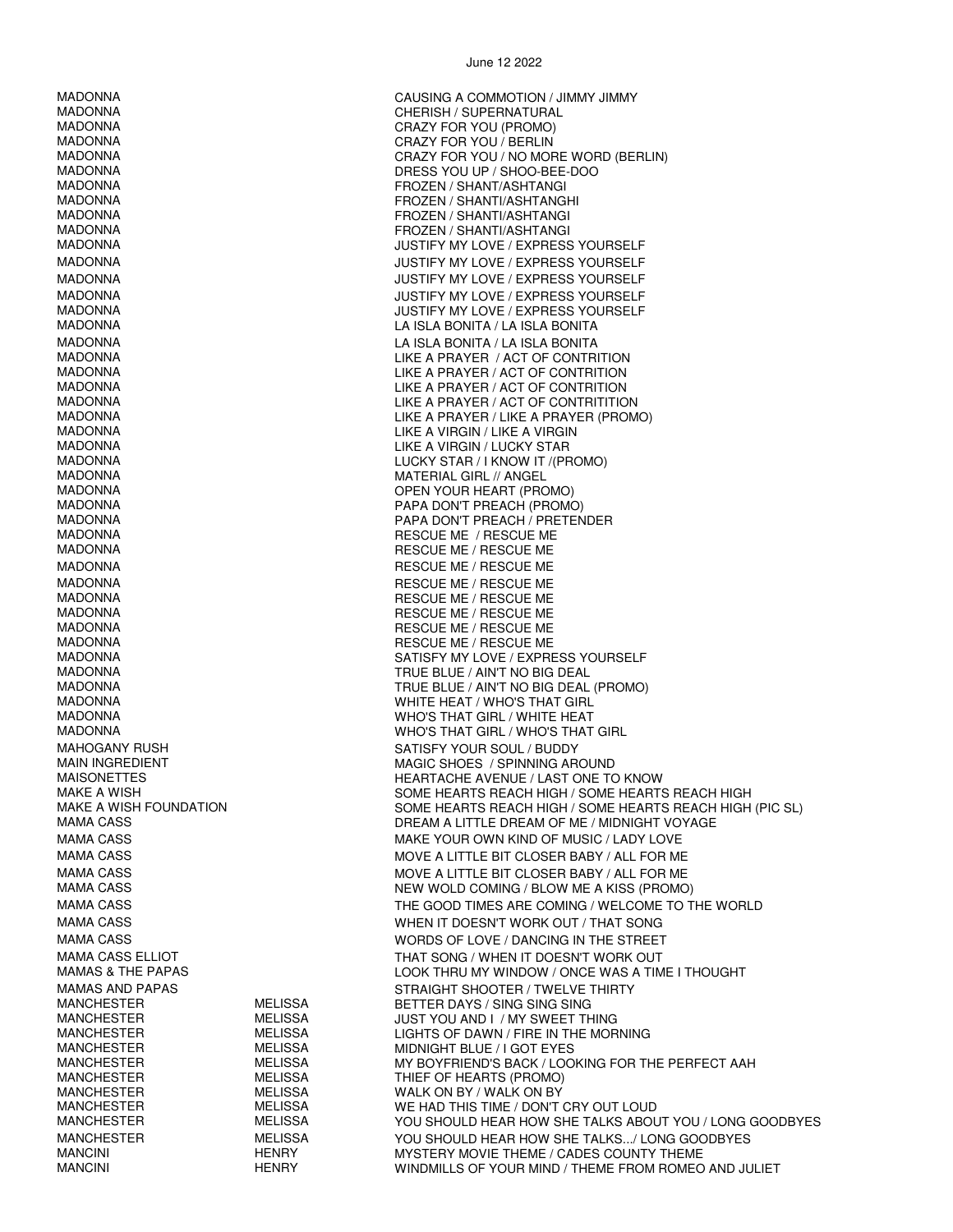MADONNA CAUSING A COMMOTION / JIMMY JIMMY MADONNA<br>MADONNA CHERISH / SUPERNATURAL<br>CRAZY FOR YOU (PROMO) MADONNA CRAZY FOR YOU / BERLIN MADONNA DRESS YOU UP / SHOO-BEE-DOO MADONNA FROZEN / SHANTI/ASHTANGHI MADONNA FROZEN / SHANTI/ASHTANGI MADONNA FROZEN / SHANTI/ASHTANGI MADONNA LA ISLA BONITA / LA ISLA BONITA MADONNA LIKE A VIRGIN / LIKE A VIRGIN MADONNA LIKE A VIRGIN / LUCKY STAR MADONNA<br>MATERIAL GIRL // ANGEL<br>MADONNA MADONNA MATERIAL GIRL // ANGEL MADONNA PAPA DON'T PREACH (PROMO) MADONNA RESCUE ME / RESCUE ME / RESCUE ME MADONNA RESCUE ME / RESCUE ME MADONNA RESCUE ME / RESCUE ME / RESCUE ME MADONNA RESCUE ME / RESCUE ME MADONNA<br>MADONNA RESCUE ME / RESCUE ME / RESCUE ME<br>RESCUE ME / RESCUE ME MADONNA RESCUE ME / RESCUE ME MADONNA TRUE BLUE / AIN'T NO BIG DEAL MADONNA WHITE HEAT / WHO'S THAT GIRL MADONNA WHO'S THAT GIRL / WHITE HEAT MAHOGANY RUSH<br>MAIN INGREDIENT MANUS SATISFY YOUR SOUL / BUDDY<br>MAGIC SHOES / SPINNING AR MANCHESTER MELISSA THIEF OF HEARTS (PROMO)

CRAZY FOR YOU (PROMO) MADONNA CRAZY FOR YOU / NO MORE WORD (BERLIN) FROZEN / SHANT/ASHTANGI JUSTIFY MY LOVE / EXPRESS YOURSELF MADONNA JUSTIFY MY LOVE / EXPRESS YOURSELF MADONNA JUSTIFY MY LOVE / EXPRESS YOURSELF MADONNA JUSTIFY MY LOVE / EXPRESS YOURSELF MADONNA JUSTIFY MY LOVE / EXPRESS YOURSELF LA ISLA BONITA / LA ISLA BONITA LIKE A PRAYER / ACT OF CONTRITION MADONNA LIKE A PRAYER / ACT OF CONTRITION<br>MADONNA LIKE A PRAYER / ACT OF CONTRITION MADONNA LIKE A PRAYER / ACT OF CONTRITION<br>MADONNA LIKE A PRAYER / ACT OF CONTRITITIO MADONNA<br>MADONNA LIKE A PRAYER / I LIKE A PRAYER / I LIKE A PRAYER / I LIKE A PRAYER / I LIKE A PRAYER / PROM MADONNA LIKE A PRAYER / LIKE A PRAYER (PROMO) LUCKY STAR / I KNOW IT /(PROMO) OPEN YOUR HEART (PROMO) MADONNA PAPA DON'T PREACH / PRETENDER RESCUE ME / RESCUE ME RESCUE ME / RESCUE ME SATISFY MY LOVE / EXPRESS YOURSELF MADONNA TRUE BLUE / AIN'T NO BIG DEAL (PROMO) WHO'S THAT GIRL / WHO'S THAT GIRL MAIN INGREDIENT MAGIC SHOES / SPINNING AROUND MAISONETTES HEARTACHE AVENUE / LAST ONE TO KNOW SOME HEARTS REACH HIGH / SOME HEARTS REACH HIGH MAKE A WISH FOUNDATION SOME HEARTS REACH HIGH / SOME HEARTS REACH HIGH (PIC SL) DREAM A LITTLE DREAM OF ME / MIDNIGHT VOYAGE MAMA CASS **MAKE YOUR OWN KIND OF MUSIC / LADY LOVE** MAMA CASS THE ST CLOSER BABY / ALL FOR ME MAMA CASS MOVE A LITTLE BIT CLOSER BABY / ALL FOR ME NEW WOLD COMING / BLOW ME A KISS (PROMO) MAMA CASS THE GOOD TIMES ARE COMING / WELCOME TO THE WORLD MAMA CASS WHEN IT DOESN'T WORK OUT / THAT SONG MAMA CASS WORDS OF LOVE / DANCING IN THE STREET MAMA CASS ELLIOT **THAT SONG / WHEN IT DOESN'T WORK OUT** MAMAS & THE PAPAS LOOK THRU MY WINDOW / ONCE WAS A TIME I THOUGHT MAMAS AND PAPAS STRAIGHT SHOOTER / TWELVE THIRTY MANCHESTER MELISSA BETTER DAYS / SING SING SING MANCHESTER MELISSA JUST YOU AND I / MY SWEET THING MANCHESTER MELISSA LIGHTS OF DAWN / FIRE IN THE MORNING MIDNIGHT BLUE / I GOT EYES MANCHESTER MELISSA MY BOYFRIEND'S BACK / LOOKING FOR THE PERFECT AAH WALK ON BY / WALK ON BY MANCHESTER MELISSA WE HAD THIS TIME / DON'T CRY OUT LOUD YOU SHOULD HEAR HOW SHE TALKS ABOUT YOU / LONG GOODBYES MANCHESTER MELISSA YOU SHOULD HEAR HOW SHE TALKS.../ LONG GOODBYES MANCINI HENRY MYSTERY MOVIE THEME / CADES COUNTY THEME WINDMILLS OF YOUR MIND / THEME FROM ROMEO AND JULIET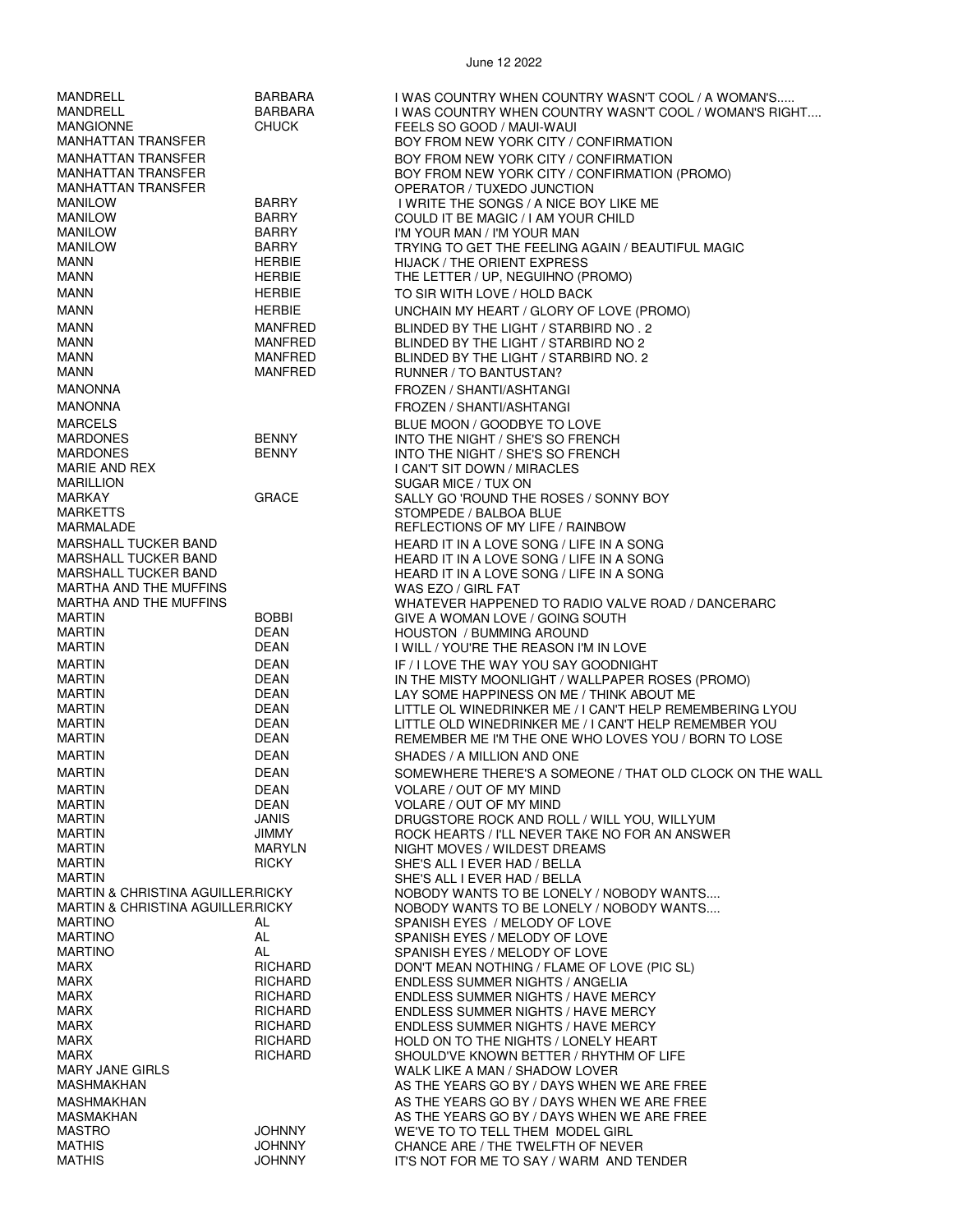| MANDRELL<br>MANDRELL<br><b>MANGIONNE</b>                                                     | <b>BARBARA</b><br><b>BARBARA</b><br><b>CHUCK</b> | I WAS COUNTRY WHEN COUNTRY WASN'T COOL / A WOMAN'S<br>I WAS COUNTRY WHEN COUNTRY WASN'T COOL / WOMAN'S RIGHT<br>FEELS SO GOOD / MAUI-WAUI |
|----------------------------------------------------------------------------------------------|--------------------------------------------------|-------------------------------------------------------------------------------------------------------------------------------------------|
| <b>MANHATTAN TRANSFER</b>                                                                    |                                                  | BOY FROM NEW YORK CITY / CONFIRMATION                                                                                                     |
| <b>MANHATTAN TRANSFER</b>                                                                    |                                                  | BOY FROM NEW YORK CITY / CONFIRMATION                                                                                                     |
| <b>MANHATTAN TRANSFER</b>                                                                    |                                                  | BOY FROM NEW YORK CITY / CONFIRMATION (PROMO)                                                                                             |
| <b>MANHATTAN TRANSFER</b>                                                                    |                                                  | OPERATOR / TUXEDO JUNCTION                                                                                                                |
| <b>MANILOW</b>                                                                               | <b>BARRY</b><br><b>BARRY</b>                     | I WRITE THE SONGS / A NICE BOY LIKE ME                                                                                                    |
| <b>MANILOW</b><br><b>MANILOW</b>                                                             | BARRY                                            | COULD IT BE MAGIC / I AM YOUR CHILD<br>I'M YOUR MAN / I'M YOUR MAN                                                                        |
| <b>MANILOW</b>                                                                               | <b>BARRY</b>                                     | TRYING TO GET THE FEELING AGAIN / BEAUTIFUL MAGIC                                                                                         |
| <b>MANN</b>                                                                                  | <b>HERBIE</b>                                    | <b>HIJACK / THE ORIENT EXPRESS</b>                                                                                                        |
| <b>MANN</b>                                                                                  | <b>HERBIE</b>                                    | THE LETTER / UP, NEGUIHNO (PROMO)                                                                                                         |
| <b>MANN</b>                                                                                  | <b>HERBIE</b>                                    | TO SIR WITH LOVE / HOLD BACK                                                                                                              |
| <b>MANN</b>                                                                                  | <b>HERBIE</b>                                    | UNCHAIN MY HEART / GLORY OF LOVE (PROMO)                                                                                                  |
| <b>MANN</b><br><b>MANN</b>                                                                   | <b>MANFRED</b><br><b>MANFRED</b>                 | BLINDED BY THE LIGHT / STARBIRD NO. 2<br>BLINDED BY THE LIGHT / STARBIRD NO 2                                                             |
| <b>MANN</b>                                                                                  | MANFRED                                          | BLINDED BY THE LIGHT / STARBIRD NO. 2                                                                                                     |
| <b>MANN</b>                                                                                  | <b>MANFRED</b>                                   | RUNNER / TO BANTUSTAN?                                                                                                                    |
| <b>MANONNA</b>                                                                               |                                                  | FROZEN / SHANTI/ASHTANGI                                                                                                                  |
| <b>MANONNA</b>                                                                               |                                                  | FROZEN / SHANTI/ASHTANGI                                                                                                                  |
| <b>MARCELS</b>                                                                               |                                                  | BLUE MOON / GOODBYE TO LOVE                                                                                                               |
| <b>MARDONES</b>                                                                              | <b>BENNY</b>                                     | INTO THE NIGHT / SHE'S SO FRENCH                                                                                                          |
| <b>MARDONES</b><br>MARIE AND REX                                                             | <b>BENNY</b>                                     | INTO THE NIGHT / SHE'S SO FRENCH                                                                                                          |
| <b>MARILLION</b>                                                                             |                                                  | I CAN'T SIT DOWN / MIRACLES<br>SUGAR MICE / TUX ON                                                                                        |
| MARKAY                                                                                       | <b>GRACE</b>                                     | SALLY GO 'ROUND THE ROSES / SONNY BOY                                                                                                     |
| <b>MARKETTS</b>                                                                              |                                                  | STOMPEDE / BALBOA BLUE                                                                                                                    |
| MARMALADE                                                                                    |                                                  | REFLECTIONS OF MY LIFE / RAINBOW                                                                                                          |
| <b>MARSHALL TUCKER BAND</b><br><b>MARSHALL TUCKER BAND</b>                                   |                                                  | HEARD IT IN A LOVE SONG / LIFE IN A SONG                                                                                                  |
| <b>MARSHALL TUCKER BAND</b>                                                                  |                                                  | HEARD IT IN A LOVE SONG / LIFE IN A SONG<br>HEARD IT IN A LOVE SONG / LIFE IN A SONG                                                      |
| MARTHA AND THE MUFFINS                                                                       |                                                  | WAS EZO / GIRL FAT                                                                                                                        |
| MARTHA AND THE MUFFINS                                                                       |                                                  | WHATEVER HAPPENED TO RADIO VALVE ROAD / DANCERARC                                                                                         |
| <b>MARTIN</b>                                                                                | <b>BOBBI</b>                                     | GIVE A WOMAN LOVE / GOING SOUTH                                                                                                           |
| <b>MARTIN</b><br><b>MARTIN</b>                                                               | <b>DEAN</b><br><b>DEAN</b>                       | <b>HOUSTON / BUMMING AROUND</b><br>I WILL / YOU'RE THE REASON I'M IN LOVE                                                                 |
| <b>MARTIN</b>                                                                                | <b>DEAN</b>                                      | IF / I LOVE THE WAY YOU SAY GOODNIGHT                                                                                                     |
| <b>MARTIN</b>                                                                                | <b>DEAN</b>                                      | IN THE MISTY MOONLIGHT / WALLPAPER ROSES (PROMO)                                                                                          |
| <b>MARTIN</b>                                                                                | <b>DEAN</b>                                      | LAY SOME HAPPINESS ON ME / THINK ABOUT ME                                                                                                 |
| <b>MARTIN</b><br><b>MARTIN</b>                                                               | <b>DEAN</b><br><b>DEAN</b>                       | LITTLE OL WINEDRINKER ME / I CAN'T HELP REMEMBERING LYOU                                                                                  |
| <b>MARTIN</b>                                                                                | <b>DEAN</b>                                      | LITTLE OLD WINEDRINKER ME / I CAN'T HELP REMEMBER YOU<br>REMEMBER ME I'M THE ONE WHO LOVES YOU / BORN TO LOSE                             |
| <b>MARTIN</b>                                                                                | <b>DEAN</b>                                      | SHADES / A MILLION AND ONE                                                                                                                |
| <b>MARTIN</b>                                                                                | <b>DEAN</b>                                      | SOMEWHERE THERE'S A SOMEONE / THAT OLD CLOCK ON THE WALL                                                                                  |
| <b>MARTIN</b>                                                                                | DEAN                                             | <b>VOLARE / OUT OF MY MIND</b>                                                                                                            |
| <b>MARTIN</b>                                                                                | <b>DEAN</b>                                      | VOLARE / OUT OF MY MIND                                                                                                                   |
| <b>MARTIN</b><br><b>MARTIN</b>                                                               | JANIS<br><b>JIMMY</b>                            | DRUGSTORE ROCK AND ROLL / WILL YOU, WILLYUM<br>ROCK HEARTS / I'LL NEVER TAKE NO FOR AN ANSWER                                             |
| <b>MARTIN</b>                                                                                | <b>MARYLN</b>                                    | NIGHT MOVES / WILDEST DREAMS                                                                                                              |
| <b>MARTIN</b>                                                                                | <b>RICKY</b>                                     | SHE'S ALL I EVER HAD / BELLA                                                                                                              |
| <b>MARTIN</b>                                                                                |                                                  | SHE'S ALL I EVER HAD / BELLA                                                                                                              |
| <b>MARTIN &amp; CHRISTINA AGUILLER.RICKY</b><br><b>MARTIN &amp; CHRISTINA AGUILLER.RICKY</b> |                                                  | NOBODY WANTS TO BE LONELY / NOBODY WANTS<br>NOBODY WANTS TO BE LONELY / NOBODY WANTS                                                      |
| <b>MARTINO</b>                                                                               | AL                                               | SPANISH EYES / MELODY OF LOVE                                                                                                             |
| <b>MARTINO</b>                                                                               | AL                                               | SPANISH EYES / MELODY OF LOVE                                                                                                             |
| <b>MARTINO</b>                                                                               | AL                                               | SPANISH EYES / MELODY OF LOVE                                                                                                             |
| <b>MARX</b><br><b>MARX</b>                                                                   | <b>RICHARD</b><br><b>RICHARD</b>                 | DON'T MEAN NOTHING / FLAME OF LOVE (PIC SL)<br><b>ENDLESS SUMMER NIGHTS / ANGELIA</b>                                                     |
| <b>MARX</b>                                                                                  | <b>RICHARD</b>                                   | <b>ENDLESS SUMMER NIGHTS / HAVE MERCY</b>                                                                                                 |
| <b>MARX</b>                                                                                  | <b>RICHARD</b>                                   | <b>ENDLESS SUMMER NIGHTS / HAVE MERCY</b>                                                                                                 |
| <b>MARX</b>                                                                                  | <b>RICHARD</b>                                   | ENDLESS SUMMER NIGHTS / HAVE MERCY                                                                                                        |
| <b>MARX</b><br><b>MARX</b>                                                                   | <b>RICHARD</b><br><b>RICHARD</b>                 | HOLD ON TO THE NIGHTS / LONELY HEART<br>SHOULD'VE KNOWN BETTER / RHYTHM OF LIFE                                                           |
| <b>MARY JANE GIRLS</b>                                                                       |                                                  | WALK LIKE A MAN / SHADOW LOVER                                                                                                            |
| MASHMAKHAN                                                                                   |                                                  | AS THE YEARS GO BY / DAYS WHEN WE ARE FREE                                                                                                |
| MASHMAKHAN                                                                                   |                                                  | AS THE YEARS GO BY / DAYS WHEN WE ARE FREE                                                                                                |
| <b>MASMAKHAN</b><br><b>MASTRO</b>                                                            | <b>JOHNNY</b>                                    | AS THE YEARS GO BY / DAYS WHEN WE ARE FREE<br>WE'VE TO TO TELL THEM MODEL GIRL                                                            |
| <b>MATHIS</b>                                                                                | <b>JOHNNY</b>                                    | CHANCE ARE / THE TWELFTH OF NEVER                                                                                                         |
| <b>MATHIS</b>                                                                                | <b>JOHNNY</b>                                    | IT'S NOT FOR ME TO SAY / WARM AND TENDER                                                                                                  |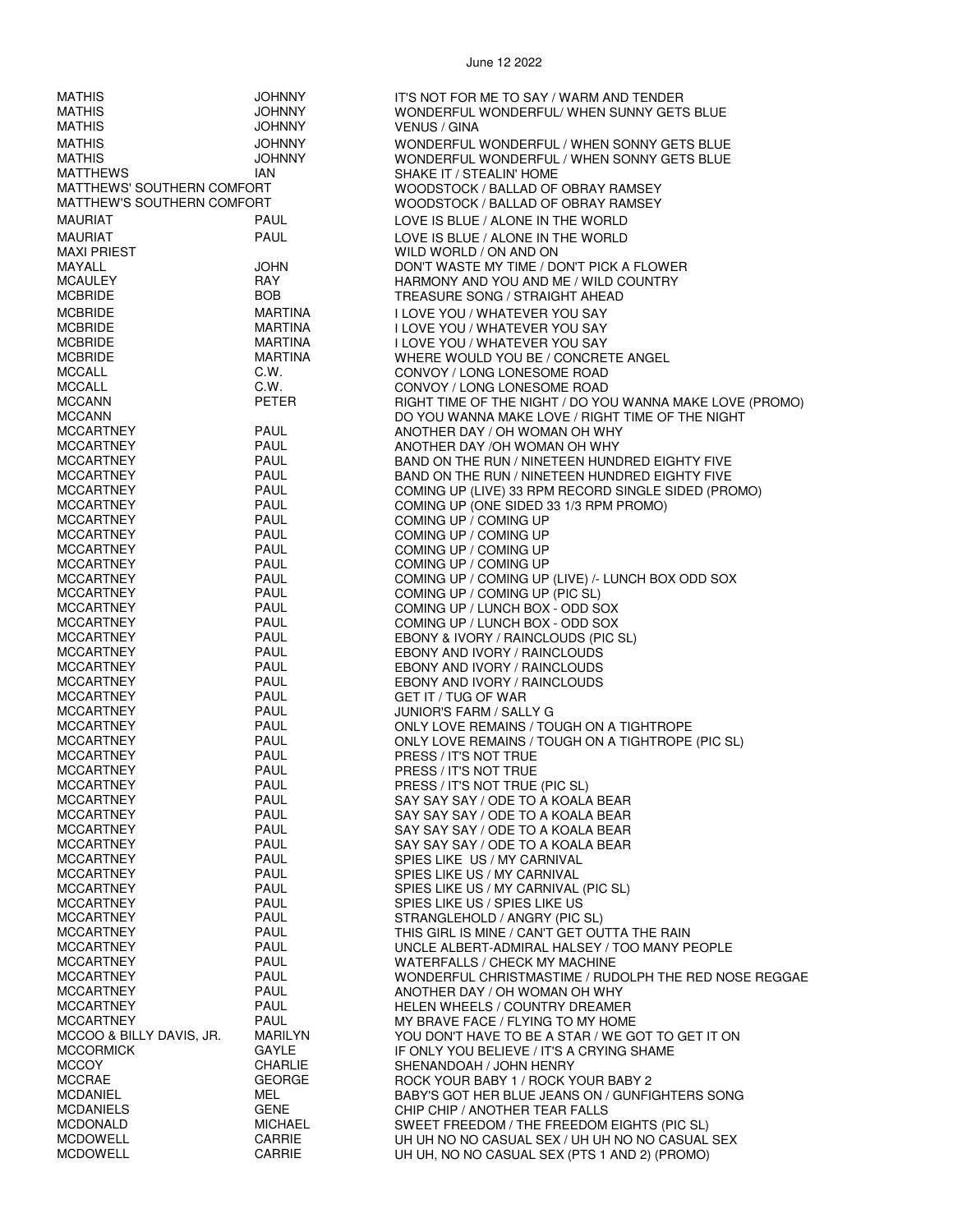| <b>MATHIS</b>                       | <b>JOHNNY</b>                    | IT'S NOT FOR ME TO SAY / WARM AND TENDER                                           |
|-------------------------------------|----------------------------------|------------------------------------------------------------------------------------|
| <b>MATHIS</b>                       | <b>JOHNNY</b>                    | WONDERFUL WONDERFUL/ WHEN SUNNY GETS BLUE                                          |
| <b>MATHIS</b>                       | <b>JOHNNY</b>                    | <b>VENUS / GINA</b>                                                                |
| <b>MATHIS</b>                       | <b>JOHNNY</b>                    |                                                                                    |
| <b>MATHIS</b>                       | <b>JOHNNY</b>                    | WONDERFUL WONDERFUL / WHEN SONNY GETS BLUE                                         |
| <b>MATTHEWS</b>                     | <b>IAN</b>                       | WONDERFUL WONDERFUL / WHEN SONNY GETS BLUE<br>SHAKE IT / STEALIN' HOME             |
| MATTHEWS' SOUTHERN COMFORT          |                                  | WOODSTOCK / BALLAD OF OBRAY RAMSEY                                                 |
| MATTHEW'S SOUTHERN COMFORT          |                                  | WOODSTOCK / BALLAD OF OBRAY RAMSEY                                                 |
| <b>MAURIAT</b>                      | <b>PAUL</b>                      |                                                                                    |
|                                     |                                  | LOVE IS BLUE / ALONE IN THE WORLD                                                  |
| <b>MAURIAT</b>                      | <b>PAUL</b>                      | LOVE IS BLUE / ALONE IN THE WORLD                                                  |
| <b>MAXI PRIEST</b>                  |                                  | WILD WORLD / ON AND ON                                                             |
| MAYALL                              | <b>JOHN</b><br>RAY               | DON'T WASTE MY TIME / DON'T PICK A FLOWER<br>HARMONY AND YOU AND ME / WILD COUNTRY |
| <b>MCAULEY</b><br><b>MCBRIDE</b>    | <b>BOB</b>                       | TREASURE SONG / STRAIGHT AHEAD                                                     |
|                                     |                                  |                                                                                    |
| <b>MCBRIDE</b>                      | <b>MARTINA</b>                   | I LOVE YOU / WHATEVER YOU SAY                                                      |
| <b>MCBRIDE</b><br><b>MCBRIDE</b>    | <b>MARTINA</b><br><b>MARTINA</b> | I LOVE YOU / WHATEVER YOU SAY                                                      |
| <b>MCBRIDE</b>                      | <b>MARTINA</b>                   | <b>I LOVE YOU / WHATEVER YOU SAY</b>                                               |
| <b>MCCALL</b>                       | C.W.                             | WHERE WOULD YOU BE / CONCRETE ANGEL<br>CONVOY / LONG LONESOME ROAD                 |
| <b>MCCALL</b>                       | C.W.                             | CONVOY / LONG LONESOME ROAD                                                        |
| <b>MCCANN</b>                       | <b>PETER</b>                     | RIGHT TIME OF THE NIGHT / DO YOU WANNA MAKE LOVE (PROMO)                           |
| <b>MCCANN</b>                       |                                  | DO YOU WANNA MAKE LOVE / RIGHT TIME OF THE NIGHT                                   |
| <b>MCCARTNEY</b>                    | <b>PAUL</b>                      | ANOTHER DAY / OH WOMAN OH WHY                                                      |
| <b>MCCARTNEY</b>                    | <b>PAUL</b>                      | ANOTHER DAY /OH WOMAN OH WHY                                                       |
| <b>MCCARTNEY</b>                    | <b>PAUL</b>                      | BAND ON THE RUN / NINETEEN HUNDRED EIGHTY FIVE                                     |
| <b>MCCARTNEY</b>                    | <b>PAUL</b>                      | BAND ON THE RUN / NINETEEN HUNDRED EIGHTY FIVE                                     |
| <b>MCCARTNEY</b>                    | <b>PAUL</b>                      | COMING UP (LIVE) 33 RPM RECORD SINGLE SIDED (PROMO)                                |
| <b>MCCARTNEY</b>                    | <b>PAUL</b>                      | COMING UP (ONE SIDED 33 1/3 RPM PROMO)                                             |
| <b>MCCARTNEY</b>                    | <b>PAUL</b>                      | COMING UP / COMING UP                                                              |
| <b>MCCARTNEY</b>                    | <b>PAUL</b>                      | COMING UP / COMING UP                                                              |
| <b>MCCARTNEY</b>                    | PAUL                             | COMING UP / COMING UP                                                              |
| <b>MCCARTNEY</b>                    | PAUL                             | COMING UP / COMING UP                                                              |
| <b>MCCARTNEY</b>                    | <b>PAUL</b>                      | COMING UP / COMING UP (LIVE) /- LUNCH BOX ODD SOX                                  |
| <b>MCCARTNEY</b>                    | <b>PAUL</b>                      | COMING UP / COMING UP (PIC SL)                                                     |
| <b>MCCARTNEY</b>                    | <b>PAUL</b>                      | COMING UP / LUNCH BOX - ODD SOX                                                    |
| <b>MCCARTNEY</b>                    | <b>PAUL</b>                      | COMING UP / LUNCH BOX - ODD SOX                                                    |
| <b>MCCARTNEY</b>                    | PAUL                             | EBONY & IVORY / RAINCLOUDS (PIC SL)                                                |
| <b>MCCARTNEY</b>                    | PAUL                             | EBONY AND IVORY / RAINCLOUDS                                                       |
| <b>MCCARTNEY</b>                    | PAUL                             | EBONY AND IVORY / RAINCLOUDS                                                       |
| <b>MCCARTNEY</b>                    | PAUL                             | EBONY AND IVORY / RAINCLOUDS                                                       |
| <b>MCCARTNEY</b>                    | PAUL                             | GET IT / TUG OF WAR                                                                |
| <b>MCCARTNEY</b>                    | PAUL                             | JUNIOR'S FARM / SALLY G                                                            |
| <b>MCCARTNEY</b>                    | <b>PAUL</b>                      | ONLY LOVE REMAINS / TOUGH ON A TIGHTROPE                                           |
| <b>MCCARTNEY</b><br>MCCARTNEY       | PAUL<br><b>PAUL</b>              | ONLY LOVE REMAINS / TOUGH ON A TIGHTROPE (PIC SL)<br>PRESS / IT'S NOT TRUE         |
| <b>MCCARTNEY</b>                    | <b>PAUL</b>                      |                                                                                    |
| <b>MCCARTNEY</b>                    | PAUL                             | PRESS / IT'S NOT TRUE<br>PRESS / IT'S NOT TRUE (PIC SL)                            |
| <b>MCCARTNEY</b>                    | <b>PAUL</b>                      | SAY SAY SAY / ODE TO A KOALA BEAR                                                  |
| <b>MCCARTNEY</b>                    | PAUL                             | SAY SAY SAY / ODE TO A KOALA BEAR                                                  |
| MCCARTNEY                           | PAUL                             | SAY SAY SAY / ODE TO A KOALA BEAR                                                  |
| <b>MCCARTNEY</b>                    | PAUL                             | SAY SAY SAY / ODE TO A KOALA BEAR                                                  |
| <b>MCCARTNEY</b>                    | PAUL                             | SPIES LIKE US / MY CARNIVAL                                                        |
| <b>MCCARTNEY</b>                    | PAUL                             | SPIES LIKE US / MY CARNIVAL                                                        |
| <b>MCCARTNEY</b>                    | <b>PAUL</b>                      | SPIES LIKE US / MY CARNIVAL (PIC SL)                                               |
| MCCARTNEY                           | <b>PAUL</b>                      | SPIES LIKE US / SPIES LIKE US                                                      |
| <b>MCCARTNEY</b>                    | PAUL                             | STRANGLEHOLD / ANGRY (PIC SL)                                                      |
| <b>MCCARTNEY</b>                    | <b>PAUL</b>                      | THIS GIRL IS MINE / CAN'T GET OUTTA THE RAIN                                       |
| <b>MCCARTNEY</b>                    | PAUL                             | UNCLE ALBERT-ADMIRAL HALSEY / TOO MANY PEOPLE                                      |
| <b>MCCARTNEY</b>                    | PAUL                             | WATERFALLS / CHECK MY MACHINE                                                      |
| <b>MCCARTNEY</b>                    | PAUL                             | WONDERFUL CHRISTMASTIME / RUDOLPH THE RED NOSE REGGAE                              |
| <b>MCCARTNEY</b>                    | <b>PAUL</b>                      | ANOTHER DAY / OH WOMAN OH WHY                                                      |
| <b>MCCARTNEY</b>                    | <b>PAUL</b>                      | HELEN WHEELS / COUNTRY DREAMER                                                     |
| <b>MCCARTNEY</b>                    | <b>PAUL</b>                      | MY BRAVE FACE / FLYING TO MY HOME                                                  |
| MCCOO & BILLY DAVIS, JR.            | <b>MARILYN</b>                   | YOU DON'T HAVE TO BE A STAR / WE GOT TO GET IT ON                                  |
| <b>MCCORMICK</b>                    | GAYLE                            | IF ONLY YOU BELIEVE / IT'S A CRYING SHAME                                          |
| <b>MCCOY</b>                        | <b>CHARLIE</b>                   | SHENANDOAH / JOHN HENRY                                                            |
| <b>MCCRAE</b>                       | <b>GEORGE</b>                    | ROCK YOUR BABY 1 / ROCK YOUR BABY 2                                                |
| <b>MCDANIEL</b>                     | MEL                              | BABY'S GOT HER BLUE JEANS ON / GUNFIGHTERS SONG                                    |
| <b>MCDANIELS</b><br><b>MCDONALD</b> | <b>GENE</b><br><b>MICHAEL</b>    | CHIP CHIP / ANOTHER TEAR FALLS<br>SWEET FREEDOM / THE FREEDOM EIGHTS (PIC SL)      |
| <b>MCDOWELL</b>                     | CARRIE                           | UH UH NO NO CASUAL SEX / UH UH NO NO CASUAL SEX                                    |
| <b>MCDOWELL</b>                     | CARRIE                           | UH UH, NO NO CASUAL SEX (PTS 1 AND 2) (PROMO)                                      |
|                                     |                                  |                                                                                    |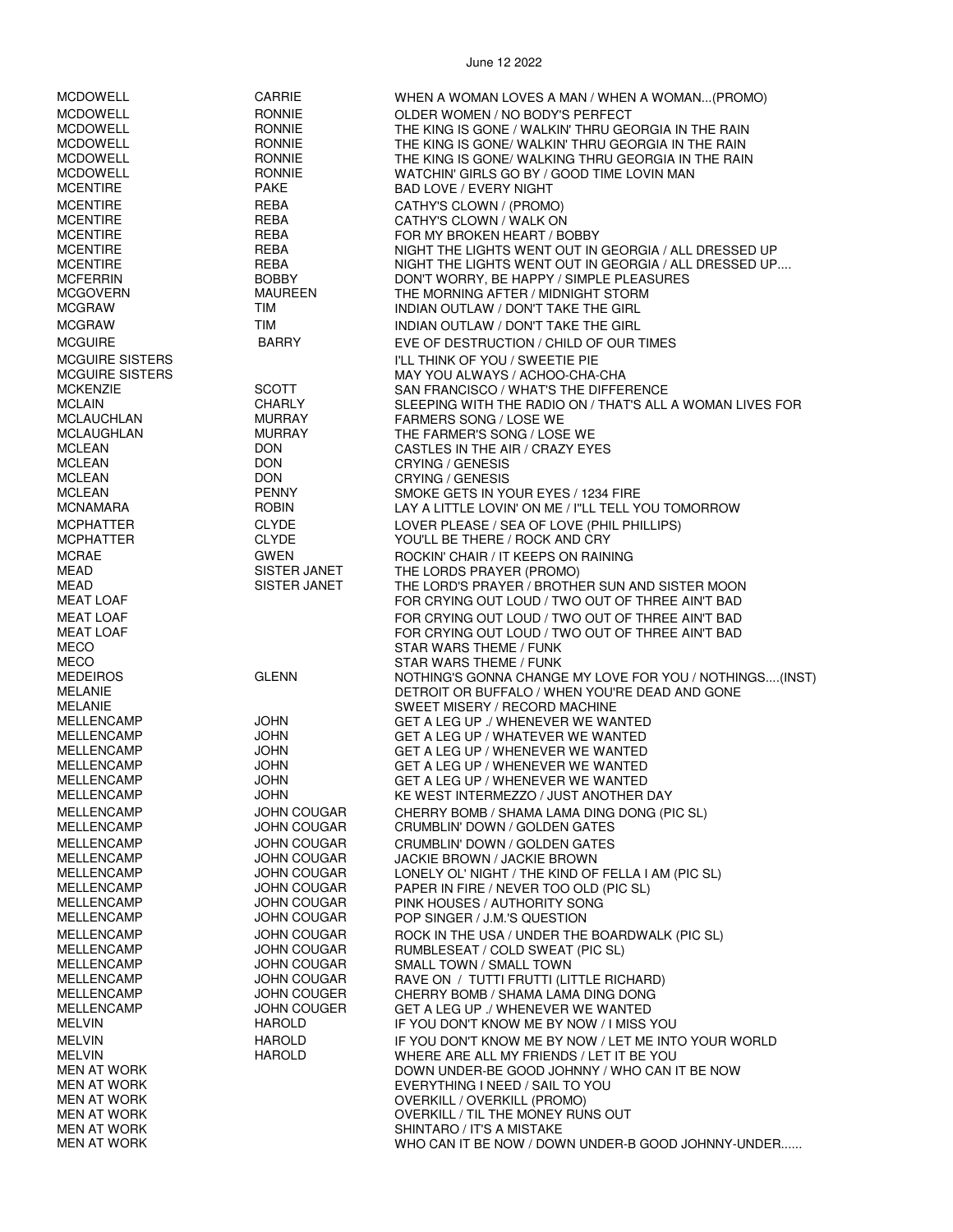MCDOWELL CARRIE WHEN A WOMAN LOVES A MAN / WHEN A WOMAN...(PROMO) MCDOWELL RONNIE OLDER WOMEN / NO BODY'S PERFECT MCDOWELL RONNIE THE KING IS GONE / WALKIN' THRU GEORGIA IN THE RAIN THE KING IS GONE/ WALKIN' THRU GEORGIA IN THE RAIN MCDOWELL RONNIE THE KING IS GONE/ WALKING THRU GEORGIA IN THE RAIN MCDOWELL RONNIE WATCHIN' GIRLS GO BY / GOOD TIME LOVIN MAN BAD LOVE / EVERY NIGHT MCENTIRE REBA CATHY'S CLOWN / (PROMO)<br>MCENTIRE REBA CATHY'S CLOWN / WALK ON MCENTIRE REBA CATHY'S CLOWN / WALK ON FOR MY BROKEN HEART / BOBBY MCENTIRE REBA NIGHT THE LIGHTS WENT OUT IN GEORGIA / ALL DRESSED UP MCENTIRE REBA NIGHT THE LIGHTS WENT OUT IN GEORGIA / ALL DRESSED UP.... DON'T WORRY, BE HAPPY / SIMPLE PLEASURES MCGOVERN MAUREEN THE MORNING AFTER / MIDNIGHT STORM<br>MCGRAW TIM TIM INDIAN OUTLAW / DON'T TAKE THE GIRL INDIAN OUTLAW / DON'T TAKE THE GIRL MCGRAW TIM TIM INDIAN OUTLAW / DON'T TAKE THE GIRL MCGUIRE **BARRY BARRY EVE OF DESTRUCTION / CHILD OF OUR TIMES** MCGUIRE SISTERS I'LL THINK OF YOU / SWEETIE PIE MAY YOU ALWAYS / ACHOO-CHA-CHA MCKENZIE SCOTT SAN FRANCISCO / WHAT'S THE DIFFERENCE MCLAIN CHARLY SLEEPING WITH THE RADIO ON / THAT'S ALL A WOMAN LIVES FOR<br>MCLAUCHLAN MURRAY FARMERS SONG / LOSE WE FARMERS SONG / LOSE WE MCLAUGHLAN MURRAY THE FARMER'S SONG / LOSE WE<br>MCLEAN DON DON CASTI FS IN THE AIR / CRAZY FYI MCLEAN DON CASTLES IN THE AIR / CRAZY EYES MCLEAN DON CRYING / GENESIS<br>MCLEAN DON CRYING / GFNESIS MCLEAN DON CRYING / GENESIS SMOKE GETS IN YOUR EYES / 1234 FIRE MCNAMARA ROBIN ROBIN LAY A LITTLE LOVIN' ON ME / I''LL TELL YOU TOMORROW MCPHATTER CLYDE LOVER PLEASE / SEA OF LOVE (PHIL PHILLIPS) YOU'LL BE THERE / ROCK AND CRY MCRAE GWEN GWEN ROCKIN' CHAIR / IT KEEPS ON RAINING<br>MEAD SISTER JANET THE LORDS PRAYER (PROMO) SISTER JANET THE LORDS PRAYER (PROMO)<br>SISTER JANET THE LORD'S PRAYER / BROTHI MEAD SISTER JANET THE LORD'S PRAYER / BROTHER SUN AND SISTER MOON<br>MEAT LOAF THREE AIN'T BAD FOR CRYING OUT LOUD / TWO OUT OF THREE AIN'T BAD MEAT LOAF FOR CRYING OUT LOUD / TWO OUT OF THREE AIN'T BAD MEAT LOAF FOR CRYING OUT LOUD / TWO OUT OF THREE AIN'T BAD MEAT LOAF FOR CRYING OUT LOUD / TWO OUT OF THREE AIN'T BAD MECO<br>MECO MECO MECO STAR WARS THEME / FUNK MECO STAR WARS THEME / FUNK NOTHING'S GONNA CHANGE MY LOVE FOR YOU / NOTHINGS....(INST) MELANIE DETROIT OR BUFFALO / WHEN YOU'RE DEAD AND GONE MELANIE SWEET MISERY / RECORD MACHINE MELLENCAMP JOHN GET A LEG UP ./ WHENEVER WE WANTED MELLENCAMP JOHN GET A LEG UP / WHATEVER WE WANTED MELLENCAMP JOHN GET A LEG UP / WHENEVER WE WANTED MELLENCAMP JOHN GET A LEG UP / WHENEVER WE WANTED MELLENCAMP JOHN GET A LEG UP / WHENEVER WE WANTED KE WEST INTERMEZZO / JUST ANOTHER DAY MELLENCAMP JOHN COUGAR CHERRY BOMB / SHAMA LAMA DING DONG (PIC SL) CRUMBLIN' DOWN / GOLDEN GATES MELLENCAMP JOHN COUGAR CRUMBLIN' DOWN / GOLDEN GATES JOHN COUGAR JACKIE BROWN / JACKIE BROWN<br>JOHN COUGAR LONELY OL' NIGHT / THE KIND OF MELLENCAMP JOHN COUGAR LONELY OL' NIGHT / THE KIND OF FELLA I AM (PIC SL) MELLENCAMP JOHN COUGAR PAPER IN FIRE / NEVER TOO OLD (PIC SL) MELLENCAMP JOHN COUGAR PINK HOUSES / AUTHORITY SONG POP SINGER / J.M.'S QUESTION MELLENCAMP JOHN COUGAR ROCK IN THE USA / UNDER THE BOARDWALK (PIC SL) MELLENCAMP JOHN COUGAR RUMBLESEAT / COLD SWEAT (PIC SL) SMALL TOWN / SMALL TOWN MELLENCAMP JOHN COUGAR RAVE ON / TUTTI FRUTTI (LITTLE RICHARD) MELLENCAMP JOHN COUGER CHERRY BOMB / SHAMA LAMA DING DONG MELLENCAMP JOHN COUGER GET A LEG UP ./ WHENEVER WE WANTED IF YOU DON'T KNOW ME BY NOW / I MISS YOU MELVIN HAROLD IF YOU DON'T KNOW ME BY NOW / LET ME INTO YOUR WORLD MELVIN HAROLD WHERE ARE ALL MY FRIENDS / LET IT BE YOU MEN AT WORK DOWN UNDER-BE GOOD JOHNNY / WHO CAN IT BE NOW EVERYTHING I NEED / SAIL TO YOU MEN AT WORK OVERKILL / OVERKILL (PROMO) MEN AT WORK OVERKILL / TIL THE MONEY RUNS OUT MEN AT WORK SHINTARO / IT'S A MISTAKE<br>MEN AT WORK SHINTARO / IT'S A MISTAKE WHO CAN IT BE NOW / DOWN UNDER-B GOOD JOHNNY-UNDER......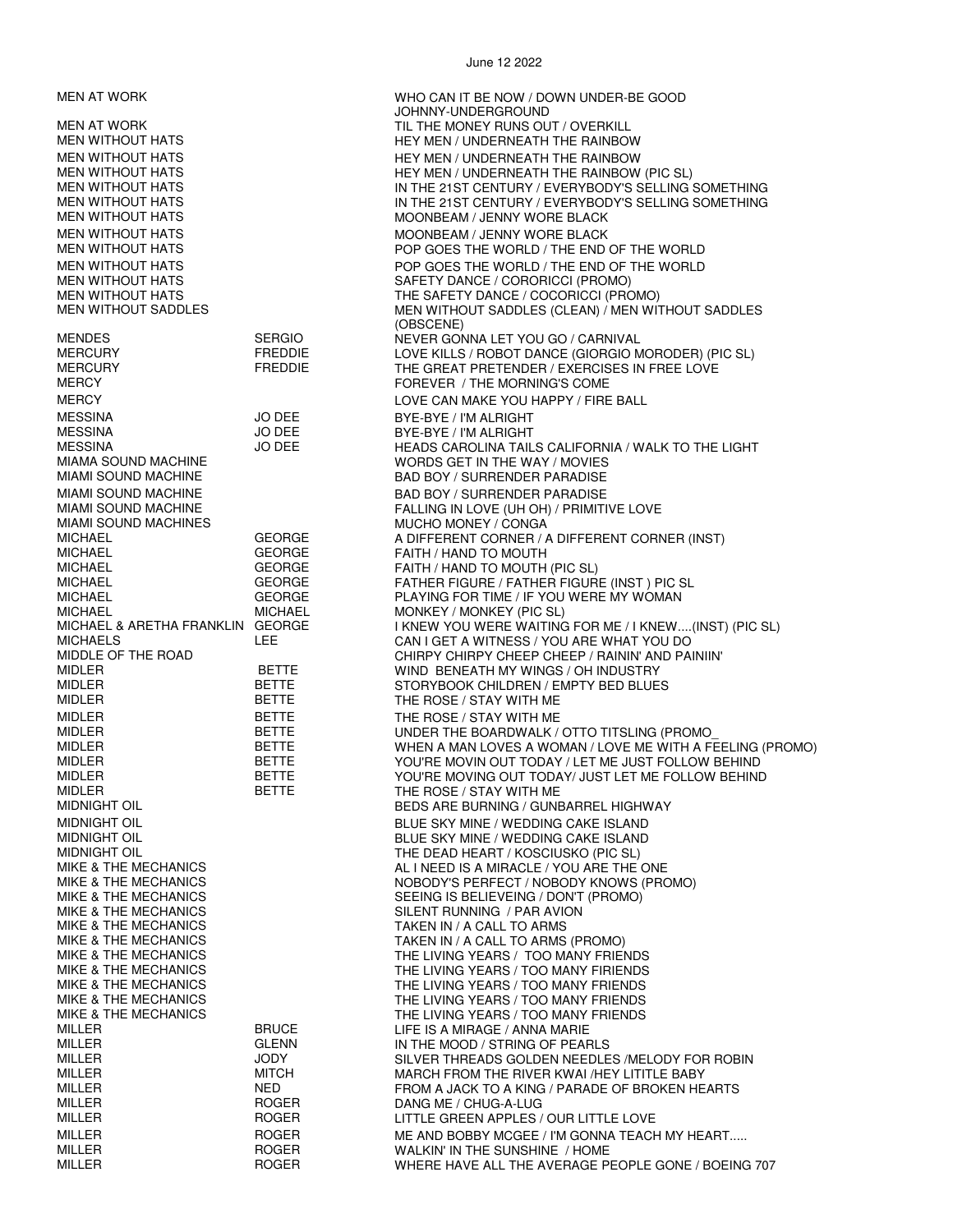MESSINA JO DEE BYE-BYE / I'M ALRIGHT MESSINA JO DEE BYE-BYE / I'M ALRIGHT MIAMI SOUND MACHINES MUCHO MONEY / CONGA MICHAEL GEORGE FAITH / HAND TO MOUTH MICHAEL MICHAEL MONKEY / MONKEY (PIC SL) MIDLER BETTE THE ROSE / STAY WITH ME MIDLER BETTE THE ROSE / STAY WITH ME MIDLER BETTE THE ROSE / STAY WITH ME MIKE & THE MECHANICS **SILENT RUNNING / PAR AVION** MIKE & THE MECHANICS TAKEN IN / A CALL TO ARMS MILLER ROGER DANG ME / CHUG-A-LUG

#### June 12 2022

MEN AT WORK WHO CAN IT BE NOW / DOWN UNDER-BE GOOD JOHNNY-UNDERGROUND MEN AT WORK TIL THE MONEY RUNS OUT / OVERKILL<br>MEN WITHOUT HATS TIL THE MONEY MEN / UNDERNEATH THE RAINBOY HEY MEN / UNDERNEATH THE RAINBOW MEN WITHOUT HATS **HEY MEN / UNDERNEATH THE RAINBOW** MEN WITHOUT HATS **HEY MEN / UNDERNEATH THE RAINBOW (PIC SL)** MEN WITHOUT HATS THE 21ST CENTURY / EVERYBODY'S SELLING SOMETHING<br>IN THE 21ST CENTURY / EVERYBODY'S SELLING SOMETHING IN THE 21ST CENTURY / EVERYBODY'S SELLING SOMETHING MEN WITHOUT HATS MOONBEAM / JENNY WORE BLACK MEN WITHOUT HATS MOON THE MOONBEAM / JENNY WORE BLACK MEN WITHOUT HATS POP GOES THE WORLD / THE END OF THE WORLD MEN WITHOUT HATS THE WORLD WITHOUT HATS POP GOES THE WORLD AND THE END OF THE WORLD MENT ON THE WORLD MENT OF THE WORLD AND MENT ON A SAFETY DANCE / CORORICCI (PROMO) MEN WITHOUT HATS SAFETY DANCE / CORORICCI (PROMO) THE SAFETY DANCE / COCORICCI (PROMO) MEN WITHOUT SADDLES MEN WITHOUT SADDLES (CLEAN) / MEN WITHOUT SADDLES (OBSCENE) MENDES SERGIO NEVER GONNA LET YOU GO / CARNIVAL LOVE KILLS / ROBOT DANCE (GIORGIO MORODER) (PIC SL) MERCURY FREDDIE THE GREAT PRETENDER / EXERCISES IN FREE LOVE THE GREAT PRETENDER / EXERCISES IN FREE LOVE FOREVER / THE MORNING'S COME MERCY LOVE CAN MAKE YOU HAPPY / FIRE BALL MESSINA JO DEE HEADS CAROLINA TAILS CALIFORNIA / WALK TO THE LIGHT MIAMA SOUND MACHINE WORDS GET IN THE WAY / MOVIES BAD BOY / SURRENDER PARADISE MIAMI SOUND MACHINE **Example 20 State 1 State State BAD BOY** / SURRENDER PARADISE MIAMI SOUND MACHINE FALLING IN LOVE (UH OH) / PRIMITIVE LOVE A DIFFERENT CORNER / A DIFFERENT CORNER (INST) MICHAEL GEORGE FAITH / HAND TO MOUTH (PIC SL) MICHAEL GEORGE FATHER FIGURE / FATHER FIGURE (INST ) PIC SL PLAYING FOR TIME / IF YOU WERE MY WOMAN MICHAEL & ARETHA FRANKLIN GEORGE I KNEW YOU WERE WAITING FOR ME / I KNEW....(INST) (PIC SL) MICHAELS LEE CAN I GET A WITNESS / YOU ARE WHAT YOU DO<br>MIDDLE OF THE ROAD CHIRPY CHIRPY CHIRPY CHEEP CHEEP / RAININ' AND PA CHIRPY CHIRPY CHEEP CHEEP / RAININ' AND PAINIIN' MIDLER BETTE WIND BENEATH MY WINGS / OH INDUSTRY STORYBOOK CHILDREN / EMPTY BED BLUES MIDLER BETTE UNDER THE BOARDWALK / OTTO TITSLING (PROMO\_ MIDLER BETTE WHEN A MAN LOVES A WOMAN / LOVE ME WITH A FEELING (PROMO) MIDLER BETTE YOU'RE MOVIN OUT TODAY / LET ME JUST FOLLOW BEHIND YOU'RE MOVING OUT TODAY/ JUST LET ME FOLLOW BEHIND BEDS ARE BURNING / GUNBARREL HIGHWAY MIDNIGHT OIL BLUE SKY MINE / WEDDING CAKE ISLAND BLUE SKY MINE / WEDDING CAKE ISLAND MIDNIGHT OIL THE DEAD HEART / KOSCIUSKO (PIC SL) AL I NEED IS A MIRACLE / YOU ARE THE ONE MIKE & THE MECHANICS NOBODY'S PERFECT / NOBODY KNOWS (PROMO) SEEING IS BELIEVEING / DON'T (PROMO) MIKE & THE MECHANICS TAKEN IN / A CALL TO ARMS (PROMO) THE LIVING YEARS / TOO MANY FRIENDS MIKE & THE MECHANICS THE LIVING YEARS / TOO MANY FIRIENDS MIKE & THE MECHANICS THE LIVING YEARS / TOO MANY FRIENDS MIKE & THE MECHANICS<br>MIKE & THE MECHANICS THE LIVING YEARS / TOO MANY FRIENDS THE LIVING YEARS / TOO MANY FRIENDS MILLER BRUCE LIFE IS A MIRAGE / ANNA MARIE MILLER GLENN IN THE MOOD / STRING OF PEARLS JODY SILVER THREADS GOLDEN NEEDLES /MELODY FOR ROBIN<br>MITCH MARCH FROM THE RIVER KWAL/HEY LITITLE BARY MILLER **MITCH MITCH MARCH FROM THE RIVER KWAI /HEY LITITLE BABY** MILLER NED NED FROM A JACK TO A KING / PARADE OF BROKEN HEARTS LITTLE GREEN APPLES / OUR LITTLE LOVE MILLER ROGER ME AND BOBBY MCGEE / I'M GONNA TEACH MY HEART..... WALKIN' IN THE SUNSHINE / HOME MILLER **ROGER WHERE HAVE ALL THE AVERAGE PEOPLE GONE** / BOEING 707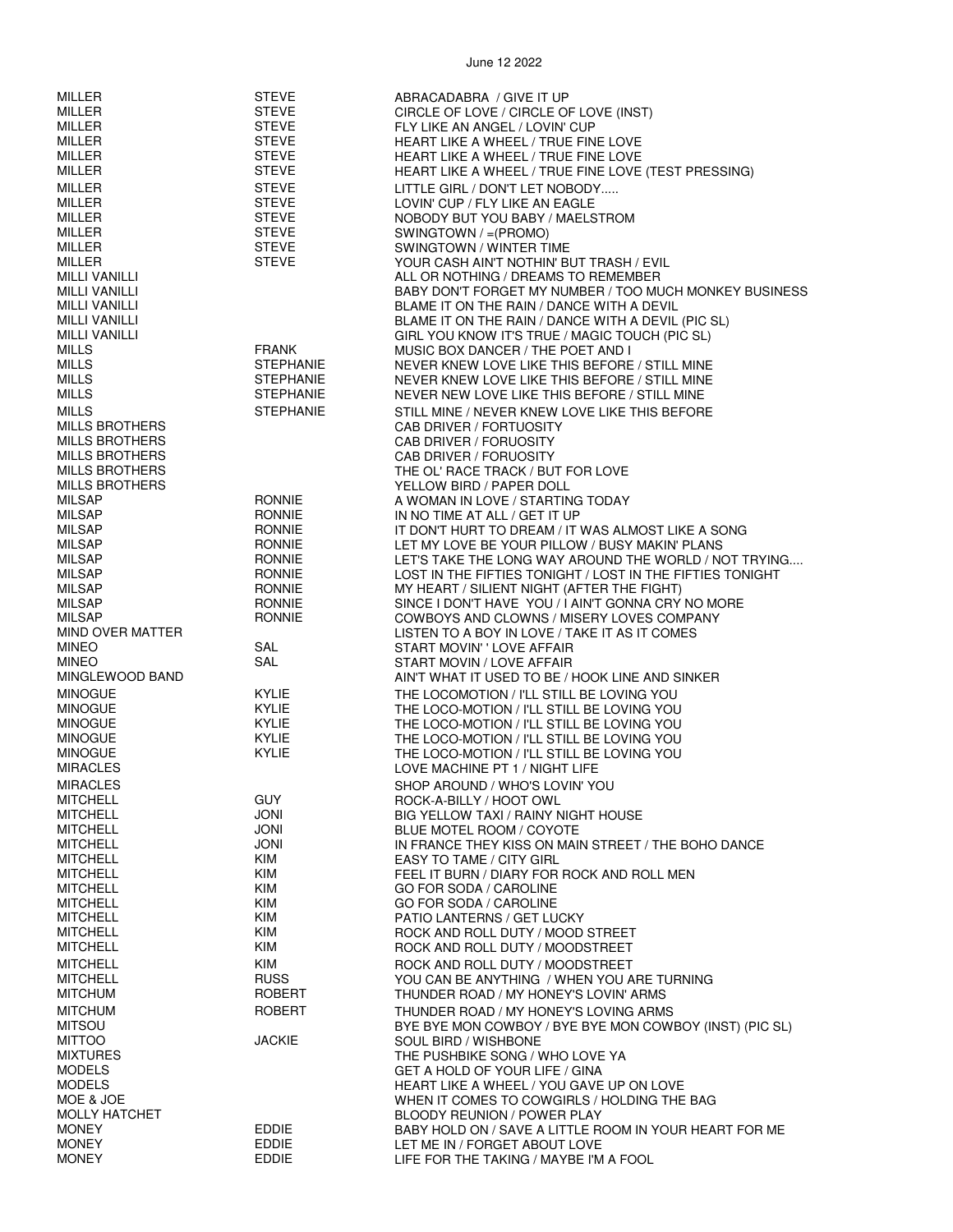| MILLER                                       | <b>STEVE</b>              | ABRACADABRA / GIVE IT UP                                                                                |
|----------------------------------------------|---------------------------|---------------------------------------------------------------------------------------------------------|
| <b>MILLER</b>                                | <b>STEVE</b>              | CIRCLE OF LOVE / CIRCLE OF LOVE (INST)                                                                  |
| MILLER                                       | <b>STEVE</b>              | FLY LIKE AN ANGEL / LOVIN' CUP                                                                          |
| <b>MILLER</b>                                | <b>STEVE</b>              | HEART LIKE A WHEEL / TRUE FINE LOVE                                                                     |
| <b>MILLER</b>                                | <b>STEVE</b>              | HEART LIKE A WHEEL / TRUE FINE LOVE                                                                     |
| MILLER                                       | <b>STEVE</b>              | HEART LIKE A WHEEL / TRUE FINE LOVE (TEST PRESSING)                                                     |
| MILLER                                       | <b>STEVE</b>              | LITTLE GIRL / DON'T LET NOBODY                                                                          |
| <b>MILLER</b>                                | <b>STEVE</b>              | LOVIN' CUP / FLY LIKE AN EAGLE                                                                          |
| <b>MILLER</b>                                | <b>STEVE</b>              | NOBODY BUT YOU BABY / MAELSTROM                                                                         |
| MILLER                                       | <b>STEVE</b>              | SWINGTOWN / = (PROMO)                                                                                   |
| <b>MILLER</b>                                | <b>STEVE</b>              | SWINGTOWN / WINTER TIME                                                                                 |
| MILLER                                       | <b>STEVE</b>              | YOUR CASH AIN'T NOTHIN' BUT TRASH / EVIL                                                                |
| <b>MILLI VANILLI</b><br><b>MILLI VANILLI</b> |                           | ALL OR NOTHING / DREAMS TO REMEMBER                                                                     |
| MILLI VANILLI                                |                           | BABY DON'T FORGET MY NUMBER / TOO MUCH MONKEY BUSINESS<br>BLAME IT ON THE RAIN / DANCE WITH A DEVIL     |
| <b>MILLI VANILLI</b>                         |                           | BLAME IT ON THE RAIN / DANCE WITH A DEVIL (PIC SL)                                                      |
| <b>MILLI VANILLI</b>                         |                           | GIRL YOU KNOW IT'S TRUE / MAGIC TOUCH (PIC SL)                                                          |
| MILLS                                        | <b>FRANK</b>              | MUSIC BOX DANCER / THE POET AND I                                                                       |
| <b>MILLS</b>                                 | <b>STEPHANIE</b>          | NEVER KNEW LOVE LIKE THIS BEFORE / STILL MINE                                                           |
| <b>MILLS</b>                                 | <b>STEPHANIE</b>          | NEVER KNEW LOVE LIKE THIS BEFORE / STILL MINE                                                           |
| <b>MILLS</b>                                 | <b>STEPHANIE</b>          | NEVER NEW LOVE LIKE THIS BEFORE / STILL MINE                                                            |
| <b>MILLS</b>                                 | <b>STEPHANIE</b>          | STILL MINE / NEVER KNEW LOVE LIKE THIS BEFORE                                                           |
| <b>MILLS BROTHERS</b>                        |                           | CAB DRIVER / FORTUOSITY                                                                                 |
| <b>MILLS BROTHERS</b>                        |                           | CAB DRIVER / FORUOSITY                                                                                  |
| <b>MILLS BROTHERS</b>                        |                           | CAB DRIVER / FORUOSITY                                                                                  |
| <b>MILLS BROTHERS</b>                        |                           | THE OL' RACE TRACK / BUT FOR LOVE                                                                       |
| <b>MILLS BROTHERS</b>                        |                           | YELLOW BIRD / PAPER DOLL                                                                                |
| <b>MILSAP</b>                                | <b>RONNIE</b>             | A WOMAN IN LOVE / STARTING TODAY                                                                        |
| <b>MILSAP</b>                                | <b>RONNIE</b>             | IN NO TIME AT ALL / GET IT UP                                                                           |
| <b>MILSAP</b>                                | <b>RONNIE</b>             | IT DON'T HURT TO DREAM / IT WAS ALMOST LIKE A SONG                                                      |
| <b>MILSAP</b>                                | <b>RONNIE</b>             | LET MY LOVE BE YOUR PILLOW / BUSY MAKIN' PLANS                                                          |
| <b>MILSAP</b><br>MILSAP                      | <b>RONNIE</b><br>RONNIE   | LET'S TAKE THE LONG WAY AROUND THE WORLD / NOT TRYING                                                   |
| <b>MILSAP</b>                                | <b>RONNIE</b>             | LOST IN THE FIFTIES TONIGHT / LOST IN THE FIFTIES TONIGHT<br>MY HEART / SILIENT NIGHT (AFTER THE FIGHT) |
| <b>MILSAP</b>                                | <b>RONNIE</b>             | SINCE I DON'T HAVE YOU / I AIN'T GONNA CRY NO MORE                                                      |
| <b>MILSAP</b>                                | <b>RONNIE</b>             | COWBOYS AND CLOWNS / MISERY LOVES COMPANY                                                               |
| MIND OVER MATTER                             |                           | LISTEN TO A BOY IN LOVE / TAKE IT AS IT COMES                                                           |
| <b>MINEO</b>                                 | SAL                       | START MOVIN' ' LOVE AFFAIR                                                                              |
| <b>MINEO</b>                                 | SAL                       | START MOVIN / LOVE AFFAIR                                                                               |
| MINGLEWOOD BAND                              |                           | AIN'T WHAT IT USED TO BE / HOOK LINE AND SINKER                                                         |
| <b>MINOGUE</b>                               | <b>KYLIE</b>              | THE LOCOMOTION / I'LL STILL BE LOVING YOU                                                               |
| <b>MINOGUE</b>                               | <b>KYLIE</b>              | THE LOCO-MOTION / I'LL STILL BE LOVING YOU                                                              |
| <b>MINOGUE</b>                               | KYLIE                     | THE LOCO-MOTION / I'LL STILL BE LOVING YOU                                                              |
| <b>MINOGUE</b>                               | <b>KYLIE</b>              | THE LOCO-MOTION / I'LL STILL BE LOVING YOU                                                              |
| <b>MINOGUE</b>                               | <b>KYLIE</b>              | THE LOCO-MOTION / I'LL STILL BE LOVING YOU                                                              |
| <b>MIRACLES</b>                              |                           | LOVE MACHINE PT 1 / NIGHT LIFE                                                                          |
| <b>MIRACLES</b>                              |                           | SHOP AROUND / WHO'S LOVIN' YOU                                                                          |
| <b>MITCHELL</b><br><b>MITCHELL</b>           | <b>GUY</b><br><b>JONI</b> | ROCK-A-BILLY / HOOT OWL                                                                                 |
| <b>MITCHELL</b>                              | JONI                      | <b>BIG YELLOW TAXI / RAINY NIGHT HOUSE</b><br>BLUE MOTEL ROOM / COYOTE                                  |
| <b>MITCHELL</b>                              | <b>JONI</b>               | IN FRANCE THEY KISS ON MAIN STREET / THE BOHO DANCE                                                     |
| <b>MITCHELL</b>                              | KIM                       | EASY TO TAME / CITY GIRL                                                                                |
| <b>MITCHELL</b>                              | KIM                       | FEEL IT BURN / DIARY FOR ROCK AND ROLL MEN                                                              |
| <b>MITCHELL</b>                              | KIM                       | <b>GO FOR SODA / CAROLINE</b>                                                                           |
| <b>MITCHELL</b>                              | KIM                       | <b>GO FOR SODA / CAROLINE</b>                                                                           |
| <b>MITCHELL</b>                              | KIM                       | PATIO LANTERNS / GET LUCKY                                                                              |
| <b>MITCHELL</b>                              | KIM                       | ROCK AND ROLL DUTY / MOOD STREET                                                                        |
| <b>MITCHELL</b>                              | KIM                       | ROCK AND ROLL DUTY / MOODSTREET                                                                         |
| <b>MITCHELL</b>                              | <b>KIM</b>                | ROCK AND ROLL DUTY / MOODSTREET                                                                         |
| <b>MITCHELL</b>                              | <b>RUSS</b>               | YOU CAN BE ANYTHING / WHEN YOU ARE TURNING                                                              |
| <b>MITCHUM</b>                               | ROBERT                    | THUNDER ROAD / MY HONEY'S LOVIN' ARMS                                                                   |
| <b>MITCHUM</b>                               | <b>ROBERT</b>             | THUNDER ROAD / MY HONEY'S LOVING ARMS                                                                   |
| <b>MITSOU</b>                                |                           | BYE BYE MON COWBOY / BYE BYE MON COWBOY (INST) (PIC SL)                                                 |
| <b>MITTOO</b>                                | <b>JACKIE</b>             | SOUL BIRD / WISHBONE                                                                                    |
| <b>MIXTURES</b>                              |                           | THE PUSHBIKE SONG / WHO LOVE YA                                                                         |
| <b>MODELS</b>                                |                           | <b>GET A HOLD OF YOUR LIFE / GINA</b>                                                                   |
| <b>MODELS</b><br>MOE & JOE                   |                           | HEART LIKE A WHEEL / YOU GAVE UP ON LOVE                                                                |
| MOLLY HATCHET                                |                           | WHEN IT COMES TO COWGIRLS / HOLDING THE BAG<br>BLOODY REUNION / POWER PLAY                              |
| <b>MONEY</b>                                 | EDDIE                     | BABY HOLD ON / SAVE A LITTLE ROOM IN YOUR HEART FOR ME                                                  |
| <b>MONEY</b>                                 | EDDIE                     | LET ME IN / FORGET ABOUT LOVE                                                                           |
| <b>MONEY</b>                                 | <b>EDDIE</b>              | LIFE FOR THE TAKING / MAYBE I'M A FOOL                                                                  |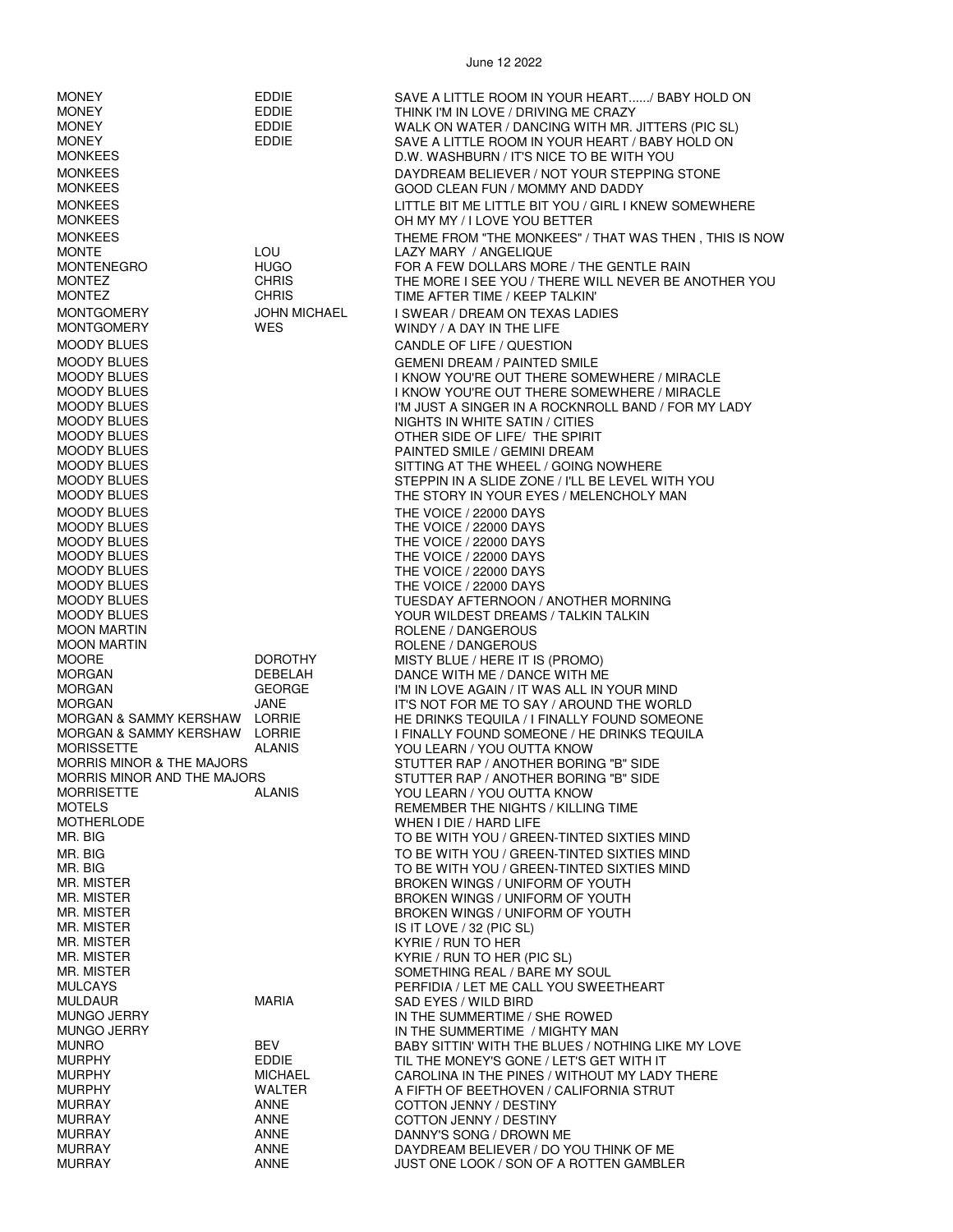| <b>MONEY</b>                                       | <b>EDDIE</b>                      | SAVE A LITTLE ROOM IN YOUR HEART/ BABY HOLD ON                                                       |
|----------------------------------------------------|-----------------------------------|------------------------------------------------------------------------------------------------------|
| <b>MONEY</b>                                       | EDDIE                             | THINK I'M IN LOVE / DRIVING ME CRAZY                                                                 |
| <b>MONEY</b><br><b>MONEY</b>                       | <b>EDDIE</b><br><b>EDDIE</b>      | WALK ON WATER / DANCING WITH MR. JITTERS (PIC SL)<br>SAVE A LITTLE ROOM IN YOUR HEART / BABY HOLD ON |
| <b>MONKEES</b>                                     |                                   | D.W. WASHBURN / IT'S NICE TO BE WITH YOU                                                             |
| <b>MONKEES</b>                                     |                                   | DAYDREAM BELIEVER / NOT YOUR STEPPING STONE                                                          |
| <b>MONKEES</b><br><b>MONKEES</b>                   |                                   | GOOD CLEAN FUN / MOMMY AND DADDY<br>LITTLE BIT ME LITTLE BIT YOU / GIRL I KNEW SOMEWHERE             |
| <b>MONKEES</b>                                     |                                   | OH MY MY / I LOVE YOU BETTER                                                                         |
| <b>MONKEES</b>                                     |                                   | THEME FROM "THE MONKEES" / THAT WAS THEN, THIS IS NOW                                                |
| <b>MONTE</b>                                       | LOU                               | LAZY MARY / ANGELIQUE                                                                                |
| <b>MONTENEGRO</b><br><b>MONTEZ</b>                 | <b>HUGO</b><br><b>CHRIS</b>       | FOR A FEW DOLLARS MORE / THE GENTLE RAIN<br>THE MORE I SEE YOU / THERE WILL NEVER BE ANOTHER YOU     |
| <b>MONTEZ</b>                                      | <b>CHRIS</b>                      | TIME AFTER TIME / KEEP TALKIN'                                                                       |
| <b>MONTGOMERY</b><br><b>MONTGOMERY</b>             | <b>JOHN MICHAEL</b><br><b>WES</b> | I SWEAR / DREAM ON TEXAS LADIES<br>WINDY / A DAY IN THE LIFE                                         |
| <b>MOODY BLUES</b>                                 |                                   | CANDLE OF LIFE / QUESTION                                                                            |
| <b>MOODY BLUES</b>                                 |                                   | <b>GEMENI DREAM / PAINTED SMILE</b>                                                                  |
| <b>MOODY BLUES</b>                                 |                                   | I KNOW YOU'RE OUT THERE SOMEWHERE / MIRACLE                                                          |
| <b>MOODY BLUES</b><br><b>MOODY BLUES</b>           |                                   | I KNOW YOU'RE OUT THERE SOMEWHERE / MIRACLE<br>I'M JUST A SINGER IN A ROCKNROLL BAND / FOR MY LADY   |
| <b>MOODY BLUES</b>                                 |                                   | NIGHTS IN WHITE SATIN / CITIES                                                                       |
| <b>MOODY BLUES</b>                                 |                                   | OTHER SIDE OF LIFE/ THE SPIRIT                                                                       |
| <b>MOODY BLUES</b><br><b>MOODY BLUES</b>           |                                   | PAINTED SMILE / GEMINI DREAM<br>SITTING AT THE WHEEL / GOING NOWHERE                                 |
| <b>MOODY BLUES</b>                                 |                                   | STEPPIN IN A SLIDE ZONE / I'LL BE LEVEL WITH YOU                                                     |
| <b>MOODY BLUES</b>                                 |                                   | THE STORY IN YOUR EYES / MELENCHOLY MAN                                                              |
| <b>MOODY BLUES</b><br><b>MOODY BLUES</b>           |                                   | THE VOICE / 22000 DAYS<br>THE VOICE / 22000 DAYS                                                     |
| <b>MOODY BLUES</b>                                 |                                   | THE VOICE / 22000 DAYS                                                                               |
| <b>MOODY BLUES</b>                                 |                                   | THE VOICE / 22000 DAYS                                                                               |
| <b>MOODY BLUES</b><br><b>MOODY BLUES</b>           |                                   | THE VOICE / 22000 DAYS<br>THE VOICE / 22000 DAYS                                                     |
| <b>MOODY BLUES</b>                                 |                                   | TUESDAY AFTERNOON / ANOTHER MORNING                                                                  |
| <b>MOODY BLUES</b>                                 |                                   | YOUR WILDEST DREAMS / TALKIN TALKIN                                                                  |
| <b>MOON MARTIN</b><br><b>MOON MARTIN</b>           |                                   | ROLENE / DANGEROUS<br>ROLENE / DANGEROUS                                                             |
| <b>MOORE</b>                                       | <b>DOROTHY</b>                    | MISTY BLUE / HERE IT IS (PROMO)                                                                      |
| <b>MORGAN</b><br><b>MORGAN</b>                     | DEBELAH<br><b>GEORGE</b>          | DANCE WITH ME / DANCE WITH ME                                                                        |
| <b>MORGAN</b>                                      | JANE                              | I'M IN LOVE AGAIN / IT WAS ALL IN YOUR MIND<br>IT'S NOT FOR ME TO SAY / AROUND THE WORLD             |
| MORGAN & SAMMY KERSHAW LORRIE                      |                                   | HE DRINKS TEQUILA / I FINALLY FOUND SOMEONE                                                          |
| MORGAN & SAMMY KERSHAW LORRIE<br><b>MORISSETTE</b> | <b>ALANIS</b>                     | I FINALLY FOUND SOMEONE / HE DRINKS TEQUILA<br>YOU LEARN / YOU OUTTA KNOW                            |
| <b>MORRIS MINOR &amp; THE MAJORS</b>               |                                   | STUTTER RAP / ANOTHER BORING "B" SIDE                                                                |
| MORRIS MINOR AND THE MAJORS                        |                                   | STUTTER RAP / ANOTHER BORING "B" SIDE                                                                |
| <b>MORRISETTE</b><br><b>MOTELS</b>                 | <b>ALANIS</b>                     | YOU LEARN / YOU OUTTA KNOW<br>REMEMBER THE NIGHTS / KILLING TIME                                     |
| <b>MOTHERLODE</b>                                  |                                   | WHEN I DIE / HARD LIFE                                                                               |
| MR. BIG                                            |                                   | TO BE WITH YOU / GREEN-TINTED SIXTIES MIND                                                           |
| MR. BIG<br>MR. BIG                                 |                                   | TO BE WITH YOU / GREEN-TINTED SIXTIES MIND<br>TO BE WITH YOU / GREEN-TINTED SIXTIES MIND             |
| MR. MISTER                                         |                                   | BROKEN WINGS / UNIFORM OF YOUTH                                                                      |
| MR. MISTER                                         |                                   | BROKEN WINGS / UNIFORM OF YOUTH                                                                      |
| MR. MISTER<br>MR. MISTER                           |                                   | BROKEN WINGS / UNIFORM OF YOUTH<br>IS IT LOVE / 32 (PIC SL)                                          |
| MR. MISTER                                         |                                   | KYRIE / RUN TO HER                                                                                   |
| MR. MISTER<br>MR. MISTER                           |                                   | KYRIE / RUN TO HER (PIC SL)<br>SOMETHING REAL / BARE MY SOUL                                         |
| <b>MULCAYS</b>                                     |                                   | PERFIDIA / LET ME CALL YOU SWEETHEART                                                                |
| <b>MULDAUR</b>                                     | <b>MARIA</b>                      | SAD EYES / WILD BIRD                                                                                 |
| MUNGO JERRY<br><b>MUNGO JERRY</b>                  |                                   | IN THE SUMMERTIME / SHE ROWED<br>IN THE SUMMERTIME / MIGHTY MAN                                      |
| <b>MUNRO</b>                                       | BEV                               | BABY SITTIN' WITH THE BLUES / NOTHING LIKE MY LOVE                                                   |
| <b>MURPHY</b>                                      | EDDIE                             | TIL THE MONEY'S GONE / LET'S GET WITH IT                                                             |
| <b>MURPHY</b><br><b>MURPHY</b>                     | <b>MICHAEL</b><br>WALTER          | CAROLINA IN THE PINES / WITHOUT MY LADY THERE<br>A FIFTH OF BEETHOVEN / CALIFORNIA STRUT             |
| <b>MURRAY</b>                                      | ANNE                              | COTTON JENNY / DESTINY                                                                               |
| <b>MURRAY</b><br><b>MURRAY</b>                     | ANNE<br>ANNE                      | COTTON JENNY / DESTINY                                                                               |
| <b>MURRAY</b>                                      | ANNE                              | DANNY'S SONG / DROWN ME<br>DAYDREAM BELIEVER / DO YOU THINK OF ME                                    |
| <b>MURRAY</b>                                      | ANNE                              | JUST ONE LOOK / SON OF A ROTTEN GAMBLER                                                              |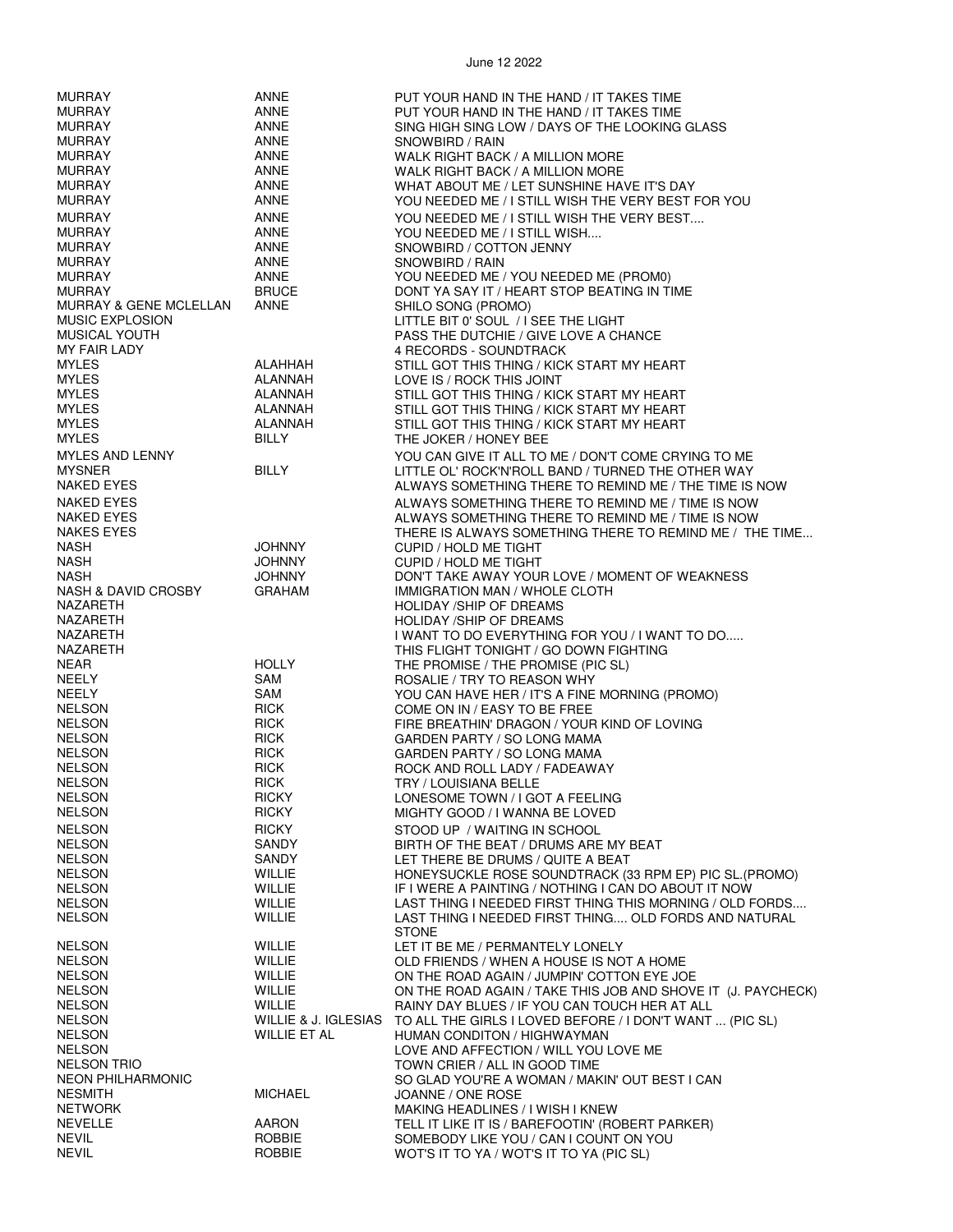| <b>MURRAY</b>                     | ANNE                 | PUT YOUR HAND IN THE HAND / IT TAKES TIME                    |
|-----------------------------------|----------------------|--------------------------------------------------------------|
| <b>MURRAY</b>                     | ANNE                 | PUT YOUR HAND IN THE HAND / IT TAKES TIME                    |
|                                   |                      |                                                              |
| <b>MURRAY</b>                     | ANNE                 | SING HIGH SING LOW / DAYS OF THE LOOKING GLASS               |
| <b>MURRAY</b>                     | ANNE                 | SNOWBIRD / RAIN                                              |
| <b>MURRAY</b>                     | ANNE                 | WALK RIGHT BACK / A MILLION MORE                             |
| <b>MURRAY</b>                     | ANNE                 |                                                              |
|                                   |                      | WALK RIGHT BACK / A MILLION MORE                             |
| <b>MURRAY</b>                     | ANNE                 | WHAT ABOUT ME / LET SUNSHINE HAVE IT'S DAY                   |
| <b>MURRAY</b>                     | ANNE                 | YOU NEEDED ME / I STILL WISH THE VERY BEST FOR YOU           |
|                                   |                      |                                                              |
| <b>MURRAY</b>                     | ANNE                 | YOU NEEDED ME / I STILL WISH THE VERY BEST                   |
| <b>MURRAY</b>                     | ANNE                 | YOU NEEDED ME / I STILL WISH                                 |
| <b>MURRAY</b>                     | ANNE                 | SNOWBIRD / COTTON JENNY                                      |
| <b>MURRAY</b>                     | ANNE                 | SNOWBIRD / RAIN                                              |
|                                   |                      |                                                              |
| <b>MURRAY</b>                     | ANNE                 | YOU NEEDED ME / YOU NEEDED ME (PROM0)                        |
| <b>MURRAY</b>                     | <b>BRUCE</b>         | DONT YA SAY IT / HEART STOP BEATING IN TIME                  |
| <b>MURRAY &amp; GENE MCLELLAN</b> | <b>ANNE</b>          | SHILO SONG (PROMO)                                           |
| <b>MUSIC EXPLOSION</b>            |                      | LITTLE BIT 0' SOUL / I SEE THE LIGHT                         |
|                                   |                      |                                                              |
| <b>MUSICAL YOUTH</b>              |                      | PASS THE DUTCHIE / GIVE LOVE A CHANCE                        |
| MY FAIR LADY                      |                      | 4 RECORDS - SOUNDTRACK                                       |
| <b>MYLES</b>                      | ALAHHAH              | STILL GOT THIS THING / KICK START MY HEART                   |
| <b>MYLES</b>                      |                      |                                                              |
|                                   | ALANNAH              | LOVE IS / ROCK THIS JOINT                                    |
| <b>MYLES</b>                      | ALANNAH              | STILL GOT THIS THING / KICK START MY HEART                   |
| <b>MYLES</b>                      | ALANNAH              | STILL GOT THIS THING / KICK START MY HEART                   |
| <b>MYLES</b>                      | ALANNAH              | STILL GOT THIS THING / KICK START MY HEART                   |
|                                   |                      |                                                              |
| <b>MYLES</b>                      | <b>BILLY</b>         | THE JOKER / HONEY BEE                                        |
| <b>MYLES AND LENNY</b>            |                      | YOU CAN GIVE IT ALL TO ME / DON'T COME CRYING TO ME          |
| <b>MYSNER</b>                     | <b>BILLY</b>         | LITTLE OL' ROCK'N'ROLL BAND / TURNED THE OTHER WAY           |
|                                   |                      |                                                              |
| NAKED EYES                        |                      | ALWAYS SOMETHING THERE TO REMIND ME / THE TIME IS NOW        |
| NAKED EYES                        |                      | ALWAYS SOMETHING THERE TO REMIND ME / TIME IS NOW            |
| NAKED EYES                        |                      | ALWAYS SOMETHING THERE TO REMIND ME / TIME IS NOW            |
|                                   |                      |                                                              |
| <b>NAKES EYES</b>                 |                      | THERE IS ALWAYS SOMETHING THERE TO REMIND ME / THE TIME      |
| <b>NASH</b>                       | <b>JOHNNY</b>        | CUPID / HOLD ME TIGHT                                        |
| <b>NASH</b>                       | <b>JOHNNY</b>        | CUPID / HOLD ME TIGHT                                        |
| <b>NASH</b>                       | <b>JOHNNY</b>        | DON'T TAKE AWAY YOUR LOVE / MOMENT OF WEAKNESS               |
|                                   |                      |                                                              |
| <b>NASH &amp; DAVID CROSBY</b>    | <b>GRAHAM</b>        | IMMIGRATION MAN / WHOLE CLOTH                                |
| NAZARETH                          |                      | HOLIDAY / SHIP OF DREAMS                                     |
| NAZARETH                          |                      | HOLIDAY / SHIP OF DREAMS                                     |
| NAZARETH                          |                      | I WANT TO DO EVERYTHING FOR YOU / I WANT TO DO               |
| NAZARETH                          |                      | THIS FLIGHT TONIGHT / GO DOWN FIGHTING                       |
|                                   |                      |                                                              |
| <b>NEAR</b>                       | <b>HOLLY</b>         | THE PROMISE / THE PROMISE (PIC SL)                           |
| <b>NEELY</b>                      | SAM                  | ROSALIE / TRY TO REASON WHY                                  |
| NEELY                             | SAM                  | YOU CAN HAVE HER / IT'S A FINE MORNING (PROMO)               |
| <b>NELSON</b>                     | <b>RICK</b>          | COME ON IN / EASY TO BE FREE                                 |
| <b>NELSON</b>                     | <b>RICK</b>          | FIRE BREATHIN' DRAGON / YOUR KIND OF LOVING                  |
|                                   |                      |                                                              |
| <b>NELSON</b>                     | <b>RICK</b>          | GARDEN PARTY / SO LONG MAMA                                  |
| <b>NELSON</b>                     | <b>RICK</b>          | GARDEN PARTY / SO LONG MAMA                                  |
| <b>NELSON</b>                     | <b>RICK</b>          | ROCK AND ROLL LADY / FADEAWAY                                |
| <b>NELSON</b>                     | <b>RICK</b>          | TRY / LOUISIANA BELLE                                        |
|                                   |                      |                                                              |
| <b>NELSON</b>                     | RICKY                | LONESOME TOWN / I GOT A FEELING                              |
| <b>NELSON</b>                     | <b>RICKY</b>         | MIGHTY GOOD / I WANNA BE LOVED                               |
| <b>NELSON</b>                     | <b>RICKY</b>         | STOOD UP / WAITING IN SCHOOL                                 |
| <b>NELSON</b>                     | <b>SANDY</b>         | BIRTH OF THE BEAT / DRUMS ARE MY BEAT                        |
| <b>NELSON</b>                     | <b>SANDY</b>         | LET THERE BE DRUMS / QUITE A BEAT                            |
|                                   |                      |                                                              |
| <b>NELSON</b>                     | WILLIE               | HONEYSUCKLE ROSE SOUNDTRACK (33 RPM EP) PIC SL. (PROMO)      |
| <b>NELSON</b>                     | WILLIE               | IF I WERE A PAINTING / NOTHING I CAN DO ABOUT IT NOW         |
| <b>NELSON</b>                     | WILLIE               | LAST THING I NEEDED FIRST THING THIS MORNING / OLD FORDS     |
| <b>NELSON</b>                     | WILLIE               | LAST THING I NEEDED FIRST THING OLD FORDS AND NATURAL        |
|                                   |                      |                                                              |
|                                   |                      | <b>STONE</b>                                                 |
| <b>NELSON</b>                     | WILLIE               | LET IT BE ME / PERMANTELY LONELY                             |
| <b>NELSON</b>                     | WILLIE               | OLD FRIENDS / WHEN A HOUSE IS NOT A HOME                     |
| <b>NELSON</b>                     | WILLIE               | ON THE ROAD AGAIN / JUMPIN' COTTON EYE JOE                   |
| <b>NELSON</b>                     | WILLIE               | ON THE ROAD AGAIN / TAKE THIS JOB AND SHOVE IT (J. PAYCHECK) |
|                                   |                      |                                                              |
| <b>NELSON</b>                     | WILLIE               | RAINY DAY BLUES / IF YOU CAN TOUCH HER AT ALL                |
| <b>NELSON</b>                     | WILLIE & J. IGLESIAS | TO ALL THE GIRLS I LOVED BEFORE / I DON'T WANT  (PIC SL)     |
| <b>NELSON</b>                     | WILLIE ET AL         | HUMAN CONDITON / HIGHWAYMAN                                  |
| <b>NELSON</b>                     |                      | LOVE AND AFFECTION / WILL YOU LOVE ME                        |
| <b>NELSON TRIO</b>                |                      |                                                              |
|                                   |                      | TOWN CRIER / ALL IN GOOD TIME                                |
| <b>NEON PHILHARMONIC</b>          |                      | SO GLAD YOU'RE A WOMAN / MAKIN' OUT BEST I CAN               |
| <b>NESMITH</b>                    | <b>MICHAEL</b>       | JOANNE / ONE ROSE                                            |
| <b>NETWORK</b>                    |                      | MAKING HEADLINES / I WISH I KNEW                             |
| <b>NEVELLE</b>                    | <b>AARON</b>         | TELL IT LIKE IT IS / BAREFOOTIN' (ROBERT PARKER)             |
|                                   |                      |                                                              |
| <b>NEVIL</b><br><b>NEVIL</b>      | ROBBIE               | SOMEBODY LIKE YOU / CAN I COUNT ON YOU                       |
|                                   | ROBBIE               | WOT'S IT TO YA / WOT'S IT TO YA (PIC SL)                     |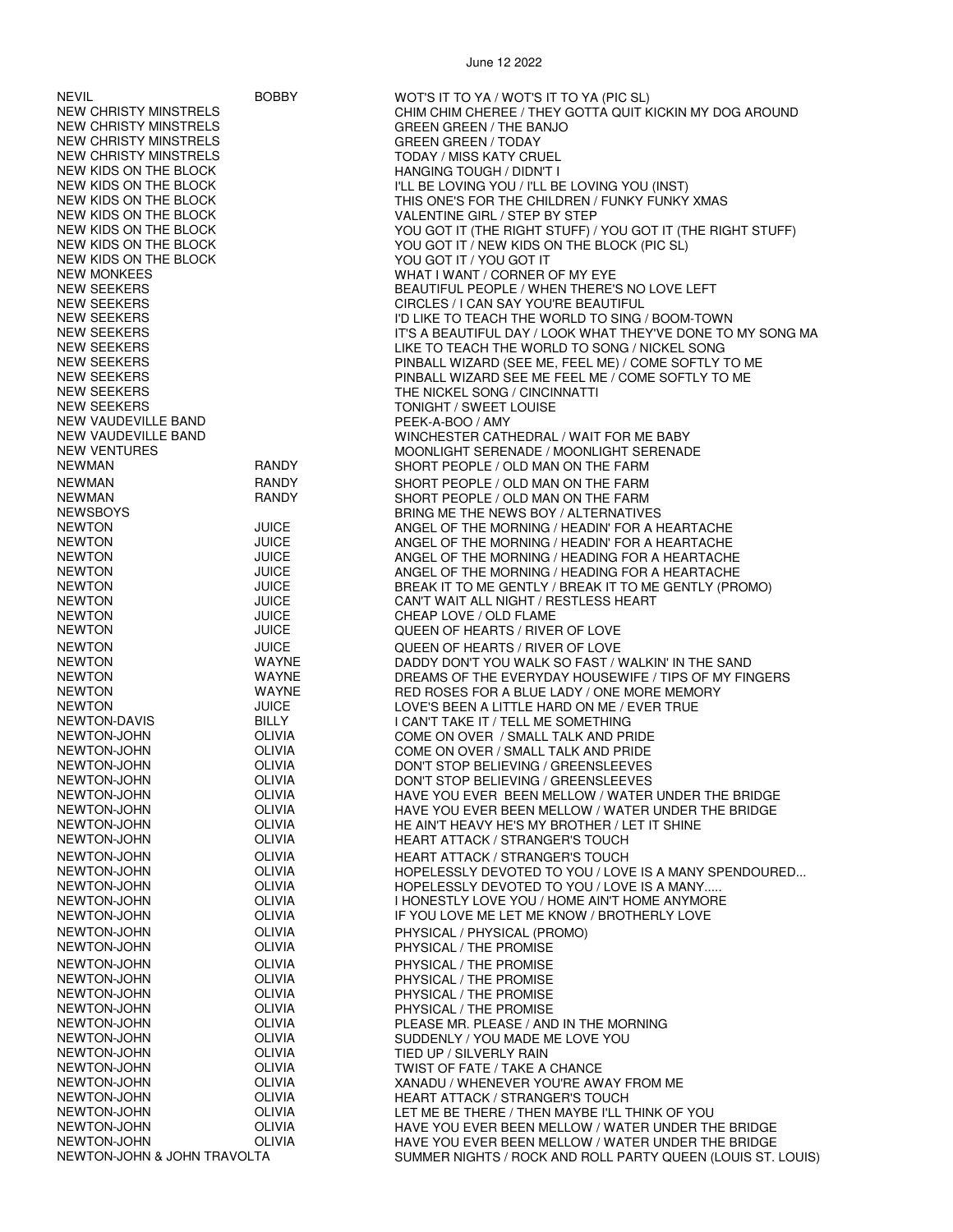| <b>NEVIL</b>                 | <b>BOBBY</b>  | WOT'S IT TO YA / WOT'S IT TO YA (PIC SL)                    |
|------------------------------|---------------|-------------------------------------------------------------|
| <b>NEW CHRISTY MINSTRELS</b> |               | CHIM CHIM CHEREE / THEY GOTTA QUIT KICKIN MY DOG AROUND     |
|                              |               |                                                             |
| <b>NEW CHRISTY MINSTRELS</b> |               | <b>GREEN GREEN / THE BANJO</b>                              |
| <b>NEW CHRISTY MINSTRELS</b> |               | <b>GREEN GREEN / TODAY</b>                                  |
| <b>NEW CHRISTY MINSTRELS</b> |               | <b>TODAY / MISS KATY CRUEL</b>                              |
| NEW KIDS ON THE BLOCK        |               | HANGING TOUGH / DIDN'T I                                    |
| <b>NEW KIDS ON THE BLOCK</b> |               | I'LL BE LOVING YOU / I'LL BE LOVING YOU (INST)              |
| NEW KIDS ON THE BLOCK        |               | THIS ONE'S FOR THE CHILDREN / FUNKY FUNKY XMAS              |
| NEW KIDS ON THE BLOCK        |               |                                                             |
|                              |               | VALENTINE GIRL / STEP BY STEP                               |
| NEW KIDS ON THE BLOCK        |               | YOU GOT IT (THE RIGHT STUFF) / YOU GOT IT (THE RIGHT STUFF) |
| NEW KIDS ON THE BLOCK        |               | YOU GOT IT / NEW KIDS ON THE BLOCK (PIC SL)                 |
| NEW KIDS ON THE BLOCK        |               | YOU GOT IT / YOU GOT IT                                     |
| <b>NEW MONKEES</b>           |               | WHAT I WANT / CORNER OF MY EYE                              |
| <b>NEW SEEKERS</b>           |               | BEAUTIFUL PEOPLE / WHEN THERE'S NO LOVE LEFT                |
| <b>NEW SEEKERS</b>           |               | CIRCLES / I CAN SAY YOU'RE BEAUTIFUL                        |
| <b>NEW SEEKERS</b>           |               | I'D LIKE TO TEACH THE WORLD TO SING / BOOM-TOWN             |
|                              |               |                                                             |
| <b>NEW SEEKERS</b>           |               | IT'S A BEAUTIFUL DAY / LOOK WHAT THEY'VE DONE TO MY SONG MA |
| <b>NEW SEEKERS</b>           |               | LIKE TO TEACH THE WORLD TO SONG / NICKEL SONG               |
| NEW SEEKERS                  |               | PINBALL WIZARD (SEE ME, FEEL ME) / COME SOFTLY TO ME        |
| <b>NEW SEEKERS</b>           |               | PINBALL WIZARD SEE ME FEEL ME / COME SOFTLY TO ME           |
| <b>NEW SEEKERS</b>           |               | THE NICKEL SONG / CINCINNATTI                               |
| <b>NEW SEEKERS</b>           |               | <b>TONIGHT / SWEET LOUISE</b>                               |
| NEW VAUDEVILLE BAND          |               | PEEK-A-BOO / AMY                                            |
| NEW VAUDEVILLE BAND          |               | WINCHESTER CATHEDRAL / WAIT FOR ME BABY                     |
| <b>NEW VENTURES</b>          |               | MOONLIGHT SERENADE / MOONLIGHT SERENADE                     |
|                              |               |                                                             |
| <b>NEWMAN</b>                | <b>RANDY</b>  | SHORT PEOPLE / OLD MAN ON THE FARM                          |
| <b>NEWMAN</b>                | <b>RANDY</b>  | SHORT PEOPLE / OLD MAN ON THE FARM                          |
| <b>NEWMAN</b>                | <b>RANDY</b>  | SHORT PEOPLE / OLD MAN ON THE FARM                          |
| <b>NEWSBOYS</b>              |               | BRING ME THE NEWS BOY / ALTERNATIVES                        |
| <b>NEWTON</b>                | <b>JUICE</b>  | ANGEL OF THE MORNING / HEADIN' FOR A HEARTACHE              |
| <b>NEWTON</b>                | <b>JUICE</b>  | ANGEL OF THE MORNING / HEADIN' FOR A HEARTACHE              |
| <b>NEWTON</b>                | <b>JUICE</b>  |                                                             |
|                              |               | ANGEL OF THE MORNING / HEADING FOR A HEARTACHE              |
| <b>NEWTON</b>                | <b>JUICE</b>  | ANGEL OF THE MORNING / HEADING FOR A HEARTACHE              |
| <b>NEWTON</b>                | <b>JUICE</b>  | BREAK IT TO ME GENTLY / BREAK IT TO ME GENTLY (PROMO)       |
| <b>NEWTON</b>                | <b>JUICE</b>  | CAN'T WAIT ALL NIGHT / RESTLESS HEART                       |
| <b>NEWTON</b>                | <b>JUICE</b>  | CHEAP LOVE / OLD FLAME                                      |
| <b>NEWTON</b>                | <b>JUICE</b>  | QUEEN OF HEARTS / RIVER OF LOVE                             |
| <b>NEWTON</b>                | <b>JUICE</b>  | QUEEN OF HEARTS / RIVER OF LOVE                             |
| <b>NEWTON</b>                | WAYNE         | DADDY DON'T YOU WALK SO FAST / WALKIN' IN THE SAND          |
| <b>NEWTON</b>                |               |                                                             |
|                              | WAYNE         | DREAMS OF THE EVERYDAY HOUSEWIFE / TIPS OF MY FINGERS       |
| <b>NEWTON</b>                | WAYNE         | RED ROSES FOR A BLUE LADY / ONE MORE MEMORY                 |
| <b>NEWTON</b>                | <b>JUICE</b>  | LOVE'S BEEN A LITTLE HARD ON ME / EVER TRUE                 |
| NEWTON-DAVIS                 | <b>BILLY</b>  | I CAN'T TAKE IT / TELL ME SOMETHING                         |
| NEWTON-JOHN                  | OLIVIA        | COME ON OVER / SMALL TALK AND PRIDE                         |
| NEWTON-JOHN                  | <b>OLIVIA</b> | COME ON OVER / SMALL TALK AND PRIDE                         |
| NEWTON-JOHN                  | OLIVIA        | DON'T STOP BELIEVING / GREENSLEEVES                         |
| NEWTON-JOHN                  | OLIVIA        | DON'T STOP BELIEVING / GREENSLEEVES                         |
| NEWTON-JOHN                  | <b>OLIVIA</b> | HAVE YOU EVER BEEN MELLOW / WATER UNDER THE BRIDGE          |
| NEWTON-JOHN                  | <b>OLIVIA</b> | HAVE YOU EVER BEEN MELLOW / WATER UNDER THE BRIDGE          |
| NEWTON-JOHN                  | <b>OLIVIA</b> |                                                             |
|                              |               | HE AIN'T HEAVY HE'S MY BROTHER / LET IT SHINE               |
| NEWTON-JOHN                  | OLIVIA        | <b>HEART ATTACK / STRANGER'S TOUCH</b>                      |
| NEWTON-JOHN                  | <b>OLIVIA</b> | <b>HEART ATTACK / STRANGER'S TOUCH</b>                      |
| NEWTON-JOHN                  | <b>OLIVIA</b> | HOPELESSLY DEVOTED TO YOU / LOVE IS A MANY SPENDOURED       |
| NEWTON-JOHN                  | OLIVIA        | HOPELESSLY DEVOTED TO YOU / LOVE IS A MANY                  |
| NEWTON-JOHN                  | <b>OLIVIA</b> | I HONESTLY LOVE YOU / HOME AIN'T HOME ANYMORE               |
| NEWTON-JOHN                  | <b>OLIVIA</b> | IF YOU LOVE ME LET ME KNOW / BROTHERLY LOVE                 |
| NEWTON-JOHN                  | <b>OLIVIA</b> |                                                             |
|                              |               | PHYSICAL / PHYSICAL (PROMO)                                 |
| NEWTON-JOHN                  | <b>OLIVIA</b> | PHYSICAL / THE PROMISE                                      |
| NEWTON-JOHN                  | <b>OLIVIA</b> | PHYSICAL / THE PROMISE                                      |
| NEWTON-JOHN                  | OLIVIA        | PHYSICAL / THE PROMISE                                      |
| NEWTON-JOHN                  | <b>OLIVIA</b> | PHYSICAL / THE PROMISE                                      |
| NEWTON-JOHN                  | <b>OLIVIA</b> | PHYSICAL / THE PROMISE                                      |
| NEWTON-JOHN                  | <b>OLIVIA</b> | PLEASE MR. PLEASE / AND IN THE MORNING                      |
| NEWTON-JOHN                  | <b>OLIVIA</b> | SUDDENLY / YOU MADE ME LOVE YOU                             |
| NEWTON-JOHN                  | <b>OLIVIA</b> | TIED UP / SILVERLY RAIN                                     |
|                              |               |                                                             |
| NEWTON-JOHN                  | <b>OLIVIA</b> | TWIST OF FATE / TAKE A CHANCE                               |
| NEWTON-JOHN                  | <b>OLIVIA</b> | XANADU / WHENEVER YOU'RE AWAY FROM ME                       |
| NEWTON-JOHN                  | <b>OLIVIA</b> | <b>HEART ATTACK / STRANGER'S TOUCH</b>                      |
| NEWTON-JOHN                  | <b>OLIVIA</b> | LET ME BE THERE / THEN MAYBE I'LL THINK OF YOU              |
| NEWTON-JOHN                  | <b>OLIVIA</b> | HAVE YOU EVER BEEN MELLOW / WATER UNDER THE BRIDGE          |
| NEWTON-JOHN                  | <b>OLIVIA</b> | HAVE YOU EVER BEEN MELLOW / WATER UNDER THE BRIDGE          |
| NEWTON-JOHN & JOHN TRAVOLTA  |               | SUMMER NIGHTS / ROCK AND ROLL PARTY QUEEN (LOUIS ST. LOUIS) |
|                              |               |                                                             |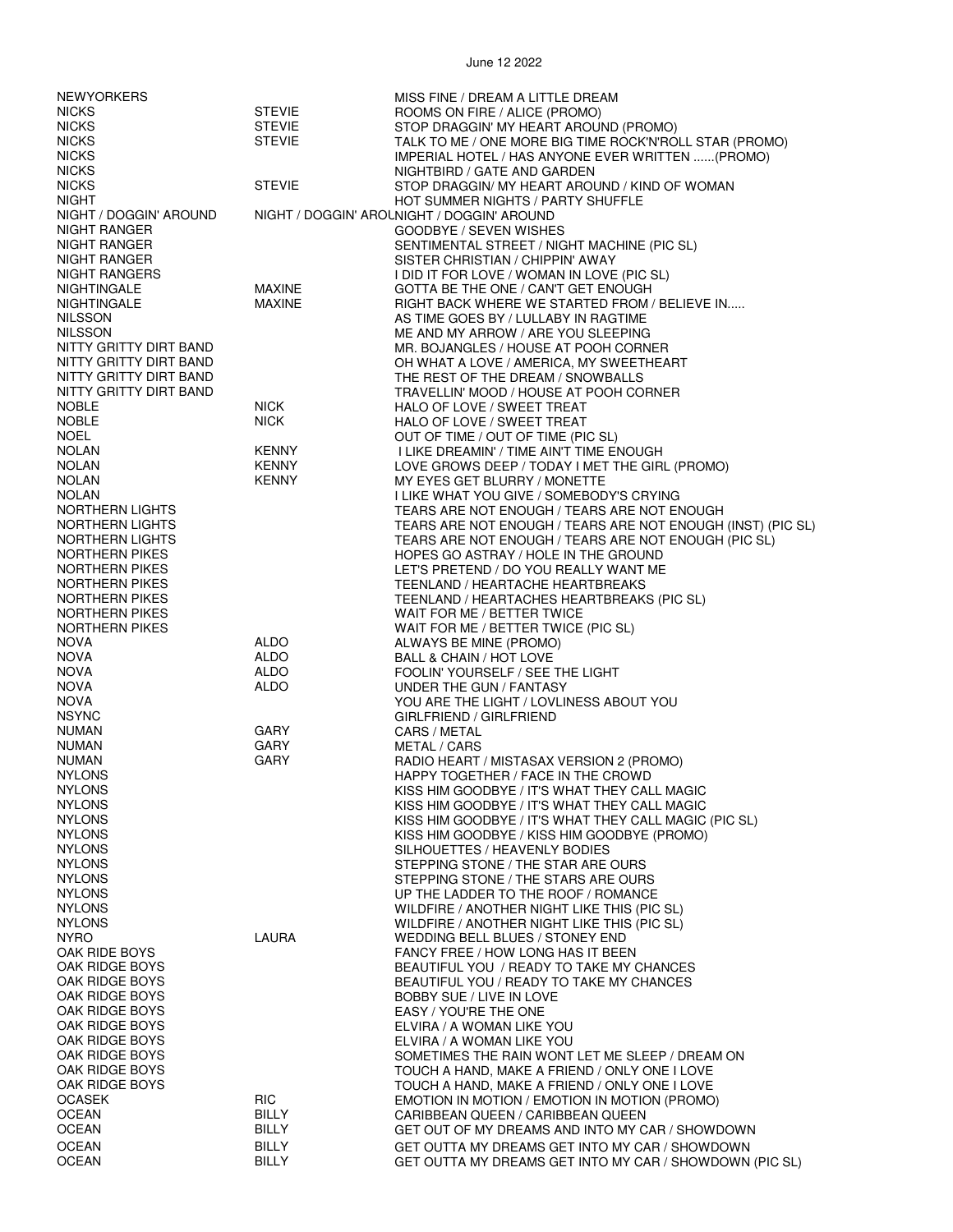| <b>NEWYORKERS</b>                                |                       | MISS FINE / DREAM A LITTLE DREAM                                                     |
|--------------------------------------------------|-----------------------|--------------------------------------------------------------------------------------|
| <b>NICKS</b>                                     | <b>STEVIE</b>         | ROOMS ON FIRE / ALICE (PROMO)                                                        |
| <b>NICKS</b>                                     | <b>STEVIE</b>         | STOP DRAGGIN' MY HEART AROUND (PROMO)                                                |
| <b>NICKS</b>                                     | <b>STEVIE</b>         | TALK TO ME / ONE MORE BIG TIME ROCK'N'ROLL STAR (PROMO)                              |
| <b>NICKS</b>                                     |                       | IMPERIAL HOTEL / HAS ANYONE EVER WRITTEN (PROMO)                                     |
| <b>NICKS</b>                                     |                       | NIGHTBIRD / GATE AND GARDEN                                                          |
| <b>NICKS</b>                                     | <b>STEVIE</b>         | STOP DRAGGIN/ MY HEART AROUND / KIND OF WOMAN                                        |
| <b>NIGHT</b>                                     |                       | HOT SUMMER NIGHTS / PARTY SHUFFLE                                                    |
| NIGHT / DOGGIN' AROUND                           |                       | NIGHT / DOGGIN' AROLNIGHT / DOGGIN' AROUND                                           |
| NIGHT RANGER                                     |                       | GOODBYE / SEVEN WISHES                                                               |
| NIGHT RANGER                                     |                       | SENTIMENTAL STREET / NIGHT MACHINE (PIC SL)                                          |
| NIGHT RANGER                                     |                       | SISTER CHRISTIAN / CHIPPIN' AWAY                                                     |
| NIGHT RANGERS                                    |                       | I DID IT FOR LOVE / WOMAN IN LOVE (PIC SL)                                           |
| <b>NIGHTINGALE</b>                               | <b>MAXINE</b>         | GOTTA BE THE ONE / CAN'T GET ENOUGH                                                  |
| NIGHTINGALE                                      | <b>MAXINE</b>         | RIGHT BACK WHERE WE STARTED FROM / BELIEVE IN                                        |
| <b>NILSSON</b>                                   |                       | AS TIME GOES BY / LULLABY IN RAGTIME                                                 |
| <b>NILSSON</b>                                   |                       | ME AND MY ARROW / ARE YOU SLEEPING                                                   |
| NITTY GRITTY DIRT BAND                           |                       | MR. BOJANGLES / HOUSE AT POOH CORNER                                                 |
| NITTY GRITTY DIRT BAND<br>NITTY GRITTY DIRT BAND |                       | OH WHAT A LOVE / AMERICA, MY SWEETHEART                                              |
| NITTY GRITTY DIRT BAND                           |                       | THE REST OF THE DREAM / SNOWBALLS<br>TRAVELLIN' MOOD / HOUSE AT POOH CORNER          |
| <b>NOBLE</b>                                     | <b>NICK</b>           | HALO OF LOVE / SWEET TREAT                                                           |
| <b>NOBLE</b>                                     | <b>NICK</b>           | HALO OF LOVE / SWEET TREAT                                                           |
| <b>NOEL</b>                                      |                       | OUT OF TIME / OUT OF TIME (PIC SL)                                                   |
| <b>NOLAN</b>                                     | <b>KENNY</b>          | I LIKE DREAMIN' / TIME AIN'T TIME ENOUGH                                             |
| <b>NOLAN</b>                                     | <b>KENNY</b>          | LOVE GROWS DEEP / TODAY I MET THE GIRL (PROMO)                                       |
| <b>NOLAN</b>                                     | <b>KENNY</b>          | MY EYES GET BLURRY / MONETTE                                                         |
| <b>NOLAN</b>                                     |                       | I LIKE WHAT YOU GIVE / SOMEBODY'S CRYING                                             |
| NORTHERN LIGHTS                                  |                       | TEARS ARE NOT ENOUGH / TEARS ARE NOT ENOUGH                                          |
| NORTHERN LIGHTS                                  |                       | TEARS ARE NOT ENOUGH / TEARS ARE NOT ENOUGH (INST) (PIC SL)                          |
| NORTHERN LIGHTS                                  |                       | TEARS ARE NOT ENOUGH / TEARS ARE NOT ENOUGH (PIC SL)                                 |
| NORTHERN PIKES                                   |                       | HOPES GO ASTRAY / HOLE IN THE GROUND                                                 |
| NORTHERN PIKES                                   |                       | LET'S PRETEND / DO YOU REALLY WANT ME                                                |
| NORTHERN PIKES                                   |                       | TEENLAND / HEARTACHE HEARTBREAKS                                                     |
| NORTHERN PIKES                                   |                       | TEENLAND / HEARTACHES HEARTBREAKS (PIC SL)                                           |
| NORTHERN PIKES                                   |                       | WAIT FOR ME / BETTER TWICE                                                           |
| NORTHERN PIKES                                   |                       | WAIT FOR ME / BETTER TWICE (PIC SL)                                                  |
| <b>NOVA</b>                                      | <b>ALDO</b>           | ALWAYS BE MINE (PROMO)                                                               |
| <b>NOVA</b><br><b>NOVA</b>                       | ALDO<br>ALDO          | BALL & CHAIN / HOT LOVE                                                              |
| <b>NOVA</b>                                      | <b>ALDO</b>           | FOOLIN' YOURSELF / SEE THE LIGHT<br>UNDER THE GUN / FANTASY                          |
| <b>NOVA</b>                                      |                       | YOU ARE THE LIGHT / LOVLINESS ABOUT YOU                                              |
| <b>NSYNC</b>                                     |                       | GIRLFRIEND / GIRLFRIEND                                                              |
| <b>NUMAN</b>                                     | GARY                  | CARS / METAL                                                                         |
| <b>NUMAN</b>                                     | GARY                  | METAL / CARS                                                                         |
| <b>NUMAN</b>                                     | GARY                  | RADIO HEART / MISTASAX VERSION 2 (PROMO)                                             |
| <b>NYLONS</b>                                    |                       | HAPPY TOGETHER / FACE IN THE CROWD                                                   |
| <b>NYLONS</b>                                    |                       | KISS HIM GOODBYE / IT'S WHAT THEY CALL MAGIC                                         |
| <b>NYLONS</b>                                    |                       | KISS HIM GOODBYE / IT'S WHAT THEY CALL MAGIC                                         |
| <b>NYLONS</b>                                    |                       | KISS HIM GOODBYE / IT'S WHAT THEY CALL MAGIC (PIC SL)                                |
| <b>NYLONS</b>                                    |                       | KISS HIM GOODBYE / KISS HIM GOODBYE (PROMO)                                          |
| <b>NYLONS</b>                                    |                       | SILHOUETTES / HEAVENLY BODIES                                                        |
| <b>NYLONS</b>                                    |                       | STEPPING STONE / THE STAR ARE OURS                                                   |
| <b>NYLONS</b>                                    |                       | STEPPING STONE / THE STARS ARE OURS                                                  |
| <b>NYLONS</b><br><b>NYLONS</b>                   |                       | UP THE LADDER TO THE ROOF / ROMANCE<br>WILDFIRE / ANOTHER NIGHT LIKE THIS (PIC SL)   |
| <b>NYLONS</b>                                    |                       | WILDFIRE / ANOTHER NIGHT LIKE THIS (PIC SL)                                          |
| <b>NYRO</b>                                      | LAURA                 | WEDDING BELL BLUES / STONEY END                                                      |
| OAK RIDE BOYS                                    |                       | FANCY FREE / HOW LONG HAS IT BEEN                                                    |
| OAK RIDGE BOYS                                   |                       | BEAUTIFUL YOU / READY TO TAKE MY CHANCES                                             |
| OAK RIDGE BOYS                                   |                       | BEAUTIFUL YOU / READY TO TAKE MY CHANCES                                             |
| OAK RIDGE BOYS                                   |                       | BOBBY SUE / LIVE IN LOVE                                                             |
| OAK RIDGE BOYS                                   |                       | EASY / YOU'RE THE ONE                                                                |
| OAK RIDGE BOYS                                   |                       | ELVIRA / A WOMAN LIKE YOU                                                            |
| OAK RIDGE BOYS                                   |                       | ELVIRA / A WOMAN LIKE YOU                                                            |
| OAK RIDGE BOYS                                   |                       | SOMETIMES THE RAIN WONT LET ME SLEEP / DREAM ON                                      |
| OAK RIDGE BOYS                                   |                       | TOUCH A HAND, MAKE A FRIEND / ONLY ONE I LOVE                                        |
| OAK RIDGE BOYS                                   |                       | TOUCH A HAND, MAKE A FRIEND / ONLY ONE I LOVE                                        |
| <b>OCASEK</b><br><b>OCEAN</b>                    | RIC-                  | EMOTION IN MOTION / EMOTION IN MOTION (PROMO)                                        |
| <b>OCEAN</b>                                     | BILLY<br><b>BILLY</b> | CARIBBEAN QUEEN / CARIBBEAN QUEEN<br>GET OUT OF MY DREAMS AND INTO MY CAR / SHOWDOWN |
| <b>OCEAN</b>                                     | BILLY                 | GET OUTTA MY DREAMS GET INTO MY CAR / SHOWDOWN                                       |
| <b>OCEAN</b>                                     | <b>BILLY</b>          | GET OUTTA MY DREAMS GET INTO MY CAR / SHOWDOWN (PIC SL)                              |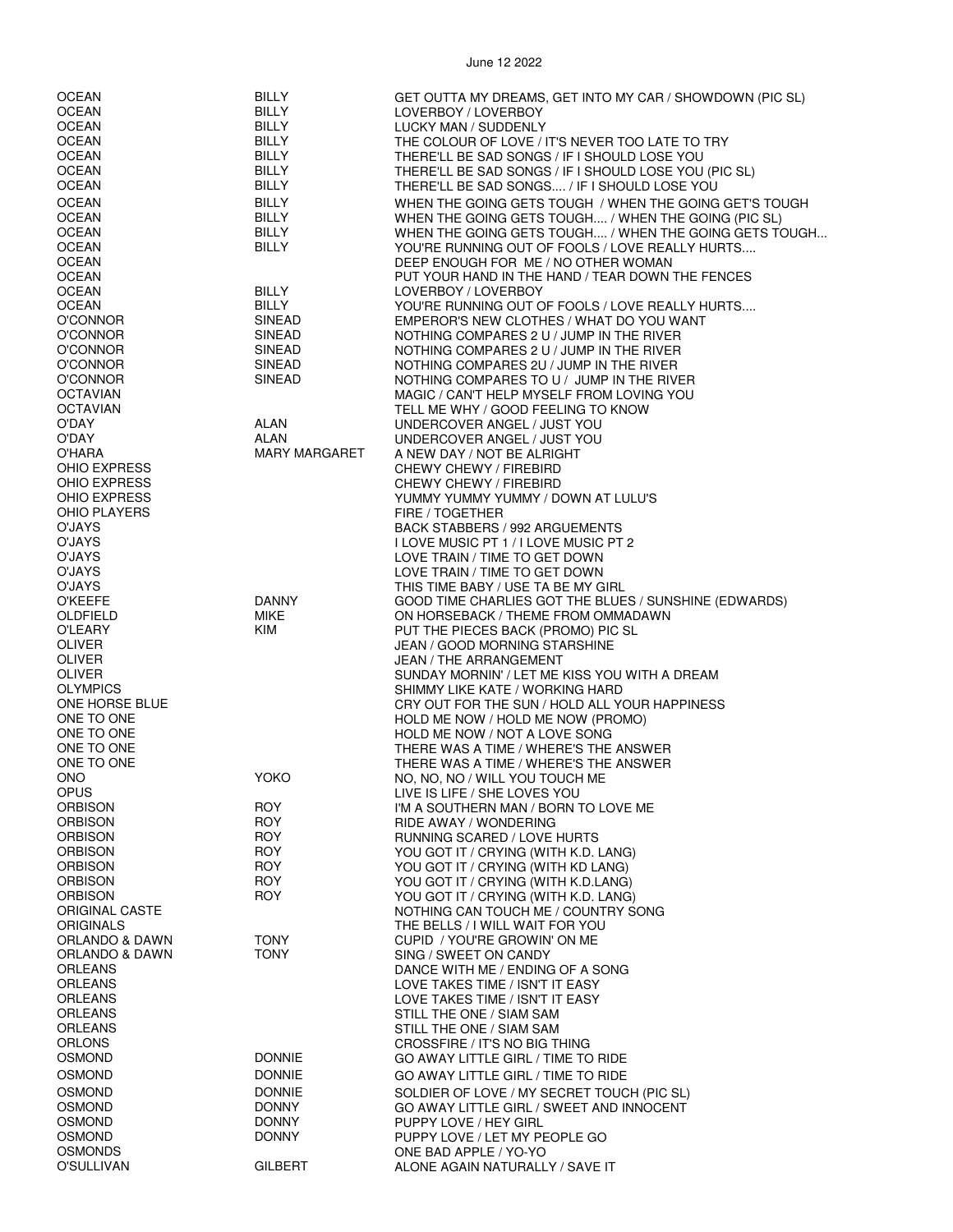OCEAN BILLY BILLY GET OUTTA MY DREAMS, GET INTO MY CAR / SHOWDOWN (PIC SL)<br>OCEAN BILLY LOVERBOY / LOVERBOY OCEAN BILLY LOVERBOY / LOVERBOY OCEAN BILLY LUCKY MAN / SUDDENLY<br>CCEAN BILLY THE COLOUR OF LOVE / THE COLOUR OF LOVE / IT'S NEVER TOO LATE TO TRY OCEAN BILLY BILLY THERE'LL BE SAD SONGS / IF I SHOULD LOSE YOU<br>OCEAN BILLY THERE'LL BE SAD SONGS / IF I SHOLILD LOSE YOU OCEAN BILLY THERE'LL BE SAD SONGS / IF I SHOULD LOSE YOU (PIC SL) THERE'LL BE SAD SONGS.... / IF I SHOULD LOSE YOU OCEAN BILLY BILLY WHEN THE GOING GETS TOUGH / WHEN THE GOING GET'S TOUGH / WORK OF THE GOING GET'S TOUGH (PIC SI OCEAN BILLY WHEN THE GOING GETS TOUGH.... / WHEN THE GOING (PIC SL) OCEAN BILLY WHEN THE GOING GETS TOUGH.... / WHEN THE GOING GETS TOUGH... YOU'RE RUNNING OUT OF FOOLS / LOVE REALLY HURTS.... OCEAN DEEP ENOUGH FOR ME / NO OTHER WOMAN<br>OCEAN DEEP ENOUGH FOR ME / NO OTHER WOMAN OCEAN PUT YOUR HAND IN THE HAND / TEAR DOWN THE FENCES<br>OCEAN BILLY DVERBOY / LOVERBOY OCEAN BILLY LOVERBOY / LOVERBOY<br>CCEAN BILLY YOU'RE RUNNING OUT C OCEAN BILLY YOU'RE RUNNING OUT OF FOOLS / LOVE REALLY HURTS.... EMPEROR'S NEW CLOTHES / WHAT DO YOU WANT O'CONNOR SINEAD NOTHING COMPARES 2 U / JUMP IN THE RIVER NOTHING COMPARES 2 U / JUMP IN THE RIVER O'CONNOR SINEAD NOTHING COMPARES 2U / JUMP IN THE RIVER O'CONNOR SINEAD NOTHING COMPARES TO U / JUMP IN THE RIVER MAGIC / CAN'T HELP MYSELF FROM LOVING YOU OCTAVIAN TELL ME WHY / GOOD FEELING TO KNOW O'DAY ALAN UNDERCOVER ANGEL / JUST YOU O'DAY ALAN UNDERCOVER ANGEL / JUST YOU O'HARA MARY MARGARET A NEW DAY / NOT BE ALRIGHT CHEWY CHEWY / FIREBIRD OHIO EXPRESS CHEWY CHEWY / FIREBIRD OHIO EXPRESS THE STATE OF THE YUMMY YUMMY YUMMY / DOWN AT LULU'S<br>TIRE / TOGETHER FIRE / TOGETHER O'JAYS BACK STABBERS / 992 ARGUEMENTS O'JAYS I LOVE MUSIC PT 1 / I LOVE MUSIC PT 2 O'JAYS LOVE TRAIN / TIME TO GET DOWN LOVE TRAIN / TIME TO GET DOWN O'JAYS THIS TIME BABY / USE TA BE MY GIRL O'KEEFE DANNY GOOD TIME CHARLIES GOT THE BLUES / SUNSHINE (EDWARDS) OLDFIELD MIKE ON HORSEBACK / THEME FROM OMMADAWN<br>O'I FARY CONFIDENT MINIMUM ON THE PIECES BACK (PROMO) PIC SI O'LEARY KIM PUT THE PIECES BACK (PROMO) PIC SL JEAN / GOOD MORNING STARSHINE OLIVER JEAN / THE ARRANGEMENT OLIVER SUNDAY MORNIN' / LET ME KISS YOU WITH A DREAM OLYMPICS SHIMMY LIKE KATE / WORKING HARD ONE HORSE BLUE CRY OUT FOR THE SUN / HOLD ALL YOUR HAPPINESS HOLD ME NOW / HOLD ME NOW (PROMO) ONE TO ONE TO ONE A LOVE SONG THE SOLD ME NOW / NOT A LOVE SONG<br>ONE TO ONE TO ONE A LOVE THERE WAS A TIME / WHERE'S THE ONE TO ONE THERE WAS A TIME / WHERE'S THE ANSWER<br>ONE TO ONE THERE WAS A TIME / WHERE'S THE ANSWER THERE WAS A TIME / WHERE'S THE ANSWER ONO YOKO NO, NO, NO / WILL YOU TOUCH ME OPUS LIVE IS LIFE / SHE LOVES YOU ORBISON ROY I'M A SOUTHERN MAN / BORN TO LOVE ME ORBISON ROY RIDE AWAY / WONDERING ORBISON ROY RUNNING SCARED / LOVE HURTS ORBISON ROY YOU GOT IT / CRYING (WITH K.D. LANG) **ORBISON ROY CONSIDER AND ROY ROY CONSIDER A VOLUGOT IT / CRYING (WITH K D LANG)** ORBISON ROY YOU GOT IT / CRYING (WITH K.D.LANG) ORBISON ROY YOU GOT IT / CRYING (WITH K.D. LANG) ORIGINAL CASTE<br>
ORIGINALS<br>
ORIGINALS ORIGINALS THE BELLS / I WILL WAIT FOR YOU ORLANDO & DAWN TONY CUPID / YOU'RE GROWIN' ON ME<br>ORLANDO & DAWN TONY CONY SING / SWEFT ON CANDY ORLANDO & DAWN TONY SING / SWEET ON CANDY DANCE WITH ME / ENDING OF A SONG ORLEANS LOVE TAKES TIME / ISN'T IT EASY ORLEANS LOVE TAKES TIME / ISN'T IT EASY ORLEANS STILL THE ONE / SIAM SAM ORLEANS STILL THE ONE / SIAM SAM ORLONS CROSSFIRE / IT'S NO BIG THING<br>COMOND COSMOND DONNIE CONNE CONVAY LITTLE GIRL / TIME TO GO AWAY LITTLE GIRL / TIME TO RIDE OSMOND DONNIE GO AWAY LITTLE GIRL / TIME TO RIDE OSMOND DONNIE SOLDIER OF LOVE / MY SECRET TOUCH (PIC SL) OSMOND DONNY GO AWAY LITTLE GIRL / SWEET AND INNOCENT OSMOND DONNY PUPPY LOVE / HEY GIRL OSMOND DONNY PUPPY LOVE / LET MY PEOPLE GO<br>OSMONDS OSMONDS ONE RAD APPI F / YO-YO

ALONE AGAIN NATURALLY / SAVE IT

OSMONDS ONE BAD APPLE / YO-YO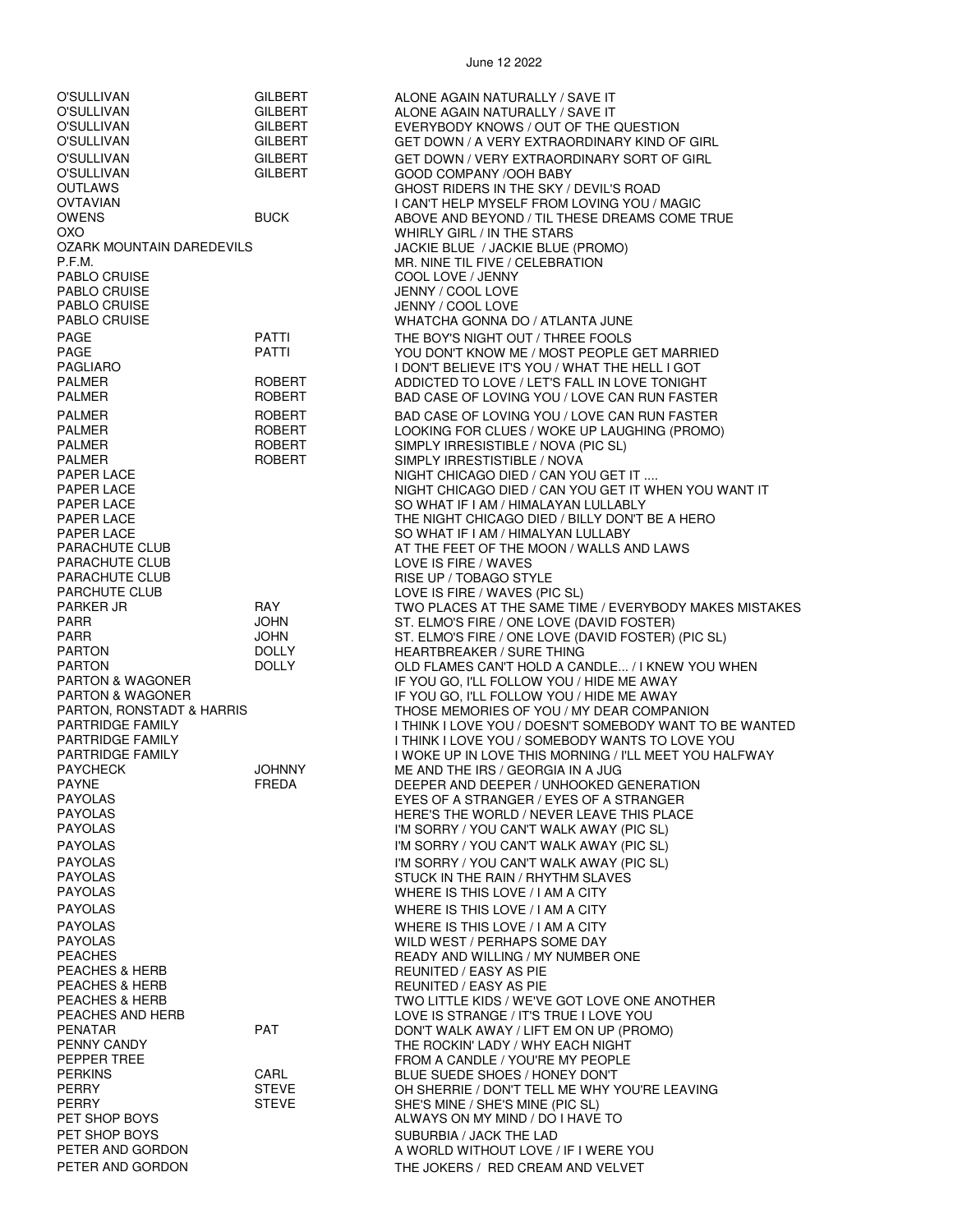|                                               |                | JUIT IL LULL                                                                                         |
|-----------------------------------------------|----------------|------------------------------------------------------------------------------------------------------|
| O'SULLIVAN                                    | GILBERT        | ALONE AGAIN NATURALLY / SAVE IT                                                                      |
| O'SULLIVAN                                    | <b>GILBERT</b> | ALONE AGAIN NATURALLY / SAVE IT                                                                      |
| O'SULLIVAN                                    | <b>GILBERT</b> | EVERYBODY KNOWS / OUT OF THE QUESTION                                                                |
| O'SULLIVAN                                    | <b>GILBERT</b> | GET DOWN / A VERY EXTRAORDINARY KIND OF GIRL                                                         |
| O'SULLIVAN                                    | <b>GILBERT</b> | GET DOWN / VERY EXTRAORDINARY SORT OF GIRL                                                           |
| O'SULLIVAN<br>OUTLAWS                         | <b>GILBERT</b> | GOOD COMPANY /OOH BABY<br>GHOST RIDERS IN THE SKY / DEVIL'S ROAD                                     |
| OVTAVIAN                                      |                | I CAN'T HELP MYSELF FROM LOVING YOU / MAGIC                                                          |
| <b>OWENS</b>                                  | <b>BUCK</b>    | ABOVE AND BEYOND / TIL THESE DREAMS COME TRUE                                                        |
| охо                                           |                | WHIRLY GIRL / IN THE STARS                                                                           |
| OZARK MOUNTAIN DAREDEVILS                     |                | JACKIE BLUE / JACKIE BLUE (PROMO)                                                                    |
| P.F.M.                                        |                | MR. NINE TIL FIVE / CELEBRATION                                                                      |
| PABLO CRUISE                                  |                | COOL LOVE / JENNY                                                                                    |
| <b>PABLO CRUISE</b>                           |                | JENNY / COOL LOVE                                                                                    |
| PABLO CRUISE<br>PABLO CRUISE                  |                | JENNY / COOL LOVE<br>WHATCHA GONNA DO / ATLANTA JUNE                                                 |
| PAGE                                          | PATTI          | THE BOY'S NIGHT OUT / THREE FOOLS                                                                    |
| PAGE                                          | PATTI          | YOU DON'T KNOW ME / MOST PEOPLE GET MARRIED                                                          |
| PAGLIARO                                      |                | I DON'T BELIEVE IT'S YOU / WHAT THE HELL I GOT                                                       |
| PALMER                                        | ROBERT         | ADDICTED TO LOVE / LET'S FALL IN LOVE TONIGHT                                                        |
| <b>PALMER</b>                                 | <b>ROBERT</b>  | BAD CASE OF LOVING YOU / LOVE CAN RUN FASTER                                                         |
| <b>PALMER</b>                                 | <b>ROBERT</b>  | BAD CASE OF LOVING YOU / LOVE CAN RUN FASTER                                                         |
| PALMER                                        | ROBERT         | LOOKING FOR CLUES / WOKE UP LAUGHING (PROMO)                                                         |
| <b>PALMER</b>                                 | ROBERT         | SIMPLY IRRESISTIBLE / NOVA (PIC SL)                                                                  |
| <b>PALMER</b>                                 | <b>ROBERT</b>  | SIMPLY IRRESTISTIBLE / NOVA                                                                          |
| PAPER LACE<br>PAPER LACE                      |                | NIGHT CHICAGO DIED / CAN YOU GET IT<br>NIGHT CHICAGO DIED / CAN YOU GET IT WHEN YOU WANT IT          |
| PAPER LACE                                    |                | SO WHAT IF I AM / HIMALAYAN LULLABLY                                                                 |
| PAPER LACE                                    |                | THE NIGHT CHICAGO DIED / BILLY DON'T BE A HERO                                                       |
| PAPER LACE                                    |                | SO WHAT IF I AM / HIMALYAN LULLABY                                                                   |
| PARACHUTE CLUB                                |                | AT THE FEET OF THE MOON / WALLS AND LAWS                                                             |
| PARACHUTE CLUB                                |                | LOVE IS FIRE / WAVES                                                                                 |
| PARACHUTE CLUB                                |                | RISE UP / TOBAGO STYLE                                                                               |
| PARCHUTE CLUB<br>PARKER JR                    | RAY            | LOVE IS FIRE / WAVES (PIC SL)                                                                        |
| PARR                                          | JOHN           | TWO PLACES AT THE SAME TIME / EVERYBODY MAKES MISTAKES<br>ST. ELMO'S FIRE / ONE LOVE (DAVID FOSTER)  |
| PARR                                          | <b>JOHN</b>    | ST. ELMO'S FIRE / ONE LOVE (DAVID FOSTER) (PIC SL)                                                   |
| <b>PARTON</b>                                 | <b>DOLLY</b>   | <b>HEARTBREAKER / SURE THING</b>                                                                     |
| <b>PARTON</b>                                 | <b>DOLLY</b>   | OLD FLAMES CAN'T HOLD A CANDLE / I KNEW YOU WHEN                                                     |
| <b>PARTON &amp; WAGONER</b>                   |                | IF YOU GO, I'LL FOLLOW YOU / HIDE ME AWAY                                                            |
| <b>PARTON &amp; WAGONER</b>                   |                | IF YOU GO, I'LL FOLLOW YOU / HIDE ME AWAY                                                            |
| PARTON, RONSTADT & HARRIS<br>PARTRIDGE FAMILY |                | THOSE MEMORIES OF YOU / MY DEAR COMPANION<br>I THINK I LOVE YOU / DOESN'T SOMEBODY WANT TO BE WANTED |
| PARTRIDGE FAMILY                              |                | I THINK I LOVE YOU / SOMEBODY WANTS TO LOVE YOU                                                      |
| PARTRIDGE FAMILY                              |                | I WOKE UP IN LOVE THIS MORNING / I'LL MEET YOU HALFWAY                                               |
| PAYCHECK                                      | <b>JOHNNY</b>  | ME AND THE IRS / GEORGIA IN A JUG                                                                    |
| PAYNE                                         | FREDA          | DEEPER AND DEEPER / UNHOOKED GENERATION                                                              |
| PAYOLAS                                       |                | EYES OF A STRANGER / EYES OF A STRANGER                                                              |
| PAYOLAS                                       |                | HERE'S THE WORLD / NEVER LEAVE THIS PLACE                                                            |
| PAYOLAS<br>PAYOLAS                            |                | I'M SORRY / YOU CAN'T WALK AWAY (PIC SL)                                                             |
| <b>PAYOLAS</b>                                |                | I'M SORRY / YOU CAN'T WALK AWAY (PIC SL)                                                             |
| PAYOLAS                                       |                | I'M SORRY / YOU CAN'T WALK AWAY (PIC SL)<br>STUCK IN THE RAIN / RHYTHM SLAVES                        |
| PAYOLAS                                       |                | WHERE IS THIS LOVE / I AM A CITY                                                                     |
| PAYOLAS                                       |                | WHERE IS THIS LOVE / I AM A CITY                                                                     |
| PAYOLAS                                       |                | WHERE IS THIS LOVE / I AM A CITY                                                                     |
| PAYOLAS                                       |                | WILD WEST / PERHAPS SOME DAY                                                                         |
| PEACHES                                       |                | READY AND WILLING / MY NUMBER ONE                                                                    |
| <b>PEACHES &amp; HERB</b>                     |                | REUNITED / EASY AS PIE                                                                               |
| PEACHES & HERB                                |                | REUNITED / EASY AS PIE                                                                               |
| <b>PEACHES &amp; HERB</b><br>PEACHES AND HERB |                | TWO LITTLE KIDS / WE'VE GOT LOVE ONE ANOTHER<br>LOVE IS STRANGE / IT'S TRUE I LOVE YOU               |
| PENATAR                                       | <b>PAT</b>     | DON'T WALK AWAY / LIFT EM ON UP (PROMO)                                                              |
| PENNY CANDY                                   |                | THE ROCKIN' LADY / WHY EACH NIGHT                                                                    |
| PEPPER TREE                                   |                | FROM A CANDLE / YOU'RE MY PEOPLE                                                                     |
| PERKINS                                       | CARL           | BLUE SUEDE SHOES / HONEY DON'T                                                                       |
| PERRY                                         | <b>STEVE</b>   | OH SHERRIE / DON'T TELL ME WHY YOU'RE LEAVING                                                        |
| PERRY                                         | <b>STEVE</b>   | SHE'S MINE / SHE'S MINE (PIC SL)                                                                     |
| PET SHOP BOYS<br>PET SHOP BOYS                |                | ALWAYS ON MY MIND / DO I HAVE TO                                                                     |
| PETER AND GORDON                              |                | SUBURBIA / JACK THE LAD<br>A WORLD WITHOUT LOVE / IF I WERE YOU                                      |
| PETER AND GORDON                              |                | THE JOKERS / RED CREAM AND VELVET                                                                    |
|                                               |                |                                                                                                      |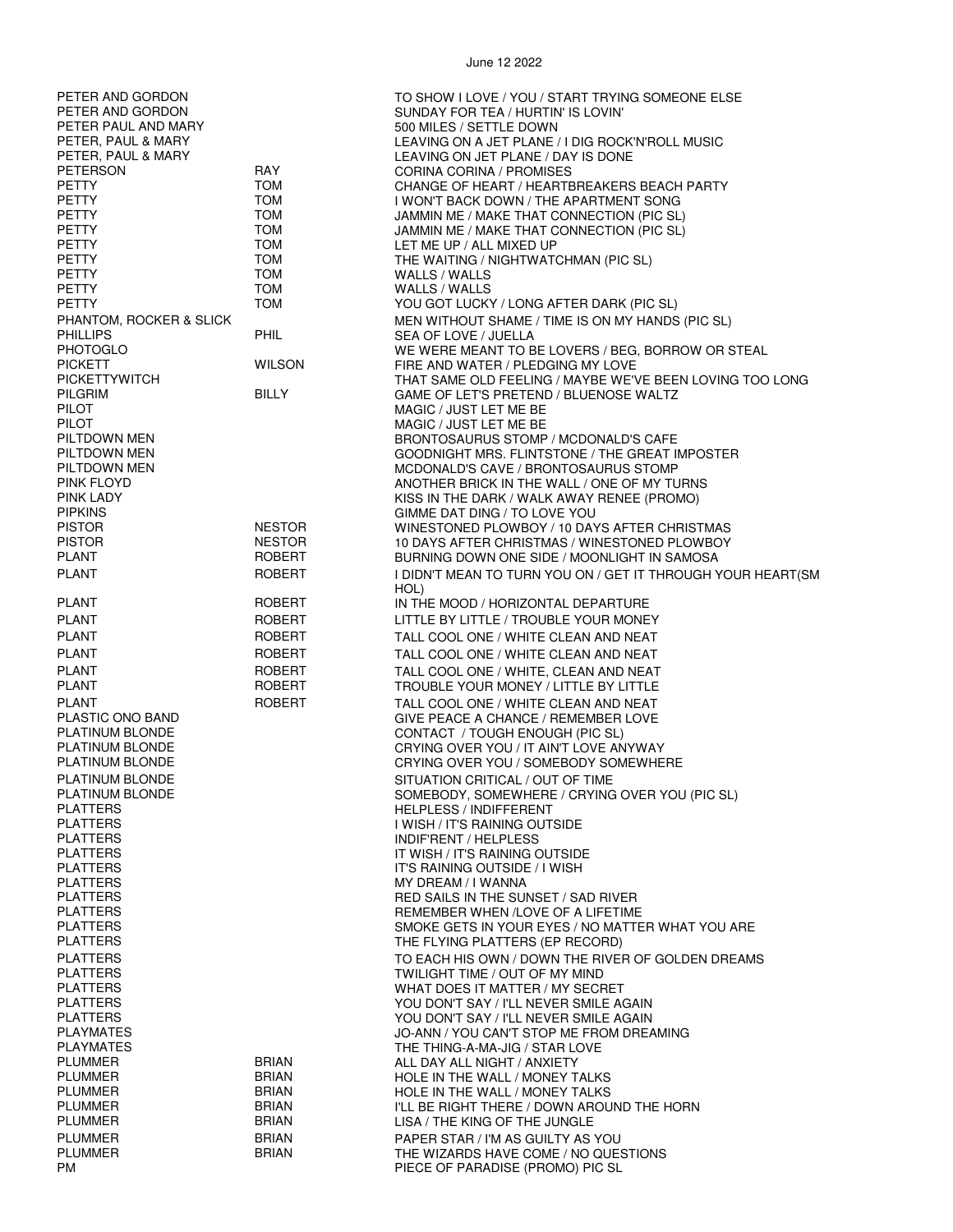| PETER AND GORDON<br>PETER AND GORDON<br>PETER PAUL AND MARY<br>PETER, PAUL & MARY<br>PETER, PAUL & MARY<br>PETERSON<br><b>PETTY</b><br><b>PETTY</b><br><b>PETTY</b><br><b>PETTY</b><br><b>PETTY</b><br><b>PETTY</b><br><b>PETTY</b><br><b>PETTY</b><br><b>PETTY</b><br>PHANTOM, ROCKER & SLICK<br><b>PHILLIPS</b><br><b>PHOTOGLO</b>                                                                                                                                                                                         | RAY<br><b>TOM</b><br><b>TOM</b><br><b>TOM</b><br><b>TOM</b><br><b>TOM</b><br><b>TOM</b><br><b>TOM</b><br><b>TOM</b><br><b>TOM</b><br>PHIL | TO SHOW I LOVE / YOU / START TRYING SOMEONE ELSE<br>SUNDAY FOR TEA / HURTIN' IS LOVIN'<br>500 MILES / SETTLE DOWN<br>LEAVING ON A JET PLANE / I DIG ROCK'N'ROLL MUSIC<br>LEAVING ON JET PLANE / DAY IS DONE<br><b>CORINA CORINA / PROMISES</b><br>CHANGE OF HEART / HEARTBREAKERS BEACH PARTY<br>I WON'T BACK DOWN / THE APARTMENT SONG<br>JAMMIN ME / MAKE THAT CONNECTION (PIC SL)<br>JAMMIN ME / MAKE THAT CONNECTION (PIC SL)<br>LET ME UP / ALL MIXED UP<br>THE WAITING / NIGHTWATCHMAN (PIC SL)<br>WALLS / WALLS<br>WALLS / WALLS<br>YOU GOT LUCKY / LONG AFTER DARK (PIC SL)<br>MEN WITHOUT SHAME / TIME IS ON MY HANDS (PIC SL)<br>SEA OF LOVE / JUELLA<br>WE WERE MEANT TO BE LOVERS / BEG, BORROW OR STEAL                                                                                                                                                                                                                                                                                                                                                                                                        |
|------------------------------------------------------------------------------------------------------------------------------------------------------------------------------------------------------------------------------------------------------------------------------------------------------------------------------------------------------------------------------------------------------------------------------------------------------------------------------------------------------------------------------|-------------------------------------------------------------------------------------------------------------------------------------------|-----------------------------------------------------------------------------------------------------------------------------------------------------------------------------------------------------------------------------------------------------------------------------------------------------------------------------------------------------------------------------------------------------------------------------------------------------------------------------------------------------------------------------------------------------------------------------------------------------------------------------------------------------------------------------------------------------------------------------------------------------------------------------------------------------------------------------------------------------------------------------------------------------------------------------------------------------------------------------------------------------------------------------------------------------------------------------------------------------------------------------|
| <b>PICKETT</b><br><b>PICKETTYWITCH</b><br>PILGRIM<br><b>PILOT</b><br>PILOT<br>PILTDOWN MEN<br>PILTDOWN MEN<br>PILTDOWN MEN<br>PINK FLOYD<br>PINK LADY<br><b>PIPKINS</b>                                                                                                                                                                                                                                                                                                                                                      | <b>WILSON</b><br><b>BILLY</b>                                                                                                             | FIRE AND WATER / PLEDGING MY LOVE<br>THAT SAME OLD FEELING / MAYBE WE'VE BEEN LOVING TOO LONG<br>GAME OF LET'S PRETEND / BLUENOSE WALTZ<br>MAGIC / JUST LET ME BE<br>MAGIC / JUST LET ME BE<br>BRONTOSAURUS STOMP / MCDONALD'S CAFE<br>GOODNIGHT MRS. FLINTSTONE / THE GREAT IMPOSTER<br>MCDONALD'S CAVE / BRONTOSAURUS STOMP<br>ANOTHER BRICK IN THE WALL / ONE OF MY TURNS<br>KISS IN THE DARK / WALK AWAY RENEE (PROMO)<br>GIMME DAT DING / TO LOVE YOU                                                                                                                                                                                                                                                                                                                                                                                                                                                                                                                                                                                                                                                                  |
| <b>PISTOR</b><br><b>PISTOR</b><br><b>PLANT</b><br><b>PLANT</b>                                                                                                                                                                                                                                                                                                                                                                                                                                                               | <b>NESTOR</b><br><b>NESTOR</b><br><b>ROBERT</b><br><b>ROBERT</b>                                                                          | WINESTONED PLOWBOY / 10 DAYS AFTER CHRISTMAS<br>10 DAYS AFTER CHRISTMAS / WINESTONED PLOWBOY<br>BURNING DOWN ONE SIDE / MOONLIGHT IN SAMOSA<br>I DIDN'T MEAN TO TURN YOU ON / GET IT THROUGH YOUR HEART(SM<br>HOL)                                                                                                                                                                                                                                                                                                                                                                                                                                                                                                                                                                                                                                                                                                                                                                                                                                                                                                          |
| <b>PLANT</b><br><b>PLANT</b><br><b>PLANT</b><br><b>PLANT</b><br><b>PLANT</b><br><b>PLANT</b><br><b>PLANT</b><br>PLASTIC ONO BAND<br>PLATINUM BLONDE<br>PLATINUM BLONDE<br>PLATINUM BLONDE<br>PLATINUM BLONDE<br>PLATINUM BLONDE<br><b>PLATTERS</b><br><b>PLATTERS</b><br><b>PLATTERS</b><br><b>PLATTERS</b><br><b>PLATTERS</b><br><b>PLATTERS</b><br><b>PLATTERS</b><br><b>PLATTERS</b><br><b>PLATTERS</b><br><b>PLATTERS</b><br><b>PLATTERS</b><br><b>PLATTERS</b><br><b>PLATTERS</b><br><b>PLATTERS</b><br><b>PLATTERS</b> | <b>ROBERT</b><br>ROBERT<br>ROBERT<br><b>ROBERT</b><br>ROBERT<br><b>ROBERT</b><br><b>ROBERT</b>                                            | IN THE MOOD / HORIZONTAL DEPARTURE<br>LITTLE BY LITTLE / TROUBLE YOUR MONEY<br>TALL COOL ONE / WHITE CLEAN AND NEAT<br>TALL COOL ONE / WHITE CLEAN AND NEAT<br>TALL COOL ONE / WHITE, CLEAN AND NEAT<br>TROUBLE YOUR MONEY / LITTLE BY LITTLE<br>TALL COOL ONE / WHITE CLEAN AND NEAT<br><b>GIVE PEACE A CHANCE / REMEMBER LOVE</b><br>CONTACT / TOUGH ENOUGH (PIC SL)<br>CRYING OVER YOU / IT AIN'T LOVE ANYWAY<br>CRYING OVER YOU / SOMEBODY SOMEWHERE<br>SITUATION CRITICAL / OUT OF TIME<br>SOMEBODY, SOMEWHERE / CRYING OVER YOU (PIC SL)<br><b>HELPLESS / INDIFFERENT</b><br>I WISH / IT'S RAINING OUTSIDE<br><b>INDIF'RENT / HELPLESS</b><br>IT WISH / IT'S RAINING OUTSIDE<br>IT'S RAINING OUTSIDE / I WISH<br>MY DREAM / I WANNA<br>RED SAILS IN THE SUNSET / SAD RIVER<br>REMEMBER WHEN / LOVE OF A LIFETIME<br>SMOKE GETS IN YOUR EYES / NO MATTER WHAT YOU ARE<br>THE FLYING PLATTERS (EP RECORD)<br>TO EACH HIS OWN / DOWN THE RIVER OF GOLDEN DREAMS<br>TWILIGHT TIME / OUT OF MY MIND<br>WHAT DOES IT MATTER / MY SECRET<br>YOU DON'T SAY / I'LL NEVER SMILE AGAIN<br>YOU DON'T SAY / I'LL NEVER SMILE AGAIN |
| <b>PLAYMATES</b><br><b>PLAYMATES</b><br><b>PLUMMER</b><br><b>PLUMMER</b><br><b>PLUMMER</b><br><b>PLUMMER</b><br><b>PLUMMER</b><br><b>PLUMMER</b><br><b>PLUMMER</b><br>PM.                                                                                                                                                                                                                                                                                                                                                    | <b>BRIAN</b><br><b>BRIAN</b><br><b>BRIAN</b><br><b>BRIAN</b><br><b>BRIAN</b><br><b>BRIAN</b><br><b>BRIAN</b>                              | JO-ANN / YOU CAN'T STOP ME FROM DREAMING<br>THE THING-A-MA-JIG / STAR LOVE<br>ALL DAY ALL NIGHT / ANXIETY<br>HOLE IN THE WALL / MONEY TALKS<br>HOLE IN THE WALL / MONEY TALKS<br>I'LL BE RIGHT THERE / DOWN AROUND THE HORN<br>LISA / THE KING OF THE JUNGLE<br>PAPER STAR / I'M AS GUILTY AS YOU<br>THE WIZARDS HAVE COME / NO QUESTIONS<br>PIECE OF PARADISE (PROMO) PIC SL                                                                                                                                                                                                                                                                                                                                                                                                                                                                                                                                                                                                                                                                                                                                               |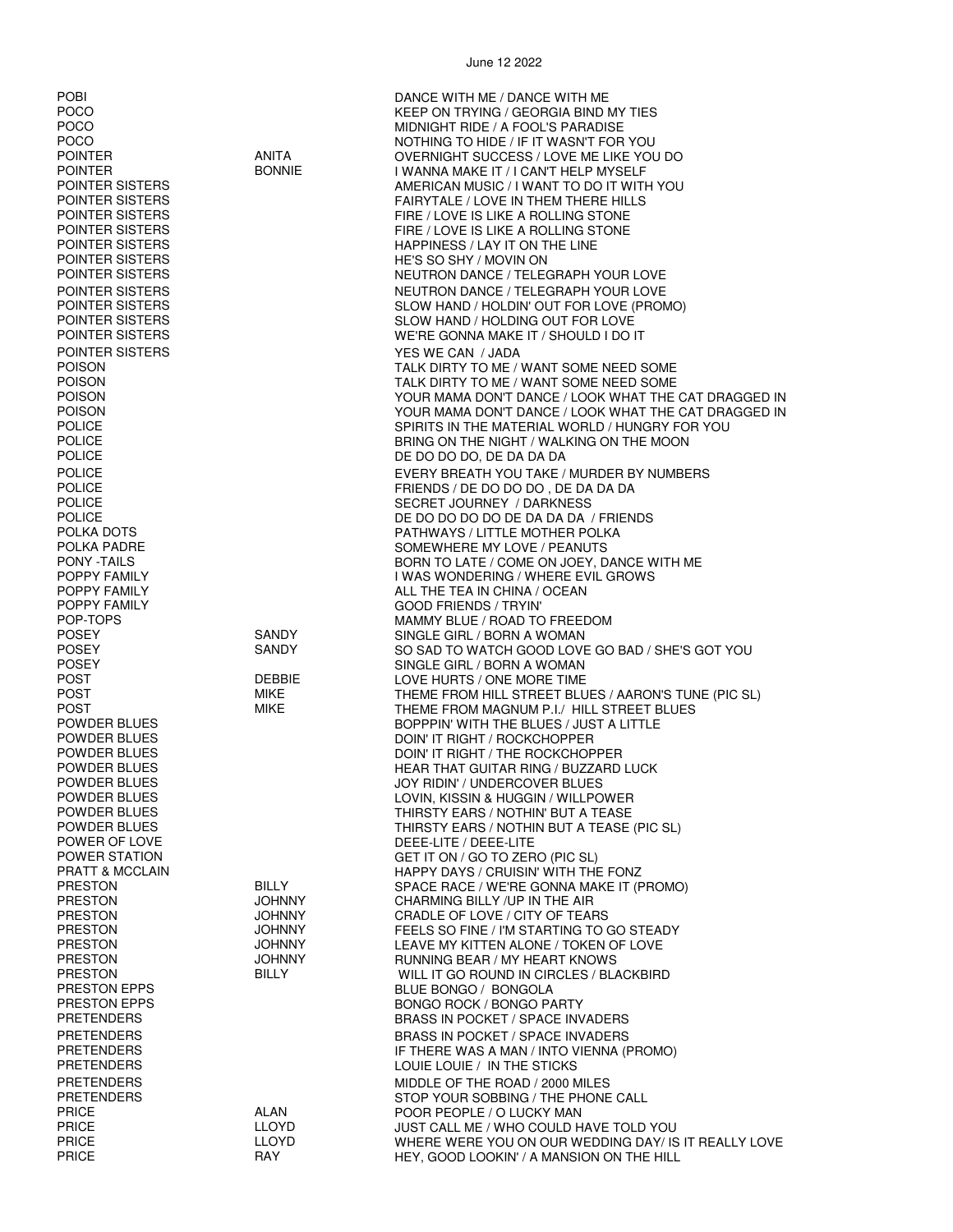| <b>POBI</b>                               |               | DANCE WITH ME / DANCE WITH ME                                                                     |
|-------------------------------------------|---------------|---------------------------------------------------------------------------------------------------|
| <b>POCO</b>                               |               | KEEP ON TRYING / GEORGIA BIND MY TIES                                                             |
| <b>POCO</b>                               |               | MIDNIGHT RIDE / A FOOL'S PARADISE                                                                 |
| <b>POCO</b>                               |               | NOTHING TO HIDE / IF IT WASN'T FOR YOU                                                            |
| <b>POINTER</b>                            | <b>ANITA</b>  | OVERNIGHT SUCCESS / LOVE ME LIKE YOU DO                                                           |
| <b>POINTER</b>                            | <b>BONNIE</b> |                                                                                                   |
| POINTER SISTERS                           |               | I WANNA MAKE IT / I CAN'T HELP MYSELF                                                             |
| POINTER SISTERS                           |               | AMERICAN MUSIC / I WANT TO DO IT WITH YOU                                                         |
| POINTER SISTERS                           |               | FAIRYTALE / LOVE IN THEM THERE HILLS                                                              |
|                                           |               | FIRE / LOVE IS LIKE A ROLLING STONE                                                               |
| POINTER SISTERS                           |               | FIRE / LOVE IS LIKE A ROLLING STONE                                                               |
| POINTER SISTERS<br><b>POINTER SISTERS</b> |               | HAPPINESS / LAY IT ON THE LINE                                                                    |
| POINTER SISTERS                           |               | HE'S SO SHY / MOVIN ON                                                                            |
|                                           |               | NEUTRON DANCE / TELEGRAPH YOUR LOVE                                                               |
| POINTER SISTERS                           |               | NEUTRON DANCE / TELEGRAPH YOUR LOVE                                                               |
| POINTER SISTERS                           |               | SLOW HAND / HOLDIN' OUT FOR LOVE (PROMO)                                                          |
| POINTER SISTERS                           |               | SLOW HAND / HOLDING OUT FOR LOVE                                                                  |
| POINTER SISTERS                           |               | WE'RE GONNA MAKE IT / SHOULD I DO IT                                                              |
| POINTER SISTERS                           |               | YES WE CAN / JADA                                                                                 |
| <b>POISON</b>                             |               | TALK DIRTY TO ME / WANT SOME NEED SOME                                                            |
| <b>POISON</b>                             |               | TALK DIRTY TO ME / WANT SOME NEED SOME                                                            |
| <b>POISON</b>                             |               | YOUR MAMA DON'T DANCE / LOOK WHAT THE CAT DRAGGED IN                                              |
| <b>POISON</b>                             |               | YOUR MAMA DON'T DANCE / LOOK WHAT THE CAT DRAGGED IN                                              |
| <b>POLICE</b>                             |               | SPIRITS IN THE MATERIAL WORLD / HUNGRY FOR YOU                                                    |
| <b>POLICE</b>                             |               | BRING ON THE NIGHT / WALKING ON THE MOON                                                          |
| <b>POLICE</b>                             |               | DE DO DO DO, DE DA DA DA                                                                          |
| <b>POLICE</b>                             |               | EVERY BREATH YOU TAKE / MURDER BY NUMBERS                                                         |
| <b>POLICE</b>                             |               | FRIENDS / DE DO DO DO, DE DA DA DA                                                                |
| <b>POLICE</b>                             |               | SECRET JOURNEY / DARKNESS                                                                         |
| <b>POLICE</b>                             |               | DE DO DO DO DO DE DA DA DA / FRIENDS                                                              |
| POLKA DOTS                                |               | PATHWAYS / LITTLE MOTHER POLKA                                                                    |
| POLKA PADRE                               |               | SOMEWHERE MY LOVE / PEANUTS                                                                       |
| <b>PONY -TAILS</b>                        |               | BORN TO LATE / COME ON JOEY, DANCE WITH ME                                                        |
| POPPY FAMILY                              |               | I WAS WONDERING / WHERE EVIL GROWS                                                                |
| POPPY FAMILY                              |               | ALL THE TEA IN CHINA / OCEAN                                                                      |
| POPPY FAMILY                              |               | <b>GOOD FRIENDS / TRYIN'</b>                                                                      |
| POP-TOPS                                  |               | MAMMY BLUE / ROAD TO FREEDOM                                                                      |
| <b>POSEY</b>                              | <b>SANDY</b>  | SINGLE GIRL / BORN A WOMAN                                                                        |
| <b>POSEY</b>                              | SANDY         | SO SAD TO WATCH GOOD LOVE GO BAD / SHE'S GOT YOU                                                  |
| <b>POSEY</b><br>POST                      | <b>DEBBIE</b> | SINGLE GIRL / BORN A WOMAN                                                                        |
| POST                                      | MIKE          | LOVE HURTS / ONE MORE TIME                                                                        |
| <b>POST</b>                               | MIKE          | THEME FROM HILL STREET BLUES / AARON'S TUNE (PIC SL)<br>THEME FROM MAGNUM P.I./ HILL STREET BLUES |
| POWDER BLUES                              |               | BOPPPIN' WITH THE BLUES / JUST A LITTLE                                                           |
| POWDER BLUES                              |               | DOIN' IT RIGHT / ROCKCHOPPER                                                                      |
| <b>POWDER BLUES</b>                       |               | DOIN' IT RIGHT / THE ROCKCHOPPER                                                                  |
| POWDER BLUES                              |               | HEAR THAT GUITAR RING / BUZZARD LUCK                                                              |
| POWDER BLUES                              |               | JOY RIDIN' / UNDERCOVER BLUES                                                                     |
| POWDER BLUES                              |               | LOVIN, KISSIN & HUGGIN / WILLPOWER                                                                |
| POWDER BLUES                              |               | THIRSTY EARS / NOTHIN' BUT A TEASE                                                                |
| POWDER BLUES                              |               | THIRSTY EARS / NOTHIN BUT A TEASE (PIC SL)                                                        |
| POWER OF LOVE                             |               | DEEE-LITE / DEEE-LITE                                                                             |
| POWER STATION                             |               | GET IT ON / GO TO ZERO (PIC SL)                                                                   |
| PRATT & MCCLAIN                           |               | HAPPY DAYS / CRUISIN' WITH THE FONZ                                                               |
| <b>PRESTON</b>                            | <b>BILLY</b>  | SPACE RACE / WE'RE GONNA MAKE IT (PROMO)                                                          |
| <b>PRESTON</b>                            | JOHNNY        | CHARMING BILLY /UP IN THE AIR                                                                     |
| <b>PRESTON</b>                            | <b>JOHNNY</b> | CRADLE OF LOVE / CITY OF TEARS                                                                    |
| <b>PRESTON</b>                            | JOHNNY        | FEELS SO FINE / I'M STARTING TO GO STEADY                                                         |
| <b>PRESTON</b>                            | <b>JOHNNY</b> | LEAVE MY KITTEN ALONE / TOKEN OF LOVE                                                             |
| <b>PRESTON</b>                            | JOHNNY        | RUNNING BEAR / MY HEART KNOWS                                                                     |
| <b>PRESTON</b>                            | <b>BILLY</b>  | WILL IT GO ROUND IN CIRCLES / BLACKBIRD                                                           |
| PRESTON EPPS                              |               | BLUE BONGO / BONGOLA                                                                              |
| <b>PRESTON EPPS</b>                       |               | BONGO ROCK / BONGO PARTY                                                                          |
| PRETENDERS                                |               | BRASS IN POCKET / SPACE INVADERS                                                                  |
| <b>PRETENDERS</b>                         |               | BRASS IN POCKET / SPACE INVADERS                                                                  |
| <b>PRETENDERS</b>                         |               | IF THERE WAS A MAN / INTO VIENNA (PROMO)                                                          |
| PRETENDERS                                |               | LOUIE LOUIE / IN THE STICKS                                                                       |
| <b>PRETENDERS</b>                         |               | MIDDLE OF THE ROAD / 2000 MILES                                                                   |
| <b>PRETENDERS</b>                         |               | STOP YOUR SOBBING / THE PHONE CALL                                                                |
| <b>PRICE</b>                              | ALAN          | POOR PEOPLE / O LUCKY MAN                                                                         |
| <b>PRICE</b>                              | <b>LLOYD</b>  | JUST CALL ME / WHO COULD HAVE TOLD YOU                                                            |
| <b>PRICE</b>                              | LLOYD         | WHERE WERE YOU ON OUR WEDDING DAY/ IS IT REALLY LOVE                                              |
| PRICE                                     | RAY           | HEY, GOOD LOOKIN' / A MANSION ON THE HILL                                                         |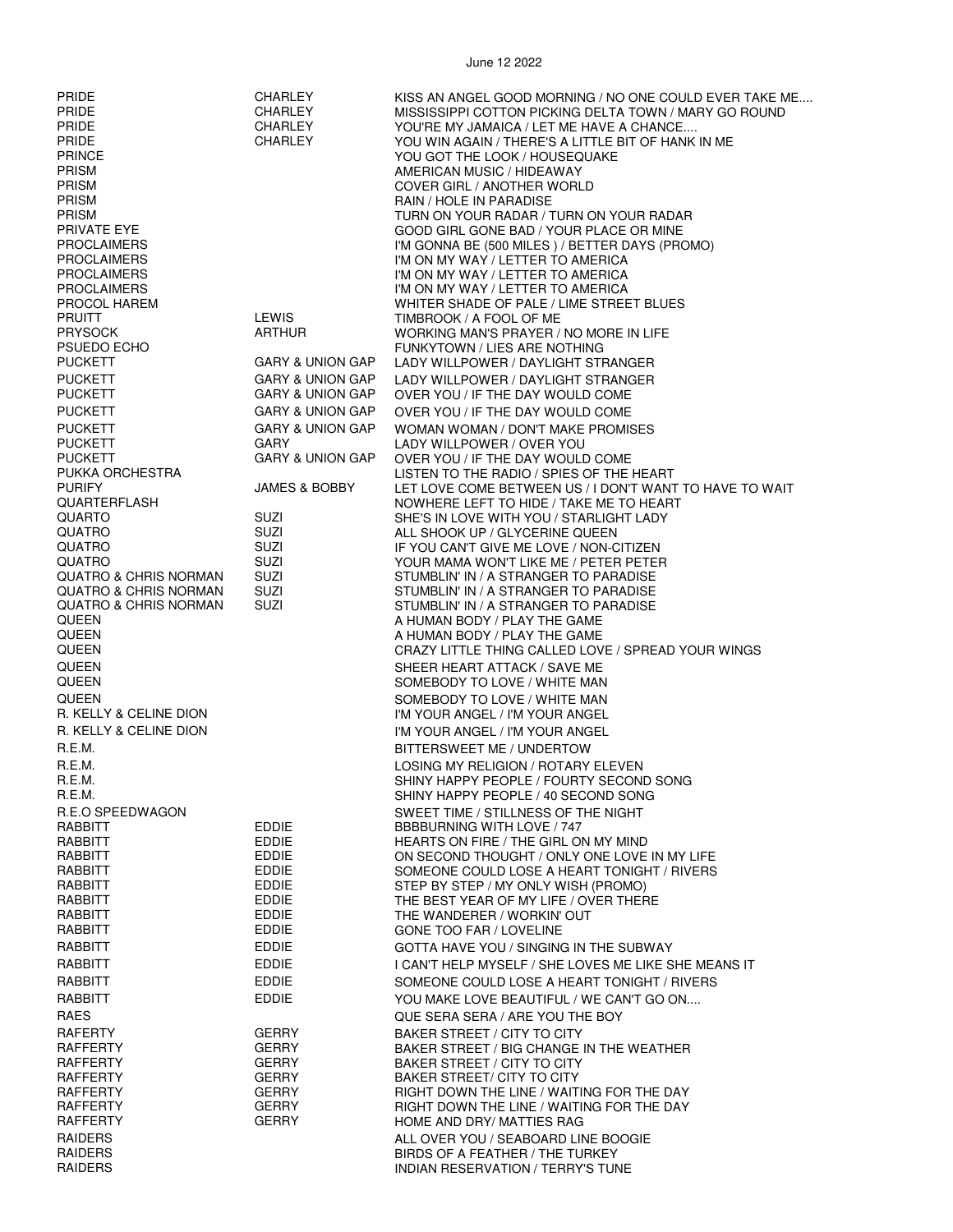| <b>PRIDE</b><br>PRIDE<br><b>PRIDE</b><br><b>PRIDE</b><br><b>PRINCE</b><br>PRISM<br><b>PRISM</b><br><b>PRISM</b><br><b>PRISM</b><br>PRIVATE EYE<br><b>PROCLAIMERS</b><br><b>PROCLAIMERS</b><br><b>PROCLAIMERS</b><br><b>PROCLAIMERS</b><br>PROCOL HAREM | CHARLEY<br><b>CHARLEY</b><br>CHARLEY<br><b>CHARLEY</b>                                    | KISS AN ANGEL GOOD MORNING / NO ONE COULD EVER TAKE ME<br>MISSISSIPPI COTTON PICKING DELTA TOWN / MARY GO ROUND<br>YOU'RE MY JAMAICA / LET ME HAVE A CHANCE<br>YOU WIN AGAIN / THERE'S A LITTLE BIT OF HANK IN ME<br>YOU GOT THE LOOK / HOUSEQUAKE<br>AMERICAN MUSIC / HIDEAWAY<br>COVER GIRL / ANOTHER WORLD<br>RAIN / HOLE IN PARADISE<br>TURN ON YOUR RADAR / TURN ON YOUR RADAR<br>GOOD GIRL GONE BAD / YOUR PLACE OR MINE<br>I'M GONNA BE (500 MILES) / BETTER DAYS (PROMO)<br>I'M ON MY WAY / LETTER TO AMERICA<br>I'M ON MY WAY / LETTER TO AMERICA<br>I'M ON MY WAY / LETTER TO AMERICA<br>WHITER SHADE OF PALE / LIME STREET BLUES |
|--------------------------------------------------------------------------------------------------------------------------------------------------------------------------------------------------------------------------------------------------------|-------------------------------------------------------------------------------------------|---------------------------------------------------------------------------------------------------------------------------------------------------------------------------------------------------------------------------------------------------------------------------------------------------------------------------------------------------------------------------------------------------------------------------------------------------------------------------------------------------------------------------------------------------------------------------------------------------------------------------------------------|
| <b>PRUITT</b><br><b>PRYSOCK</b><br>PSUEDO ECHO<br><b>PUCKETT</b>                                                                                                                                                                                       | <b>LEWIS</b><br><b>ARTHUR</b><br><b>GARY &amp; UNION GAP</b>                              | TIMBROOK / A FOOL OF ME<br>WORKING MAN'S PRAYER / NO MORE IN LIFE<br>FUNKYTOWN / LIES ARE NOTHING<br>LADY WILLPOWER / DAYLIGHT STRANGER                                                                                                                                                                                                                                                                                                                                                                                                                                                                                                     |
| <b>PUCKETT</b><br><b>PUCKETT</b><br><b>PUCKETT</b>                                                                                                                                                                                                     | <b>GARY &amp; UNION GAP</b><br><b>GARY &amp; UNION GAP</b><br><b>GARY &amp; UNION GAP</b> | LADY WILLPOWER / DAYLIGHT STRANGER<br>OVER YOU / IF THE DAY WOULD COME<br>OVER YOU / IF THE DAY WOULD COME                                                                                                                                                                                                                                                                                                                                                                                                                                                                                                                                  |
| <b>PUCKETT</b><br><b>PUCKETT</b>                                                                                                                                                                                                                       | <b>GARY &amp; UNION GAP</b><br><b>GARY</b>                                                | WOMAN WOMAN / DON'T MAKE PROMISES<br>LADY WILLPOWER / OVER YOU                                                                                                                                                                                                                                                                                                                                                                                                                                                                                                                                                                              |
| <b>PUCKETT</b><br>PUKKA ORCHESTRA<br><b>PURIFY</b>                                                                                                                                                                                                     | <b>GARY &amp; UNION GAP</b><br><b>JAMES &amp; BOBBY</b>                                   | OVER YOU / IF THE DAY WOULD COME<br>LISTEN TO THE RADIO / SPIES OF THE HEART<br>LET LOVE COME BETWEEN US / I DON'T WANT TO HAVE TO WAIT                                                                                                                                                                                                                                                                                                                                                                                                                                                                                                     |
| <b>QUARTERFLASH</b><br><b>QUARTO</b><br><b>QUATRO</b>                                                                                                                                                                                                  | SUZI<br>SUZI                                                                              | NOWHERE LEFT TO HIDE / TAKE ME TO HEART<br>SHE'S IN LOVE WITH YOU / STARLIGHT LADY<br>ALL SHOOK UP / GLYCERINE QUEEN                                                                                                                                                                                                                                                                                                                                                                                                                                                                                                                        |
| QUATRO<br>QUATRO<br><b>QUATRO &amp; CHRIS NORMAN</b>                                                                                                                                                                                                   | SUZI<br>SUZI<br>SUZI                                                                      | IF YOU CAN'T GIVE ME LOVE / NON-CITIZEN<br>YOUR MAMA WON'T LIKE ME / PETER PETER<br>STUMBLIN' IN / A STRANGER TO PARADISE                                                                                                                                                                                                                                                                                                                                                                                                                                                                                                                   |
| <b>QUATRO &amp; CHRIS NORMAN</b><br><b>QUATRO &amp; CHRIS NORMAN</b><br>QUEEN<br>QUEEN                                                                                                                                                                 | SUZI<br>SUZI                                                                              | STUMBLIN' IN / A STRANGER TO PARADISE<br>STUMBLIN' IN / A STRANGER TO PARADISE<br>A HUMAN BODY / PLAY THE GAME<br>A HUMAN BODY / PLAY THE GAME                                                                                                                                                                                                                                                                                                                                                                                                                                                                                              |
| <b>QUEEN</b><br><b>QUEEN</b><br><b>QUEEN</b>                                                                                                                                                                                                           |                                                                                           | CRAZY LITTLE THING CALLED LOVE / SPREAD YOUR WINGS<br>SHEER HEART ATTACK / SAVE ME<br>SOMEBODY TO LOVE / WHITE MAN                                                                                                                                                                                                                                                                                                                                                                                                                                                                                                                          |
| <b>QUEEN</b><br>R. KELLY & CELINE DION<br>R. KELLY & CELINE DION                                                                                                                                                                                       |                                                                                           | SOMEBODY TO LOVE / WHITE MAN<br>I'M YOUR ANGEL / I'M YOUR ANGEL<br>I'M YOUR ANGEL / I'M YOUR ANGEL                                                                                                                                                                                                                                                                                                                                                                                                                                                                                                                                          |
| R.E.M.<br>R.E.M.<br>R.E.M.<br>R.E.M.                                                                                                                                                                                                                   |                                                                                           | BITTERSWEET ME / UNDERTOW<br>LOSING MY RELIGION / ROTARY ELEVEN<br>SHINY HAPPY PEOPLE / FOURTY SECOND SONG<br>SHINY HAPPY PEOPLE / 40 SECOND SONG                                                                                                                                                                                                                                                                                                                                                                                                                                                                                           |
| R.E.O SPEEDWAGON<br>RABBITT<br>RABBITT                                                                                                                                                                                                                 | <b>EDDIE</b><br>EDDIE                                                                     | SWEET TIME / STILLNESS OF THE NIGHT<br>BBBBURNING WITH LOVE / 747<br>HEARTS ON FIRE / THE GIRL ON MY MIND                                                                                                                                                                                                                                                                                                                                                                                                                                                                                                                                   |
| RABBITT<br>RABBITT<br>RABBITT<br>RABBITT                                                                                                                                                                                                               | EDDIE<br><b>EDDIE</b><br><b>EDDIE</b><br><b>EDDIE</b>                                     | ON SECOND THOUGHT / ONLY ONE LOVE IN MY LIFE<br>SOMEONE COULD LOSE A HEART TONIGHT / RIVERS<br>STEP BY STEP / MY ONLY WISH (PROMO)<br>THE BEST YEAR OF MY LIFE / OVER THERE                                                                                                                                                                                                                                                                                                                                                                                                                                                                 |
| RABBITT<br>RABBITT<br>RABBITT                                                                                                                                                                                                                          | <b>EDDIE</b><br>EDDIE<br><b>EDDIE</b>                                                     | THE WANDERER / WORKIN' OUT<br>GONE TOO FAR / LOVELINE<br>GOTTA HAVE YOU / SINGING IN THE SUBWAY                                                                                                                                                                                                                                                                                                                                                                                                                                                                                                                                             |
| RABBITT<br>RABBITT                                                                                                                                                                                                                                     | EDDIE<br><b>EDDIE</b>                                                                     | I CAN'T HELP MYSELF / SHE LOVES ME LIKE SHE MEANS IT<br>SOMEONE COULD LOSE A HEART TONIGHT / RIVERS                                                                                                                                                                                                                                                                                                                                                                                                                                                                                                                                         |
| RABBITT<br>RAES<br>RAFERTY                                                                                                                                                                                                                             | <b>EDDIE</b><br><b>GERRY</b>                                                              | YOU MAKE LOVE BEAUTIFUL / WE CAN'T GO ON<br>QUE SERA SERA / ARE YOU THE BOY<br>BAKER STREET / CITY TO CITY                                                                                                                                                                                                                                                                                                                                                                                                                                                                                                                                  |
| RAFFERTY<br>RAFFERTY<br>RAFFERTY                                                                                                                                                                                                                       | <b>GERRY</b><br><b>GERRY</b><br><b>GERRY</b>                                              | BAKER STREET / BIG CHANGE IN THE WEATHER<br>BAKER STREET / CITY TO CITY<br>BAKER STREET/ CITY TO CITY                                                                                                                                                                                                                                                                                                                                                                                                                                                                                                                                       |
| RAFFERTY<br>RAFFERTY<br>RAFFERTY                                                                                                                                                                                                                       | <b>GERRY</b><br><b>GERRY</b><br><b>GERRY</b>                                              | RIGHT DOWN THE LINE / WAITING FOR THE DAY<br>RIGHT DOWN THE LINE / WAITING FOR THE DAY<br>HOME AND DRY/ MATTIES RAG                                                                                                                                                                                                                                                                                                                                                                                                                                                                                                                         |
| <b>RAIDERS</b><br>RAIDERS<br><b>RAIDERS</b>                                                                                                                                                                                                            |                                                                                           | ALL OVER YOU / SEABOARD LINE BOOGIE<br>BIRDS OF A FEATHER / THE TURKEY<br><b>INDIAN RESERVATION / TERRY'S TUNE</b>                                                                                                                                                                                                                                                                                                                                                                                                                                                                                                                          |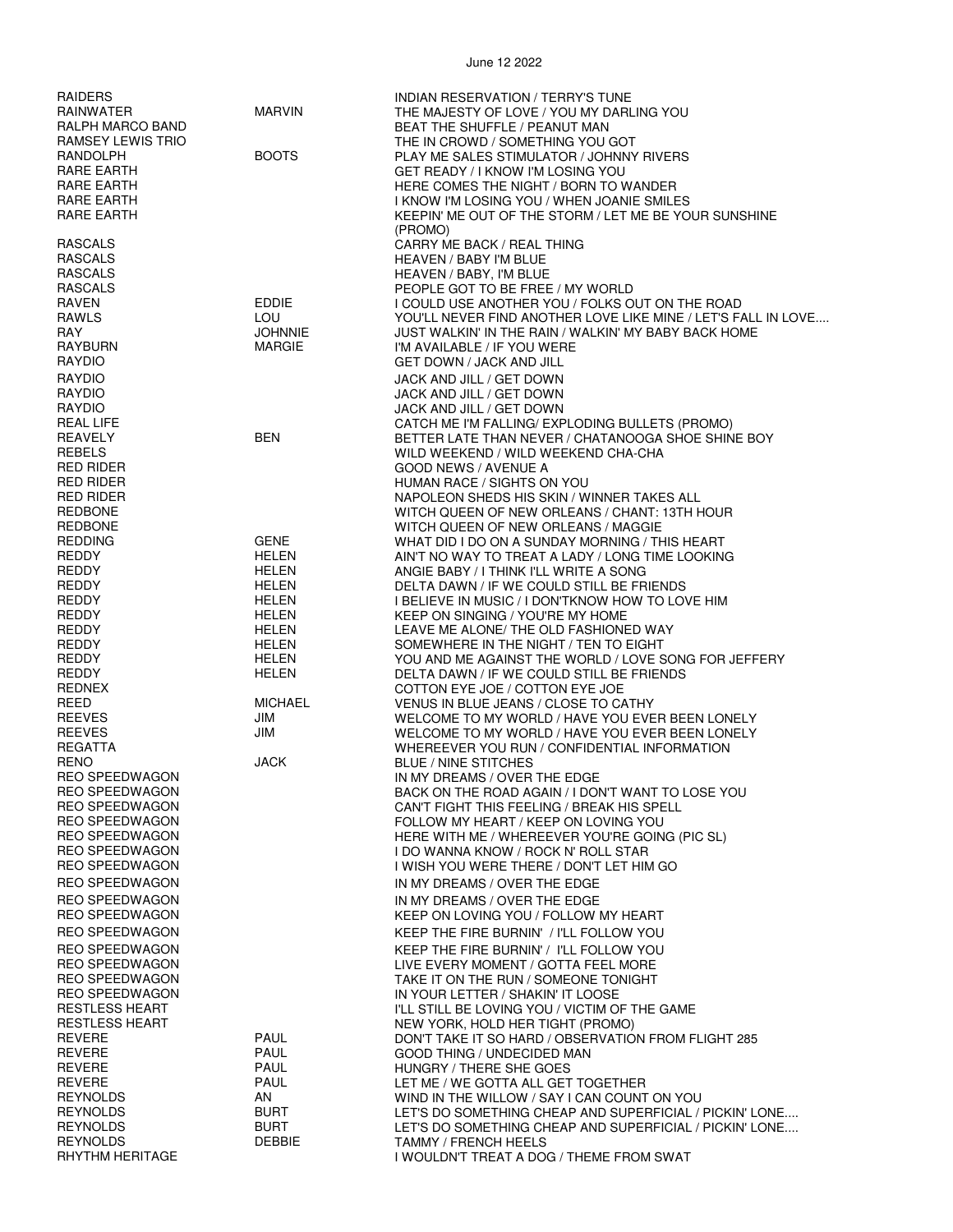| RAIDERS<br>RAINWATER<br>RALPH MARCO BAND                                                  | <b>MARVIN</b>                             | INDIAN RESERVATION / TERRY'S TUNE<br>THE MAJESTY OF LOVE / YOU MY DARLING YOU<br>BEAT THE SHUFFLE / PEANUT MAN                                                           |
|-------------------------------------------------------------------------------------------|-------------------------------------------|--------------------------------------------------------------------------------------------------------------------------------------------------------------------------|
| RAMSEY LEWIS TRIO<br>RANDOLPH<br>RARE EARTH                                               | <b>BOOTS</b>                              | THE IN CROWD / SOMETHING YOU GOT<br>PLAY ME SALES STIMULATOR / JOHNNY RIVERS<br>GET READY / I KNOW I'M LOSING YOU                                                        |
| RARE EARTH<br>RARE EARTH<br>RARE EARTH                                                    |                                           | HERE COMES THE NIGHT / BORN TO WANDER<br>I KNOW I'M LOSING YOU / WHEN JOANIE SMILES<br>KEEPIN' ME OUT OF THE STORM / LET ME BE YOUR SUNSHINE                             |
| <b>RASCALS</b><br><b>RASCALS</b><br><b>RASCALS</b>                                        |                                           | (PROMO)<br>CARRY ME BACK / REAL THING<br>HEAVEN / BABY I'M BLUE<br>HEAVEN / BABY, I'M BLUE                                                                               |
| <b>RASCALS</b><br>RAVEN<br>RAWLS                                                          | <b>EDDIE</b><br>LOU                       | PEOPLE GOT TO BE FREE / MY WORLD<br>I COULD USE ANOTHER YOU / FOLKS OUT ON THE ROAD<br>YOU'LL NEVER FIND ANOTHER LOVE LIKE MINE / LET'S FALL IN LOVE                     |
| RAY<br>RAYBURN<br><b>RAYDIO</b>                                                           | <b>JOHNNIE</b><br><b>MARGIE</b>           | JUST WALKIN' IN THE RAIN / WALKIN' MY BABY BACK HOME<br>I'M AVAILABLE / IF YOU WERE<br><b>GET DOWN / JACK AND JILL</b>                                                   |
| <b>RAYDIO</b><br><b>RAYDIO</b><br><b>RAYDIO</b>                                           |                                           | JACK AND JILL / GET DOWN<br>JACK AND JILL / GET DOWN                                                                                                                     |
| <b>REAL LIFE</b><br>REAVELY<br><b>REBELS</b>                                              | <b>BEN</b>                                | JACK AND JILL / GET DOWN<br>CATCH ME I'M FALLING/ EXPLODING BULLETS (PROMO)<br>BETTER LATE THAN NEVER / CHATANOOGA SHOE SHINE BOY<br>WILD WEEKEND / WILD WEEKEND CHA-CHA |
| <b>RED RIDER</b><br><b>RED RIDER</b><br><b>RED RIDER</b>                                  |                                           | <b>GOOD NEWS / AVENUE A</b><br>HUMAN RACE / SIGHTS ON YOU<br>NAPOLEON SHEDS HIS SKIN / WINNER TAKES ALL                                                                  |
| <b>REDBONE</b><br><b>REDBONE</b><br><b>REDDING</b>                                        | <b>GENE</b>                               | WITCH QUEEN OF NEW ORLEANS / CHANT: 13TH HOUR<br>WITCH QUEEN OF NEW ORLEANS / MAGGIE<br>WHAT DID I DO ON A SUNDAY MORNING / THIS HEART                                   |
| <b>REDDY</b><br><b>REDDY</b><br><b>REDDY</b>                                              | HELEN<br>HELEN<br>HELEN                   | AIN'T NO WAY TO TREAT A LADY / LONG TIME LOOKING<br>ANGIE BABY / I THINK I'LL WRITE A SONG<br>DELTA DAWN / IF WE COULD STILL BE FRIENDS                                  |
| <b>REDDY</b><br>REDDY<br><b>REDDY</b>                                                     | HELEN<br>HELEN<br><b>HELEN</b>            | I BELIEVE IN MUSIC / I DON'TKNOW HOW TO LOVE HIM<br>KEEP ON SINGING / YOU'RE MY HOME<br>LEAVE ME ALONE/ THE OLD FASHIONED WAY                                            |
| <b>REDDY</b><br><b>REDDY</b><br><b>REDDY</b>                                              | HELEN<br>HELEN<br>HELEN                   | SOMEWHERE IN THE NIGHT / TEN TO EIGHT<br>YOU AND ME AGAINST THE WORLD / LOVE SONG FOR JEFFERY<br>DELTA DAWN / IF WE COULD STILL BE FRIENDS                               |
| REDNEX<br>REED<br><b>REEVES</b>                                                           | <b>MICHAEL</b><br>JIM                     | COTTON EYE JOE / COTTON EYE JOE<br>VENUS IN BLUE JEANS / CLOSE TO CATHY<br>WELCOME TO MY WORLD / HAVE YOU EVER BEEN LONELY                                               |
| <b>REEVES</b><br><b>REGATTA</b><br><b>RENO</b>                                            | JIM<br><b>JACK</b>                        | WELCOME TO MY WORLD / HAVE YOU EVER BEEN LONELY<br>WHEREEVER YOU RUN / CONFIDENTIAL INFORMATION<br><b>BLUE / NINE STITCHES</b>                                           |
| <b>REO SPEEDWAGON</b><br><b>REO SPEEDWAGON</b><br><b>REO SPEEDWAGON</b>                   |                                           | IN MY DREAMS / OVER THE EDGE<br>BACK ON THE ROAD AGAIN / I DON'T WANT TO LOSE YOU<br>CAN'T FIGHT THIS FEELING / BREAK HIS SPELL                                          |
| <b>REO SPEEDWAGON</b><br><b>REO SPEEDWAGON</b><br><b>REO SPEEDWAGON</b>                   |                                           | FOLLOW MY HEART / KEEP ON LOVING YOU<br>HERE WITH ME / WHEREEVER YOU'RE GOING (PIC SL)<br>I DO WANNA KNOW / ROCK N' ROLL STAR                                            |
| <b>REO SPEEDWAGON</b><br><b>REO SPEEDWAGON</b><br><b>REO SPEEDWAGON</b>                   |                                           | I WISH YOU WERE THERE / DON'T LET HIM GO<br>IN MY DREAMS / OVER THE EDGE<br>IN MY DREAMS / OVER THE EDGE                                                                 |
| <b>REO SPEEDWAGON</b><br><b>REO SPEEDWAGON</b><br><b>REO SPEEDWAGON</b>                   |                                           | KEEP ON LOVING YOU / FOLLOW MY HEART<br>KEEP THE FIRE BURNIN' / I'LL FOLLOW YOU<br>KEEP THE FIRE BURNIN' / I'LL FOLLOW YOU                                               |
| <b>REO SPEEDWAGON</b><br><b>REO SPEEDWAGON</b><br><b>REO SPEEDWAGON</b><br>RESTLESS HEART |                                           | LIVE EVERY MOMENT / GOTTA FEEL MORE<br>TAKE IT ON THE RUN / SOMEONE TONIGHT<br>IN YOUR LETTER / SHAKIN' IT LOOSE<br>I'LL STILL BE LOVING YOU / VICTIM OF THE GAME        |
| <b>RESTLESS HEART</b><br><b>REVERE</b><br><b>REVERE</b><br><b>REVERE</b>                  | <b>PAUL</b><br><b>PAUL</b><br><b>PAUL</b> | NEW YORK, HOLD HER TIGHT (PROMO)<br>DON'T TAKE IT SO HARD / OBSERVATION FROM FLIGHT 285<br>GOOD THING / UNDECIDED MAN<br>HUNGRY / THERE SHE GOES                         |
| <b>REVERE</b><br><b>REYNOLDS</b><br><b>REYNOLDS</b>                                       | <b>PAUL</b><br>AN<br><b>BURT</b>          | LET ME / WE GOTTA ALL GET TOGETHER<br>WIND IN THE WILLOW / SAY I CAN COUNT ON YOU<br>LET'S DO SOMETHING CHEAP AND SUPERFICIAL / PICKIN' LONE                             |
| <b>REYNOLDS</b><br><b>REYNOLDS</b><br>RHYTHM HERITAGE                                     | <b>BURT</b><br><b>DEBBIE</b>              | LET'S DO SOMETHING CHEAP AND SUPERFICIAL / PICKIN' LONE<br><b>TAMMY / FRENCH HEELS</b><br>I WOULDN'T TREAT A DOG / THEME FROM SWAT                                       |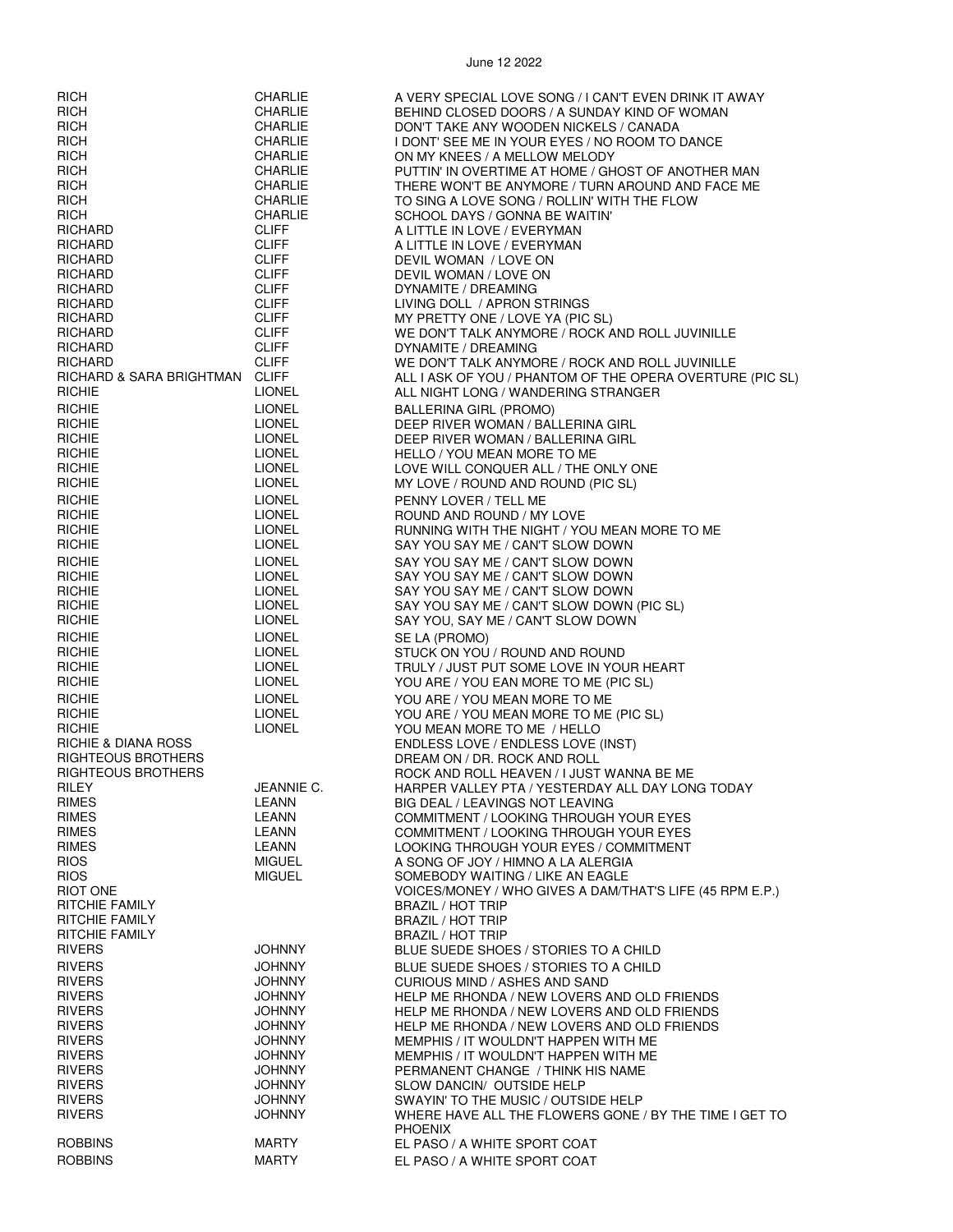| <b>RICH</b>                                                                  | CHARLIE                                        | A VERY SPECIAL LOVE SONG / I CAN'T EVEN DRINK IT AWAY                                                                                           |
|------------------------------------------------------------------------------|------------------------------------------------|-------------------------------------------------------------------------------------------------------------------------------------------------|
| <b>RICH</b>                                                                  | <b>CHARLIE</b>                                 | BEHIND CLOSED DOORS / A SUNDAY KIND OF WOMAN                                                                                                    |
| <b>RICH</b>                                                                  | <b>CHARLIE</b>                                 | DON'T TAKE ANY WOODEN NICKELS / CANADA                                                                                                          |
| <b>RICH</b>                                                                  | <b>CHARLIE</b>                                 | I DONT' SEE ME IN YOUR EYES / NO ROOM TO DANCE                                                                                                  |
| <b>RICH</b>                                                                  | <b>CHARLIE</b>                                 | ON MY KNEES / A MELLOW MELODY                                                                                                                   |
| <b>RICH</b>                                                                  | <b>CHARLIE</b>                                 | PUTTIN' IN OVERTIME AT HOME / GHOST OF ANOTHER MAN                                                                                              |
| <b>RICH</b>                                                                  | <b>CHARLIE</b>                                 | THERE WON'T BE ANYMORE / TURN AROUND AND FACE ME                                                                                                |
| <b>RICH</b>                                                                  | <b>CHARLIE</b>                                 | TO SING A LOVE SONG / ROLLIN' WITH THE FLOW                                                                                                     |
| <b>RICH</b>                                                                  | <b>CHARLIE</b>                                 | SCHOOL DAYS / GONNA BE WAITIN'                                                                                                                  |
| <b>RICHARD</b>                                                               | <b>CLIFF</b>                                   | A LITTLE IN LOVE / EVERYMAN                                                                                                                     |
| RICHARD                                                                      | <b>CLIFF</b>                                   | A LITTLE IN LOVE / EVERYMAN                                                                                                                     |
| RICHARD                                                                      | <b>CLIFF</b>                                   | DEVIL WOMAN / LOVE ON                                                                                                                           |
| RICHARD                                                                      | <b>CLIFF</b>                                   | DEVIL WOMAN / LOVE ON                                                                                                                           |
| <b>RICHARD</b>                                                               | <b>CLIFF</b>                                   | DYNAMITE / DREAMING                                                                                                                             |
| RICHARD                                                                      | <b>CLIFF</b>                                   | LIVING DOLL / APRON STRINGS                                                                                                                     |
| RICHARD                                                                      | <b>CLIFF</b>                                   | MY PRETTY ONE / LOVE YA (PIC SL)                                                                                                                |
| <b>RICHARD</b>                                                               | <b>CLIFF</b>                                   | WE DON'T TALK ANYMORE / ROCK AND ROLL JUVINILLE                                                                                                 |
| <b>RICHARD</b>                                                               | <b>CLIFF</b>                                   | DYNAMITE / DREAMING                                                                                                                             |
| RICHARD                                                                      | <b>CLIFF</b>                                   | WE DON'T TALK ANYMORE / ROCK AND ROLL JUVINILLE                                                                                                 |
| RICHARD & SARA BRIGHTMAN CLIFF<br><b>RICHIE</b><br><b>RICHIE</b>             | <b>LIONEL</b><br><b>LIONEL</b>                 | ALL I ASK OF YOU / PHANTOM OF THE OPERA OVERTURE (PIC SL)<br>ALL NIGHT LONG / WANDERING STRANGER<br>BALLERINA GIRL (PROMO)                      |
| <b>RICHIE</b>                                                                | <b>LIONEL</b>                                  | DEEP RIVER WOMAN / BALLERINA GIRL                                                                                                               |
| <b>RICHIE</b>                                                                | <b>LIONEL</b>                                  | DEEP RIVER WOMAN / BALLERINA GIRL                                                                                                               |
| <b>RICHIE</b>                                                                | <b>LIONEL</b>                                  | HELLO / YOU MEAN MORE TO ME                                                                                                                     |
| <b>RICHIE</b>                                                                | <b>LIONEL</b>                                  | LOVE WILL CONQUER ALL / THE ONLY ONE                                                                                                            |
| <b>RICHIE</b>                                                                | <b>LIONEL</b>                                  | MY LOVE / ROUND AND ROUND (PIC SL)                                                                                                              |
| <b>RICHIE</b>                                                                | <b>LIONEL</b>                                  | PENNY LOVER / TELL ME                                                                                                                           |
| <b>RICHIE</b>                                                                | <b>LIONEL</b>                                  | ROUND AND ROUND / MY LOVE                                                                                                                       |
| <b>RICHIE</b>                                                                | <b>LIONEL</b>                                  | RUNNING WITH THE NIGHT / YOU MEAN MORE TO ME                                                                                                    |
| <b>RICHIE</b>                                                                | <b>LIONEL</b>                                  | SAY YOU SAY ME / CAN'T SLOW DOWN                                                                                                                |
| <b>RICHIE</b>                                                                | <b>LIONEL</b>                                  | SAY YOU SAY ME / CAN'T SLOW DOWN                                                                                                                |
| <b>RICHIE</b>                                                                | LIONEL                                         | SAY YOU SAY ME / CAN'T SLOW DOWN                                                                                                                |
| <b>RICHIE</b>                                                                | <b>LIONEL</b>                                  | SAY YOU SAY ME / CAN'T SLOW DOWN                                                                                                                |
| <b>RICHIE</b>                                                                | <b>LIONEL</b>                                  | SAY YOU SAY ME / CAN'T SLOW DOWN (PIC SL)                                                                                                       |
| <b>RICHIE</b>                                                                | <b>LIONEL</b>                                  | SAY YOU, SAY ME / CAN'T SLOW DOWN                                                                                                               |
| <b>RICHIE</b>                                                                | <b>LIONEL</b>                                  | SE LA (PROMO)                                                                                                                                   |
| <b>RICHIE</b>                                                                | <b>LIONEL</b>                                  | STUCK ON YOU / ROUND AND ROUND                                                                                                                  |
| <b>RICHIE</b>                                                                | <b>LIONEL</b>                                  | TRULY / JUST PUT SOME LOVE IN YOUR HEART                                                                                                        |
| <b>RICHIE</b>                                                                | <b>LIONEL</b>                                  | YOU ARE / YOU EAN MORE TO ME (PIC SL)                                                                                                           |
| <b>RICHIE</b>                                                                | <b>LIONEL</b>                                  | YOU ARE / YOU MEAN MORE TO ME                                                                                                                   |
| <b>RICHIE</b>                                                                | <b>LIONEL</b>                                  | YOU ARE / YOU MEAN MORE TO ME (PIC SL)                                                                                                          |
| <b>RICHIE</b>                                                                | <b>LIONEL</b>                                  | YOU MEAN MORE TO ME / HELLO                                                                                                                     |
| RICHIE & DIANA ROSS<br>RIGHTEOUS BROTHERS<br>RIGHTEOUS BROTHERS              |                                                | ENDLESS LOVE / ENDLESS LOVE (INST)<br>DREAM ON / DR. ROCK AND ROLL<br>ROCK AND ROLL HEAVEN / I JUST WANNA BE ME                                 |
| <b>RILEY</b>                                                                 | JEANNIE C.                                     | HARPER VALLEY PTA / YESTERDAY ALL DAY LONG TODAY                                                                                                |
| <b>RIMES</b>                                                                 | LEANN                                          | BIG DEAL / LEAVINGS NOT LEAVING                                                                                                                 |
| <b>RIMES</b>                                                                 | LEANN                                          | COMMITMENT / LOOKING THROUGH YOUR EYES                                                                                                          |
| <b>RIMES</b>                                                                 | LEANN                                          | COMMITMENT / LOOKING THROUGH YOUR EYES                                                                                                          |
| <b>RIMES</b>                                                                 | LEANN                                          | LOOKING THROUGH YOUR EYES / COMMITMENT                                                                                                          |
| <b>RIOS</b>                                                                  | <b>MIGUEL</b>                                  | A SONG OF JOY / HIMNO A LA ALERGIA                                                                                                              |
| <b>RIOS</b>                                                                  | <b>MIGUEL</b>                                  | SOMEBODY WAITING / LIKE AN EAGLE                                                                                                                |
| <b>RIOT ONE</b><br>RITCHIE FAMILY<br><b>RITCHIE FAMILY</b><br>RITCHIE FAMILY |                                                | VOICES/MONEY / WHO GIVES A DAM/THAT'S LIFE (45 RPM E.P.)<br><b>BRAZIL / HOT TRIP</b><br><b>BRAZIL / HOT TRIP</b><br><b>BRAZIL / HOT TRIP</b>    |
| <b>RIVERS</b>                                                                | <b>JOHNNY</b>                                  | BLUE SUEDE SHOES / STORIES TO A CHILD                                                                                                           |
| <b>RIVERS</b>                                                                | <b>JOHNNY</b>                                  | BLUE SUEDE SHOES / STORIES TO A CHILD                                                                                                           |
| <b>RIVERS</b>                                                                | <b>JOHNNY</b>                                  | <b>CURIOUS MIND / ASHES AND SAND</b>                                                                                                            |
| <b>RIVERS</b>                                                                | <b>JOHNNY</b>                                  | HELP ME RHONDA / NEW LOVERS AND OLD FRIENDS                                                                                                     |
| <b>RIVERS</b>                                                                | <b>JOHNNY</b>                                  | HELP ME RHONDA / NEW LOVERS AND OLD FRIENDS                                                                                                     |
| <b>RIVERS</b>                                                                | <b>JOHNNY</b>                                  | HELP ME RHONDA / NEW LOVERS AND OLD FRIENDS                                                                                                     |
| <b>RIVERS</b>                                                                | <b>JOHNNY</b>                                  | MEMPHIS / IT WOULDN'T HAPPEN WITH ME                                                                                                            |
| <b>RIVERS</b>                                                                | <b>JOHNNY</b>                                  | MEMPHIS / IT WOULDN'T HAPPEN WITH ME                                                                                                            |
| <b>RIVERS</b>                                                                | <b>JOHNNY</b>                                  | PERMANENT CHANGE / THINK HIS NAME                                                                                                               |
| <b>RIVERS</b>                                                                | <b>JOHNNY</b>                                  | SLOW DANCIN/ OUTSIDE HELP                                                                                                                       |
| <b>RIVERS</b><br><b>RIVERS</b><br><b>ROBBINS</b>                             | <b>JOHNNY</b><br><b>JOHNNY</b><br><b>MARTY</b> | SWAYIN' TO THE MUSIC / OUTSIDE HELP<br>WHERE HAVE ALL THE FLOWERS GONE / BY THE TIME I GET TO<br><b>PHOENIX</b><br>EL PASO / A WHITE SPORT COAT |
| <b>ROBBINS</b>                                                               | <b>MARTY</b>                                   | EL PASO / A WHITE SPORT COAT                                                                                                                    |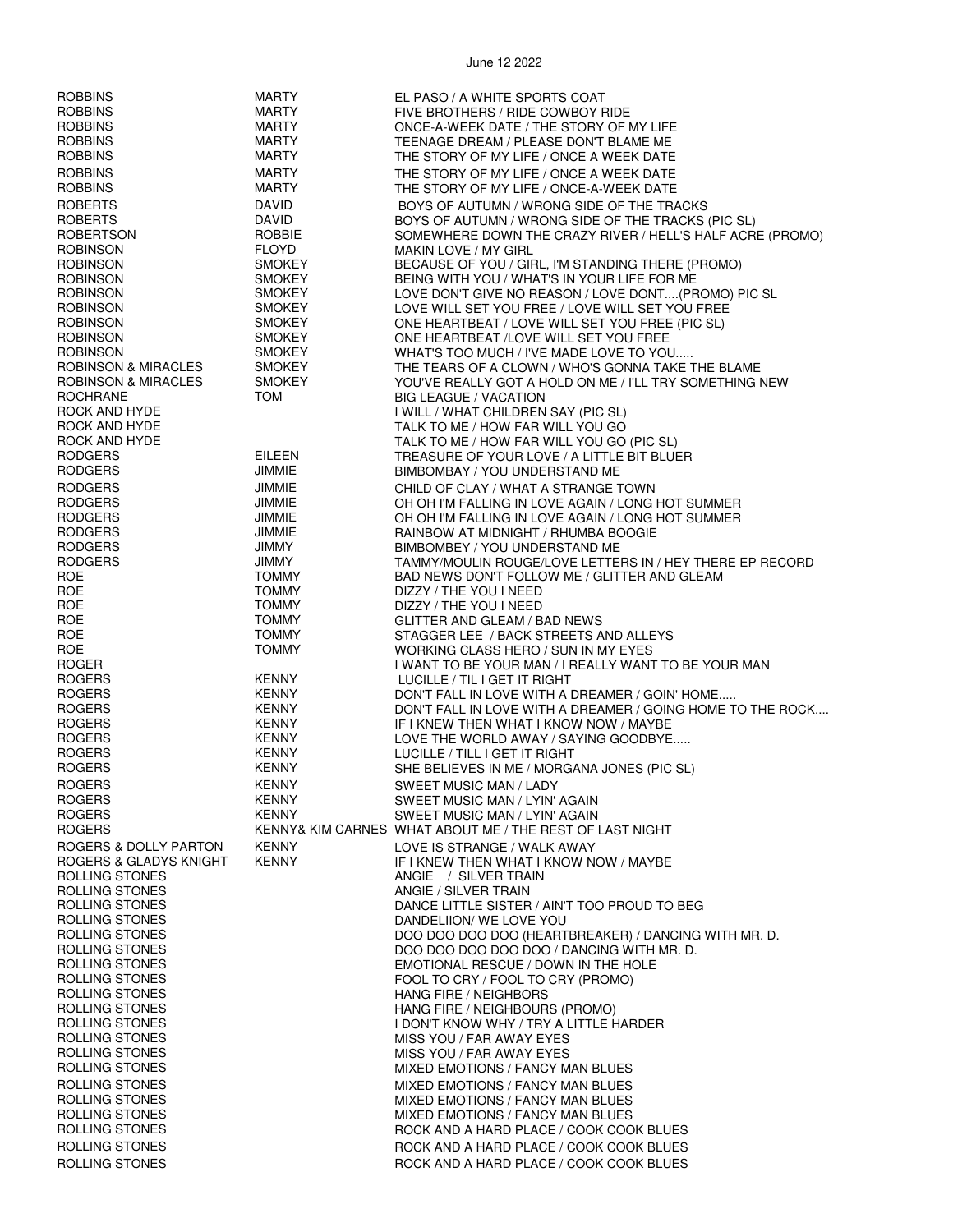| <b>ROBBINS</b>                 | <b>MARTY</b>  | EL PASO / A WHITE SPORTS COAT                              |
|--------------------------------|---------------|------------------------------------------------------------|
|                                |               |                                                            |
| <b>ROBBINS</b>                 | MARTY         | FIVE BROTHERS / RIDE COWBOY RIDE                           |
| <b>ROBBINS</b>                 | <b>MARTY</b>  | ONCE-A-WEEK DATE / THE STORY OF MY LIFE                    |
| <b>ROBBINS</b>                 | <b>MARTY</b>  |                                                            |
|                                |               | TEENAGE DREAM / PLEASE DON'T BLAME ME                      |
| <b>ROBBINS</b>                 | <b>MARTY</b>  | THE STORY OF MY LIFE / ONCE A WEEK DATE                    |
| <b>ROBBINS</b>                 | <b>MARTY</b>  | THE STORY OF MY LIFE / ONCE A WEEK DATE                    |
|                                |               |                                                            |
| <b>ROBBINS</b>                 | <b>MARTY</b>  | THE STORY OF MY LIFE / ONCE-A-WEEK DATE                    |
| <b>ROBERTS</b>                 | DAVID         | BOYS OF AUTUMN / WRONG SIDE OF THE TRACKS                  |
|                                |               |                                                            |
| <b>ROBERTS</b>                 | DAVID         | BOYS OF AUTUMN / WRONG SIDE OF THE TRACKS (PIC SL)         |
| <b>ROBERTSON</b>               | ROBBIE        | SOMEWHERE DOWN THE CRAZY RIVER / HELL'S HALF ACRE (PROMO)  |
| <b>ROBINSON</b>                | <b>FLOYD</b>  | <b>MAKIN LOVE / MY GIRL</b>                                |
|                                |               |                                                            |
| <b>ROBINSON</b>                | <b>SMOKEY</b> | BECAUSE OF YOU / GIRL, I'M STANDING THERE (PROMO)          |
| <b>ROBINSON</b>                | <b>SMOKEY</b> | BEING WITH YOU / WHAT'S IN YOUR LIFE FOR ME                |
| <b>ROBINSON</b>                | <b>SMOKEY</b> | LOVE DON'T GIVE NO REASON / LOVE DONT(PROMO) PIC SL        |
|                                |               |                                                            |
| <b>ROBINSON</b>                | <b>SMOKEY</b> | LOVE WILL SET YOU FREE / LOVE WILL SET YOU FREE            |
| <b>ROBINSON</b>                | <b>SMOKEY</b> | ONE HEARTBEAT / LOVE WILL SET YOU FREE (PIC SL)            |
| <b>ROBINSON</b>                | <b>SMOKEY</b> | ONE HEARTBEAT /LOVE WILL SET YOU FREE                      |
| <b>ROBINSON</b>                | <b>SMOKEY</b> |                                                            |
|                                |               | WHAT'S TOO MUCH / I'VE MADE LOVE TO YOU                    |
| <b>ROBINSON &amp; MIRACLES</b> | <b>SMOKEY</b> | THE TEARS OF A CLOWN / WHO'S GONNA TAKE THE BLAME          |
| ROBINSON & MIRACLES            | <b>SMOKEY</b> | YOU'VE REALLY GOT A HOLD ON ME / I'LL TRY SOMETHING NEW    |
| <b>ROCHRANE</b>                | TOM           | <b>BIG LEAGUE / VACATION</b>                               |
|                                |               |                                                            |
| ROCK AND HYDE                  |               | I WILL / WHAT CHILDREN SAY (PIC SL)                        |
| ROCK AND HYDE                  |               | TALK TO ME / HOW FAR WILL YOU GO                           |
| ROCK AND HYDE                  |               | TALK TO ME / HOW FAR WILL YOU GO (PIC SL)                  |
|                                |               |                                                            |
| <b>RODGERS</b>                 | <b>EILEEN</b> | TREASURE OF YOUR LOVE / A LITTLE BIT BLUER                 |
| <b>RODGERS</b>                 | JIMMIE        | BIMBOMBAY / YOU UNDERSTAND ME                              |
|                                |               |                                                            |
| <b>RODGERS</b>                 | JIMMIE        | CHILD OF CLAY / WHAT A STRANGE TOWN                        |
| <b>RODGERS</b>                 | <b>JIMMIE</b> | OH OH I'M FALLING IN LOVE AGAIN / LONG HOT SUMMER          |
| <b>RODGERS</b>                 | JIMMIE        | OH OH I'M FALLING IN LOVE AGAIN / LONG HOT SUMMER          |
|                                |               |                                                            |
| <b>RODGERS</b>                 | JIMMIE        | RAINBOW AT MIDNIGHT / RHUMBA BOOGIE                        |
| <b>RODGERS</b>                 | <b>JIMMY</b>  | BIMBOMBEY / YOU UNDERSTAND ME                              |
| <b>RODGERS</b>                 | <b>JIMMY</b>  | TAMMY/MOULIN ROUGE/LOVE LETTERS IN / HEY THERE EP RECORD   |
| <b>ROE</b>                     | <b>TOMMY</b>  | BAD NEWS DON'T FOLLOW ME / GLITTER AND GLEAM               |
|                                |               |                                                            |
| <b>ROE</b>                     | <b>TOMMY</b>  | DIZZY / THE YOU I NEED                                     |
| ROE                            | <b>TOMMY</b>  | DIZZY / THE YOU I NEED                                     |
| <b>ROE</b>                     | <b>TOMMY</b>  | GLITTER AND GLEAM / BAD NEWS                               |
|                                |               |                                                            |
| <b>ROE</b>                     | <b>TOMMY</b>  | STAGGER LEE / BACK STREETS AND ALLEYS                      |
| <b>ROE</b>                     | <b>TOMMY</b>  | WORKING CLASS HERO / SUN IN MY EYES                        |
| <b>ROGER</b>                   |               | I WANT TO BE YOUR MAN / I REALLY WANT TO BE YOUR MAN       |
|                                |               |                                                            |
| <b>ROGERS</b>                  | KENNY         | LUCILLE / TIL I GET IT RIGHT                               |
| <b>ROGERS</b>                  | <b>KENNY</b>  | DON'T FALL IN LOVE WITH A DREAMER / GOIN' HOME             |
| <b>ROGERS</b>                  | <b>KENNY</b>  | DON'T FALL IN LOVE WITH A DREAMER / GOING HOME TO THE ROCK |
| <b>ROGERS</b>                  | <b>KENNY</b>  |                                                            |
|                                |               | IF I KNEW THEN WHAT I KNOW NOW / MAYBE                     |
| <b>ROGERS</b>                  | <b>KENNY</b>  | LOVE THE WORLD AWAY / SAYING GOODBYE                       |
| <b>ROGERS</b>                  | <b>KENNY</b>  | LUCILLE / TILL I GET IT RIGHT                              |
| <b>ROGERS</b>                  | <b>KENNY</b>  | SHE BELIEVES IN ME / MORGANA JONES (PIC SL)                |
|                                |               |                                                            |
| ROGERS                         | <b>KENNY</b>  | SWEET MUSIC MAN / LADY                                     |
| <b>ROGERS</b>                  | <b>KENNY</b>  | SWEET MUSIC MAN / LYIN' AGAIN                              |
| <b>ROGERS</b>                  | <b>KENNY</b>  | <b>SWEET MUSIC MAN / LYIN' AGAIN</b>                       |
|                                |               |                                                            |
| <b>ROGERS</b>                  |               | KENNY& KIM CARNES WHAT ABOUT ME / THE REST OF LAST NIGHT   |
| ROGERS & DOLLY PARTON          | <b>KENNY</b>  | LOVE IS STRANGE / WALK AWAY                                |
| ROGERS & GLADYS KNIGHT         | <b>KENNY</b>  | IF I KNEW THEN WHAT I KNOW NOW / MAYBE                     |
|                                |               |                                                            |
| ROLLING STONES                 |               | ANGIE / SILVER TRAIN                                       |
| ROLLING STONES                 |               | ANGIE / SILVER TRAIN                                       |
| ROLLING STONES                 |               | DANCE LITTLE SISTER / AIN'T TOO PROUD TO BEG               |
| ROLLING STONES                 |               | DANDELIION/ WE LOVE YOU                                    |
|                                |               |                                                            |
| ROLLING STONES                 |               | DOO DOO DOO DOO (HEARTBREAKER) / DANCING WITH MR. D.       |
| ROLLING STONES                 |               | DOO DOO DOO DOO DOO / DANCING WITH MR. D.                  |
| ROLLING STONES                 |               | EMOTIONAL RESCUE / DOWN IN THE HOLE                        |
| ROLLING STONES                 |               | FOOL TO CRY / FOOL TO CRY (PROMO)                          |
|                                |               |                                                            |
| ROLLING STONES                 |               | <b>HANG FIRE / NEIGHBORS</b>                               |
| ROLLING STONES                 |               | HANG FIRE / NEIGHBOURS (PROMO)                             |
| ROLLING STONES                 |               | I DON'T KNOW WHY / TRY A LITTLE HARDER                     |
|                                |               |                                                            |
| ROLLING STONES                 |               | MISS YOU / FAR AWAY EYES                                   |
| ROLLING STONES                 |               | MISS YOU / FAR AWAY EYES                                   |
| ROLLING STONES                 |               | MIXED EMOTIONS / FANCY MAN BLUES                           |
|                                |               |                                                            |
| ROLLING STONES                 |               | <b>MIXED EMOTIONS / FANCY MAN BLUES</b>                    |
| ROLLING STONES                 |               | MIXED EMOTIONS / FANCY MAN BLUES                           |
| ROLLING STONES                 |               | <b>MIXED EMOTIONS / FANCY MAN BLUES</b>                    |
| ROLLING STONES                 |               | ROCK AND A HARD PLACE / COOK COOK BLUES                    |
|                                |               |                                                            |
| ROLLING STONES                 |               | ROCK AND A HARD PLACE / COOK COOK BLUES                    |
| ROLLING STONES                 |               | ROCK AND A HARD PLACE / COOK COOK BLUES                    |
|                                |               |                                                            |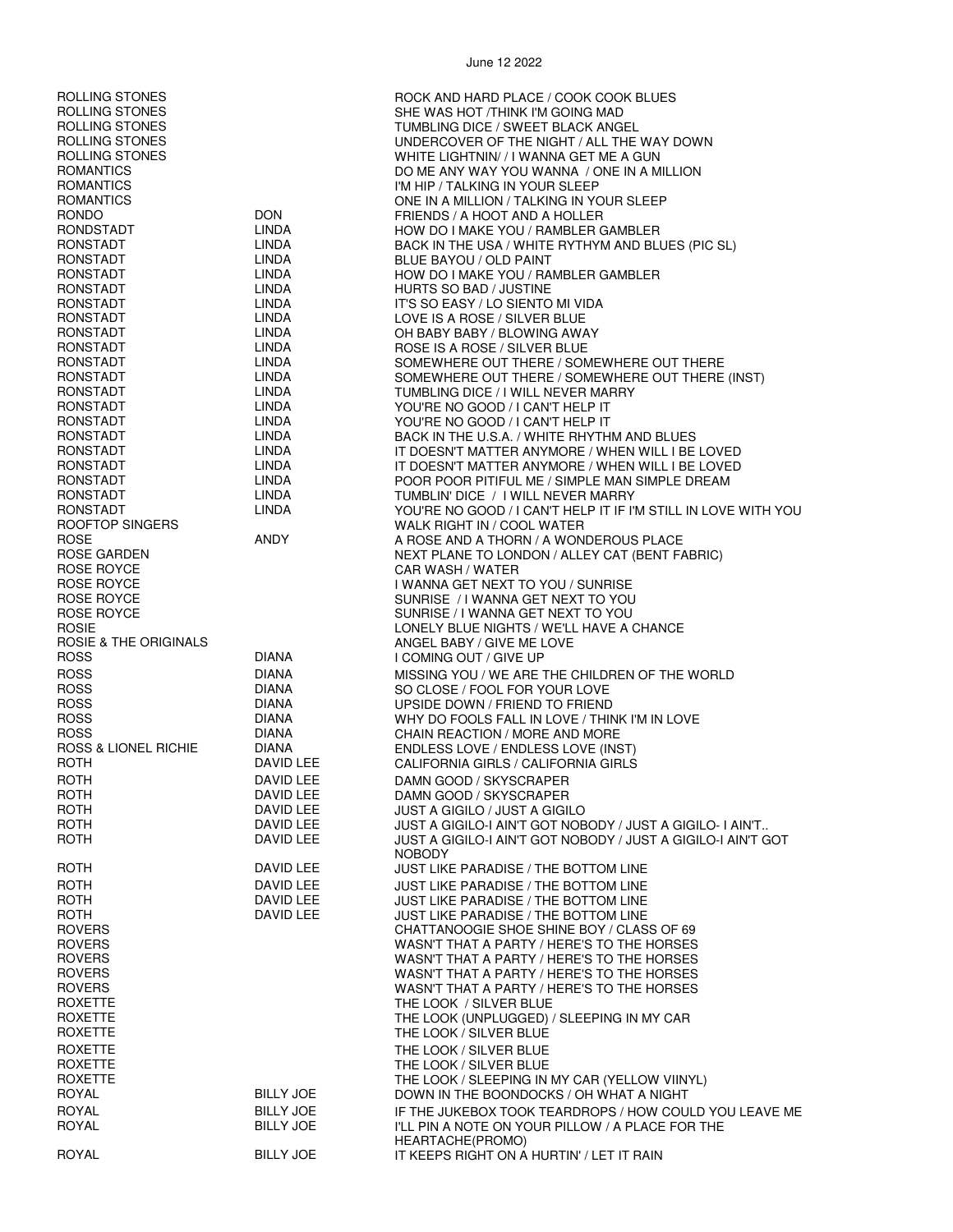| ROLLING STONES<br>ROLLING STONES<br>ROLLING STONES<br>ROLLING STONES<br>ROLLING STONES<br>ROMANTICS<br>ROMANTICS<br>ROMANTICS<br><b>RONDO</b> | <b>DON</b>                           | ROCK AND HARD PLACE / COOK COOK BLUES<br>SHE WAS HOT /THINK I'M GOING MAD<br>TUMBLING DICE / SWEET BLACK ANGEL<br>UNDERCOVER OF THE NIGHT / ALL THE WAY DOWN<br>WHITE LIGHTNIN//I WANNA GET ME A GUN<br>DO ME ANY WAY YOU WANNA / ONE IN A MILLION<br>I'M HIP / TALKING IN YOUR SLEEP<br>ONE IN A MILLION / TALKING IN YOUR SLEEP |
|-----------------------------------------------------------------------------------------------------------------------------------------------|--------------------------------------|-----------------------------------------------------------------------------------------------------------------------------------------------------------------------------------------------------------------------------------------------------------------------------------------------------------------------------------|
| RONDSTADT                                                                                                                                     | LINDA                                | FRIENDS / A HOOT AND A HOLLER<br>HOW DO I MAKE YOU / RAMBLER GAMBLER                                                                                                                                                                                                                                                              |
| RONSTADT<br>RONSTADT                                                                                                                          | <b>LINDA</b><br>LINDA                | BACK IN THE USA / WHITE RYTHYM AND BLUES (PIC SL)<br>BLUE BAYOU / OLD PAINT                                                                                                                                                                                                                                                       |
| RONSTADT                                                                                                                                      | LINDA                                | HOW DO I MAKE YOU / RAMBLER GAMBLER                                                                                                                                                                                                                                                                                               |
| RONSTADT<br>RONSTADT                                                                                                                          | LINDA<br>LINDA                       | HURTS SO BAD / JUSTINE<br>IT'S SO EASY / LO SIENTO MI VIDA                                                                                                                                                                                                                                                                        |
| RONSTADT                                                                                                                                      | LINDA                                | LOVE IS A ROSE / SILVER BLUE                                                                                                                                                                                                                                                                                                      |
| RONSTADT                                                                                                                                      | LINDA                                | OH BABY BABY / BLOWING AWAY                                                                                                                                                                                                                                                                                                       |
| RONSTADT<br>RONSTADT                                                                                                                          | LINDA<br>LINDA                       | ROSE IS A ROSE / SILVER BLUE<br>SOMEWHERE OUT THERE / SOMEWHERE OUT THERE                                                                                                                                                                                                                                                         |
| RONSTADT                                                                                                                                      | LINDA                                | SOMEWHERE OUT THERE / SOMEWHERE OUT THERE (INST)                                                                                                                                                                                                                                                                                  |
| RONSTADT                                                                                                                                      | LINDA                                | TUMBLING DICE / I WILL NEVER MARRY                                                                                                                                                                                                                                                                                                |
| RONSTADT<br>RONSTADT                                                                                                                          | LINDA<br>LINDA                       | YOU'RE NO GOOD / I CAN'T HELP IT<br>YOU'RE NO GOOD / I CAN'T HELP IT                                                                                                                                                                                                                                                              |
| RONSTADT                                                                                                                                      | LINDA                                | BACK IN THE U.S.A. / WHITE RHYTHM AND BLUES                                                                                                                                                                                                                                                                                       |
| RONSTADT                                                                                                                                      | LINDA                                | IT DOESN'T MATTER ANYMORE / WHEN WILL I BE LOVED                                                                                                                                                                                                                                                                                  |
| RONSTADT<br>RONSTADT                                                                                                                          | LINDA<br>LINDA                       | IT DOESN'T MATTER ANYMORE / WHEN WILL I BE LOVED<br>POOR POOR PITIFUL ME / SIMPLE MAN SIMPLE DREAM                                                                                                                                                                                                                                |
| RONSTADT                                                                                                                                      | LINDA                                | TUMBLIN' DICE / I WILL NEVER MARRY                                                                                                                                                                                                                                                                                                |
| RONSTADT<br>ROOFTOP SINGERS                                                                                                                   | LINDA                                | YOU'RE NO GOOD / I CAN'T HELP IT IF I'M STILL IN LOVE WITH YOU<br>WALK RIGHT IN / COOL WATER                                                                                                                                                                                                                                      |
| <b>ROSE</b>                                                                                                                                   | ANDY                                 | A ROSE AND A THORN / A WONDEROUS PLACE                                                                                                                                                                                                                                                                                            |
| ROSE GARDEN                                                                                                                                   |                                      | NEXT PLANE TO LONDON / ALLEY CAT (BENT FABRIC)                                                                                                                                                                                                                                                                                    |
| ROSE ROYCE<br>ROSE ROYCE                                                                                                                      |                                      | CAR WASH / WATER<br>I WANNA GET NEXT TO YOU / SUNRISE                                                                                                                                                                                                                                                                             |
| ROSE ROYCE                                                                                                                                    |                                      | SUNRISE / I WANNA GET NEXT TO YOU                                                                                                                                                                                                                                                                                                 |
| ROSE ROYCE                                                                                                                                    |                                      | SUNRISE / I WANNA GET NEXT TO YOU                                                                                                                                                                                                                                                                                                 |
| <b>ROSIE</b><br>ROSIE & THE ORIGINALS                                                                                                         |                                      | LONELY BLUE NIGHTS / WE'LL HAVE A CHANCE<br>ANGEL BABY / GIVE ME LOVE                                                                                                                                                                                                                                                             |
| <b>ROSS</b>                                                                                                                                   | <b>DIANA</b>                         | I COMING OUT / GIVE UP                                                                                                                                                                                                                                                                                                            |
| <b>ROSS</b>                                                                                                                                   | DIANA                                | MISSING YOU / WE ARE THE CHILDREN OF THE WORLD                                                                                                                                                                                                                                                                                    |
| <b>ROSS</b><br><b>ROSS</b>                                                                                                                    | DIANA<br>DIANA                       | SO CLOSE / FOOL FOR YOUR LOVE<br>UPSIDE DOWN / FRIEND TO FRIEND                                                                                                                                                                                                                                                                   |
| <b>ROSS</b>                                                                                                                                   | DIANA                                | WHY DO FOOLS FALL IN LOVE / THINK I'M IN LOVE                                                                                                                                                                                                                                                                                     |
| <b>ROSS</b>                                                                                                                                   | DIANA                                | CHAIN REACTION / MORE AND MORE                                                                                                                                                                                                                                                                                                    |
| <b>ROSS &amp; LIONEL RICHIE</b><br>ROTH                                                                                                       | DIANA<br>DAVID LEE                   | ENDLESS LOVE / ENDLESS LOVE (INST)<br>CALIFORNIA GIRLS / CALIFORNIA GIRLS                                                                                                                                                                                                                                                         |
| ROTH                                                                                                                                          | DAVID LEE                            | DAMN GOOD / SKYSCRAPER                                                                                                                                                                                                                                                                                                            |
| <b>ROTH</b>                                                                                                                                   | DAVID LEE                            | DAMN GOOD / SKYSCRAPER                                                                                                                                                                                                                                                                                                            |
| <b>ROTH</b><br><b>ROTH</b>                                                                                                                    | DAVID LEE<br>DAVID LEE               | <b>JUST A GIGILO / JUST A GIGILO</b><br>JUST A GIGILO-I AIN'T GOT NOBODY / JUST A GIGILO- I AIN'T                                                                                                                                                                                                                                 |
| ROTH                                                                                                                                          | DAVID LEE                            | JUST A GIGILO-I AIN'T GOT NOBODY / JUST A GIGILO-I AIN'T GOT<br><b>NOBODY</b>                                                                                                                                                                                                                                                     |
| <b>ROTH</b>                                                                                                                                   | DAVID LEE                            | JUST LIKE PARADISE / THE BOTTOM LINE                                                                                                                                                                                                                                                                                              |
| <b>ROTH</b><br><b>ROTH</b>                                                                                                                    | DAVID LEE<br>DAVID LEE               | <b>JUST LIKE PARADISE / THE BOTTOM LINE</b><br><b>JUST LIKE PARADISE / THE BOTTOM LINE</b>                                                                                                                                                                                                                                        |
| <b>ROTH</b>                                                                                                                                   | DAVID LEE                            | JUST LIKE PARADISE / THE BOTTOM LINE                                                                                                                                                                                                                                                                                              |
| <b>ROVERS</b>                                                                                                                                 |                                      | CHATTANOOGIE SHOE SHINE BOY / CLASS OF 69                                                                                                                                                                                                                                                                                         |
| <b>ROVERS</b><br><b>ROVERS</b>                                                                                                                |                                      | WASN'T THAT A PARTY / HERE'S TO THE HORSES<br>WASN'T THAT A PARTY / HERE'S TO THE HORSES                                                                                                                                                                                                                                          |
| <b>ROVERS</b>                                                                                                                                 |                                      | WASN'T THAT A PARTY / HERE'S TO THE HORSES                                                                                                                                                                                                                                                                                        |
| <b>ROVERS</b>                                                                                                                                 |                                      | WASN'T THAT A PARTY / HERE'S TO THE HORSES                                                                                                                                                                                                                                                                                        |
| <b>ROXETTE</b><br>ROXETTE                                                                                                                     |                                      | THE LOOK / SILVER BLUE<br>THE LOOK (UNPLUGGED) / SLEEPING IN MY CAR                                                                                                                                                                                                                                                               |
| <b>ROXETTE</b>                                                                                                                                |                                      | THE LOOK / SILVER BLUE                                                                                                                                                                                                                                                                                                            |
| <b>ROXETTE</b>                                                                                                                                |                                      | THE LOOK / SILVER BLUE                                                                                                                                                                                                                                                                                                            |
| <b>ROXETTE</b><br>ROXETTE                                                                                                                     |                                      | THE LOOK / SILVER BLUE<br>THE LOOK / SLEEPING IN MY CAR (YELLOW VIINYL)                                                                                                                                                                                                                                                           |
| <b>ROYAL</b>                                                                                                                                  | <b>BILLY JOE</b>                     | DOWN IN THE BOONDOCKS / OH WHAT A NIGHT                                                                                                                                                                                                                                                                                           |
| <b>ROYAL</b><br>ROYAL                                                                                                                         | <b>BILLY JOE</b><br><b>BILLY JOE</b> | IF THE JUKEBOX TOOK TEARDROPS / HOW COULD YOU LEAVE ME<br>I'LL PIN A NOTE ON YOUR PILLOW / A PLACE FOR THE                                                                                                                                                                                                                        |
| <b>ROYAL</b>                                                                                                                                  | <b>BILLY JOE</b>                     | HEARTACHE(PROMO)<br>IT KEEPS RIGHT ON A HURTIN' / LET IT RAIN                                                                                                                                                                                                                                                                     |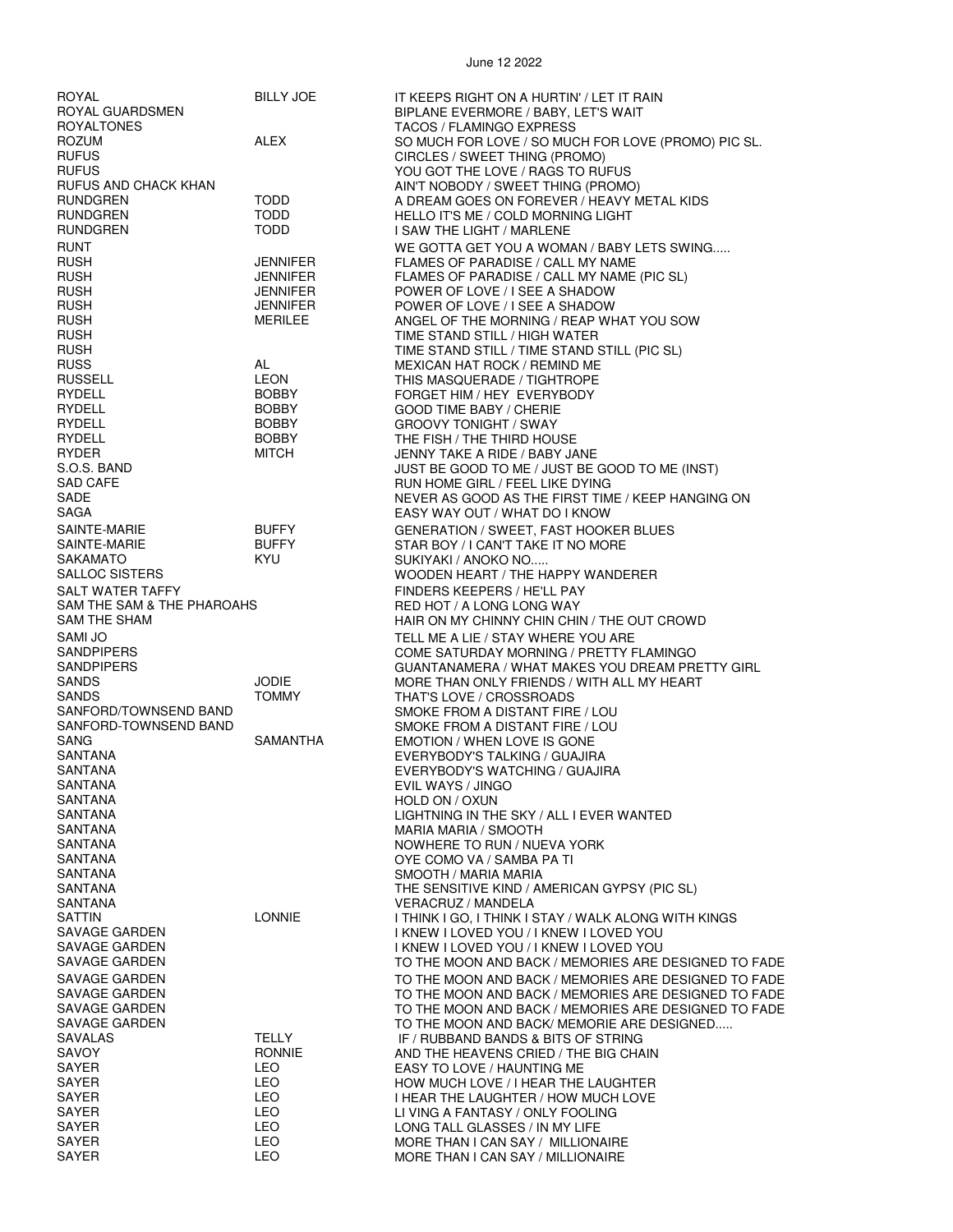| ROYAL                      | <b>BILLY JOE</b> | IT KEEPS RIGHT ON A HURTIN' / LET IT RAIN            |
|----------------------------|------------------|------------------------------------------------------|
| ROYAL GUARDSMEN            |                  | BIPLANE EVERMORE / BABY, LET'S WAIT                  |
| <b>ROYALTONES</b>          |                  | <b>TACOS / FLAMINGO EXPRESS</b>                      |
| <b>ROZUM</b>               | ALEX             | SO MUCH FOR LOVE / SO MUCH FOR LOVE (PROMO) PIC SL.  |
| <b>RUFUS</b>               |                  | CIRCLES / SWEET THING (PROMO)                        |
| <b>RUFUS</b>               |                  | YOU GOT THE LOVE / RAGS TO RUFUS                     |
| RUFUS AND CHACK KHAN       |                  | AIN'T NOBODY / SWEET THING (PROMO)                   |
| <b>RUNDGREN</b>            | TODD             | A DREAM GOES ON FOREVER / HEAVY METAL KIDS           |
| RUNDGREN                   | TODD             |                                                      |
|                            | <b>TODD</b>      | HELLO IT'S ME / COLD MORNING LIGHT                   |
| RUNDGREN                   |                  | I SAW THE LIGHT / MARLENE                            |
| <b>RUNT</b>                |                  | WE GOTTA GET YOU A WOMAN / BABY LETS SWING           |
| <b>RUSH</b>                | JENNIFER         | FLAMES OF PARADISE / CALL MY NAME                    |
| <b>RUSH</b>                | JENNIFER         | FLAMES OF PARADISE / CALL MY NAME (PIC SL)           |
| <b>RUSH</b>                | JENNIFER         | POWER OF LOVE / I SEE A SHADOW                       |
| <b>RUSH</b>                | JENNIFER         | POWER OF LOVE / I SEE A SHADOW                       |
| <b>RUSH</b>                | MERILEE          | ANGEL OF THE MORNING / REAP WHAT YOU SOW             |
| <b>RUSH</b>                |                  | TIME STAND STILL / HIGH WATER                        |
| <b>RUSH</b>                |                  | TIME STAND STILL / TIME STAND STILL (PIC SL)         |
| <b>RUSS</b>                | AL               | MEXICAN HAT ROCK / REMIND ME                         |
| <b>RUSSELL</b>             | <b>LEON</b>      | THIS MASQUERADE / TIGHTROPE                          |
| RYDELL                     | <b>BOBBY</b>     | FORGET HIM / HEY EVERYBODY                           |
| RYDELL                     | <b>BOBBY</b>     | <b>GOOD TIME BABY / CHERIE</b>                       |
| RYDELL                     | <b>BOBBY</b>     | <b>GROOVY TONIGHT / SWAY</b>                         |
| RYDELL                     | <b>BOBBY</b>     | THE FISH / THE THIRD HOUSE                           |
| RYDER                      | <b>MITCH</b>     | JENNY TAKE A RIDE / BABY JANE                        |
| S.O.S. BAND                |                  | JUST BE GOOD TO ME / JUST BE GOOD TO ME (INST)       |
| <b>SAD CAFE</b>            |                  | RUN HOME GIRL / FEEL LIKE DYING                      |
| SADE                       |                  | NEVER AS GOOD AS THE FIRST TIME / KEEP HANGING ON    |
| SAGA                       |                  | EASY WAY OUT / WHAT DO I KNOW                        |
| SAINTE-MARIE               | <b>BUFFY</b>     | <b>GENERATION / SWEET, FAST HOOKER BLUES</b>         |
| SAINTE-MARIE               | <b>BUFFY</b>     | STAR BOY / I CAN'T TAKE IT NO MORE                   |
| SAKAMATO                   | KYU              | SUKIYAKI / ANOKO NO                                  |
| SALLOC SISTERS             |                  |                                                      |
|                            |                  | WOODEN HEART / THE HAPPY WANDERER                    |
| SALT WATER TAFFY           |                  | FINDERS KEEPERS / HE'LL PAY                          |
| SAM THE SAM & THE PHAROAHS |                  | RED HOT / A LONG LONG WAY                            |
| SAM THE SHAM               |                  | HAIR ON MY CHINNY CHIN CHIN / THE OUT CROWD          |
| SAMI JO                    |                  | TELL ME A LIE / STAY WHERE YOU ARE                   |
| SANDPIPERS                 |                  | COME SATURDAY MORNING / PRETTY FLAMINGO              |
| SANDPIPERS                 |                  | GUANTANAMERA / WHAT MAKES YOU DREAM PRETTY GIRL      |
| <b>SANDS</b>               | JODIE            | MORE THAN ONLY FRIENDS / WITH ALL MY HEART           |
| <b>SANDS</b>               | <b>TOMMY</b>     | THAT'S LOVE / CROSSROADS                             |
| SANFORD/TOWNSEND BAND      |                  | SMOKE FROM A DISTANT FIRE / LOU                      |
| SANFORD-TOWNSEND BAND      |                  | SMOKE FROM A DISTANT FIRE / LOU                      |
| SANG                       | SAMANTHA         | EMOTION / WHEN LOVE IS GONE                          |
| SANTANA                    |                  | EVERYBODY'S TALKING / GUAJIRA                        |
| SANTANA                    |                  | EVERYBODY'S WATCHING / GUAJIRA                       |
| SANTANA                    |                  | EVIL WAYS / JINGO                                    |
| SANTANA                    |                  | HOLD ON / OXUN                                       |
| SANTANA                    |                  | LIGHTNING IN THE SKY / ALL I EVER WANTED             |
| SANTANA                    |                  | MARIA MARIA / SMOOTH                                 |
| SANTANA                    |                  | NOWHERE TO RUN / NUEVA YORK                          |
| SANTANA                    |                  | OYE COMO VA / SAMBA PA TI                            |
| SANTANA                    |                  | SMOOTH / MARIA MARIA                                 |
| SANTANA                    |                  | THE SENSITIVE KIND / AMERICAN GYPSY (PIC SL)         |
| SANTANA                    |                  | <b>VERACRUZ / MANDELA</b>                            |
| <b>SATTIN</b>              | <b>LONNIE</b>    | I THINK I GO, I THINK I STAY / WALK ALONG WITH KINGS |
| SAVAGE GARDEN              |                  | I KNEW I LOVED YOU / I KNEW I LOVED YOU              |
| SAVAGE GARDEN              |                  | I KNEW I LOVED YOU / I KNEW I LOVED YOU              |
| <b>SAVAGE GARDEN</b>       |                  | TO THE MOON AND BACK / MEMORIES ARE DESIGNED TO FADE |
|                            |                  |                                                      |
| SAVAGE GARDEN              |                  | TO THE MOON AND BACK / MEMORIES ARE DESIGNED TO FADE |
| SAVAGE GARDEN              |                  | TO THE MOON AND BACK / MEMORIES ARE DESIGNED TO FADE |
| SAVAGE GARDEN              |                  | TO THE MOON AND BACK / MEMORIES ARE DESIGNED TO FADE |
| SAVAGE GARDEN              |                  | TO THE MOON AND BACK/ MEMORIE ARE DESIGNED           |
| <b>SAVALAS</b>             | <b>TELLY</b>     | IF / RUBBAND BANDS & BITS OF STRING                  |
| SAVOY                      | <b>RONNIE</b>    | AND THE HEAVENS CRIED / THE BIG CHAIN                |
| SAYER                      | LEO              | EASY TO LOVE / HAUNTING ME                           |
| SAYER                      | LEO              | HOW MUCH LOVE / I HEAR THE LAUGHTER                  |
| SAYER                      | LEO.             | I HEAR THE LAUGHTER / HOW MUCH LOVE                  |
| SAYER                      | LEO.             | LI VING A FANTASY / ONLY FOOLING                     |
| SAYER                      | LEO              | LONG TALL GLASSES / IN MY LIFE                       |
| SAYER                      | LEO              | MORE THAN I CAN SAY / MILLIONAIRE                    |
| SAYER                      | LEO              | MORE THAN I CAN SAY / MILLIONAIRE                    |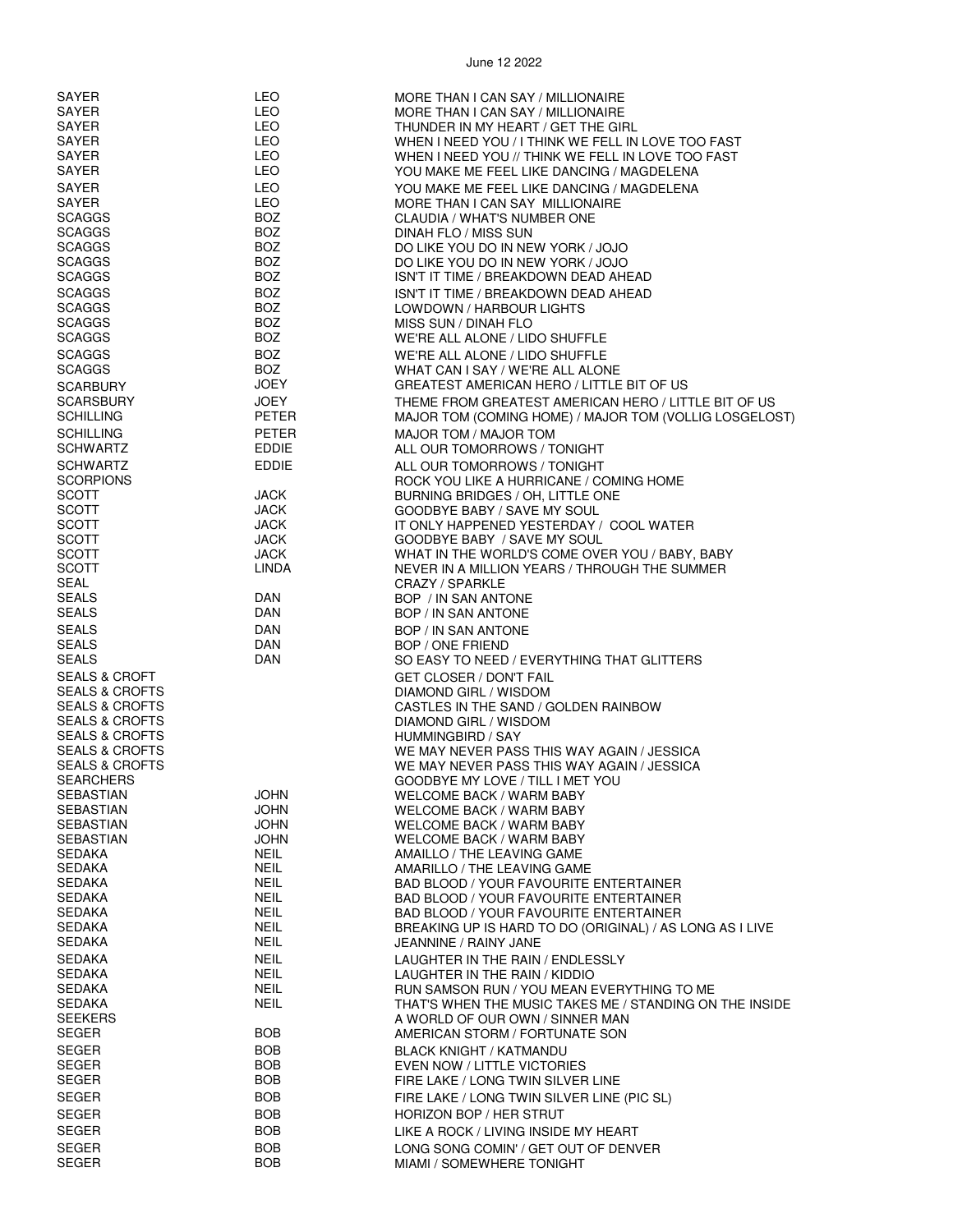| SAYER                     | LEO          | MORE THAN I CAN SAY / MILLIONAIRE                        |
|---------------------------|--------------|----------------------------------------------------------|
| SAYER                     | LEO          | MORE THAN I CAN SAY / MILLIONAIRE                        |
| SAYER                     | LEO          | THUNDER IN MY HEART / GET THE GIRL                       |
| SAYER                     | LEO          | WHEN I NEED YOU / I THINK WE FELL IN LOVE TOO FAST       |
| SAYER                     | LEO          | WHEN I NEED YOU // THINK WE FELL IN LOVE TOO FAST        |
| SAYER                     | LEO          | YOU MAKE ME FEEL LIKE DANCING / MAGDELENA                |
|                           |              |                                                          |
| SAYER                     | <b>LEO</b>   | YOU MAKE ME FEEL LIKE DANCING / MAGDELENA                |
| SAYER                     | LEO          | MORE THAN I CAN SAY MILLIONAIRE                          |
| <b>SCAGGS</b>             | <b>BOZ</b>   | CLAUDIA / WHAT'S NUMBER ONE                              |
| <b>SCAGGS</b>             | BOZ.         | DINAH FLO / MISS SUN                                     |
| <b>SCAGGS</b>             | <b>BOZ</b>   | DO LIKE YOU DO IN NEW YORK / JOJO                        |
| SCAGGS                    | <b>BOZ</b>   | DO LIKE YOU DO IN NEW YORK / JOJO                        |
| <b>SCAGGS</b>             | <b>BOZ</b>   | ISN'T IT TIME / BREAKDOWN DEAD AHEAD                     |
|                           |              |                                                          |
| <b>SCAGGS</b>             | <b>BOZ</b>   | ISN'T IT TIME / BREAKDOWN DEAD AHEAD                     |
| <b>SCAGGS</b>             | <b>BOZ</b>   | LOWDOWN / HARBOUR LIGHTS                                 |
| <b>SCAGGS</b>             | BOZ.         | MISS SUN / DINAH FLO                                     |
| <b>SCAGGS</b>             | <b>BOZ</b>   | WE'RE ALL ALONE / LIDO SHUFFLE                           |
| <b>SCAGGS</b>             | <b>BOZ</b>   | WE'RE ALL ALONE / LIDO SHUFFLE                           |
|                           |              |                                                          |
| <b>SCAGGS</b>             | BOZ          | WHAT CAN I SAY / WE'RE ALL ALONE                         |
| <b>SCARBURY</b>           | JOEY         | GREATEST AMERICAN HERO / LITTLE BIT OF US                |
| <b>SCARSBURY</b>          | JOEY         | THEME FROM GREATEST AMERICAN HERO / LITTLE BIT OF US     |
| <b>SCHILLING</b>          | PETER        | MAJOR TOM (COMING HOME) / MAJOR TOM (VOLLIG LOSGELOST)   |
| <b>SCHILLING</b>          | <b>PETER</b> | MAJOR TOM / MAJOR TOM                                    |
|                           |              |                                                          |
| <b>SCHWARTZ</b>           | EDDIE        | ALL OUR TOMORROWS / TONIGHT                              |
| <b>SCHWARTZ</b>           | <b>EDDIE</b> | ALL OUR TOMORROWS / TONIGHT                              |
| <b>SCORPIONS</b>          |              | ROCK YOU LIKE A HURRICANE / COMING HOME                  |
| <b>SCOTT</b>              | JACK         | BURNING BRIDGES / OH, LITTLE ONE                         |
| <b>SCOTT</b>              | JACK         | GOODBYE BABY / SAVE MY SOUL                              |
| <b>SCOTT</b>              | <b>JACK</b>  | IT ONLY HAPPENED YESTERDAY / COOL WATER                  |
|                           |              |                                                          |
| <b>SCOTT</b>              | <b>JACK</b>  | GOODBYE BABY / SAVE MY SOUL                              |
| <b>SCOTT</b>              | JACK         | WHAT IN THE WORLD'S COME OVER YOU / BABY, BABY           |
| <b>SCOTT</b>              | LINDA        | NEVER IN A MILLION YEARS / THROUGH THE SUMMER            |
| SEAL                      |              | CRAZY / SPARKLE                                          |
| SEALS                     | DAN          | BOP / IN SAN ANTONE                                      |
| <b>SEALS</b>              | <b>DAN</b>   | BOP / IN SAN ANTONE                                      |
|                           |              |                                                          |
| <b>SEALS</b>              | <b>DAN</b>   | BOP / IN SAN ANTONE                                      |
| <b>SEALS</b>              | <b>DAN</b>   | BOP / ONE FRIEND                                         |
| <b>SEALS</b>              | DAN          | SO EASY TO NEED / EVERYTHING THAT GLITTERS               |
| SEALS & CROFT             |              | <b>GET CLOSER / DON'T FAIL</b>                           |
| <b>SEALS &amp; CROFTS</b> |              | DIAMOND GIRL / WISDOM                                    |
| <b>SEALS &amp; CROFTS</b> |              | CASTLES IN THE SAND / GOLDEN RAINBOW                     |
|                           |              |                                                          |
| <b>SEALS &amp; CROFTS</b> |              | DIAMOND GIRL / WISDOM                                    |
| <b>SEALS &amp; CROFTS</b> |              | HUMMINGBIRD / SAY                                        |
| <b>SEALS &amp; CROFTS</b> |              | WE MAY NEVER PASS THIS WAY AGAIN / JESSICA               |
| <b>SEALS &amp; CROFTS</b> |              | WE MAY NEVER PASS THIS WAY AGAIN / JESSICA               |
| <b>SEARCHERS</b>          |              | GOODBYE MY LOVE / TILL I MET YOU                         |
| <b>SEBASTIAN</b>          | JOHN         | <b>WELCOME BACK / WARM BABY</b>                          |
| SEBASTIAN                 | <b>JOHN</b>  | WELCOME BACK / WARM BABY                                 |
| <b>SEBASTIAN</b>          |              |                                                          |
|                           | JOHN         | WELCOME BACK / WARM BABY                                 |
| SEBASTIAN                 | JOHN         | WELCOME BACK / WARM BABY                                 |
| SEDAKA                    | NEIL         | AMAILLO / THE LEAVING GAME                               |
| <b>SEDAKA</b>             | <b>NEIL</b>  | AMARILLO / THE LEAVING GAME                              |
| <b>SEDAKA</b>             | <b>NEIL</b>  | <b>BAD BLOOD / YOUR FAVOURITE ENTERTAINER</b>            |
| <b>SEDAKA</b>             | <b>NEIL</b>  | BAD BLOOD / YOUR FAVOURITE ENTERTAINER                   |
| SEDAKA                    | <b>NEIL</b>  | BAD BLOOD / YOUR FAVOURITE ENTERTAINER                   |
| SEDAKA                    | <b>NEIL</b>  | BREAKING UP IS HARD TO DO (ORIGINAL) / AS LONG AS I LIVE |
|                           | <b>NEIL</b>  |                                                          |
| SEDAKA                    |              | JEANNINE / RAINY JANE                                    |
| <b>SEDAKA</b>             | <b>NEIL</b>  | LAUGHTER IN THE RAIN / ENDLESSLY                         |
| SEDAKA                    | NEIL         | LAUGHTER IN THE RAIN / KIDDIO                            |
| SEDAKA                    | <b>NEIL</b>  | RUN SAMSON RUN / YOU MEAN EVERYTHING TO ME               |
| SEDAKA                    | <b>NEIL</b>  | THAT'S WHEN THE MUSIC TAKES ME / STANDING ON THE INSIDE  |
| <b>SEEKERS</b>            |              | A WORLD OF OUR OWN / SINNER MAN                          |
| <b>SEGER</b>              | <b>BOB</b>   |                                                          |
|                           |              | AMERICAN STORM / FORTUNATE SON                           |
| <b>SEGER</b>              | BOB          | <b>BLACK KNIGHT / KATMANDU</b>                           |
| SEGER                     | BOB          | EVEN NOW / LITTLE VICTORIES                              |
| <b>SEGER</b>              | <b>BOB</b>   | FIRE LAKE / LONG TWIN SILVER LINE                        |
| <b>SEGER</b>              | <b>BOB</b>   | FIRE LAKE / LONG TWIN SILVER LINE (PIC SL)               |
|                           |              |                                                          |
| <b>SEGER</b>              | <b>BOB</b>   | HORIZON BOP / HER STRUT                                  |
| <b>SEGER</b>              | <b>BOB</b>   | LIKE A ROCK / LIVING INSIDE MY HEART                     |
| SEGER                     | <b>BOB</b>   | LONG SONG COMIN' / GET OUT OF DENVER                     |
| <b>SEGER</b>              | <b>BOB</b>   | MIAMI / SOMEWHERE TONIGHT                                |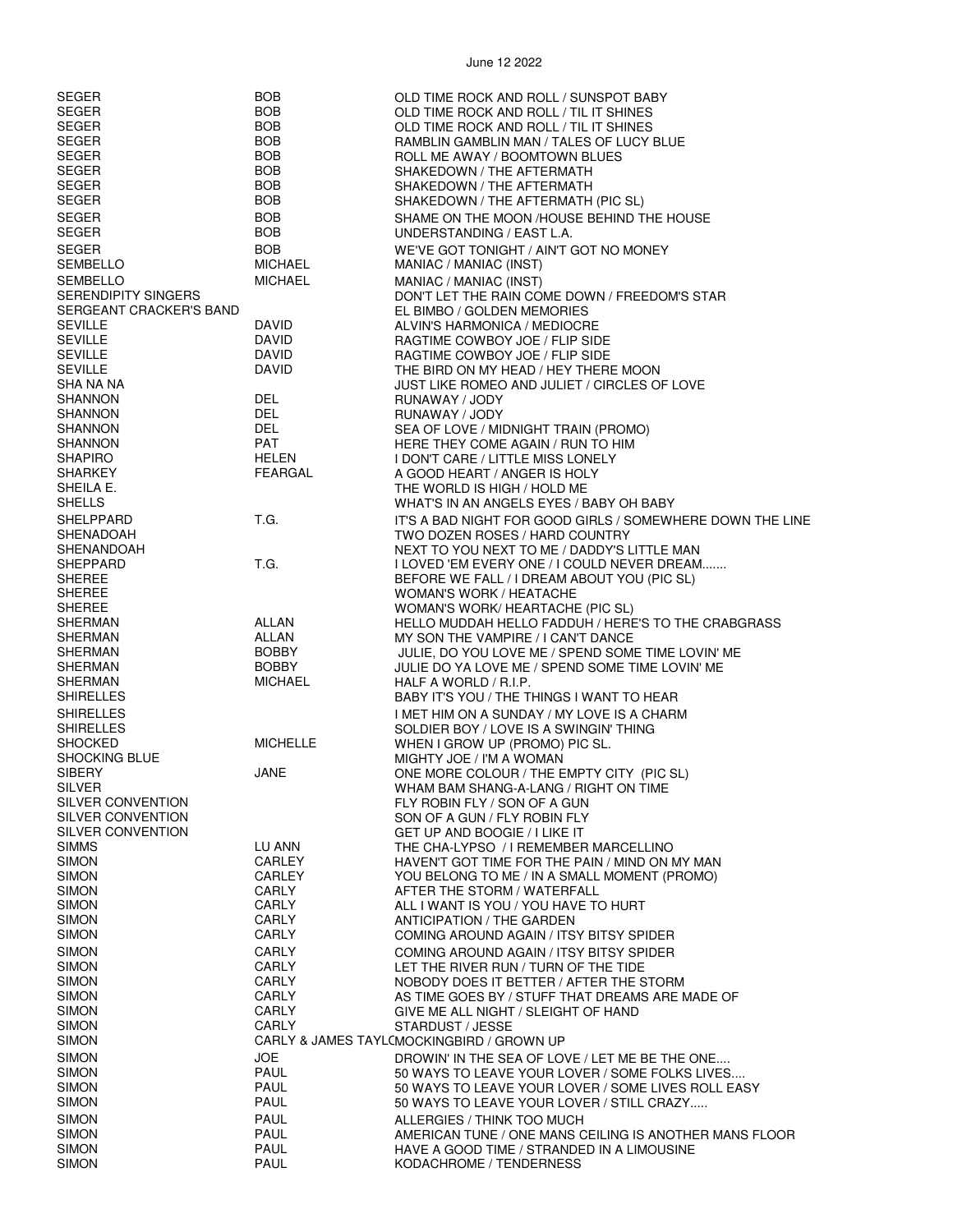| SEGER                      | <b>BOB</b>      | OLD TIME ROCK AND ROLL / SUNSPOT BABY                     |
|----------------------------|-----------------|-----------------------------------------------------------|
| <b>SEGER</b>               | <b>BOB</b>      | OLD TIME ROCK AND ROLL / TIL IT SHINES                    |
| SEGER                      | <b>BOB</b>      | OLD TIME ROCK AND ROLL / TIL IT SHINES                    |
|                            |                 |                                                           |
| <b>SEGER</b>               | <b>BOB</b>      | RAMBLIN GAMBLIN MAN / TALES OF LUCY BLUE                  |
| <b>SEGER</b>               | <b>BOB</b>      | ROLL ME AWAY / BOOMTOWN BLUES                             |
| <b>SEGER</b>               | BOB             | SHAKEDOWN / THE AFTERMATH                                 |
| <b>SEGER</b>               | <b>BOB</b>      | SHAKEDOWN / THE AFTERMATH                                 |
| <b>SEGER</b>               | <b>BOB</b>      | SHAKEDOWN / THE AFTERMATH (PIC SL)                        |
|                            |                 |                                                           |
| SEGER                      | <b>BOB</b>      | SHAME ON THE MOON /HOUSE BEHIND THE HOUSE                 |
| <b>SEGER</b>               | <b>BOB</b>      | UNDERSTANDING / EAST L.A.                                 |
| SEGER                      | <b>BOB</b>      | WE'VE GOT TONIGHT / AIN'T GOT NO MONEY                    |
| <b>SEMBELLO</b>            | <b>MICHAEL</b>  |                                                           |
|                            |                 | MANIAC / MANIAC (INST)                                    |
| <b>SEMBELLO</b>            | <b>MICHAEL</b>  | MANIAC / MANIAC (INST)                                    |
| <b>SERENDIPITY SINGERS</b> |                 | DON'T LET THE RAIN COME DOWN / FREEDOM'S STAR             |
| SERGEANT CRACKER'S BAND    |                 | EL BIMBO / GOLDEN MEMORIES                                |
| <b>SEVILLE</b>             | DAVID           | ALVIN'S HARMONICA / MEDIOCRE                              |
|                            |                 |                                                           |
| <b>SEVILLE</b>             | <b>DAVID</b>    | RAGTIME COWBOY JOE / FLIP SIDE                            |
| SEVILLE                    | DAVID           | RAGTIME COWBOY JOE / FLIP SIDE                            |
| <b>SEVILLE</b>             | DAVID           | THE BIRD ON MY HEAD / HEY THERE MOON                      |
| SHA NA NA                  |                 | JUST LIKE ROMEO AND JULIET / CIRCLES OF LOVE              |
| SHANNON                    | DEL             | RUNAWAY / JODY                                            |
| SHANNON                    | DEL             |                                                           |
|                            |                 | RUNAWAY / JODY                                            |
| SHANNON                    | DEL             | SEA OF LOVE / MIDNIGHT TRAIN (PROMO)                      |
| SHANNON                    | PAT             | HERE THEY COME AGAIN / RUN TO HIM                         |
| <b>SHAPIRO</b>             | <b>HELEN</b>    | I DON'T CARE / LITTLE MISS LONELY                         |
| SHARKEY                    | <b>FEARGAL</b>  | A GOOD HEART / ANGER IS HOLY                              |
| SHEILA E.                  |                 | THE WORLD IS HIGH / HOLD ME                               |
|                            |                 |                                                           |
| <b>SHELLS</b>              |                 | WHAT'S IN AN ANGELS EYES / BABY OH BABY                   |
| SHELPPARD                  | T.G.            | IT'S A BAD NIGHT FOR GOOD GIRLS / SOMEWHERE DOWN THE LINE |
| SHENADOAH                  |                 | TWO DOZEN ROSES / HARD COUNTRY                            |
| SHENANDOAH                 |                 | NEXT TO YOU NEXT TO ME / DADDY'S LITTLE MAN               |
| SHEPPARD                   | T.G.            |                                                           |
|                            |                 | I LOVED 'EM EVERY ONE / I COULD NEVER DREAM               |
| SHEREE                     |                 | BEFORE WE FALL / I DREAM ABOUT YOU (PIC SL)               |
| SHEREE                     |                 | WOMAN'S WORK / HEATACHE                                   |
| SHEREE                     |                 | WOMAN'S WORK/ HEARTACHE (PIC SL)                          |
| SHERMAN                    | ALLAN           | HELLO MUDDAH HELLO FADDUH / HERE'S TO THE CRABGRASS       |
| <b>SHERMAN</b>             | ALLAN           | MY SON THE VAMPIRE / I CAN'T DANCE                        |
|                            |                 |                                                           |
| SHERMAN                    | <b>BOBBY</b>    | JULIE, DO YOU LOVE ME / SPEND SOME TIME LOVIN' ME         |
| SHERMAN                    | <b>BOBBY</b>    | JULIE DO YA LOVE ME / SPEND SOME TIME LOVIN' ME           |
| SHERMAN                    | <b>MICHAEL</b>  | HALF A WORLD / R.I.P.                                     |
| <b>SHIRELLES</b>           |                 | BABY IT'S YOU / THE THINGS I WANT TO HEAR                 |
|                            |                 |                                                           |
| <b>SHIRELLES</b>           |                 | I MET HIM ON A SUNDAY / MY LOVE IS A CHARM                |
| <b>SHIRELLES</b>           |                 | SOLDIER BOY / LOVE IS A SWINGIN' THING                    |
| <b>SHOCKED</b>             | <b>MICHELLE</b> | WHEN I GROW UP (PROMO) PIC SL.                            |
| <b>SHOCKING BLUE</b>       |                 | MIGHTY JOE / I'M A WOMAN                                  |
| SIBERY                     | JANE            | ONE MORE COLOUR / THE EMPTY CITY (PIC SL)                 |
| SILVER                     |                 |                                                           |
|                            |                 | WHAM BAM SHANG-A-LANG / RIGHT ON TIME                     |
| SILVER CONVENTION          |                 | FLY ROBIN FLY / SON OF A GUN                              |
| SILVER CONVENTION          |                 | SON OF A GUN / FLY ROBIN FLY                              |
| SILVER CONVENTION          |                 | GET UP AND BOOGIE / I LIKE IT                             |
| <b>SIMMS</b>               | LU ANN          | THE CHA-LYPSO / I REMEMBER MARCELLINO                     |
| <b>SIMON</b>               | CARLEY          | HAVEN'T GOT TIME FOR THE PAIN / MIND ON MY MAN            |
| <b>SIMON</b>               | CARLEY          | YOU BELONG TO ME / IN A SMALL MOMENT (PROMO)              |
|                            |                 |                                                           |
| <b>SIMON</b>               | <b>CARLY</b>    | AFTER THE STORM / WATERFALL                               |
| SIMON                      | CARLY           | ALL I WANT IS YOU / YOU HAVE TO HURT                      |
| SIMON                      | CARLY           | <b>ANTICIPATION / THE GARDEN</b>                          |
| <b>SIMON</b>               | <b>CARLY</b>    | COMING AROUND AGAIN / ITSY BITSY SPIDER                   |
|                            |                 |                                                           |
| <b>SIMON</b>               | CARLY           | COMING AROUND AGAIN / ITSY BITSY SPIDER                   |
| <b>SIMON</b>               | <b>CARLY</b>    | LET THE RIVER RUN / TURN OF THE TIDE                      |
| <b>SIMON</b>               | CARLY           | NOBODY DOES IT BETTER / AFTER THE STORM                   |
| <b>SIMON</b>               | CARLY           | AS TIME GOES BY / STUFF THAT DREAMS ARE MADE OF           |
| <b>SIMON</b>               | CARLY           | GIVE ME ALL NIGHT / SLEIGHT OF HAND                       |
| <b>SIMON</b>               | CARLY           | STARDUST / JESSE                                          |
|                            |                 |                                                           |
| SIMON                      |                 | CARLY & JAMES TAYL(MOCKINGBIRD / GROWN UP                 |
| <b>SIMON</b>               | <b>JOE</b>      | DROWIN' IN THE SEA OF LOVE / LET ME BE THE ONE            |
| <b>SIMON</b>               | PAUL            | 50 WAYS TO LEAVE YOUR LOVER / SOME FOLKS LIVES            |
| <b>SIMON</b>               | PAUL            | 50 WAYS TO LEAVE YOUR LOVER / SOME LIVES ROLL EASY        |
| SIMON                      | PAUL            | 50 WAYS TO LEAVE YOUR LOVER / STILL CRAZY                 |
|                            |                 |                                                           |
| <b>SIMON</b>               | <b>PAUL</b>     | ALLERGIES / THINK TOO MUCH                                |
| <b>SIMON</b>               | <b>PAUL</b>     | AMERICAN TUNE / ONE MANS CEILING IS ANOTHER MANS FLOOR    |
| <b>SIMON</b>               | PAUL            | HAVE A GOOD TIME / STRANDED IN A LIMOUSINE                |
| <b>SIMON</b>               | PAUL            | KODACHROME / TENDERNESS                                   |
|                            |                 |                                                           |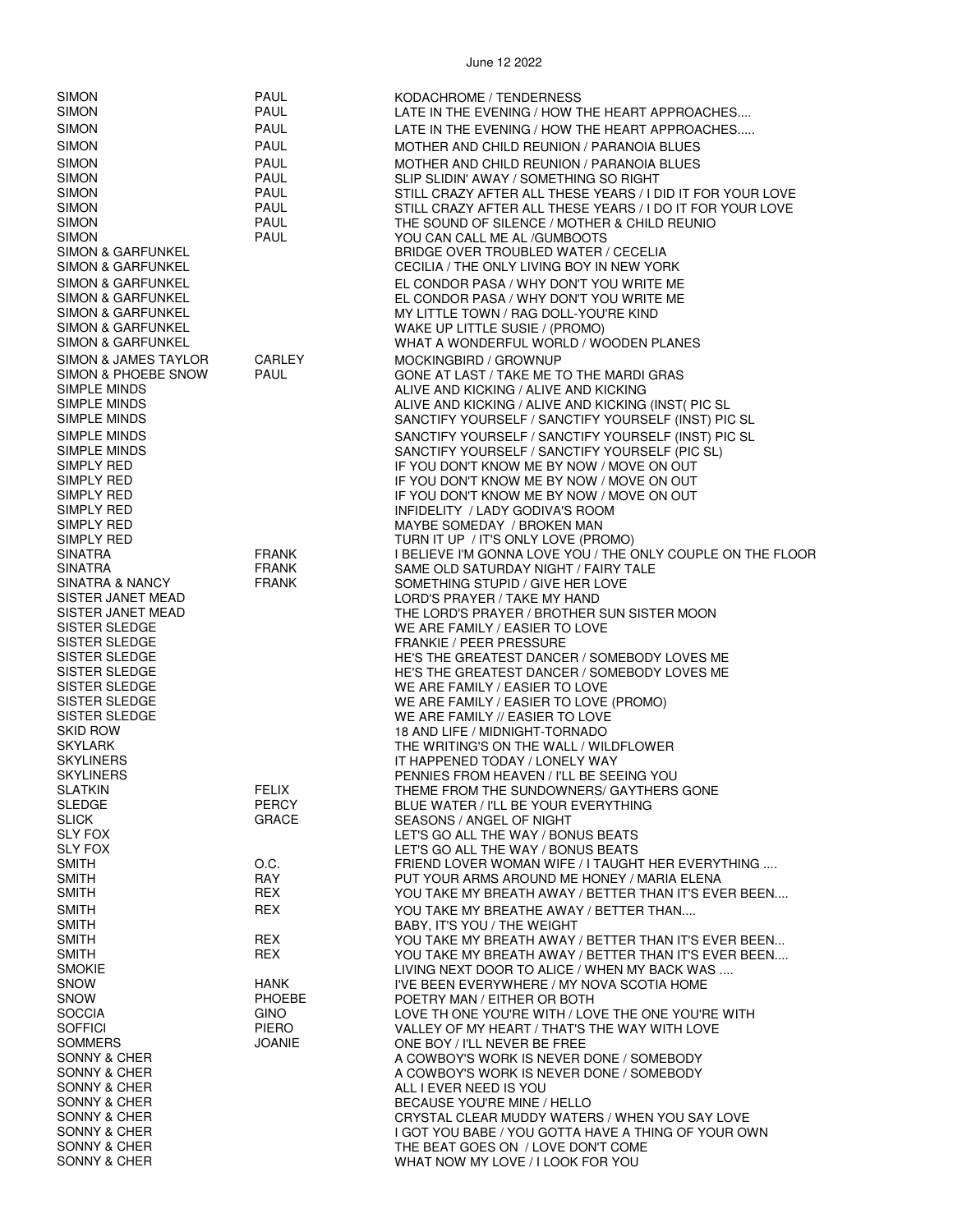| <b>SIMON</b>                 |  |
|------------------------------|--|
| SIMON                        |  |
|                              |  |
| SIMON                        |  |
| <b>SIMON</b>                 |  |
| <b>SIMON</b>                 |  |
|                              |  |
| SIMON                        |  |
| SIMON                        |  |
| SIMON                        |  |
| <b>SIMON</b>                 |  |
| SIMON                        |  |
|                              |  |
| <b>SIMON &amp; GARFUNKEL</b> |  |
| <b>SIMON &amp; GARFUNKEL</b> |  |
| SIMON & GARFUNKEL            |  |
| SIMON & GARFUNKEL            |  |
| SIMON & GARFUNKEL            |  |
|                              |  |
| <b>SIMON &amp; GARFUNKEL</b> |  |
| <b>SIMON &amp; GARFUNKEL</b> |  |
| SIMON & JAMES TAYLOR         |  |
| SIMON & PHOEBE SNOW          |  |
| SIMPLE MINDS                 |  |
|                              |  |
| SIMPLE MINDS                 |  |
| SIMPLE MINDS                 |  |
| SIMPLE MINDS                 |  |
| SIMPLE MINDS                 |  |
| SIMPLY RED                   |  |
| <b>SIMPLY RED</b>            |  |
|                              |  |
| SIMPLY RED                   |  |
| SIMPLY RED                   |  |
| SIMPLY RED                   |  |
| SIMPLY RED                   |  |
| SINATRA                      |  |
|                              |  |
| SINATRA                      |  |
| SINATRA & NANCY              |  |
| SISTER JANET MEAD            |  |
| SISTER JANET MEAD            |  |
| SISTER SLEDGE                |  |
| SISTER SLEDGE                |  |
| SISTER SLEDGE                |  |
|                              |  |
| SISTER SLEDGE                |  |
| SISTER SLEDGE                |  |
| SISTER SLEDGE                |  |
| SISTER SLEDGE                |  |
| skid Row                     |  |
| SKYLARK                      |  |
|                              |  |
| <b>SKYLINERS</b>             |  |
| <b>SKYLINERS</b>             |  |
| <b>SLATKIN</b>               |  |
| SLEDGE                       |  |
| <b>SLICK</b>                 |  |
| <b>SLY FOX</b>               |  |
| <b>SLY FOX</b>               |  |
|                              |  |
| SMITH                        |  |
| SMITH                        |  |
| SMITH                        |  |
| SMITH                        |  |
| SMITH                        |  |
|                              |  |
| SMITH                        |  |
| SMITH                        |  |
| SMOKIE                       |  |
| SNOW                         |  |
| SNOW                         |  |
| SOCCIA                       |  |
|                              |  |
| SOFFICI                      |  |
| SOMMERS                      |  |
| SONNY & CHER                 |  |
| <b>SONNY &amp; CHER</b>      |  |
| <b>SONNY &amp; CHER</b>      |  |
| <b>SONNY &amp; CHER</b>      |  |
| <b>SONNY &amp; CHER</b>      |  |
|                              |  |
| SONNY & CHER                 |  |
| SONNY & CHER                 |  |
| <b>SONNY &amp; CHER</b>      |  |

| SIMON                                  | PAUL                         | KODACHROME / TENDERNESS                                                                              |
|----------------------------------------|------------------------------|------------------------------------------------------------------------------------------------------|
| SIMON                                  | PAUL                         | LATE IN THE EVENING / HOW THE HEART APPROACHES                                                       |
| SIMON<br>SIMON                         | PAUL<br>PAUL                 | LATE IN THE EVENING / HOW THE HEART APPROACHES                                                       |
| SIMON                                  | <b>PAUL</b>                  | MOTHER AND CHILD REUNION / PARANOIA BLUES<br>MOTHER AND CHILD REUNION / PARANOIA BLUES               |
| SIMON                                  | PAUL                         | SLIP SLIDIN' AWAY / SOMETHING SO RIGHT                                                               |
| SIMON                                  | PAUL                         | STILL CRAZY AFTER ALL THESE YEARS / I DID IT FOR YOUR LOVE                                           |
| SIMON                                  | PAUL                         | STILL CRAZY AFTER ALL THESE YEARS / I DO IT FOR YOUR LOVE                                            |
| SIMON<br>SIMON                         | PAUL<br>PAUL                 | THE SOUND OF SILENCE / MOTHER & CHILD REUNIO<br>YOU CAN CALL ME AL /GUMBOOTS                         |
| SIMON & GARFUNKEL                      |                              | BRIDGE OVER TROUBLED WATER / CECELIA                                                                 |
| SIMON & GARFUNKEL                      |                              | CECILIA / THE ONLY LIVING BOY IN NEW YORK                                                            |
| SIMON & GARFUNKEL                      |                              | EL CONDOR PASA / WHY DON'T YOU WRITE ME                                                              |
| SIMON & GARFUNKEL<br>SIMON & GARFUNKEL |                              | EL CONDOR PASA / WHY DON'T YOU WRITE ME<br>MY LITTLE TOWN / RAG DOLL-YOU'RE KIND                     |
| SIMON & GARFUNKEL                      |                              | WAKE UP LITTLE SUSIE / (PROMO)                                                                       |
| SIMON & GARFUNKEL                      |                              | WHAT A WONDERFUL WORLD / WOODEN PLANES                                                               |
| SIMON & JAMES TAYLOR                   | CARLEY                       | MOCKINGBIRD / GROWNUP                                                                                |
| SIMON & PHOEBE SNOW<br>SIMPLE MINDS    | PAUL                         | GONE AT LAST / TAKE ME TO THE MARDI GRAS<br>ALIVE AND KICKING / ALIVE AND KICKING                    |
| SIMPLE MINDS                           |                              | ALIVE AND KICKING / ALIVE AND KICKING (INST( PIC SL                                                  |
| SIMPLE MINDS                           |                              | SANCTIFY YOURSELF / SANCTIFY YOURSELF (INST) PIC SL                                                  |
| SIMPLE MINDS                           |                              | SANCTIFY YOURSELF / SANCTIFY YOURSELF (INST) PIC SL                                                  |
| SIMPLE MINDS<br>SIMPLY RED             |                              | SANCTIFY YOURSELF / SANCTIFY YOURSELF (PIC SL)<br>IF YOU DON'T KNOW ME BY NOW / MOVE ON OUT          |
| SIMPLY RED                             |                              | IF YOU DON'T KNOW ME BY NOW / MOVE ON OUT                                                            |
| SIMPLY RED                             |                              | IF YOU DON'T KNOW ME BY NOW / MOVE ON OUT                                                            |
| SIMPLY RED<br>SIMPLY RED               |                              | INFIDELITY / LADY GODIVA'S ROOM<br>MAYBE SOMEDAY / BROKEN MAN                                        |
| SIMPLY RED                             |                              | TURN IT UP / IT'S ONLY LOVE (PROMO)                                                                  |
| SINATRA                                | FRANK                        | I BELIEVE I'M GONNA LOVE YOU / THE ONLY COUPLE ON THE FLOOR                                          |
| SINATRA<br>SINATRA & NANCY             | FRANK<br>FRANK               | SAME OLD SATURDAY NIGHT / FAIRY TALE                                                                 |
| SISTER JANET MEAD                      |                              | SOMETHING STUPID / GIVE HER LOVE<br>LORD'S PRAYER / TAKE MY HAND                                     |
| SISTER JANET MEAD                      |                              | THE LORD'S PRAYER / BROTHER SUN SISTER MOON                                                          |
| SISTER SLEDGE                          |                              | WE ARE FAMILY / EASIER TO LOVE                                                                       |
| SISTER SLEDGE<br>SISTER SLEDGE         |                              | FRANKIE / PEER PRESSURE<br>HE'S THE GREATEST DANCER / SOMEBODY LOVES ME                              |
| SISTER SLEDGE                          |                              | HE'S THE GREATEST DANCER / SOMEBODY LOVES ME                                                         |
| SISTER SLEDGE                          |                              | WE ARE FAMILY / EASIER TO LOVE                                                                       |
| SISTER SLEDGE<br>SISTER SLEDGE         |                              | WE ARE FAMILY / EASIER TO LOVE (PROMO)<br>WE ARE FAMILY // EASIER TO LOVE                            |
| skid Row                               |                              | 18 AND LIFE / MIDNIGHT-TORNADO                                                                       |
| SKYLARK                                |                              | THE WRITING'S ON THE WALL / WILDFLOWER                                                               |
| SKYLINERS<br>SKYLINERS                 |                              | IT HAPPENED TODAY / LONELY WAY<br>PENNIES FROM HEAVEN / I'LL BE SEEING YOU                           |
| SLATKIN                                | <b>FELIX</b>                 | THEME FROM THE SUNDOWNERS/ GAYTHERS GONE                                                             |
| SLEDGE                                 | PERCY                        | BLUE WATER / I'LL BE YOUR EVERYTHING                                                                 |
| SLICK<br>SLY FOX                       | <b>GRACE</b>                 | SEASONS / ANGEL OF NIGHT<br>LET'S GO ALL THE WAY / BONUS BEATS                                       |
| SLY FOX                                |                              | LET'S GO ALL THE WAY / BONUS BEATS                                                                   |
| SMITH                                  | O.C.                         | FRIEND LOVER WOMAN WIFE / I TAUGHT HER EVERYTHING                                                    |
| SMITH<br>SMITH                         | <b>RAY</b><br><b>REX</b>     | PUT YOUR ARMS AROUND ME HONEY / MARIA ELENA<br>YOU TAKE MY BREATH AWAY / BETTER THAN IT'S EVER BEEN  |
| SMITH                                  | <b>REX</b>                   | YOU TAKE MY BREATHE AWAY / BETTER THAN                                                               |
| SMITH                                  |                              | BABY, IT'S YOU / THE WEIGHT                                                                          |
| SMITH<br>SMITH                         | <b>REX</b><br><b>REX</b>     | YOU TAKE MY BREATH AWAY / BETTER THAN IT'S EVER BEEN                                                 |
| SMOKIE                                 |                              | YOU TAKE MY BREATH AWAY / BETTER THAN IT'S EVER BEEN<br>LIVING NEXT DOOR TO ALICE / WHEN MY BACK WAS |
| SNOW                                   | HANK                         | I'VE BEEN EVERYWHERE / MY NOVA SCOTIA HOME                                                           |
| SNOW                                   | <b>PHOEBE</b><br><b>GINO</b> | POETRY MAN / EITHER OR BOTH                                                                          |
| SOCCIA<br>SOFFICI                      | <b>PIERO</b>                 | LOVE TH ONE YOU'RE WITH / LOVE THE ONE YOU'RE WITH<br>VALLEY OF MY HEART / THAT'S THE WAY WITH LOVE  |
| SOMMERS                                | <b>JOANIE</b>                | ONE BOY / I'LL NEVER BE FREE                                                                         |
| SONNY & CHER                           |                              | A COWBOY'S WORK IS NEVER DONE / SOMEBODY                                                             |
| SONNY & CHER<br>SONNY & CHER           |                              | A COWBOY'S WORK IS NEVER DONE / SOMEBODY<br>ALL I EVER NEED IS YOU                                   |
| SONNY & CHER                           |                              | BECAUSE YOU'RE MINE / HELLO                                                                          |
| SONNY & CHER                           |                              | CRYSTAL CLEAR MUDDY WATERS / WHEN YOU SAY LOVE                                                       |
| SONNY & CHER<br>SONNY & CHER           |                              | I GOT YOU BABE / YOU GOTTA HAVE A THING OF YOUR OWN<br>THE BEAT GOES ON / LOVE DON'T COME            |
| SONNY & CHER                           |                              | WHAT NOW MY LOVE / I LOOK FOR YOU                                                                    |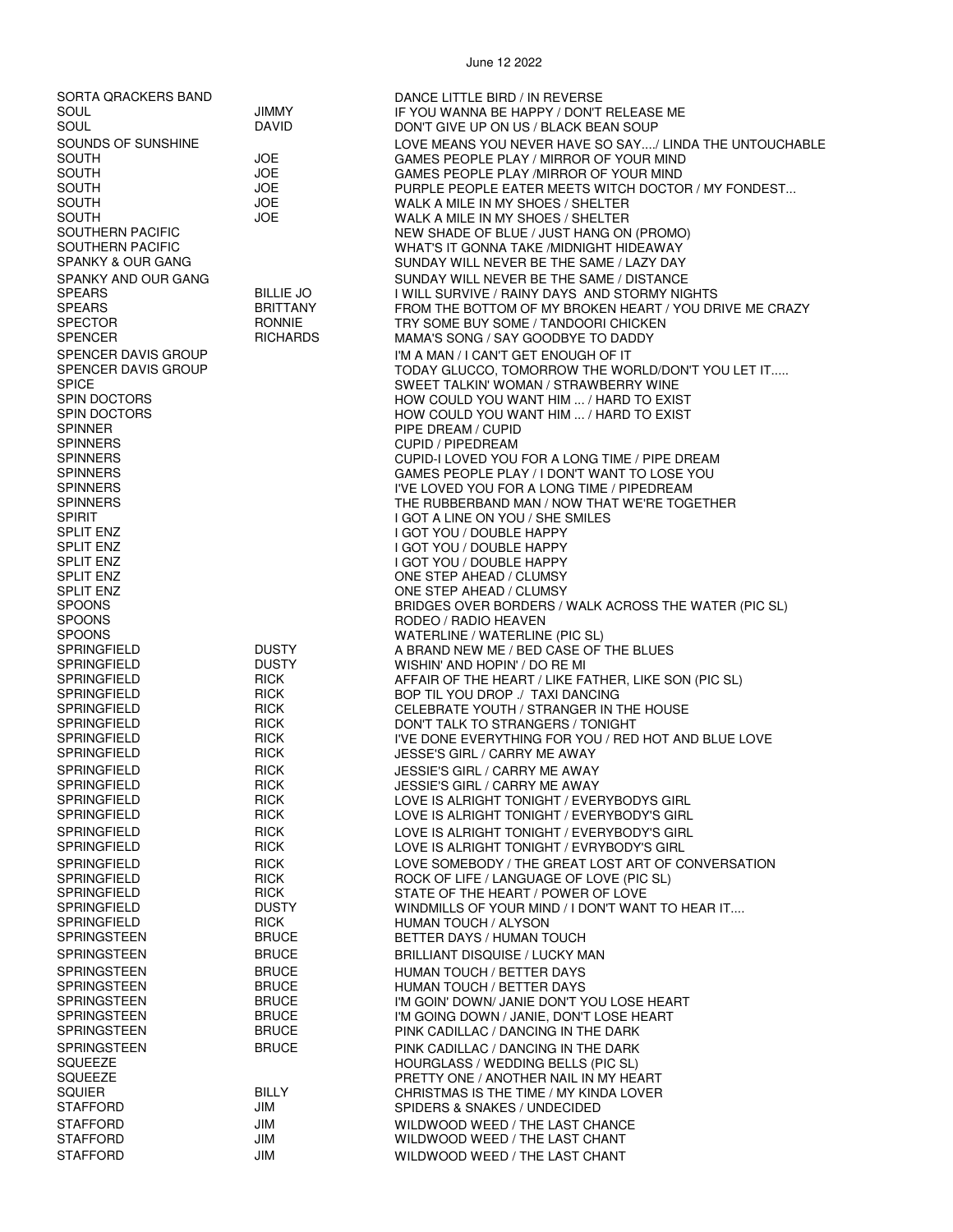SORTA QRACKERS BAND DANCE LITTLE BIRD / IN REVERSE

STAFFORD JIM WILDWOOD WEED / THE LAST CHANCE

STAFFORD **JIM** JIM WILDWOOD WEED / THE LAST CHANT

#### SOUL JIMMY IF YOU WANNA BE HAPPY / DON'T RELEASE ME DON'T GIVE UP ON US / BLACK BEAN SOUP SOUNDS OF SUNSHINE **LOVE MEANS YOU NEVER HAVE SO SAY..../ LINDA THE UNTOUCHABLE** SOUTH JOE GAMES PEOPLE PLAY / MIRROR OF YOUR MIND SOUTH JOE GAMES PEOPLE PLAY /MIRROR OF YOUR MIND SOUTH JOE SOUTH JURPLE PEOPLE EATER MEETS WITCH DOCTOR / MY FONDEST...<br>SOF SOUTH A MALK A MILE IN MY SHOES / SHELTER SOUTH JOE JOE WALK A MILE IN MY SHOES / SHELTER<br>SOUTH JOE WAI K A MILE IN MY SHOFS / SHEI TFR SOUTH JOE WALK A MILE IN MY SHOES / SHELTER SOUTHERN PACIFIC NEW SHADE OF BLUE / JUST HANG ON (PROMO) WHAT'S IT GONNA TAKE /MIDNIGHT HIDEAWAY SPANKY & OUR GANG SUNDAY WILL NEVER BE THE SAME / LAZY DAY SPANKY AND OUR GANG SULLIE JOST AND SUNDAY WILL NEVER BE THE SAME / DISTANCE SPEARS SPEARS BILLIE JO I WILL SURVIVE / RAINY DAYS AND STORMY NIGHTS SPEARS BRITTANY FROM THE BOTTOM OF MY BROKEN HEART / YOU DRIVE ME CRAZY SPECTOR RONNIE TRY SOME BUY SOME / TANDOORI CHICKEN SPENCER RICHARDS MAMA'S SONG / SAY GOODBYE TO DADDY SPENCER DAVIS GROUP THE SPENCER DAVIS GROUP IT A MAN A MAN / I CAN'T GET ENOUGH OF IT<br>ITODAY GLUCCO, TOMORROW THE WO SPENCER DAVIS GROUP TODAY GLUCCO, TOMORROW THE WORLD/DON'T YOU LET IT.....<br>SPICE SPICE SWEET TALKIN' WOMAN / STRAWBERRY WINE SPIN DOCTORS HOW COULD YOU WANT HIM ... / HARD TO EXIST SPIN DOCTORS HOW COULD YOU WANT HIM ... / HARD TO EXIST SPINNER PIPE DREAM / CUPID CUPID / PIPEDREAM SPINNERS CUPID-I LOVED YOU FOR A LONG TIME / PIPE DREAM SPINNERS GAMES PEOPLE PLAY / I DON'T WANT TO LOSE YOU<br>I'VE LOVED YOU FOR A LONG TIME / PIPEDREAM SPINNERS IN A LONG TIME / PIPEDREAM SPINNERS IN A LONG TIME AND SPINNERS THE RUBBERBAND MAN / NOW THAT WE'RE TOG SPINNERS THE RUBBERBAND MAN / NOW THAT WE'RE TOGETHER **I GOT A LINE ON YOU / SHE SMILES** SPLIT ENZ I GOT YOU / DOUBLE HAPPY SPLIT ENZ I GOT YOU / DOUBLE HAPPY SPLIT ENZ I GOT YOU / DOUBLE HAPPY SPLIT ENZ ONE STEP AHEAD / CLUMSY SPLIT ENZ<br>SPOONS ONE STEP AHEAD / CLUMSY<br>REIDGES OVER ROBDERS / BRIDGES OVER BORDERS / WALK ACROSS THE WATER (PIC SL) SPOONS RODEO / RADIO HEAVEN SPOONS WATERLINE / WATERLINE (PIC SL) SPRINGFIELD DUSTY A BRAND NEW ME / BED CASE OF THE BLUES DUSTY WISHIN' AND HOPIN' / DO RE MI<br>RICK AFFAIR OF THE HEART / I IKE FA SPRINGFIELD RICK AFFAIR OF THE HEART / LIKE FATHER, LIKE SON (PIC SL) BOP TIL YOU DROP ./ TAXI DANCING SPRINGFIELD RICK CELEBRATE YOUTH / STRANGER IN THE HOUSE SPRINGFIELD RICK DON'T TALK TO STRANGERS / TONIGHT SPRINGFIELD RICK I'VE DONE EVERYTHING FOR YOU / RED HOT AND BLUE LOVE JESSE'S GIRL / CARRY ME AWAY SPRINGFIELD RICK JESSIE'S GIRL / CARRY ME AWAY **JESSIE'S GIRL / CARRY ME AWAY** SPRINGFIELD RICK LOVE IS ALRIGHT TONIGHT / EVERYBODYS GIRL SPRINGFIELD RICK LOVE IS ALRIGHT TONIGHT / EVERYBODY'S GIRL SPRINGFIELD RICK LOVE IS ALRIGHT TONIGHT / EVERYBODY'S GIRL LOVE IS ALRIGHT TONIGHT / EVRYBODY'S GIRL SPRINGFIELD RICK LOVE SOMEBODY / THE GREAT LOST ART OF CONVERSATION ROCK OF LIFE / LANGUAGE OF LOVE (PIC SL) SPRINGFIELD RICK STATE OF THE HEART / POWER OF LOVE SPRINGFIELD DUSTY WINDMILLS OF YOUR MIND / I DON'T WANT TO HEAR IT.... SPRINGFIELD RICK HUMAN TOUCH / ALYSON BETTER DAYS / HUMAN TOUCH SPRINGSTEEN BRUCE BRILLIANT DISQUISE / LUCKY MAN SPRINGSTEEN BRUCE HUMAN TOUCH / BETTER DAYS SPRINGSTEEN BRUCE HUMAN TOUCH / BETTER DAYS<br>SPRINGSTEEN BRUCE I'M GOIN' DOWN/ JANIE DON'T Y SPRINGSTEEN BRUCE I'M GOIN' DOWN/ JANIE DON'T YOU LOSE HEART<br>SPRINGSTEEN BRUCE I'M GOING DOWN / JANIE. DON'T LOSE HEART I'M GOING DOWN / JANIE, DON'T LOSE HEART SPRINGSTEEN BRUCE PINK CADILLAC / DANCING IN THE DARK SPRINGSTEEN BRUCE PINK CADILLAC / DANCING IN THE DARK<br>SQUEEZE PIC SL) SQUEEZE HOURGLASS / WEDDING BELLS (PIC SL) SQUEEZE PRETTY ONE / ANOTHER NAIL IN MY HEART CHRISTMAS IS THE TIME / MY KINDA LOVER STAFFORD JIM JIM SPIDERS & SNAKES / UNDECIDED

WILDWOOD WEED / THE LAST CHANT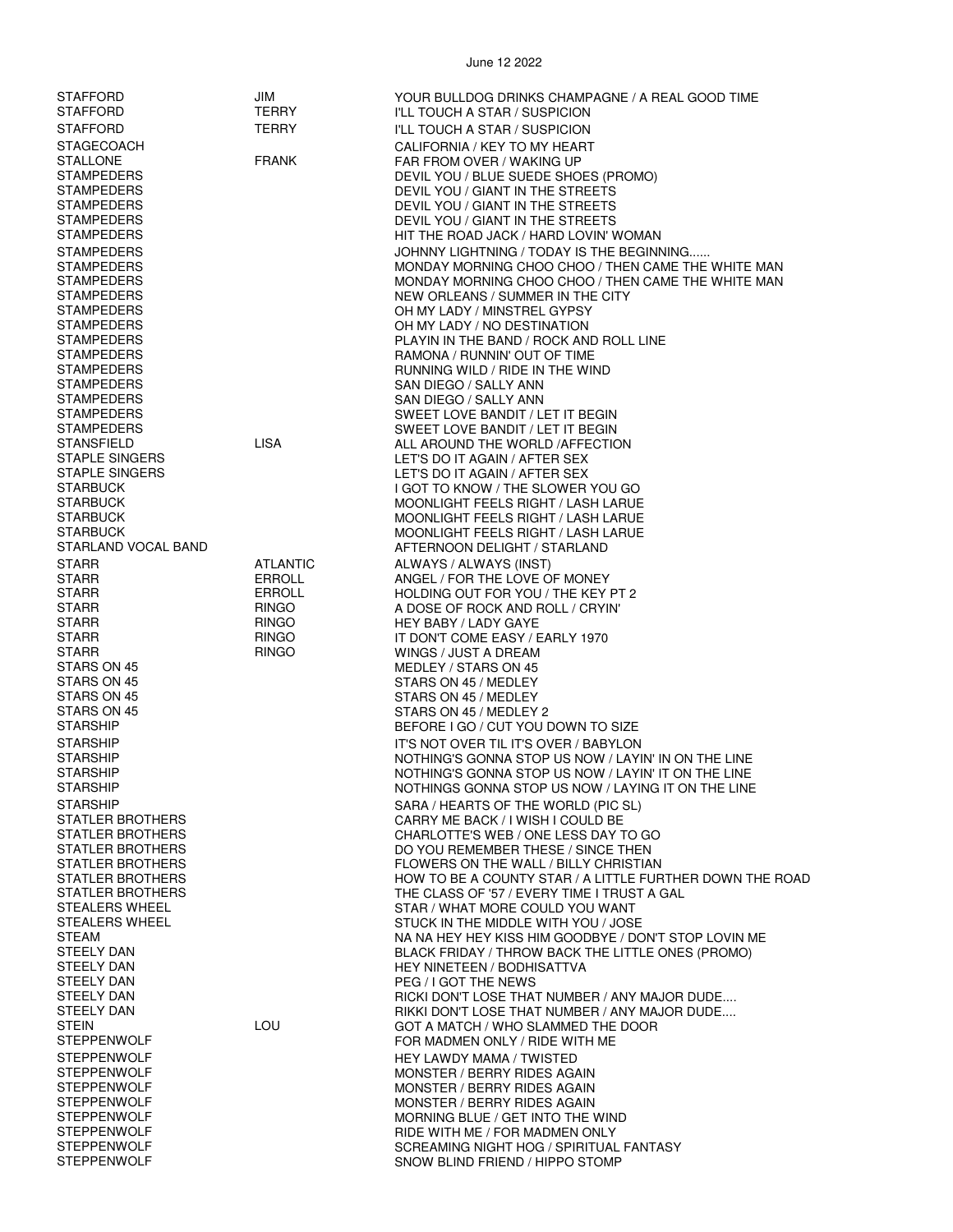| STAFFORD                                    | JIM                          | YOUR BULLDOG DRINKS CHAMPAGNE / A REAL GOOD TIME                                                |
|---------------------------------------------|------------------------------|-------------------------------------------------------------------------------------------------|
| STAFFORD                                    | <b>TERRY</b>                 | I'LL TOUCH A STAR / SUSPICION                                                                   |
| <b>STAFFORD</b>                             | <b>TERRY</b>                 | I'LL TOUCH A STAR / SUSPICION                                                                   |
| <b>STAGECOACH</b><br><b>STALLONE</b>        | <b>FRANK</b>                 | CALIFORNIA / KEY TO MY HEART                                                                    |
| STAMPEDERS                                  |                              | FAR FROM OVER / WAKING UP<br>DEVIL YOU / BLUE SUEDE SHOES (PROMO)                               |
| STAMPEDERS                                  |                              | DEVIL YOU / GIANT IN THE STREETS                                                                |
| STAMPEDERS                                  |                              | DEVIL YOU / GIANT IN THE STREETS                                                                |
| STAMPEDERS                                  |                              | DEVIL YOU / GIANT IN THE STREETS                                                                |
| <b>STAMPEDERS</b>                           |                              | HIT THE ROAD JACK / HARD LOVIN' WOMAN                                                           |
| STAMPEDERS<br><b>STAMPEDERS</b>             |                              | JOHNNY LIGHTNING / TODAY IS THE BEGINNING<br>MONDAY MORNING CHOO CHOO / THEN CAME THE WHITE MAN |
| STAMPEDERS                                  |                              | MONDAY MORNING CHOO CHOO / THEN CAME THE WHITE MAN                                              |
| <b>STAMPEDERS</b>                           |                              | NEW ORLEANS / SUMMER IN THE CITY                                                                |
| <b>STAMPEDERS</b>                           |                              | OH MY LADY / MINSTREL GYPSY                                                                     |
| STAMPEDERS                                  |                              | OH MY LADY / NO DESTINATION                                                                     |
| STAMPEDERS<br><b>STAMPEDERS</b>             |                              | PLAYIN IN THE BAND / ROCK AND ROLL LINE<br>RAMONA / RUNNIN' OUT OF TIME                         |
| STAMPEDERS                                  |                              | RUNNING WILD / RIDE IN THE WIND                                                                 |
| STAMPEDERS                                  |                              | SAN DIEGO / SALLY ANN                                                                           |
| <b>STAMPEDERS</b>                           |                              | SAN DIEGO / SALLY ANN                                                                           |
| <b>STAMPEDERS</b>                           |                              | SWEET LOVE BANDIT / LET IT BEGIN                                                                |
| STAMPEDERS<br>STANSFIELD                    | <b>LISA</b>                  | SWEET LOVE BANDIT / LET IT BEGIN                                                                |
| STAPLE SINGERS                              |                              | ALL AROUND THE WORLD / AFFECTION<br>LET'S DO IT AGAIN / AFTER SEX                               |
| <b>STAPLE SINGERS</b>                       |                              | LET'S DO IT AGAIN / AFTER SEX                                                                   |
| <b>STARBUCK</b>                             |                              | I GOT TO KNOW / THE SLOWER YOU GO                                                               |
| <b>STARBUCK</b>                             |                              | MOONLIGHT FEELS RIGHT / LASH LARUE                                                              |
| STARBUCK<br><b>STARBUCK</b>                 |                              | <b>MOONLIGHT FEELS RIGHT / LASH LARUE</b><br><b>MOONLIGHT FEELS RIGHT / LASH LARUE</b>          |
| STARLAND VOCAL BAND                         |                              | AFTERNOON DELIGHT / STARLAND                                                                    |
| STARR                                       | ATLANTIC                     | ALWAYS / ALWAYS (INST)                                                                          |
| STARR                                       | <b>ERROLL</b>                | ANGEL / FOR THE LOVE OF MONEY                                                                   |
| <b>STARR</b>                                | ERROLL                       | HOLDING OUT FOR YOU / THE KEY PT 2                                                              |
| STARR                                       | <b>RINGO</b>                 | A DOSE OF ROCK AND ROLL / CRYIN'                                                                |
| <b>STARR</b><br>STARR                       | <b>RINGO</b><br><b>RINGO</b> | HEY BABY / LADY GAYE<br>IT DON'T COME EASY / EARLY 1970                                         |
| STARR                                       | <b>RINGO</b>                 | WINGS / JUST A DREAM                                                                            |
| STARS ON 45                                 |                              | MEDLEY / STARS ON 45                                                                            |
| STARS ON 45                                 |                              | STARS ON 45 / MEDLEY                                                                            |
| STARS ON 45<br>STARS ON 45                  |                              | STARS ON 45 / MEDLEY<br>STARS ON 45 / MEDLEY 2                                                  |
| <b>STARSHIP</b>                             |                              | BEFORE I GO / CUT YOU DOWN TO SIZE                                                              |
| <b>STARSHIP</b>                             |                              | IT'S NOT OVER TIL IT'S OVER / BABYLON                                                           |
| STARSHIP                                    |                              | NOTHING'S GONNA STOP US NOW / LAYIN' IN ON THE LINE                                             |
| <b>STARSHIP</b>                             |                              | NOTHING'S GONNA STOP US NOW / LAYIN' IT ON THE LINE                                             |
| <b>STARSHIP</b>                             |                              | NOTHINGS GONNA STOP US NOW / LAYING IT ON THE LINE                                              |
| <b>STARSHIP</b><br><b>STATLER BROTHERS</b>  |                              | SARA / HEARTS OF THE WORLD (PIC SL)<br>CARRY ME BACK / I WISH I COULD BE                        |
| STATLER BROTHERS                            |                              | CHARLOTTE'S WEB / ONE LESS DAY TO GO                                                            |
| <b>STATLER BROTHERS</b>                     |                              | DO YOU REMEMBER THESE / SINCE THEN                                                              |
| STATLER BROTHERS                            |                              | FLOWERS ON THE WALL / BILLY CHRISTIAN                                                           |
| <b>STATLER BROTHERS</b><br>STATLER BROTHERS |                              | HOW TO BE A COUNTY STAR / A LITTLE FURTHER DOWN THE ROAD                                        |
| STEALERS WHEEL                              |                              | THE CLASS OF '57 / EVERY TIME I TRUST A GAL<br>STAR / WHAT MORE COULD YOU WANT                  |
| <b>STEALERS WHEEL</b>                       |                              | STUCK IN THE MIDDLE WITH YOU / JOSE                                                             |
| STEAM                                       |                              | NA NA HEY HEY KISS HIM GOODBYE / DON'T STOP LOVIN ME                                            |
| <b>STEELY DAN</b>                           |                              | BLACK FRIDAY / THROW BACK THE LITTLE ONES (PROMO)                                               |
| <b>STEELY DAN</b><br><b>STEELY DAN</b>      |                              | <b>HEY NINETEEN / BODHISATTVA</b><br>PEG / I GOT THE NEWS                                       |
| <b>STEELY DAN</b>                           |                              | RICKI DON'T LOSE THAT NUMBER / ANY MAJOR DUDE                                                   |
| STEELY DAN                                  |                              | RIKKI DON'T LOSE THAT NUMBER / ANY MAJOR DUDE                                                   |
| <b>STEIN</b>                                | LOU                          | GOT A MATCH / WHO SLAMMED THE DOOR                                                              |
| <b>STEPPENWOLF</b>                          |                              | FOR MADMEN ONLY / RIDE WITH ME                                                                  |
| <b>STEPPENWOLF</b><br><b>STEPPENWOLF</b>    |                              | HEY LAWDY MAMA / TWISTED<br>MONSTER / BERRY RIDES AGAIN                                         |
| <b>STEPPENWOLF</b>                          |                              | MONSTER / BERRY RIDES AGAIN                                                                     |
| <b>STEPPENWOLF</b>                          |                              | MONSTER / BERRY RIDES AGAIN                                                                     |
| STEPPENWOLF                                 |                              | MORNING BLUE / GET INTO THE WIND                                                                |
| <b>STEPPENWOLF</b>                          |                              | RIDE WITH ME / FOR MADMEN ONLY                                                                  |
| <b>STEPPENWOLF</b><br><b>STEPPENWOLF</b>    |                              | SCREAMING NIGHT HOG / SPIRITUAL FANTASY<br>SNOW BLIND FRIEND / HIPPO STOMP                      |
|                                             |                              |                                                                                                 |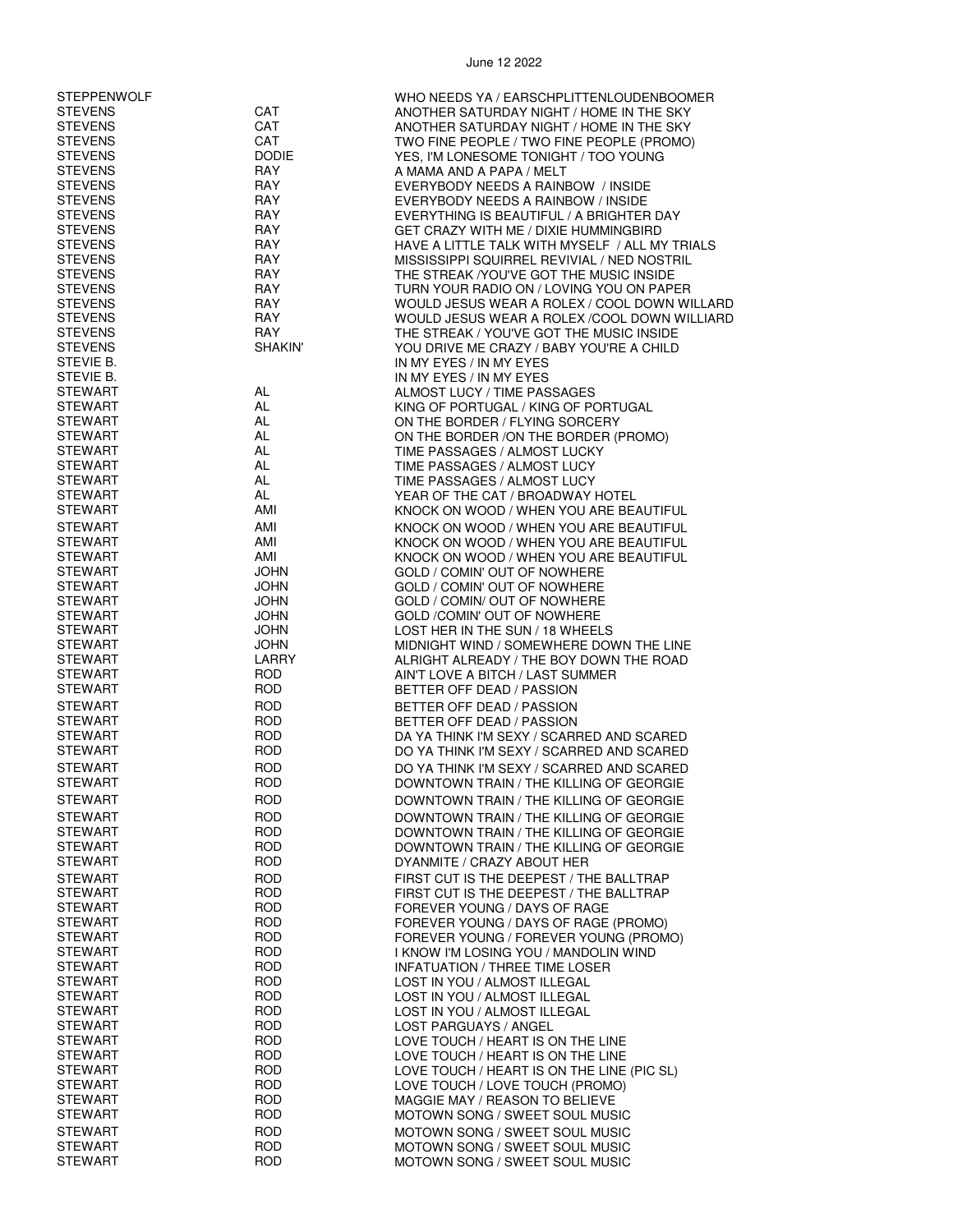| <b>STEPPENWOLF</b>               |                            | WHO NEEDS YA / EARSCHPLITTENLOUDENBOOMER                            |
|----------------------------------|----------------------------|---------------------------------------------------------------------|
| <b>STEVENS</b>                   | CAT                        | ANOTHER SATURDAY NIGHT / HOME IN THE SKY                            |
| <b>STEVENS</b>                   | CAT                        | ANOTHER SATURDAY NIGHT / HOME IN THE SKY                            |
| <b>STEVENS</b>                   | CAT                        | TWO FINE PEOPLE / TWO FINE PEOPLE (PROMO)                           |
| <b>STEVENS</b><br><b>STEVENS</b> | <b>DODIE</b><br><b>RAY</b> | YES, I'M LONESOME TONIGHT / TOO YOUNG<br>A MAMA AND A PAPA / MELT   |
| <b>STEVENS</b>                   | RAY                        | EVERYBODY NEEDS A RAINBOW / INSIDE                                  |
| <b>STEVENS</b>                   | <b>RAY</b>                 | EVERYBODY NEEDS A RAINBOW / INSIDE                                  |
| <b>STEVENS</b>                   | RAY                        | EVERYTHING IS BEAUTIFUL / A BRIGHTER DAY                            |
| <b>STEVENS</b>                   | RAY                        | GET CRAZY WITH ME / DIXIE HUMMINGBIRD                               |
| <b>STEVENS</b>                   | RAY                        | HAVE A LITTLE TALK WITH MYSELF / ALL MY TRIALS                      |
| <b>STEVENS</b>                   | RAY                        | MISSISSIPPI SQUIRREL REVIVIAL / NED NOSTRIL                         |
| <b>STEVENS</b>                   | <b>RAY</b>                 | THE STREAK / YOU'VE GOT THE MUSIC INSIDE                            |
| <b>STEVENS</b>                   | <b>RAY</b>                 | TURN YOUR RADIO ON / LOVING YOU ON PAPER                            |
| <b>STEVENS</b>                   | RAY                        | WOULD JESUS WEAR A ROLEX / COOL DOWN WILLARD                        |
| <b>STEVENS</b>                   | RAY                        | WOULD JESUS WEAR A ROLEX /COOL DOWN WILLIARD                        |
| <b>STEVENS</b><br><b>STEVENS</b> | RAY<br><b>SHAKIN'</b>      | THE STREAK / YOU'VE GOT THE MUSIC INSIDE                            |
| STEVIE B.                        |                            | YOU DRIVE ME CRAZY / BABY YOU'RE A CHILD<br>IN MY EYES / IN MY EYES |
| STEVIE B.                        |                            | IN MY EYES / IN MY EYES                                             |
| <b>STEWART</b>                   | AL                         | ALMOST LUCY / TIME PASSAGES                                         |
| <b>STEWART</b>                   | AL                         | KING OF PORTUGAL / KING OF PORTUGAL                                 |
| <b>STEWART</b>                   | AL                         | ON THE BORDER / FLYING SORCERY                                      |
| <b>STEWART</b>                   | AL                         | ON THE BORDER /ON THE BORDER (PROMO)                                |
| <b>STEWART</b>                   | AL                         | TIME PASSAGES / ALMOST LUCKY                                        |
| <b>STEWART</b>                   | AL                         | TIME PASSAGES / ALMOST LUCY                                         |
| <b>STEWART</b>                   | AL                         | TIME PASSAGES / ALMOST LUCY                                         |
| <b>STEWART</b>                   | AL                         | YEAR OF THE CAT / BROADWAY HOTEL                                    |
| <b>STEWART</b>                   | AMI                        | KNOCK ON WOOD / WHEN YOU ARE BEAUTIFUL                              |
| <b>STEWART</b>                   | AMI                        | KNOCK ON WOOD / WHEN YOU ARE BEAUTIFUL                              |
| <b>STEWART</b>                   | AMI                        | KNOCK ON WOOD / WHEN YOU ARE BEAUTIFUL                              |
| <b>STEWART</b>                   | AMI                        | KNOCK ON WOOD / WHEN YOU ARE BEAUTIFUL                              |
| <b>STEWART</b><br><b>STEWART</b> | <b>JOHN</b><br><b>JOHN</b> | GOLD / COMIN' OUT OF NOWHERE                                        |
| STEWART                          | <b>JOHN</b>                | GOLD / COMIN' OUT OF NOWHERE<br>GOLD / COMIN/ OUT OF NOWHERE        |
| <b>STEWART</b>                   | <b>JOHN</b>                | GOLD /COMIN' OUT OF NOWHERE                                         |
| <b>STEWART</b>                   | <b>JOHN</b>                | LOST HER IN THE SUN / 18 WHEELS                                     |
| <b>STEWART</b>                   | <b>JOHN</b>                | MIDNIGHT WIND / SOMEWHERE DOWN THE LINE                             |
| <b>STEWART</b>                   | LARRY                      | ALRIGHT ALREADY / THE BOY DOWN THE ROAD                             |
| <b>STEWART</b>                   | <b>ROD</b>                 | AIN'T LOVE A BITCH / LAST SUMMER                                    |
| <b>STEWART</b>                   | <b>ROD</b>                 | BETTER OFF DEAD / PASSION                                           |
| <b>STEWART</b>                   | <b>ROD</b>                 | BETTER OFF DEAD / PASSION                                           |
| <b>STEWART</b>                   | <b>ROD</b>                 | BETTER OFF DEAD / PASSION                                           |
| <b>STEWART</b>                   | <b>ROD</b>                 | DA YA THINK I'M SEXY / SCARRED AND SCARED                           |
| <b>STEWART</b>                   | <b>ROD</b>                 | DO YA THINK I'M SEXY / SCARRED AND SCARED                           |
| <b>STEWART</b>                   | <b>ROD</b>                 | DO YA THINK I'M SEXY / SCARRED AND SCARED                           |
| <b>STEWART</b>                   | <b>ROD</b>                 | DOWNTOWN TRAIN / THE KILLING OF GEORGIE                             |
| STEWART                          | <b>ROD</b>                 | DOWNTOWN TRAIN / THE KILLING OF GEORGIE                             |
| STEWART                          | <b>ROD</b>                 | DOWNTOWN TRAIN / THE KILLING OF GEORGIE                             |
| <b>STEWART</b>                   | <b>ROD</b>                 | DOWNTOWN TRAIN / THE KILLING OF GEORGIE                             |
| STEWART                          | <b>ROD</b>                 | DOWNTOWN TRAIN / THE KILLING OF GEORGIE                             |
| STEWART                          | <b>ROD</b>                 | DYANMITE / CRAZY ABOUT HER                                          |
| <b>STEWART</b>                   | <b>ROD</b>                 | FIRST CUT IS THE DEEPEST / THE BALLTRAP                             |
| STEWART                          | <b>ROD</b>                 | FIRST CUT IS THE DEEPEST / THE BALLTRAP                             |
| <b>STEWART</b>                   | <b>ROD</b>                 | FOREVER YOUNG / DAYS OF RAGE                                        |
| STEWART                          | <b>ROD</b>                 | FOREVER YOUNG / DAYS OF RAGE (PROMO)                                |
| STEWART                          | <b>ROD</b>                 | FOREVER YOUNG / FOREVER YOUNG (PROMO)                               |
| <b>STEWART</b>                   | <b>ROD</b>                 | I KNOW I'M LOSING YOU / MANDOLIN WIND                               |
| STEWART                          | <b>ROD</b>                 | <b>INFATUATION / THREE TIME LOSER</b>                               |
| <b>STEWART</b>                   | <b>ROD</b>                 | LOST IN YOU / ALMOST ILLEGAL                                        |
| <b>STEWART</b>                   | <b>ROD</b>                 | LOST IN YOU / ALMOST ILLEGAL                                        |
| STEWART<br>STEWART               | <b>ROD</b><br><b>ROD</b>   | LOST IN YOU / ALMOST ILLEGAL<br>LOST PARGUAYS / ANGEL               |
| STEWART                          | <b>ROD</b>                 | LOVE TOUCH / HEART IS ON THE LINE                                   |
| <b>STEWART</b>                   | <b>ROD</b>                 | LOVE TOUCH / HEART IS ON THE LINE                                   |
| STEWART                          | <b>ROD</b>                 | LOVE TOUCH / HEART IS ON THE LINE (PIC SL)                          |
| <b>STEWART</b>                   | <b>ROD</b>                 | LOVE TOUCH / LOVE TOUCH (PROMO)                                     |
| STEWART                          | <b>ROD</b>                 | MAGGIE MAY / REASON TO BELIEVE                                      |
| STEWART                          | <b>ROD</b>                 | MOTOWN SONG / SWEET SOUL MUSIC                                      |
| <b>STEWART</b>                   | <b>ROD</b>                 | MOTOWN SONG / SWEET SOUL MUSIC                                      |
| STEWART                          | <b>ROD</b>                 | MOTOWN SONG / SWEET SOUL MUSIC                                      |
| STEWART                          | <b>ROD</b>                 | MOTOWN SONG / SWEET SOUL MUSIC                                      |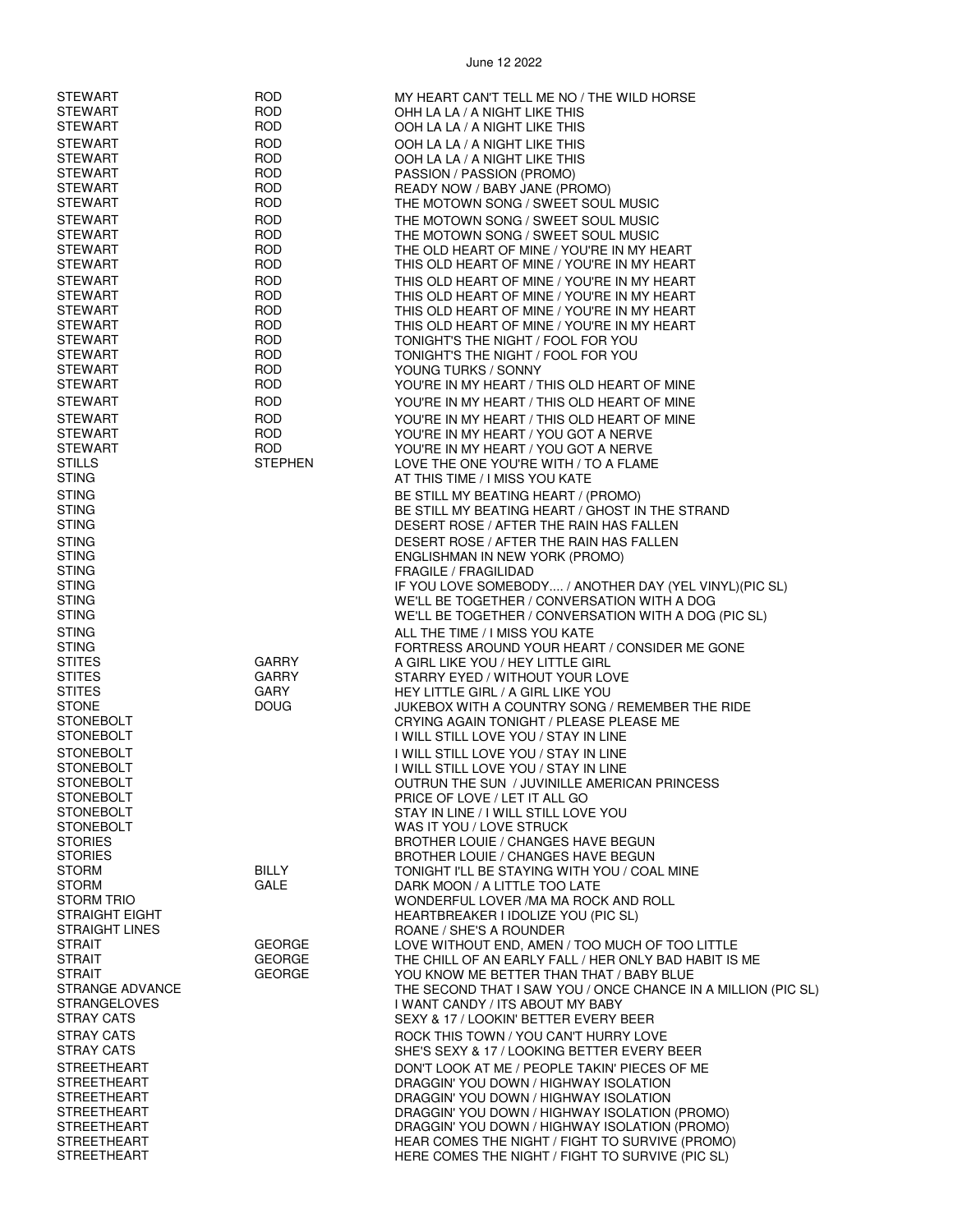| <b>STEWART</b>        | <b>ROD</b>     | MY HEART CAN'T TELL ME NO / THE WILD HORSE                    |
|-----------------------|----------------|---------------------------------------------------------------|
| <b>STEWART</b>        | <b>ROD</b>     |                                                               |
|                       |                | OHH LA LA / A NIGHT LIKE THIS                                 |
| <b>STEWART</b>        | <b>ROD</b>     | OOH LA LA / A NIGHT LIKE THIS                                 |
| <b>STEWART</b>        | <b>ROD</b>     | OOH LA LA / A NIGHT LIKE THIS                                 |
| <b>STEWART</b>        | <b>ROD</b>     | OOH LA LA / A NIGHT LIKE THIS                                 |
| <b>STEWART</b>        | <b>ROD</b>     | PASSION / PASSION (PROMO)                                     |
| <b>STEWART</b>        | ROD            | READY NOW / BABY JANE (PROMO)                                 |
| <b>STEWART</b>        | <b>ROD</b>     | THE MOTOWN SONG / SWEET SOUL MUSIC                            |
|                       |                |                                                               |
| <b>STEWART</b>        | <b>ROD</b>     | THE MOTOWN SONG / SWEET SOUL MUSIC                            |
| <b>STEWART</b>        | <b>ROD</b>     | THE MOTOWN SONG / SWEET SOUL MUSIC                            |
| <b>STEWART</b>        | ROD            | THE OLD HEART OF MINE / YOU'RE IN MY HEART                    |
| <b>STEWART</b>        | <b>ROD</b>     | THIS OLD HEART OF MINE / YOU'RE IN MY HEART                   |
| <b>STEWART</b>        | <b>ROD</b>     | THIS OLD HEART OF MINE / YOU'RE IN MY HEART                   |
| <b>STEWART</b>        | <b>ROD</b>     | THIS OLD HEART OF MINE / YOU'RE IN MY HEART                   |
| <b>STEWART</b>        | <b>ROD</b>     | THIS OLD HEART OF MINE / YOU'RE IN MY HEART                   |
| <b>STEWART</b>        | <b>ROD</b>     | THIS OLD HEART OF MINE / YOU'RE IN MY HEART                   |
| <b>STEWART</b>        | <b>ROD</b>     | TONIGHT'S THE NIGHT / FOOL FOR YOU                            |
| <b>STEWART</b>        | <b>ROD</b>     | TONIGHT'S THE NIGHT / FOOL FOR YOU                            |
| STEWART               | <b>ROD</b>     |                                                               |
|                       |                | YOUNG TURKS / SONNY                                           |
| <b>STEWART</b>        | ROD            | YOU'RE IN MY HEART / THIS OLD HEART OF MINE                   |
| <b>STEWART</b>        | <b>ROD</b>     | YOU'RE IN MY HEART / THIS OLD HEART OF MINE                   |
| <b>STEWART</b>        | <b>ROD</b>     | YOU'RE IN MY HEART / THIS OLD HEART OF MINE                   |
| <b>STEWART</b>        | <b>ROD</b>     | YOU'RE IN MY HEART / YOU GOT A NERVE                          |
| <b>STEWART</b>        | <b>ROD</b>     | YOU'RE IN MY HEART / YOU GOT A NERVE                          |
| <b>STILLS</b>         | <b>STEPHEN</b> | LOVE THE ONE YOU'RE WITH / TO A FLAME                         |
| <b>STING</b>          |                | AT THIS TIME / I MISS YOU KATE                                |
|                       |                |                                                               |
| <b>STING</b>          |                | BE STILL MY BEATING HEART / (PROMO)                           |
| <b>STING</b>          |                | BE STILL MY BEATING HEART / GHOST IN THE STRAND               |
| <b>STING</b>          |                | DESERT ROSE / AFTER THE RAIN HAS FALLEN                       |
| <b>STING</b>          |                | DESERT ROSE / AFTER THE RAIN HAS FALLEN                       |
| <b>STING</b>          |                | ENGLISHMAN IN NEW YORK (PROMO)                                |
| <b>STING</b>          |                | <b>FRAGILE / FRAGILIDAD</b>                                   |
| <b>STING</b>          |                | IF YOU LOVE SOMEBODY / ANOTHER DAY (YEL VINYL) (PIC SL)       |
| <b>STING</b>          |                | WE'LL BE TOGETHER / CONVERSATION WITH A DOG                   |
| <b>STING</b>          |                | WE'LL BE TOGETHER / CONVERSATION WITH A DOG (PIC SL)          |
| <b>STING</b>          |                | ALL THE TIME / I MISS YOU KATE                                |
| <b>STING</b>          |                | FORTRESS AROUND YOUR HEART / CONSIDER ME GONE                 |
| <b>STITES</b>         | <b>GARRY</b>   |                                                               |
|                       |                | A GIRL LIKE YOU / HEY LITTLE GIRL                             |
| STITES                | <b>GARRY</b>   | STARRY EYED / WITHOUT YOUR LOVE                               |
| <b>STITES</b>         | <b>GARY</b>    | HEY LITTLE GIRL / A GIRL LIKE YOU                             |
| <b>STONE</b>          | <b>DOUG</b>    | JUKEBOX WITH A COUNTRY SONG / REMEMBER THE RIDE               |
| <b>STONEBOLT</b>      |                | CRYING AGAIN TONIGHT / PLEASE PLEASE ME                       |
| <b>STONEBOLT</b>      |                | I WILL STILL LOVE YOU / STAY IN LINE                          |
| <b>STONEBOLT</b>      |                | I WILL STILL LOVE YOU / STAY IN LINE                          |
| <b>STONEBOLT</b>      |                | I WILL STILL LOVE YOU / STAY IN LINE                          |
| <b>STONEBOLT</b>      |                | OUTRUN THE SUN / JUVINILLE AMERICAN PRINCESS                  |
| <b>STONEBOLT</b>      |                | PRICE OF LOVE / LET IT ALL GO                                 |
| <b>STONEBOLT</b>      |                | STAY IN LINE / I WILL STILL LOVE YOU                          |
| <b>STONEBOLT</b>      |                | WAS IT YOU / LOVE STRUCK                                      |
| <b>STORIES</b>        |                | <b>BROTHER LOUIE / CHANGES HAVE BEGUN</b>                     |
| <b>STORIES</b>        |                | <b>BROTHER LOUIE / CHANGES HAVE BEGUN</b>                     |
| <b>STORM</b>          | <b>BILLY</b>   | TONIGHT I'LL BE STAYING WITH YOU / COAL MINE                  |
| <b>STORM</b>          | GALE           | DARK MOON / A LITTLE TOO LATE                                 |
| <b>STORM TRIO</b>     |                | WONDERFUL LOVER / MA MA ROCK AND ROLL                         |
| <b>STRAIGHT EIGHT</b> |                | HEARTBREAKER I IDOLIZE YOU (PIC SL)                           |
| <b>STRAIGHT LINES</b> |                | ROANE / SHE'S A ROUNDER                                       |
| <b>STRAIT</b>         | <b>GEORGE</b>  | LOVE WITHOUT END, AMEN / TOO MUCH OF TOO LITTLE               |
| <b>STRAIT</b>         | <b>GEORGE</b>  |                                                               |
|                       |                | THE CHILL OF AN EARLY FALL / HER ONLY BAD HABIT IS ME         |
| <b>STRAIT</b>         | <b>GEORGE</b>  | YOU KNOW ME BETTER THAN THAT / BABY BLUE                      |
| STRANGE ADVANCE       |                | THE SECOND THAT I SAW YOU / ONCE CHANCE IN A MILLION (PIC SL) |
| <b>STRANGELOVES</b>   |                | I WANT CANDY / ITS ABOUT MY BABY                              |
| STRAY CATS            |                | SEXY & 17 / LOOKIN' BETTER EVERY BEER                         |
| <b>STRAY CATS</b>     |                | ROCK THIS TOWN / YOU CAN'T HURRY LOVE                         |
| <b>STRAY CATS</b>     |                | SHE'S SEXY & 17 / LOOKING BETTER EVERY BEER                   |
| <b>STREETHEART</b>    |                | DON'T LOOK AT ME / PEOPLE TAKIN' PIECES OF ME                 |
| <b>STREETHEART</b>    |                | DRAGGIN' YOU DOWN / HIGHWAY ISOLATION                         |
| <b>STREETHEART</b>    |                | DRAGGIN' YOU DOWN / HIGHWAY ISOLATION                         |
| <b>STREETHEART</b>    |                | DRAGGIN' YOU DOWN / HIGHWAY ISOLATION (PROMO)                 |
| <b>STREETHEART</b>    |                | DRAGGIN' YOU DOWN / HIGHWAY ISOLATION (PROMO)                 |
| <b>STREETHEART</b>    |                | HEAR COMES THE NIGHT / FIGHT TO SURVIVE (PROMO)               |
| <b>STREETHEART</b>    |                | HERE COMES THE NIGHT / FIGHT TO SURVIVE (PIC SL)              |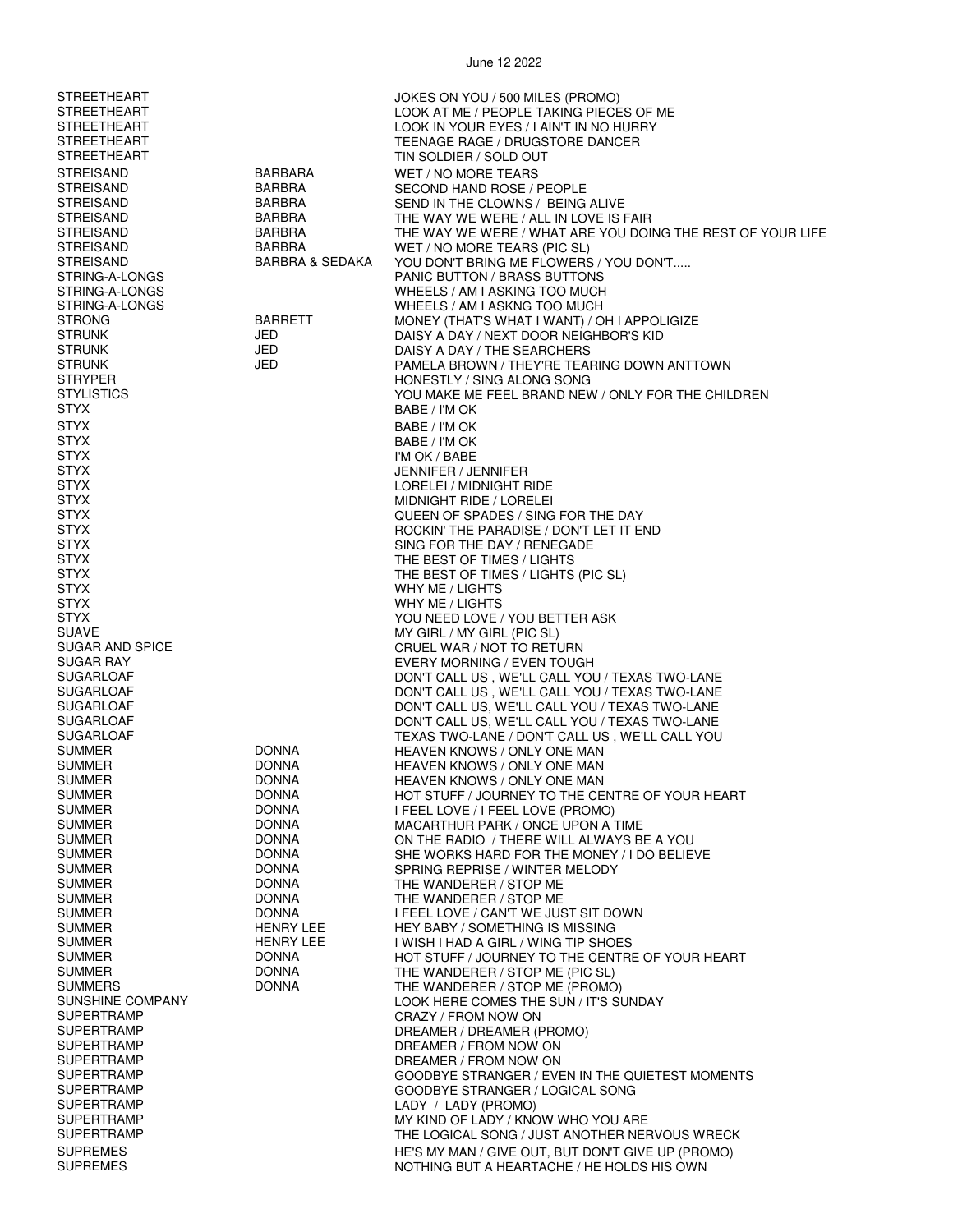| STREETHEART        |                            | JOKES ON YOU / 500 MILES (PROMO)                           |
|--------------------|----------------------------|------------------------------------------------------------|
| <b>STREETHEART</b> |                            | LOOK AT ME / PEOPLE TAKING PIECES OF ME                    |
| <b>STREETHEART</b> |                            | LOOK IN YOUR EYES / I AIN'T IN NO HURRY                    |
| <b>STREETHEART</b> |                            | TEENAGE RAGE / DRUGSTORE DANCER                            |
| <b>STREETHEART</b> |                            | TIN SOLDIER / SOLD OUT                                     |
|                    |                            |                                                            |
| STREISAND          | BARBARA                    | WET / NO MORE TEARS                                        |
| <b>STREISAND</b>   | <b>BARBRA</b>              | SECOND HAND ROSE / PEOPLE                                  |
| <b>STREISAND</b>   | BARBRA                     | SEND IN THE CLOWNS / BEING ALIVE                           |
| <b>STREISAND</b>   | BARBRA                     | THE WAY WE WERE / ALL IN LOVE IS FAIR                      |
| STREISAND          | BARBRA                     | THE WAY WE WERE / WHAT ARE YOU DOING THE REST OF YOUR LIFE |
| STREISAND          | <b>BARBRA</b>              | WET / NO MORE TEARS (PIC SL)                               |
| <b>STREISAND</b>   | <b>BARBRA &amp; SEDAKA</b> | YOU DON'T BRING ME FLOWERS / YOU DON'T                     |
| STRING-A-LONGS     |                            | PANIC BUTTON / BRASS BUTTONS                               |
| STRING-A-LONGS     |                            | WHEELS / AM I ASKING TOO MUCH                              |
| STRING-A-LONGS     |                            | WHEELS / AM I ASKNG TOO MUCH                               |
| <b>STRONG</b>      | <b>BARRETT</b>             | MONEY (THAT'S WHAT I WANT) / OH I APPOLIGIZE               |
| <b>STRUNK</b>      | JED                        | DAISY A DAY / NEXT DOOR NEIGHBOR'S KID                     |
| <b>STRUNK</b>      | JED                        | DAISY A DAY / THE SEARCHERS                                |
| <b>STRUNK</b>      | JED                        | PAMELA BROWN / THEY'RE TEARING DOWN ANTTOWN                |
| <b>STRYPER</b>     |                            | HONESTLY / SING ALONG SONG                                 |
| <b>STYLISTICS</b>  |                            | YOU MAKE ME FEEL BRAND NEW / ONLY FOR THE CHILDREN         |
| STYX               |                            | BABE / I'M OK                                              |
|                    |                            |                                                            |
| <b>STYX</b>        |                            | BABE / I'M OK                                              |
| <b>STYX</b>        |                            | BABE / I'M OK                                              |
| <b>STYX</b>        |                            | I'M OK / BABE                                              |
| STYX               |                            | JENNIFER / JENNIFER                                        |
| <b>STYX</b>        |                            | LORELEI / MIDNIGHT RIDE                                    |
| <b>STYX</b>        |                            | MIDNIGHT RIDE / LORELEI                                    |
| <b>STYX</b>        |                            | QUEEN OF SPADES / SING FOR THE DAY                         |
| <b>STYX</b>        |                            | ROCKIN' THE PARADISE / DON'T LET IT END                    |
| STYX               |                            | SING FOR THE DAY / RENEGADE                                |
| <b>STYX</b>        |                            | THE BEST OF TIMES / LIGHTS                                 |
| <b>STYX</b>        |                            | THE BEST OF TIMES / LIGHTS (PIC SL)                        |
| <b>STYX</b>        |                            | WHY ME / LIGHTS                                            |
| STYX               |                            | WHY ME / LIGHTS                                            |
| STYX               |                            | YOU NEED LOVE / YOU BETTER ASK                             |
| <b>SUAVE</b>       |                            |                                                            |
|                    |                            | MY GIRL / MY GIRL (PIC SL)                                 |
| SUGAR AND SPICE    |                            | CRUEL WAR / NOT TO RETURN                                  |
| SUGAR RAY          |                            | EVERY MORNING / EVEN TOUGH                                 |
| SUGARLOAF          |                            | DON'T CALL US, WE'LL CALL YOU / TEXAS TWO-LANE             |
| <b>SUGARLOAF</b>   |                            | DON'T CALL US, WE'LL CALL YOU / TEXAS TWO-LANE             |
| <b>SUGARLOAF</b>   |                            | DON'T CALL US, WE'LL CALL YOU / TEXAS TWO-LANE             |
| <b>SUGARLOAF</b>   |                            | DON'T CALL US, WE'LL CALL YOU / TEXAS TWO-LANE             |
| SUGARLOAF          |                            | TEXAS TWO-LANE / DON'T CALL US, WE'LL CALL YOU             |
| SUMMER             | <b>DONNA</b>               | HEAVEN KNOWS / ONLY ONE MAN                                |
| SUMMER             | <b>DONNA</b>               | <b>HEAVEN KNOWS / ONLY ONE MAN</b>                         |
| <b>SUMMER</b>      | <b>DONNA</b>               | HEAVEN KNOWS / ONLY ONE MAN                                |
| SUMMER             | <b>DONNA</b>               | HOT STUFF / JOURNEY TO THE CENTRE OF YOUR HEART            |
| <b>SUMMER</b>      | <b>DONNA</b>               | I FEEL LOVE / I FEEL LOVE (PROMO)                          |
| SUMMER             | <b>DONNA</b>               | MACARTHUR PARK / ONCE UPON A TIME                          |
| <b>SUMMER</b>      | <b>DONNA</b>               | ON THE RADIO / THERE WILL ALWAYS BE A YOU                  |
| <b>SUMMER</b>      | <b>DONNA</b>               | SHE WORKS HARD FOR THE MONEY / I DO BELIEVE                |
| <b>SUMMER</b>      | <b>DONNA</b>               | SPRING REPRISE / WINTER MELODY                             |
| <b>SUMMER</b>      | <b>DONNA</b>               | THE WANDERER / STOP ME                                     |
| <b>SUMMER</b>      | <b>DONNA</b>               | THE WANDERER / STOP ME                                     |
| <b>SUMMER</b>      | <b>DONNA</b>               | I FEEL LOVE / CAN'T WE JUST SIT DOWN                       |
|                    | <b>HENRY LEE</b>           |                                                            |
| SUMMER             |                            | <b>HEY BABY / SOMETHING IS MISSING</b>                     |
| <b>SUMMER</b>      | <b>HENRY LEE</b>           | I WISH I HAD A GIRL / WING TIP SHOES                       |
| <b>SUMMER</b>      | <b>DONNA</b>               | HOT STUFF / JOURNEY TO THE CENTRE OF YOUR HEART            |
| <b>SUMMER</b>      | <b>DONNA</b>               | THE WANDERER / STOP ME (PIC SL)                            |
| <b>SUMMERS</b>     | <b>DONNA</b>               | THE WANDERER / STOP ME (PROMO)                             |
| SUNSHINE COMPANY   |                            | LOOK HERE COMES THE SUN / IT'S SUNDAY                      |
| SUPERTRAMP         |                            | CRAZY / FROM NOW ON                                        |
| SUPERTRAMP         |                            | DREAMER / DREAMER (PROMO)                                  |
| <b>SUPERTRAMP</b>  |                            | DREAMER / FROM NOW ON                                      |
| <b>SUPERTRAMP</b>  |                            | DREAMER / FROM NOW ON                                      |
| <b>SUPERTRAMP</b>  |                            | GOODBYE STRANGER / EVEN IN THE QUIETEST MOMENTS            |
| SUPERTRAMP         |                            | GOODBYE STRANGER / LOGICAL SONG                            |
| SUPERTRAMP         |                            | LADY / LADY (PROMO)                                        |
| <b>SUPERTRAMP</b>  |                            | MY KIND OF LADY / KNOW WHO YOU ARE                         |
| <b>SUPERTRAMP</b>  |                            | THE LOGICAL SONG / JUST ANOTHER NERVOUS WRECK              |
| <b>SUPREMES</b>    |                            | HE'S MY MAN / GIVE OUT, BUT DON'T GIVE UP (PROMO)          |
| <b>SUPREMES</b>    |                            | NOTHING BUT A HEARTACHE / HE HOLDS HIS OWN                 |
|                    |                            |                                                            |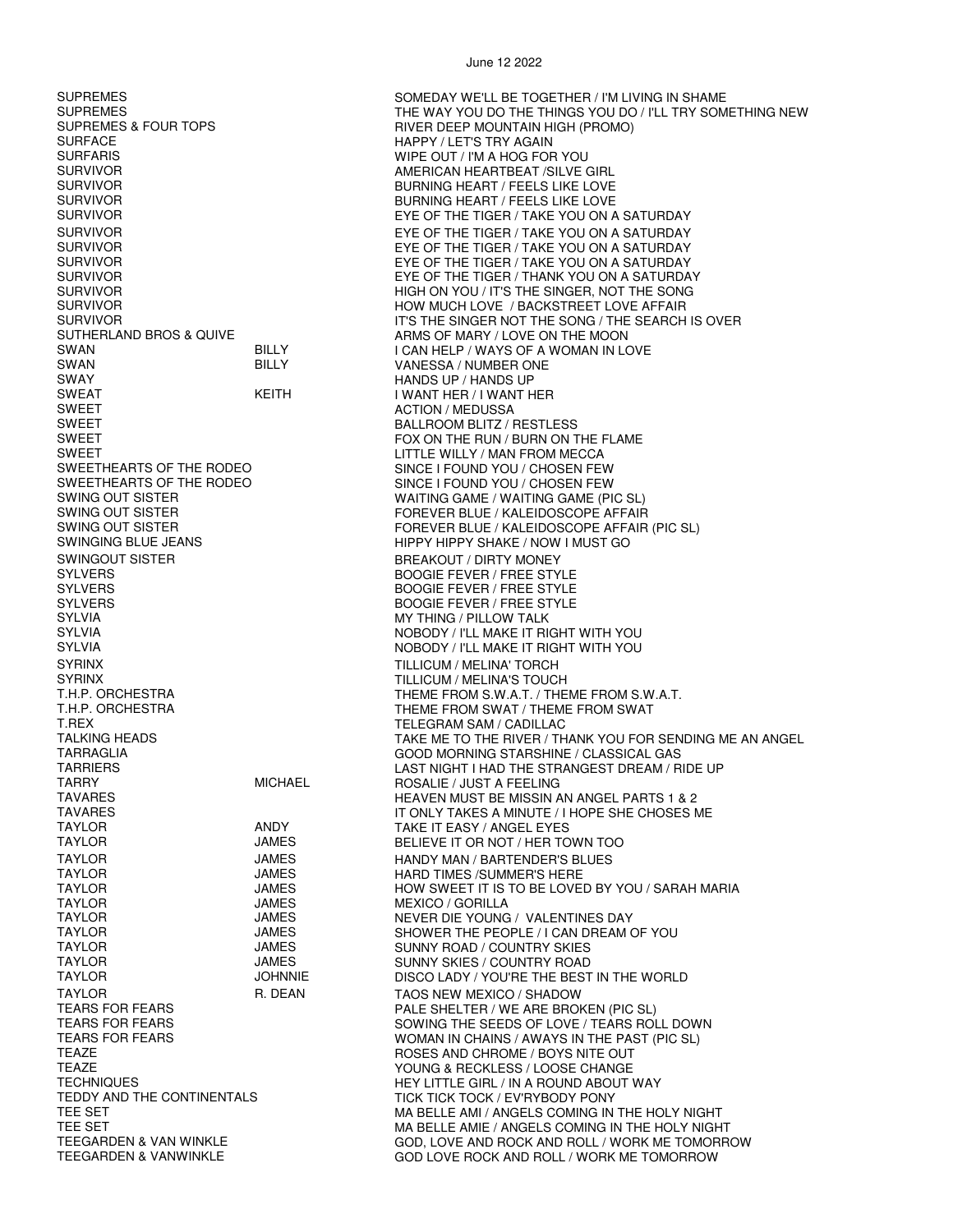SURFACE HAPPY / LET'S TRY AGAIN SURFARIS WIPE OUT / I'M A HOG FOR YOU SWAN BILLY DELLY VANESSA / NUMBER ONE<br>SWAY HANDS UP / HANDS UP SWAY HANDS UP / HANDS UP SWEET ACTION / MEDUSSA SWEET BALLROOM BLITZ / RESTLESS SWINGOUT SISTER **BREAKOUT / DIRTY MONEY** SYLVERS BOOGIE FEVER / FREE STYLE SYLVERS BOOGIE FEVER / FREE STYLE SYLVIA MY THING / PILLOW TALK SYRINX TORCH THE SYRINX TO SAFET THE SYRINX TO SYRINX THE LIGHT OF THE LIGHT OF THE LIGHT OF THE LIGHT OF THE LIGHT OF THE LIGHT OF THE LIGHT OF THE LIGHT OF THE LIGHT OF THE LIGHT OF THE LIGHT OF THE LIGHT OF THE LIGHT OF SYRINX TILLICUM / MELINA'S TOUCH T.REX TELEGRAM SAM / CADILLAC TARRY MICHAEL ROSALIE / JUST A FEELING TAYLOR ANDY TAKE IT EASY / ANGEL EYES TAYLOR JAMES HARD TIMES /SUMMER'S HERE TAYLOR JAMES SUNNY ROAD / COUNTRY SKIES TAYLOR JAMES SUNNY SKIES / COUNTRY ROAD TAYLOR TAYLOR R. DEAN TAOS NEW MEXICO / SHADOW TEARS FOR FEARS

June 12 2022

SUPREMES<br>SUPREMES SUPREMES SUPREMES SUPREMES SUPREMES SUPREMES SUPREMES<br>SUPREMES & FOUR TOPS THE WAY YOU DO THE THINGS YOU DO / I'LL TRY SOMETHING NEW RIVER DEEP MOUNTAIN HIGH (PROMO) SURVIVOR AMERICAN HEARTBEAT /SILVE GIRL BURNING HEART / FEELS LIKE LOVE SURVIVOR BURNING HEART / FEELS LIKE LOVE EYE OF THE TIGER / TAKE YOU ON A SATURDAY SURVIVOR EYE OF THE TIGER / TAKE YOU ON A SATURDAY EYE OF THE TIGER / TAKE YOU ON A SATURDAY SURVIVOR EYE OF THE TIGER / TAKE YOU ON A SATURDAY SURVIVOR EYE OF THE TIGER / THANK YOU ON A SATURDAY SURVIVOR HIGH ON YOU / IT'S THE SINGER, NOT THE SONG SURVIVOR HOW MUCH LOVE / BACKSTREET LOVE AFFAIR SURVIVOR IT'S THE SINGER NOT THE SONG / THE SEARCH IS OVER SUTHERLAND BROS & QUIVE BILLY ARMS OF MARY / LOVE ON THE MOON<br>SWAN ARMS OF A WOMAN IN LOW SWAN BILLY BILLY I CAN HELP / WAYS OF A WOMAN IN LOVE<br>SWAN BILLY VANESSA / NUMBER ONE I WANT HER / I WANT HER SWEET SERVICE SOMETHE RUN / BURN ON THE FLAME<br>FOX ON THE RUN / BURN ON THE FLAME<br>FITTLE WILLY / MAN FROM MECCA SWEET LITTLE WILLY / MAN FROM MECCA SWEETHEARTS OF THE RODEO<br>SINCE I FOUND YOU / CHOSEN FEW<br>SINCE I FOUND YOU / CHOSEN FEW SWEETHEARTS OF THE RODEO SINCE I FOUND YOU / CHOSEN FEW<br>SWING OUT SISTER SWING ON SINCE I FOUND WAITING GAME / WAITING GAME (PI SWING OUT SISTER GAME / WAITING GAME / WAITING GAME (PIC SL)<br>SWING OUT SISTER GAME IN THE SERVER BLUE / KALEIDOSCOPE AFFAIR FOREVER BLUE / KALEIDOSCOPE AFFAIR SWING OUT SISTER<br>
SWINGING BLUE JEANS
SWINGING BLUE JEANS
SWINGING BLUE JEANS
SWINGING BLUE JEANS
SWINGING BLUE JEANS
SPORTER AFFAIR (PIC SL) HIPPY HIPPY SHAKE / NOW I MUST GO BOOGIE FEVER / FREE STYLE SYLVIA NOBODY / I'LL MAKE IT RIGHT WITH YOU NOBODY / I'LL MAKE IT RIGHT WITH YOU THEME FROM S.W.A.T. / THEME FROM S.W.A.T. T.H.P. ORCHESTRA THEME FROM SWAT / THEME FROM SWAT / THEME FROM SWAT<br>T.REX TALKING HEADS TAKE ME TO THE RIVER / THANK YOU FOR SENDING ME AN ANGEL<br>TARRAGLIA TARRAGLIA GOOD MORNING STARSHINE / CLASSICAL GAS TARRIERS LAST NIGHT I HAD THE STRANGEST DREAM / RIDE UP<br>TARRY TARRY TARRY MICHAEL ROSALIE / JUST A FEFLING TAVARES HEAVEN MUST BE MISSIN AN ANGEL PARTS 1 & 2 TAVARES TAVARES A MINUTE / I HOPE SHE CHOSES ME<br>TAYLOR TAYLOR ANDY TAKE IT EASY / ANGEL EYES BELIEVE IT OR NOT / HER TOWN TOO TAYLOR **GALLACTER SERVICES** JAMES HANDY MAN / BARTENDER'S BLUES TAYLOR JAMES HOW SWEET IT IS TO BE LOVED BY YOU / SARAH MARIA **MEXICO / GORILLA** TAYLOR JAMES NEVER DIE YOUNG / VALENTINES DAY TAYLOR JAMES SHOWER THE PEOPLE / I CAN DREAM OF YOU DISCO LADY / YOU'RE THE BEST IN THE WORLD TEARS FOR FEARS FOR THE SHELTER / WE ARE BROKEN (PIC SL)<br>TEARS FOR FEARS TEARS TEARS AND THE SEEDS OF LOVE / TEARS ROI TEARS FOR FEARS TO REASURE THE SOWING THE SEEDS OF LOVE / TEARS ROLL DOWN<br>TEARS FOR FEARS TO REASURE THE PAST (PIC SLI TEARS FOR FEARS TO REASE THE PAST (PIC SL) WOMAN IN CHAINS / AWAYS IN THE PAST (PIC SL)<br>TEAZE THE PAST OF THE PASS ON THE PAST AND CHROME / BOYS NITE OUT TEAZE TEAZE TEAZE TEAZE TEAZE TEAZE TEAZE TEAZE TEAZE TEAZE TEAZE TEAZE TEAZE TEAZE TEAZE TEAZE TEAZE TEAZE TE<br>TEAZE TEAZE TEAZE TEAZE TEAZE TEAZE TEAZE TEAZE TEAZE TEAZE TEAZE TEAZE TEAZE TEAZE TEAZE TEAZE TEAZE TEAZE TE YOUNG & RECKLESS / LOOSE CHANGE TECHNIQUES<br>TEDDY AND THE CONTINENTALS TERM TICK TICK TICK TOCK / EV'RYBODY PONY TEDDY AND THE CONTINENTALS<br>TEE SET MA BELLE AMI / ANGELS COMING IN MA BELLE AMI / ANGELS COMING IN THE HOLY NIGHT TEE SET<br>TEEGARDEN & VAN WINKLE TEEGARDEN ASSESSED ON TO A GOD TO VE AND ROCK AND ROIT / WORK ME TOMORR GOD, LOVE AND ROCK AND ROLL / WORK ME TOMORROW TEEGARDEN & VANWINKLE GOD LOVE ROCK AND ROLL / WORK ME TOMORROW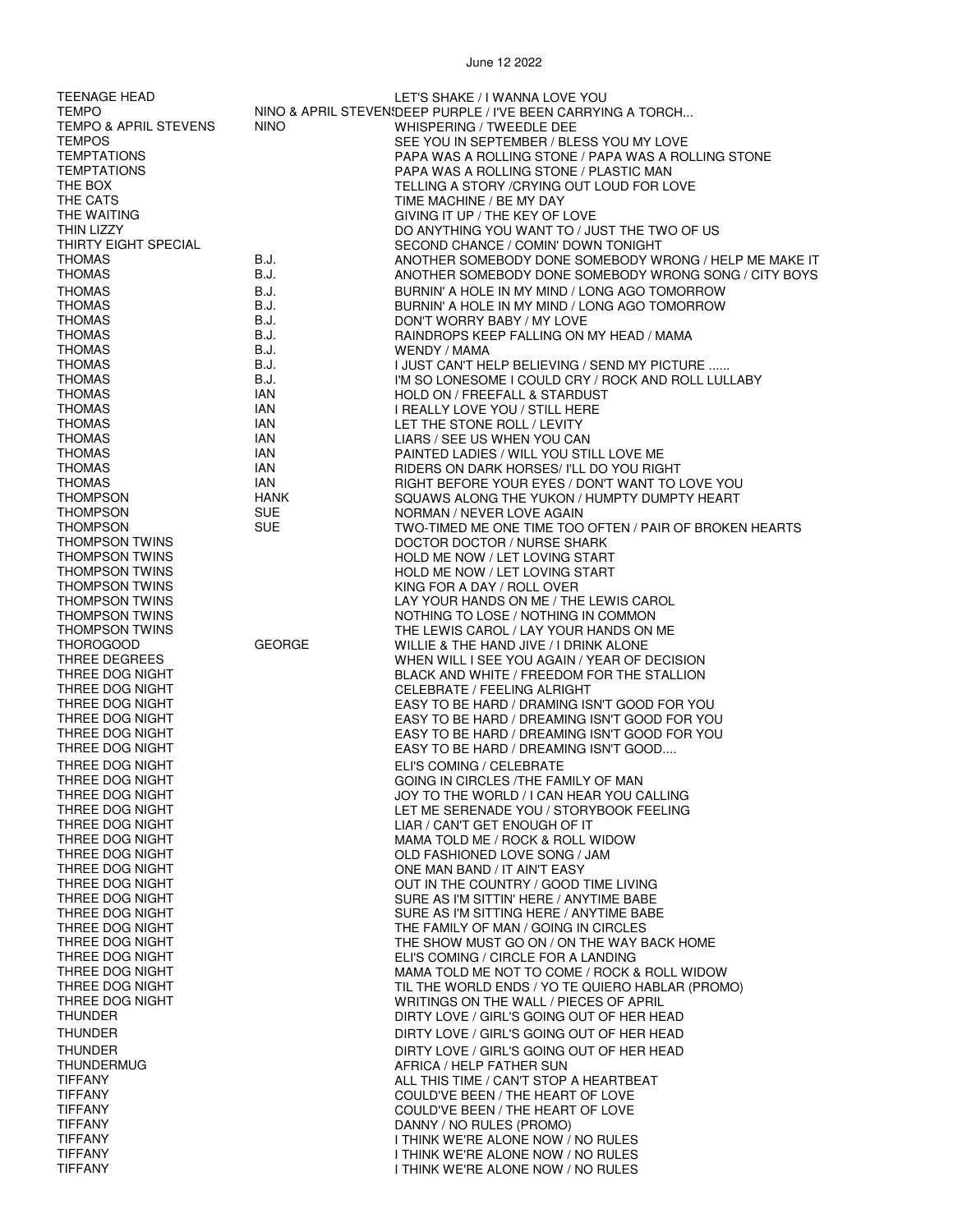| <b>TEENAGE HEAD</b><br><b>TEMPO</b>            |                    | LET'S SHAKE / I WANNA LOVE YOU<br>NINO & APRIL STEVEN! DEEP PURPLE / I'VE BEEN CARRYING A TORCH |
|------------------------------------------------|--------------------|-------------------------------------------------------------------------------------------------|
| <b>TEMPO &amp; APRIL STEVENS</b>               | <b>NINO</b>        | WHISPERING / TWEEDLE DEE                                                                        |
| <b>TEMPOS</b>                                  |                    | SEE YOU IN SEPTEMBER / BLESS YOU MY LOVE                                                        |
| <b>TEMPTATIONS</b>                             |                    | PAPA WAS A ROLLING STONE / PAPA WAS A ROLLING STONE                                             |
| <b>TEMPTATIONS</b><br>THE BOX                  |                    | PAPA WAS A ROLLING STONE / PLASTIC MAN<br>TELLING A STORY / CRYING OUT LOUD FOR LOVE            |
| THE CATS                                       |                    | TIME MACHINE / BE MY DAY                                                                        |
| THE WAITING                                    |                    | GIVING IT UP / THE KEY OF LOVE                                                                  |
| <b>THIN LIZZY</b>                              |                    | DO ANYTHING YOU WANT TO / JUST THE TWO OF US                                                    |
| THIRTY EIGHT SPECIAL<br><b>THOMAS</b>          | B.J.               | SECOND CHANCE / COMIN' DOWN TONIGHT<br>ANOTHER SOMEBODY DONE SOMEBODY WRONG / HELP ME MAKE IT   |
| <b>THOMAS</b>                                  | B.J.               | ANOTHER SOMEBODY DONE SOMEBODY WRONG SONG / CITY BOYS                                           |
| <b>THOMAS</b>                                  | B.J.               | BURNIN' A HOLE IN MY MIND / LONG AGO TOMORROW                                                   |
| <b>THOMAS</b>                                  | B.J.               | BURNIN' A HOLE IN MY MIND / LONG AGO TOMORROW                                                   |
| <b>THOMAS</b>                                  | B.J.               | DON'T WORRY BABY / MY LOVE                                                                      |
| <b>THOMAS</b><br><b>THOMAS</b>                 | B.J.<br>B.J.       | RAINDROPS KEEP FALLING ON MY HEAD / MAMA<br>WENDY / MAMA                                        |
| <b>THOMAS</b>                                  | B.J.               | I JUST CAN'T HELP BELIEVING / SEND MY PICTURE                                                   |
| <b>THOMAS</b>                                  | B.J.               | I'M SO LONESOME I COULD CRY / ROCK AND ROLL LULLABY                                             |
| <b>THOMAS</b>                                  | IAN                | HOLD ON / FREEFALL & STARDUST                                                                   |
| <b>THOMAS</b><br><b>THOMAS</b>                 | IAN<br>IAN         | I REALLY LOVE YOU / STILL HERE                                                                  |
| <b>THOMAS</b>                                  | IAN                | LET THE STONE ROLL / LEVITY<br>LIARS / SEE US WHEN YOU CAN                                      |
| <b>THOMAS</b>                                  | IAN                | PAINTED LADIES / WILL YOU STILL LOVE ME                                                         |
| <b>THOMAS</b>                                  | IAN                | RIDERS ON DARK HORSES/ I'LL DO YOU RIGHT                                                        |
| <b>THOMAS</b><br><b>THOMPSON</b>               | IAN                | RIGHT BEFORE YOUR EYES / DON'T WANT TO LOVE YOU                                                 |
| <b>THOMPSON</b>                                | HANK<br><b>SUE</b> | SQUAWS ALONG THE YUKON / HUMPTY DUMPTY HEART<br>NORMAN / NEVER LOVE AGAIN                       |
| <b>THOMPSON</b>                                | <b>SUE</b>         | TWO-TIMED ME ONE TIME TOO OFTEN / PAIR OF BROKEN HEARTS                                         |
| <b>THOMPSON TWINS</b>                          |                    | DOCTOR DOCTOR / NURSE SHARK                                                                     |
| <b>THOMPSON TWINS</b>                          |                    | HOLD ME NOW / LET LOVING START                                                                  |
| <b>THOMPSON TWINS</b><br><b>THOMPSON TWINS</b> |                    | HOLD ME NOW / LET LOVING START<br>KING FOR A DAY / ROLL OVER                                    |
| <b>THOMPSON TWINS</b>                          |                    | LAY YOUR HANDS ON ME / THE LEWIS CAROL                                                          |
| <b>THOMPSON TWINS</b>                          |                    | NOTHING TO LOSE / NOTHING IN COMMON                                                             |
| <b>THOMPSON TWINS</b>                          | <b>GEORGE</b>      | THE LEWIS CAROL / LAY YOUR HANDS ON ME                                                          |
| <b>THOROGOOD</b><br>THREE DEGREES              |                    | WILLIE & THE HAND JIVE / I DRINK ALONE<br>WHEN WILL I SEE YOU AGAIN / YEAR OF DECISION          |
| THREE DOG NIGHT                                |                    | BLACK AND WHITE / FREEDOM FOR THE STALLION                                                      |
| THREE DOG NIGHT                                |                    | CELEBRATE / FEELING ALRIGHT                                                                     |
| THREE DOG NIGHT<br>THREE DOG NIGHT             |                    | EASY TO BE HARD / DRAMING ISN'T GOOD FOR YOU<br>EASY TO BE HARD / DREAMING ISN'T GOOD FOR YOU   |
| THREE DOG NIGHT                                |                    | EASY TO BE HARD / DREAMING ISN'T GOOD FOR YOU                                                   |
| THREE DOG NIGHT                                |                    | EASY TO BE HARD / DREAMING ISN'T GOOD                                                           |
| THREE DOG NIGHT                                |                    | ELI'S COMING / CELEBRATE                                                                        |
| THREE DOG NIGHT<br>THREE DOG NIGHT             |                    | GOING IN CIRCLES / THE FAMILY OF MAN<br>JOY TO THE WORLD / I CAN HEAR YOU CALLING               |
| THREE DOG NIGHT                                |                    | LET ME SERENADE YOU / STORYBOOK FEELING                                                         |
| THREE DOG NIGHT                                |                    | LIAR / CAN'T GET ENOUGH OF IT                                                                   |
| THREE DOG NIGHT                                |                    | MAMA TOLD ME / ROCK & ROLL WIDOW                                                                |
| THREE DOG NIGHT<br>THREE DOG NIGHT             |                    | OLD FASHIONED LOVE SONG / JAM<br>ONE MAN BAND / IT AIN'T EASY                                   |
| THREE DOG NIGHT                                |                    | OUT IN THE COUNTRY / GOOD TIME LIVING                                                           |
| THREE DOG NIGHT                                |                    | SURE AS I'M SITTIN' HERE / ANYTIME BABE                                                         |
| THREE DOG NIGHT<br>THREE DOG NIGHT             |                    | SURE AS I'M SITTING HERE / ANYTIME BABE                                                         |
| THREE DOG NIGHT                                |                    | THE FAMILY OF MAN / GOING IN CIRCLES<br>THE SHOW MUST GO ON / ON THE WAY BACK HOME              |
| THREE DOG NIGHT                                |                    | ELI'S COMING / CIRCLE FOR A LANDING                                                             |
| THREE DOG NIGHT                                |                    | MAMA TOLD ME NOT TO COME / ROCK & ROLL WIDOW                                                    |
| THREE DOG NIGHT<br>THREE DOG NIGHT             |                    | TIL THE WORLD ENDS / YO TE QUIERO HABLAR (PROMO)<br>WRITINGS ON THE WALL / PIECES OF APRIL      |
| <b>THUNDER</b>                                 |                    | DIRTY LOVE / GIRL'S GOING OUT OF HER HEAD                                                       |
| <b>THUNDER</b>                                 |                    | DIRTY LOVE / GIRL'S GOING OUT OF HER HEAD                                                       |
| <b>THUNDER</b>                                 |                    | DIRTY LOVE / GIRL'S GOING OUT OF HER HEAD                                                       |
| <b>THUNDERMUG</b>                              |                    | AFRICA / HELP FATHER SUN                                                                        |
| <b>TIFFANY</b><br><b>TIFFANY</b>               |                    | ALL THIS TIME / CAN'T STOP A HEARTBEAT<br>COULD'VE BEEN / THE HEART OF LOVE                     |
| <b>TIFFANY</b>                                 |                    | COULD'VE BEEN / THE HEART OF LOVE                                                               |
| <b>TIFFANY</b>                                 |                    | DANNY / NO RULES (PROMO)                                                                        |
| <b>TIFFANY</b><br><b>TIFFANY</b>               |                    | I THINK WE'RE ALONE NOW / NO RULES                                                              |
| <b>TIFFANY</b>                                 |                    | I THINK WE'RE ALONE NOW / NO RULES<br>I THINK WE'RE ALONE NOW / NO RULES                        |
|                                                |                    |                                                                                                 |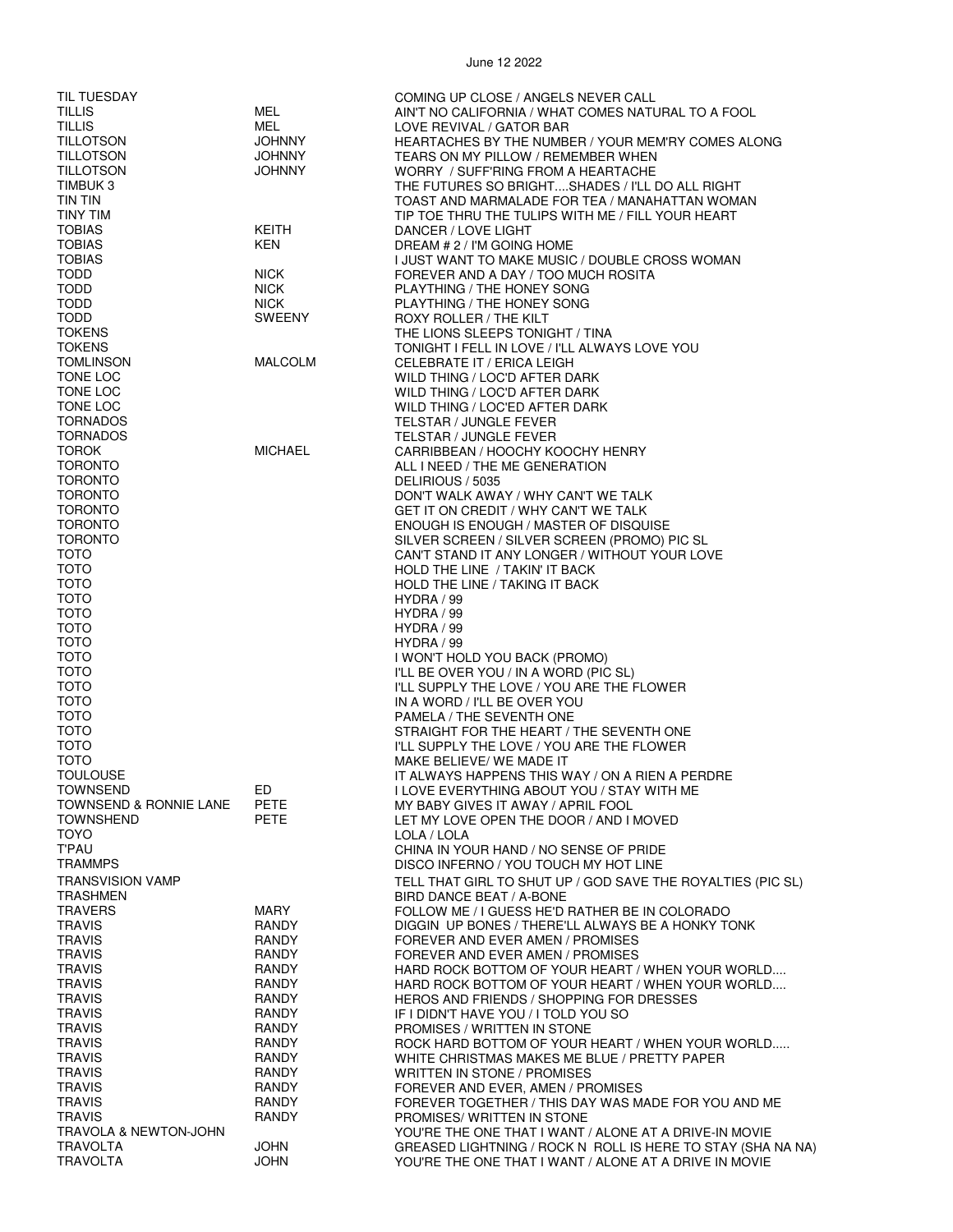| TIL TUESDAY             |                | COMING UP CLOSE / ANGELS NEVER CALL                         |
|-------------------------|----------------|-------------------------------------------------------------|
| <b>TILLIS</b>           | MEL            | AIN'T NO CALIFORNIA / WHAT COMES NATURAL TO A FOOL          |
| <b>TILLIS</b>           | MEL.           | LOVE REVIVAL / GATOR BAR                                    |
|                         |                |                                                             |
| <b>TILLOTSON</b>        | <b>JOHNNY</b>  | HEARTACHES BY THE NUMBER / YOUR MEM'RY COMES ALONG          |
| <b>TILLOTSON</b>        | <b>JOHNNY</b>  | TEARS ON MY PILLOW / REMEMBER WHEN                          |
| <b>TILLOTSON</b>        | <b>JOHNNY</b>  | WORRY / SUFF'RING FROM A HEARTACHE                          |
| TIMBUK 3                |                | THE FUTURES SO BRIGHTSHADES / I'LL DO ALL RIGHT             |
| TIN TIN                 |                | TOAST AND MARMALADE FOR TEA / MANAHATTAN WOMAN              |
| <b>TINY TIM</b>         |                | TIP TOE THRU THE TULIPS WITH ME / FILL YOUR HEART           |
| <b>TOBIAS</b>           | <b>KEITH</b>   | DANCER / LOVE LIGHT                                         |
| <b>TOBIAS</b>           |                |                                                             |
|                         | <b>KEN</b>     | DREAM # 2 / I'M GOING HOME                                  |
| <b>TOBIAS</b>           |                | I JUST WANT TO MAKE MUSIC / DOUBLE CROSS WOMAN              |
| TODD                    | <b>NICK</b>    | FOREVER AND A DAY / TOO MUCH ROSITA                         |
| <b>TODD</b>             | <b>NICK</b>    | PLAYTHING / THE HONEY SONG                                  |
| <b>TODD</b>             | <b>NICK</b>    | PLAYTHING / THE HONEY SONG                                  |
| <b>TODD</b>             | <b>SWEENY</b>  | ROXY ROLLER / THE KILT                                      |
| <b>TOKENS</b>           |                | THE LIONS SLEEPS TONIGHT / TINA                             |
|                         |                |                                                             |
| <b>TOKENS</b>           |                | TONIGHT I FELL IN LOVE / I'LL ALWAYS LOVE YOU               |
| TOMLINSON               | <b>MALCOLM</b> | CELEBRATE IT / ERICA LEIGH                                  |
| TONE LOC                |                | WILD THING / LOC'D AFTER DARK                               |
| TONE LOC                |                | WILD THING / LOC'D AFTER DARK                               |
| TONE LOC                |                | WILD THING / LOC'ED AFTER DARK                              |
| <b>TORNADOS</b>         |                | <b>TELSTAR / JUNGLE FEVER</b>                               |
| <b>TORNADOS</b>         |                |                                                             |
|                         |                | TELSTAR / JUNGLE FEVER                                      |
| <b>TOROK</b>            | <b>MICHAEL</b> | CARRIBBEAN / HOOCHY KOOCHY HENRY                            |
| <b>TORONTO</b>          |                | ALL I NEED / THE ME GENERATION                              |
| <b>TORONTO</b>          |                | DELIRIOUS / 5035                                            |
| <b>TORONTO</b>          |                | DON'T WALK AWAY / WHY CAN'T WE TALK                         |
| <b>TORONTO</b>          |                | GET IT ON CREDIT / WHY CAN'T WE TALK                        |
| <b>TORONTO</b>          |                | ENOUGH IS ENOUGH / MASTER OF DISQUISE                       |
|                         |                |                                                             |
| <b>TORONTO</b>          |                | SILVER SCREEN / SILVER SCREEN (PROMO) PIC SL                |
| TOTO                    |                | CAN'T STAND IT ANY LONGER / WITHOUT YOUR LOVE               |
| <b>TOTO</b>             |                | HOLD THE LINE / TAKIN' IT BACK                              |
| <b>TOTO</b>             |                | HOLD THE LINE / TAKING IT BACK                              |
| <b>TOTO</b>             |                | HYDRA / 99                                                  |
| <b>TOTO</b>             |                | HYDRA / 99                                                  |
| <b>TOTO</b>             |                |                                                             |
|                         |                | HYDRA / 99                                                  |
| <b>TOTO</b>             |                | HYDRA / 99                                                  |
| <b>TOTO</b>             |                | I WON'T HOLD YOU BACK (PROMO)                               |
| <b>TOTO</b>             |                | I'LL BE OVER YOU / IN A WORD (PIC SL)                       |
| <b>TOTO</b>             |                | I'LL SUPPLY THE LOVE / YOU ARE THE FLOWER                   |
| <b>TOTO</b>             |                | IN A WORD / I'LL BE OVER YOU                                |
| <b>TOTO</b>             |                | PAMELA / THE SEVENTH ONE                                    |
|                         |                |                                                             |
| <b>TOTO</b>             |                | STRAIGHT FOR THE HEART / THE SEVENTH ONE                    |
| <b>TOTO</b>             |                | I'LL SUPPLY THE LOVE / YOU ARE THE FLOWER                   |
| <b>TOTO</b>             |                | MAKE BELIEVE/ WE MADE IT                                    |
| <b>TOULOUSE</b>         |                | IT ALWAYS HAPPENS THIS WAY / ON A RIEN A PERDRE             |
| <b>TOWNSEND</b>         | ED             | I LOVE EVERYTHING ABOUT YOU / STAY WITH ME                  |
| TOWNSEND & RONNIE LANE  | <b>PETE</b>    | MY BABY GIVES IT AWAY / APRIL FOOL                          |
| <b>TOWNSHEND</b>        |                |                                                             |
|                         | PETE           | LET MY LOVE OPEN THE DOOR / AND I MOVED                     |
| <b>TOYO</b>             |                | LOLA / LOLA                                                 |
| <b>T'PAU</b>            |                | CHINA IN YOUR HAND / NO SENSE OF PRIDE                      |
| <b>TRAMMPS</b>          |                | DISCO INFERNO / YOU TOUCH MY HOT LINE                       |
| <b>TRANSVISION VAMP</b> |                | TELL THAT GIRL TO SHUT UP / GOD SAVE THE ROYALTIES (PIC SL) |
| <b>TRASHMEN</b>         |                |                                                             |
|                         |                | BIRD DANCE BEAT / A-BONE                                    |
| <b>TRAVERS</b>          | <b>MARY</b>    | FOLLOW ME / I GUESS HE'D RATHER BE IN COLORADO              |
| <b>TRAVIS</b>           | RANDY          | DIGGIN UP BONES / THERE'LL ALWAYS BE A HONKY TONK           |
| <b>TRAVIS</b>           | RANDY          | FOREVER AND EVER AMEN / PROMISES                            |
| <b>TRAVIS</b>           | <b>RANDY</b>   | FOREVER AND EVER AMEN / PROMISES                            |
| <b>TRAVIS</b>           | RANDY          | HARD ROCK BOTTOM OF YOUR HEART / WHEN YOUR WORLD            |
| <b>TRAVIS</b>           | RANDY          | HARD ROCK BOTTOM OF YOUR HEART / WHEN YOUR WORLD            |
|                         |                |                                                             |
| <b>TRAVIS</b>           | RANDY          | HEROS AND FRIENDS / SHOPPING FOR DRESSES                    |
| <b>TRAVIS</b>           | RANDY          | IF I DIDN'T HAVE YOU / I TOLD YOU SO                        |
| <b>TRAVIS</b>           | RANDY          | PROMISES / WRITTEN IN STONE                                 |
| <b>TRAVIS</b>           | RANDY          | ROCK HARD BOTTOM OF YOUR HEART / WHEN YOUR WORLD            |
| <b>TRAVIS</b>           | RANDY          | WHITE CHRISTMAS MAKES ME BLUE / PRETTY PAPER                |
| <b>TRAVIS</b>           | <b>RANDY</b>   | WRITTEN IN STONE / PROMISES                                 |
| <b>TRAVIS</b>           | RANDY          |                                                             |
|                         |                | FOREVER AND EVER, AMEN / PROMISES                           |
| <b>TRAVIS</b>           | <b>RANDY</b>   | FOREVER TOGETHER / THIS DAY WAS MADE FOR YOU AND ME         |
| <b>TRAVIS</b>           | RANDY          | PROMISES/ WRITTEN IN STONE                                  |
| TRAVOLA & NEWTON-JOHN   |                | YOU'RE THE ONE THAT I WANT / ALONE AT A DRIVE-IN MOVIE      |
| <b>TRAVOLTA</b>         | <b>JOHN</b>    | GREASED LIGHTNING / ROCK N ROLL IS HERE TO STAY (SHA NA NA) |
| <b>TRAVOLTA</b>         | <b>JOHN</b>    | YOU'RE THE ONE THAT I WANT / ALONE AT A DRIVE IN MOVIE      |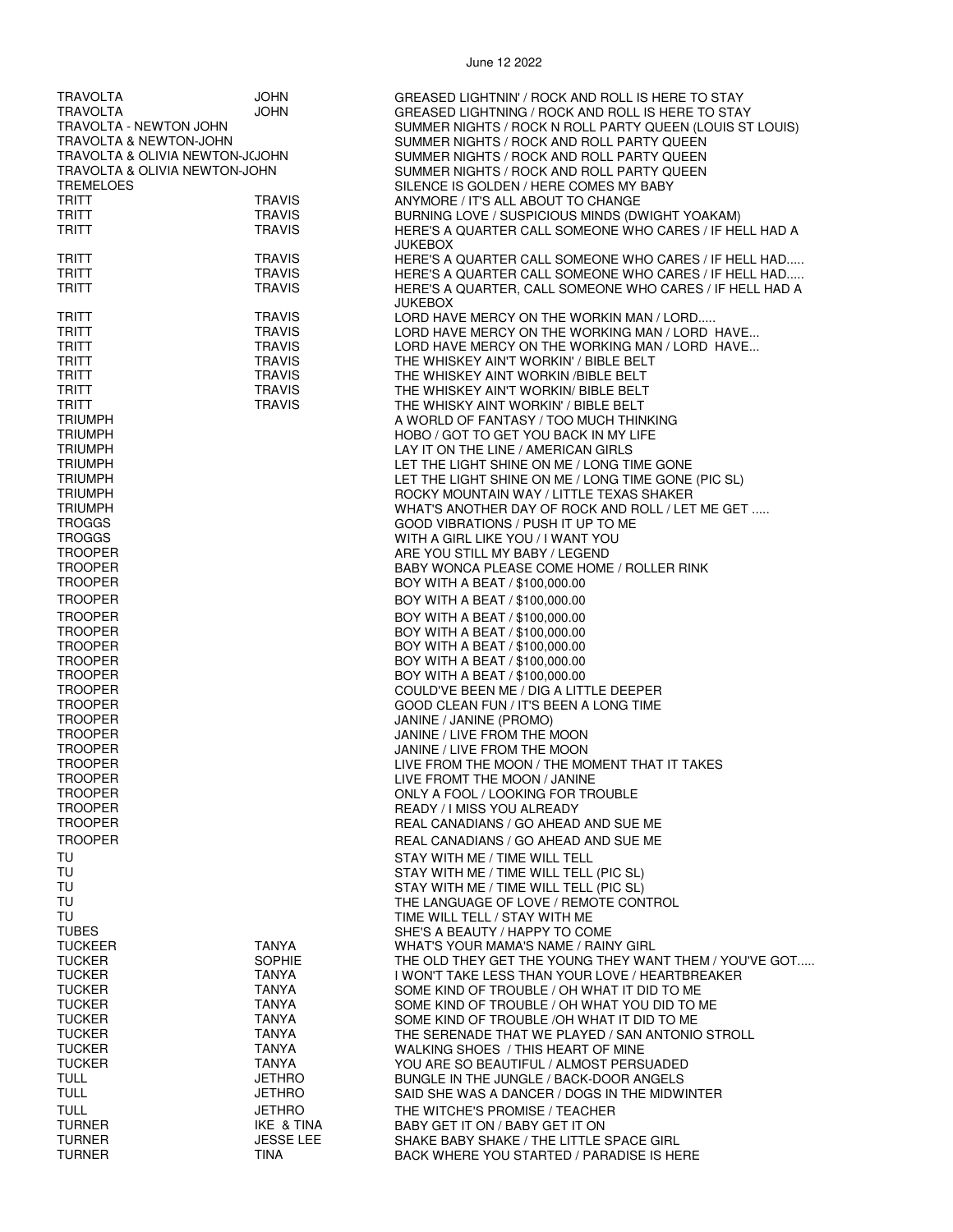| <b>TRAVOLTA</b>                   | JOHN             | GREASED LIGHTNIN' / ROCK AND ROLL IS HERE TO STAY        |
|-----------------------------------|------------------|----------------------------------------------------------|
| TRAVOLTA                          | JOHN             | GREASED LIGHTNING / ROCK AND ROLL IS HERE TO STAY        |
|                                   |                  |                                                          |
| TRAVOLTA - NEWTON JOHN            |                  | SUMMER NIGHTS / ROCK N ROLL PARTY QUEEN (LOUIS ST LOUIS) |
| <b>TRAVOLTA &amp; NEWTON-JOHN</b> |                  | SUMMER NIGHTS / ROCK AND ROLL PARTY QUEEN                |
| TRAVOLTA & OLIVIA NEWTON-J(JOHN   |                  | SUMMER NIGHTS / ROCK AND ROLL PARTY QUEEN                |
| TRAVOLTA & OLIVIA NEWTON-JOHN     |                  | SUMMER NIGHTS / ROCK AND ROLL PARTY QUEEN                |
| <b>TREMELOES</b>                  |                  | SILENCE IS GOLDEN / HERE COMES MY BABY                   |
| <b>TRITT</b>                      | <b>TRAVIS</b>    | ANYMORE / IT'S ALL ABOUT TO CHANGE                       |
| TRITT                             | <b>TRAVIS</b>    | BURNING LOVE / SUSPICIOUS MINDS (DWIGHT YOAKAM)          |
| <b>TRITT</b>                      | <b>TRAVIS</b>    | HERE'S A QUARTER CALL SOMEONE WHO CARES / IF HELL HAD A  |
|                                   |                  |                                                          |
|                                   |                  | JUKEBOX                                                  |
| <b>TRITT</b>                      | <b>TRAVIS</b>    | HERE'S A QUARTER CALL SOMEONE WHO CARES / IF HELL HAD    |
| <b>TRITT</b>                      | <b>TRAVIS</b>    | HERE'S A QUARTER CALL SOMEONE WHO CARES / IF HELL HAD    |
| TRITT                             | <b>TRAVIS</b>    | HERE'S A QUARTER, CALL SOMEONE WHO CARES / IF HELL HAD A |
|                                   |                  | <b>JUKEBOX</b>                                           |
| <b>TRITT</b>                      | <b>TRAVIS</b>    | LORD HAVE MERCY ON THE WORKIN MAN / LORD                 |
| <b>TRITT</b>                      | <b>TRAVIS</b>    | LORD HAVE MERCY ON THE WORKING MAN / LORD HAVE           |
| <b>TRITT</b>                      | <b>TRAVIS</b>    | LORD HAVE MERCY ON THE WORKING MAN / LORD HAVE           |
| <b>TRITT</b>                      | <b>TRAVIS</b>    | THE WHISKEY AIN'T WORKIN' / BIBLE BELT                   |
| <b>TRITT</b>                      | <b>TRAVIS</b>    |                                                          |
|                                   |                  | THE WHISKEY AINT WORKIN / BIBLE BELT                     |
| <b>TRITT</b>                      | <b>TRAVIS</b>    | THE WHISKEY AIN'T WORKIN/ BIBLE BELT                     |
| <b>TRITT</b>                      | <b>TRAVIS</b>    | THE WHISKY AINT WORKIN' / BIBLE BELT                     |
| <b>TRIUMPH</b>                    |                  | A WORLD OF FANTASY / TOO MUCH THINKING                   |
| <b>TRIUMPH</b>                    |                  | HOBO / GOT TO GET YOU BACK IN MY LIFE                    |
| <b>TRIUMPH</b>                    |                  | LAY IT ON THE LINE / AMERICAN GIRLS                      |
| <b>TRIUMPH</b>                    |                  | LET THE LIGHT SHINE ON ME / LONG TIME GONE               |
| <b>TRIUMPH</b>                    |                  | LET THE LIGHT SHINE ON ME / LONG TIME GONE (PIC SL)      |
| <b>TRIUMPH</b>                    |                  | ROCKY MOUNTAIN WAY / LITTLE TEXAS SHAKER                 |
| <b>TRIUMPH</b>                    |                  |                                                          |
|                                   |                  | WHAT'S ANOTHER DAY OF ROCK AND ROLL / LET ME GET         |
| <b>TROGGS</b>                     |                  | GOOD VIBRATIONS / PUSH IT UP TO ME                       |
| <b>TROGGS</b>                     |                  | WITH A GIRL LIKE YOU / I WANT YOU                        |
| <b>TROOPER</b>                    |                  | ARE YOU STILL MY BABY / LEGEND                           |
| <b>TROOPER</b>                    |                  | BABY WONCA PLEASE COME HOME / ROLLER RINK                |
| <b>TROOPER</b>                    |                  | BOY WITH A BEAT / \$100,000.00                           |
| <b>TROOPER</b>                    |                  | BOY WITH A BEAT / \$100,000.00                           |
|                                   |                  |                                                          |
| <b>TROOPER</b>                    |                  | BOY WITH A BEAT / \$100,000.00                           |
| <b>TROOPER</b>                    |                  | BOY WITH A BEAT / \$100,000.00                           |
| <b>TROOPER</b>                    |                  | BOY WITH A BEAT / \$100,000.00                           |
| <b>TROOPER</b>                    |                  | BOY WITH A BEAT / \$100,000.00                           |
| <b>TROOPER</b>                    |                  | BOY WITH A BEAT / \$100,000.00                           |
| <b>TROOPER</b>                    |                  | COULD'VE BEEN ME / DIG A LITTLE DEEPER                   |
| <b>TROOPER</b>                    |                  | GOOD CLEAN FUN / IT'S BEEN A LONG TIME                   |
| <b>TROOPER</b>                    |                  | JANINE / JANINE (PROMO)                                  |
|                                   |                  |                                                          |
| <b>TROOPER</b>                    |                  | JANINE / LIVE FROM THE MOON                              |
| <b>TROOPER</b>                    |                  | JANINE / LIVE FROM THE MOON                              |
| <b>TROOPER</b>                    |                  | LIVE FROM THE MOON / THE MOMENT THAT IT TAKES            |
| <b>TROOPER</b>                    |                  | LIVE FROMT THE MOON / JANINE                             |
| <b>TROOPER</b>                    |                  | ONLY A FOOL / LOOKING FOR TROUBLE                        |
| <b>TROOPER</b>                    |                  | <b>READY / I MISS YOU ALREADY</b>                        |
| <b>TROOPER</b>                    |                  | REAL CANADIANS / GO AHEAD AND SUE ME                     |
| <b>TROOPER</b>                    |                  | REAL CANADIANS / GO AHEAD AND SUE ME                     |
|                                   |                  |                                                          |
| TU                                |                  | STAY WITH ME / TIME WILL TELL                            |
| TU                                |                  | STAY WITH ME / TIME WILL TELL (PIC SL)                   |
| TU                                |                  | STAY WITH ME / TIME WILL TELL (PIC SL)                   |
| TU                                |                  | THE LANGUAGE OF LOVE / REMOTE CONTROL                    |
| TU                                |                  | TIME WILL TELL / STAY WITH ME                            |
| <b>TUBES</b>                      |                  | SHE'S A BEAUTY / HAPPY TO COME                           |
| <b>TUCKEER</b>                    | TANYA            | WHAT'S YOUR MAMA'S NAME / RAINY GIRL                     |
| <b>TUCKER</b>                     | <b>SOPHIE</b>    |                                                          |
|                                   |                  | THE OLD THEY GET THE YOUNG THEY WANT THEM / YOU'VE GOT   |
| <b>TUCKER</b>                     | TANYA            | I WON'T TAKE LESS THAN YOUR LOVE / HEARTBREAKER          |
| <b>TUCKER</b>                     | <b>TANYA</b>     | SOME KIND OF TROUBLE / OH WHAT IT DID TO ME              |
| <b>TUCKER</b>                     | <b>TANYA</b>     | SOME KIND OF TROUBLE / OH WHAT YOU DID TO ME             |
| <b>TUCKER</b>                     | TANYA            | SOME KIND OF TROUBLE /OH WHAT IT DID TO ME               |
| <b>TUCKER</b>                     | <b>TANYA</b>     | THE SERENADE THAT WE PLAYED / SAN ANTONIO STROLL         |
| <b>TUCKER</b>                     | TANYA            | WALKING SHOES / THIS HEART OF MINE                       |
| <b>TUCKER</b>                     | TANYA            | YOU ARE SO BEAUTIFUL / ALMOST PERSUADED                  |
| <b>TULL</b>                       | <b>JETHRO</b>    | BUNGLE IN THE JUNGLE / BACK-DOOR ANGELS                  |
| <b>TULL</b>                       | <b>JETHRO</b>    | SAID SHE WAS A DANCER / DOGS IN THE MIDWINTER            |
|                                   |                  |                                                          |
| <b>TULL</b>                       | <b>JETHRO</b>    | THE WITCHE'S PROMISE / TEACHER                           |
| <b>TURNER</b>                     | IKE & TINA       | BABY GET IT ON / BABY GET IT ON                          |
| <b>TURNER</b>                     | <b>JESSE LEE</b> | SHAKE BABY SHAKE / THE LITTLE SPACE GIRL                 |
| <b>TURNER</b>                     | TINA             | BACK WHERE YOU STARTED / PARADISE IS HERE                |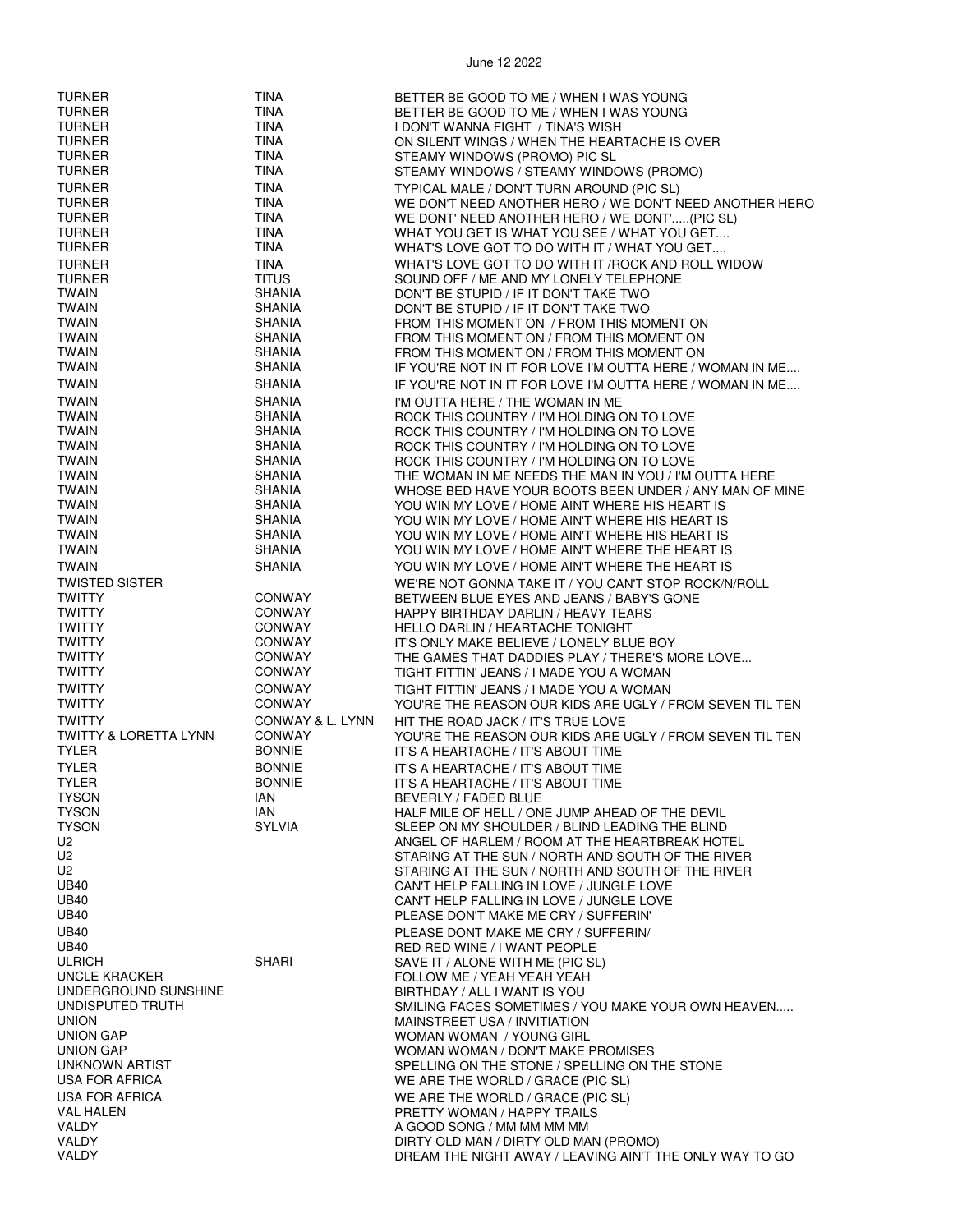| <b>TURNER</b>                    | <b>TINA</b>      | BETTER BE GOOD TO ME / WHEN I WAS YOUNG                   |
|----------------------------------|------------------|-----------------------------------------------------------|
| <b>TURNER</b>                    | <b>TINA</b>      | BETTER BE GOOD TO ME / WHEN I WAS YOUNG                   |
|                                  |                  |                                                           |
| <b>TURNER</b>                    | <b>TINA</b>      | I DON'T WANNA FIGHT / TINA'S WISH                         |
| <b>TURNER</b>                    | <b>TINA</b>      | ON SILENT WINGS / WHEN THE HEARTACHE IS OVER              |
| <b>TURNER</b>                    | <b>TINA</b>      | STEAMY WINDOWS (PROMO) PIC SL                             |
|                                  |                  |                                                           |
| <b>TURNER</b>                    | <b>TINA</b>      | STEAMY WINDOWS / STEAMY WINDOWS (PROMO)                   |
| <b>TURNER</b>                    | <b>TINA</b>      | TYPICAL MALE / DON'T TURN AROUND (PIC SL)                 |
|                                  |                  |                                                           |
| <b>TURNER</b>                    | <b>TINA</b>      | WE DON'T NEED ANOTHER HERO / WE DON'T NEED ANOTHER HERO   |
| <b>TURNER</b>                    | <b>TINA</b>      | WE DONT' NEED ANOTHER HERO / WE DONT'(PIC SL)             |
| <b>TURNER</b>                    | <b>TINA</b>      | WHAT YOU GET IS WHAT YOU SEE / WHAT YOU GET               |
|                                  |                  |                                                           |
| <b>TURNER</b>                    | <b>TINA</b>      | WHAT'S LOVE GOT TO DO WITH IT / WHAT YOU GET              |
| <b>TURNER</b>                    | <b>TINA</b>      | WHAT'S LOVE GOT TO DO WITH IT / ROCK AND ROLL WIDOW       |
|                                  |                  |                                                           |
| <b>TURNER</b>                    | <b>TITUS</b>     | SOUND OFF / ME AND MY LONELY TELEPHONE                    |
| <b>TWAIN</b>                     | <b>SHANIA</b>    | DON'T BE STUPID / IF IT DON'T TAKE TWO                    |
| <b>TWAIN</b>                     |                  |                                                           |
|                                  | <b>SHANIA</b>    | DON'T BE STUPID / IF IT DON'T TAKE TWO                    |
| <b>TWAIN</b>                     | <b>SHANIA</b>    | FROM THIS MOMENT ON / FROM THIS MOMENT ON                 |
| <b>TWAIN</b>                     | <b>SHANIA</b>    | FROM THIS MOMENT ON / FROM THIS MOMENT ON                 |
|                                  |                  |                                                           |
| <b>TWAIN</b>                     | <b>SHANIA</b>    | FROM THIS MOMENT ON / FROM THIS MOMENT ON                 |
| <b>TWAIN</b>                     | <b>SHANIA</b>    | IF YOU'RE NOT IN IT FOR LOVE I'M OUTTA HERE / WOMAN IN ME |
|                                  |                  |                                                           |
| <b>TWAIN</b>                     | <b>SHANIA</b>    | IF YOU'RE NOT IN IT FOR LOVE I'M OUTTA HERE / WOMAN IN ME |
| <b>TWAIN</b>                     | <b>SHANIA</b>    | I'M OUTTA HERE / THE WOMAN IN ME                          |
|                                  |                  |                                                           |
| <b>TWAIN</b>                     | <b>SHANIA</b>    | ROCK THIS COUNTRY / I'M HOLDING ON TO LOVE                |
| <b>TWAIN</b>                     | <b>SHANIA</b>    | ROCK THIS COUNTRY / I'M HOLDING ON TO LOVE                |
| <b>TWAIN</b>                     | <b>SHANIA</b>    | ROCK THIS COUNTRY / I'M HOLDING ON TO LOVE                |
|                                  |                  |                                                           |
| <b>TWAIN</b>                     | <b>SHANIA</b>    | ROCK THIS COUNTRY / I'M HOLDING ON TO LOVE                |
| <b>TWAIN</b>                     | <b>SHANIA</b>    | THE WOMAN IN ME NEEDS THE MAN IN YOU / I'M OUTTA HERE     |
| <b>TWAIN</b>                     | <b>SHANIA</b>    | WHOSE BED HAVE YOUR BOOTS BEEN UNDER / ANY MAN OF MINE    |
|                                  |                  |                                                           |
| <b>TWAIN</b>                     | <b>SHANIA</b>    | YOU WIN MY LOVE / HOME AINT WHERE HIS HEART IS            |
| <b>TWAIN</b>                     | <b>SHANIA</b>    | YOU WIN MY LOVE / HOME AIN'T WHERE HIS HEART IS           |
| <b>TWAIN</b>                     | <b>SHANIA</b>    |                                                           |
|                                  |                  | YOU WIN MY LOVE / HOME AIN'T WHERE HIS HEART IS           |
| <b>TWAIN</b>                     | <b>SHANIA</b>    | YOU WIN MY LOVE / HOME AIN'T WHERE THE HEART IS           |
| <b>TWAIN</b>                     | <b>SHANIA</b>    | YOU WIN MY LOVE / HOME AIN'T WHERE THE HEART IS           |
|                                  |                  |                                                           |
| <b>TWISTED SISTER</b>            |                  | WE'RE NOT GONNA TAKE IT / YOU CAN'T STOP ROCK/N/ROLL      |
| <b>TWITTY</b>                    | <b>CONWAY</b>    |                                                           |
|                                  |                  | BETWEEN BLUE EYES AND JEANS / BABY'S GONE                 |
| <b>TWITTY</b>                    | <b>CONWAY</b>    | HAPPY BIRTHDAY DARLIN / HEAVY TEARS                       |
| <b>TWITTY</b>                    | <b>CONWAY</b>    | <b>HELLO DARLIN / HEARTACHE TONIGHT</b>                   |
|                                  |                  |                                                           |
| <b>TWITTY</b>                    | <b>CONWAY</b>    | IT'S ONLY MAKE BELIEVE / LONELY BLUE BOY                  |
| <b>TWITTY</b>                    | CONWAY           | THE GAMES THAT DADDIES PLAY / THERE'S MORE LOVE           |
| <b>TWITTY</b>                    | CONWAY           | TIGHT FITTIN' JEANS / I MADE YOU A WOMAN                  |
|                                  |                  |                                                           |
| <b>TWITTY</b>                    | <b>CONWAY</b>    | TIGHT FITTIN' JEANS / I MADE YOU A WOMAN                  |
| <b>TWITTY</b>                    | <b>CONWAY</b>    | YOU'RE THE REASON OUR KIDS ARE UGLY / FROM SEVEN TIL TEN  |
|                                  |                  |                                                           |
| <b>TWITTY</b>                    | CONWAY & L. LYNN | HIT THE ROAD JACK / IT'S TRUE LOVE                        |
| <b>TWITTY &amp; LORETTA LYNN</b> | CONWAY           | YOU'RE THE REASON OUR KIDS ARE UGLY / FROM SEVEN TIL TEN  |
|                                  |                  |                                                           |
| <b>TYLER</b>                     | <b>BONNIE</b>    | IT'S A HEARTACHE / IT'S ABOUT TIME                        |
| <b>TYLER</b>                     | <b>BONNIE</b>    | IT'S A HEARTACHE / IT'S ABOUT TIME                        |
| <b>TYLER</b>                     | <b>BONNIE</b>    | IT'S A HEARTACHE / IT'S ABOUT TIME                        |
|                                  |                  |                                                           |
| <b>TYSON</b>                     | IAN              | BEVERLY / FADED BLUE                                      |
| <b>TYSON</b>                     | IAN              | HALF MILE OF HELL / ONE JUMP AHEAD OF THE DEVIL           |
|                                  | <b>SYLVIA</b>    |                                                           |
| <b>TYSON</b>                     |                  | SLEEP ON MY SHOULDER / BLIND LEADING THE BLIND            |
| U2                               |                  | ANGEL OF HARLEM / ROOM AT THE HEARTBREAK HOTEL            |
| U2                               |                  | STARING AT THE SUN / NORTH AND SOUTH OF THE RIVER         |
|                                  |                  |                                                           |
| U2                               |                  | STARING AT THE SUN / NORTH AND SOUTH OF THE RIVER         |
| <b>UB40</b>                      |                  | CAN'T HELP FALLING IN LOVE / JUNGLE LOVE                  |
| <b>UB40</b>                      |                  | CAN'T HELP FALLING IN LOVE / JUNGLE LOVE                  |
|                                  |                  |                                                           |
| <b>UB40</b>                      |                  | PLEASE DON'T MAKE ME CRY / SUFFERIN'                      |
| <b>UB40</b>                      |                  | PLEASE DONT MAKE ME CRY / SUFFERIN/                       |
| <b>UB40</b>                      |                  | RED RED WINE / I WANT PEOPLE                              |
|                                  |                  |                                                           |
| <b>ULRICH</b>                    | <b>SHARI</b>     | SAVE IT / ALONE WITH ME (PIC SL)                          |
| <b>UNCLE KRACKER</b>             |                  | FOLLOW ME / YEAH YEAH YEAH                                |
|                                  |                  |                                                           |
| UNDERGROUND SUNSHINE             |                  | BIRTHDAY / ALL I WANT IS YOU                              |
| UNDISPUTED TRUTH                 |                  | SMILING FACES SOMETIMES / YOU MAKE YOUR OWN HEAVEN        |
| <b>UNION</b>                     |                  | MAINSTREET USA / INVITIATION                              |
|                                  |                  |                                                           |
| <b>UNION GAP</b>                 |                  | WOMAN WOMAN / YOUNG GIRL                                  |
| <b>UNION GAP</b>                 |                  | WOMAN WOMAN / DON'T MAKE PROMISES                         |
| UNKNOWN ARTIST                   |                  | SPELLING ON THE STONE / SPELLING ON THE STONE             |
|                                  |                  |                                                           |
| USA FOR AFRICA                   |                  | WE ARE THE WORLD / GRACE (PIC SL)                         |
| <b>USA FOR AFRICA</b>            |                  | WE ARE THE WORLD / GRACE (PIC SL)                         |
|                                  |                  |                                                           |
| VAL HALEN                        |                  | PRETTY WOMAN / HAPPY TRAILS                               |
| <b>VALDY</b>                     |                  | A GOOD SONG / MM MM MM MM                                 |
| VALDY                            |                  | DIRTY OLD MAN / DIRTY OLD MAN (PROMO)                     |
|                                  |                  |                                                           |
| VALDY                            |                  | DREAM THE NIGHT AWAY / LEAVING AIN'T THE ONLY WAY TO GO   |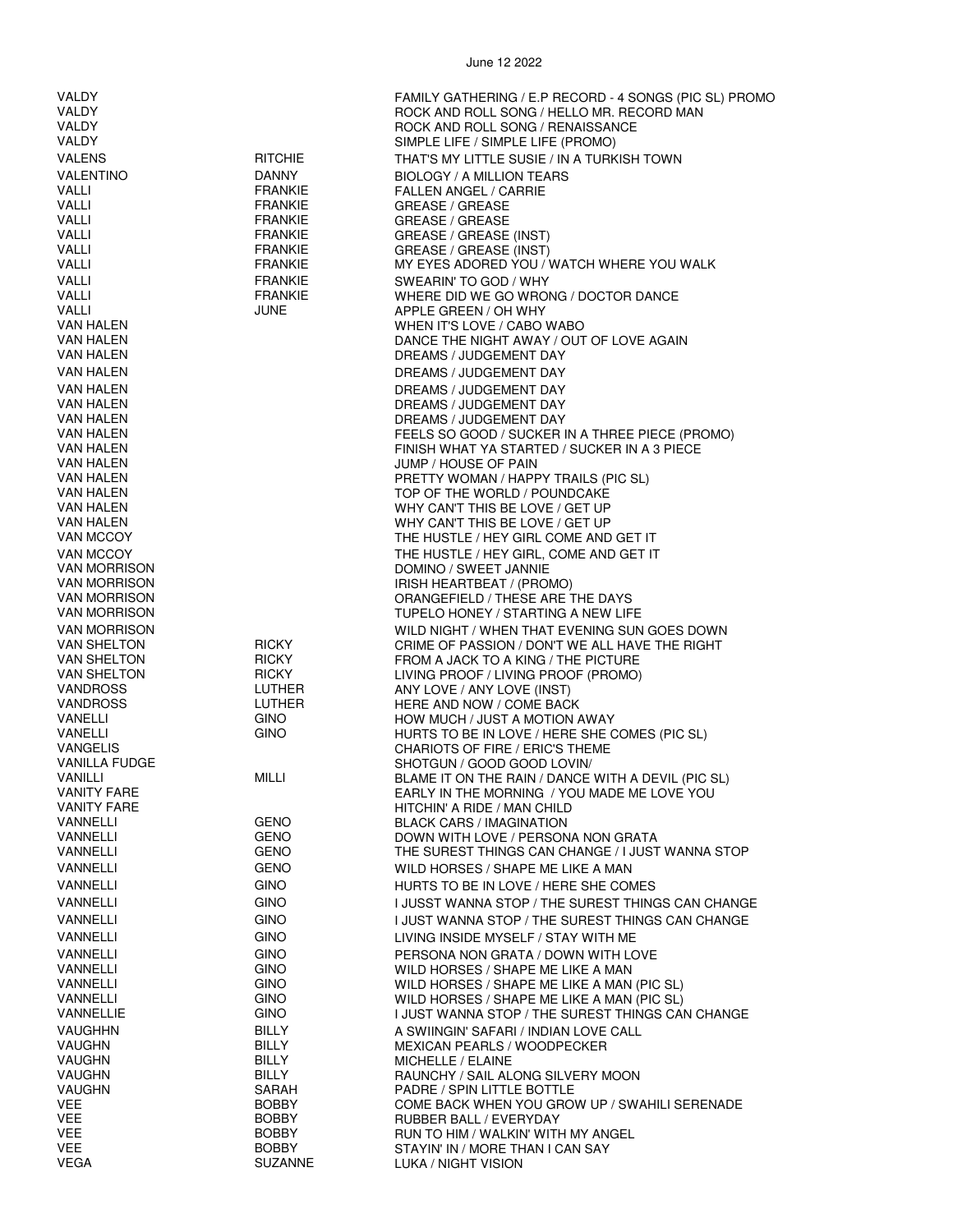| VALDY                  |                                  | FAMILY GATHERING / E.P RECORD - 4 SONGS (PIC SL) PROMO                                          |
|------------------------|----------------------------------|-------------------------------------------------------------------------------------------------|
| <b>VALDY</b>           |                                  | ROCK AND ROLL SONG / HELLO MR. RECORD MAN                                                       |
| VALDY                  |                                  | ROCK AND ROLL SONG / RENAISSANCE                                                                |
| VALDY                  |                                  | SIMPLE LIFE / SIMPLE LIFE (PROMO)                                                               |
| <b>VALENS</b>          | <b>RITCHIE</b>                   |                                                                                                 |
|                        |                                  | THAT'S MY LITTLE SUSIE / IN A TURKISH TOWN                                                      |
| <b>VALENTINO</b>       | DANNY                            | BIOLOGY / A MILLION TEARS                                                                       |
| VALLI                  | <b>FRANKIE</b>                   | <b>FALLEN ANGEL / CARRIE</b>                                                                    |
| <b>VALLI</b>           | <b>FRANKIE</b>                   | <b>GREASE / GREASE</b>                                                                          |
| <b>VALLI</b>           | <b>FRANKIE</b>                   | <b>GREASE / GREASE</b>                                                                          |
| VALLI<br>VALLI         | <b>FRANKIE</b><br><b>FRANKIE</b> | GREASE / GREASE (INST)                                                                          |
| VALLI                  | <b>FRANKIE</b>                   | GREASE / GREASE (INST)<br>MY EYES ADORED YOU / WATCH WHERE YOU WALK                             |
|                        |                                  |                                                                                                 |
| <b>VALLI</b>           | <b>FRANKIE</b>                   | SWEARIN' TO GOD / WHY                                                                           |
| VALLI<br>VALLI         | <b>FRANKIE</b><br>JUNE           | WHERE DID WE GO WRONG / DOCTOR DANCE                                                            |
| VAN HALEN              |                                  | APPLE GREEN / OH WHY<br>WHEN IT'S LOVE / CABO WABO                                              |
| VAN HALEN              |                                  | DANCE THE NIGHT AWAY / OUT OF LOVE AGAIN                                                        |
| VAN HALEN              |                                  | DREAMS / JUDGEMENT DAY                                                                          |
|                        |                                  |                                                                                                 |
| VAN HALEN              |                                  | DREAMS / JUDGEMENT DAY                                                                          |
| <b>VAN HALEN</b>       |                                  | DREAMS / JUDGEMENT DAY                                                                          |
| VAN HALEN              |                                  | DREAMS / JUDGEMENT DAY                                                                          |
| VAN HALEN<br>VAN HALEN |                                  | DREAMS / JUDGEMENT DAY                                                                          |
| VAN HALEN              |                                  | FEELS SO GOOD / SUCKER IN A THREE PIECE (PROMO)<br>FINISH WHAT YA STARTED / SUCKER IN A 3 PIECE |
| VAN HALEN              |                                  | JUMP / HOUSE OF PAIN                                                                            |
| VAN HALEN              |                                  | PRETTY WOMAN / HAPPY TRAILS (PIC SL)                                                            |
| <b>VAN HALEN</b>       |                                  | TOP OF THE WORLD / POUNDCAKE                                                                    |
| VAN HALEN              |                                  | WHY CAN'T THIS BE LOVE / GET UP                                                                 |
| VAN HALEN              |                                  | WHY CAN'T THIS BE LOVE / GET UP                                                                 |
| VAN MCCOY              |                                  | THE HUSTLE / HEY GIRL COME AND GET IT                                                           |
| VAN MCCOY              |                                  | THE HUSTLE / HEY GIRL, COME AND GET IT                                                          |
| <b>VAN MORRISON</b>    |                                  | DOMINO / SWEET JANNIE                                                                           |
| <b>VAN MORRISON</b>    |                                  | IRISH HEARTBEAT / (PROMO)                                                                       |
| VAN MORRISON           |                                  | ORANGEFIELD / THESE ARE THE DAYS                                                                |
| <b>VAN MORRISON</b>    |                                  | TUPELO HONEY / STARTING A NEW LIFE                                                              |
| <b>VAN MORRISON</b>    |                                  | WILD NIGHT / WHEN THAT EVENING SUN GOES DOWN                                                    |
| VAN SHELTON            | <b>RICKY</b>                     | CRIME OF PASSION / DON'T WE ALL HAVE THE RIGHT                                                  |
| <b>VAN SHELTON</b>     | <b>RICKY</b>                     | FROM A JACK TO A KING / THE PICTURE                                                             |
| VAN SHELTON            | <b>RICKY</b>                     | LIVING PROOF / LIVING PROOF (PROMO)                                                             |
| VANDROSS               | LUTHER                           | ANY LOVE / ANY LOVE (INST)                                                                      |
| <b>VANDROSS</b>        | LUTHER                           | HERE AND NOW / COME BACK                                                                        |
| VANELLI                | <b>GINO</b>                      | HOW MUCH / JUST A MOTION AWAY                                                                   |
| VANELLI                | <b>GINO</b>                      | HURTS TO BE IN LOVE / HERE SHE COMES (PIC SL)                                                   |
| <b>VANGELIS</b>        |                                  | CHARIOTS OF FIRE / ERIC'S THEME                                                                 |
| <b>VANILLA FUDGE</b>   |                                  | SHOTGUN / GOOD GOOD LOVIN/                                                                      |
| VANILLI                | MILLI                            | BLAME IT ON THE RAIN / DANCE WITH A DEVIL (PIC SL)                                              |
| <b>VANITY FARE</b>     |                                  | EARLY IN THE MORNING / YOU MADE ME LOVE YOU                                                     |
| <b>VANITY FARE</b>     |                                  | HITCHIN' A RIDE / MAN CHILD                                                                     |
| VANNELLI               | GENO<br>GENO                     | <b>BLACK CARS / IMAGINATION</b><br>DOWN WITH LOVE / PERSONA NON GRATA                           |
| VANNELLI<br>VANNELLI   | <b>GENO</b>                      | THE SUREST THINGS CAN CHANGE / I JUST WANNA STOP                                                |
|                        |                                  |                                                                                                 |
| VANNELLI               | <b>GENO</b>                      | WILD HORSES / SHAPE ME LIKE A MAN                                                               |
| <b>VANNELLI</b>        | <b>GINO</b>                      | HURTS TO BE IN LOVE / HERE SHE COMES                                                            |
| VANNELLI               | <b>GINO</b>                      | I JUSST WANNA STOP / THE SUREST THINGS CAN CHANGE                                               |
| VANNELLI               | <b>GINO</b>                      | I JUST WANNA STOP / THE SUREST THINGS CAN CHANGE                                                |
| VANNELLI               | <b>GINO</b>                      | LIVING INSIDE MYSELF / STAY WITH ME                                                             |
| VANNELLI               | <b>GINO</b>                      | PERSONA NON GRATA / DOWN WITH LOVE                                                              |
| VANNELLI               | <b>GINO</b>                      | WILD HORSES / SHAPE ME LIKE A MAN                                                               |
| VANNELLI               | <b>GINO</b>                      | WILD HORSES / SHAPE ME LIKE A MAN (PIC SL)                                                      |
| VANNELLI               | <b>GINO</b>                      | WILD HORSES / SHAPE ME LIKE A MAN (PIC SL)                                                      |
| VANNELLIE              | <b>GINO</b>                      | I JUST WANNA STOP / THE SUREST THINGS CAN CHANGE                                                |
| <b>VAUGHHN</b>         | BILLY                            | A SWIINGIN' SAFARI / INDIAN LOVE CALL                                                           |
| <b>VAUGHN</b>          | <b>BILLY</b>                     | MEXICAN PEARLS / WOODPECKER                                                                     |
| <b>VAUGHN</b>          | BILLY                            | MICHELLE / ELAINE                                                                               |
| VAUGHN                 | BILLY                            | RAUNCHY / SAIL ALONG SILVERY MOON                                                               |
| <b>VAUGHN</b>          | SARAH                            | PADRE / SPIN LITTLE BOTTLE                                                                      |
| VEE                    | <b>BOBBY</b>                     | COME BACK WHEN YOU GROW UP / SWAHILI SERENADE                                                   |
| VEE                    | <b>BOBBY</b>                     | RUBBER BALL / EVERYDAY                                                                          |
| VEE                    | <b>BOBBY</b>                     | RUN TO HIM / WALKIN' WITH MY ANGEL                                                              |
| VEE                    | <b>BOBBY</b>                     | STAYIN' IN / MORE THAN I CAN SAY                                                                |
| <b>VEGA</b>            | <b>SUZANNE</b>                   | LUKA / NIGHT VISION                                                                             |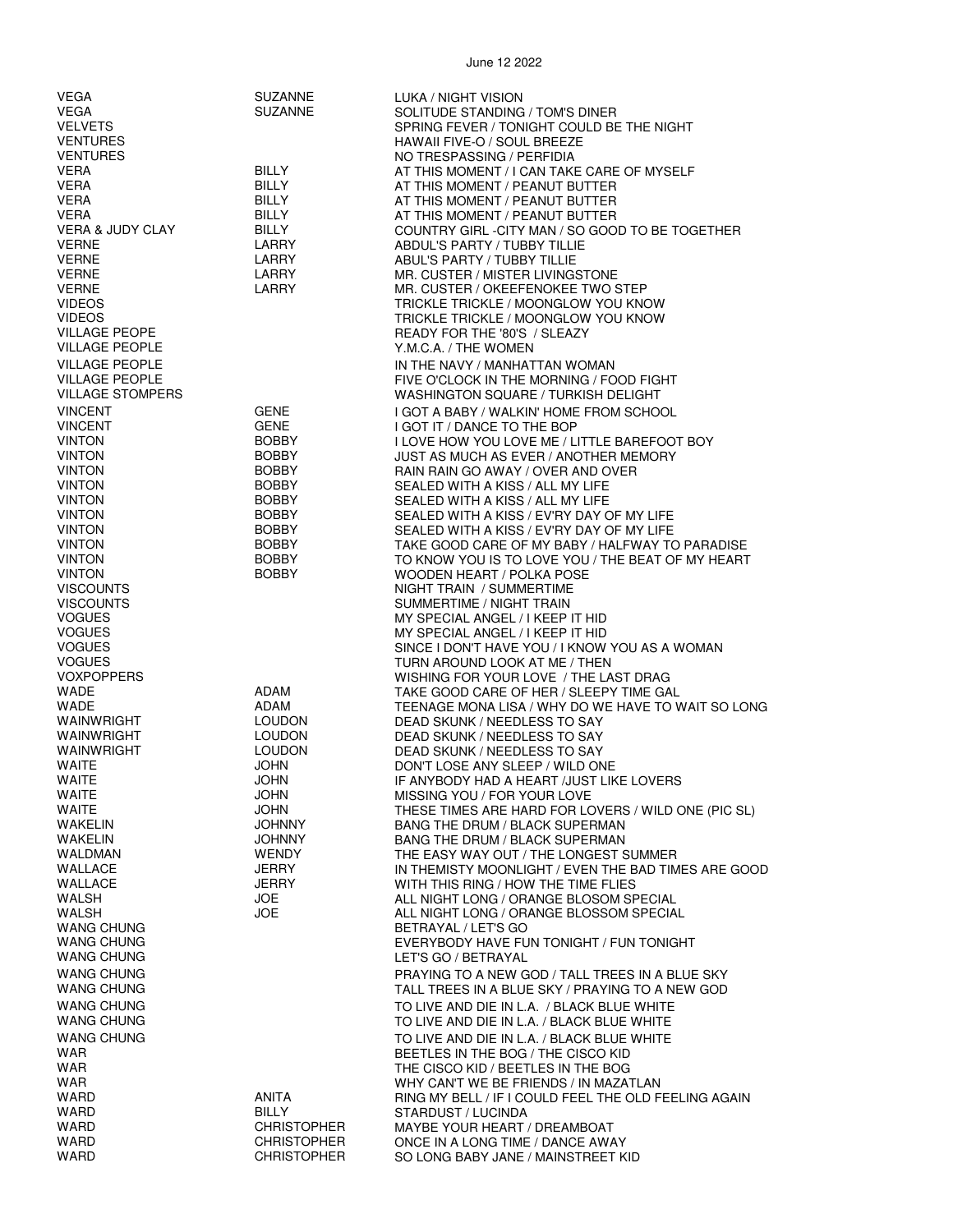| VEGA                                  | <b>SUZANNE</b>                 | LUKA / NIGHT VISION                                                                          |
|---------------------------------------|--------------------------------|----------------------------------------------------------------------------------------------|
| VEGA                                  | <b>SUZANNE</b>                 | SOLITUDE STANDING / TOM'S DINER                                                              |
| <b>VELVETS</b>                        |                                | SPRING FEVER / TONIGHT COULD BE THE NIGHT                                                    |
| <b>VENTURES</b>                       |                                | HAWAII FIVE-O / SOUL BREEZE                                                                  |
| <b>VENTURES</b><br><b>VERA</b>        | <b>BILLY</b>                   | NO TRESPASSING / PERFIDIA<br>AT THIS MOMENT / I CAN TAKE CARE OF MYSELF                      |
| <b>VERA</b>                           | BILLY                          | AT THIS MOMENT / PEANUT BUTTER                                                               |
| VERA                                  | <b>BILLY</b>                   | AT THIS MOMENT / PEANUT BUTTER                                                               |
| <b>VERA</b>                           | <b>BILLY</b>                   | AT THIS MOMENT / PEANUT BUTTER                                                               |
| <b>VERA &amp; JUDY CLAY</b>           | <b>BILLY</b>                   | COUNTRY GIRL -CITY MAN / SO GOOD TO BE TOGETHER                                              |
| <b>VERNE</b>                          | LARRY                          | ABDUL'S PARTY / TUBBY TILLIE                                                                 |
| <b>VERNE</b>                          | LARRY                          | ABUL'S PARTY / TUBBY TILLIE                                                                  |
| <b>VERNE</b>                          | LARRY                          | MR. CUSTER / MISTER LIVINGSTONE                                                              |
| <b>VERNE</b>                          | LARRY                          | MR. CUSTER / OKEEFENOKEE TWO STEP                                                            |
| <b>VIDEOS</b>                         |                                | TRICKLE TRICKLE / MOONGLOW YOU KNOW                                                          |
| <b>VIDEOS</b><br><b>VILLAGE PEOPE</b> |                                | TRICKLE TRICKLE / MOONGLOW YOU KNOW                                                          |
| <b>VILLAGE PEOPLE</b>                 |                                | READY FOR THE '80'S / SLEAZY<br>Y.M.C.A. / THE WOMEN                                         |
| <b>VILLAGE PEOPLE</b>                 |                                | IN THE NAVY / MANHATTAN WOMAN                                                                |
| <b>VILLAGE PEOPLE</b>                 |                                | FIVE O'CLOCK IN THE MORNING / FOOD FIGHT                                                     |
| <b>VILLAGE STOMPERS</b>               |                                | WASHINGTON SQUARE / TURKISH DELIGHT                                                          |
| <b>VINCENT</b>                        | <b>GENE</b>                    | I GOT A BABY / WALKIN' HOME FROM SCHOOL                                                      |
| <b>VINCENT</b>                        | <b>GENE</b>                    | I GOT IT / DANCE TO THE BOP                                                                  |
| <b>VINTON</b>                         | <b>BOBBY</b>                   | I LOVE HOW YOU LOVE ME / LITTLE BAREFOOT BOY                                                 |
| <b>VINTON</b>                         | <b>BOBBY</b>                   | JUST AS MUCH AS EVER / ANOTHER MEMORY                                                        |
| <b>VINTON</b>                         | <b>BOBBY</b>                   | RAIN RAIN GO AWAY / OVER AND OVER                                                            |
| <b>VINTON</b>                         | <b>BOBBY</b>                   | SEALED WITH A KISS / ALL MY LIFE                                                             |
| <b>VINTON</b>                         | <b>BOBBY</b>                   | SEALED WITH A KISS / ALL MY LIFE                                                             |
| <b>VINTON</b><br><b>VINTON</b>        | <b>BOBBY</b>                   | SEALED WITH A KISS / EV'RY DAY OF MY LIFE                                                    |
| <b>VINTON</b>                         | <b>BOBBY</b><br><b>BOBBY</b>   | SEALED WITH A KISS / EV'RY DAY OF MY LIFE<br>TAKE GOOD CARE OF MY BABY / HALFWAY TO PARADISE |
| <b>VINTON</b>                         | <b>BOBBY</b>                   | TO KNOW YOU IS TO LOVE YOU / THE BEAT OF MY HEART                                            |
| <b>VINTON</b>                         | <b>BOBBY</b>                   | WOODEN HEART / POLKA POSE                                                                    |
| <b>VISCOUNTS</b>                      |                                | NIGHT TRAIN / SUMMERTIME                                                                     |
| <b>VISCOUNTS</b>                      |                                | SUMMERTIME / NIGHT TRAIN                                                                     |
| <b>VOGUES</b>                         |                                | MY SPECIAL ANGEL / I KEEP IT HID                                                             |
| <b>VOGUES</b>                         |                                | MY SPECIAL ANGEL / I KEEP IT HID                                                             |
| <b>VOGUES</b>                         |                                | SINCE I DON'T HAVE YOU / I KNOW YOU AS A WOMAN                                               |
| <b>VOGUES</b>                         |                                | TURN AROUND LOOK AT ME / THEN                                                                |
| <b>VOXPOPPERS</b><br><b>WADE</b>      | ADAM                           | WISHING FOR YOUR LOVE / THE LAST DRAG<br>TAKE GOOD CARE OF HER / SLEEPY TIME GAL             |
| <b>WADE</b>                           | ADAM                           | TEENAGE MONA LISA / WHY DO WE HAVE TO WAIT SO LONG                                           |
| WAINWRIGHT                            | <b>LOUDON</b>                  | DEAD SKUNK / NEEDLESS TO SAY                                                                 |
| WAINWRIGHT                            | <b>LOUDON</b>                  | DEAD SKUNK / NEEDLESS TO SAY                                                                 |
| WAINWRIGHT                            | <b>LOUDON</b>                  | DEAD SKUNK / NEEDLESS TO SAY                                                                 |
| <b>WAITE</b>                          | <b>JOHN</b>                    | DON'T LOSE ANY SLEEP / WILD ONE                                                              |
| <b>WAITE</b>                          | <b>JOHN</b>                    | IF ANYBODY HAD A HEART /JUST LIKE LOVERS                                                     |
| WAITE                                 | <b>JOHN</b>                    | MISSING YOU / FOR YOUR LOVE                                                                  |
| <b>WAITE</b>                          | <b>JOHN</b>                    | THESE TIMES ARE HARD FOR LOVERS / WILD ONE (PIC SL)                                          |
| WAKELIN<br><b>WAKELIN</b>             | <b>JOHNNY</b><br><b>JOHNNY</b> | <b>BANG THE DRUM / BLACK SUPERMAN</b><br><b>BANG THE DRUM / BLACK SUPERMAN</b>               |
| WALDMAN                               | <b>WENDY</b>                   | THE EASY WAY OUT / THE LONGEST SUMMER                                                        |
| WALLACE                               | <b>JERRY</b>                   | IN THEMISTY MOONLIGHT / EVEN THE BAD TIMES ARE GOOD                                          |
| WALLACE                               | <b>JERRY</b>                   | WITH THIS RING / HOW THE TIME FLIES                                                          |
| WALSH                                 | JOE                            | ALL NIGHT LONG / ORANGE BLOSOM SPECIAL                                                       |
| WALSH                                 | JOE.                           | ALL NIGHT LONG / ORANGE BLOSSOM SPECIAL                                                      |
| WANG CHUNG                            |                                | BETRAYAL / LET'S GO                                                                          |
| WANG CHUNG                            |                                | EVERYBODY HAVE FUN TONIGHT / FUN TONIGHT                                                     |
| <b>WANG CHUNG</b>                     |                                | LET'S GO / BETRAYAL                                                                          |
| <b>WANG CHUNG</b>                     |                                | PRAYING TO A NEW GOD / TALL TREES IN A BLUE SKY                                              |
| <b>WANG CHUNG</b>                     |                                | TALL TREES IN A BLUE SKY / PRAYING TO A NEW GOD                                              |
| WANG CHUNG                            |                                | TO LIVE AND DIE IN L.A. / BLACK BLUE WHITE                                                   |
| <b>WANG CHUNG</b>                     |                                | TO LIVE AND DIE IN L.A. / BLACK BLUE WHITE                                                   |
| <b>WANG CHUNG</b>                     |                                | TO LIVE AND DIE IN L.A. / BLACK BLUE WHITE                                                   |
| WAR<br>WAR                            |                                | BEETLES IN THE BOG / THE CISCO KID<br>THE CISCO KID / BEETLES IN THE BOG                     |
| WAR                                   |                                | WHY CAN'T WE BE FRIENDS / IN MAZATLAN                                                        |
| WARD                                  | ANITA                          | RING MY BELL / IF I COULD FEEL THE OLD FEELING AGAIN                                         |
| WARD                                  | <b>BILLY</b>                   | STARDUST / LUCINDA                                                                           |
| WARD                                  | <b>CHRISTOPHER</b>             | MAYBE YOUR HEART / DREAMBOAT                                                                 |
| WARD                                  | <b>CHRISTOPHER</b>             | ONCE IN A LONG TIME / DANCE AWAY                                                             |
| WARD                                  | <b>CHRISTOPHER</b>             | SO LONG BABY JANE / MAINSTREET KID                                                           |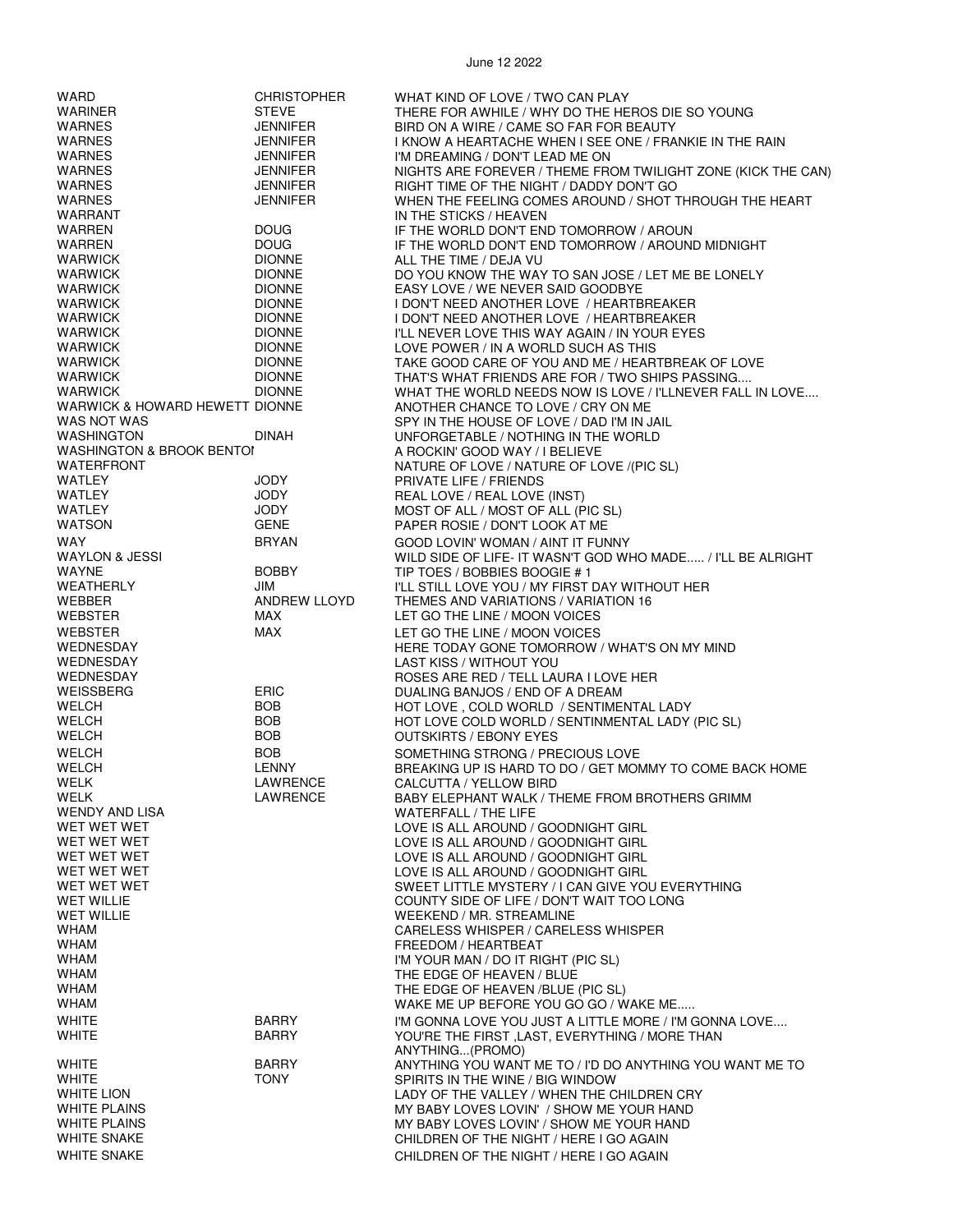| WARD                                 | <b>CHRISTOPHER</b>  | WHAT KIND OF LOVE / TWO CAN PLAY                             |
|--------------------------------------|---------------------|--------------------------------------------------------------|
| <b>WARINER</b>                       | <b>STEVE</b>        | THERE FOR AWHILE / WHY DO THE HEROS DIE SO YOUNG             |
| <b>WARNES</b>                        | <b>JENNIFER</b>     | BIRD ON A WIRE / CAME SO FAR FOR BEAUTY                      |
| <b>WARNES</b>                        | <b>JENNIFER</b>     | I KNOW A HEARTACHE WHEN I SEE ONE / FRANKIE IN THE RAIN      |
|                                      |                     |                                                              |
| <b>WARNES</b>                        | <b>JENNIFER</b>     | I'M DREAMING / DON'T LEAD ME ON                              |
| <b>WARNES</b>                        | <b>JENNIFER</b>     | NIGHTS ARE FOREVER / THEME FROM TWILIGHT ZONE (KICK THE CAN) |
| <b>WARNES</b>                        | <b>JENNIFER</b>     | RIGHT TIME OF THE NIGHT / DADDY DON'T GO                     |
| <b>WARNES</b>                        | <b>JENNIFER</b>     | WHEN THE FEELING COMES AROUND / SHOT THROUGH THE HEART       |
| WARRANT                              |                     | IN THE STICKS / HEAVEN                                       |
| WARREN                               | <b>DOUG</b>         | IF THE WORLD DON'T END TOMORROW / AROUN                      |
|                                      |                     |                                                              |
| WARREN                               | <b>DOUG</b>         | IF THE WORLD DON'T END TOMORROW / AROUND MIDNIGHT            |
| <b>WARWICK</b>                       | <b>DIONNE</b>       | ALL THE TIME / DEJA VU                                       |
| <b>WARWICK</b>                       | <b>DIONNE</b>       | DO YOU KNOW THE WAY TO SAN JOSE / LET ME BE LONELY           |
| <b>WARWICK</b>                       | <b>DIONNE</b>       | EASY LOVE / WE NEVER SAID GOODBYE                            |
| <b>WARWICK</b>                       | <b>DIONNE</b>       | I DON'T NEED ANOTHER LOVE / HEARTBREAKER                     |
| WARWICK                              | <b>DIONNE</b>       | I DON'T NEED ANOTHER LOVE / HEARTBREAKER                     |
|                                      |                     |                                                              |
| <b>WARWICK</b>                       | <b>DIONNE</b>       | I'LL NEVER LOVE THIS WAY AGAIN / IN YOUR EYES                |
| <b>WARWICK</b>                       | <b>DIONNE</b>       | LOVE POWER / IN A WORLD SUCH AS THIS                         |
| <b>WARWICK</b>                       | <b>DIONNE</b>       | TAKE GOOD CARE OF YOU AND ME / HEARTBREAK OF LOVE            |
| <b>WARWICK</b>                       | <b>DIONNE</b>       | THAT'S WHAT FRIENDS ARE FOR / TWO SHIPS PASSING              |
| WARWICK                              | <b>DIONNE</b>       | WHAT THE WORLD NEEDS NOW IS LOVE / I'LLNEVER FALL IN LOVE    |
| WARWICK & HOWARD HEWETT DIONNE       |                     | ANOTHER CHANCE TO LOVE / CRY ON ME                           |
|                                      |                     |                                                              |
| WAS NOT WAS                          |                     | SPY IN THE HOUSE OF LOVE / DAD I'M IN JAIL                   |
| <b>WASHINGTON</b>                    | <b>DINAH</b>        | UNFORGETABLE / NOTHING IN THE WORLD                          |
| <b>WASHINGTON &amp; BROOK BENTOI</b> |                     | A ROCKIN' GOOD WAY / I BELIEVE                               |
| WATERFRONT                           |                     | NATURE OF LOVE / NATURE OF LOVE /(PIC SL)                    |
| WATLEY                               | JODY                | PRIVATE LIFE / FRIENDS                                       |
| WATLEY                               | JODY                | REAL LOVE / REAL LOVE (INST)                                 |
|                                      |                     |                                                              |
| WATLEY                               | JODY                | MOST OF ALL / MOST OF ALL (PIC SL)                           |
| <b>WATSON</b>                        | <b>GENE</b>         | PAPER ROSIE / DON'T LOOK AT ME                               |
| <b>WAY</b>                           | <b>BRYAN</b>        | GOOD LOVIN' WOMAN / AINT IT FUNNY                            |
| WAYLON & JESSI                       |                     | WILD SIDE OF LIFE- IT WASN'T GOD WHO MADE / I'LL BE ALRIGHT  |
| <b>WAYNE</b>                         | <b>BOBBY</b>        | TIP TOES / BOBBIES BOOGIE # 1                                |
| WEATHERLY                            | JIM                 | I'LL STILL LOVE YOU / MY FIRST DAY WITHOUT HER               |
|                                      |                     |                                                              |
| WEBBER                               | <b>ANDREW LLOYD</b> | THEMES AND VARIATIONS / VARIATION 16                         |
| <b>WEBSTER</b>                       | MAX                 | LET GO THE LINE / MOON VOICES                                |
| WEBSTER                              | <b>MAX</b>          | LET GO THE LINE / MOON VOICES                                |
| WEDNESDAY                            |                     | HERE TODAY GONE TOMORROW / WHAT'S ON MY MIND                 |
| WEDNESDAY                            |                     | LAST KISS / WITHOUT YOU                                      |
|                                      |                     |                                                              |
| WEDNESDAY                            |                     | ROSES ARE RED / TELL LAURA I LOVE HER                        |
| WEISSBERG                            | <b>ERIC</b>         | DUALING BANJOS / END OF A DREAM                              |
| WELCH                                | <b>BOB</b>          | HOT LOVE, COLD WORLD / SENTIMENTAL LADY                      |
| <b>WELCH</b>                         | <b>BOB</b>          | HOT LOVE COLD WORLD / SENTINMENTAL LADY (PIC SL)             |
| <b>WELCH</b>                         | <b>BOB</b>          | <b>OUTSKIRTS / EBONY EYES</b>                                |
| <b>WELCH</b>                         | <b>BOB</b>          | SOMETHING STRONG / PRECIOUS LOVE                             |
|                                      |                     |                                                              |
| <b>WELCH</b>                         | <b>LENNY</b>        | BREAKING UP IS HARD TO DO / GET MOMMY TO COME BACK HOME      |
| WELK                                 | LAWRENCE            | CALCUTTA / YELLOW BIRD                                       |
| WELK                                 | LAWRENCE            | BABY ELEPHANT WALK / THEME FROM BROTHERS GRIMM               |
| <b>WENDY AND LISA</b>                |                     | WATERFALL / THE LIFE                                         |
| WET WET WET                          |                     | LOVE IS ALL AROUND / GOODNIGHT GIRL                          |
| WET WET WET                          |                     | LOVE IS ALL AROUND / GOODNIGHT GIRL                          |
| WET WET WET                          |                     | LOVE IS ALL AROUND / GOODNIGHT GIRL                          |
| WET WET WET                          |                     |                                                              |
|                                      |                     | LOVE IS ALL AROUND / GOODNIGHT GIRL                          |
| WET WET WET                          |                     | SWEET LITTLE MYSTERY / I CAN GIVE YOU EVERYTHING             |
| <b>WET WILLIE</b>                    |                     | COUNTY SIDE OF LIFE / DON'T WAIT TOO LONG                    |
| <b>WET WILLIE</b>                    |                     | WEEKEND / MR. STREAMLINE                                     |
| WHAM                                 |                     | CARELESS WHISPER / CARELESS WHISPER                          |
| WHAM                                 |                     | FREEDOM / HEARTBEAT                                          |
| <b>WHAM</b>                          |                     |                                                              |
| <b>WHAM</b>                          |                     |                                                              |
|                                      |                     | I'M YOUR MAN / DO IT RIGHT (PIC SL)                          |
| WHAM                                 |                     | THE EDGE OF HEAVEN / BLUE                                    |
|                                      |                     | THE EDGE OF HEAVEN /BLUE (PIC SL)                            |
| WHAM                                 |                     | WAKE ME UP BEFORE YOU GO GO / WAKE ME                        |
| <b>WHITE</b>                         | <b>BARRY</b>        | I'M GONNA LOVE YOU JUST A LITTLE MORE / I'M GONNA LOVE       |
|                                      |                     |                                                              |
| <b>WHITE</b>                         | <b>BARRY</b>        | YOU'RE THE FIRST , LAST, EVERYTHING / MORE THAN              |
|                                      |                     | ANYTHING(PROMO)                                              |
| <b>WHITE</b>                         | <b>BARRY</b>        | ANYTHING YOU WANT ME TO / I'D DO ANYTHING YOU WANT ME TO     |
| <b>WHITE</b>                         | <b>TONY</b>         | SPIRITS IN THE WINE / BIG WINDOW                             |
| <b>WHITE LION</b>                    |                     | LADY OF THE VALLEY / WHEN THE CHILDREN CRY                   |
| <b>WHITE PLAINS</b>                  |                     | MY BABY LOVES LOVIN' / SHOW ME YOUR HAND                     |
| <b>WHITE PLAINS</b>                  |                     | MY BABY LOVES LOVIN' / SHOW ME YOUR HAND                     |
| <b>WHITE SNAKE</b>                   |                     | CHILDREN OF THE NIGHT / HERE I GO AGAIN                      |
| <b>WHITE SNAKE</b>                   |                     | CHILDREN OF THE NIGHT / HERE I GO AGAIN                      |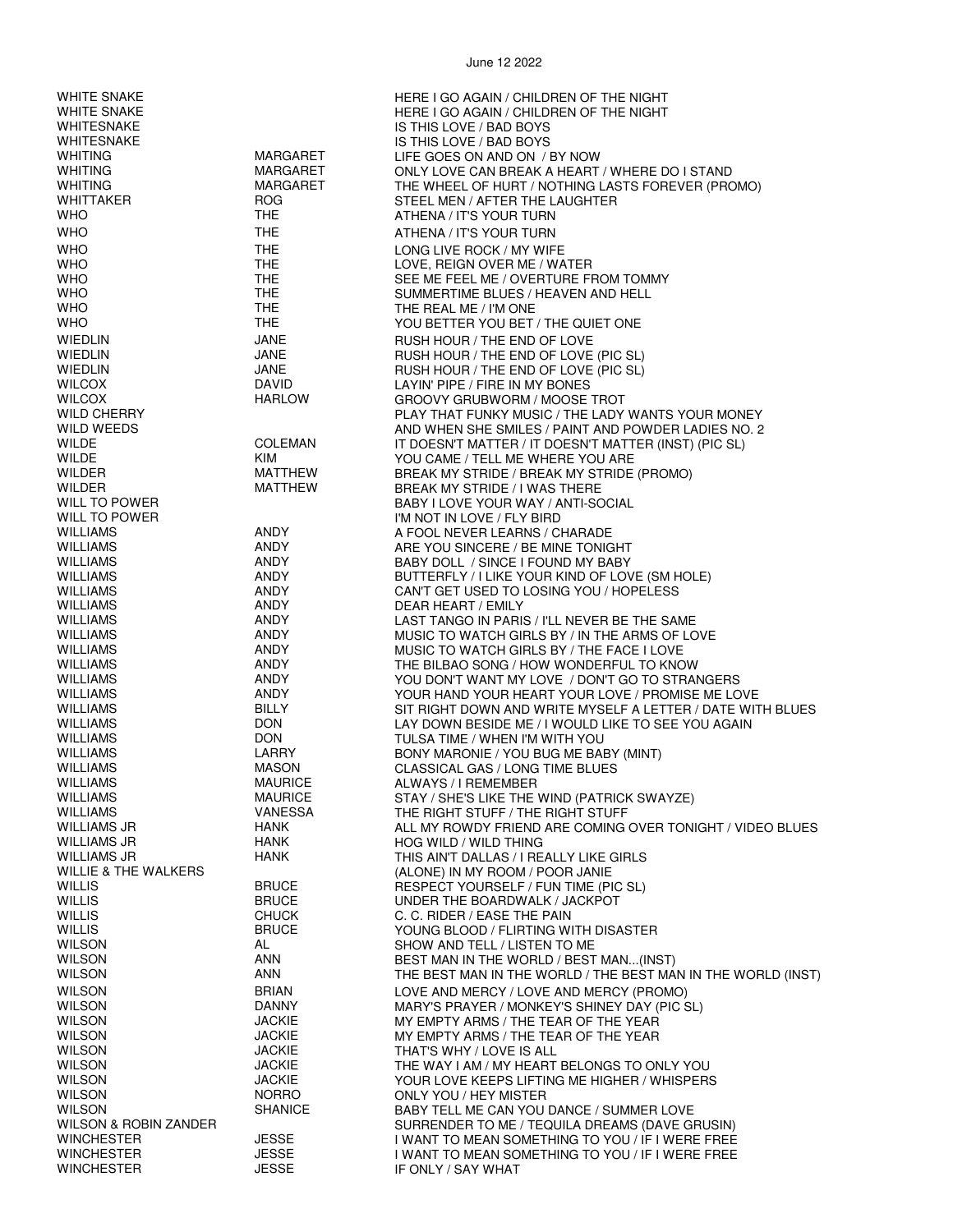| <b>WHITE SNAKE</b><br><b>WHITE SNAKE</b><br><b>WHITESNAKE</b> |                              | HERE I GO AGAIN / CHILDREN OF THE NIGHT<br>HERE I GO AGAIN / CHILDREN OF THE NIGHT<br>IS THIS LOVE / BAD BOYS |
|---------------------------------------------------------------|------------------------------|---------------------------------------------------------------------------------------------------------------|
| WHITESNAKE                                                    |                              | IS THIS LOVE / BAD BOYS                                                                                       |
| WHITING<br>WHITING                                            | MARGARET<br>MARGARET         | LIFE GOES ON AND ON / BY NOW                                                                                  |
| <b>WHITING</b>                                                | MARGARET                     | ONLY LOVE CAN BREAK A HEART / WHERE DO I STAND<br>THE WHEEL OF HURT / NOTHING LASTS FOREVER (PROMO)           |
| WHITTAKER                                                     | <b>ROG</b>                   | STEEL MEN / AFTER THE LAUGHTER                                                                                |
| <b>WHO</b>                                                    | THE.                         | ATHENA / IT'S YOUR TURN                                                                                       |
| <b>WHO</b>                                                    | <b>THE</b>                   | ATHENA / IT'S YOUR TURN                                                                                       |
| <b>WHO</b>                                                    | <b>THE</b>                   | LONG LIVE ROCK / MY WIFE                                                                                      |
| <b>WHO</b>                                                    | THE                          | LOVE, REIGN OVER ME / WATER                                                                                   |
| <b>WHO</b>                                                    | THE                          | SEE ME FEEL ME / OVERTURE FROM TOMMY                                                                          |
| <b>WHO</b>                                                    | <b>THE</b>                   | SUMMERTIME BLUES / HEAVEN AND HELL                                                                            |
| <b>WHO</b>                                                    | <b>THE</b>                   | THE REAL ME / I'M ONE                                                                                         |
| <b>WHO</b>                                                    | THE.                         | YOU BETTER YOU BET / THE QUIET ONE                                                                            |
| <b>WIEDLIN</b><br><b>WIEDLIN</b>                              | JANE<br>JANE                 | RUSH HOUR / THE END OF LOVE<br>RUSH HOUR / THE END OF LOVE (PIC SL)                                           |
| <b>WIEDLIN</b>                                                | JANE                         | RUSH HOUR / THE END OF LOVE (PIC SL)                                                                          |
| <b>WILCOX</b>                                                 | DAVID                        | LAYIN' PIPE / FIRE IN MY BONES                                                                                |
| <b>WILCOX</b>                                                 | <b>HARLOW</b>                | GROOVY GRUBWORM / MOOSE TROT                                                                                  |
| <b>WILD CHERRY</b>                                            |                              | PLAY THAT FUNKY MUSIC / THE LADY WANTS YOUR MONEY                                                             |
| WILD WEEDS                                                    |                              | AND WHEN SHE SMILES / PAINT AND POWDER LADIES NO. 2                                                           |
| WILDE<br>WILDE                                                | <b>COLEMAN</b><br><b>KIM</b> | IT DOESN'T MATTER / IT DOESN'T MATTER (INST) (PIC SL)                                                         |
| WILDER                                                        | MATTHEW                      | YOU CAME / TELL ME WHERE YOU ARE<br>BREAK MY STRIDE / BREAK MY STRIDE (PROMO)                                 |
| <b>WILDER</b>                                                 | MATTHEW                      | BREAK MY STRIDE / I WAS THERE                                                                                 |
| WILL TO POWER                                                 |                              | BABY I LOVE YOUR WAY / ANTI-SOCIAL                                                                            |
| WILL TO POWER                                                 |                              | I'M NOT IN LOVE / FLY BIRD                                                                                    |
| <b>WILLIAMS</b>                                               | ANDY                         | A FOOL NEVER LEARNS / CHARADE                                                                                 |
| <b>WILLIAMS</b>                                               | <b>ANDY</b>                  | ARE YOU SINCERE / BE MINE TONIGHT                                                                             |
| WILLIAMS<br><b>WILLIAMS</b>                                   | ANDY<br>ANDY                 | BABY DOLL / SINCE I FOUND MY BABY<br>BUTTERFLY / I LIKE YOUR KIND OF LOVE (SM HOLE)                           |
| WILLIAMS                                                      | ANDY                         | CAN'T GET USED TO LOSING YOU / HOPELESS                                                                       |
| WILLIAMS                                                      | ANDY                         | DEAR HEART / EMILY                                                                                            |
| WILLIAMS                                                      | ANDY                         | LAST TANGO IN PARIS / I'LL NEVER BE THE SAME                                                                  |
| <b>WILLIAMS</b>                                               | ANDY                         | MUSIC TO WATCH GIRLS BY / IN THE ARMS OF LOVE                                                                 |
| <b>WILLIAMS</b><br>WILLIAMS                                   | ANDY<br>ANDY                 | MUSIC TO WATCH GIRLS BY / THE FACE I LOVE                                                                     |
| WILLIAMS                                                      | ANDY                         | THE BILBAO SONG / HOW WONDERFUL TO KNOW<br>YOU DON'T WANT MY LOVE / DON'T GO TO STRANGERS                     |
| <b>WILLIAMS</b>                                               | ANDY                         | YOUR HAND YOUR HEART YOUR LOVE / PROMISE ME LOVE                                                              |
| <b>WILLIAMS</b>                                               | <b>BILLY</b>                 | SIT RIGHT DOWN AND WRITE MYSELF A LETTER / DATE WITH BLUES                                                    |
| WILLIAMS                                                      | <b>DON</b>                   | LAY DOWN BESIDE ME / I WOULD LIKE TO SEE YOU AGAIN                                                            |
| <b>WILLIAMS</b>                                               | <b>DON</b>                   | TULSA TIME / WHEN I'M WITH YOU                                                                                |
| WILLIAMS<br>WILLIAMS                                          | LARRY<br><b>MASON</b>        | BONY MARONIE / YOU BUG ME BABY (MINT)<br>CLASSICAL GAS / LONG TIME BLUES                                      |
| WILLIAMS                                                      | MAURICE                      | ALWAYS / I REMEMBER                                                                                           |
| WILLIAMS                                                      | <b>MAURICE</b>               | STAY / SHE'S LIKE THE WIND (PATRICK SWAYZE)                                                                   |
| <b>WILLIAMS</b>                                               | <b>VANESSA</b>               | THE RIGHT STUFF / THE RIGHT STUFF                                                                             |
| <b>WILLIAMS JR</b>                                            | HANK                         | ALL MY ROWDY FRIEND ARE COMING OVER TONIGHT / VIDEO BLUES                                                     |
| <b>WILLIAMS JR</b>                                            | <b>HANK</b>                  | HOG WILD / WILD THING                                                                                         |
| WILLIAMS JR<br><b>WILLIE &amp; THE WALKERS</b>                | HANK                         | THIS AIN'T DALLAS / I REALLY LIKE GIRLS<br>(ALONE) IN MY ROOM / POOR JANIE                                    |
| <b>WILLIS</b>                                                 | <b>BRUCE</b>                 | RESPECT YOURSELF / FUN TIME (PIC SL)                                                                          |
| <b>WILLIS</b>                                                 | <b>BRUCE</b>                 | UNDER THE BOARDWALK / JACKPOT                                                                                 |
| <b>WILLIS</b>                                                 | <b>CHUCK</b>                 | C. C. RIDER / EASE THE PAIN                                                                                   |
| <b>WILLIS</b>                                                 | <b>BRUCE</b>                 | YOUNG BLOOD / FLIRTING WITH DISASTER                                                                          |
| <b>WILSON</b><br><b>WILSON</b>                                | AL<br>ANN                    | SHOW AND TELL / LISTEN TO ME                                                                                  |
| <b>WILSON</b>                                                 | ANN                          | BEST MAN IN THE WORLD / BEST MAN(INST)<br>THE BEST MAN IN THE WORLD / THE BEST MAN IN THE WORLD (INST)        |
| <b>WILSON</b>                                                 | <b>BRIAN</b>                 | LOVE AND MERCY / LOVE AND MERCY (PROMO)                                                                       |
| <b>WILSON</b>                                                 | <b>DANNY</b>                 | MARY'S PRAYER / MONKEY'S SHINEY DAY (PIC SL)                                                                  |
| <b>WILSON</b>                                                 | <b>JACKIE</b>                | MY EMPTY ARMS / THE TEAR OF THE YEAR                                                                          |
| <b>WILSON</b>                                                 | <b>JACKIE</b>                | MY EMPTY ARMS / THE TEAR OF THE YEAR                                                                          |
| <b>WILSON</b>                                                 | <b>JACKIE</b>                | THAT'S WHY / LOVE IS ALL                                                                                      |
| <b>WILSON</b><br><b>WILSON</b>                                | JACKIE<br>JACKIE             | THE WAY I AM / MY HEART BELONGS TO ONLY YOU<br>YOUR LOVE KEEPS LIFTING ME HIGHER / WHISPERS                   |
| <b>WILSON</b>                                                 | <b>NORRO</b>                 | ONLY YOU / HEY MISTER                                                                                         |
| <b>WILSON</b>                                                 | <b>SHANICE</b>               | BABY TELL ME CAN YOU DANCE / SUMMER LOVE                                                                      |
| WILSON & ROBIN ZANDER                                         |                              | SURRENDER TO ME / TEQUILA DREAMS (DAVE GRUSIN)                                                                |
| WINCHESTER                                                    | <b>JESSE</b>                 | I WANT TO MEAN SOMETHING TO YOU / IF I WERE FREE                                                              |
| <b>WINCHESTER</b><br><b>WINCHESTER</b>                        | <b>JESSE</b><br><b>JESSE</b> | I WANT TO MEAN SOMETHING TO YOU / IF I WERE FREE<br>IF ONLY / SAY WHAT                                        |
|                                                               |                              |                                                                                                               |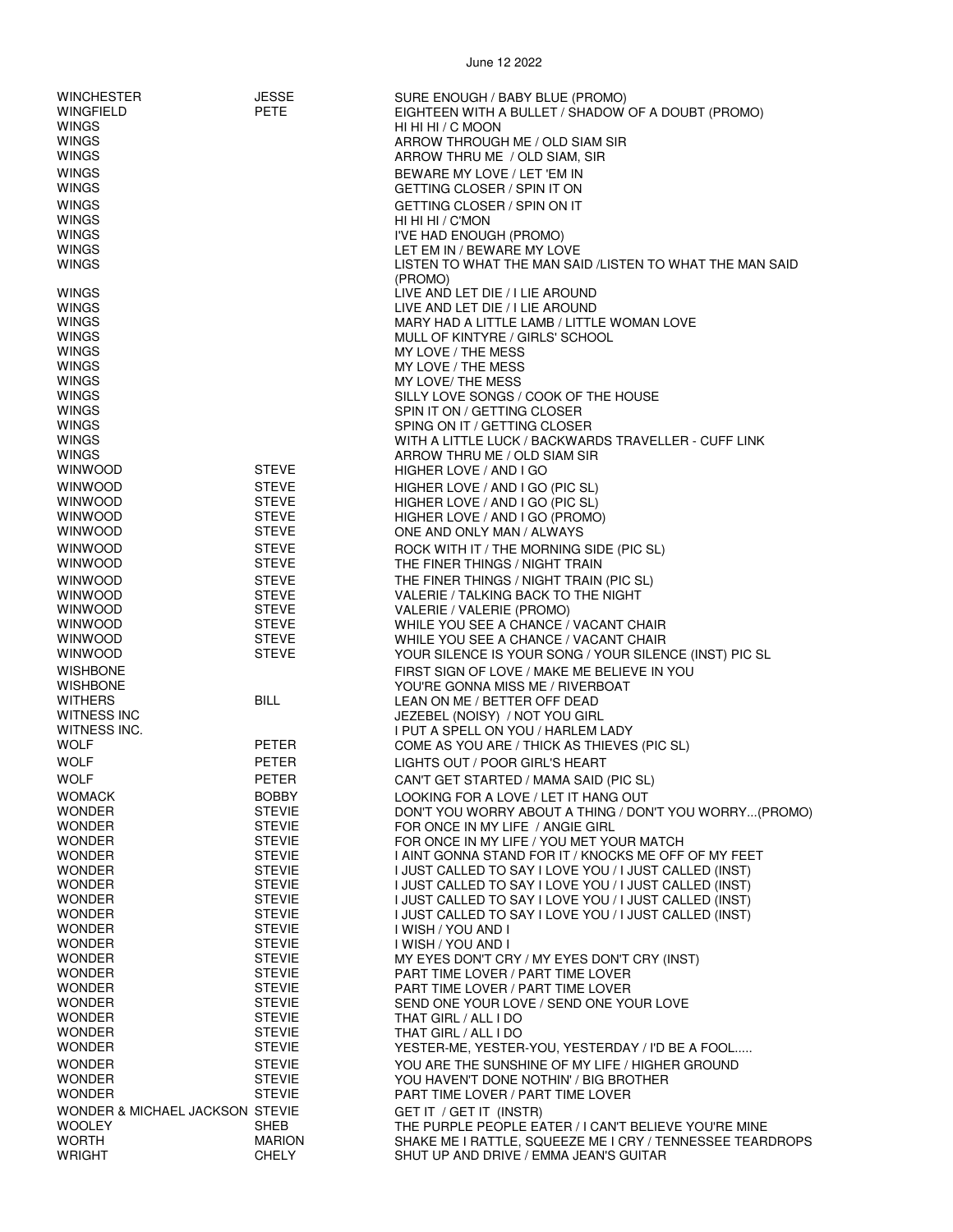| <b>WINCHESTER</b><br>WINGFIELD<br><b>WINGS</b><br><b>WINGS</b><br><b>WINGS</b> | <b>JESSE</b><br>PETE           | SURE ENOUGH / BABY BLUE (PROMO)<br>EIGHTEEN WITH A BULLET / SHADOW OF A DOUBT (PROMO)<br>HI HI HI / C MOON<br>ARROW THROUGH ME / OLD SIAM SIR<br>ARROW THRU ME / OLD SIAM, SIR |
|--------------------------------------------------------------------------------|--------------------------------|--------------------------------------------------------------------------------------------------------------------------------------------------------------------------------|
| <b>WINGS</b>                                                                   |                                | BEWARE MY LOVE / LET 'EM IN                                                                                                                                                    |
| <b>WINGS</b>                                                                   |                                | GETTING CLOSER / SPIN IT ON                                                                                                                                                    |
| <b>WINGS</b>                                                                   |                                | GETTING CLOSER / SPIN ON IT                                                                                                                                                    |
| <b>WINGS</b><br><b>WINGS</b>                                                   |                                | HI HI HI / C'MON<br>I'VE HAD ENOUGH (PROMO)                                                                                                                                    |
| <b>WINGS</b>                                                                   |                                | LET EM IN / BEWARE MY LOVE                                                                                                                                                     |
| <b>WINGS</b>                                                                   |                                | LISTEN TO WHAT THE MAN SAID / LISTEN TO WHAT THE MAN SAID                                                                                                                      |
| <b>WINGS</b>                                                                   |                                | (PROMO)<br>LIVE AND LET DIE / I LIE AROUND                                                                                                                                     |
| WINGS                                                                          |                                | LIVE AND LET DIE / I LIE AROUND                                                                                                                                                |
| <b>WINGS</b>                                                                   |                                | MARY HAD A LITTLE LAMB / LITTLE WOMAN LOVE                                                                                                                                     |
| <b>WINGS</b>                                                                   |                                | MULL OF KINTYRE / GIRLS' SCHOOL                                                                                                                                                |
| <b>WINGS</b><br><b>WINGS</b>                                                   |                                | MY LOVE / THE MESS<br>MY LOVE / THE MESS                                                                                                                                       |
| <b>WINGS</b>                                                                   |                                | MY LOVE/ THE MESS                                                                                                                                                              |
| <b>WINGS</b>                                                                   |                                | SILLY LOVE SONGS / COOK OF THE HOUSE                                                                                                                                           |
| <b>WINGS</b>                                                                   |                                | SPIN IT ON / GETTING CLOSER                                                                                                                                                    |
| WINGS<br><b>WINGS</b>                                                          |                                | SPING ON IT / GETTING CLOSER<br>WITH A LITTLE LUCK / BACKWARDS TRAVELLER - CUFF LINK                                                                                           |
| <b>WINGS</b>                                                                   |                                | ARROW THRU ME / OLD SIAM SIR                                                                                                                                                   |
| <b>WINWOOD</b>                                                                 | <b>STEVE</b>                   | HIGHER LOVE / AND I GO                                                                                                                                                         |
| <b>WINWOOD</b>                                                                 | <b>STEVE</b>                   | HIGHER LOVE / AND I GO (PIC SL)                                                                                                                                                |
| <b>WINWOOD</b>                                                                 | <b>STEVE</b>                   | HIGHER LOVE / AND I GO (PIC SL)                                                                                                                                                |
| <b>WINWOOD</b><br><b>WINWOOD</b>                                               | <b>STEVE</b><br><b>STEVE</b>   | HIGHER LOVE / AND I GO (PROMO)<br>ONE AND ONLY MAN / ALWAYS                                                                                                                    |
| <b>WINWOOD</b>                                                                 | <b>STEVE</b>                   | ROCK WITH IT / THE MORNING SIDE (PIC SL)                                                                                                                                       |
| <b>WINWOOD</b>                                                                 | <b>STEVE</b>                   | THE FINER THINGS / NIGHT TRAIN                                                                                                                                                 |
| <b>WINWOOD</b>                                                                 | <b>STEVE</b>                   | THE FINER THINGS / NIGHT TRAIN (PIC SL)                                                                                                                                        |
| <b>WINWOOD</b>                                                                 | <b>STEVE</b>                   | VALERIE / TALKING BACK TO THE NIGHT                                                                                                                                            |
| <b>WINWOOD</b><br><b>WINWOOD</b>                                               | <b>STEVE</b><br><b>STEVE</b>   | VALERIE / VALERIE (PROMO)                                                                                                                                                      |
| <b>WINWOOD</b>                                                                 | <b>STEVE</b>                   | WHILE YOU SEE A CHANCE / VACANT CHAIR<br>WHILE YOU SEE A CHANCE / VACANT CHAIR                                                                                                 |
| <b>WINWOOD</b>                                                                 | <b>STEVE</b>                   | YOUR SILENCE IS YOUR SONG / YOUR SILENCE (INST) PIC SL                                                                                                                         |
| <b>WISHBONE</b>                                                                |                                | FIRST SIGN OF LOVE / MAKE ME BELIEVE IN YOU                                                                                                                                    |
| <b>WISHBONE</b>                                                                |                                | YOU'RE GONNA MISS ME / RIVERBOAT                                                                                                                                               |
| <b>WITHERS</b><br><b>WITNESS INC</b>                                           | <b>BILL</b>                    | LEAN ON ME / BETTER OFF DEAD<br>JEZEBEL (NOISY) / NOT YOU GIRL                                                                                                                 |
| WITNESS INC.                                                                   |                                | I PUT A SPELL ON YOU / HARLEM LADY                                                                                                                                             |
| <b>WOLF</b>                                                                    | <b>PETER</b>                   | COME AS YOU ARE / THICK AS THIEVES (PIC SL)                                                                                                                                    |
| WOLF                                                                           | <b>PETER</b>                   | LIGHTS OUT / POOR GIRL'S HEART                                                                                                                                                 |
| <b>WOLF</b>                                                                    | PETER                          | CAN'T GET STARTED / MAMA SAID (PIC SL)                                                                                                                                         |
| <b>WOMACK</b><br><b>WONDER</b>                                                 | <b>BOBBY</b><br><b>STEVIE</b>  | LOOKING FOR A LOVE / LET IT HANG OUT                                                                                                                                           |
| <b>WONDER</b>                                                                  | <b>STEVIE</b>                  | DON'T YOU WORRY ABOUT A THING / DON'T YOU WORRY(PROMO)<br>FOR ONCE IN MY LIFE / ANGIE GIRL                                                                                     |
| <b>WONDER</b>                                                                  | <b>STEVIE</b>                  | FOR ONCE IN MY LIFE / YOU MET YOUR MATCH                                                                                                                                       |
| <b>WONDER</b>                                                                  | <b>STEVIE</b>                  | I AINT GONNA STAND FOR IT / KNOCKS ME OFF OF MY FEET                                                                                                                           |
| <b>WONDER</b><br>WONDER                                                        | <b>STEVIE</b><br><b>STEVIE</b> | I JUST CALLED TO SAY I LOVE YOU / I JUST CALLED (INST)<br>I JUST CALLED TO SAY I LOVE YOU / I JUST CALLED (INST)                                                               |
| <b>WONDER</b>                                                                  | <b>STEVIE</b>                  | I JUST CALLED TO SAY I LOVE YOU / I JUST CALLED (INST)                                                                                                                         |
| <b>WONDER</b>                                                                  | <b>STEVIE</b>                  | I JUST CALLED TO SAY I LOVE YOU / I JUST CALLED (INST)                                                                                                                         |
| <b>WONDER</b>                                                                  | <b>STEVIE</b>                  | I WISH / YOU AND I                                                                                                                                                             |
| <b>WONDER</b><br><b>WONDER</b>                                                 | <b>STEVIE</b><br><b>STEVIE</b> | I WISH / YOU AND I<br>MY EYES DON'T CRY / MY EYES DON'T CRY (INST)                                                                                                             |
| <b>WONDER</b>                                                                  | <b>STEVIE</b>                  | PART TIME LOVER / PART TIME LOVER                                                                                                                                              |
| <b>WONDER</b>                                                                  | <b>STEVIE</b>                  | PART TIME LOVER / PART TIME LOVER                                                                                                                                              |
| <b>WONDER</b>                                                                  | <b>STEVIE</b>                  | SEND ONE YOUR LOVE / SEND ONE YOUR LOVE                                                                                                                                        |
| <b>WONDER</b><br>WONDER                                                        | <b>STEVIE</b><br><b>STEVIE</b> | THAT GIRL / ALL I DO<br>THAT GIRL / ALL I DO                                                                                                                                   |
| <b>WONDER</b>                                                                  | <b>STEVIE</b>                  | YESTER-ME, YESTER-YOU, YESTERDAY / I'D BE A FOOL                                                                                                                               |
| <b>WONDER</b>                                                                  | <b>STEVIE</b>                  | YOU ARE THE SUNSHINE OF MY LIFE / HIGHER GROUND                                                                                                                                |
| <b>WONDER</b>                                                                  | <b>STEVIE</b>                  | YOU HAVEN'T DONE NOTHIN' / BIG BROTHER                                                                                                                                         |
| <b>WONDER</b>                                                                  | <b>STEVIE</b>                  | PART TIME LOVER / PART TIME LOVER                                                                                                                                              |
| WONDER & MICHAEL JACKSON STEVIE<br><b>WOOLEY</b>                               | SHEB                           | GET IT / GET IT (INSTR)<br>THE PURPLE PEOPLE EATER / I CAN'T BELIEVE YOU'RE MINE                                                                                               |
| <b>WORTH</b>                                                                   | <b>MARION</b>                  | SHAKE ME I RATTLE, SQUEEZE ME I CRY / TENNESSEE TEARDROPS                                                                                                                      |
| <b>WRIGHT</b>                                                                  | <b>CHELY</b>                   | SHUT UP AND DRIVE / EMMA JEAN'S GUITAR                                                                                                                                         |